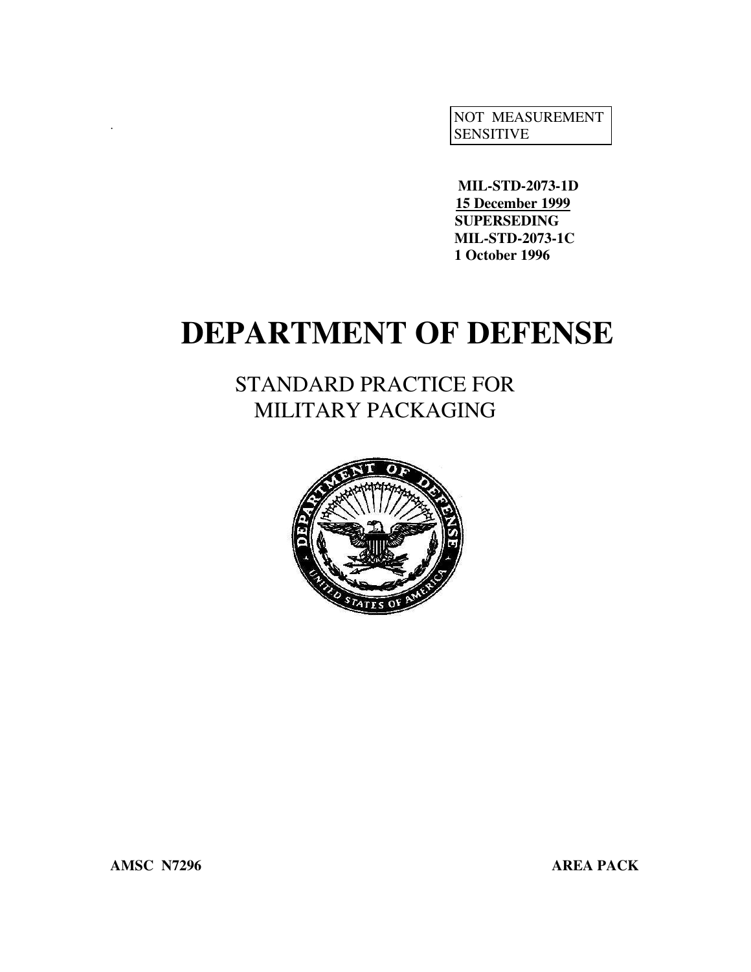NOT MEASUREMENT SENSITIVE

 **MIL-STD-2073-1D 15 December 1999 SUPERSEDING MIL-STD-2073-1C 1 October 1996**

# **DEPARTMENT OF DEFENSE**

STANDARD PRACTICE FOR MILITARY PACKAGING



**AMSC N7296 AREA PACK**

.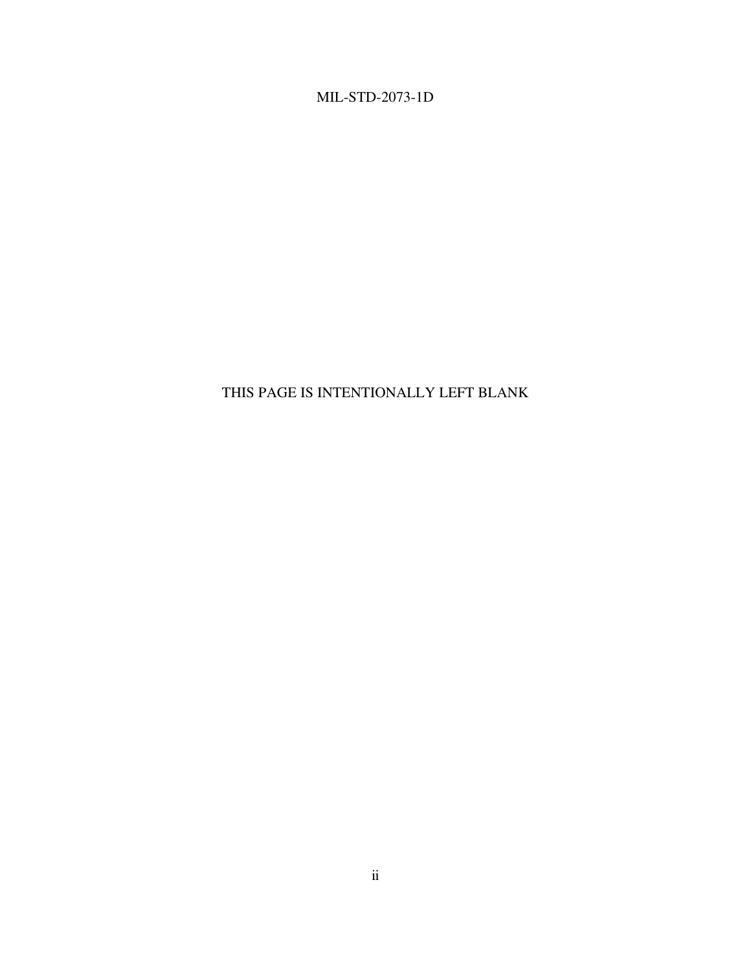## THIS PAGE IS INTENTIONALLY LEFT BLANK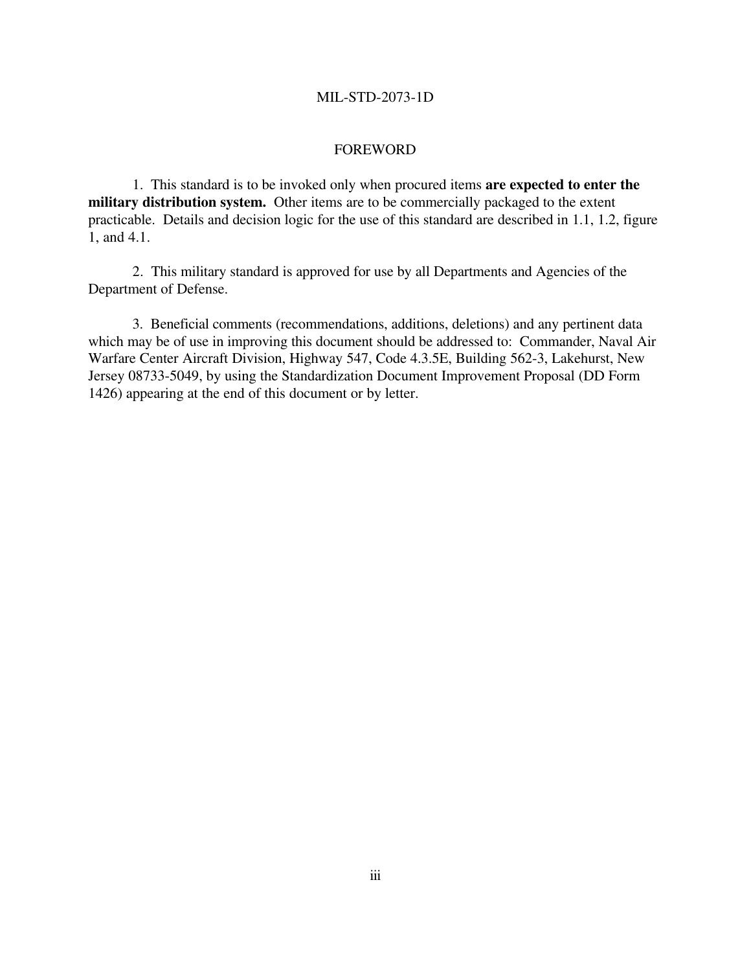#### FOREWORD

1. This standard is to be invoked only when procured items **are expected to enter the military distribution system.** Other items are to be commercially packaged to the extent practicable. Details and decision logic for the use of this standard are described in 1.1, 1.2, figure 1, and 4.1.

2. This military standard is approved for use by all Departments and Agencies of the Department of Defense.

3. Beneficial comments (recommendations, additions, deletions) and any pertinent data which may be of use in improving this document should be addressed to: Commander, Naval Air Warfare Center Aircraft Division, Highway 547, Code 4.3.5E, Building 562-3, Lakehurst, New Jersey 08733-5049, by using the Standardization Document Improvement Proposal (DD Form 1426) appearing at the end of this document or by letter.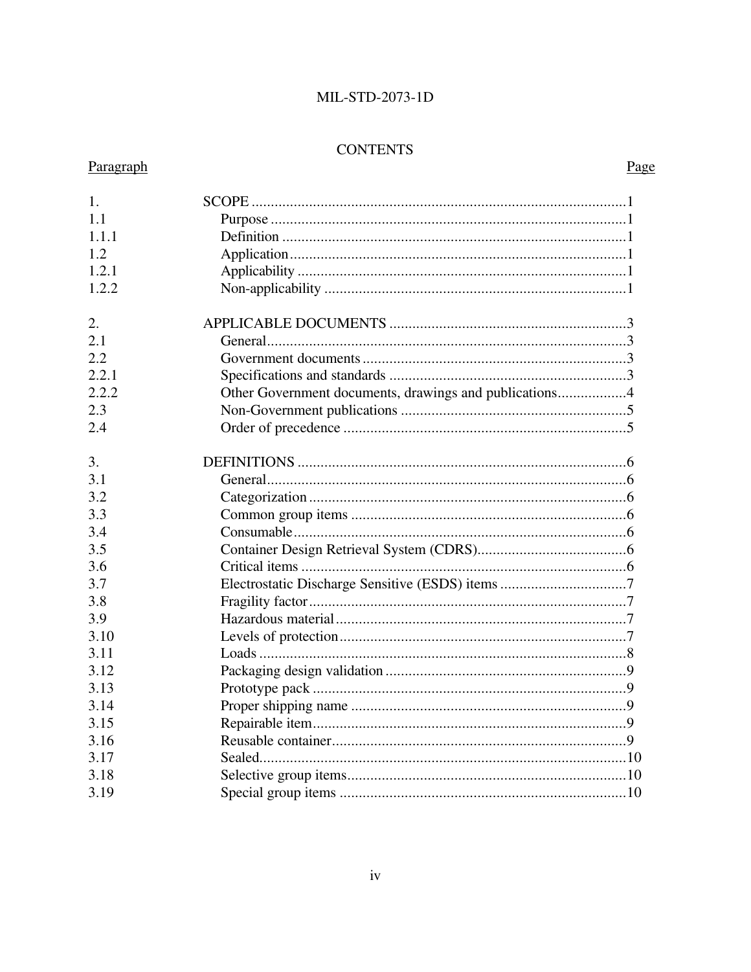## **CONTENTS**

## Paragraph

## Page

| 1.    |                                                        |  |
|-------|--------------------------------------------------------|--|
| 1.1   |                                                        |  |
| 1.1.1 |                                                        |  |
| 1.2   |                                                        |  |
| 1.2.1 |                                                        |  |
| 1.2.2 |                                                        |  |
|       |                                                        |  |
| 2.    |                                                        |  |
| 2.1   |                                                        |  |
| 2.2   |                                                        |  |
| 2.2.1 |                                                        |  |
| 2.2.2 | Other Government documents, drawings and publications4 |  |
| 2.3   |                                                        |  |
| 2.4   |                                                        |  |
|       |                                                        |  |
| 3.    |                                                        |  |
| 3.1   |                                                        |  |
| 3.2   |                                                        |  |
| 3.3   |                                                        |  |
| 3.4   |                                                        |  |
| 3.5   |                                                        |  |
| 3.6   |                                                        |  |
| 3.7   |                                                        |  |
| 3.8   |                                                        |  |
| 3.9   |                                                        |  |
| 3.10  |                                                        |  |
| 3.11  |                                                        |  |
| 3.12  |                                                        |  |
| 3.13  |                                                        |  |
| 3.14  |                                                        |  |
| 3.15  |                                                        |  |
| 3.16  |                                                        |  |
| 3.17  |                                                        |  |
| 3.18  |                                                        |  |
| 3.19  |                                                        |  |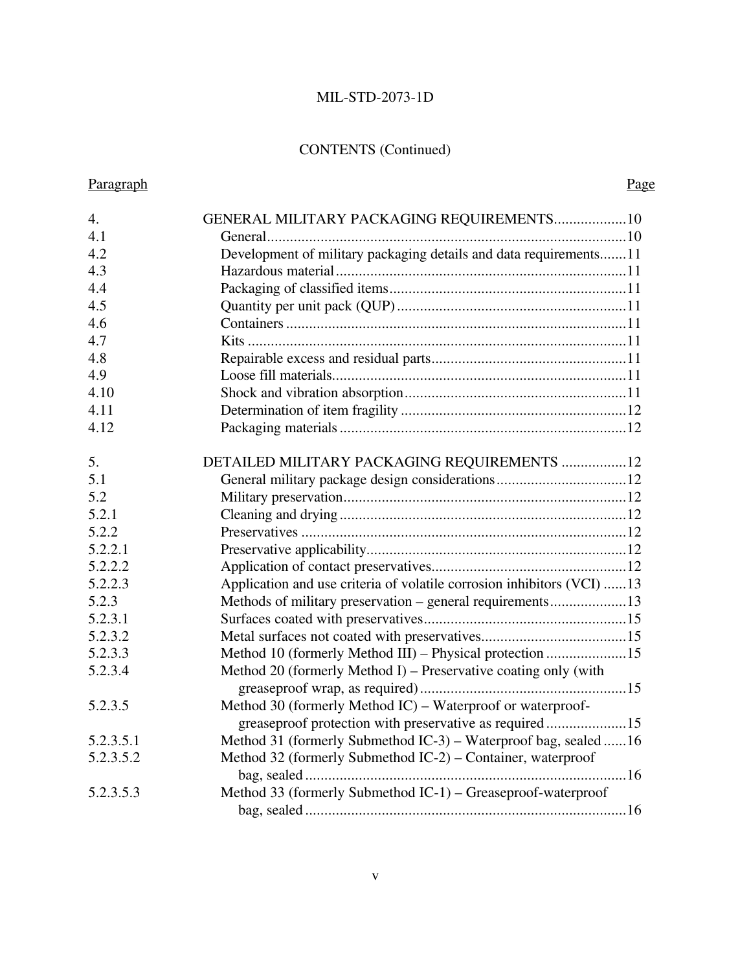## CONTENTS (Continued)

## Paragraph Paragraph Page

| $\overline{4}$ . | GENERAL MILITARY PACKAGING REQUIREMENTS10                              |  |
|------------------|------------------------------------------------------------------------|--|
| 4.1              |                                                                        |  |
| 4.2              | Development of military packaging details and data requirements11      |  |
| 4.3              |                                                                        |  |
| 4.4              |                                                                        |  |
| 4.5              |                                                                        |  |
| 4.6              |                                                                        |  |
| 4.7              |                                                                        |  |
| 4.8              |                                                                        |  |
| 4.9              |                                                                        |  |
| 4.10             |                                                                        |  |
| 4.11             |                                                                        |  |
| 4.12             |                                                                        |  |
|                  |                                                                        |  |
| 5.               | DETAILED MILITARY PACKAGING REQUIREMENTS 12                            |  |
| 5.1              |                                                                        |  |
| 5.2              |                                                                        |  |
| 5.2.1            |                                                                        |  |
| 5.2.2            |                                                                        |  |
| 5.2.2.1          |                                                                        |  |
| 5.2.2.2          |                                                                        |  |
| 5.2.2.3          | Application and use criteria of volatile corrosion inhibitors (VCI) 13 |  |
| 5.2.3            | Methods of military preservation – general requirements13              |  |
| 5.2.3.1          |                                                                        |  |
| 5.2.3.2          |                                                                        |  |
| 5.2.3.3          | Method 10 (formerly Method III) – Physical protection 15               |  |
| 5.2.3.4          | Method 20 (formerly Method I) – Preservative coating only (with        |  |
|                  |                                                                        |  |
| 5.2.3.5          | Method 30 (formerly Method IC) – Waterproof or waterproof-             |  |
|                  | greaseproof protection with preservative as required15                 |  |
| 5.2.3.5.1        | Method 31 (formerly Submethod IC-3) - Waterproof bag, sealed 16        |  |
| 5.2.3.5.2        | Method 32 (formerly Submethod IC-2) – Container, waterproof            |  |
|                  |                                                                        |  |
| 5.2.3.5.3        | Method 33 (formerly Submethod $IC-1$ ) – Greaseproof-waterproof        |  |
|                  |                                                                        |  |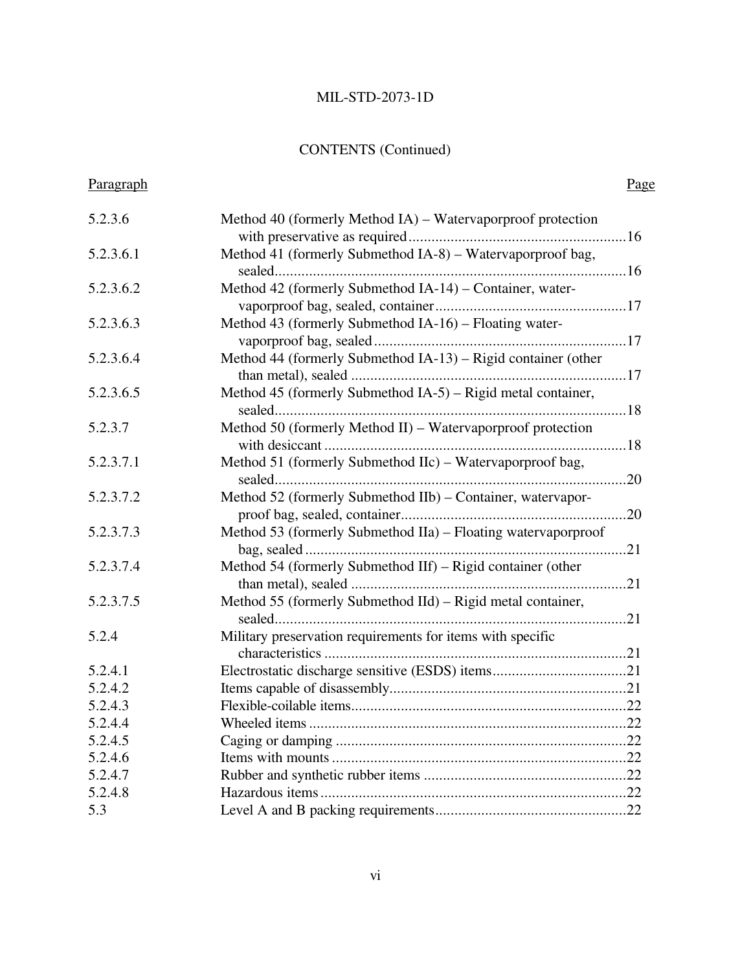## CONTENTS (Continued)

## Paragraph Paragraph Page

| 5.2.3.6   | Method 40 (formerly Method IA) – Watervaporproof protection   |  |
|-----------|---------------------------------------------------------------|--|
| 5.2.3.6.1 | Method 41 (formerly Submethod IA-8) – Watervaporproof bag,    |  |
| 5.2.3.6.2 | Method 42 (formerly Submethod IA-14) – Container, water-      |  |
| 5.2.3.6.3 | Method 43 (formerly Submethod IA-16) - Floating water-        |  |
| 5.2.3.6.4 | Method 44 (formerly Submethod IA-13) - Rigid container (other |  |
| 5.2.3.6.5 | Method 45 (formerly Submethod IA-5) - Rigid metal container,  |  |
| 5.2.3.7   | Method 50 (formerly Method II) – Watervaporproof protection   |  |
| 5.2.3.7.1 | Method 51 (formerly Submethod IIc) - Watervaporproof bag,     |  |
| 5.2.3.7.2 | Method 52 (formerly Submethod IIb) – Container, watervapor-   |  |
| 5.2.3.7.3 | Method 53 (formerly Submethod IIa) – Floating watervaporproof |  |
| 5.2.3.7.4 | Method 54 (formerly Submethod IIf) – Rigid container (other   |  |
| 5.2.3.7.5 | Method 55 (formerly Submethod IId) – Rigid metal container,   |  |
| 5.2.4     | Military preservation requirements for items with specific    |  |
| 5.2.4.1   |                                                               |  |
| 5.2.4.2   |                                                               |  |
| 5.2.4.3   |                                                               |  |
| 5.2.4.4   |                                                               |  |
| 5.2.4.5   |                                                               |  |
| 5.2.4.6   |                                                               |  |
| 5.2.4.7   |                                                               |  |
| 5.2.4.8   |                                                               |  |
| 5.3       |                                                               |  |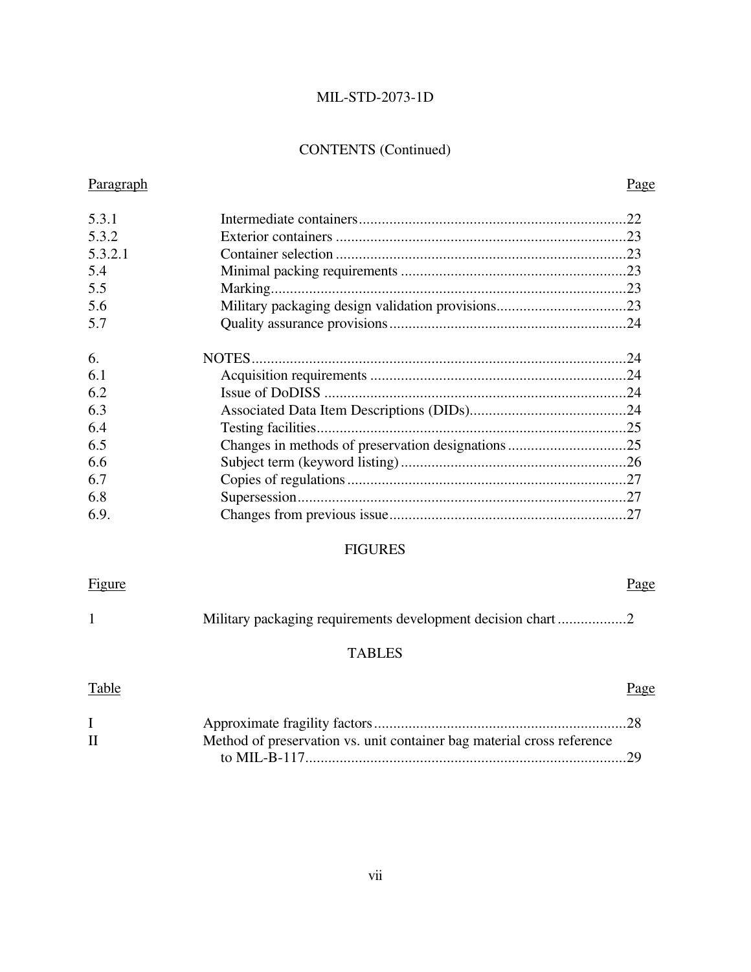## CONTENTS (Continued)

## Paragraph Paragraph Page

| 5.3.1   |  |
|---------|--|
| 5.3.2   |  |
| 5.3.2.1 |  |
| 5.4     |  |
| 5.5     |  |
| 5.6     |  |
| 5.7     |  |
|         |  |
| 6.      |  |
| 6.1     |  |
| 6.2     |  |
| 6.3     |  |
| 6.4     |  |
| 6.5     |  |
| 6.6     |  |
| 6.7     |  |
| 6.8     |  |
| 6.9.    |  |

## FIGURES

| Figure |                              | Page                  |
|--------|------------------------------|-----------------------|
| -1     |                              |                       |
|        | <b>TABLES</b>                |                       |
| Table  |                              | Page                  |
|        | Annovimete fregility feetare | $\mathcal{P}^{\circ}$ |

| Method of preservation vs. unit container bag material cross reference |  |
|------------------------------------------------------------------------|--|
|                                                                        |  |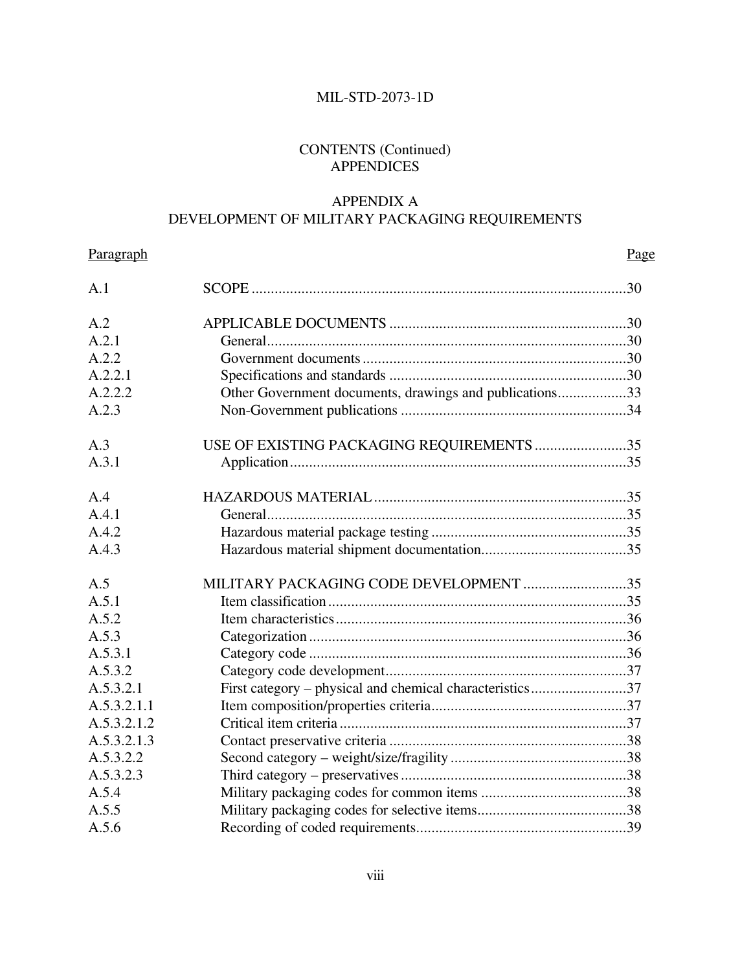## CONTENTS (Continued) APPENDICES

## APPENDIX A DEVELOPMENT OF MILITARY PACKAGING REQUIREMENTS

| Paragraph   |                                                          | Page |
|-------------|----------------------------------------------------------|------|
| A.1         |                                                          |      |
| A.2         |                                                          |      |
| A.2.1       |                                                          |      |
| A.2.2       |                                                          |      |
| A.2.2.1     |                                                          |      |
| A.2.2.2     | Other Government documents, drawings and publications33  |      |
| A.2.3       |                                                          |      |
| A.3         | USE OF EXISTING PACKAGING REQUIREMENTS 35                |      |
| A.3.1       |                                                          |      |
| A.4         |                                                          |      |
| A.4.1       |                                                          |      |
| A.4.2       |                                                          |      |
| A.4.3       |                                                          |      |
| A.5         | MILITARY PACKAGING CODE DEVELOPMENT 35                   |      |
| A.5.1       |                                                          |      |
| A.5.2       |                                                          |      |
| A.5.3       |                                                          |      |
| A.5.3.1     |                                                          |      |
| A.5.3.2     |                                                          |      |
| A.5.3.2.1   | First category - physical and chemical characteristics37 |      |
| A.5.3.2.1.1 |                                                          |      |
| A.5.3.2.1.2 |                                                          |      |
| A.5.3.2.1.3 |                                                          |      |
| A.5.3.2.2   |                                                          |      |
| A.5.3.2.3   |                                                          |      |
| A.5.4       |                                                          |      |
| A.5.5       |                                                          |      |
| A.5.6       |                                                          |      |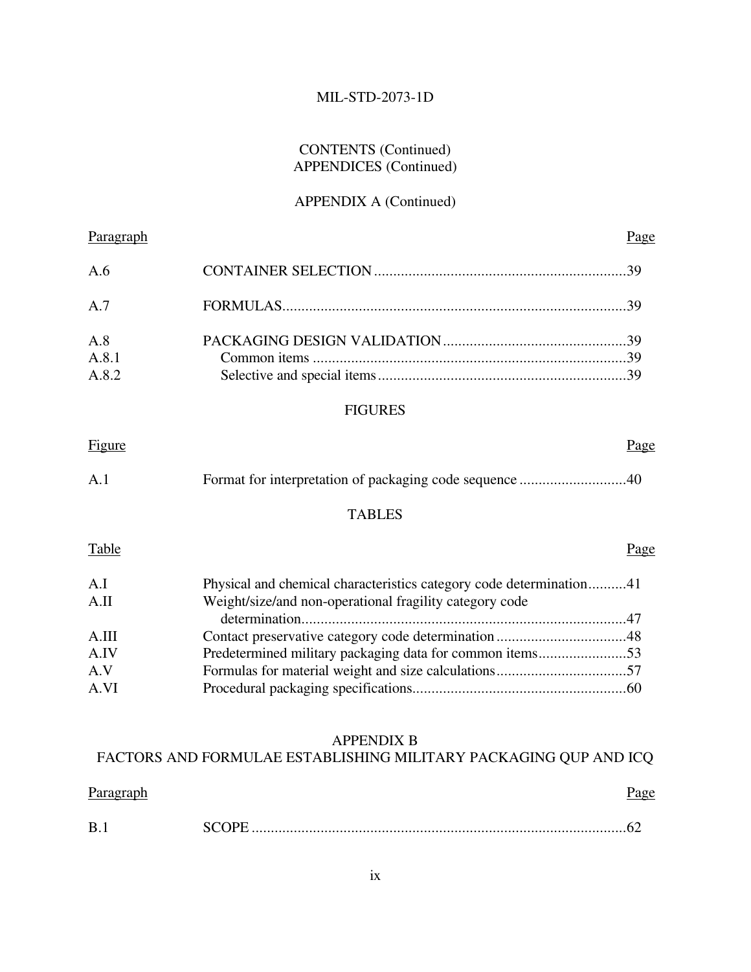## CONTENTS (Continued) APPENDICES (Continued)

## APPENDIX A (Continued)

| Paragraph                    |                                                                                                                                | Page |
|------------------------------|--------------------------------------------------------------------------------------------------------------------------------|------|
| A.6                          |                                                                                                                                |      |
| A.7                          |                                                                                                                                |      |
| A.8<br>A.8.1<br>A.8.2        |                                                                                                                                |      |
|                              | <b>FIGURES</b>                                                                                                                 |      |
| Figure                       |                                                                                                                                | Page |
| A.1                          | Format for interpretation of packaging code sequence 40                                                                        |      |
|                              | <b>TABLES</b>                                                                                                                  |      |
| Table                        |                                                                                                                                | Page |
| A.I<br>A.II                  | Physical and chemical characteristics category code determination41<br>Weight/size/and non-operational fragility category code |      |
| A.III<br>A.IV<br>A.V<br>A.VI | Predetermined military packaging data for common items53                                                                       |      |
|                              |                                                                                                                                |      |

#### APPENDIX B

## FACTORS AND FORMULAE ESTABLISHING MILITARY PACKAGING QUP AND ICQ

| Paragraph    |              |  |
|--------------|--------------|--|
| $\mathbf{R}$ | <b>SCOPE</b> |  |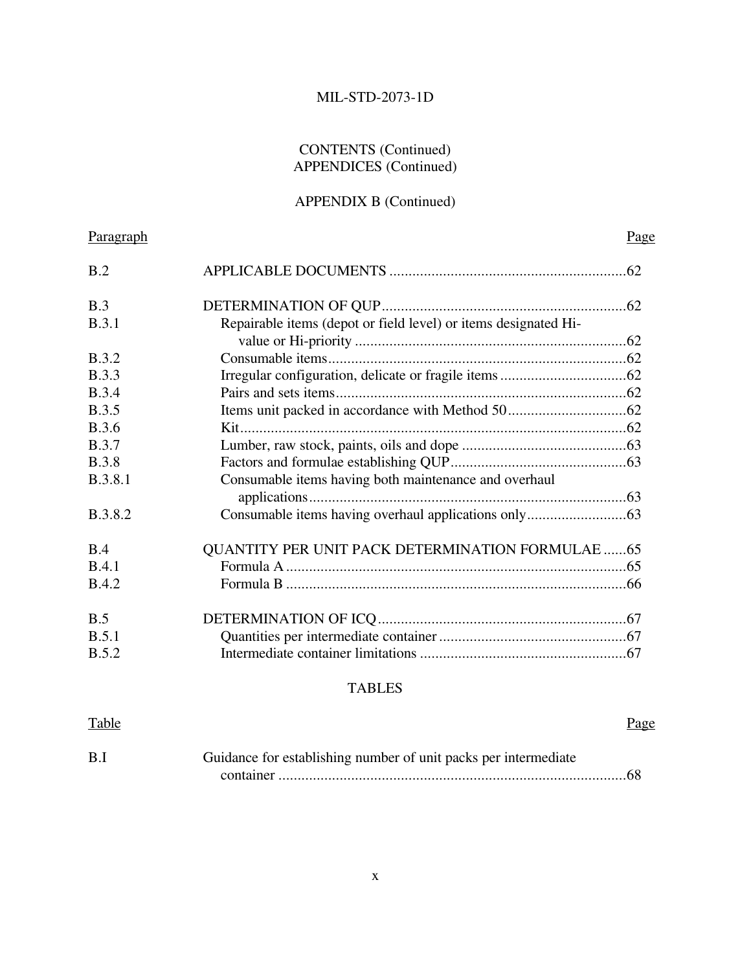### CONTENTS (Continued) APPENDICES (Continued)

#### APPENDIX B (Continued)

### Paragraph Paragraph Page

| B.2          |                                                                 |  |
|--------------|-----------------------------------------------------------------|--|
| B.3          |                                                                 |  |
| <b>B.3.1</b> | Repairable items (depot or field level) or items designated Hi- |  |
|              |                                                                 |  |
| <b>B.3.2</b> |                                                                 |  |
| <b>B.3.3</b> |                                                                 |  |
| <b>B.3.4</b> |                                                                 |  |
| <b>B.3.5</b> |                                                                 |  |
| <b>B.3.6</b> |                                                                 |  |
| <b>B.3.7</b> |                                                                 |  |
| <b>B.3.8</b> |                                                                 |  |
| B.3.8.1      | Consumable items having both maintenance and overhaul           |  |
|              |                                                                 |  |
| B.3.8.2      |                                                                 |  |
| B.4          | <b>QUANTITY PER UNIT PACK DETERMINATION FORMULAE65</b>          |  |
| B.4.1        |                                                                 |  |
| <b>B.4.2</b> |                                                                 |  |
| B.5          |                                                                 |  |
| B.5.1        |                                                                 |  |
| <b>B.5.2</b> |                                                                 |  |
|              |                                                                 |  |

### TABLES

## Table Page B.I Guidance for establishing number of unit packs per intermediate container ...........................................................................................68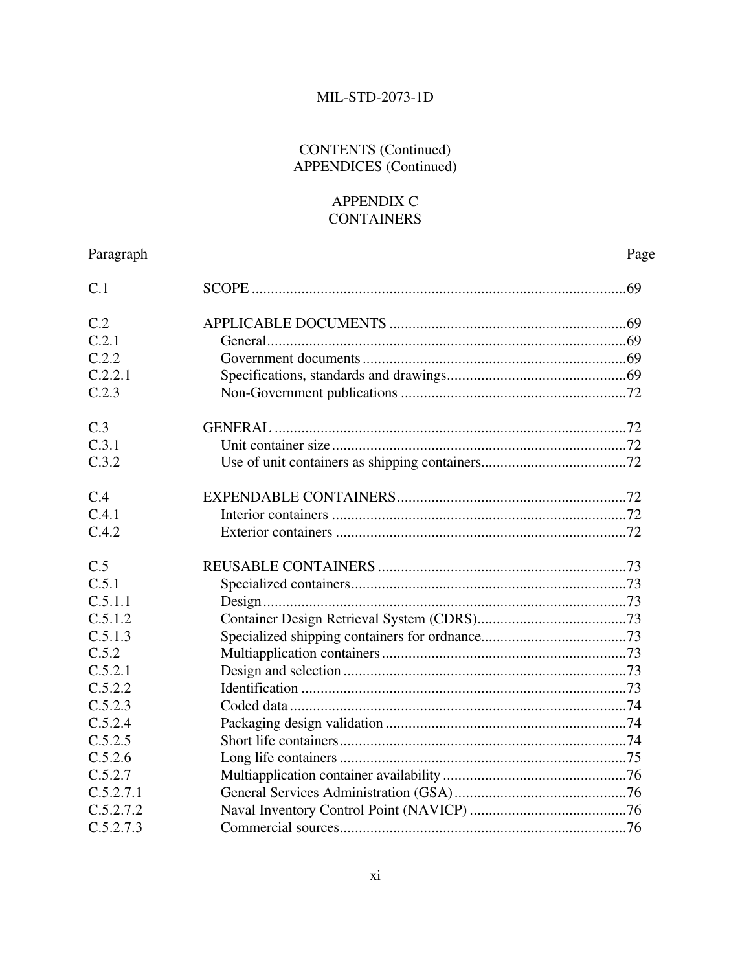#### **CONTENTS** (Continued) **APPENDICES** (Continued)

#### **APPENDIX C CONTAINERS**

#### Paragraph Page  $C.1$  $C.2$  $C.2.1$ General  $69$  $C.2.2$  $C.2.2.1$  $C.2.3$  $C<sub>3</sub>$  $C.3.1$  $C.3.2$  $C_4$  $C.4.1$  $C.4.2$  $C.5$  $C.5.1$  $C.5.1.1$  $C.5.1.2$  $C.5.1.3$  $C.5.2$  $C.5.2.1$  $C.5.2.2$  $C.5.2.3$  $C.5.2.4$  $C.5.2.5$  $C.5.2.6$  $C.5.2.7$  $C.5.2.7.1$  $C.5.2.7.2$  $C.5.2.7.3$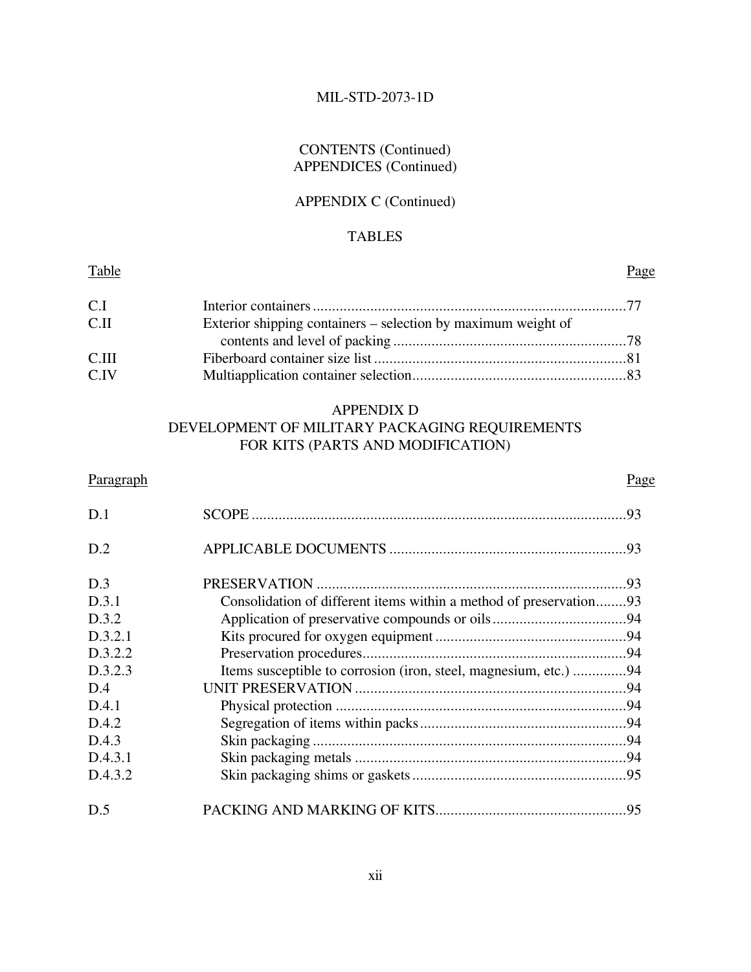#### CONTENTS (Continued) APPENDICES (Continued)

#### APPENDIX C (Continued)

#### TABLES

#### Table Page

| C.I   |                                                               |  |
|-------|---------------------------------------------------------------|--|
| C.II  | Exterior shipping containers – selection by maximum weight of |  |
|       |                                                               |  |
| C.III |                                                               |  |
| C.IV  |                                                               |  |

### APPENDIX D DEVELOPMENT OF MILITARY PACKAGING REQUIREMENTS FOR KITS (PARTS AND MODIFICATION)

## Paragraph **Page** D.1 SCOPE ..................................................................................................93 D.2 APPLICABLE DOCUMENTS ..............................................................93 D.3 PRESERVATION .................................................................................93 D.3.1 Consolidation of different items within a method of preservation........93 D.3.2 Application of preservative compounds or oils...................................94 D.3.2.1 Kits procured for oxygen equipment ..................................................94 D.3.2.2 Preservation procedures.....................................................................94 D.3.2.3 Items susceptible to corrosion (iron, steel, magnesium, etc.) ..............94 D.4 UNIT PRESERVATION .......................................................................94 D.4.1 Physical protection ............................................................................94 D.4.2 Segregation of items within packs......................................................94 D.4.3 Skin packaging ..................................................................................94 D.4.3.1 Skin packaging metals .......................................................................94 D.4.3.2 Skin packaging shims or gaskets........................................................95 D.5 PACKING AND MARKING OF KITS..................................................95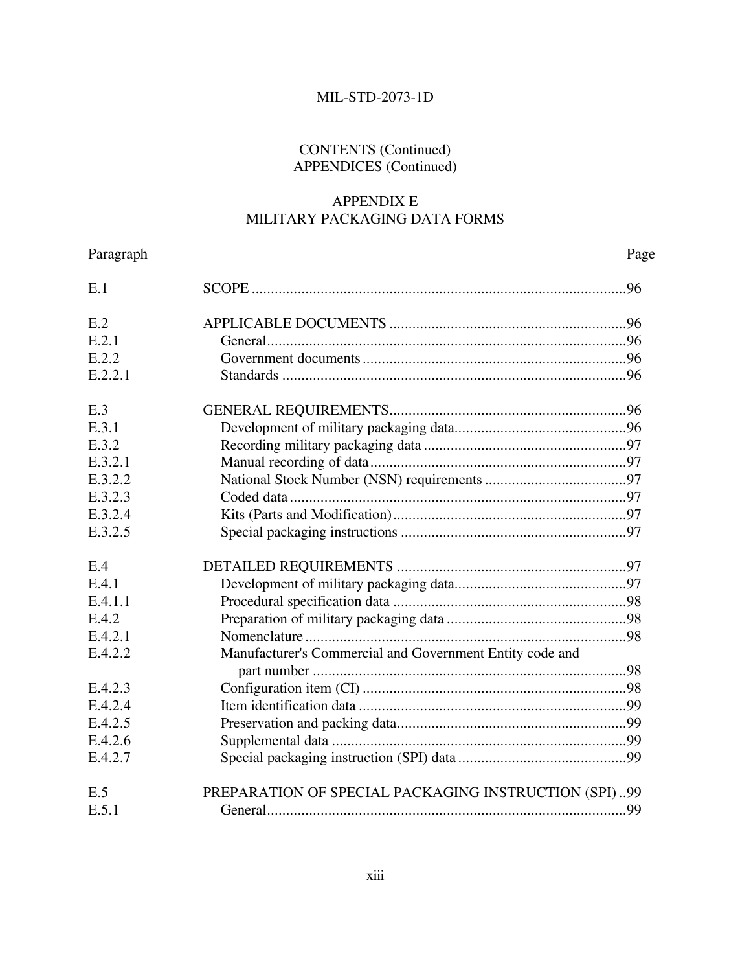## CONTENTS (Continued) APPENDICES (Continued)

## APPENDIX E MILITARY PACKAGING DATA FORMS

## Paragraph Paragraph Page

| E.1     |                                                          |  |
|---------|----------------------------------------------------------|--|
| E.2     |                                                          |  |
| E.2.1   |                                                          |  |
| E.2.2   |                                                          |  |
| E.2.2.1 |                                                          |  |
| E.3     |                                                          |  |
| E.3.1   |                                                          |  |
| E.3.2   |                                                          |  |
| E.3.2.1 |                                                          |  |
| E.3.2.2 |                                                          |  |
| E.3.2.3 |                                                          |  |
| E.3.2.4 |                                                          |  |
| E.3.2.5 |                                                          |  |
| E.4     |                                                          |  |
| E.4.1   |                                                          |  |
| E.4.1.1 |                                                          |  |
| E.4.2   |                                                          |  |
| E.4.2.1 |                                                          |  |
| E.4.2.2 | Manufacturer's Commercial and Government Entity code and |  |
| E.4.2.3 |                                                          |  |
|         |                                                          |  |
| E.4.2.4 |                                                          |  |
| E.4.2.5 |                                                          |  |
| E.4.2.6 |                                                          |  |
| E.4.2.7 |                                                          |  |
| E.5     | PREPARATION OF SPECIAL PACKAGING INSTRUCTION (SPI)99     |  |
| E.5.1   |                                                          |  |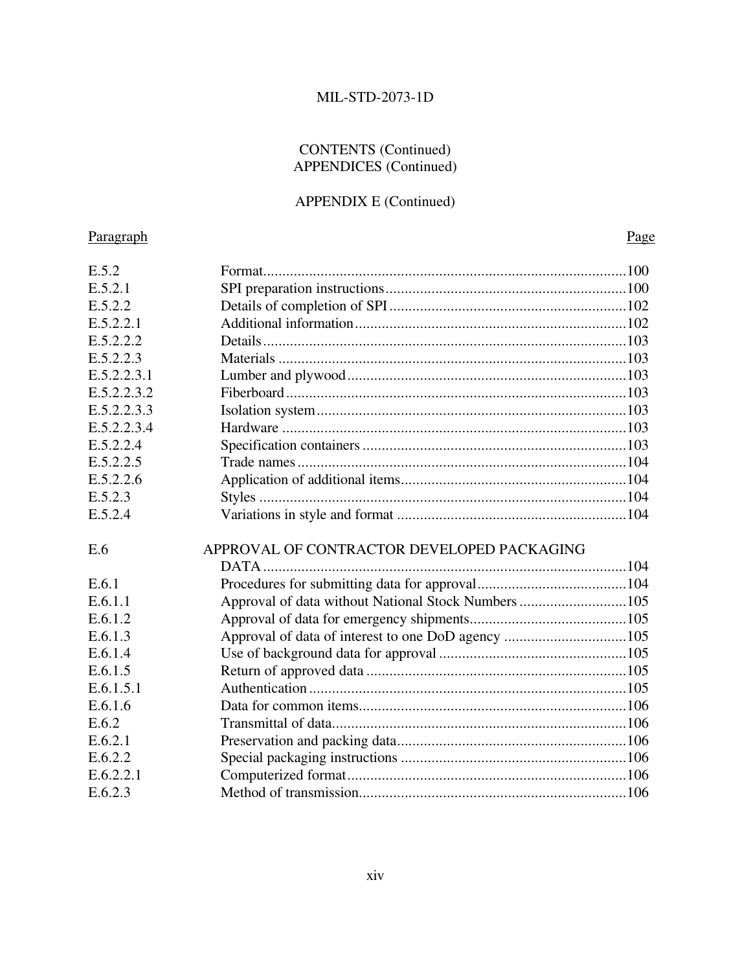## CONTENTS (Continued) APPENDICES (Continued)

## APPENDIX E (Continued)

## Paragraph Paragraph Page

| E.5.2       |                                                     |  |
|-------------|-----------------------------------------------------|--|
| E.5.2.1     |                                                     |  |
| E.5.2.2     |                                                     |  |
| E.5.2.2.1   |                                                     |  |
| E.5.2.2.2   |                                                     |  |
| E.5.2.2.3   |                                                     |  |
| E.5.2.2.3.1 |                                                     |  |
| E.5.2.2.3.2 |                                                     |  |
| E.5.2.2.3.3 |                                                     |  |
| E.5.2.2.3.4 |                                                     |  |
| E.5.2.2.4   |                                                     |  |
| E.5.2.2.5   |                                                     |  |
| E.5.2.2.6   |                                                     |  |
| E.5.2.3     |                                                     |  |
| E.5.2.4     |                                                     |  |
| E.6         | APPROVAL OF CONTRACTOR DEVELOPED PACKAGING          |  |
|             | DATA.                                               |  |
| E.6.1       |                                                     |  |
| E.6.1.1     | Approval of data without National Stock Numbers 105 |  |
| E.6.1.2     |                                                     |  |
| E.6.1.3     |                                                     |  |
| E.6.1.4     |                                                     |  |
| E.6.1.5     |                                                     |  |
| E.6.1.5.1   |                                                     |  |
| E.6.1.6     |                                                     |  |
| E.6.2       |                                                     |  |
|             |                                                     |  |
| E.6.2.1     |                                                     |  |
| E.6.2.2     |                                                     |  |
| E.6.2.2.1   |                                                     |  |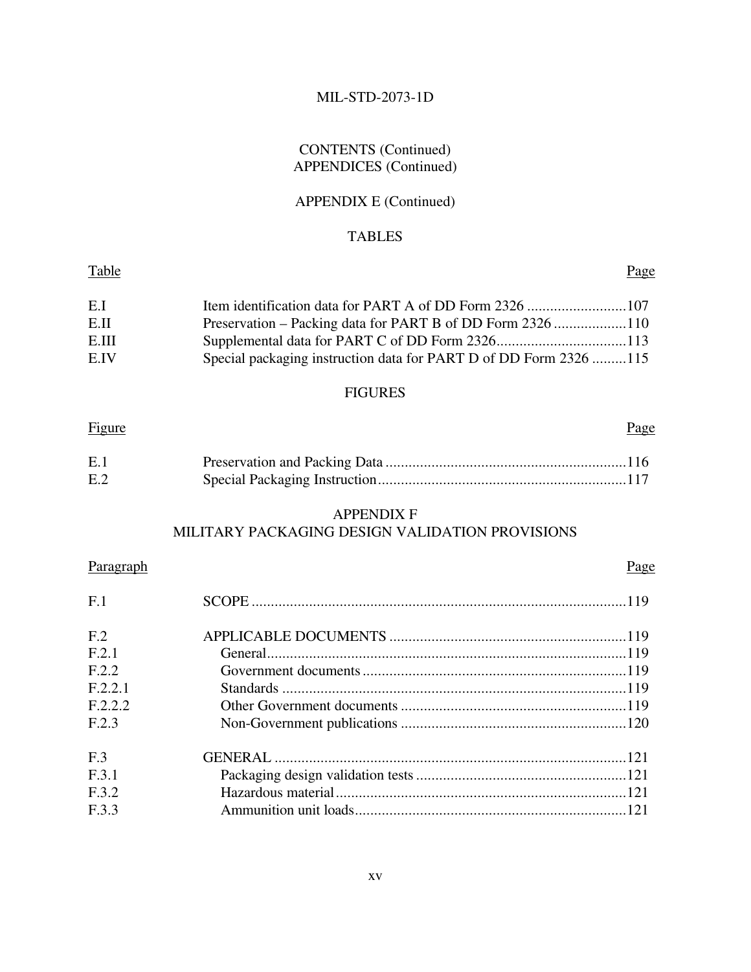### CONTENTS (Continued) APPENDICES (Continued)

#### APPENDIX E (Continued)

#### TABLES

#### Table Page

| E.I   |                                                                   |  |
|-------|-------------------------------------------------------------------|--|
| E.II  |                                                                   |  |
| E.III |                                                                   |  |
| E.IV  | Special packaging instruction data for PART D of DD Form 2326 115 |  |

#### **FIGURES**

## Figure Page E.1 Preservation and Packing Data ...............................................................116 E.2 Special Packaging Instruction.................................................................117

#### APPENDIX F

#### MILITARY PACKAGING DESIGN VALIDATION PROVISIONS

#### Paragraph Page

| F <sub>.1</sub> |  |
|-----------------|--|
| F <sub>.2</sub> |  |
| F.2.1           |  |
| F.2.2           |  |
| F221            |  |
| F222            |  |
| F23             |  |
| F.3             |  |
| F.3.1           |  |
| F.3.2           |  |
| F.3.3           |  |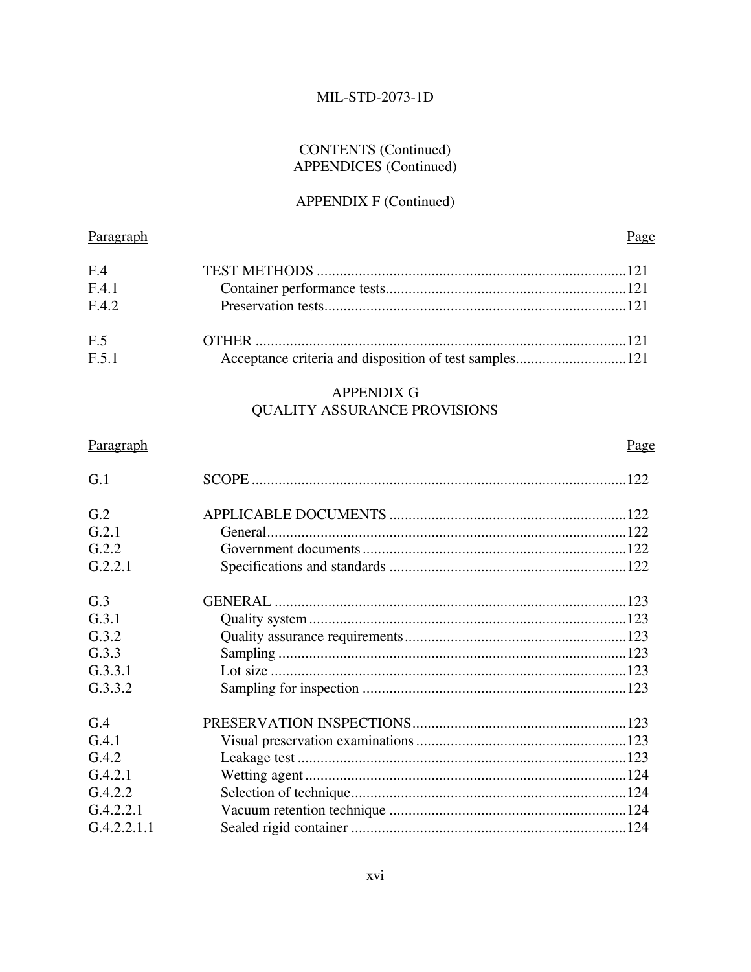## **CONTENTS** (Continued) **APPENDICES** (Continued)

## **APPENDIX F (Continued)**

## Paragraph

## Page

| F.4   |  |
|-------|--|
| F.4.1 |  |
| F.4.2 |  |
| F.5   |  |
| F.5.1 |  |

## **APPENDIX G** QUALITY ASSURANCE PROVISIONS

## Paragraph

## Page

| G.1         |  |
|-------------|--|
| G.2         |  |
| G.2.1       |  |
| G.2.2       |  |
| G.2.2.1     |  |
| G.3         |  |
| G.3.1       |  |
| G.3.2       |  |
| G.3.3       |  |
| G.3.3.1     |  |
| G.3.3.2     |  |
| G.4         |  |
| G.4.1       |  |
| G.4.2       |  |
| G.4.2.1     |  |
| G.4.2.2     |  |
| G.4.2.2.1   |  |
| G.4.2.2.1.1 |  |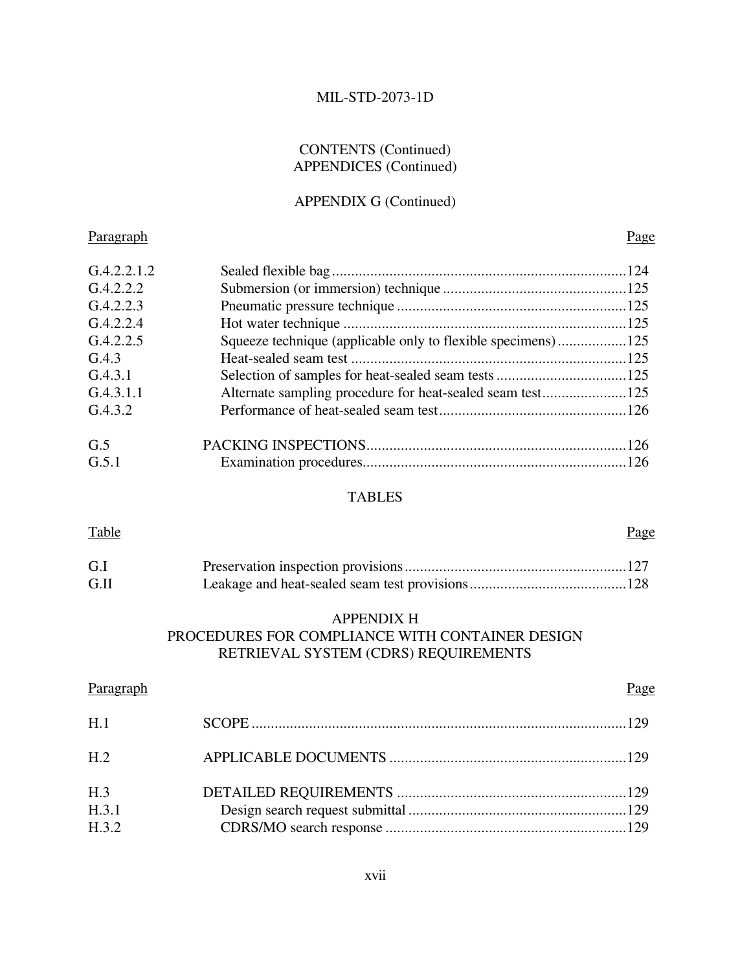## CONTENTS (Continued) APPENDICES (Continued)

## APPENDIX G (Continued)

### Paragraph Paragraph Page

| G.4.2.2.2<br>G.4.2.2.3<br>G.4.2.2.4<br>G.4.2.2.5<br>G.4.3<br>G.4.3.1<br>G.4.3.1.1<br>G.4.3.2<br>G.5<br>G.5.1 | G.4.2.2.1.2 |  |
|--------------------------------------------------------------------------------------------------------------|-------------|--|
|                                                                                                              |             |  |
|                                                                                                              |             |  |
|                                                                                                              |             |  |
|                                                                                                              |             |  |
|                                                                                                              |             |  |
|                                                                                                              |             |  |
|                                                                                                              |             |  |
|                                                                                                              |             |  |
|                                                                                                              |             |  |
|                                                                                                              |             |  |

#### TABLES

| <b>Table</b> | <u>Page</u> |
|--------------|-------------|
| G.I          |             |
| G.II         |             |

## APPENDIX H

## PROCEDURES FOR COMPLIANCE WITH CONTAINER DESIGN RETRIEVAL SYSTEM (CDRS) REQUIREMENTS

| Paragraph | Page |
|-----------|------|
| H.1       |      |
| H.2       |      |
| H.3       |      |
| H.3.1     |      |
| H.3.2     |      |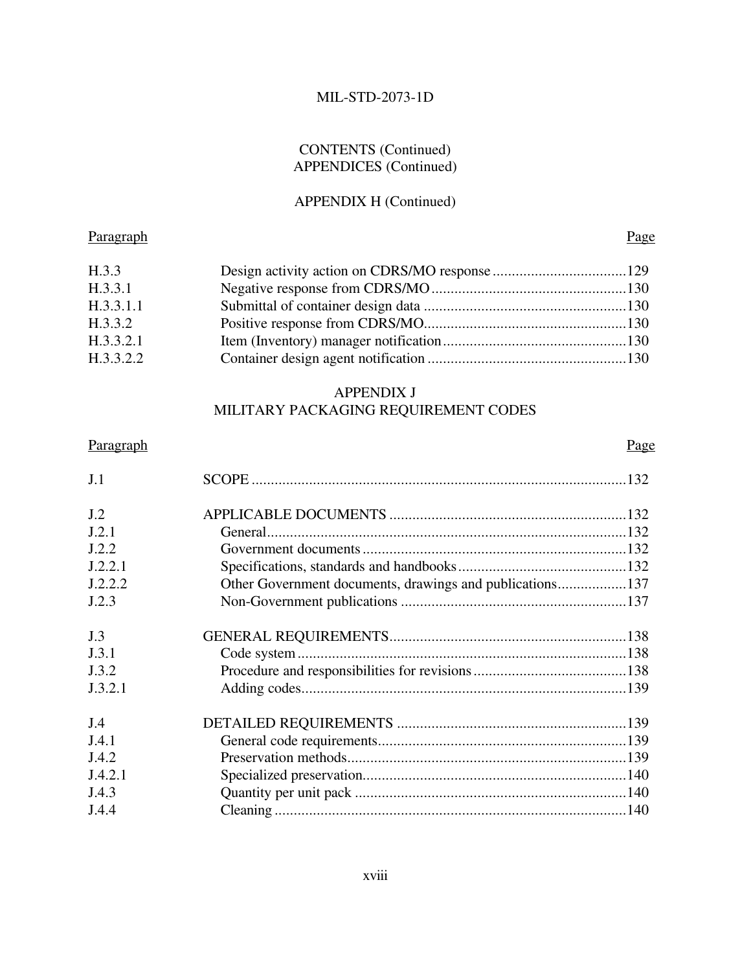## CONTENTS (Continued) APPENDICES (Continued)

## APPENDIX H (Continued)

## Paragraph Paragraph Page

#### APPENDIX J

### MILITARY PACKAGING REQUIREMENT CODES

## Paragraph Paragraph Page

| Other Government documents, drawings and publications137 |
|----------------------------------------------------------|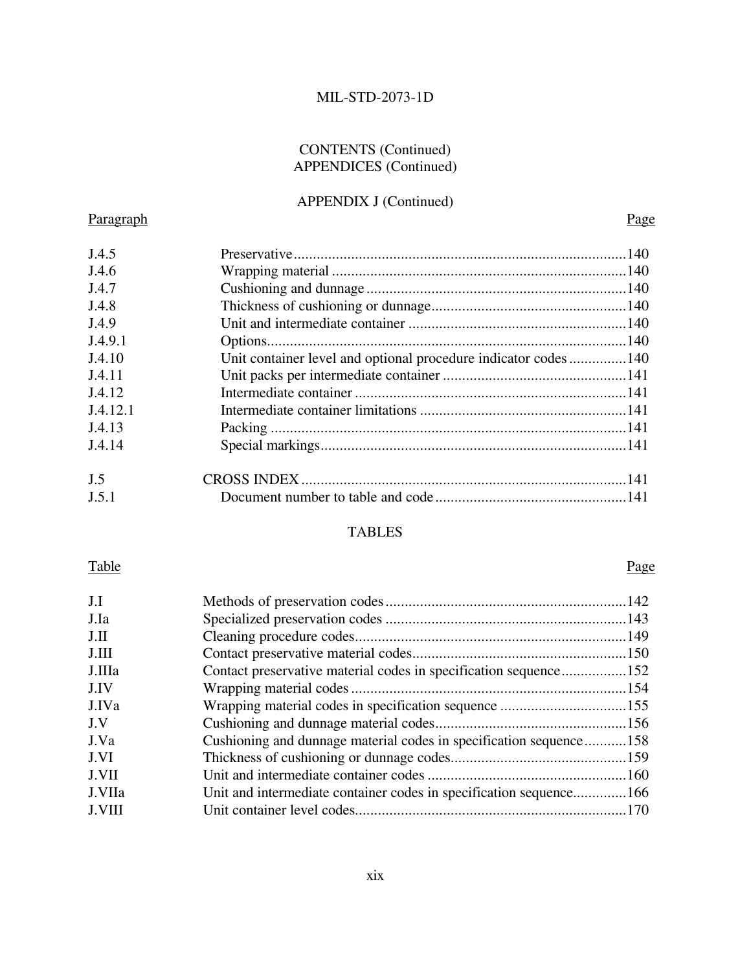## CONTENTS (Continued) APPENDICES (Continued)

## APPENDIX J (Continued)

## Paragraph Paragraph Page

| J.4.5    |                                                                |  |
|----------|----------------------------------------------------------------|--|
| J.4.6    |                                                                |  |
| J.4.7    |                                                                |  |
| J.4.8    |                                                                |  |
| J.4.9    |                                                                |  |
| J.4.9.1  |                                                                |  |
| J.4.10   | Unit container level and optional procedure indicator codes140 |  |
| J.4.11   |                                                                |  |
| J.4.12   |                                                                |  |
| J.4.12.1 |                                                                |  |
| J.4.13   |                                                                |  |
| J.4.14   |                                                                |  |
| J.5      |                                                                |  |
| J.5.1    |                                                                |  |

## TABLES

#### Table Page

| J.I           |                                                                    |  |
|---------------|--------------------------------------------------------------------|--|
| J.Ia          |                                                                    |  |
| J.II          |                                                                    |  |
| J.III         |                                                                    |  |
| J.IIIa        | Contact preservative material codes in specification sequence152   |  |
| J.IV          |                                                                    |  |
| J.IVa         |                                                                    |  |
| J.V           |                                                                    |  |
| J.Va          | Cushioning and dunnage material codes in specification sequence158 |  |
| J.VI          |                                                                    |  |
| J.VII         |                                                                    |  |
| J.VIIa        | Unit and intermediate container codes in specification sequence166 |  |
| <b>J.VIII</b> |                                                                    |  |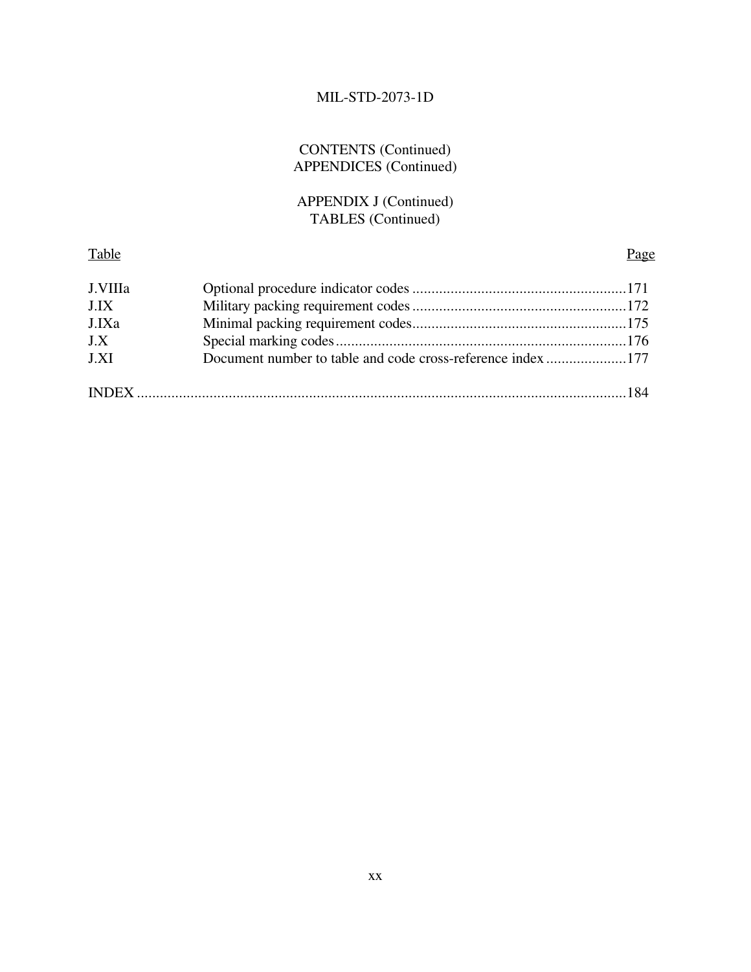## CONTENTS (Continued) APPENDICES (Continued)

## APPENDIX J (Continued) TABLES (Continued)

#### Table Page

| J.VIIIa |  |
|---------|--|
| J.IX    |  |
| J.IXa   |  |
| J.X     |  |
| J.XI    |  |
|         |  |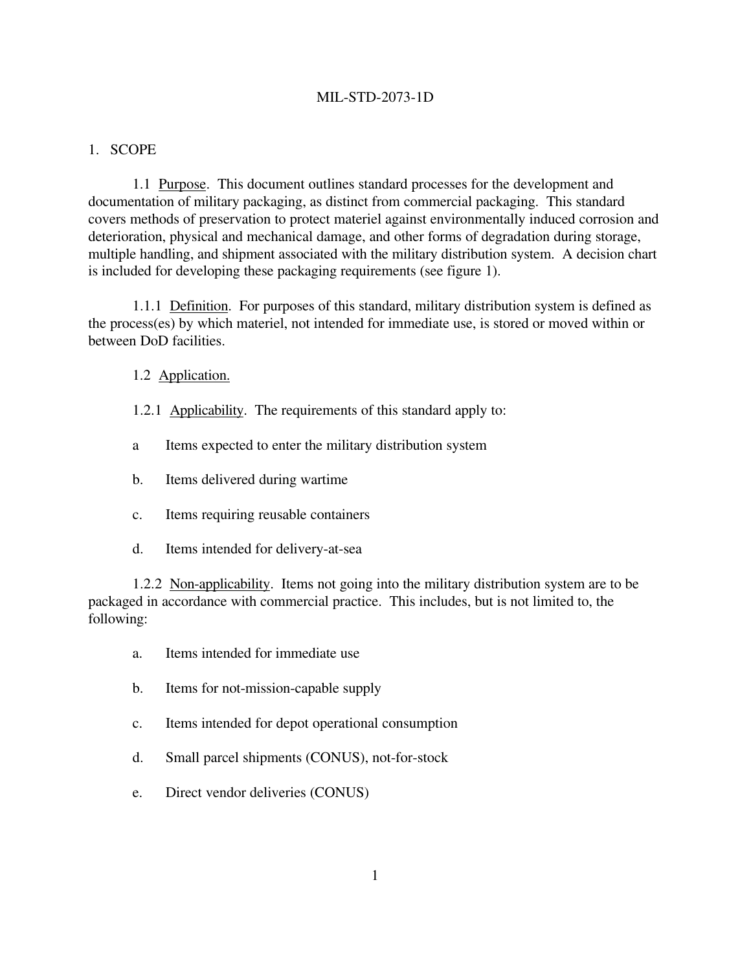#### 1. SCOPE

1.1 Purpose. This document outlines standard processes for the development and documentation of military packaging, as distinct from commercial packaging. This standard covers methods of preservation to protect materiel against environmentally induced corrosion and deterioration, physical and mechanical damage, and other forms of degradation during storage, multiple handling, and shipment associated with the military distribution system. A decision chart is included for developing these packaging requirements (see figure 1).

1.1.1 Definition. For purposes of this standard, military distribution system is defined as the process(es) by which materiel, not intended for immediate use, is stored or moved within or between DoD facilities.

#### 1.2 Application.

- 1.2.1 Applicability. The requirements of this standard apply to:
- a Items expected to enter the military distribution system
- b. Items delivered during wartime
- c. Items requiring reusable containers
- d. Items intended for delivery-at-sea

1.2.2 Non-applicability. Items not going into the military distribution system are to be packaged in accordance with commercial practice. This includes, but is not limited to, the following:

- a. Items intended for immediate use
- b. Items for not-mission-capable supply
- c. Items intended for depot operational consumption
- d. Small parcel shipments (CONUS), not-for-stock
- e. Direct vendor deliveries (CONUS)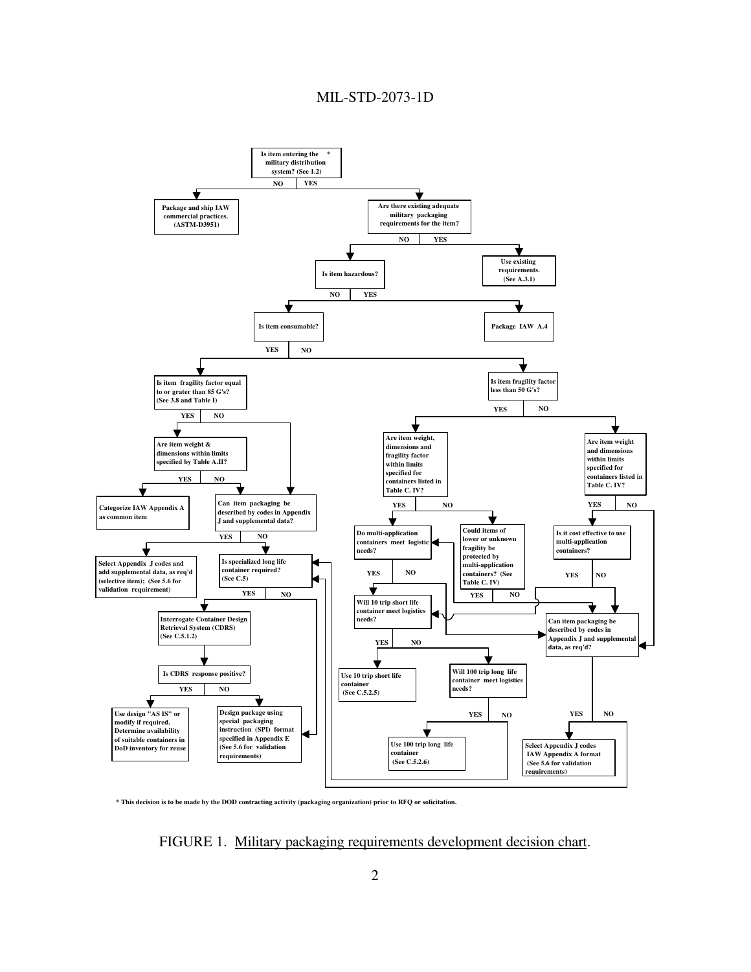

**\* This decision is to be made by the DOD contracting activity (packaging organization) prior to RFQ or solicitation.**

FIGURE 1. Military packaging requirements development decision chart.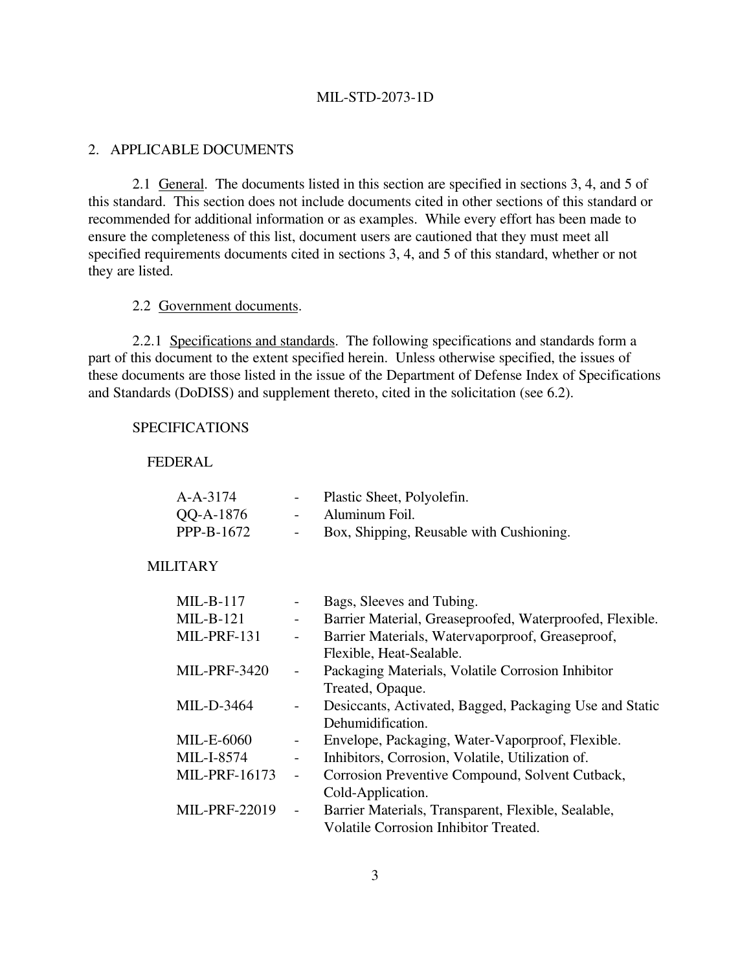#### 2. APPLICABLE DOCUMENTS

2.1 General. The documents listed in this section are specified in sections 3, 4, and 5 of this standard. This section does not include documents cited in other sections of this standard or recommended for additional information or as examples. While every effort has been made to ensure the completeness of this list, document users are cautioned that they must meet all specified requirements documents cited in sections 3, 4, and 5 of this standard, whether or not they are listed.

#### 2.2 Government documents.

2.2.1 Specifications and standards. The following specifications and standards form a part of this document to the extent specified herein. Unless otherwise specified, the issues of these documents are those listed in the issue of the Department of Defense Index of Specifications and Standards (DoDISS) and supplement thereto, cited in the solicitation (see 6.2).

#### **SPECIFICATIONS**

FEDERAL

| $A-A-3174$<br>QQ-A-1876<br>PPP-B-1672 | $\overline{\phantom{a}}$ | Plastic Sheet, Polyolefin.<br>Aluminum Foil.<br>Box, Shipping, Reusable with Cushioning.            |
|---------------------------------------|--------------------------|-----------------------------------------------------------------------------------------------------|
| <b>MILITARY</b>                       |                          |                                                                                                     |
| $MIL-B-117$                           |                          | Bags, Sleeves and Tubing.                                                                           |
| $MIL-B-121$                           |                          | Barrier Material, Greaseproofed, Waterproofed, Flexible.                                            |
| MIL-PRF-131                           | $\overline{\phantom{a}}$ | Barrier Materials, Watervaporproof, Greaseproof,<br>Flexible, Heat-Sealable.                        |
| <b>MIL-PRF-3420</b>                   |                          | Packaging Materials, Volatile Corrosion Inhibitor<br>Treated, Opaque.                               |
| MIL-D-3464                            | $\overline{\phantom{a}}$ | Desiccants, Activated, Bagged, Packaging Use and Static<br>Dehumidification.                        |
| MIL-E-6060                            |                          | Envelope, Packaging, Water-Vaporproof, Flexible.                                                    |
| MIL-I-8574                            |                          | Inhibitors, Corrosion, Volatile, Utilization of.                                                    |
| MIL-PRF-16173                         | $\overline{\phantom{a}}$ | Corrosion Preventive Compound, Solvent Cutback,<br>Cold-Application.                                |
| <b>MIL-PRF-22019</b>                  | $\overline{\phantom{a}}$ | Barrier Materials, Transparent, Flexible, Sealable,<br><b>Volatile Corrosion Inhibitor Treated.</b> |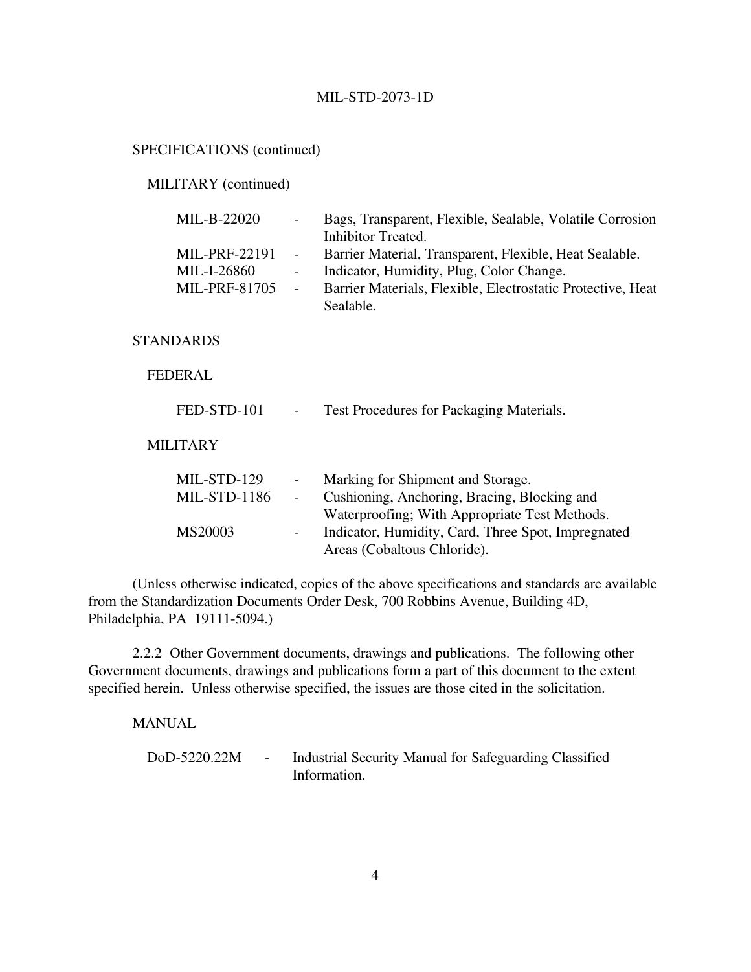#### SPECIFICATIONS (continued)

#### MILITARY (continued)

| MIL-B-22020<br><b>MIL-PRF-22191</b><br>MIL-I-26860<br>MIL-PRF-81705 | $\overline{\phantom{a}}$<br>$\overline{\phantom{a}}$<br>$\overline{\phantom{a}}$ | Bags, Transparent, Flexible, Sealable, Volatile Corrosion<br>Inhibitor Treated.<br>Barrier Material, Transparent, Flexible, Heat Sealable.<br>Indicator, Humidity, Plug, Color Change.<br>Barrier Materials, Flexible, Electrostatic Protective, Heat<br>Sealable. |
|---------------------------------------------------------------------|----------------------------------------------------------------------------------|--------------------------------------------------------------------------------------------------------------------------------------------------------------------------------------------------------------------------------------------------------------------|
| <b>STANDARDS</b>                                                    |                                                                                  |                                                                                                                                                                                                                                                                    |
| <b>FEDERAL</b>                                                      |                                                                                  |                                                                                                                                                                                                                                                                    |
| FED-STD-101                                                         | $\overline{\phantom{a}}$                                                         | Test Procedures for Packaging Materials.                                                                                                                                                                                                                           |
| <b>MILITARY</b>                                                     |                                                                                  |                                                                                                                                                                                                                                                                    |
| MIL-STD-129<br><b>MIL-STD-1186</b>                                  | $\overline{\phantom{a}}$<br>$\qquad \qquad -$                                    | Marking for Shipment and Storage.<br>Cushioning, Anchoring, Bracing, Blocking and<br>Waterproofing; With Appropriate Test Methods.                                                                                                                                 |
| MS20003                                                             | $\qquad \qquad -$                                                                | Indicator, Humidity, Card, Three Spot, Impregnated<br>Areas (Cobaltous Chloride).                                                                                                                                                                                  |

(Unless otherwise indicated, copies of the above specifications and standards are available from the Standardization Documents Order Desk, 700 Robbins Avenue, Building 4D, Philadelphia, PA 19111-5094.)

2.2.2 Other Government documents, drawings and publications. The following other Government documents, drawings and publications form a part of this document to the extent specified herein. Unless otherwise specified, the issues are those cited in the solicitation.

MANUAL

DoD-5220.22M - Industrial Security Manual for Safeguarding Classified Information.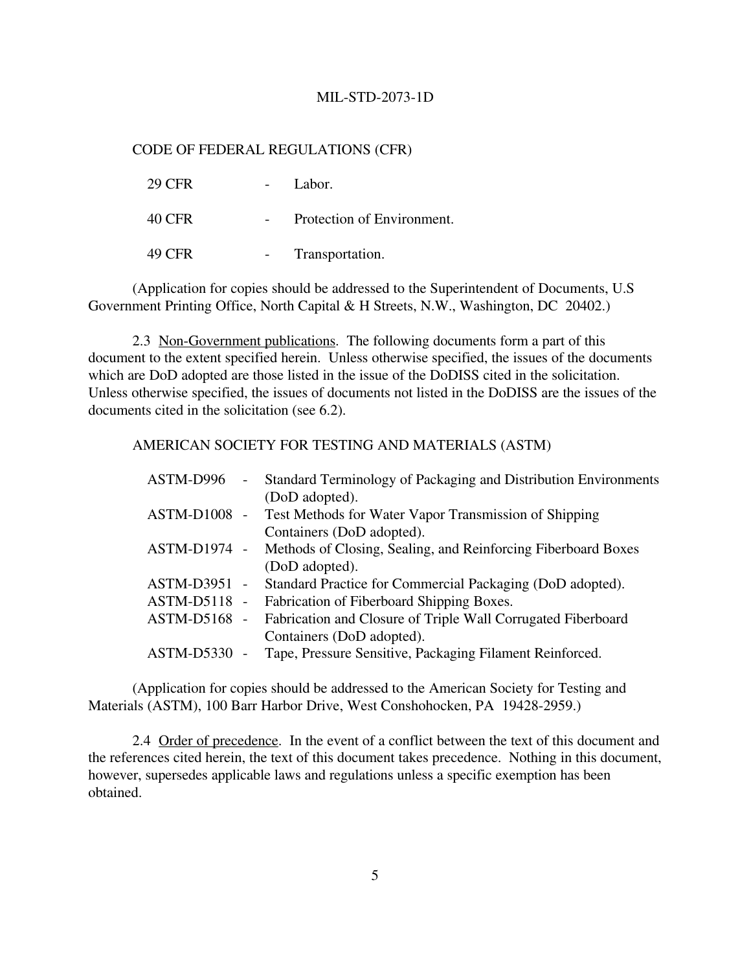#### CODE OF FEDERAL REGULATIONS (CFR)

| 29 CFR        | Labor.                     |
|---------------|----------------------------|
| <b>40 CFR</b> | Protection of Environment. |
| 49 CFR        | Transportation.            |

(Application for copies should be addressed to the Superintendent of Documents, U.S Government Printing Office, North Capital & H Streets, N.W., Washington, DC 20402.)

2.3 Non-Government publications. The following documents form a part of this document to the extent specified herein. Unless otherwise specified, the issues of the documents which are DoD adopted are those listed in the issue of the DoDISS cited in the solicitation. Unless otherwise specified, the issues of documents not listed in the DoDISS are the issues of the documents cited in the solicitation (see 6.2).

#### AMERICAN SOCIETY FOR TESTING AND MATERIALS (ASTM)

| ASTM-D996         | $\overline{\phantom{a}}$ | Standard Terminology of Packaging and Distribution Environments |
|-------------------|--------------------------|-----------------------------------------------------------------|
|                   |                          | (DoD adopted).                                                  |
| $ASTM-D1008 -$    |                          | Test Methods for Water Vapor Transmission of Shipping           |
|                   |                          | Containers (DoD adopted).                                       |
| ASTM-D1974 -      |                          | Methods of Closing, Sealing, and Reinforcing Fiberboard Boxes   |
|                   |                          | (DoD adopted).                                                  |
| <b>ASTM-D3951</b> | $\overline{a}$           | Standard Practice for Commercial Packaging (DoD adopted).       |
| $ASTM-D5118$      | $\overline{\phantom{a}}$ | Fabrication of Fiberboard Shipping Boxes.                       |
| $ASTM-D5168$      | $\overline{\phantom{a}}$ | Fabrication and Closure of Triple Wall Corrugated Fiberboard    |
|                   |                          | Containers (DoD adopted).                                       |
| ASTM-D5330        | $\overline{a}$           | Tape, Pressure Sensitive, Packaging Filament Reinforced.        |

(Application for copies should be addressed to the American Society for Testing and Materials (ASTM), 100 Barr Harbor Drive, West Conshohocken, PA 19428-2959.)

2.4 Order of precedence. In the event of a conflict between the text of this document and the references cited herein, the text of this document takes precedence. Nothing in this document, however, supersedes applicable laws and regulations unless a specific exemption has been obtained.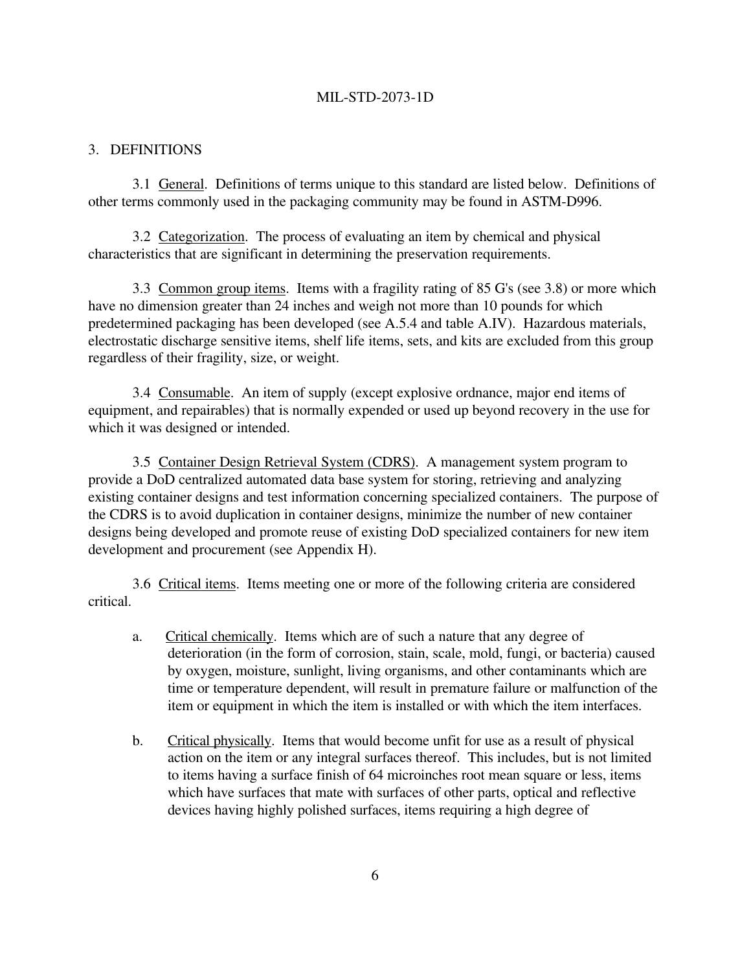#### 3. DEFINITIONS

3.1 General. Definitions of terms unique to this standard are listed below. Definitions of other terms commonly used in the packaging community may be found in ASTM-D996.

3.2 Categorization. The process of evaluating an item by chemical and physical characteristics that are significant in determining the preservation requirements.

3.3 Common group items. Items with a fragility rating of 85 G's (see 3.8) or more which have no dimension greater than 24 inches and weigh not more than 10 pounds for which predetermined packaging has been developed (see A.5.4 and table A.IV). Hazardous materials, electrostatic discharge sensitive items, shelf life items, sets, and kits are excluded from this group regardless of their fragility, size, or weight.

3.4 Consumable. An item of supply (except explosive ordnance, major end items of equipment, and repairables) that is normally expended or used up beyond recovery in the use for which it was designed or intended.

3.5 Container Design Retrieval System (CDRS). A management system program to provide a DoD centralized automated data base system for storing, retrieving and analyzing existing container designs and test information concerning specialized containers. The purpose of the CDRS is to avoid duplication in container designs, minimize the number of new container designs being developed and promote reuse of existing DoD specialized containers for new item development and procurement (see Appendix H).

3.6 Critical items. Items meeting one or more of the following criteria are considered critical.

- a. Critical chemically. Items which are of such a nature that any degree of deterioration (in the form of corrosion, stain, scale, mold, fungi, or bacteria) caused by oxygen, moisture, sunlight, living organisms, and other contaminants which are time or temperature dependent, will result in premature failure or malfunction of the item or equipment in which the item is installed or with which the item interfaces.
- b. Critical physically. Items that would become unfit for use as a result of physical action on the item or any integral surfaces thereof. This includes, but is not limited to items having a surface finish of 64 microinches root mean square or less, items which have surfaces that mate with surfaces of other parts, optical and reflective devices having highly polished surfaces, items requiring a high degree of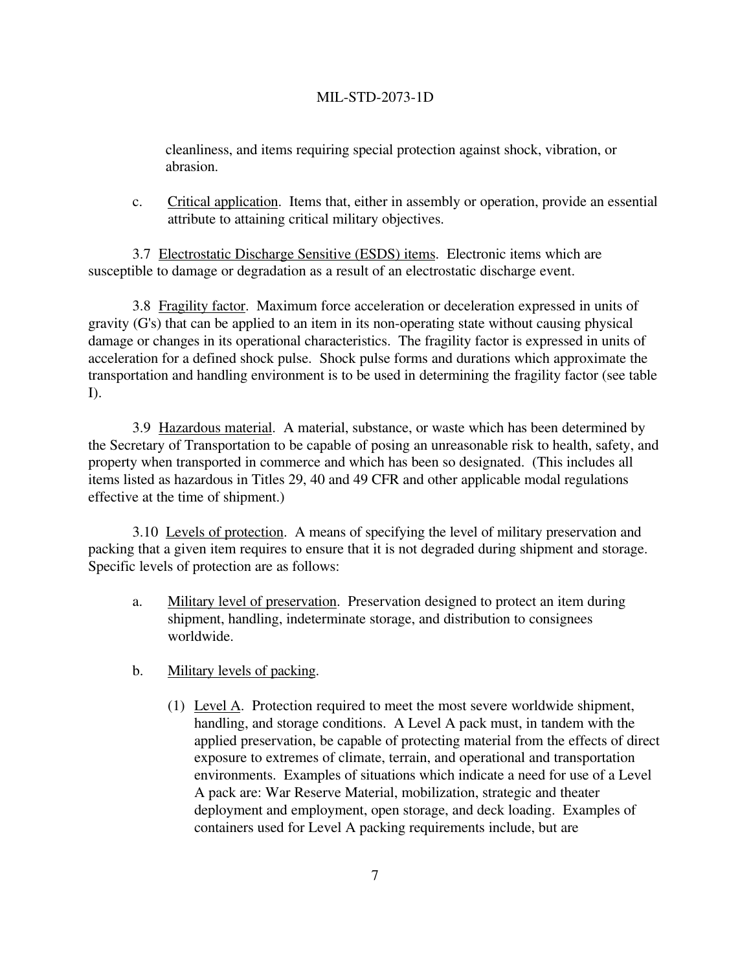cleanliness, and items requiring special protection against shock, vibration, or abrasion.

c. Critical application. Items that, either in assembly or operation, provide an essential attribute to attaining critical military objectives.

3.7 Electrostatic Discharge Sensitive (ESDS) items. Electronic items which are susceptible to damage or degradation as a result of an electrostatic discharge event.

3.8 Fragility factor. Maximum force acceleration or deceleration expressed in units of gravity (G's) that can be applied to an item in its non-operating state without causing physical damage or changes in its operational characteristics. The fragility factor is expressed in units of acceleration for a defined shock pulse. Shock pulse forms and durations which approximate the transportation and handling environment is to be used in determining the fragility factor (see table  $\Gamma$ .

3.9 Hazardous material. A material, substance, or waste which has been determined by the Secretary of Transportation to be capable of posing an unreasonable risk to health, safety, and property when transported in commerce and which has been so designated. (This includes all items listed as hazardous in Titles 29, 40 and 49 CFR and other applicable modal regulations effective at the time of shipment.)

3.10 Levels of protection. A means of specifying the level of military preservation and packing that a given item requires to ensure that it is not degraded during shipment and storage. Specific levels of protection are as follows:

- a. Military level of preservation. Preservation designed to protect an item during shipment, handling, indeterminate storage, and distribution to consignees worldwide.
- b. Military levels of packing.
	- (1) Level A. Protection required to meet the most severe worldwide shipment, handling, and storage conditions. A Level A pack must, in tandem with the applied preservation, be capable of protecting material from the effects of direct exposure to extremes of climate, terrain, and operational and transportation environments. Examples of situations which indicate a need for use of a Level A pack are: War Reserve Material, mobilization, strategic and theater deployment and employment, open storage, and deck loading. Examples of containers used for Level A packing requirements include, but are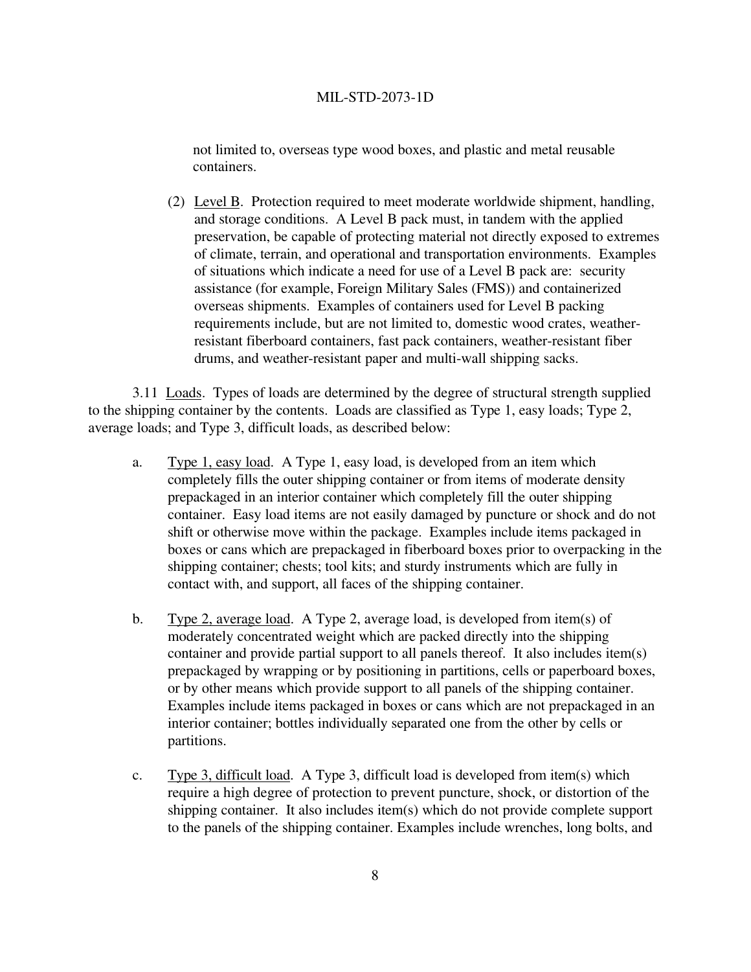not limited to, overseas type wood boxes, and plastic and metal reusable containers.

(2) Level B. Protection required to meet moderate worldwide shipment, handling, and storage conditions. A Level B pack must, in tandem with the applied preservation, be capable of protecting material not directly exposed to extremes of climate, terrain, and operational and transportation environments. Examples of situations which indicate a need for use of a Level B pack are: security assistance (for example, Foreign Military Sales (FMS)) and containerized overseas shipments. Examples of containers used for Level B packing requirements include, but are not limited to, domestic wood crates, weatherresistant fiberboard containers, fast pack containers, weather-resistant fiber drums, and weather-resistant paper and multi-wall shipping sacks.

3.11 Loads. Types of loads are determined by the degree of structural strength supplied to the shipping container by the contents. Loads are classified as Type 1, easy loads; Type 2, average loads; and Type 3, difficult loads, as described below:

- a. Type 1, easy load. A Type 1, easy load, is developed from an item which completely fills the outer shipping container or from items of moderate density prepackaged in an interior container which completely fill the outer shipping container. Easy load items are not easily damaged by puncture or shock and do not shift or otherwise move within the package. Examples include items packaged in boxes or cans which are prepackaged in fiberboard boxes prior to overpacking in the shipping container; chests; tool kits; and sturdy instruments which are fully in contact with, and support, all faces of the shipping container.
- b. Type 2, average load. A Type 2, average load, is developed from item(s) of moderately concentrated weight which are packed directly into the shipping container and provide partial support to all panels thereof. It also includes item(s) prepackaged by wrapping or by positioning in partitions, cells or paperboard boxes, or by other means which provide support to all panels of the shipping container. Examples include items packaged in boxes or cans which are not prepackaged in an interior container; bottles individually separated one from the other by cells or partitions.
- c. Type 3, difficult load. A Type 3, difficult load is developed from item(s) which require a high degree of protection to prevent puncture, shock, or distortion of the shipping container. It also includes item(s) which do not provide complete support to the panels of the shipping container. Examples include wrenches, long bolts, and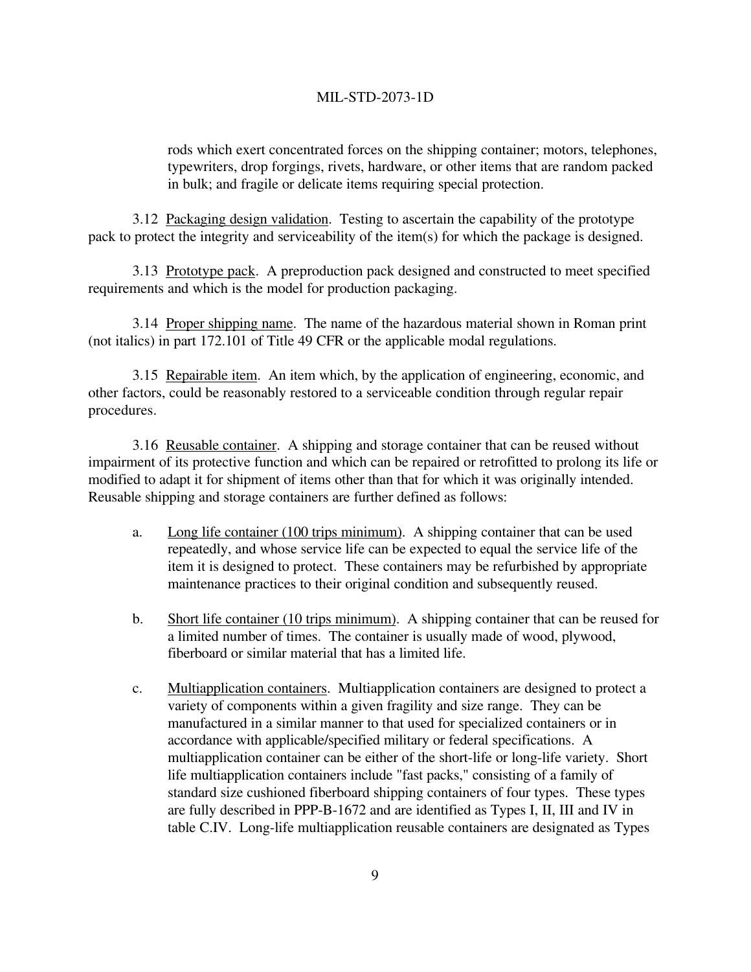rods which exert concentrated forces on the shipping container; motors, telephones, typewriters, drop forgings, rivets, hardware, or other items that are random packed in bulk; and fragile or delicate items requiring special protection.

3.12 Packaging design validation. Testing to ascertain the capability of the prototype pack to protect the integrity and serviceability of the item(s) for which the package is designed.

3.13 Prototype pack. A preproduction pack designed and constructed to meet specified requirements and which is the model for production packaging.

3.14 Proper shipping name. The name of the hazardous material shown in Roman print (not italics) in part 172.101 of Title 49 CFR or the applicable modal regulations.

3.15 Repairable item. An item which, by the application of engineering, economic, and other factors, could be reasonably restored to a serviceable condition through regular repair procedures.

3.16 Reusable container. A shipping and storage container that can be reused without impairment of its protective function and which can be repaired or retrofitted to prolong its life or modified to adapt it for shipment of items other than that for which it was originally intended. Reusable shipping and storage containers are further defined as follows:

- a. Long life container (100 trips minimum). A shipping container that can be used repeatedly, and whose service life can be expected to equal the service life of the item it is designed to protect. These containers may be refurbished by appropriate maintenance practices to their original condition and subsequently reused.
- b. Short life container (10 trips minimum). A shipping container that can be reused for a limited number of times. The container is usually made of wood, plywood, fiberboard or similar material that has a limited life.
- c. Multiapplication containers. Multiapplication containers are designed to protect a variety of components within a given fragility and size range. They can be manufactured in a similar manner to that used for specialized containers or in accordance with applicable/specified military or federal specifications. A multiapplication container can be either of the short-life or long-life variety. Short life multiapplication containers include "fast packs," consisting of a family of standard size cushioned fiberboard shipping containers of four types. These types are fully described in PPP-B-1672 and are identified as Types I, II, III and IV in table C.IV. Long-life multiapplication reusable containers are designated as Types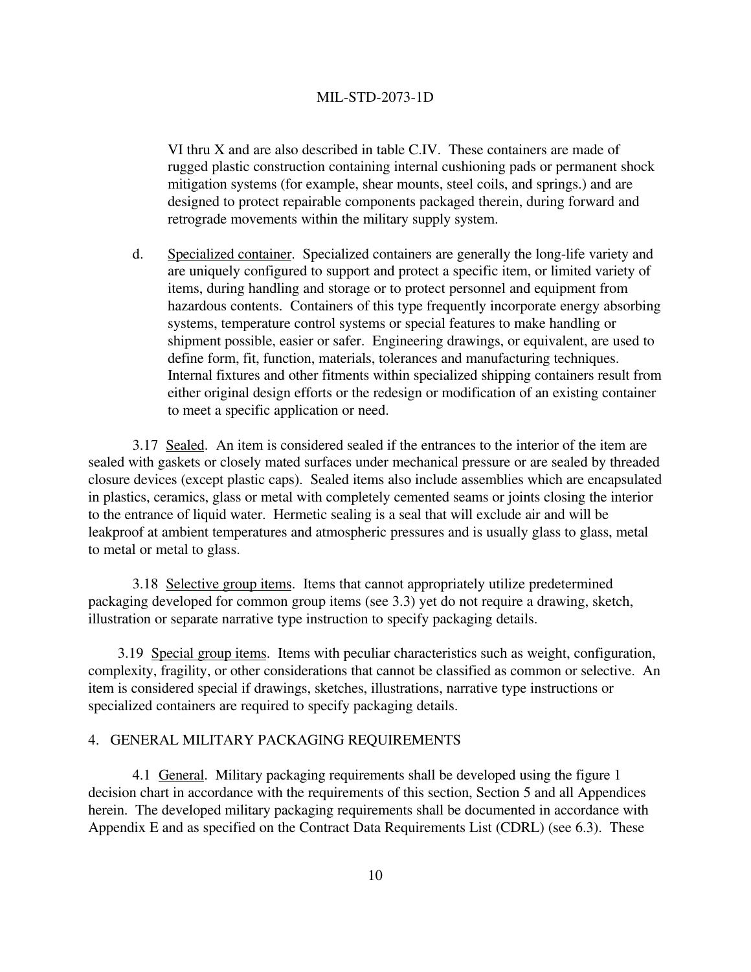VI thru X and are also described in table C.IV. These containers are made of rugged plastic construction containing internal cushioning pads or permanent shock mitigation systems (for example, shear mounts, steel coils, and springs.) and are designed to protect repairable components packaged therein, during forward and retrograde movements within the military supply system.

d. Specialized container. Specialized containers are generally the long-life variety and are uniquely configured to support and protect a specific item, or limited variety of items, during handling and storage or to protect personnel and equipment from hazardous contents. Containers of this type frequently incorporate energy absorbing systems, temperature control systems or special features to make handling or shipment possible, easier or safer. Engineering drawings, or equivalent, are used to define form, fit, function, materials, tolerances and manufacturing techniques. Internal fixtures and other fitments within specialized shipping containers result from either original design efforts or the redesign or modification of an existing container to meet a specific application or need.

3.17 Sealed. An item is considered sealed if the entrances to the interior of the item are sealed with gaskets or closely mated surfaces under mechanical pressure or are sealed by threaded closure devices (except plastic caps). Sealed items also include assemblies which are encapsulated in plastics, ceramics, glass or metal with completely cemented seams or joints closing the interior to the entrance of liquid water. Hermetic sealing is a seal that will exclude air and will be leakproof at ambient temperatures and atmospheric pressures and is usually glass to glass, metal to metal or metal to glass.

3.18 Selective group items. Items that cannot appropriately utilize predetermined packaging developed for common group items (see 3.3) yet do not require a drawing, sketch, illustration or separate narrative type instruction to specify packaging details.

3.19 Special group items. Items with peculiar characteristics such as weight, configuration, complexity, fragility, or other considerations that cannot be classified as common or selective. An item is considered special if drawings, sketches, illustrations, narrative type instructions or specialized containers are required to specify packaging details.

#### 4. GENERAL MILITARY PACKAGING REQUIREMENTS

4.1 General. Military packaging requirements shall be developed using the figure 1 decision chart in accordance with the requirements of this section, Section 5 and all Appendices herein. The developed military packaging requirements shall be documented in accordance with Appendix E and as specified on the Contract Data Requirements List (CDRL) (see 6.3). These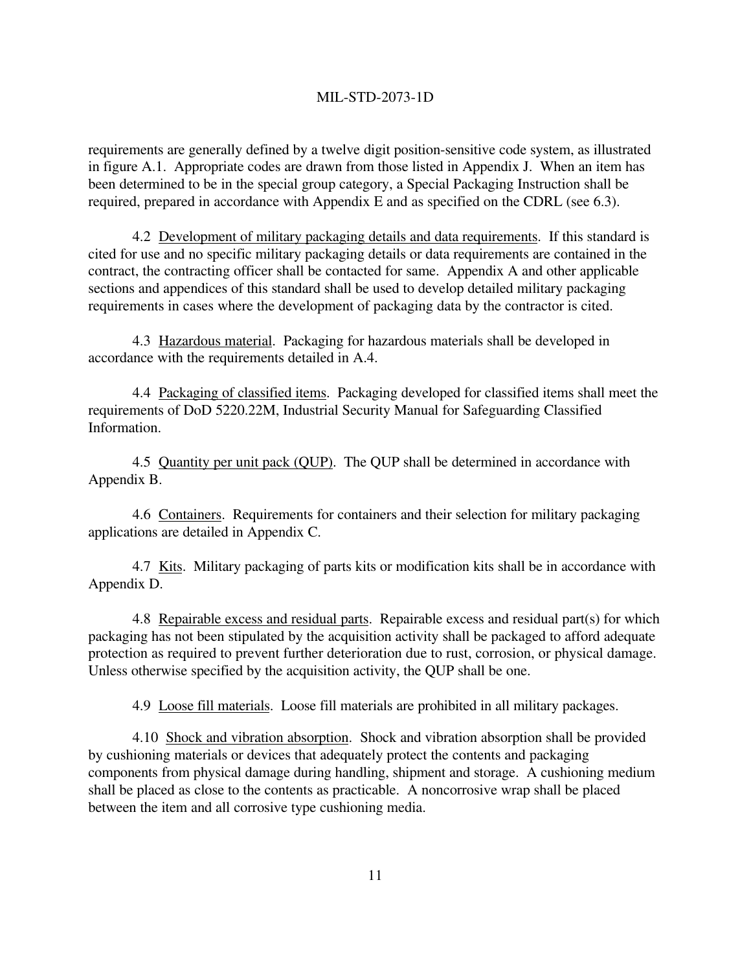requirements are generally defined by a twelve digit position-sensitive code system, as illustrated in figure A.1. Appropriate codes are drawn from those listed in Appendix J. When an item has been determined to be in the special group category, a Special Packaging Instruction shall be required, prepared in accordance with Appendix E and as specified on the CDRL (see 6.3).

4.2 Development of military packaging details and data requirements. If this standard is cited for use and no specific military packaging details or data requirements are contained in the contract, the contracting officer shall be contacted for same. Appendix A and other applicable sections and appendices of this standard shall be used to develop detailed military packaging requirements in cases where the development of packaging data by the contractor is cited.

4.3 Hazardous material. Packaging for hazardous materials shall be developed in accordance with the requirements detailed in A.4.

4.4 Packaging of classified items. Packaging developed for classified items shall meet the requirements of DoD 5220.22M, Industrial Security Manual for Safeguarding Classified Information.

4.5 Quantity per unit pack (QUP). The QUP shall be determined in accordance with Appendix B.

4.6 Containers. Requirements for containers and their selection for military packaging applications are detailed in Appendix C.

4.7 Kits. Military packaging of parts kits or modification kits shall be in accordance with Appendix D.

4.8 Repairable excess and residual parts. Repairable excess and residual part(s) for which packaging has not been stipulated by the acquisition activity shall be packaged to afford adequate protection as required to prevent further deterioration due to rust, corrosion, or physical damage. Unless otherwise specified by the acquisition activity, the QUP shall be one.

4.9 Loose fill materials. Loose fill materials are prohibited in all military packages.

4.10 Shock and vibration absorption. Shock and vibration absorption shall be provided by cushioning materials or devices that adequately protect the contents and packaging components from physical damage during handling, shipment and storage. A cushioning medium shall be placed as close to the contents as practicable. A noncorrosive wrap shall be placed between the item and all corrosive type cushioning media.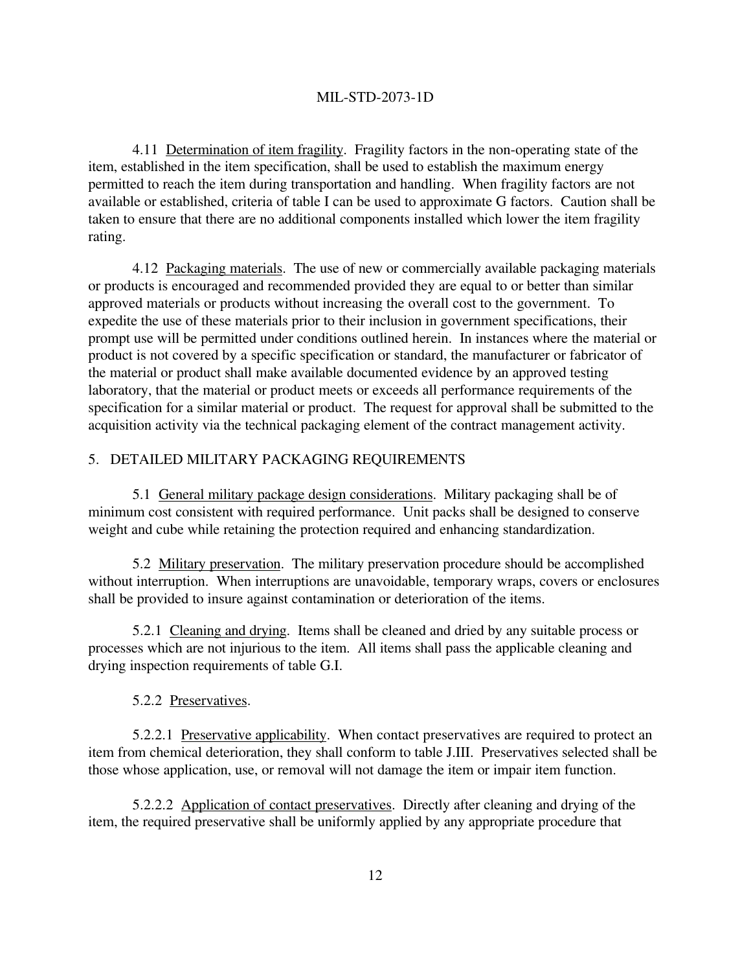4.11 Determination of item fragility. Fragility factors in the non-operating state of the item, established in the item specification, shall be used to establish the maximum energy permitted to reach the item during transportation and handling. When fragility factors are not available or established, criteria of table I can be used to approximate G factors. Caution shall be taken to ensure that there are no additional components installed which lower the item fragility rating.

4.12 Packaging materials. The use of new or commercially available packaging materials or products is encouraged and recommended provided they are equal to or better than similar approved materials or products without increasing the overall cost to the government. To expedite the use of these materials prior to their inclusion in government specifications, their prompt use will be permitted under conditions outlined herein. In instances where the material or product is not covered by a specific specification or standard, the manufacturer or fabricator of the material or product shall make available documented evidence by an approved testing laboratory, that the material or product meets or exceeds all performance requirements of the specification for a similar material or product. The request for approval shall be submitted to the acquisition activity via the technical packaging element of the contract management activity.

#### 5. DETAILED MILITARY PACKAGING REQUIREMENTS

5.1 General military package design considerations. Military packaging shall be of minimum cost consistent with required performance. Unit packs shall be designed to conserve weight and cube while retaining the protection required and enhancing standardization.

5.2 Military preservation. The military preservation procedure should be accomplished without interruption. When interruptions are unavoidable, temporary wraps, covers or enclosures shall be provided to insure against contamination or deterioration of the items.

5.2.1 Cleaning and drying. Items shall be cleaned and dried by any suitable process or processes which are not injurious to the item. All items shall pass the applicable cleaning and drying inspection requirements of table G.I.

#### 5.2.2 Preservatives.

5.2.2.1 Preservative applicability. When contact preservatives are required to protect an item from chemical deterioration, they shall conform to table J.III. Preservatives selected shall be those whose application, use, or removal will not damage the item or impair item function.

5.2.2.2 Application of contact preservatives. Directly after cleaning and drying of the item, the required preservative shall be uniformly applied by any appropriate procedure that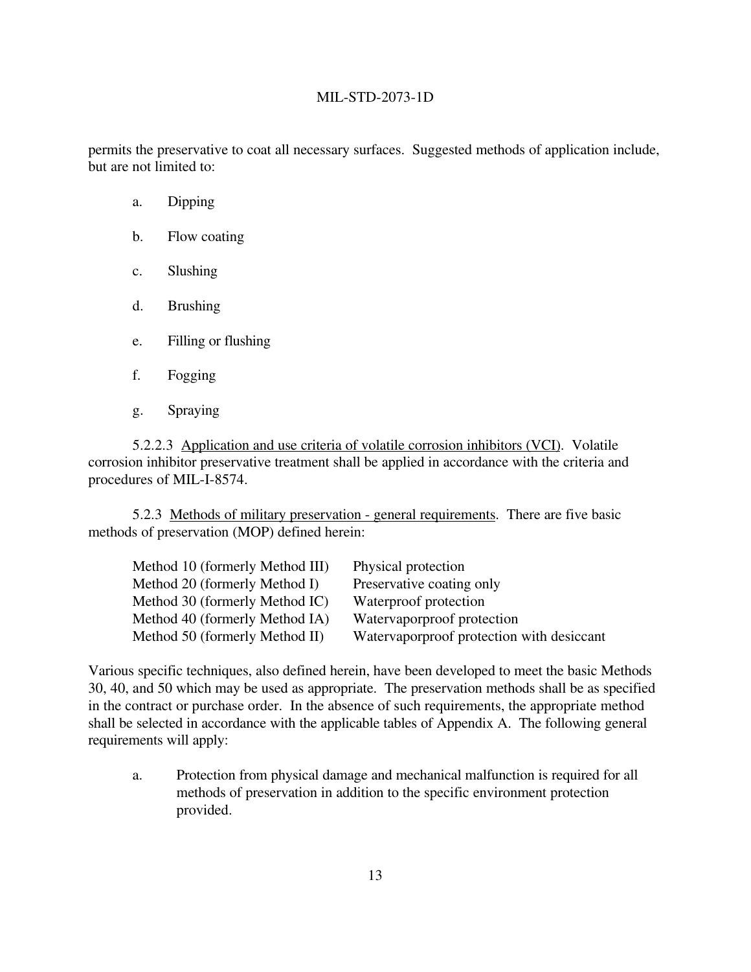permits the preservative to coat all necessary surfaces. Suggested methods of application include, but are not limited to:

- a. Dipping
- b. Flow coating
- c. Slushing
- d. Brushing
- e. Filling or flushing
- f. Fogging
- g. Spraying

5.2.2.3 Application and use criteria of volatile corrosion inhibitors (VCI). Volatile corrosion inhibitor preservative treatment shall be applied in accordance with the criteria and procedures of MIL-I-8574.

5.2.3 Methods of military preservation - general requirements. There are five basic methods of preservation (MOP) defined herein:

| Method 10 (formerly Method III) | Physical protection                       |
|---------------------------------|-------------------------------------------|
| Method 20 (formerly Method I)   | Preservative coating only                 |
| Method 30 (formerly Method IC)  | Waterproof protection                     |
| Method 40 (formerly Method IA)  | Watervaporproof protection                |
| Method 50 (formerly Method II)  | Watervaporproof protection with desiccant |

Various specific techniques, also defined herein, have been developed to meet the basic Methods 30, 40, and 50 which may be used as appropriate. The preservation methods shall be as specified in the contract or purchase order. In the absence of such requirements, the appropriate method shall be selected in accordance with the applicable tables of Appendix A. The following general requirements will apply:

a. Protection from physical damage and mechanical malfunction is required for all methods of preservation in addition to the specific environment protection provided.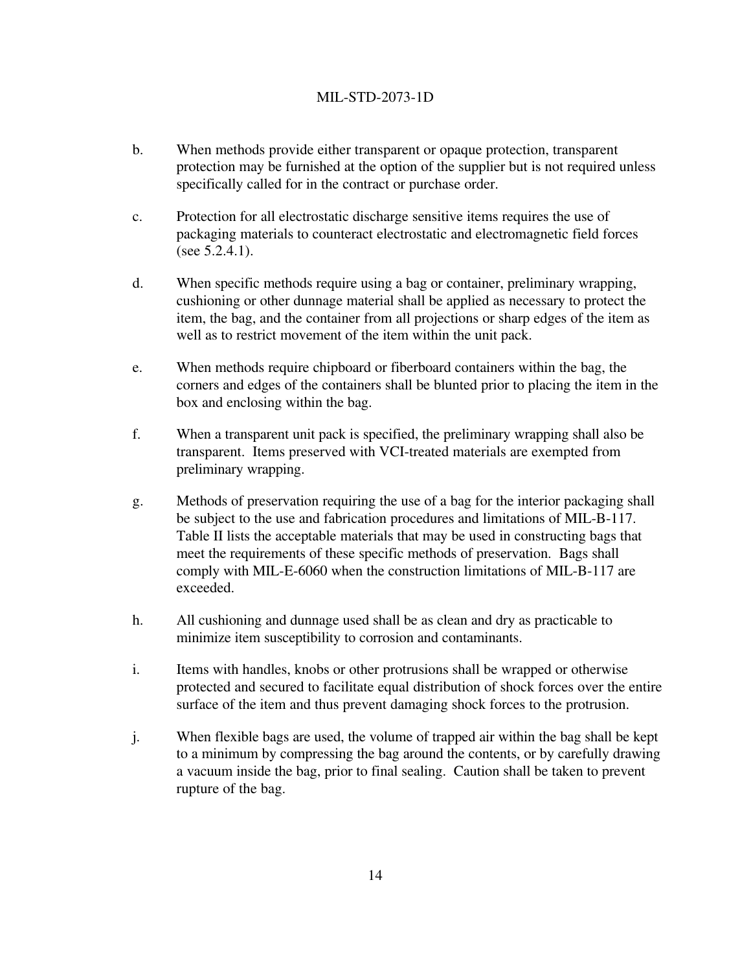- b. When methods provide either transparent or opaque protection, transparent protection may be furnished at the option of the supplier but is not required unless specifically called for in the contract or purchase order.
- c. Protection for all electrostatic discharge sensitive items requires the use of packaging materials to counteract electrostatic and electromagnetic field forces (see  $5.2.4.1$ ).
- d. When specific methods require using a bag or container, preliminary wrapping, cushioning or other dunnage material shall be applied as necessary to protect the item, the bag, and the container from all projections or sharp edges of the item as well as to restrict movement of the item within the unit pack.
- e. When methods require chipboard or fiberboard containers within the bag, the corners and edges of the containers shall be blunted prior to placing the item in the box and enclosing within the bag.
- f. When a transparent unit pack is specified, the preliminary wrapping shall also be transparent. Items preserved with VCI-treated materials are exempted from preliminary wrapping.
- g. Methods of preservation requiring the use of a bag for the interior packaging shall be subject to the use and fabrication procedures and limitations of MIL-B-117. Table II lists the acceptable materials that may be used in constructing bags that meet the requirements of these specific methods of preservation. Bags shall comply with MIL-E-6060 when the construction limitations of MIL-B-117 are exceeded.
- h. All cushioning and dunnage used shall be as clean and dry as practicable to minimize item susceptibility to corrosion and contaminants.
- i. Items with handles, knobs or other protrusions shall be wrapped or otherwise protected and secured to facilitate equal distribution of shock forces over the entire surface of the item and thus prevent damaging shock forces to the protrusion.
- j. When flexible bags are used, the volume of trapped air within the bag shall be kept to a minimum by compressing the bag around the contents, or by carefully drawing a vacuum inside the bag, prior to final sealing. Caution shall be taken to prevent rupture of the bag.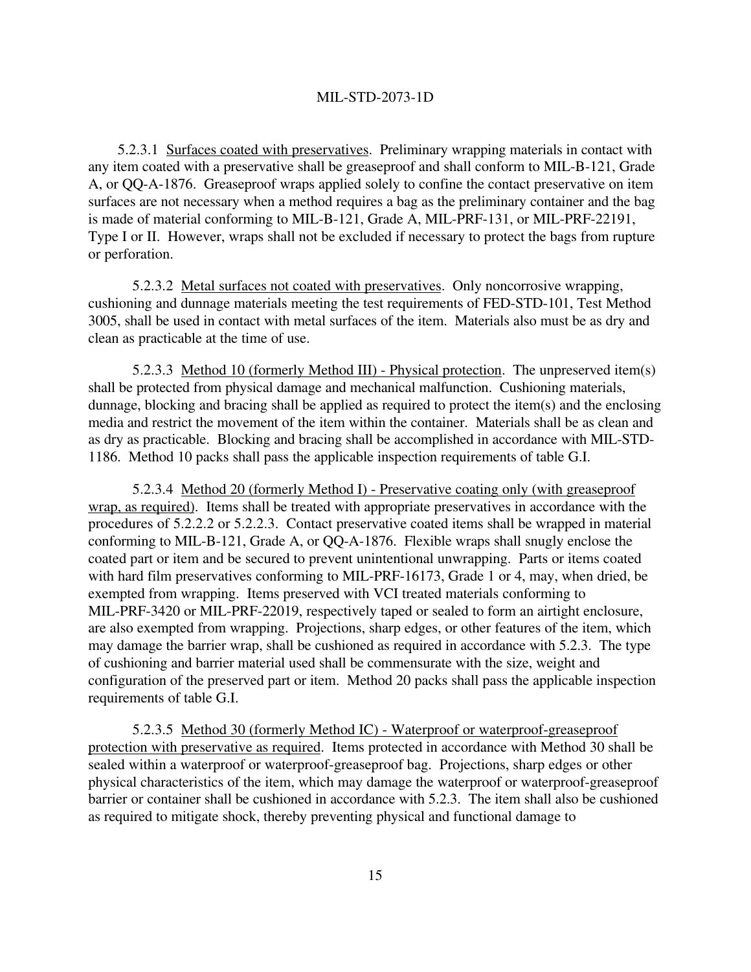5.2.3.1 Surfaces coated with preservatives. Preliminary wrapping materials in contact with any item coated with a preservative shall be greaseproof and shall conform to MIL-B-121, Grade A, or QQ-A-1876. Greaseproof wraps applied solely to confine the contact preservative on item surfaces are not necessary when a method requires a bag as the preliminary container and the bag is made of material conforming to MIL-B-121, Grade A, MIL-PRF-131, or MIL-PRF-22191, Type I or II. However, wraps shall not be excluded if necessary to protect the bags from rupture or perforation.

5.2.3.2 Metal surfaces not coated with preservatives. Only noncorrosive wrapping, cushioning and dunnage materials meeting the test requirements of FED-STD-101, Test Method 3005, shall be used in contact with metal surfaces of the item. Materials also must be as dry and clean as practicable at the time of use.

5.2.3.3 Method 10 (formerly Method III) - Physical protection. The unpreserved item(s) shall be protected from physical damage and mechanical malfunction. Cushioning materials, dunnage, blocking and bracing shall be applied as required to protect the item(s) and the enclosing media and restrict the movement of the item within the container. Materials shall be as clean and as dry as practicable. Blocking and bracing shall be accomplished in accordance with MIL-STD-1186. Method 10 packs shall pass the applicable inspection requirements of table G.I.

5.2.3.4 Method 20 (formerly Method I) - Preservative coating only (with greaseproof wrap, as required). Items shall be treated with appropriate preservatives in accordance with the procedures of 5.2.2.2 or 5.2.2.3. Contact preservative coated items shall be wrapped in material conforming to MIL-B-121, Grade A, or QQ-A-1876. Flexible wraps shall snugly enclose the coated part or item and be secured to prevent unintentional unwrapping. Parts or items coated with hard film preservatives conforming to MIL-PRF-16173, Grade 1 or 4, may, when dried, be exempted from wrapping. Items preserved with VCI treated materials conforming to MIL-PRF-3420 or MIL-PRF-22019, respectively taped or sealed to form an airtight enclosure, are also exempted from wrapping. Projections, sharp edges, or other features of the item, which may damage the barrier wrap, shall be cushioned as required in accordance with 5.2.3. The type of cushioning and barrier material used shall be commensurate with the size, weight and configuration of the preserved part or item. Method 20 packs shall pass the applicable inspection requirements of table G.I.

5.2.3.5 Method 30 (formerly Method IC) - Waterproof or waterproof-greaseproof protection with preservative as required. Items protected in accordance with Method 30 shall be sealed within a waterproof or waterproof-greaseproof bag. Projections, sharp edges or other physical characteristics of the item, which may damage the waterproof or waterproof-greaseproof barrier or container shall be cushioned in accordance with 5.2.3. The item shall also be cushioned as required to mitigate shock, thereby preventing physical and functional damage to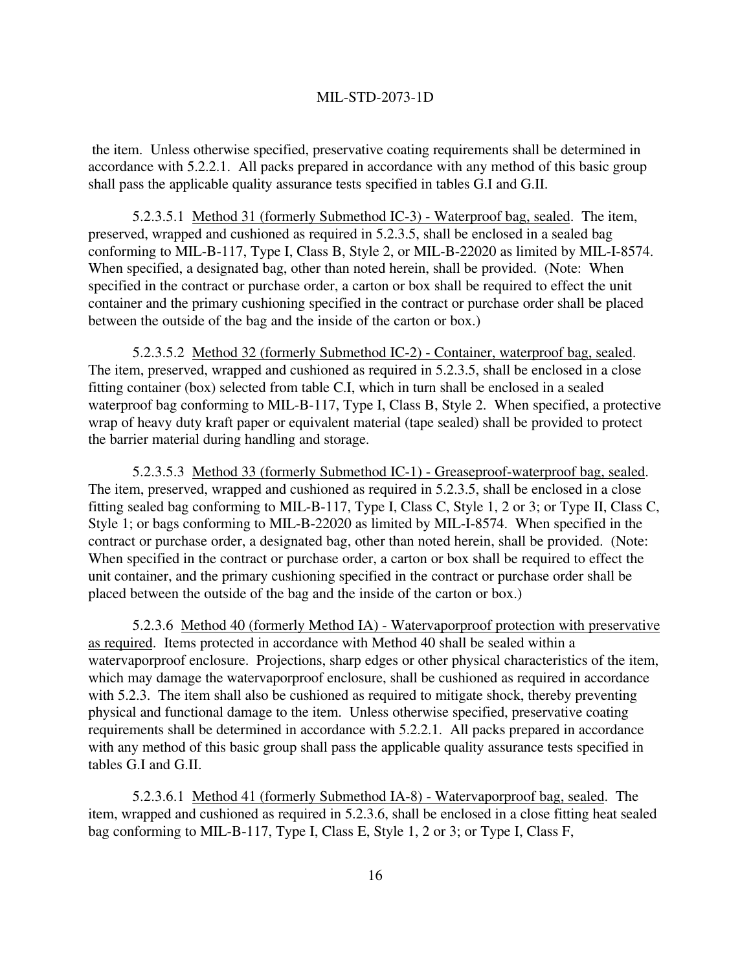the item. Unless otherwise specified, preservative coating requirements shall be determined in accordance with 5.2.2.1. All packs prepared in accordance with any method of this basic group shall pass the applicable quality assurance tests specified in tables G.I and G.II.

5.2.3.5.1 Method 31 (formerly Submethod IC-3) - Waterproof bag, sealed. The item, preserved, wrapped and cushioned as required in 5.2.3.5, shall be enclosed in a sealed bag conforming to MIL-B-117, Type I, Class B, Style 2, or MIL-B-22020 as limited by MIL-I-8574. When specified, a designated bag, other than noted herein, shall be provided. (Note: When specified in the contract or purchase order, a carton or box shall be required to effect the unit container and the primary cushioning specified in the contract or purchase order shall be placed between the outside of the bag and the inside of the carton or box.)

5.2.3.5.2 Method 32 (formerly Submethod IC-2) - Container, waterproof bag, sealed. The item, preserved, wrapped and cushioned as required in 5.2.3.5, shall be enclosed in a close fitting container (box) selected from table C.I, which in turn shall be enclosed in a sealed waterproof bag conforming to MIL-B-117, Type I, Class B, Style 2. When specified, a protective wrap of heavy duty kraft paper or equivalent material (tape sealed) shall be provided to protect the barrier material during handling and storage.

5.2.3.5.3 Method 33 (formerly Submethod IC-1) - Greaseproof-waterproof bag, sealed. The item, preserved, wrapped and cushioned as required in 5.2.3.5, shall be enclosed in a close fitting sealed bag conforming to MIL-B-117, Type I, Class C, Style 1, 2 or 3; or Type II, Class C, Style 1; or bags conforming to MIL-B-22020 as limited by MIL-I-8574. When specified in the contract or purchase order, a designated bag, other than noted herein, shall be provided. (Note: When specified in the contract or purchase order, a carton or box shall be required to effect the unit container, and the primary cushioning specified in the contract or purchase order shall be placed between the outside of the bag and the inside of the carton or box.)

5.2.3.6 Method 40 (formerly Method IA) - Watervaporproof protection with preservative as required. Items protected in accordance with Method 40 shall be sealed within a watervaporproof enclosure. Projections, sharp edges or other physical characteristics of the item, which may damage the watervaporproof enclosure, shall be cushioned as required in accordance with 5.2.3. The item shall also be cushioned as required to mitigate shock, thereby preventing physical and functional damage to the item. Unless otherwise specified, preservative coating requirements shall be determined in accordance with 5.2.2.1. All packs prepared in accordance with any method of this basic group shall pass the applicable quality assurance tests specified in tables G.I and G.II.

5.2.3.6.1 Method 41 (formerly Submethod IA-8) - Watervaporproof bag, sealed. The item, wrapped and cushioned as required in 5.2.3.6, shall be enclosed in a close fitting heat sealed bag conforming to MIL-B-117, Type I, Class E, Style 1, 2 or 3; or Type I, Class F,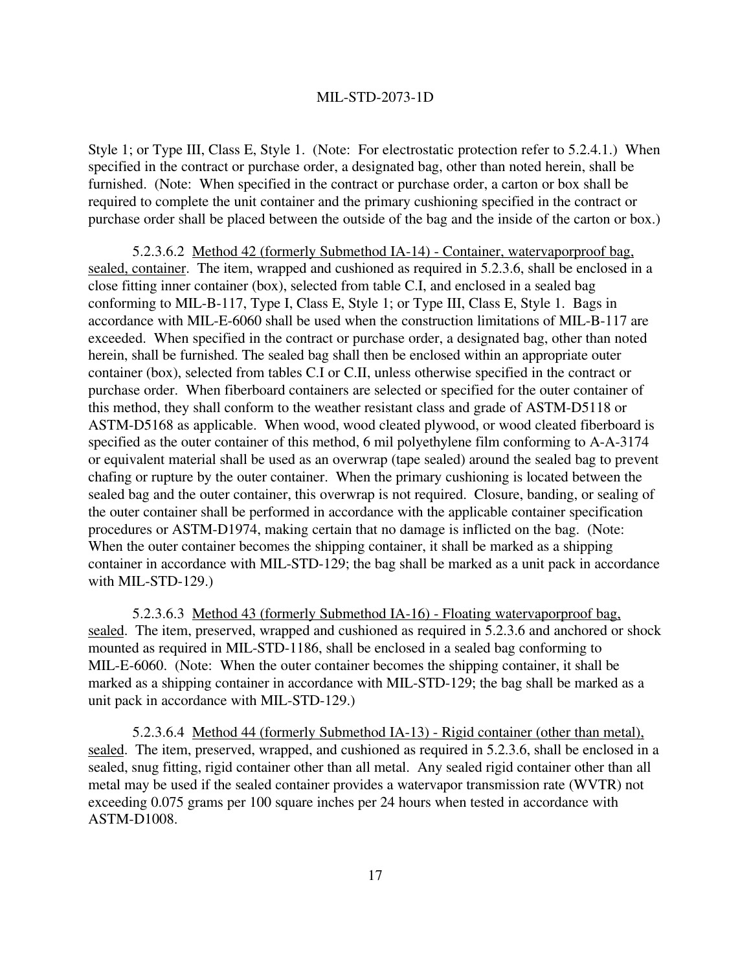Style 1; or Type III, Class E, Style 1. (Note: For electrostatic protection refer to 5.2.4.1.) When specified in the contract or purchase order, a designated bag, other than noted herein, shall be furnished. (Note: When specified in the contract or purchase order, a carton or box shall be required to complete the unit container and the primary cushioning specified in the contract or purchase order shall be placed between the outside of the bag and the inside of the carton or box.)

5.2.3.6.2 Method 42 (formerly Submethod IA-14) - Container, watervaporproof bag, sealed, container. The item, wrapped and cushioned as required in 5.2.3.6, shall be enclosed in a close fitting inner container (box), selected from table C.I, and enclosed in a sealed bag conforming to MIL-B-117, Type I, Class E, Style 1; or Type III, Class E, Style 1. Bags in accordance with MIL-E-6060 shall be used when the construction limitations of MIL-B-117 are exceeded. When specified in the contract or purchase order, a designated bag, other than noted herein, shall be furnished. The sealed bag shall then be enclosed within an appropriate outer container (box), selected from tables C.I or C.II, unless otherwise specified in the contract or purchase order. When fiberboard containers are selected or specified for the outer container of this method, they shall conform to the weather resistant class and grade of ASTM-D5118 or ASTM-D5168 as applicable. When wood, wood cleated plywood, or wood cleated fiberboard is specified as the outer container of this method, 6 mil polyethylene film conforming to A-A-3174 or equivalent material shall be used as an overwrap (tape sealed) around the sealed bag to prevent chafing or rupture by the outer container. When the primary cushioning is located between the sealed bag and the outer container, this overwrap is not required. Closure, banding, or sealing of the outer container shall be performed in accordance with the applicable container specification procedures or ASTM-D1974, making certain that no damage is inflicted on the bag. (Note: When the outer container becomes the shipping container, it shall be marked as a shipping container in accordance with MIL-STD-129; the bag shall be marked as a unit pack in accordance with MIL-STD-129.)

5.2.3.6.3 Method 43 (formerly Submethod IA-16) - Floating watervaporproof bag, sealed. The item, preserved, wrapped and cushioned as required in 5.2.3.6 and anchored or shock mounted as required in MIL-STD-1186, shall be enclosed in a sealed bag conforming to MIL-E-6060. (Note: When the outer container becomes the shipping container, it shall be marked as a shipping container in accordance with MIL-STD-129; the bag shall be marked as a unit pack in accordance with MIL-STD-129.)

5.2.3.6.4 Method 44 (formerly Submethod IA-13) - Rigid container (other than metal), sealed. The item, preserved, wrapped, and cushioned as required in 5.2.3.6, shall be enclosed in a sealed, snug fitting, rigid container other than all metal. Any sealed rigid container other than all metal may be used if the sealed container provides a watervapor transmission rate (WVTR) not exceeding 0.075 grams per 100 square inches per 24 hours when tested in accordance with ASTM-D1008.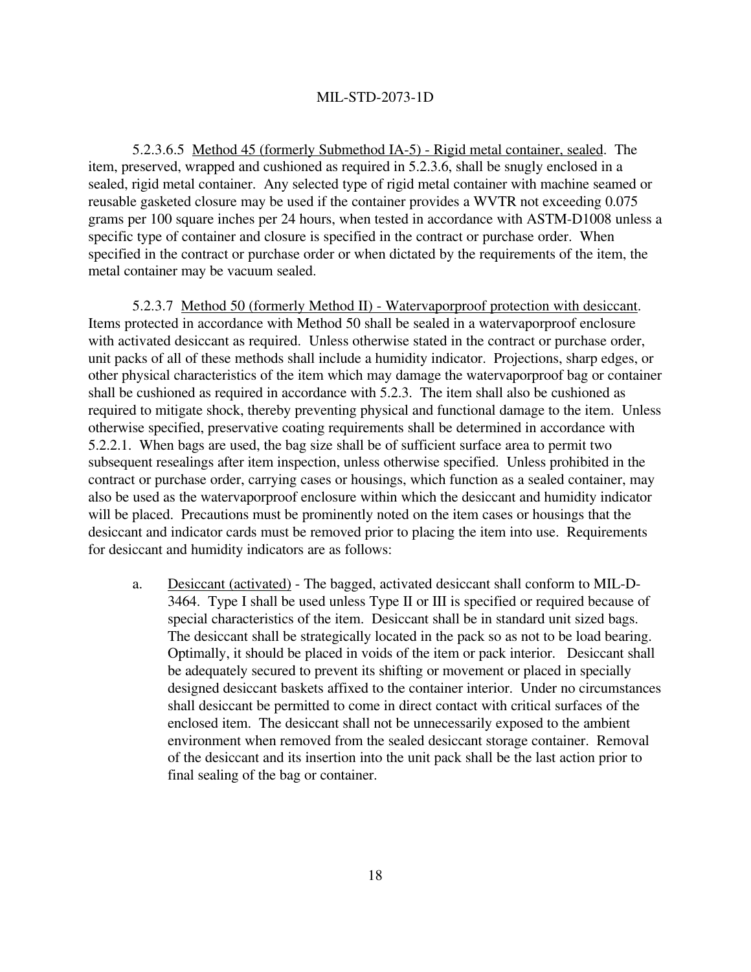5.2.3.6.5 Method 45 (formerly Submethod IA-5) - Rigid metal container, sealed. The item, preserved, wrapped and cushioned as required in 5.2.3.6, shall be snugly enclosed in a sealed, rigid metal container. Any selected type of rigid metal container with machine seamed or reusable gasketed closure may be used if the container provides a WVTR not exceeding 0.075 grams per 100 square inches per 24 hours, when tested in accordance with ASTM-D1008 unless a specific type of container and closure is specified in the contract or purchase order. When specified in the contract or purchase order or when dictated by the requirements of the item, the metal container may be vacuum sealed.

5.2.3.7 Method 50 (formerly Method II) - Watervaporproof protection with desiccant. Items protected in accordance with Method 50 shall be sealed in a watervaporproof enclosure with activated desiccant as required. Unless otherwise stated in the contract or purchase order, unit packs of all of these methods shall include a humidity indicator. Projections, sharp edges, or other physical characteristics of the item which may damage the watervaporproof bag or container shall be cushioned as required in accordance with 5.2.3. The item shall also be cushioned as required to mitigate shock, thereby preventing physical and functional damage to the item. Unless otherwise specified, preservative coating requirements shall be determined in accordance with 5.2.2.1. When bags are used, the bag size shall be of sufficient surface area to permit two subsequent resealings after item inspection, unless otherwise specified. Unless prohibited in the contract or purchase order, carrying cases or housings, which function as a sealed container, may also be used as the watervaporproof enclosure within which the desiccant and humidity indicator will be placed. Precautions must be prominently noted on the item cases or housings that the desiccant and indicator cards must be removed prior to placing the item into use. Requirements for desiccant and humidity indicators are as follows:

a. Desiccant (activated) - The bagged, activated desiccant shall conform to MIL-D-3464. Type I shall be used unless Type II or III is specified or required because of special characteristics of the item. Desiccant shall be in standard unit sized bags. The desiccant shall be strategically located in the pack so as not to be load bearing. Optimally, it should be placed in voids of the item or pack interior. Desiccant shall be adequately secured to prevent its shifting or movement or placed in specially designed desiccant baskets affixed to the container interior. Under no circumstances shall desiccant be permitted to come in direct contact with critical surfaces of the enclosed item. The desiccant shall not be unnecessarily exposed to the ambient environment when removed from the sealed desiccant storage container. Removal of the desiccant and its insertion into the unit pack shall be the last action prior to final sealing of the bag or container.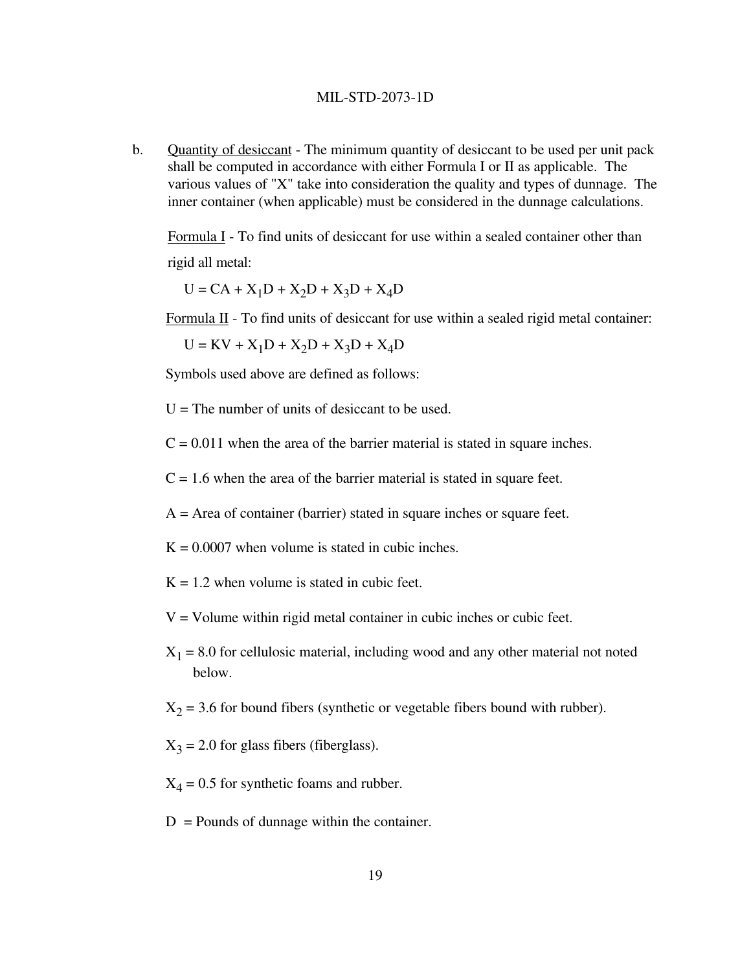b. Quantity of desiccant - The minimum quantity of desiccant to be used per unit pack shall be computed in accordance with either Formula I or II as applicable. The various values of "X" take into consideration the quality and types of dunnage. The inner container (when applicable) must be considered in the dunnage calculations.

Formula I - To find units of desiccant for use within a sealed container other than rigid all metal:

 $U = CA + X_1D + X_2D + X_3D + X_4D$ 

Formula II - To find units of desiccant for use within a sealed rigid metal container:

 $U = KV + X_1D + X_2D + X_3D + X_4D$ 

Symbols used above are defined as follows:

 $U =$ The number of units of desiccant to be used.

 $C = 0.011$  when the area of the barrier material is stated in square inches.

 $C = 1.6$  when the area of the barrier material is stated in square feet.

 $A =$  Area of container (barrier) stated in square inches or square feet.

 $K = 0.0007$  when volume is stated in cubic inches.

- $K = 1.2$  when volume is stated in cubic feet.
- $V =$  Volume within rigid metal container in cubic inches or cubic feet.
- $X_1 = 8.0$  for cellulosic material, including wood and any other material not noted below.

 $X_2$  = 3.6 for bound fibers (synthetic or vegetable fibers bound with rubber).

 $X_3 = 2.0$  for glass fibers (fiberglass).

 $X_4 = 0.5$  for synthetic foams and rubber.

 $D =$  Pounds of dunnage within the container.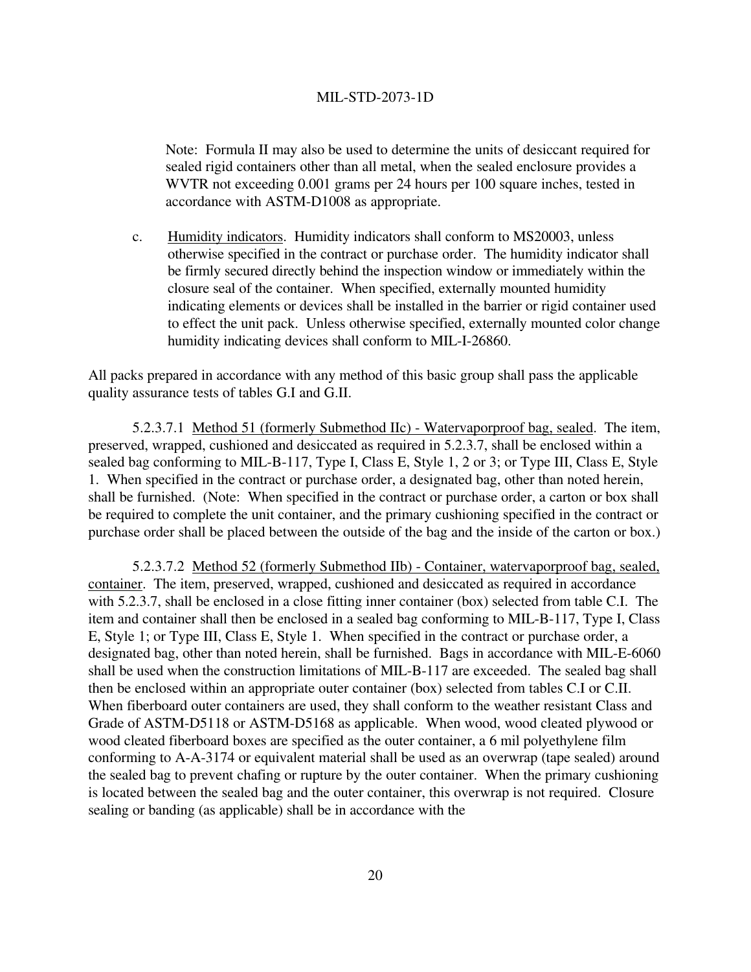Note: Formula II may also be used to determine the units of desiccant required for sealed rigid containers other than all metal, when the sealed enclosure provides a WVTR not exceeding 0.001 grams per 24 hours per 100 square inches, tested in accordance with ASTM-D1008 as appropriate.

c. Humidity indicators. Humidity indicators shall conform to MS20003, unless otherwise specified in the contract or purchase order. The humidity indicator shall be firmly secured directly behind the inspection window or immediately within the closure seal of the container. When specified, externally mounted humidity indicating elements or devices shall be installed in the barrier or rigid container used to effect the unit pack. Unless otherwise specified, externally mounted color change humidity indicating devices shall conform to MIL-I-26860.

All packs prepared in accordance with any method of this basic group shall pass the applicable quality assurance tests of tables G.I and G.II.

5.2.3.7.1 Method 51 (formerly Submethod IIc) - Watervaporproof bag, sealed. The item, preserved, wrapped, cushioned and desiccated as required in 5.2.3.7, shall be enclosed within a sealed bag conforming to MIL-B-117, Type I, Class E, Style 1, 2 or 3; or Type III, Class E, Style 1. When specified in the contract or purchase order, a designated bag, other than noted herein, shall be furnished. (Note: When specified in the contract or purchase order, a carton or box shall be required to complete the unit container, and the primary cushioning specified in the contract or purchase order shall be placed between the outside of the bag and the inside of the carton or box.)

5.2.3.7.2 Method 52 (formerly Submethod IIb) - Container, watervaporproof bag, sealed, container. The item, preserved, wrapped, cushioned and desiccated as required in accordance with 5.2.3.7, shall be enclosed in a close fitting inner container (box) selected from table C.I. The item and container shall then be enclosed in a sealed bag conforming to MIL-B-117, Type I, Class E, Style 1; or Type III, Class E, Style 1. When specified in the contract or purchase order, a designated bag, other than noted herein, shall be furnished. Bags in accordance with MIL-E-6060 shall be used when the construction limitations of MIL-B-117 are exceeded. The sealed bag shall then be enclosed within an appropriate outer container (box) selected from tables C.I or C.II. When fiberboard outer containers are used, they shall conform to the weather resistant Class and Grade of ASTM-D5118 or ASTM-D5168 as applicable. When wood, wood cleated plywood or wood cleated fiberboard boxes are specified as the outer container, a 6 mil polyethylene film conforming to A-A-3174 or equivalent material shall be used as an overwrap (tape sealed) around the sealed bag to prevent chafing or rupture by the outer container. When the primary cushioning is located between the sealed bag and the outer container, this overwrap is not required. Closure sealing or banding (as applicable) shall be in accordance with the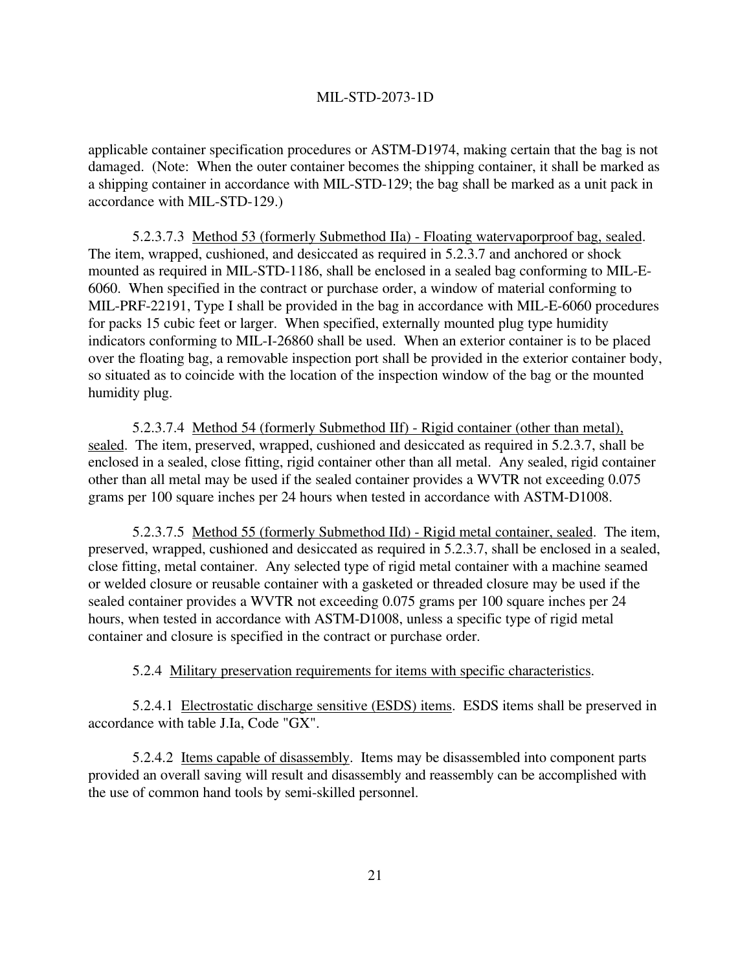applicable container specification procedures or ASTM-D1974, making certain that the bag is not damaged. (Note: When the outer container becomes the shipping container, it shall be marked as a shipping container in accordance with MIL-STD-129; the bag shall be marked as a unit pack in accordance with MIL-STD-129.)

5.2.3.7.3 Method 53 (formerly Submethod IIa) - Floating watervaporproof bag, sealed. The item, wrapped, cushioned, and desiccated as required in 5.2.3.7 and anchored or shock mounted as required in MIL-STD-1186, shall be enclosed in a sealed bag conforming to MIL-E-6060. When specified in the contract or purchase order, a window of material conforming to MIL-PRF-22191, Type I shall be provided in the bag in accordance with MIL-E-6060 procedures for packs 15 cubic feet or larger. When specified, externally mounted plug type humidity indicators conforming to MIL-I-26860 shall be used. When an exterior container is to be placed over the floating bag, a removable inspection port shall be provided in the exterior container body, so situated as to coincide with the location of the inspection window of the bag or the mounted humidity plug.

5.2.3.7.4 Method 54 (formerly Submethod IIf) - Rigid container (other than metal), sealed. The item, preserved, wrapped, cushioned and desiccated as required in 5.2.3.7, shall be enclosed in a sealed, close fitting, rigid container other than all metal. Any sealed, rigid container other than all metal may be used if the sealed container provides a WVTR not exceeding 0.075 grams per 100 square inches per 24 hours when tested in accordance with ASTM-D1008.

5.2.3.7.5 Method 55 (formerly Submethod IId) - Rigid metal container, sealed. The item, preserved, wrapped, cushioned and desiccated as required in 5.2.3.7, shall be enclosed in a sealed, close fitting, metal container. Any selected type of rigid metal container with a machine seamed or welded closure or reusable container with a gasketed or threaded closure may be used if the sealed container provides a WVTR not exceeding 0.075 grams per 100 square inches per 24 hours, when tested in accordance with ASTM-D1008, unless a specific type of rigid metal container and closure is specified in the contract or purchase order.

5.2.4 Military preservation requirements for items with specific characteristics.

5.2.4.1 Electrostatic discharge sensitive (ESDS) items. ESDS items shall be preserved in accordance with table J.Ia, Code "GX".

5.2.4.2 Items capable of disassembly. Items may be disassembled into component parts provided an overall saving will result and disassembly and reassembly can be accomplished with the use of common hand tools by semi-skilled personnel.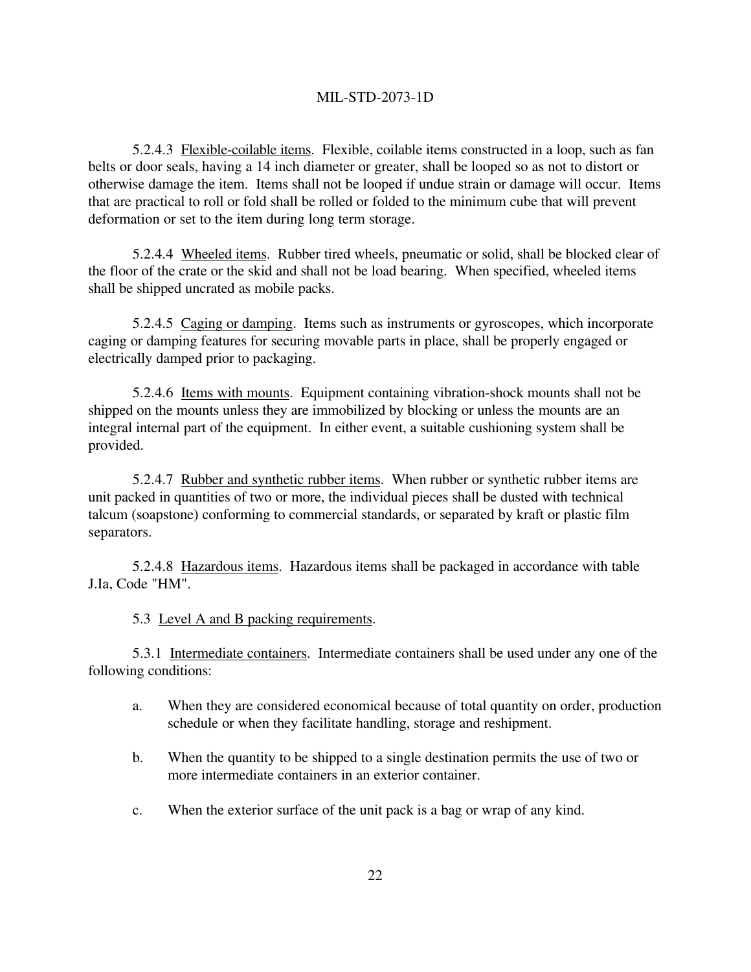5.2.4.3 Flexible-coilable items. Flexible, coilable items constructed in a loop, such as fan belts or door seals, having a 14 inch diameter or greater, shall be looped so as not to distort or otherwise damage the item. Items shall not be looped if undue strain or damage will occur. Items that are practical to roll or fold shall be rolled or folded to the minimum cube that will prevent deformation or set to the item during long term storage.

5.2.4.4 Wheeled items. Rubber tired wheels, pneumatic or solid, shall be blocked clear of the floor of the crate or the skid and shall not be load bearing. When specified, wheeled items shall be shipped uncrated as mobile packs.

5.2.4.5 Caging or damping. Items such as instruments or gyroscopes, which incorporate caging or damping features for securing movable parts in place, shall be properly engaged or electrically damped prior to packaging.

5.2.4.6 Items with mounts. Equipment containing vibration-shock mounts shall not be shipped on the mounts unless they are immobilized by blocking or unless the mounts are an integral internal part of the equipment. In either event, a suitable cushioning system shall be provided.

5.2.4.7 Rubber and synthetic rubber items. When rubber or synthetic rubber items are unit packed in quantities of two or more, the individual pieces shall be dusted with technical talcum (soapstone) conforming to commercial standards, or separated by kraft or plastic film separators.

5.2.4.8 Hazardous items. Hazardous items shall be packaged in accordance with table J.Ia, Code "HM".

5.3 Level A and B packing requirements.

5.3.1 Intermediate containers. Intermediate containers shall be used under any one of the following conditions:

- a. When they are considered economical because of total quantity on order, production schedule or when they facilitate handling, storage and reshipment.
- b. When the quantity to be shipped to a single destination permits the use of two or more intermediate containers in an exterior container.
- c. When the exterior surface of the unit pack is a bag or wrap of any kind.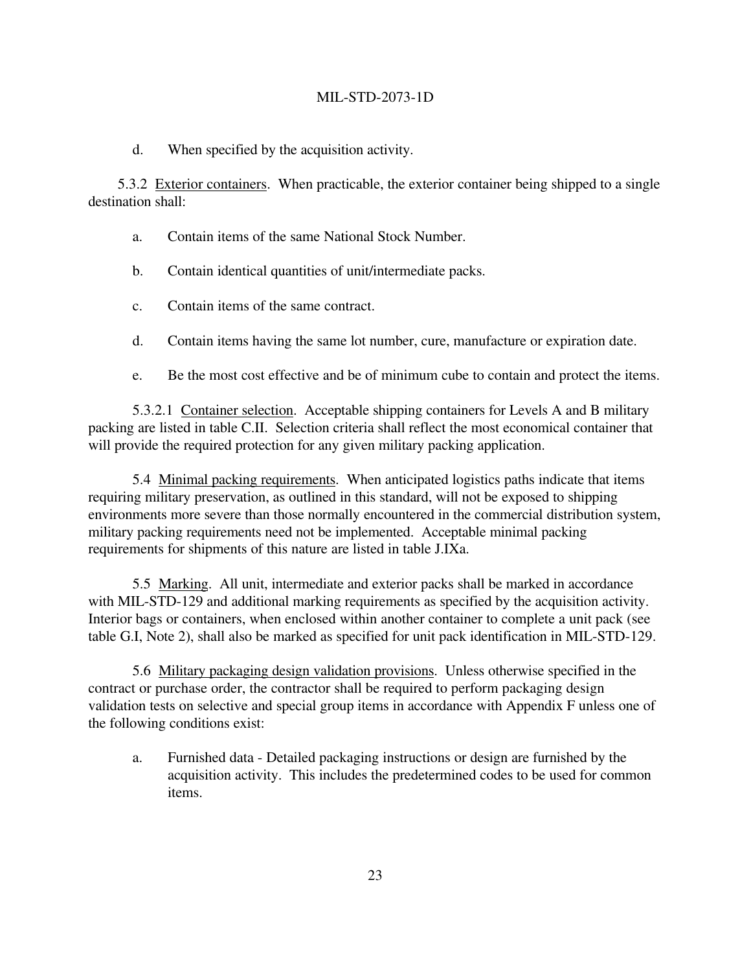d. When specified by the acquisition activity.

5.3.2 Exterior containers. When practicable, the exterior container being shipped to a single destination shall:

- a. Contain items of the same National Stock Number.
- b. Contain identical quantities of unit/intermediate packs.
- c. Contain items of the same contract.
- d. Contain items having the same lot number, cure, manufacture or expiration date.
- e. Be the most cost effective and be of minimum cube to contain and protect the items.

5.3.2.1 Container selection. Acceptable shipping containers for Levels A and B military packing are listed in table C.II. Selection criteria shall reflect the most economical container that will provide the required protection for any given military packing application.

5.4 Minimal packing requirements. When anticipated logistics paths indicate that items requiring military preservation, as outlined in this standard, will not be exposed to shipping environments more severe than those normally encountered in the commercial distribution system, military packing requirements need not be implemented. Acceptable minimal packing requirements for shipments of this nature are listed in table J.IXa.

5.5 Marking. All unit, intermediate and exterior packs shall be marked in accordance with MIL-STD-129 and additional marking requirements as specified by the acquisition activity. Interior bags or containers, when enclosed within another container to complete a unit pack (see table G.I, Note 2), shall also be marked as specified for unit pack identification in MIL-STD-129.

5.6 Military packaging design validation provisions. Unless otherwise specified in the contract or purchase order, the contractor shall be required to perform packaging design validation tests on selective and special group items in accordance with Appendix F unless one of the following conditions exist:

a. Furnished data - Detailed packaging instructions or design are furnished by the acquisition activity. This includes the predetermined codes to be used for common items.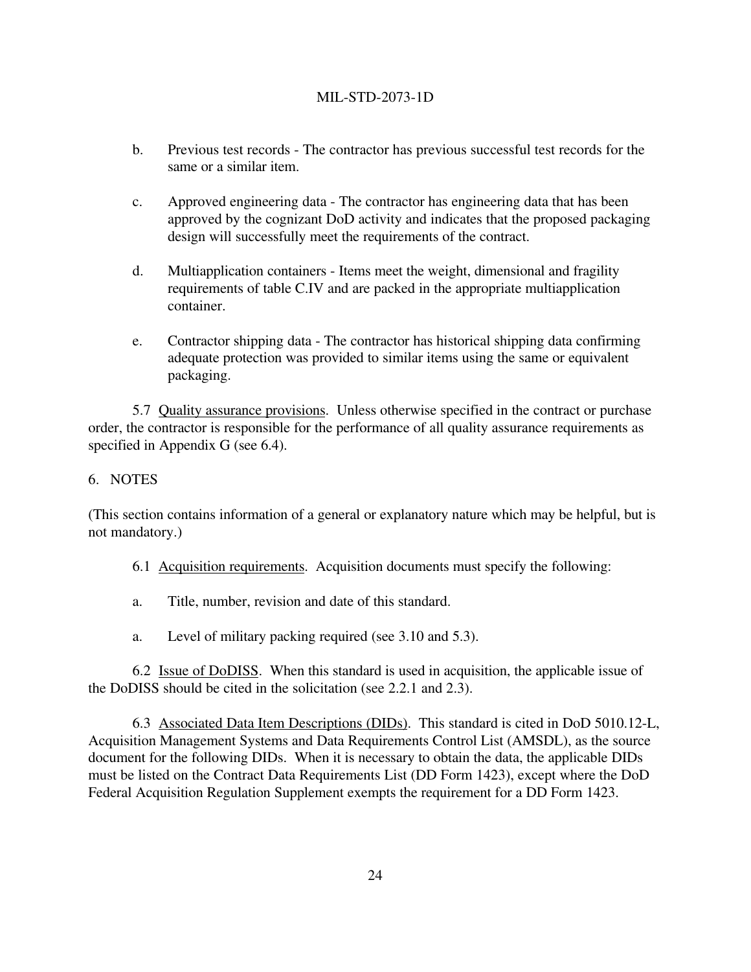- b. Previous test records The contractor has previous successful test records for the same or a similar item.
- c. Approved engineering data The contractor has engineering data that has been approved by the cognizant DoD activity and indicates that the proposed packaging design will successfully meet the requirements of the contract.
- d. Multiapplication containers Items meet the weight, dimensional and fragility requirements of table C.IV and are packed in the appropriate multiapplication container.
- e. Contractor shipping data The contractor has historical shipping data confirming adequate protection was provided to similar items using the same or equivalent packaging.

5.7 Quality assurance provisions. Unless otherwise specified in the contract or purchase order, the contractor is responsible for the performance of all quality assurance requirements as specified in Appendix G (see 6.4).

## 6. NOTES

(This section contains information of a general or explanatory nature which may be helpful, but is not mandatory.)

- 6.1 Acquisition requirements. Acquisition documents must specify the following:
- a. Title, number, revision and date of this standard.
- a. Level of military packing required (see 3.10 and 5.3).

6.2 Issue of DoDISS. When this standard is used in acquisition, the applicable issue of the DoDISS should be cited in the solicitation (see 2.2.1 and 2.3).

6.3 Associated Data Item Descriptions (DIDs). This standard is cited in DoD 5010.12-L, Acquisition Management Systems and Data Requirements Control List (AMSDL), as the source document for the following DIDs. When it is necessary to obtain the data, the applicable DIDs must be listed on the Contract Data Requirements List (DD Form 1423), except where the DoD Federal Acquisition Regulation Supplement exempts the requirement for a DD Form 1423.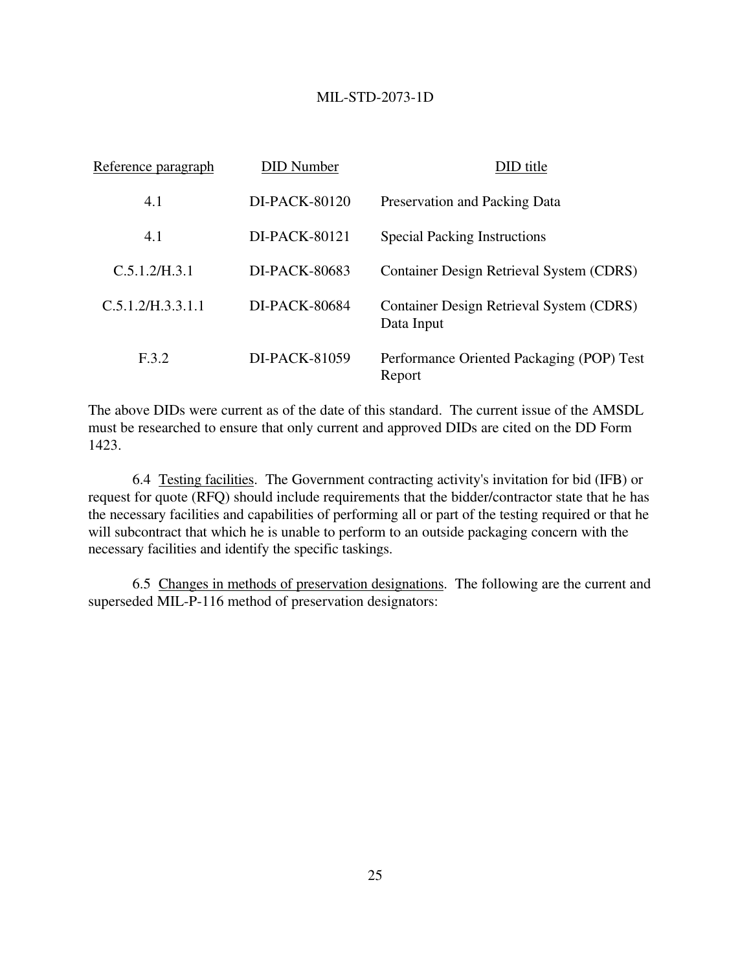| Reference paragraph | <b>DID</b> Number    | DID title                                              |
|---------------------|----------------------|--------------------------------------------------------|
| 4.1                 | <b>DI-PACK-80120</b> | Preservation and Packing Data                          |
| 4.1                 | DI-PACK-80121        | <b>Special Packing Instructions</b>                    |
| C.5.1.2/H.3.1       | DI-PACK-80683        | Container Design Retrieval System (CDRS)               |
| C.5.1.2/H.3.3.1.1   | <b>DI-PACK-80684</b> | Container Design Retrieval System (CDRS)<br>Data Input |
| F.3.2               | DI-PACK-81059        | Performance Oriented Packaging (POP) Test<br>Report    |

The above DIDs were current as of the date of this standard. The current issue of the AMSDL must be researched to ensure that only current and approved DIDs are cited on the DD Form 1423.

6.4 Testing facilities. The Government contracting activity's invitation for bid (IFB) or request for quote (RFQ) should include requirements that the bidder/contractor state that he has the necessary facilities and capabilities of performing all or part of the testing required or that he will subcontract that which he is unable to perform to an outside packaging concern with the necessary facilities and identify the specific taskings.

6.5 Changes in methods of preservation designations. The following are the current and superseded MIL-P-116 method of preservation designators: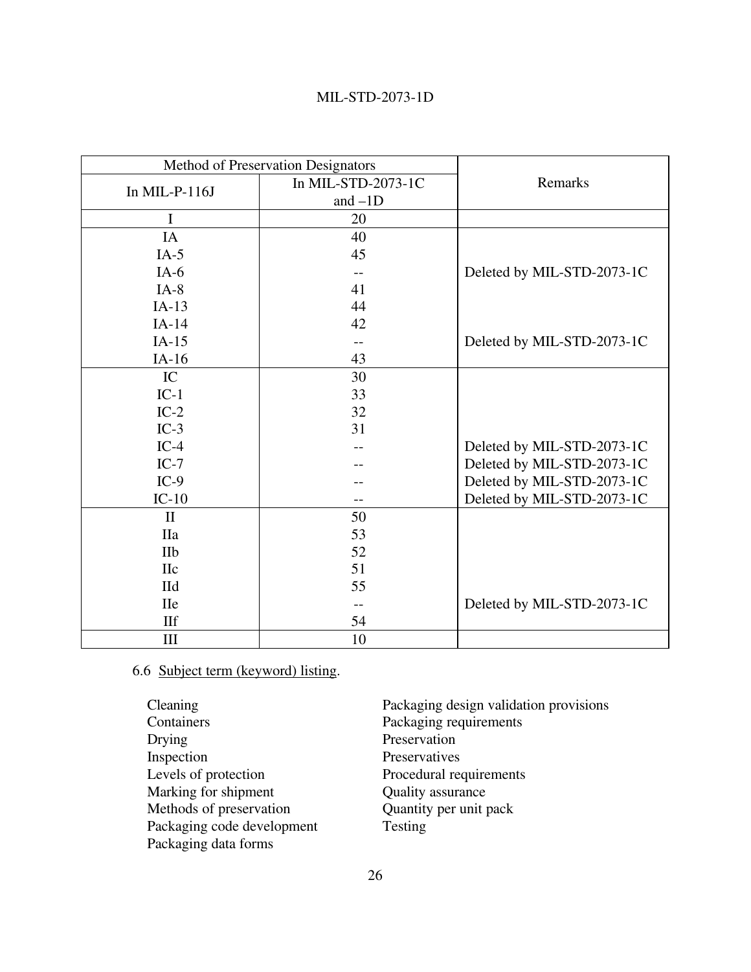| Method of Preservation Designators |                    |                            |
|------------------------------------|--------------------|----------------------------|
|                                    | In MIL-STD-2073-1C | Remarks                    |
| In MIL-P- $116J$                   | and $-1D$          |                            |
| I                                  | 20                 |                            |
| IA                                 | 40                 |                            |
| $IA-5$                             | 45                 |                            |
| $IA-6$                             | $- -$              | Deleted by MIL-STD-2073-1C |
| $IA-8$                             | 41                 |                            |
| $IA-13$                            | 44                 |                            |
| $IA-14$                            | 42                 |                            |
| $IA-15$                            | $-$                | Deleted by MIL-STD-2073-1C |
| $IA-16$                            | 43                 |                            |
| IC                                 | 30                 |                            |
| $IC-1$                             | 33                 |                            |
| $IC-2$                             | 32                 |                            |
| $IC-3$                             | 31                 |                            |
| $IC-4$                             |                    | Deleted by MIL-STD-2073-1C |
| $IC-7$                             |                    | Deleted by MIL-STD-2073-1C |
| $IC-9$                             |                    | Deleted by MIL-STD-2073-1C |
| $IC-10$                            | --                 | Deleted by MIL-STD-2073-1C |
| $\mathbf{I}$                       | 50                 |                            |
| <b>IIa</b>                         | 53                 |                            |
| <b>IIb</b>                         | 52                 |                            |
| <b>IIc</b>                         | 51                 |                            |
| <b>IId</b>                         | 55                 |                            |
| <b>IIe</b>                         |                    | Deleted by MIL-STD-2073-1C |
| <b>IIf</b>                         | 54                 |                            |
| III                                | 10                 |                            |

6.6 Subject term (keyword) listing.

| Cleaning                   |
|----------------------------|
| Containers                 |
| Drying                     |
| Inspection                 |
| Levels of protection       |
| Marking for shipment       |
| Methods of preservation    |
| Packaging code development |
| Packaging data forms       |

Cleaning Packaging design validation provisions Packaging requirements Preservation Preservatives Procedural requirements Quality assurance Quantity per unit pack Testing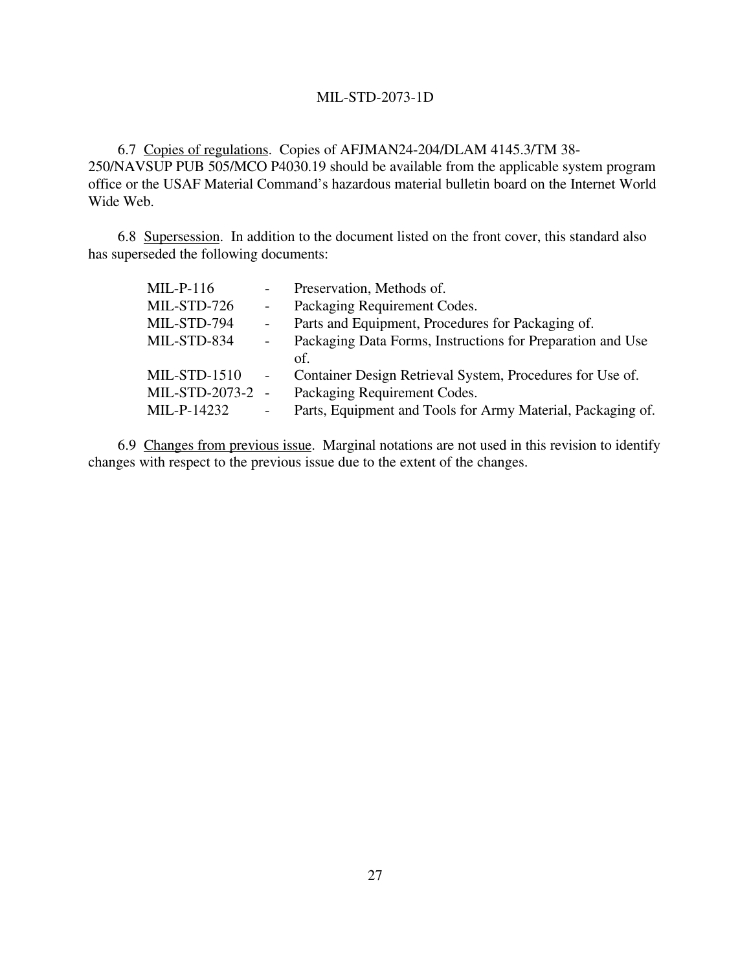6.7 Copies of regulations. Copies of AFJMAN24-204/DLAM 4145.3/TM 38- 250/NAVSUP PUB 505/MCO P4030.19 should be available from the applicable system program office or the USAF Material Command's hazardous material bulletin board on the Internet World Wide Web.

6.8 Supersession. In addition to the document listed on the front cover, this standard also has superseded the following documents:

| $MIL-P-116$         |                          | Preservation, Methods of.                                   |
|---------------------|--------------------------|-------------------------------------------------------------|
| MIL-STD-726         | $\blacksquare$           | Packaging Requirement Codes.                                |
| MIL-STD-794         | $\overline{\phantom{a}}$ | Parts and Equipment, Procedures for Packaging of.           |
| MIL-STD-834         | $\sim$ 10 $\pm$          | Packaging Data Forms, Instructions for Preparation and Use  |
|                     |                          | of.                                                         |
| <b>MIL-STD-1510</b> | $\overline{\phantom{a}}$ | Container Design Retrieval System, Procedures for Use of.   |
| MIL-STD-2073-2      | $\sim$                   | Packaging Requirement Codes.                                |
| MIL-P-14232         | -                        | Parts, Equipment and Tools for Army Material, Packaging of. |
|                     |                          |                                                             |

6.9 Changes from previous issue. Marginal notations are not used in this revision to identify changes with respect to the previous issue due to the extent of the changes.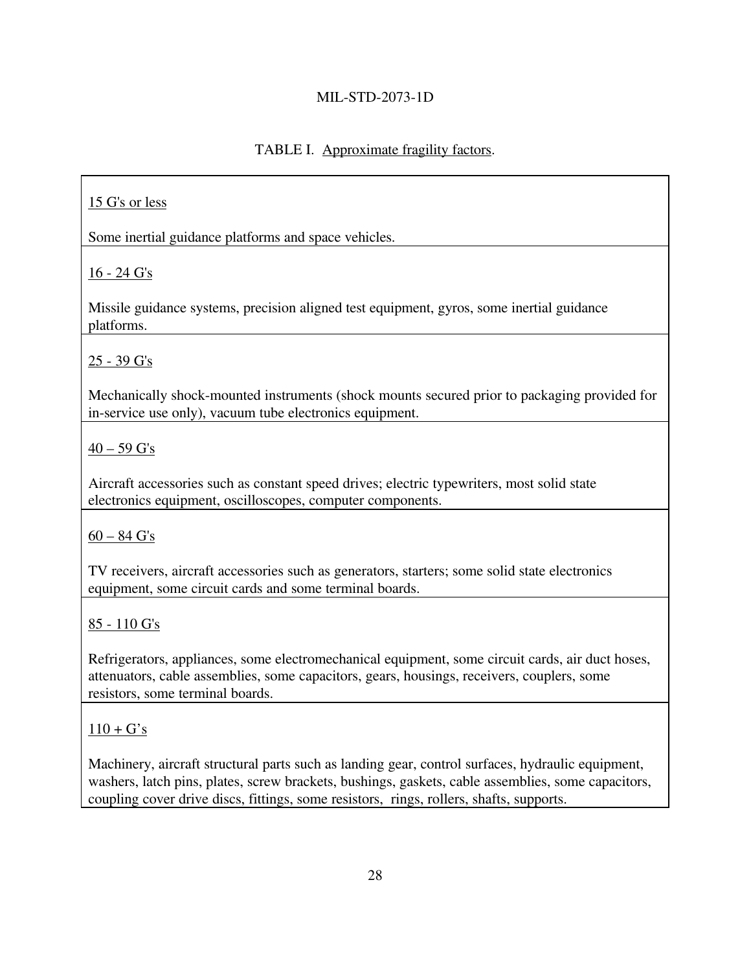## TABLE I. Approximate fragility factors.

## 15 G's or less

Some inertial guidance platforms and space vehicles.

## 16 - 24 G's

Missile guidance systems, precision aligned test equipment, gyros, some inertial guidance platforms.

## 25 - 39 G's

Mechanically shock-mounted instruments (shock mounts secured prior to packaging provided for in-service use only), vacuum tube electronics equipment.

## $40 - 59$  G's

Aircraft accessories such as constant speed drives; electric typewriters, most solid state electronics equipment, oscilloscopes, computer components.

## $60 - 84$  G's

TV receivers, aircraft accessories such as generators, starters; some solid state electronics equipment, some circuit cards and some terminal boards.

# 85 - 110 G's

Refrigerators, appliances, some electromechanical equipment, some circuit cards, air duct hoses, attenuators, cable assemblies, some capacitors, gears, housings, receivers, couplers, some resistors, some terminal boards.

# $110 + G's$

Machinery, aircraft structural parts such as landing gear, control surfaces, hydraulic equipment, washers, latch pins, plates, screw brackets, bushings, gaskets, cable assemblies, some capacitors, coupling cover drive discs, fittings, some resistors, rings, rollers, shafts, supports.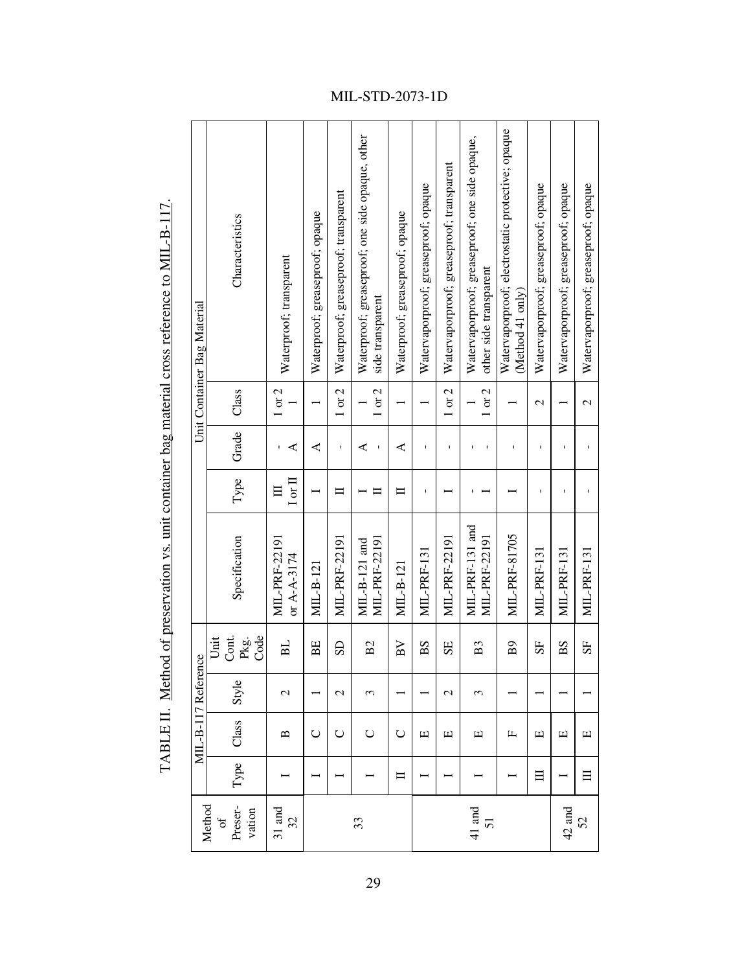| Unit Container Bag Material | Characteristics               | Waterproof; transparent             | Waterproof; greaseproof; opaque | Waterproof; greaseproof; transparent | Waterproof; greaseproof; one side opaque, other<br>side transparent | Waterproof; greaseproof; opaque | Watervaporproof; greaseproof; opaque | Watervaporproof; greaseproof; transparent | Watervaporproof; greaseproof; one side opaque,<br>other side transparent | Watervaporproof; electrostatic protective; opaque<br>(Method 41 only) | Watervaporproof; greaseproof; opaque | Watervaporproof; greaseproof; opaque | Watervaporproof; greaseproof; opaque |
|-----------------------------|-------------------------------|-------------------------------------|---------------------------------|--------------------------------------|---------------------------------------------------------------------|---------------------------------|--------------------------------------|-------------------------------------------|--------------------------------------------------------------------------|-----------------------------------------------------------------------|--------------------------------------|--------------------------------------|--------------------------------------|
|                             | Class                         | 1 or 2                              |                                 | 1 or 2                               | $1$ or $2$                                                          |                                 |                                      | 1 or 2                                    | 1 or 2                                                                   |                                                                       | $\overline{\mathcal{C}}$             |                                      | $\overline{\mathcal{C}}$             |
|                             | Grade                         | ⋖                                   | ⋖                               | Î.                                   | ⋖<br>$\mathbf{I}$                                                   | ⋖                               | ı                                    | f,                                        | ï<br>f,                                                                  | Ţ                                                                     | Ţ                                    | ı                                    |                                      |
|                             | Type                          | $I$ or $II$<br>目                    |                                 | ᄇ                                    | ᄇ                                                                   | ᄇ                               | f,                                   |                                           |                                                                          |                                                                       | f,                                   | $\mathbf{I}$                         |                                      |
|                             | Specification                 | <b>MIL-PRF-22191</b><br>or A-A-3174 | <b>MIL-B-121</b>                | <b>MIL-PRF-22191</b>                 | <b>MIL-PRF-22191</b><br>$MIL-B-121$ and                             | <b>MIL-B-121</b>                | $MIL-PRF-131$                        | <b>MIL-PRF-22191</b>                      | MIL-PRF-131 and<br><b>MIL-PRF-22191</b>                                  | <b>MIL-PRF-81705</b>                                                  | MIL-PRF-131                          | $ML-PRF-131$                         | $ML-PRF-131$                         |
| ec                          | Code<br>Cont.<br>Unit<br>Pkg. | BL                                  | BE                              | $\overline{\text{SD}}$               | B <sub>2</sub>                                                      | $\mathbf{B}$                    | $_{BS}$                              | SE                                        | B <sub>3</sub>                                                           | B <sub>9</sub>                                                        | 5F                                   | $_{BS}$                              | 5F                                   |
|                             | Style                         | $\mathcal{C}$                       |                                 | $\mathcal{L}$                        | 3                                                                   |                                 |                                      | $\mathcal{L}$                             | 3                                                                        |                                                                       |                                      |                                      |                                      |
| MIL-B-117 Referer           | Class                         | ≏                                   | $\cup$                          | $\cup$                               | $\cup$                                                              | $\cup$                          | 凹                                    | щ                                         | Щ                                                                        | щ                                                                     | щ                                    | щ                                    | 凹                                    |
|                             | Type                          |                                     |                                 |                                      |                                                                     | ⊟                               |                                      |                                           |                                                                          |                                                                       | 目                                    | $\overline{}$                        | 目                                    |
| Method                      | Preser-<br>vation<br>đ        | $31$ and<br>32                      |                                 |                                      | 33                                                                  |                                 |                                      |                                           | 41 and<br>51                                                             |                                                                       |                                      | $42$ and                             | 52                                   |

TABLE II. Method of preservation vs. unit container bag material cross reference to MIL-B-117. TABLE II. Method of preservation vs. unit container bag material cross reference to MIL-B-117.

# MIL-STD-2073-1D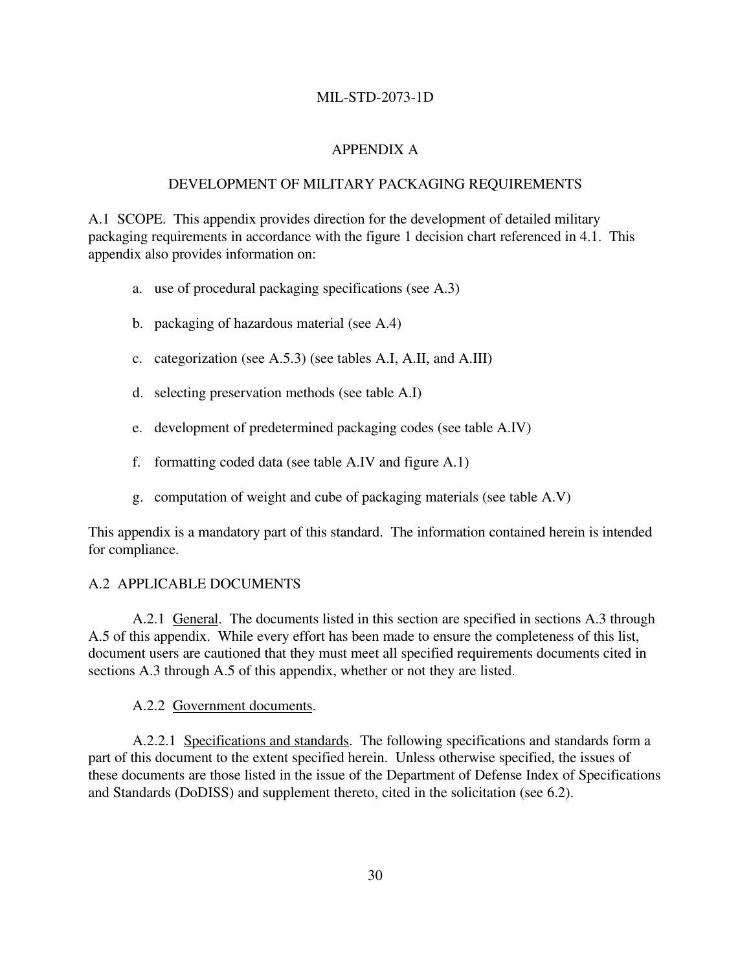#### APPENDIX A

#### DEVELOPMENT OF MILITARY PACKAGING REQUIREMENTS

A.1 SCOPE. This appendix provides direction for the development of detailed military packaging requirements in accordance with the figure 1 decision chart referenced in 4.1. This appendix also provides information on:

- a. use of procedural packaging specifications (see A.3)
- b. packaging of hazardous material (see A.4)
- c. categorization (see A.5.3) (see tables A.I, A.II, and A.III)
- d. selecting preservation methods (see table A.I)
- e. development of predetermined packaging codes (see table A.IV)
- f. formatting coded data (see table A.IV and figure A.1)
- g. computation of weight and cube of packaging materials (see table A.V)

This appendix is a mandatory part of this standard. The information contained herein is intended for compliance.

#### A.2 APPLICABLE DOCUMENTS

A.2.1 General. The documents listed in this section are specified in sections A.3 through A.5 of this appendix. While every effort has been made to ensure the completeness of this list, document users are cautioned that they must meet all specified requirements documents cited in sections A.3 through A.5 of this appendix, whether or not they are listed.

#### A.2.2 Government documents.

A.2.2.1 Specifications and standards. The following specifications and standards form a part of this document to the extent specified herein. Unless otherwise specified, the issues of these documents are those listed in the issue of the Department of Defense Index of Specifications and Standards (DoDISS) and supplement thereto, cited in the solicitation (see 6.2).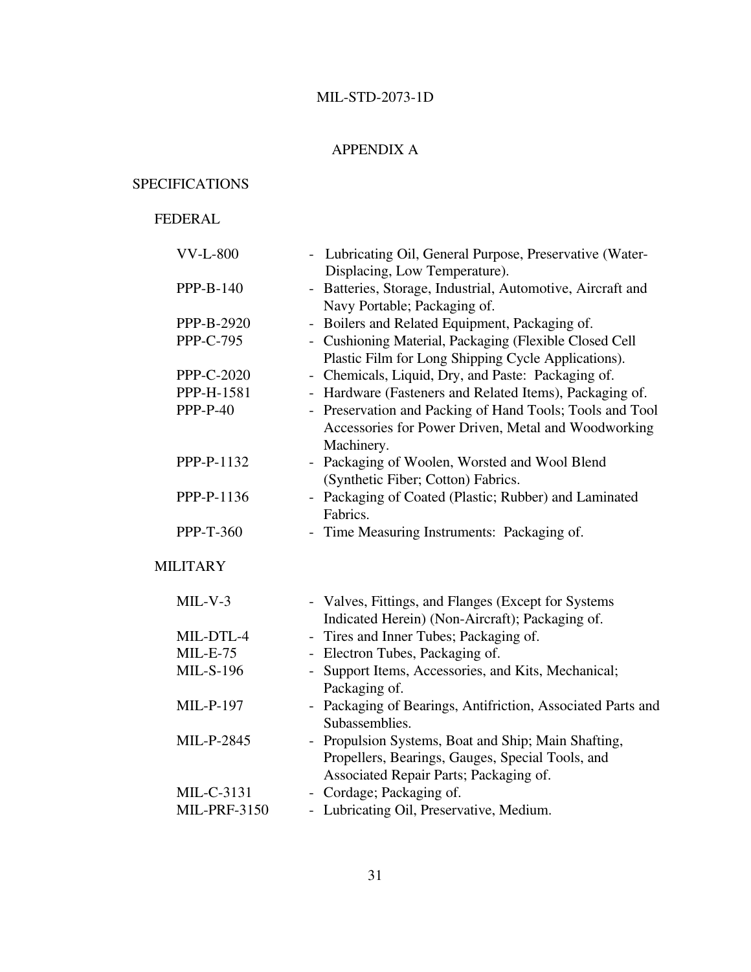# APPENDIX A

## **SPECIFICATIONS**

## FEDERAL

| <b>VV-L-800</b>     | - Lubricating Oil, General Purpose, Preservative (Water-    |
|---------------------|-------------------------------------------------------------|
|                     | Displacing, Low Temperature).                               |
| PPP-B-140           | - Batteries, Storage, Industrial, Automotive, Aircraft and  |
|                     | Navy Portable; Packaging of.                                |
| PPP-B-2920          | - Boilers and Related Equipment, Packaging of.              |
| <b>PPP-C-795</b>    | - Cushioning Material, Packaging (Flexible Closed Cell      |
|                     | Plastic Film for Long Shipping Cycle Applications).         |
| <b>PPP-C-2020</b>   | - Chemicals, Liquid, Dry, and Paste: Packaging of.          |
| PPP-H-1581          | - Hardware (Fasteners and Related Items), Packaging of.     |
| $PPP-P-40$          | - Preservation and Packing of Hand Tools; Tools and Tool    |
|                     | Accessories for Power Driven, Metal and Woodworking         |
|                     | Machinery.                                                  |
| PPP-P-1132          | - Packaging of Woolen, Worsted and Wool Blend               |
|                     | (Synthetic Fiber; Cotton) Fabrics.                          |
| PPP-P-1136          | - Packaging of Coated (Plastic; Rubber) and Laminated       |
|                     | Fabrics.                                                    |
| <b>PPP-T-360</b>    | - Time Measuring Instruments: Packaging of.                 |
|                     |                                                             |
| <b>MILITARY</b>     |                                                             |
|                     |                                                             |
| $MIL-V-3$           | - Valves, Fittings, and Flanges (Except for Systems         |
|                     | Indicated Herein) (Non-Aircraft); Packaging of.             |
| MIL-DTL-4           | - Tires and Inner Tubes; Packaging of.                      |
| $MIL-E-75$          | - Electron Tubes, Packaging of.                             |
| <b>MIL-S-196</b>    | - Support Items, Accessories, and Kits, Mechanical;         |
|                     | Packaging of.                                               |
| MIL-P-197           | - Packaging of Bearings, Antifriction, Associated Parts and |
|                     | Subassemblies.                                              |
| MIL-P-2845          | - Propulsion Systems, Boat and Ship; Main Shafting,         |
|                     | Propellers, Bearings, Gauges, Special Tools, and            |
|                     | Associated Repair Parts; Packaging of.                      |
| MIL-C-3131          | - Cordage; Packaging of.                                    |
| <b>MIL-PRF-3150</b> | - Lubricating Oil, Preservative, Medium.                    |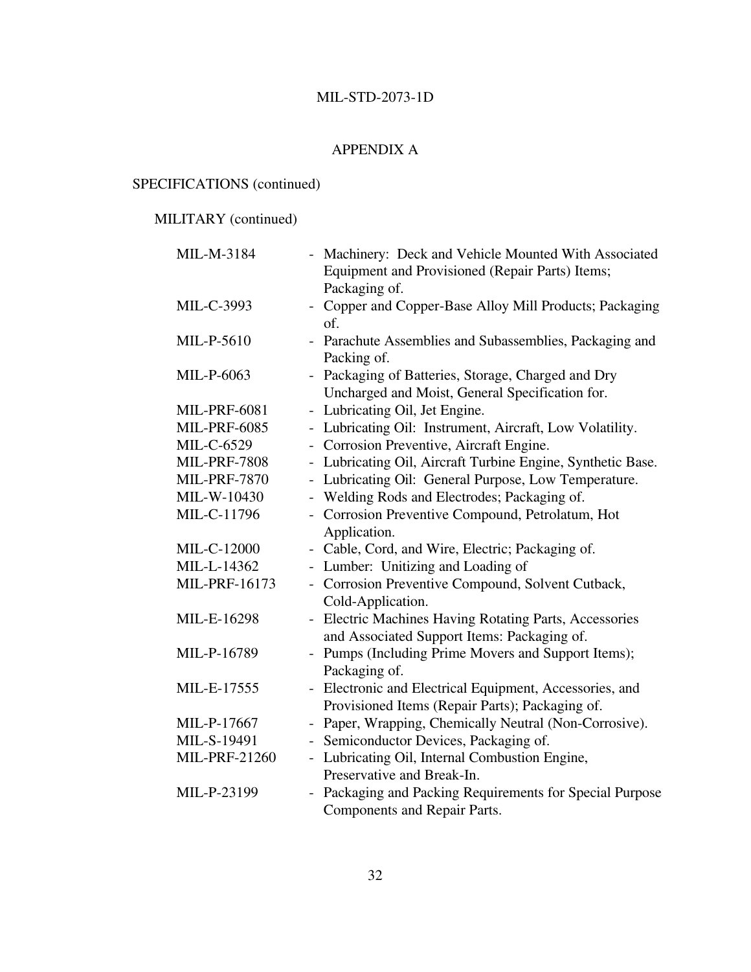## APPENDIX A

# SPECIFICATIONS (continued)

# MILITARY (continued)

| MIL-M-3184          | - Machinery: Deck and Vehicle Mounted With Associated                                  |
|---------------------|----------------------------------------------------------------------------------------|
|                     | Equipment and Provisioned (Repair Parts) Items;                                        |
|                     | Packaging of.                                                                          |
| MIL-C-3993          | Copper and Copper-Base Alloy Mill Products; Packaging                                  |
|                     | of.                                                                                    |
| MIL-P-5610          | - Parachute Assemblies and Subassemblies, Packaging and                                |
|                     | Packing of.                                                                            |
| MIL-P-6063          | - Packaging of Batteries, Storage, Charged and Dry                                     |
|                     | Uncharged and Moist, General Specification for.                                        |
| <b>MIL-PRF-6081</b> | - Lubricating Oil, Jet Engine.                                                         |
| <b>MIL-PRF-6085</b> | - Lubricating Oil: Instrument, Aircraft, Low Volatility.                               |
| MIL-C-6529          | - Corrosion Preventive, Aircraft Engine.                                               |
| <b>MIL-PRF-7808</b> | Lubricating Oil, Aircraft Turbine Engine, Synthetic Base.<br>$\mathbb{L}^{\mathbb{N}}$ |
| <b>MIL-PRF-7870</b> | Lubricating Oil: General Purpose, Low Temperature.<br>$\equiv$                         |
| MIL-W-10430         | - Welding Rods and Electrodes; Packaging of.                                           |
| MIL-C-11796         | - Corrosion Preventive Compound, Petrolatum, Hot                                       |
|                     | Application.                                                                           |
| MIL-C-12000         | - Cable, Cord, and Wire, Electric; Packaging of.                                       |
| MIL-L-14362         | - Lumber: Unitizing and Loading of                                                     |
| MIL-PRF-16173       | - Corrosion Preventive Compound, Solvent Cutback,                                      |
|                     | Cold-Application.                                                                      |
| MIL-E-16298         | Electric Machines Having Rotating Parts, Accessories                                   |
|                     | and Associated Support Items: Packaging of.                                            |
| MIL-P-16789         | Pumps (Including Prime Movers and Support Items);                                      |
|                     | Packaging of.                                                                          |
| MIL-E-17555         | - Electronic and Electrical Equipment, Accessories, and                                |
|                     | Provisioned Items (Repair Parts); Packaging of.                                        |
| MIL-P-17667         | Paper, Wrapping, Chemically Neutral (Non-Corrosive).                                   |
| MIL-S-19491         | Semiconductor Devices, Packaging of.                                                   |
| MIL-PRF-21260       | - Lubricating Oil, Internal Combustion Engine,                                         |
|                     | Preservative and Break-In.                                                             |
| MIL-P-23199         | Packaging and Packing Requirements for Special Purpose                                 |
|                     | Components and Repair Parts.                                                           |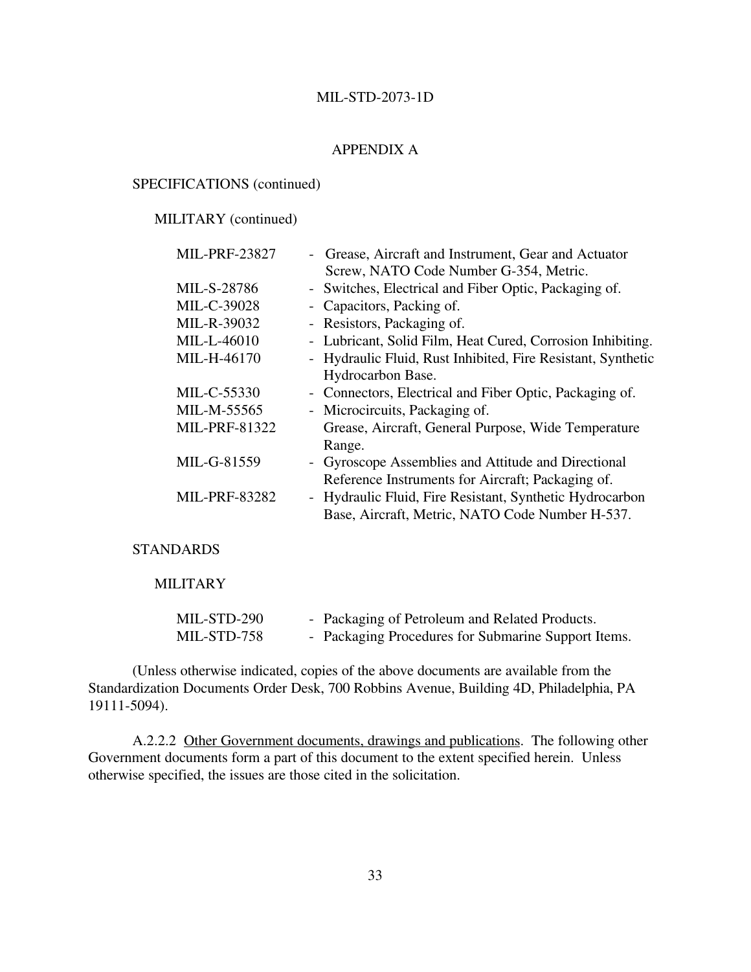#### APPENDIX A

#### SPECIFICATIONS (continued)

#### MILITARY (continued)

| <b>MIL-PRF-23827</b> | - Grease, Aircraft and Instrument, Gear and Actuator         |
|----------------------|--------------------------------------------------------------|
|                      | Screw, NATO Code Number G-354, Metric.                       |
| MIL-S-28786          | - Switches, Electrical and Fiber Optic, Packaging of.        |
| MIL-C-39028          | Capacitors, Packing of.<br>$\pm$                             |
| MIL-R-39032          | - Resistors, Packaging of.                                   |
| MIL-L-46010          | - Lubricant, Solid Film, Heat Cured, Corrosion Inhibiting.   |
| MIL-H-46170          | - Hydraulic Fluid, Rust Inhibited, Fire Resistant, Synthetic |
|                      | Hydrocarbon Base.                                            |
| MIL-C-55330          | - Connectors, Electrical and Fiber Optic, Packaging of.      |
| MIL-M-55565          | - Microcircuits, Packaging of.                               |
| MIL-PRF-81322        | Grease, Aircraft, General Purpose, Wide Temperature          |
|                      | Range.                                                       |
| MIL-G-81559          | - Gyroscope Assemblies and Attitude and Directional          |
|                      | Reference Instruments for Aircraft; Packaging of.            |
| <b>MIL-PRF-83282</b> | - Hydraulic Fluid, Fire Resistant, Synthetic Hydrocarbon     |
|                      | Base, Aircraft, Metric, NATO Code Number H-537.              |
|                      |                                                              |

## STANDARDS

#### **MILITARY**

| MIL-STD-290 | - Packaging of Petroleum and Related Products.      |
|-------------|-----------------------------------------------------|
| MIL-STD-758 | - Packaging Procedures for Submarine Support Items. |

(Unless otherwise indicated, copies of the above documents are available from the Standardization Documents Order Desk, 700 Robbins Avenue, Building 4D, Philadelphia, PA 19111-5094).

A.2.2.2 Other Government documents, drawings and publications. The following other Government documents form a part of this document to the extent specified herein. Unless otherwise specified, the issues are those cited in the solicitation.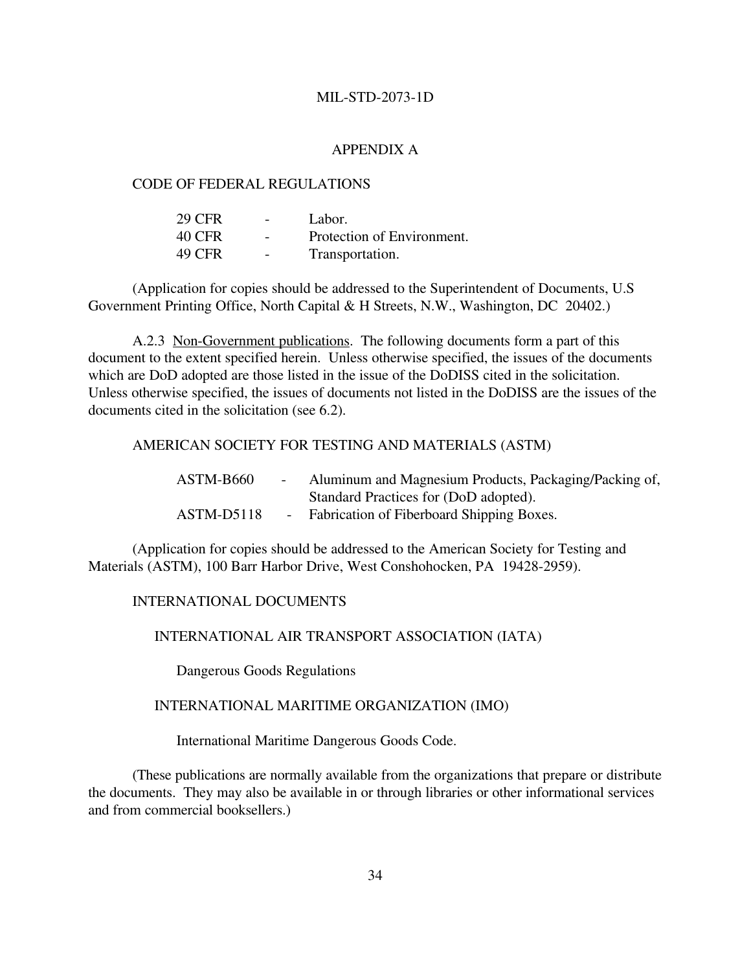#### APPENDIX A

#### CODE OF FEDERAL REGULATIONS

| <b>29 CFR</b> | $\overline{\phantom{a}}$ | Labor.                     |
|---------------|--------------------------|----------------------------|
| 40 CFR        | $\overline{\phantom{a}}$ | Protection of Environment. |
| 49 CFR        | $\overline{\phantom{0}}$ | Transportation.            |

(Application for copies should be addressed to the Superintendent of Documents, U.S Government Printing Office, North Capital & H Streets, N.W., Washington, DC 20402.)

A.2.3 Non-Government publications. The following documents form a part of this document to the extent specified herein. Unless otherwise specified, the issues of the documents which are DoD adopted are those listed in the issue of the DoDISS cited in the solicitation. Unless otherwise specified, the issues of documents not listed in the DoDISS are the issues of the documents cited in the solicitation (see 6.2).

#### AMERICAN SOCIETY FOR TESTING AND MATERIALS (ASTM)

| ASTM-B660    | Aluminum and Magnesium Products, Packaging/Packing of, |
|--------------|--------------------------------------------------------|
|              | Standard Practices for (DoD adopted).                  |
| $ASTM-D5118$ | - Fabrication of Fiberboard Shipping Boxes.            |

(Application for copies should be addressed to the American Society for Testing and Materials (ASTM), 100 Barr Harbor Drive, West Conshohocken, PA 19428-2959).

#### INTERNATIONAL DOCUMENTS

#### INTERNATIONAL AIR TRANSPORT ASSOCIATION (IATA)

Dangerous Goods Regulations

#### INTERNATIONAL MARITIME ORGANIZATION (IMO)

International Maritime Dangerous Goods Code.

(These publications are normally available from the organizations that prepare or distribute the documents. They may also be available in or through libraries or other informational services and from commercial booksellers.)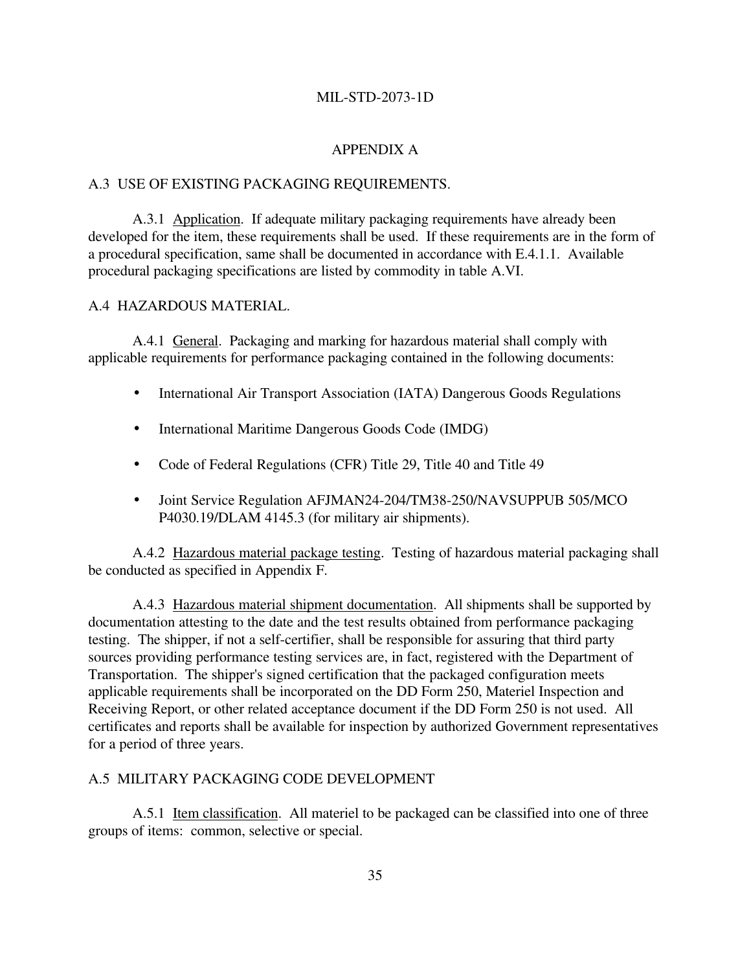#### APPENDIX A

#### A.3 USE OF EXISTING PACKAGING REQUIREMENTS.

A.3.1 Application. If adequate military packaging requirements have already been developed for the item, these requirements shall be used. If these requirements are in the form of a procedural specification, same shall be documented in accordance with E.4.1.1. Available procedural packaging specifications are listed by commodity in table A.VI.

#### A.4 HAZARDOUS MATERIAL.

A.4.1 General. Packaging and marking for hazardous material shall comply with applicable requirements for performance packaging contained in the following documents:

- International Air Transport Association (IATA) Dangerous Goods Regulations
- International Maritime Dangerous Goods Code (IMDG)
- Code of Federal Regulations (CFR) Title 29, Title 40 and Title 49
- Joint Service Regulation AFJMAN24-204/TM38-250/NAVSUPPUB 505/MCO P4030.19/DLAM 4145.3 (for military air shipments).

A.4.2 Hazardous material package testing. Testing of hazardous material packaging shall be conducted as specified in Appendix F.

A.4.3 Hazardous material shipment documentation. All shipments shall be supported by documentation attesting to the date and the test results obtained from performance packaging testing. The shipper, if not a self-certifier, shall be responsible for assuring that third party sources providing performance testing services are, in fact, registered with the Department of Transportation. The shipper's signed certification that the packaged configuration meets applicable requirements shall be incorporated on the DD Form 250, Materiel Inspection and Receiving Report, or other related acceptance document if the DD Form 250 is not used. All certificates and reports shall be available for inspection by authorized Government representatives for a period of three years.

#### A.5 MILITARY PACKAGING CODE DEVELOPMENT

A.5.1 Item classification. All materiel to be packaged can be classified into one of three groups of items: common, selective or special.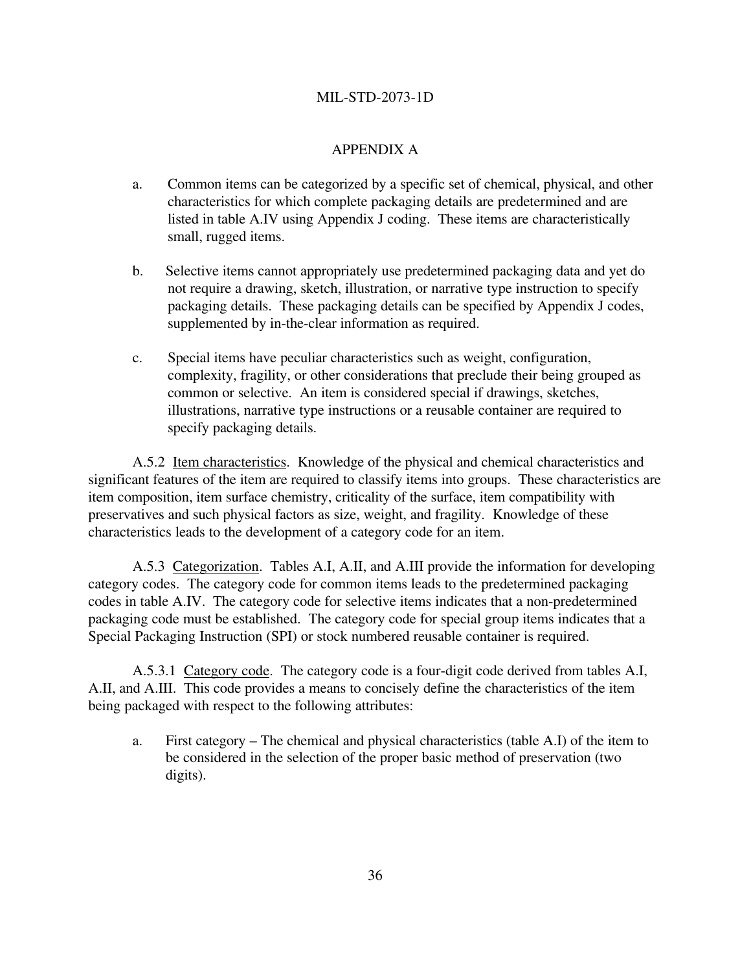## APPENDIX A

- a. Common items can be categorized by a specific set of chemical, physical, and other characteristics for which complete packaging details are predetermined and are listed in table A.IV using Appendix J coding. These items are characteristically small, rugged items.
- b. Selective items cannot appropriately use predetermined packaging data and yet do not require a drawing, sketch, illustration, or narrative type instruction to specify packaging details. These packaging details can be specified by Appendix J codes, supplemented by in-the-clear information as required.
- c. Special items have peculiar characteristics such as weight, configuration, complexity, fragility, or other considerations that preclude their being grouped as common or selective. An item is considered special if drawings, sketches, illustrations, narrative type instructions or a reusable container are required to specify packaging details.

A.5.2 Item characteristics. Knowledge of the physical and chemical characteristics and significant features of the item are required to classify items into groups. These characteristics are item composition, item surface chemistry, criticality of the surface, item compatibility with preservatives and such physical factors as size, weight, and fragility. Knowledge of these characteristics leads to the development of a category code for an item.

A.5.3 Categorization. Tables A.I, A.II, and A.III provide the information for developing category codes. The category code for common items leads to the predetermined packaging codes in table A.IV. The category code for selective items indicates that a non-predetermined packaging code must be established. The category code for special group items indicates that a Special Packaging Instruction (SPI) or stock numbered reusable container is required.

A.5.3.1 Category code. The category code is a four-digit code derived from tables A.I, A.II, and A.III. This code provides a means to concisely define the characteristics of the item being packaged with respect to the following attributes:

a. First category – The chemical and physical characteristics (table A.I) of the item to be considered in the selection of the proper basic method of preservation (two digits).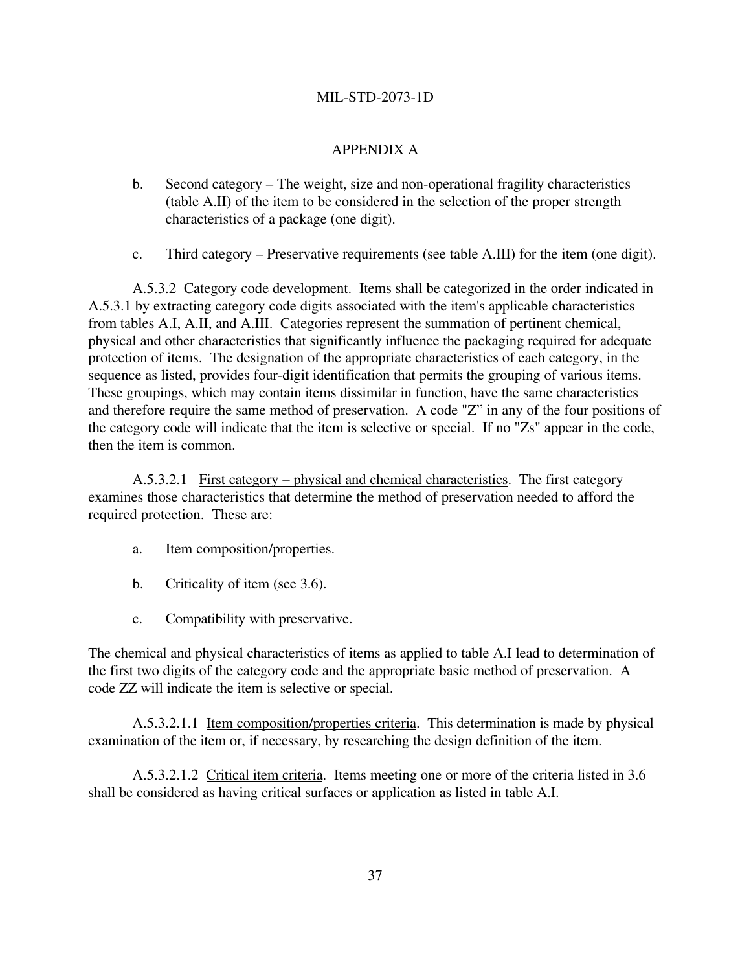#### APPENDIX A

- b. Second category The weight, size and non-operational fragility characteristics (table A.II) of the item to be considered in the selection of the proper strength characteristics of a package (one digit).
- c. Third category Preservative requirements (see table A.III) for the item (one digit).

A.5.3.2 Category code development. Items shall be categorized in the order indicated in A.5.3.1 by extracting category code digits associated with the item's applicable characteristics from tables A.I, A.II, and A.III. Categories represent the summation of pertinent chemical, physical and other characteristics that significantly influence the packaging required for adequate protection of items. The designation of the appropriate characteristics of each category, in the sequence as listed, provides four-digit identification that permits the grouping of various items. These groupings, which may contain items dissimilar in function, have the same characteristics and therefore require the same method of preservation. A code "Z" in any of the four positions of the category code will indicate that the item is selective or special. If no "Zs" appear in the code, then the item is common.

A.5.3.2.1 First category – physical and chemical characteristics. The first category examines those characteristics that determine the method of preservation needed to afford the required protection. These are:

- a. Item composition/properties.
- b. Criticality of item (see 3.6).
- c. Compatibility with preservative.

The chemical and physical characteristics of items as applied to table A.I lead to determination of the first two digits of the category code and the appropriate basic method of preservation. A code ZZ will indicate the item is selective or special.

A.5.3.2.1.1 Item composition/properties criteria. This determination is made by physical examination of the item or, if necessary, by researching the design definition of the item.

A.5.3.2.1.2 Critical item criteria. Items meeting one or more of the criteria listed in 3.6 shall be considered as having critical surfaces or application as listed in table A.I.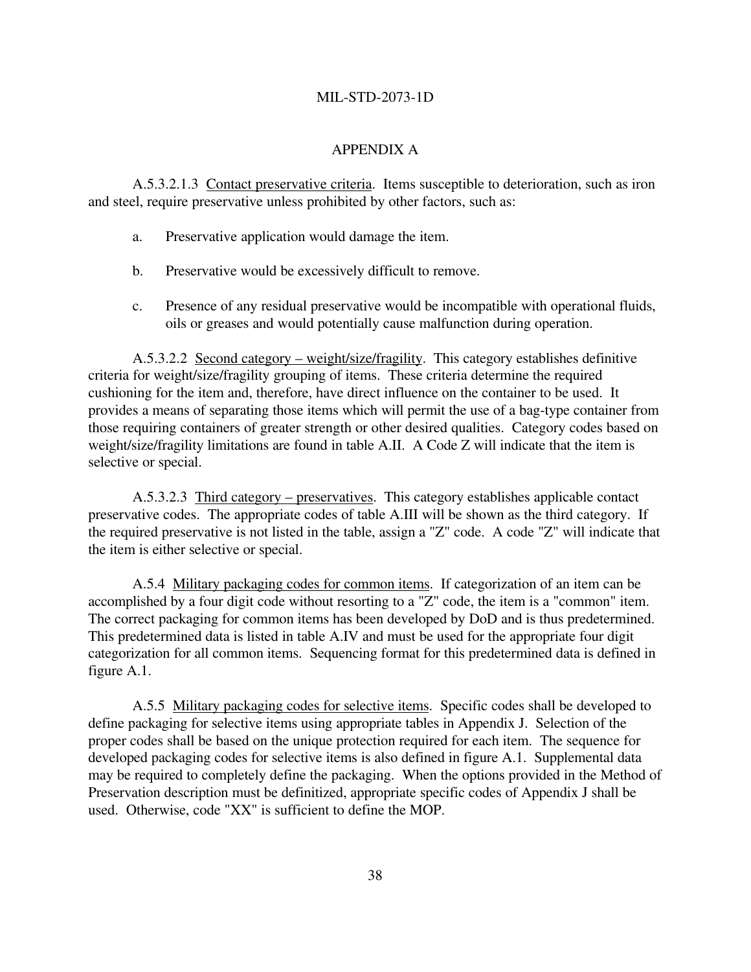#### APPENDIX A

A.5.3.2.1.3 Contact preservative criteria. Items susceptible to deterioration, such as iron and steel, require preservative unless prohibited by other factors, such as:

- a. Preservative application would damage the item.
- b. Preservative would be excessively difficult to remove.
- c. Presence of any residual preservative would be incompatible with operational fluids, oils or greases and would potentially cause malfunction during operation.

A.5.3.2.2 Second category – weight/size/fragility. This category establishes definitive criteria for weight/size/fragility grouping of items. These criteria determine the required cushioning for the item and, therefore, have direct influence on the container to be used. It provides a means of separating those items which will permit the use of a bag-type container from those requiring containers of greater strength or other desired qualities. Category codes based on weight/size/fragility limitations are found in table A.II. A Code Z will indicate that the item is selective or special.

A.5.3.2.3 Third category – preservatives. This category establishes applicable contact preservative codes. The appropriate codes of table A.III will be shown as the third category. If the required preservative is not listed in the table, assign a "Z" code. A code "Z" will indicate that the item is either selective or special.

A.5.4 Military packaging codes for common items. If categorization of an item can be accomplished by a four digit code without resorting to a "Z" code, the item is a "common" item. The correct packaging for common items has been developed by DoD and is thus predetermined. This predetermined data is listed in table A.IV and must be used for the appropriate four digit categorization for all common items. Sequencing format for this predetermined data is defined in figure A.1.

A.5.5 Military packaging codes for selective items. Specific codes shall be developed to define packaging for selective items using appropriate tables in Appendix J. Selection of the proper codes shall be based on the unique protection required for each item. The sequence for developed packaging codes for selective items is also defined in figure A.1. Supplemental data may be required to completely define the packaging. When the options provided in the Method of Preservation description must be definitized, appropriate specific codes of Appendix J shall be used. Otherwise, code "XX" is sufficient to define the MOP.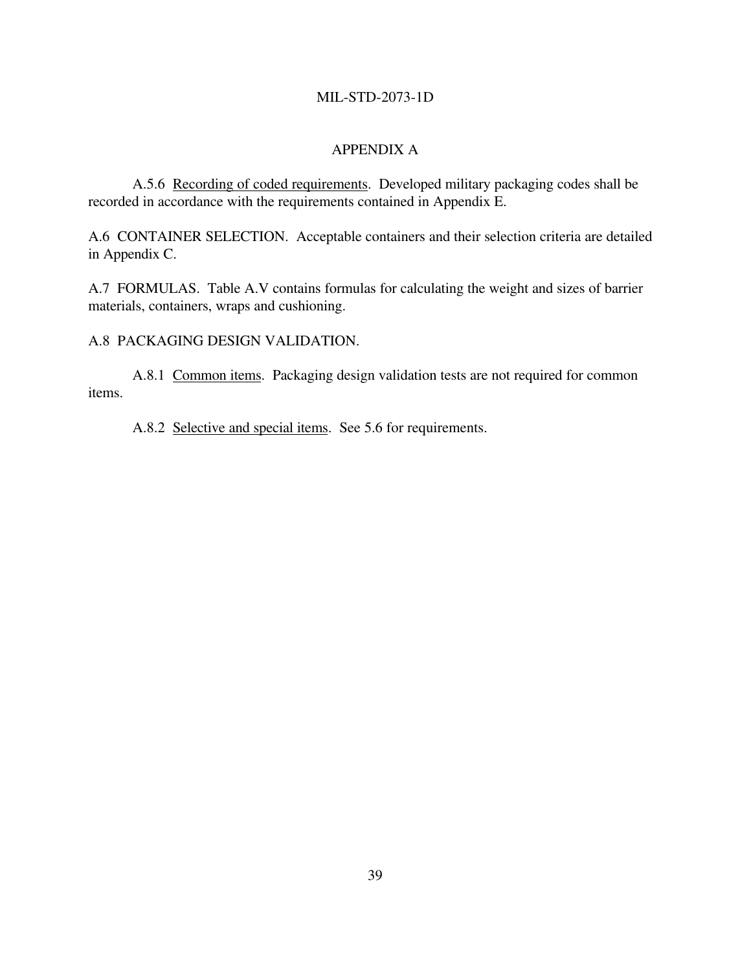#### APPENDIX A

A.5.6 Recording of coded requirements. Developed military packaging codes shall be recorded in accordance with the requirements contained in Appendix E.

A.6 CONTAINER SELECTION. Acceptable containers and their selection criteria are detailed in Appendix C.

A.7 FORMULAS. Table A.V contains formulas for calculating the weight and sizes of barrier materials, containers, wraps and cushioning.

#### A.8 PACKAGING DESIGN VALIDATION.

A.8.1 Common items. Packaging design validation tests are not required for common items.

A.8.2 Selective and special items. See 5.6 for requirements.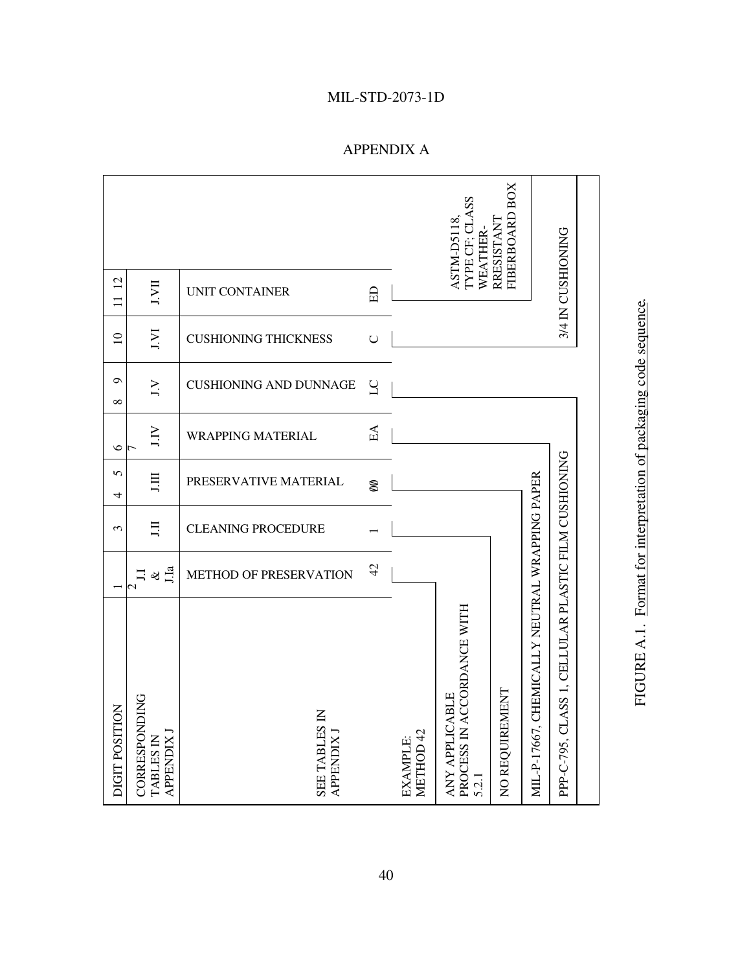

# FIGURE A.1. Format for interpretation of packaging code sequence. FIGURE A.1. Format for interpretation of packaging code sequence.

## MIL-STD-2073-1D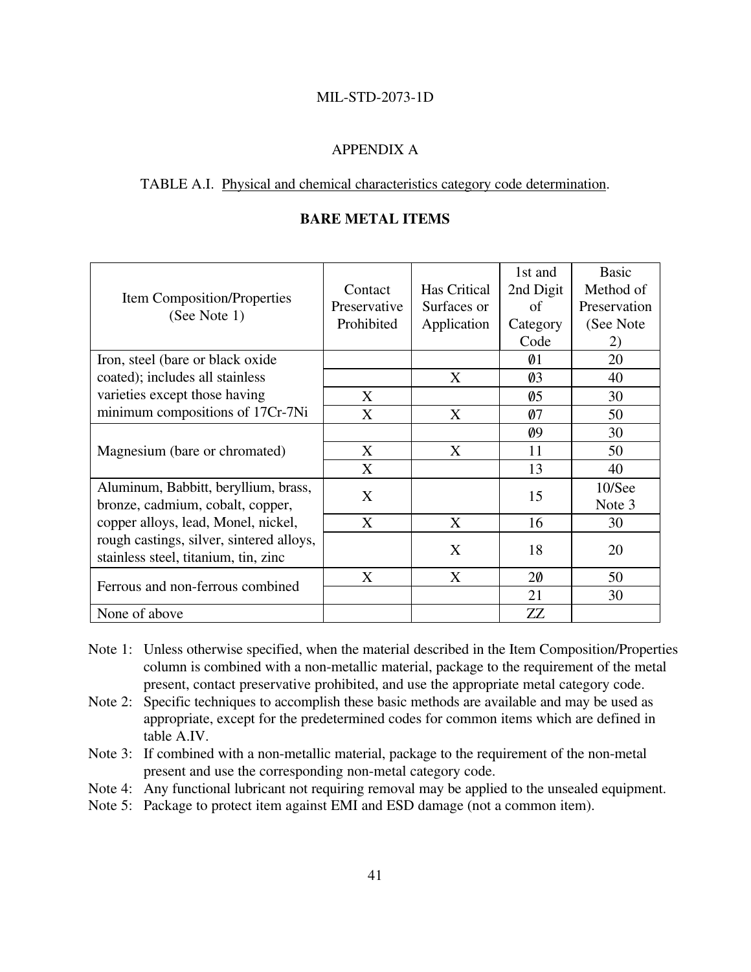#### APPENDIX A

#### TABLE A.I. Physical and chemical characteristics category code determination.

## **BARE METAL ITEMS**

|                                                    |              |              | 1st and         | <b>Basic</b> |
|----------------------------------------------------|--------------|--------------|-----------------|--------------|
|                                                    | Contact      | Has Critical | 2nd Digit       | Method of    |
| <b>Item Composition/Properties</b><br>(See Note 1) | Preservative | Surfaces or  | of              | Preservation |
|                                                    | Prohibited   | Application  | Category        | (See Note    |
|                                                    |              |              | Code            | 2)           |
| Iron, steel (bare or black oxide)                  |              |              | 01              | 20           |
| coated); includes all stainless                    |              | X            | $\varnothing$ 3 | 40           |
| varieties except those having                      | X            |              | $\varnothing$ 5 | 30           |
| minimum compositions of 17Cr-7Ni                   | X            | X            | Ø7              | 50           |
|                                                    |              |              | 09              | 30           |
| Magnesium (bare or chromated)                      | X            | X            | 11              | 50           |
|                                                    | X            |              | 13              | 40           |
| Aluminum, Babbitt, beryllium, brass,               | X            |              |                 | 10/See       |
| bronze, cadmium, cobalt, copper,                   |              |              | 15              | Note 3       |
| copper alloys, lead, Monel, nickel,                | X            | X            | 16              | 30           |
| rough castings, silver, sintered alloys,           |              |              |                 |              |
| stainless steel, titanium, tin, zinc               |              | X            | 18              | 20           |
|                                                    | X            | X            | 20              | 50           |
| Ferrous and non-ferrous combined                   |              |              | 21              | 30           |
| None of above                                      |              |              | ZZ              |              |

- Note 1: Unless otherwise specified, when the material described in the Item Composition/Properties column is combined with a non-metallic material, package to the requirement of the metal present, contact preservative prohibited, and use the appropriate metal category code.
- Note 2: Specific techniques to accomplish these basic methods are available and may be used as appropriate, except for the predetermined codes for common items which are defined in table A.IV.
- Note 3: If combined with a non-metallic material, package to the requirement of the non-metal present and use the corresponding non-metal category code.
- Note 4: Any functional lubricant not requiring removal may be applied to the unsealed equipment.
- Note 5: Package to protect item against EMI and ESD damage (not a common item).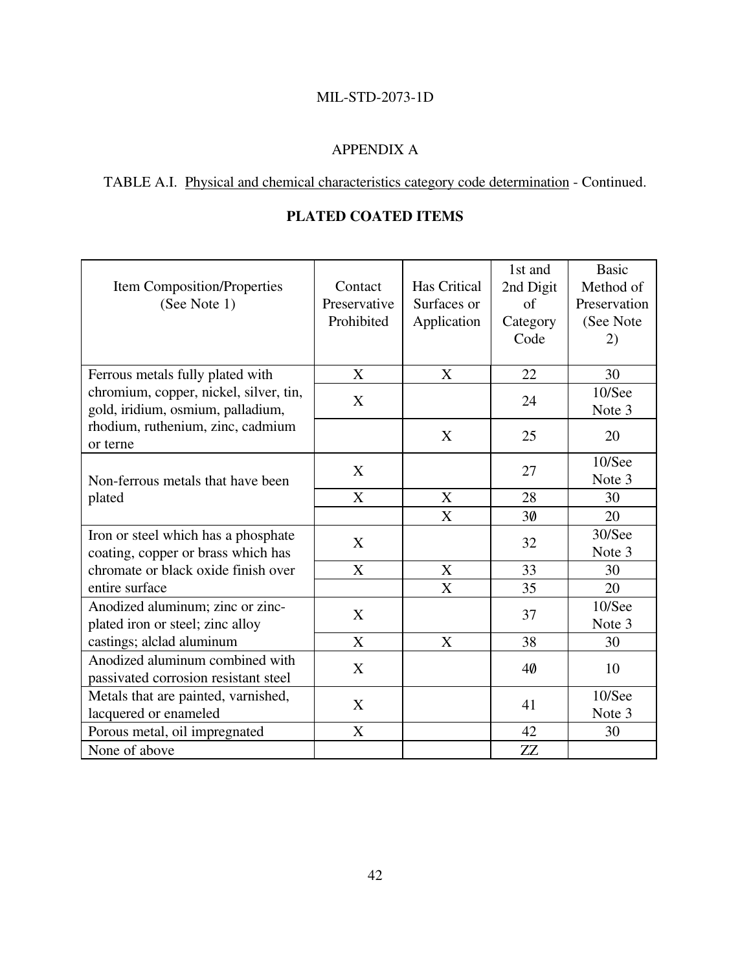## APPENDIX A

## TABLE A.I. Physical and chemical characteristics category code determination - Continued.

# **PLATED COATED ITEMS**

| <b>Item Composition/Properties</b><br>(See Note 1)                          | Contact<br>Preservative<br>Prohibited | Has Critical<br>Surfaces or<br>Application | 1st and<br>2nd Digit<br>of<br>Category<br>Code | <b>Basic</b><br>Method of<br>Preservation<br>(See Note<br>2) |
|-----------------------------------------------------------------------------|---------------------------------------|--------------------------------------------|------------------------------------------------|--------------------------------------------------------------|
| Ferrous metals fully plated with                                            | X                                     | X                                          | 22                                             | 30                                                           |
| chromium, copper, nickel, silver, tin,<br>gold, iridium, osmium, palladium, | X                                     |                                            | 24                                             | 10/See<br>Note 3                                             |
| rhodium, ruthenium, zinc, cadmium<br>or terne                               |                                       | X                                          | 25                                             | 20                                                           |
| Non-ferrous metals that have been<br>plated                                 | X                                     |                                            | 27                                             | 10/See<br>Note 3                                             |
|                                                                             | X                                     | X                                          | 28                                             | 30                                                           |
|                                                                             |                                       | X                                          | 30                                             | 20                                                           |
| Iron or steel which has a phosphate<br>coating, copper or brass which has   | X                                     |                                            | 32                                             | 30/See<br>Note 3                                             |
| chromate or black oxide finish over                                         | X                                     | $\boldsymbol{X}$                           | 33                                             | 30                                                           |
| entire surface                                                              |                                       | X                                          | 35                                             | 20                                                           |
| Anodized aluminum; zinc or zinc-<br>plated iron or steel; zinc alloy        | X                                     |                                            | 37                                             | 10/See<br>Note 3                                             |
| castings; alclad aluminum                                                   | X                                     | X                                          | 38                                             | 30                                                           |
| Anodized aluminum combined with<br>passivated corrosion resistant steel     | X                                     |                                            | 40                                             | 10                                                           |
| Metals that are painted, varnished,<br>lacquered or enameled                | X                                     |                                            | 41                                             | 10/See<br>Note 3                                             |
| Porous metal, oil impregnated                                               | X                                     |                                            | 42                                             | 30                                                           |
| None of above                                                               |                                       |                                            | ZZ                                             |                                                              |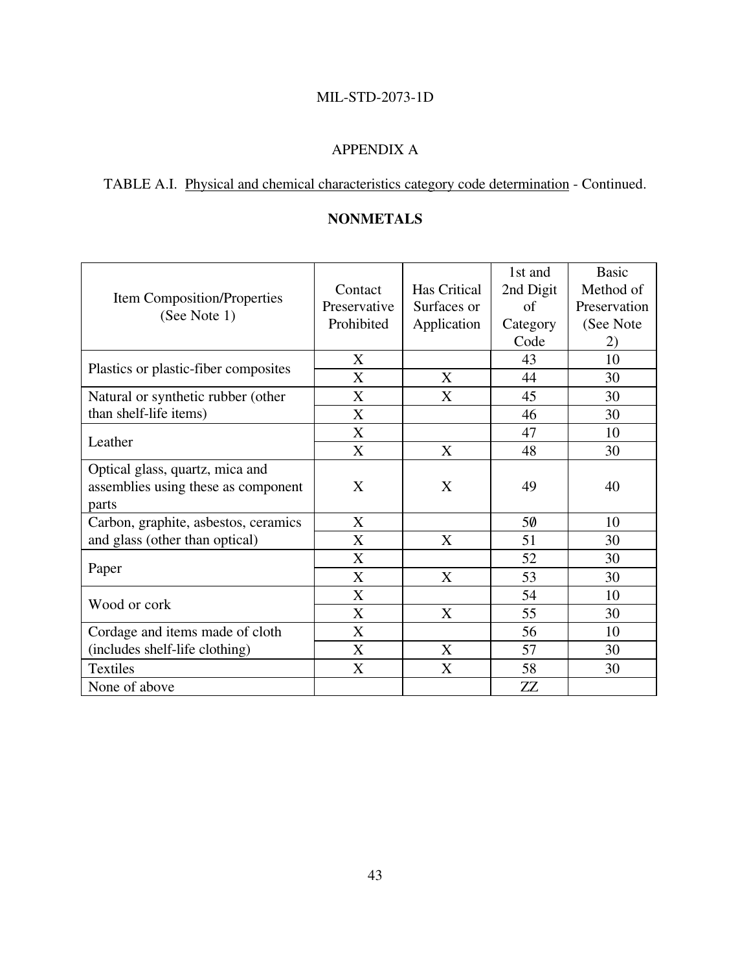## APPENDIX A

# TABLE A.I. Physical and chemical characteristics category code determination - Continued.

# **NONMETALS**

|                                      |              |              | 1st and   | <b>Basic</b> |
|--------------------------------------|--------------|--------------|-----------|--------------|
|                                      | Contact      | Has Critical | 2nd Digit | Method of    |
| <b>Item Composition/Properties</b>   | Preservative | Surfaces or  | of        | Preservation |
| (See Note 1)                         | Prohibited   | Application  | Category  | (See Note    |
|                                      |              |              | Code      | 2)           |
|                                      | X            |              | 43        | 10           |
| Plastics or plastic-fiber composites | X            | X            | 44        | 30           |
| Natural or synthetic rubber (other   | X            | X            | 45        | 30           |
| than shelf-life items)               | X            |              | 46        | 30           |
|                                      | X            |              | 47        | 10           |
| Leather                              | X            | X            | 48        | 30           |
| Optical glass, quartz, mica and      |              |              |           |              |
| assemblies using these as component  | X            | X            | 49        | 40           |
| parts                                |              |              |           |              |
| Carbon, graphite, asbestos, ceramics | X            |              | 50        | 10           |
| and glass (other than optical)       | X            | X            | 51        | 30           |
|                                      | X            |              | 52        | 30           |
| Paper                                | X            | X            | 53        | 30           |
| Wood or cork                         | X            |              | 54        | 10           |
|                                      | X            | X            | 55        | 30           |
| Cordage and items made of cloth      | X            |              | 56        | 10           |
| (includes shelf-life clothing)       | X            | X            | 57        | 30           |
| <b>Textiles</b>                      | X            | X            | 58        | 30           |
| None of above                        |              |              | ZZ        |              |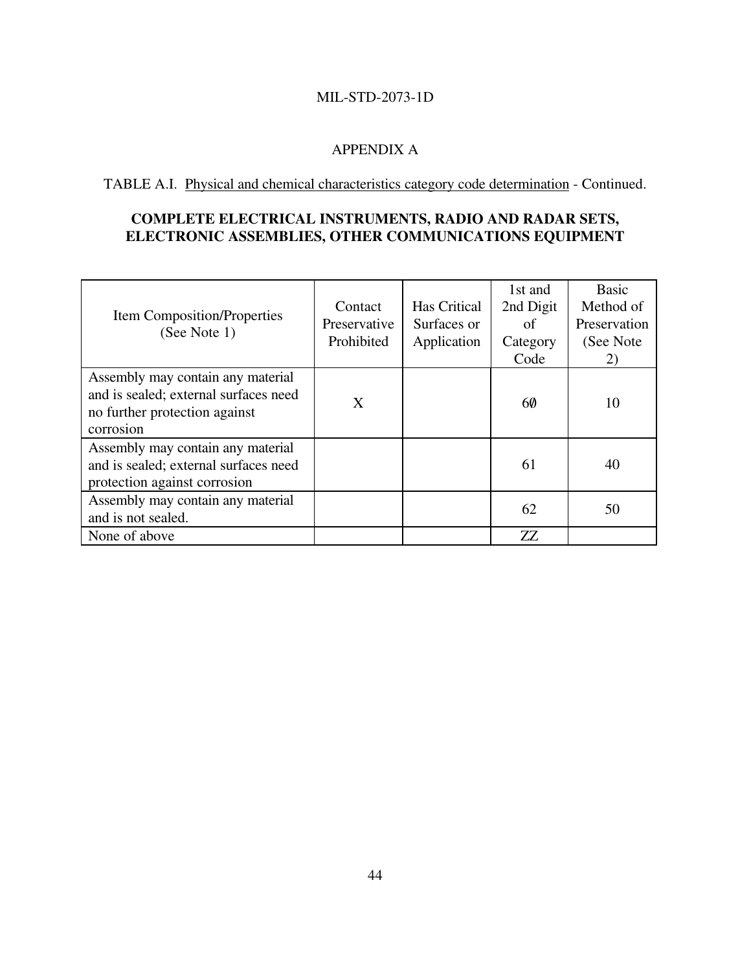## APPENDIX A

## TABLE A.I. Physical and chemical characteristics category code determination - Continued.

## **COMPLETE ELECTRICAL INSTRUMENTS, RADIO AND RADAR SETS, ELECTRONIC ASSEMBLIES, OTHER COMMUNICATIONS EQUIPMENT**

| <b>Item Composition/Properties</b><br>(See Note 1)                                                                       | Contact<br>Preservative<br>Prohibited | Has Critical<br>Surfaces or<br>Application | 1st and<br>2nd Digit<br>of<br>Category | <b>Basic</b><br>Method of<br>Preservation<br>(See Note |
|--------------------------------------------------------------------------------------------------------------------------|---------------------------------------|--------------------------------------------|----------------------------------------|--------------------------------------------------------|
|                                                                                                                          |                                       |                                            | Code                                   | 2)                                                     |
| Assembly may contain any material<br>and is sealed; external surfaces need<br>no further protection against<br>corrosion | X                                     |                                            | 60                                     | 10                                                     |
| Assembly may contain any material<br>and is sealed; external surfaces need<br>protection against corrosion               |                                       |                                            | 61                                     | 40                                                     |
| Assembly may contain any material<br>and is not sealed.                                                                  |                                       |                                            | 62                                     | 50                                                     |
| None of above                                                                                                            |                                       |                                            | ZZ                                     |                                                        |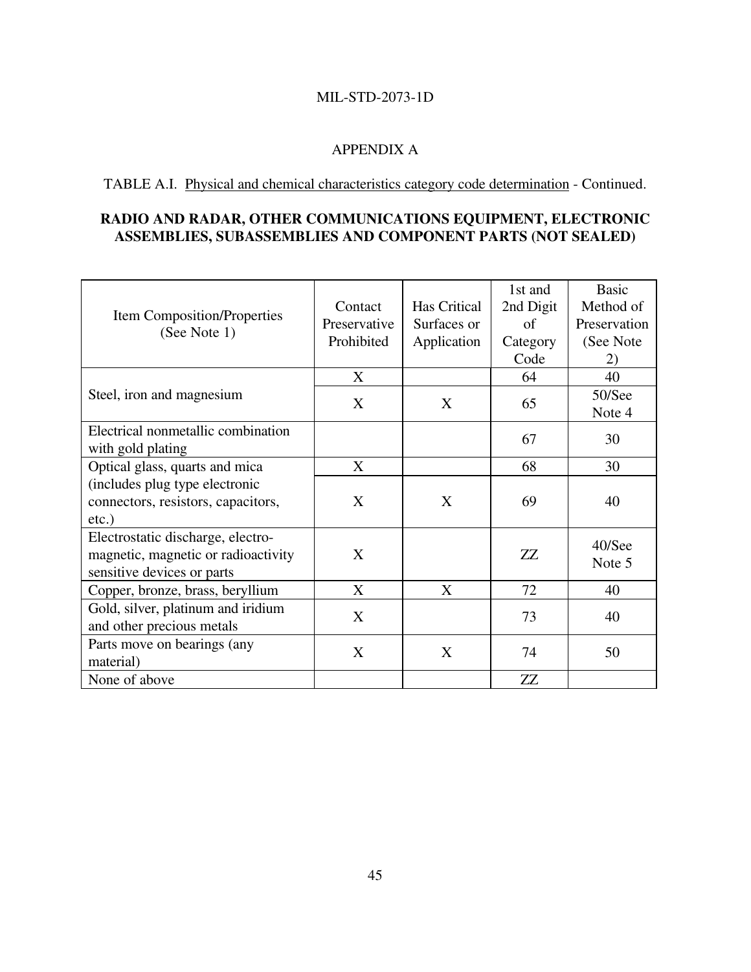## APPENDIX A

## TABLE A.I. Physical and chemical characteristics category code determination - Continued.

## **RADIO AND RADAR, OTHER COMMUNICATIONS EQUIPMENT, ELECTRONIC ASSEMBLIES, SUBASSEMBLIES AND COMPONENT PARTS (NOT SEALED)**

|                                     |              |              | 1st and   | <b>Basic</b> |
|-------------------------------------|--------------|--------------|-----------|--------------|
|                                     | Contact      | Has Critical | 2nd Digit | Method of    |
| <b>Item Composition/Properties</b>  | Preservative | Surfaces or  | of        | Preservation |
| (See Note 1)                        | Prohibited   | Application  | Category  | (See Note    |
|                                     |              |              | Code      | 2)           |
|                                     | X            |              | 64        | 40           |
| Steel, iron and magnesium           |              |              |           | 50/See       |
|                                     | X            | X            | 65        | Note 4       |
| Electrical nonmetallic combination  |              |              | 67        | 30           |
| with gold plating                   |              |              |           |              |
| Optical glass, quarts and mica      | X            |              | 68        | 30           |
| (includes plug type electronic      |              |              |           |              |
| connectors, resistors, capacitors,  | X            | X            | 69        | 40           |
| $etc.$ )                            |              |              |           |              |
| Electrostatic discharge, electro-   |              |              |           | 40/See       |
| magnetic, magnetic or radioactivity | X            |              | ZZ        | Note 5       |
| sensitive devices or parts          |              |              |           |              |
| Copper, bronze, brass, beryllium    | X            | X            | 72        | 40           |
| Gold, silver, platinum and iridium  | X            |              | 73        | 40           |
| and other precious metals           |              |              |           |              |
| Parts move on bearings (any         | X            | X            | 74        | 50           |
| material)                           |              |              |           |              |
| None of above                       |              |              | ZZ        |              |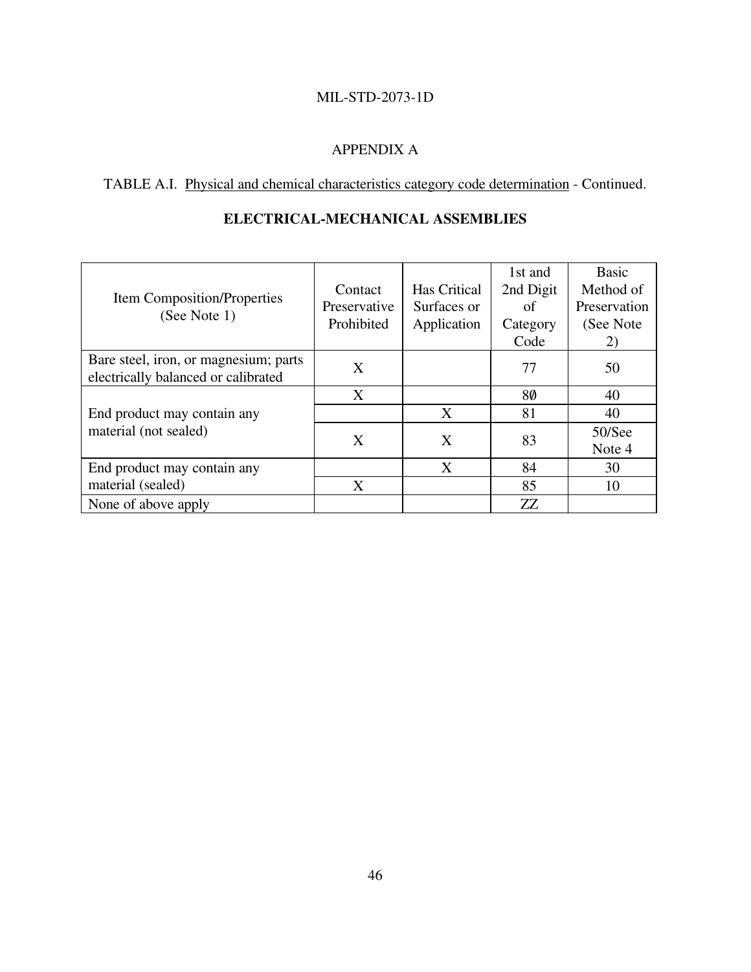## APPENDIX A

# TABLE A.I. Physical and chemical characteristics category code determination - Continued.

| <b>Item Composition/Properties</b><br>(See Note 1)                           | Contact<br>Preservative<br>Prohibited | Has Critical<br>Surfaces or<br>Application | 1st and<br>2nd Digit<br>of<br>Category<br>Code | <b>Basic</b><br>Method of<br>Preservation<br>(See Note<br>2) |
|------------------------------------------------------------------------------|---------------------------------------|--------------------------------------------|------------------------------------------------|--------------------------------------------------------------|
| Bare steel, iron, or magnesium; parts<br>electrically balanced or calibrated | X                                     |                                            | 77                                             | 50                                                           |
|                                                                              | X                                     |                                            | 80                                             | 40                                                           |
| End product may contain any                                                  |                                       | X                                          | 81                                             | 40                                                           |
| material (not sealed)                                                        | X                                     | $\mathbf{X}$                               | 83                                             | 50/See<br>Note 4                                             |
| End product may contain any                                                  |                                       | X                                          | 84                                             | 30                                                           |
| material (sealed)                                                            | X                                     |                                            | 85                                             | 10                                                           |
| None of above apply                                                          |                                       |                                            | ZZ                                             |                                                              |

# **ELECTRICAL-MECHANICAL ASSEMBLIES**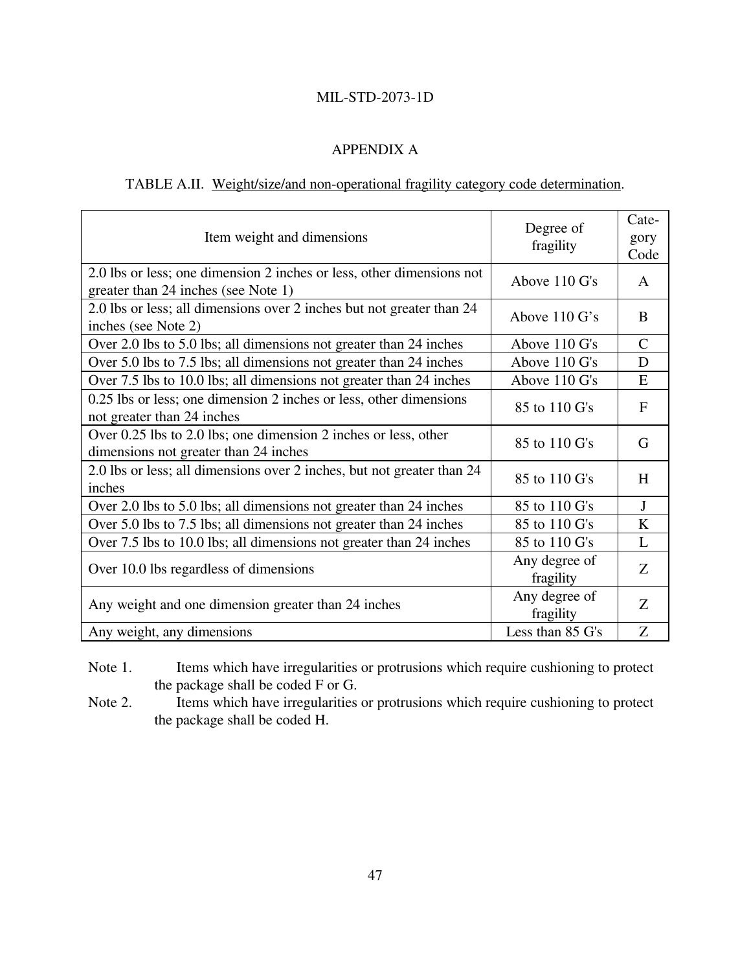## APPENDIX A

## TABLE A.II. Weight/size/and non-operational fragility category code determination.

| Item weight and dimensions                                                                                   | Degree of<br>fragility     | Cate-<br>gory<br>Code |
|--------------------------------------------------------------------------------------------------------------|----------------------------|-----------------------|
| 2.0 lbs or less; one dimension 2 inches or less, other dimensions not<br>greater than 24 inches (see Note 1) | Above 110 G's              | A                     |
| 2.0 lbs or less; all dimensions over 2 inches but not greater than 24<br>inches (see Note 2)                 | Above 110 G's              | B                     |
| Over 2.0 lbs to 5.0 lbs; all dimensions not greater than 24 inches                                           | Above 110 G's              | $\mathsf{C}$          |
| Over 5.0 lbs to 7.5 lbs; all dimensions not greater than 24 inches                                           | Above 110 G's              | D                     |
| Over 7.5 lbs to 10.0 lbs; all dimensions not greater than 24 inches                                          | Above 110 G's              | E                     |
| 0.25 lbs or less; one dimension 2 inches or less, other dimensions<br>not greater than 24 inches             | 85 to 110 G's              | F                     |
| Over 0.25 lbs to 2.0 lbs; one dimension 2 inches or less, other<br>dimensions not greater than 24 inches     | 85 to 110 G's              | G                     |
| 2.0 lbs or less; all dimensions over 2 inches, but not greater than 24<br>inches                             | 85 to 110 G's              | H                     |
| Over 2.0 lbs to 5.0 lbs; all dimensions not greater than 24 inches                                           | 85 to 110 G's              | J                     |
| Over 5.0 lbs to 7.5 lbs; all dimensions not greater than 24 inches                                           | 85 to 110 G's              | K                     |
| Over 7.5 lbs to 10.0 lbs; all dimensions not greater than 24 inches                                          | 85 to 110 G's              | L                     |
| Over 10.0 lbs regardless of dimensions                                                                       | Any degree of<br>fragility | Z                     |
| Any weight and one dimension greater than 24 inches                                                          | Any degree of<br>fragility | Z                     |
| Any weight, any dimensions                                                                                   | Less than 85 G's           | Z                     |

Note 1. Items which have irregularities or protrusions which require cushioning to protect the package shall be coded F or G.

Note 2. Items which have irregularities or protrusions which require cushioning to protect the package shall be coded H.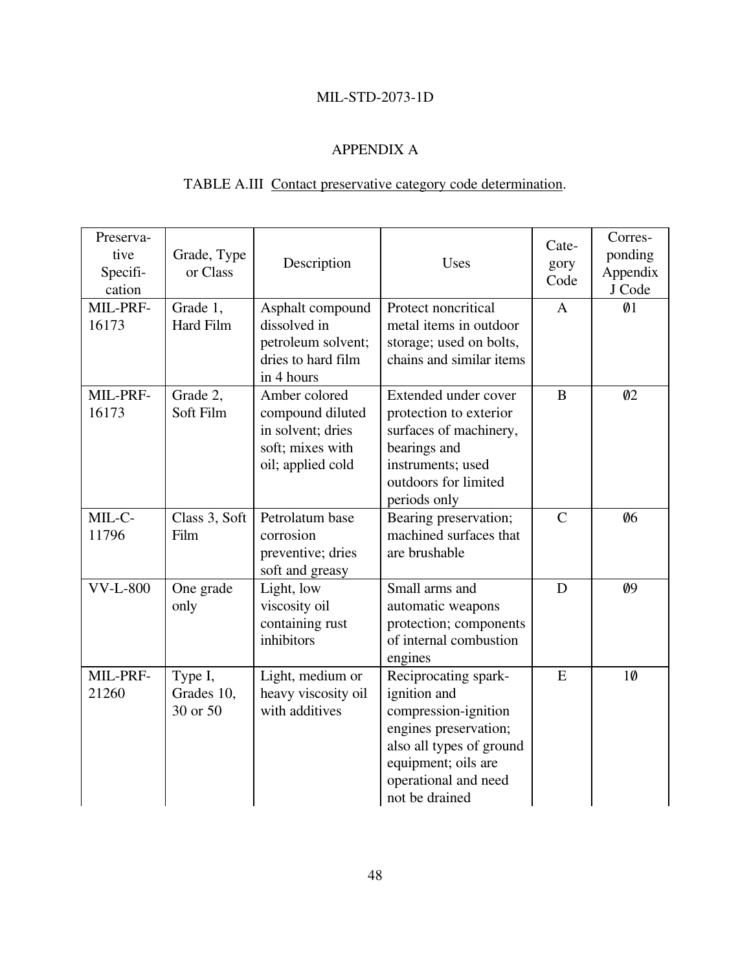## APPENDIX A

# TABLE A.III Contact preservative category code determination.

| Preserva-<br>tive<br>Specifi-<br>cation | Grade, Type<br>or Class           | Description                                                                                     | Uses                                                                                                                                                                               | Cate-<br>gory<br>Code | Corres-<br>ponding<br>Appendix<br>J Code |
|-----------------------------------------|-----------------------------------|-------------------------------------------------------------------------------------------------|------------------------------------------------------------------------------------------------------------------------------------------------------------------------------------|-----------------------|------------------------------------------|
| MIL-PRF-<br>16173                       | Grade 1,<br><b>Hard Film</b>      | Asphalt compound<br>dissolved in<br>petroleum solvent;<br>dries to hard film<br>in 4 hours      | Protect noncritical<br>metal items in outdoor<br>storage; used on bolts,<br>chains and similar items                                                                               | $\mathbf{A}$          | $\varnothing$ 1                          |
| MIL-PRF-<br>16173                       | Grade 2,<br>Soft Film             | Amber colored<br>compound diluted<br>in solvent; dries<br>soft; mixes with<br>oil; applied cold | Extended under cover<br>protection to exterior<br>surfaces of machinery,<br>bearings and<br>instruments; used<br>outdoors for limited<br>periods only                              | B                     | $\varnothing$                            |
| MIL-C-<br>11796                         | Class 3, Soft<br>Film             | Petrolatum base<br>corrosion<br>preventive; dries<br>soft and greasy                            | Bearing preservation;<br>machined surfaces that<br>are brushable                                                                                                                   | $\mathcal{C}$         | 06                                       |
| <b>VV-L-800</b>                         | One grade<br>only                 | Light, low<br>viscosity oil<br>containing rust<br>inhibitors                                    | Small arms and<br>automatic weapons<br>protection; components<br>of internal combustion<br>engines                                                                                 | D                     | 09                                       |
| MIL-PRF-<br>21260                       | Type I,<br>Grades 10,<br>30 or 50 | Light, medium or<br>heavy viscosity oil<br>with additives                                       | Reciprocating spark-<br>ignition and<br>compression-ignition<br>engines preservation;<br>also all types of ground<br>equipment; oils are<br>operational and need<br>not be drained | E                     | 10                                       |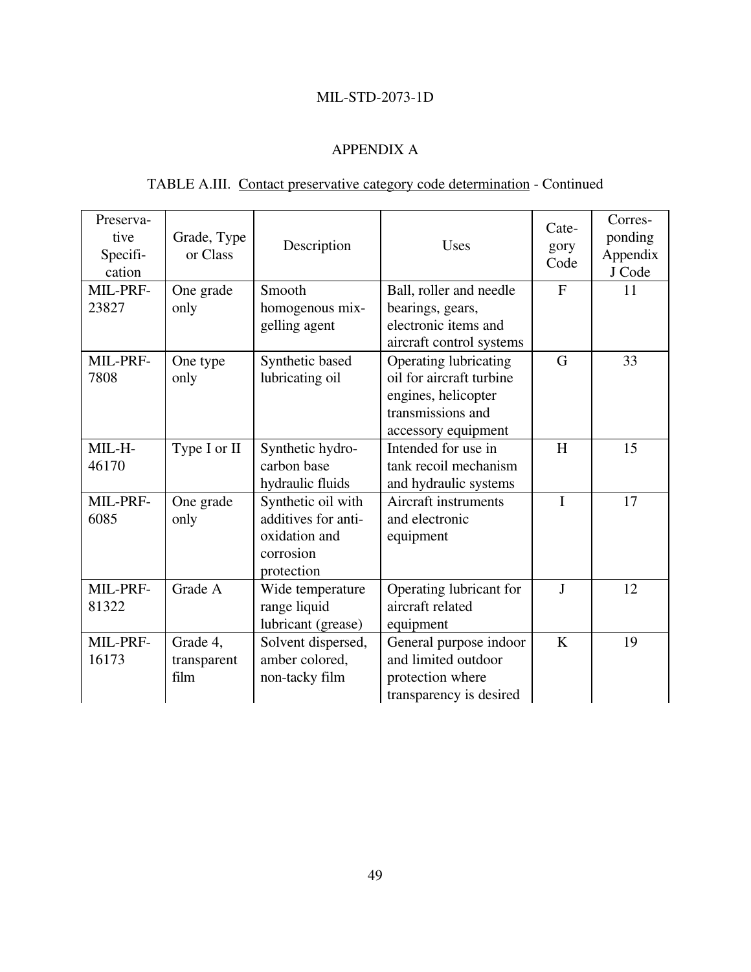# APPENDIX A

# TABLE A.III. Contact preservative category code determination - Continued

| Preserva-<br>tive<br>Specifi-<br>cation | Grade, Type<br>or Class         | Description                                                                           | Uses                                                                                                                 | Cate-<br>gory<br>Code | Corres-<br>ponding<br>Appendix<br>J Code |
|-----------------------------------------|---------------------------------|---------------------------------------------------------------------------------------|----------------------------------------------------------------------------------------------------------------------|-----------------------|------------------------------------------|
| MIL-PRF-<br>23827                       | One grade<br>only               | Smooth<br>homogenous mix-                                                             | Ball, roller and needle<br>bearings, gears,                                                                          | $\overline{F}$        | 11                                       |
|                                         |                                 | gelling agent                                                                         | electronic items and<br>aircraft control systems                                                                     |                       |                                          |
| MIL-PRF-<br>7808                        | One type<br>only                | Synthetic based<br>lubricating oil                                                    | Operating lubricating<br>oil for aircraft turbine<br>engines, helicopter<br>transmissions and<br>accessory equipment | G                     | 33                                       |
| MIL-H-<br>46170                         | Type I or II                    | Synthetic hydro-<br>carbon base<br>hydraulic fluids                                   | Intended for use in<br>tank recoil mechanism<br>and hydraulic systems                                                | H                     | 15                                       |
| MIL-PRF-<br>6085                        | One grade<br>only               | Synthetic oil with<br>additives for anti-<br>oxidation and<br>corrosion<br>protection | <b>Aircraft instruments</b><br>and electronic<br>equipment                                                           | I                     | 17                                       |
| MIL-PRF-<br>81322                       | Grade A                         | Wide temperature<br>range liquid<br>lubricant (grease)                                | Operating lubricant for<br>aircraft related<br>equipment                                                             | J                     | 12                                       |
| MIL-PRF-<br>16173                       | Grade 4,<br>transparent<br>film | Solvent dispersed,<br>amber colored,<br>non-tacky film                                | General purpose indoor<br>and limited outdoor<br>protection where<br>transparency is desired                         | K                     | 19                                       |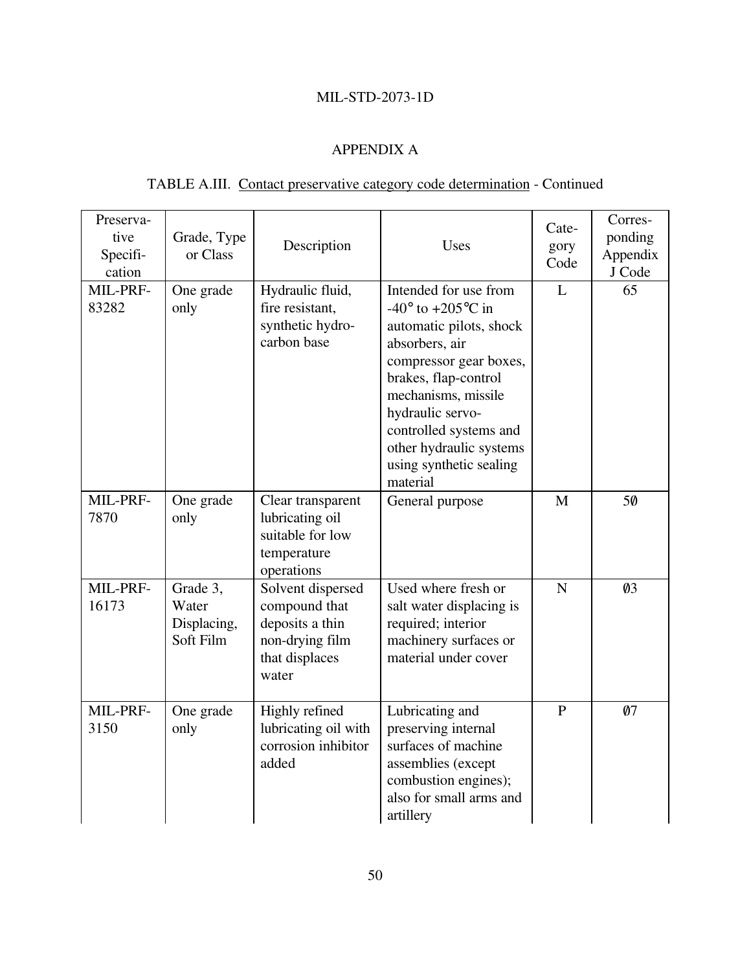# APPENDIX A

# TABLE A.III. Contact preservative category code determination - Continued

| Preserva-<br>tive<br>Specifi-<br>cation | Grade, Type<br>or Class                       | Description                                                                                         | Uses                                                                                                                                                                                                                                                                                                | Cate-<br>gory<br>Code | Corres-<br>ponding<br>Appendix<br>J Code |
|-----------------------------------------|-----------------------------------------------|-----------------------------------------------------------------------------------------------------|-----------------------------------------------------------------------------------------------------------------------------------------------------------------------------------------------------------------------------------------------------------------------------------------------------|-----------------------|------------------------------------------|
| MIL-PRF-<br>83282                       | One grade<br>only                             | Hydraulic fluid,<br>fire resistant,<br>synthetic hydro-<br>carbon base                              | Intended for use from<br>$-40^{\circ}$ to $+205^{\circ}$ C in<br>automatic pilots, shock<br>absorbers, air<br>compressor gear boxes,<br>brakes, flap-control<br>mechanisms, missile<br>hydraulic servo-<br>controlled systems and<br>other hydraulic systems<br>using synthetic sealing<br>material | L                     | 65                                       |
| MIL-PRF-<br>7870                        | One grade<br>only                             | Clear transparent<br>lubricating oil<br>suitable for low<br>temperature<br>operations               | General purpose                                                                                                                                                                                                                                                                                     | $\mathbf{M}$          | 50                                       |
| MIL-PRF-<br>16173                       | Grade 3,<br>Water<br>Displacing,<br>Soft Film | Solvent dispersed<br>compound that<br>deposits a thin<br>non-drying film<br>that displaces<br>water | Used where fresh or<br>salt water displacing is<br>required; interior<br>machinery surfaces or<br>material under cover                                                                                                                                                                              | $\mathbf N$           | $\varnothing$ 3                          |
| MIL-PRF-<br>3150                        | One grade<br>only                             | Highly refined<br>lubricating oil with<br>corrosion inhibitor<br>added                              | Lubricating and<br>preserving internal<br>surfaces of machine<br>assemblies (except<br>combustion engines);<br>also for small arms and<br>artillery                                                                                                                                                 | $\mathbf{P}$          | $\varnothing$ 7                          |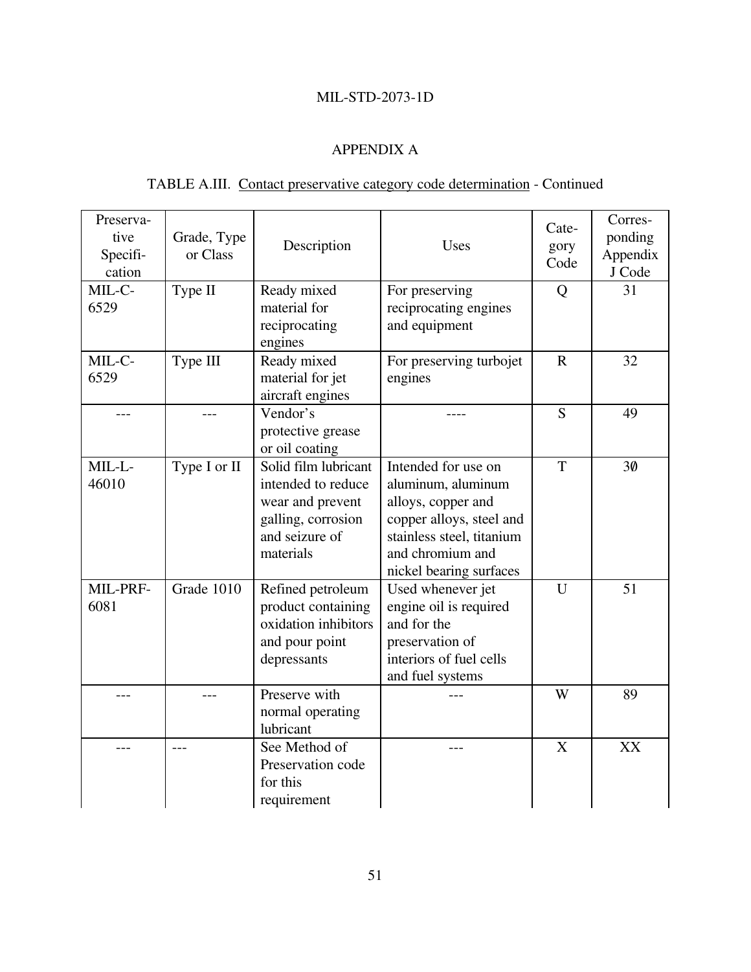## APPENDIX A

# TABLE A.III. Contact preservative category code determination - Continued

| Preserva-<br>tive<br>Specifi-<br>cation | Grade, Type<br>or Class | Description                                                                                                         | Uses                                                                                                                                                                    | Cate-<br>gory<br>Code | Corres-<br>ponding<br>Appendix<br>J Code |
|-----------------------------------------|-------------------------|---------------------------------------------------------------------------------------------------------------------|-------------------------------------------------------------------------------------------------------------------------------------------------------------------------|-----------------------|------------------------------------------|
| MIL-C-<br>6529                          | Type II                 | Ready mixed<br>material for<br>reciprocating<br>engines                                                             | For preserving<br>reciprocating engines<br>and equipment                                                                                                                | Q                     | 31                                       |
| MIL-C-<br>6529                          | Type III                | Ready mixed<br>material for jet<br>aircraft engines                                                                 | For preserving turbojet<br>engines                                                                                                                                      | $\mathbf R$           | 32                                       |
|                                         |                         | Vendor's<br>protective grease<br>or oil coating                                                                     |                                                                                                                                                                         | S                     | 49                                       |
| MIL-L-<br>46010                         | Type I or II            | Solid film lubricant<br>intended to reduce<br>wear and prevent<br>galling, corrosion<br>and seizure of<br>materials | Intended for use on<br>aluminum, aluminum<br>alloys, copper and<br>copper alloys, steel and<br>stainless steel, titanium<br>and chromium and<br>nickel bearing surfaces | T                     | 30                                       |
| MIL-PRF-<br>6081                        | Grade 1010              | Refined petroleum<br>product containing<br>oxidation inhibitors<br>and pour point<br>depressants                    | Used whenever jet<br>engine oil is required<br>and for the<br>preservation of<br>interiors of fuel cells<br>and fuel systems                                            | U                     | 51                                       |
|                                         |                         | Preserve with<br>normal operating<br>lubricant                                                                      |                                                                                                                                                                         | W                     | 89                                       |
| ---                                     | ---                     | See Method of<br>Preservation code<br>for this<br>requirement                                                       |                                                                                                                                                                         | X                     | XX                                       |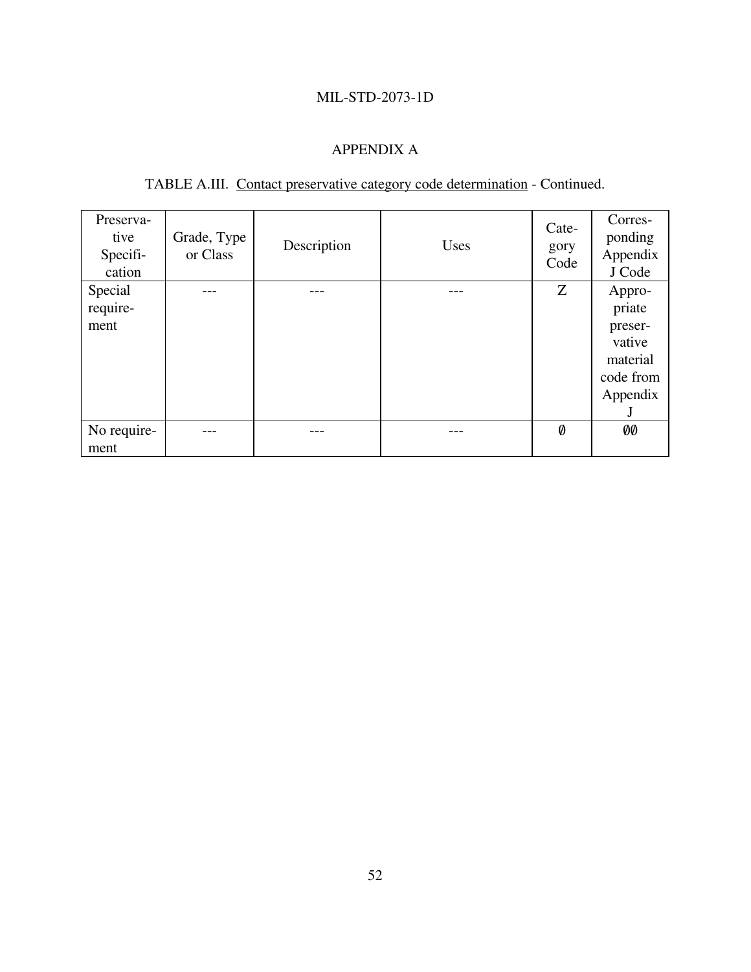## APPENDIX A

| Preserva-<br>tive<br>Specifi-<br>cation | Grade, Type<br>or Class | Description | <b>Uses</b> | Cate-<br>gory<br>Code | Corres-<br>ponding<br>Appendix<br>J Code                                   |
|-----------------------------------------|-------------------------|-------------|-------------|-----------------------|----------------------------------------------------------------------------|
| Special<br>require-<br>ment             |                         |             |             | Z                     | Appro-<br>priate<br>preser-<br>vative<br>material<br>code from<br>Appendix |
| No require-<br>ment                     |                         |             |             | $\emptyset$           | ØØ                                                                         |

# TABLE A.III. Contact preservative category code determination - Continued.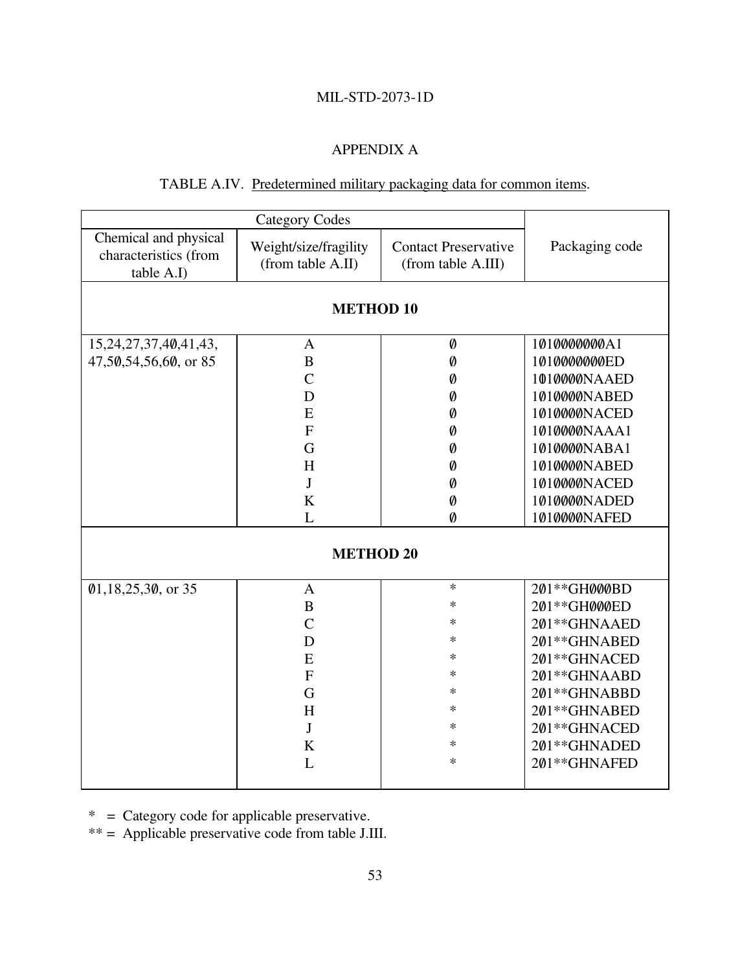## APPENDIX A

# TABLE A.IV. Predetermined military packaging data for common items.

| <b>Category Codes</b>                                        |                                            |                                                   |                |
|--------------------------------------------------------------|--------------------------------------------|---------------------------------------------------|----------------|
| Chemical and physical<br>characteristics (from<br>table A.I) | Weight/size/fragility<br>(from table A.II) | <b>Contact Preservative</b><br>(from table A.III) | Packaging code |
|                                                              | <b>METHOD 10</b>                           |                                                   |                |
| 15, 24, 27, 37, 40, 41, 43,                                  | A                                          | $\emptyset$                                       | 1010000000A1   |
| 47,50,54,56,60, or 85                                        | $\boldsymbol{B}$                           | Ø                                                 | 1010000000ED   |
|                                                              | $\mathcal{C}$                              | Ø                                                 | 1010000NAAED   |
|                                                              | D                                          | $\emptyset$                                       | 1010000NABED   |
|                                                              | E                                          | Ø                                                 | 1010000NACED   |
|                                                              | $\overline{F}$                             | $\emptyset$                                       | 1010000NAAA1   |
|                                                              | G                                          | Ø                                                 | 1010000NABA1   |
|                                                              | H                                          | Ø                                                 | 1010000NABED   |
|                                                              | $\bf J$                                    | Ø                                                 | 1010000NACED   |
|                                                              | $\bf K$                                    | $\emptyset$                                       | 1010000NADED   |
|                                                              | L                                          | $\emptyset$                                       | 1010000NAFED   |
|                                                              | <b>METHOD 20</b>                           |                                                   |                |
| $01,18,25,30$ , or 35                                        | $\mathbf{A}$                               | $\ast$                                            | 201**GH000BD   |
|                                                              | B                                          | *                                                 | 201**GH000ED   |
|                                                              | $\mathcal{C}$                              | $\ast$                                            | 201**GHNAAED   |
|                                                              | D                                          | $\ast$                                            | 201**GHNABED   |
|                                                              | E                                          | *                                                 | 201**GHNACED   |
|                                                              | $\overline{F}$                             | *                                                 | 201**GHNAABD   |
|                                                              | G                                          | $\ast$                                            | 201**GHNABBD   |
|                                                              | H                                          | $\ast$                                            | 201**GHNABED   |
|                                                              | $\mathbf{J}$                               | $\ast$                                            | 201**GHNACED   |
|                                                              | $\bf K$                                    | *                                                 | 201**GHNADED   |
|                                                              | L                                          | $\ast$                                            | 201**GHNAFED   |

\* = Category code for applicable preservative.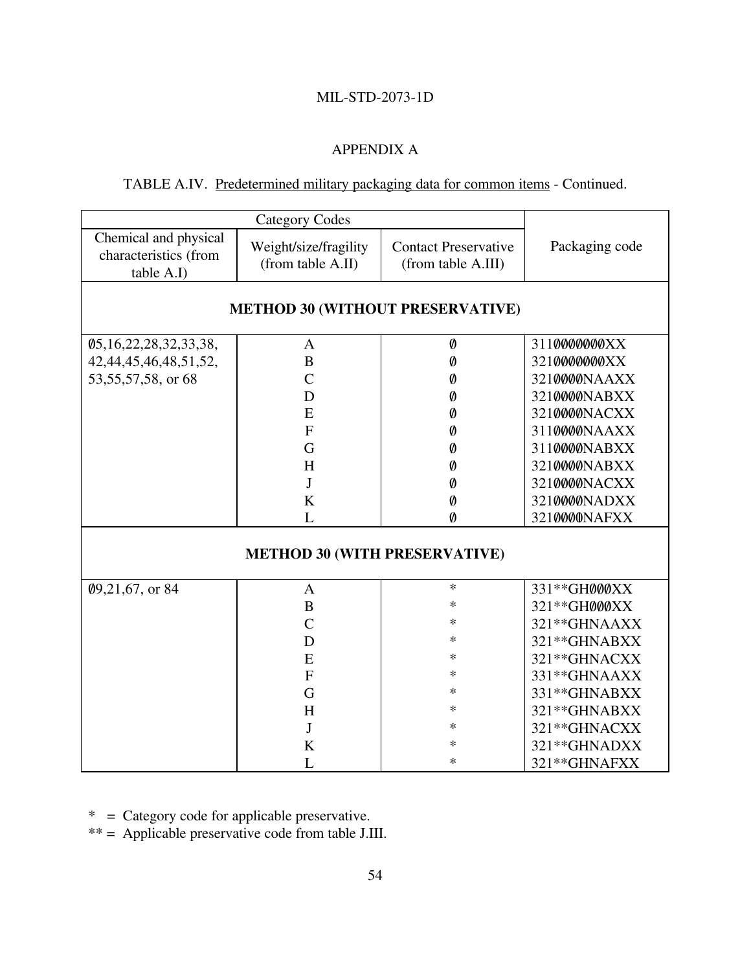### APPENDIX A

## TABLE A.IV. Predetermined military packaging data for common items - Continued.

| <b>Category Codes</b>                                        |                                                                                                 |             |                |  |
|--------------------------------------------------------------|-------------------------------------------------------------------------------------------------|-------------|----------------|--|
| Chemical and physical<br>characteristics (from<br>table A.I) | Weight/size/fragility<br><b>Contact Preservative</b><br>(from table A.II)<br>(from table A.III) |             | Packaging code |  |
|                                                              | <b>METHOD 30 (WITHOUT PRESERVATIVE)</b>                                                         |             |                |  |
| 05, 16, 22, 28, 32, 33, 38,                                  | A                                                                                               | $\emptyset$ | 3110000000XX   |  |
| 42, 44, 45, 46, 48, 51, 52,                                  | $\bf{B}$                                                                                        | $\emptyset$ | 3210000000XX   |  |
| 53, 55, 57, 58, or 68                                        | $\mathcal{C}$                                                                                   | Ø           | 3210000NAAXX   |  |
|                                                              | D                                                                                               | Ø           | 3210000NABXX   |  |
|                                                              | E                                                                                               | Ø           | 3210000NACXX   |  |
|                                                              | $\mathbf{F}$                                                                                    | $\emptyset$ | 3110000NAAXX   |  |
|                                                              | G                                                                                               | Ø           | 3110000NABXX   |  |
|                                                              | H                                                                                               | Ø           | 3210000NABXX   |  |
|                                                              | J                                                                                               | Ø           | 3210000NACXX   |  |
|                                                              | $\bf K$                                                                                         | Ø           | 3210000NADXX   |  |
|                                                              | L                                                                                               | $\emptyset$ | 3210000NAFXX   |  |
|                                                              | <b>METHOD 30 (WITH PRESERVATIVE)</b>                                                            |             |                |  |
| 09,21,67, or 84                                              | $\mathbf{A}$                                                                                    | $\ast$      | 331**GH000XX   |  |
|                                                              | $\bf{B}$                                                                                        | *           | 321 ** GH000XX |  |
|                                                              | $\mathcal{C}$                                                                                   | *           | 321**GHNAAXX   |  |
|                                                              | D                                                                                               | *           | 321**GHNABXX   |  |
|                                                              | E                                                                                               | *           | 321**GHNACXX   |  |
|                                                              | $\mathbf{F}$                                                                                    | *           | 331**GHNAAXX   |  |
|                                                              | G                                                                                               | $\ast$      | 331**GHNABXX   |  |
|                                                              | H                                                                                               | *           | 321**GHNABXX   |  |
|                                                              | $\mathbf{J}$                                                                                    | *           | 321**GHNACXX   |  |
|                                                              | K                                                                                               | $\ast$      | 321**GHNADXX   |  |
|                                                              | L                                                                                               | $\ast$      | 321**GHNAFXX   |  |

\* = Category code for applicable preservative.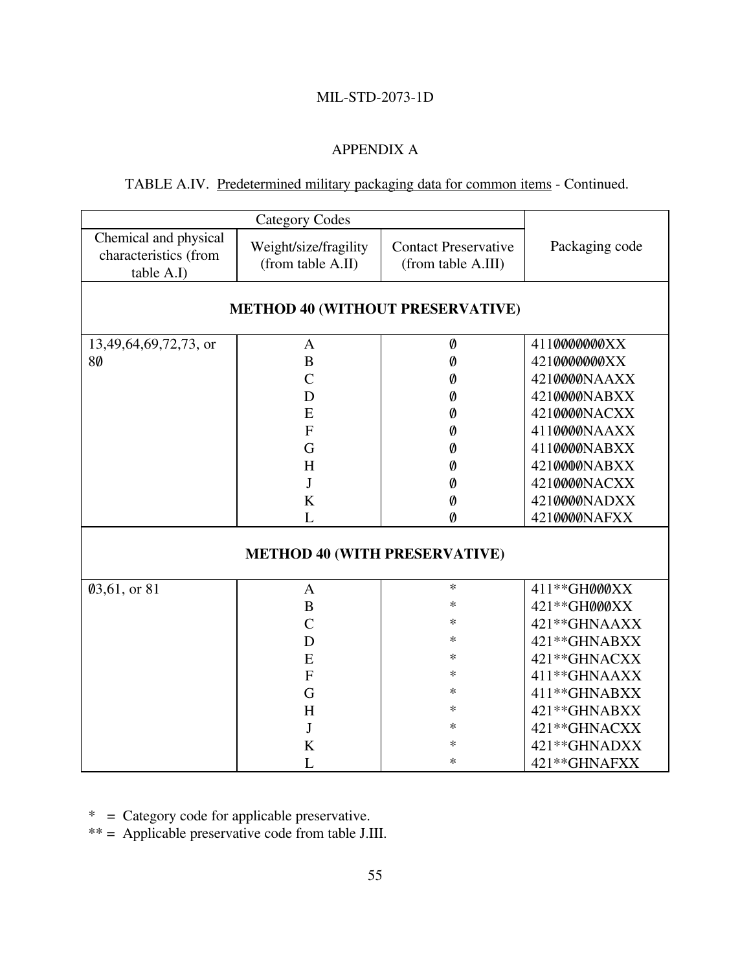### APPENDIX A

# TABLE A.IV. Predetermined military packaging data for common items - Continued.

| <b>Category Codes</b>                                        |                                            |                                                   |                |  |  |  |  |
|--------------------------------------------------------------|--------------------------------------------|---------------------------------------------------|----------------|--|--|--|--|
| Chemical and physical<br>characteristics (from<br>table A.I) | Weight/size/fragility<br>(from table A.II) | <b>Contact Preservative</b><br>(from table A.III) | Packaging code |  |  |  |  |
|                                                              | <b>METHOD 40 (WITHOUT PRESERVATIVE)</b>    |                                                   |                |  |  |  |  |
| 13,49,64,69,72,73, or                                        | A                                          | $\emptyset$                                       | 4110000000XX   |  |  |  |  |
| 80                                                           | B                                          | $\emptyset$                                       | 4210000000XX   |  |  |  |  |
|                                                              | $\mathbf C$                                | $\emptyset$                                       | 4210000NAAXX   |  |  |  |  |
|                                                              | D                                          | Ø                                                 | 4210000NABXX   |  |  |  |  |
|                                                              | E                                          | $\emptyset$                                       | 4210000NACXX   |  |  |  |  |
|                                                              | $\mathbf{F}$                               | $\emptyset$                                       | 4110000NAAXX   |  |  |  |  |
|                                                              | G                                          | Ø                                                 | 4110000NABXX   |  |  |  |  |
|                                                              | H                                          | Ø                                                 | 4210000NABXX   |  |  |  |  |
|                                                              | $\mathbf{J}$                               | $\emptyset$                                       | 4210000NACXX   |  |  |  |  |
|                                                              | $\bf K$                                    | $\emptyset$                                       | 4210000NADXX   |  |  |  |  |
|                                                              | L                                          | $\emptyset$                                       | 4210000NAFXX   |  |  |  |  |
|                                                              | <b>METHOD 40 (WITH PRESERVATIVE)</b>       |                                                   |                |  |  |  |  |
| $\varnothing$ 3,61, or 81                                    | A                                          | $\ast$                                            | 411**GH000XX   |  |  |  |  |
|                                                              | $\, {\bf B}$                               | *                                                 | 421 ** GH000XX |  |  |  |  |
|                                                              | $\mathbf C$                                | *                                                 | 421**GHNAAXX   |  |  |  |  |
|                                                              | D                                          | $\ast$                                            | 421**GHNABXX   |  |  |  |  |
|                                                              | E                                          | $\ast$                                            | 421**GHNACXX   |  |  |  |  |
|                                                              | $\mathbf{F}$                               | *                                                 | 411**GHNAAXX   |  |  |  |  |
|                                                              | G                                          | *                                                 | 411**GHNABXX   |  |  |  |  |
|                                                              | H                                          | *                                                 | 421**GHNABXX   |  |  |  |  |
|                                                              | $\mathbf{J}$                               | *                                                 | 421**GHNACXX   |  |  |  |  |
|                                                              | $\bf K$                                    | $\ast$                                            | 421**GHNADXX   |  |  |  |  |
|                                                              | L                                          | $\ast$                                            | 421**GHNAFXX   |  |  |  |  |

\* = Category code for applicable preservative.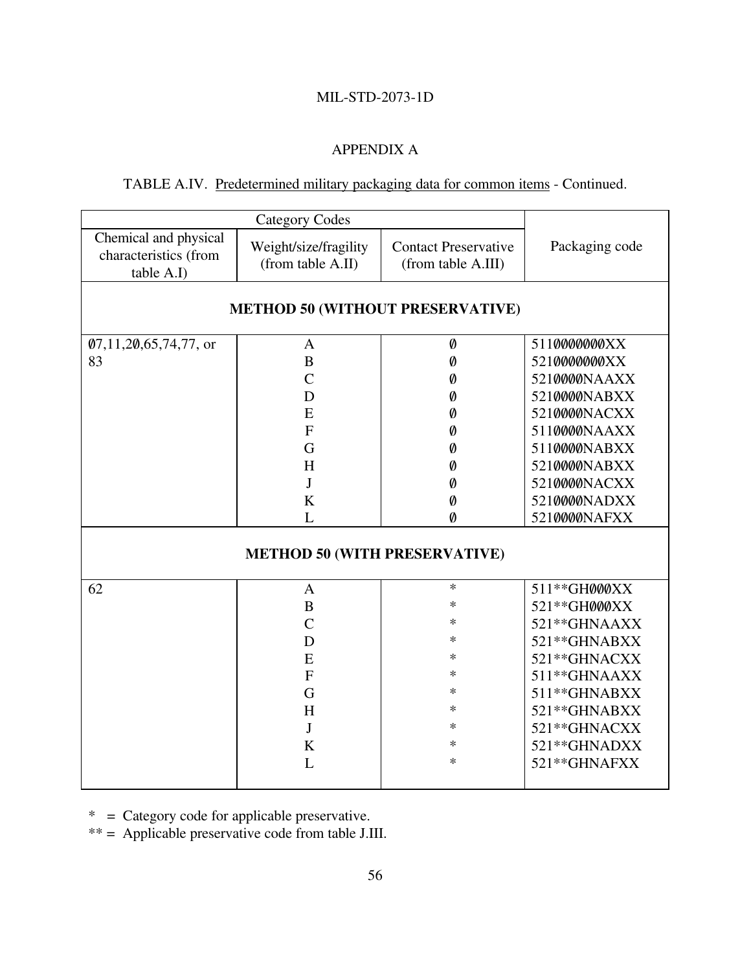### APPENDIX A

# TABLE A.IV. Predetermined military packaging data for common items - Continued.

| <b>Category Codes</b>                                        |                                            |                                                   |                |  |  |  |  |
|--------------------------------------------------------------|--------------------------------------------|---------------------------------------------------|----------------|--|--|--|--|
| Chemical and physical<br>characteristics (from<br>table A.I) | Weight/size/fragility<br>(from table A.II) | <b>Contact Preservative</b><br>(from table A.III) | Packaging code |  |  |  |  |
| <b>METHOD 50 (WITHOUT PRESERVATIVE)</b>                      |                                            |                                                   |                |  |  |  |  |
| $07,11,20,65,74,77$ , or                                     | A                                          | Ø                                                 | 5110000000XX   |  |  |  |  |
| 83                                                           | B                                          | $\emptyset$                                       | 5210000000XX   |  |  |  |  |
|                                                              | $\mathcal{C}$                              | Ø                                                 | 5210000NAAXX   |  |  |  |  |
|                                                              | D                                          | Ø                                                 | 5210000NABXX   |  |  |  |  |
|                                                              | E                                          | $\emptyset$                                       | 5210000NACXX   |  |  |  |  |
|                                                              | $\overline{F}$                             | $\emptyset$                                       | 5110000NAAXX   |  |  |  |  |
|                                                              | G                                          | Ø                                                 | 5110000NABXX   |  |  |  |  |
|                                                              | H                                          | Ø                                                 | 5210000NABXX   |  |  |  |  |
|                                                              | J                                          | Ø                                                 | 5210000NACXX   |  |  |  |  |
|                                                              | $\bf K$                                    | $\emptyset$                                       | 5210000NADXX   |  |  |  |  |
|                                                              | L                                          | Ø                                                 | 5210000NAFXX   |  |  |  |  |
|                                                              | <b>METHOD 50 (WITH PRESERVATIVE)</b>       |                                                   |                |  |  |  |  |
| 62                                                           | A                                          | $\ast$                                            | 511**GH000XX   |  |  |  |  |
|                                                              | $\bf{B}$                                   | $\ast$                                            | 521**GH000XX   |  |  |  |  |
|                                                              | $\mathcal{C}$                              | $\ast$                                            | 521**GHNAAXX   |  |  |  |  |
|                                                              | D                                          | *                                                 | 521**GHNABXX   |  |  |  |  |
|                                                              | E                                          | $\ast$                                            | 521**GHNACXX   |  |  |  |  |
|                                                              | $\overline{F}$                             | *                                                 | 511**GHNAAXX   |  |  |  |  |
|                                                              | G                                          | $\ast$                                            | 511**GHNABXX   |  |  |  |  |
|                                                              | H                                          | $\ast$                                            | 521**GHNABXX   |  |  |  |  |
|                                                              | $\mathbf{J}$                               | $\ast$                                            | 521**GHNACXX   |  |  |  |  |
|                                                              | $\bf K$                                    | *                                                 | 521**GHNADXX   |  |  |  |  |
|                                                              | L                                          | *                                                 | 521**GHNAFXX   |  |  |  |  |

\* = Category code for applicable preservative.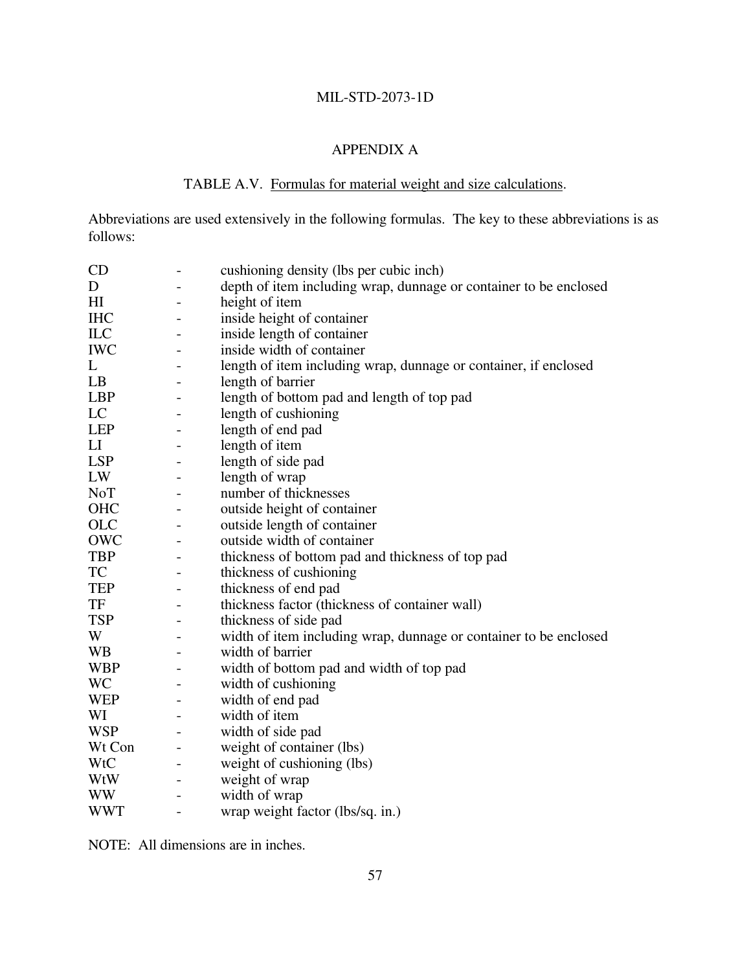## APPENDIX A

# TABLE A.V. Formulas for material weight and size calculations.

Abbreviations are used extensively in the following formulas. The key to these abbreviations is as follows:

| <b>CD</b>      |                          | cushioning density (lbs per cubic inch)                           |
|----------------|--------------------------|-------------------------------------------------------------------|
| D              |                          | depth of item including wrap, dunnage or container to be enclosed |
| H <sub>I</sub> |                          | height of item                                                    |
| <b>IHC</b>     | -                        | inside height of container                                        |
| <b>ILC</b>     | $\overline{\phantom{0}}$ | inside length of container                                        |
| <b>IWC</b>     |                          | inside width of container                                         |
| L              |                          | length of item including wrap, dunnage or container, if enclosed  |
| LB             |                          | length of barrier                                                 |
| <b>LBP</b>     | $\overline{\phantom{0}}$ | length of bottom pad and length of top pad                        |
| LC             | $\overline{\phantom{0}}$ | length of cushioning                                              |
| <b>LEP</b>     | $\overline{\phantom{0}}$ | length of end pad                                                 |
| LI             | $\overline{\phantom{0}}$ | length of item                                                    |
| <b>LSP</b>     | -                        | length of side pad                                                |
| <b>LW</b>      | $\overline{a}$           | length of wrap                                                    |
| NoT            |                          | number of thicknesses                                             |
| <b>OHC</b>     |                          | outside height of container                                       |
| <b>OLC</b>     |                          | outside length of container                                       |
| OWC            | $\overline{a}$           | outside width of container                                        |
| <b>TBP</b>     | -                        | thickness of bottom pad and thickness of top pad                  |
| <b>TC</b>      | -                        | thickness of cushioning                                           |
| <b>TEP</b>     |                          | thickness of end pad                                              |
| TF             |                          | thickness factor (thickness of container wall)                    |
| <b>TSP</b>     | $\overline{\phantom{0}}$ | thickness of side pad                                             |
| W              | -                        | width of item including wrap, dunnage or container to be enclosed |
| <b>WB</b>      | $\overline{\phantom{0}}$ | width of barrier                                                  |
| <b>WBP</b>     | $\qquad \qquad -$        | width of bottom pad and width of top pad                          |
| <b>WC</b>      | -                        | width of cushioning                                               |
| <b>WEP</b>     |                          | width of end pad                                                  |
| WI             |                          | width of item                                                     |
| <b>WSP</b>     |                          | width of side pad                                                 |
| Wt Con         | $\overline{\phantom{0}}$ | weight of container (lbs)                                         |
| <b>WtC</b>     | $\overline{a}$           | weight of cushioning (lbs)                                        |
| WtW            |                          | weight of wrap                                                    |
| WW             | $\overline{\phantom{0}}$ | width of wrap                                                     |
| <b>WWT</b>     | $\overline{a}$           | wrap weight factor (lbs/sq. in.)                                  |

NOTE: All dimensions are in inches.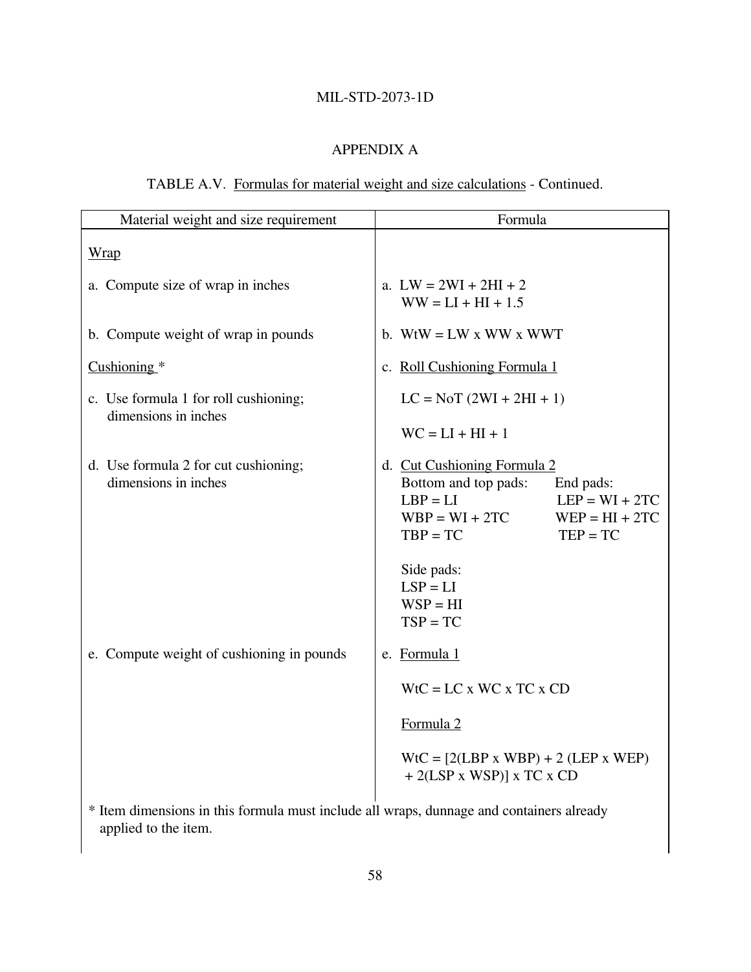### APPENDIX A

# TABLE A.V. Formulas for material weight and size calculations - Continued.

| Material weight and size requirement                         | Formula                                                                                                                                                                                                                        |  |  |  |
|--------------------------------------------------------------|--------------------------------------------------------------------------------------------------------------------------------------------------------------------------------------------------------------------------------|--|--|--|
| <b>Wrap</b>                                                  |                                                                                                                                                                                                                                |  |  |  |
| a. Compute size of wrap in inches                            | a. $LW = 2WI + 2HI + 2$<br>$WW = LI + HI + 1.5$                                                                                                                                                                                |  |  |  |
| b. Compute weight of wrap in pounds                          | b. $WtW = LW x WW x WWT$                                                                                                                                                                                                       |  |  |  |
| Cushioning *                                                 | c. Roll Cushioning Formula 1                                                                                                                                                                                                   |  |  |  |
| c. Use formula 1 for roll cushioning;                        | $LC = NoT (2WI + 2HI + 1)$                                                                                                                                                                                                     |  |  |  |
| dimensions in inches                                         | $WC = LI + HI + 1$                                                                                                                                                                                                             |  |  |  |
| d. Use formula 2 for cut cushioning;<br>dimensions in inches | d. Cut Cushioning Formula 2<br>Bottom and top pads:<br>End pads:<br>$LBP = LI$<br>$LEP = WI + 2TC$<br>$WBP = WI + 2TC$<br>$WEP = HI + 2TC$<br>$TBP = TC$<br>$TEP = TC$<br>Side pads:<br>$LSP = LI$<br>$WSP = HI$<br>$TSP = TC$ |  |  |  |
| e. Compute weight of cushioning in pounds                    | e. Formula 1<br>$WtC = LC x WC x TC x CD$                                                                                                                                                                                      |  |  |  |
|                                                              | Formula 2                                                                                                                                                                                                                      |  |  |  |
|                                                              | $WtC = [2(LBP x WBP) + 2 (LEP x WEP)]$<br>$+2(LSP x WSP) x TC x CD$                                                                                                                                                            |  |  |  |

\* Item dimensions in this formula must include all wraps, dunnage and containers already applied to the item.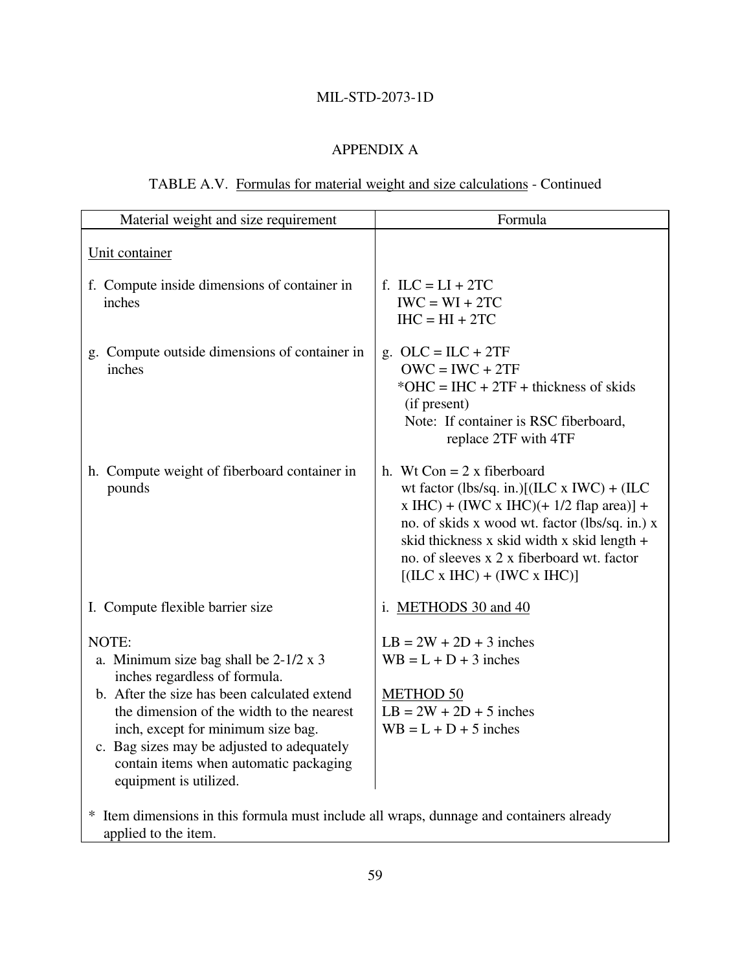## APPENDIX A

| TABLE A.V. Formulas for material weight and size calculations - Continued |  |  |
|---------------------------------------------------------------------------|--|--|
|                                                                           |  |  |

| Material weight and size requirement                                                                                                                                                                                                                                                                                                         | Formula                                                                                                                                                                                                                                                                                                                           |  |  |  |
|----------------------------------------------------------------------------------------------------------------------------------------------------------------------------------------------------------------------------------------------------------------------------------------------------------------------------------------------|-----------------------------------------------------------------------------------------------------------------------------------------------------------------------------------------------------------------------------------------------------------------------------------------------------------------------------------|--|--|--|
| Unit container                                                                                                                                                                                                                                                                                                                               |                                                                                                                                                                                                                                                                                                                                   |  |  |  |
| f. Compute inside dimensions of container in<br>inches                                                                                                                                                                                                                                                                                       | f. $ILC = LI + 2TC$<br>$IWC = WI + 2TC$<br>$IHC = HI + 2TC$                                                                                                                                                                                                                                                                       |  |  |  |
| g. Compute outside dimensions of container in<br>inches                                                                                                                                                                                                                                                                                      | g. $OLC = ILC + 2TF$<br>$OWC = IWC + 2TF$<br>$*OHC = IHC + 2TF + thickness of skids$<br>(if present)<br>Note: If container is RSC fiberboard,<br>replace 2TF with 4TF                                                                                                                                                             |  |  |  |
| h. Compute weight of fiberboard container in<br>pounds                                                                                                                                                                                                                                                                                       | h. Wt Con = $2 \times$ fiberboard<br>wt factor (lbs/sq. in.) $[(ILC \times IWC) + (ILC$<br>x IHC) + (IWC x IHC)(+ $1/2$ flap area)] +<br>no. of skids x wood wt. factor (lbs/sq. in.) x<br>skid thickness x skid width x skid length +<br>no. of sleeves x 2 x fiberboard wt. factor<br>$[ (ILC \times IHC) + (IWC \times IHC) ]$ |  |  |  |
| I. Compute flexible barrier size                                                                                                                                                                                                                                                                                                             | i. METHODS 30 and 40                                                                                                                                                                                                                                                                                                              |  |  |  |
| NOTE:<br>a. Minimum size bag shall be $2-1/2 \times 3$<br>inches regardless of formula.<br>b. After the size has been calculated extend<br>the dimension of the width to the nearest<br>inch, except for minimum size bag.<br>c. Bag sizes may be adjusted to adequately<br>contain items when automatic packaging<br>equipment is utilized. | $LB = 2W + 2D + 3$ inches<br>$WB = L + D + 3$ inches<br><b>METHOD 50</b><br>$LB = 2W + 2D + 5$ inches<br>$WB = L + D + 5$ inches                                                                                                                                                                                                  |  |  |  |
| * Item dimensions in this formula must include all wraps, dunnage and containers already<br>applied to the item.                                                                                                                                                                                                                             |                                                                                                                                                                                                                                                                                                                                   |  |  |  |

applied to the item.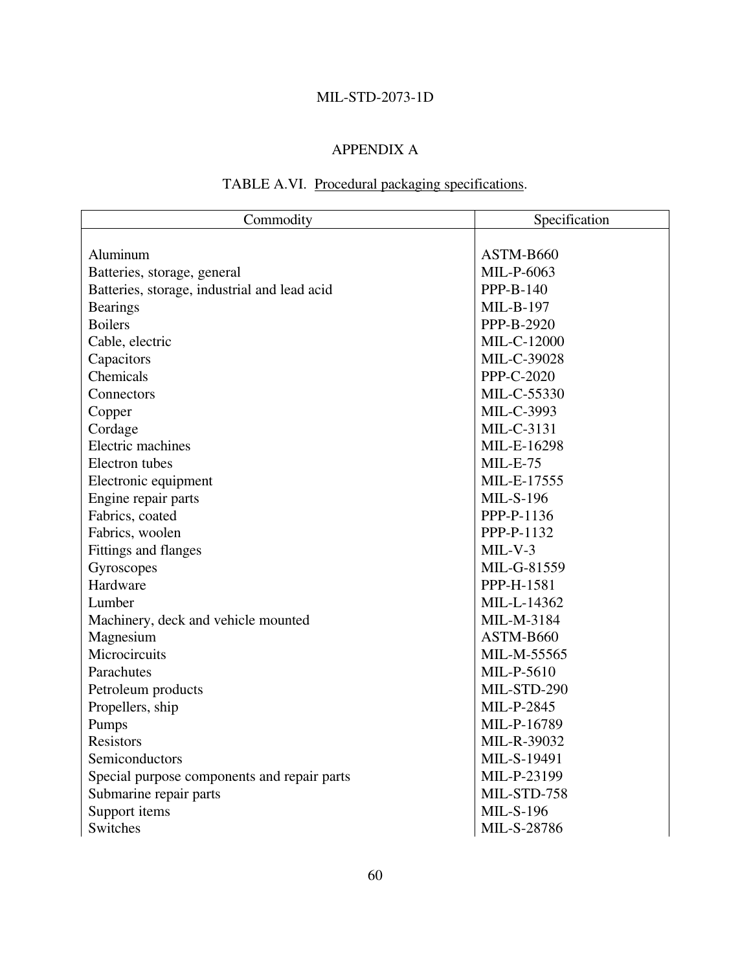# APPENDIX A

# TABLE A.VI. Procedural packaging specifications.

| Commodity                                    | Specification     |
|----------------------------------------------|-------------------|
|                                              |                   |
| Aluminum                                     | ASTM-B660         |
| Batteries, storage, general                  | MIL-P-6063        |
| Batteries, storage, industrial and lead acid | PPP-B-140         |
| <b>Bearings</b>                              | MIL-B-197         |
| <b>Boilers</b>                               | PPP-B-2920        |
| Cable, electric                              | MIL-C-12000       |
| Capacitors                                   | MIL-C-39028       |
| Chemicals                                    | <b>PPP-C-2020</b> |
| Connectors                                   | MIL-C-55330       |
| Copper                                       | MIL-C-3993        |
| Cordage                                      | MIL-C-3131        |
| Electric machines                            | MIL-E-16298       |
| Electron tubes                               | $MIL-E-75$        |
| Electronic equipment                         | MIL-E-17555       |
| Engine repair parts                          | <b>MIL-S-196</b>  |
| Fabrics, coated                              | PPP-P-1136        |
| Fabrics, woolen                              | PPP-P-1132        |
| Fittings and flanges                         | $MIL-V-3$         |
| Gyroscopes                                   | MIL-G-81559       |
| Hardware                                     | PPP-H-1581        |
| Lumber                                       | MIL-L-14362       |
| Machinery, deck and vehicle mounted          | MIL-M-3184        |
| Magnesium                                    | ASTM-B660         |
| Microcircuits                                | MIL-M-55565       |
| Parachutes                                   | MIL-P-5610        |
| Petroleum products                           | MIL-STD-290       |
| Propellers, ship                             | MIL-P-2845        |
| Pumps                                        | MIL-P-16789       |
| <b>Resistors</b>                             | MIL-R-39032       |
| Semiconductors                               | MIL-S-19491       |
| Special purpose components and repair parts  | MIL-P-23199       |
| Submarine repair parts                       | MIL-STD-758       |
| Support items                                | <b>MIL-S-196</b>  |
| <b>Switches</b>                              | MIL-S-28786       |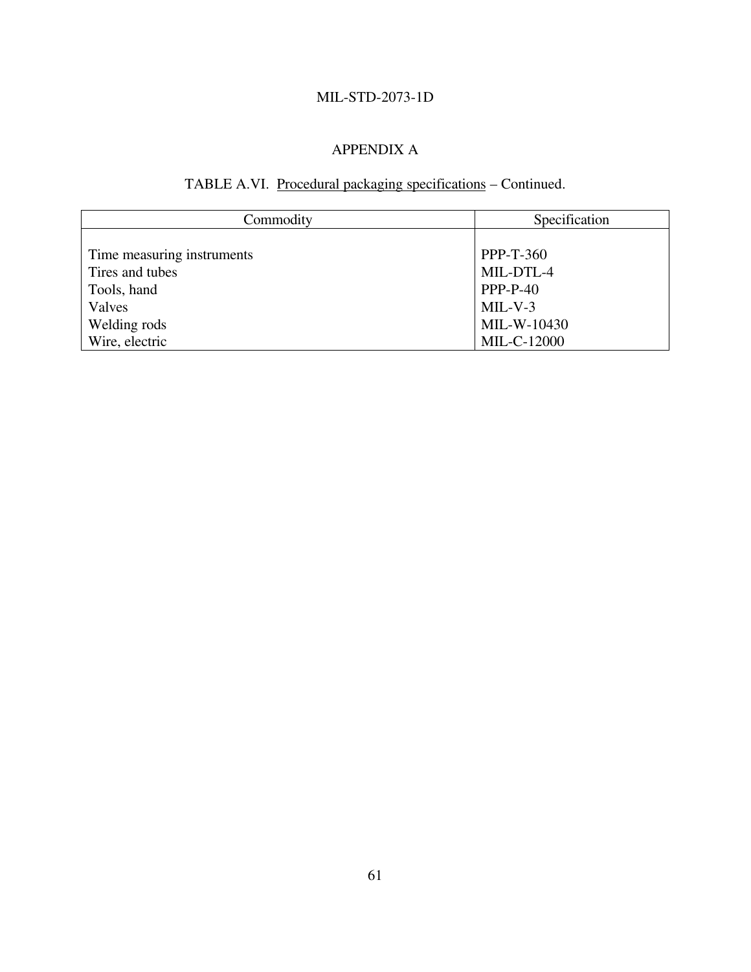# APPENDIX A

# TABLE A.VI. Procedural packaging specifications – Continued.

| Commodity                  | Specification    |
|----------------------------|------------------|
|                            |                  |
| Time measuring instruments | <b>PPP-T-360</b> |
| Tires and tubes            | MIL-DTL-4        |
| Tools, hand                | $PPP-P-40$       |
| Valves                     | $MIL-V-3$        |
| Welding rods               | MIL-W-10430      |
| Wire, electric             | MIL-C-12000      |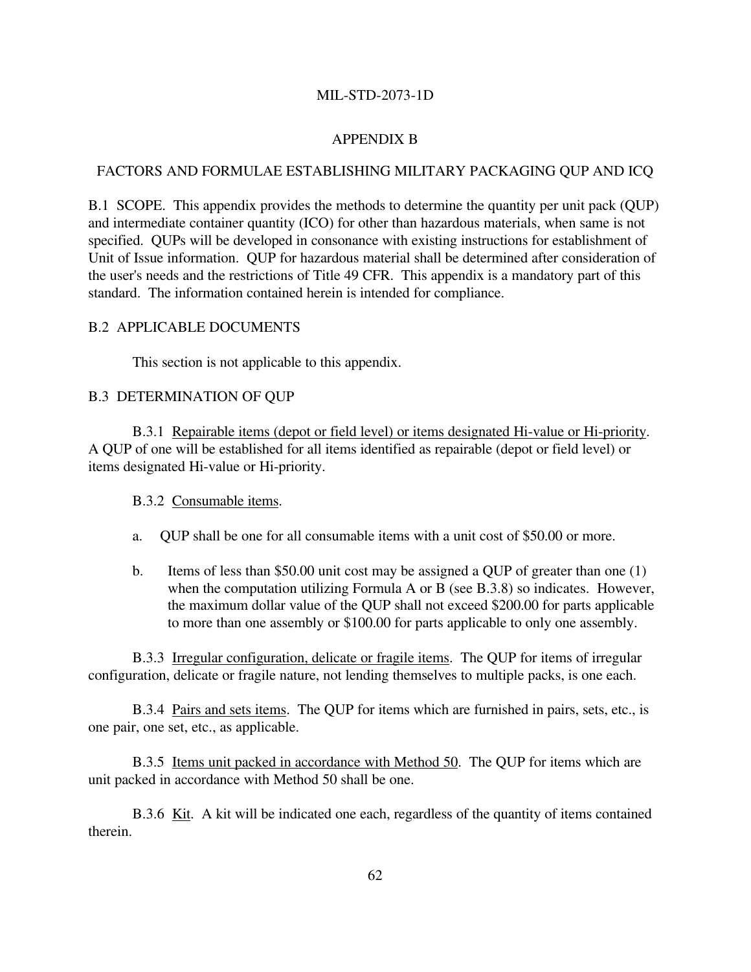### APPENDIX B

### FACTORS AND FORMULAE ESTABLISHING MILITARY PACKAGING QUP AND ICQ

B.1 SCOPE. This appendix provides the methods to determine the quantity per unit pack (QUP) and intermediate container quantity (ICO) for other than hazardous materials, when same is not specified. QUPs will be developed in consonance with existing instructions for establishment of Unit of Issue information. QUP for hazardous material shall be determined after consideration of the user's needs and the restrictions of Title 49 CFR. This appendix is a mandatory part of this standard. The information contained herein is intended for compliance.

### B.2 APPLICABLE DOCUMENTS

This section is not applicable to this appendix.

#### B.3 DETERMINATION OF QUP

B.3.1 Repairable items (depot or field level) or items designated Hi-value or Hi-priority. A QUP of one will be established for all items identified as repairable (depot or field level) or items designated Hi-value or Hi-priority.

#### B.3.2 Consumable items.

- a. QUP shall be one for all consumable items with a unit cost of \$50.00 or more.
- b. Items of less than \$50.00 unit cost may be assigned a QUP of greater than one (1) when the computation utilizing Formula A or B (see B.3.8) so indicates. However, the maximum dollar value of the QUP shall not exceed \$200.00 for parts applicable to more than one assembly or \$100.00 for parts applicable to only one assembly.

B.3.3 Irregular configuration, delicate or fragile items. The QUP for items of irregular configuration, delicate or fragile nature, not lending themselves to multiple packs, is one each.

B.3.4 Pairs and sets items. The QUP for items which are furnished in pairs, sets, etc., is one pair, one set, etc., as applicable.

B.3.5 Items unit packed in accordance with Method 50. The QUP for items which are unit packed in accordance with Method 50 shall be one.

B.3.6 Kit. A kit will be indicated one each, regardless of the quantity of items contained therein.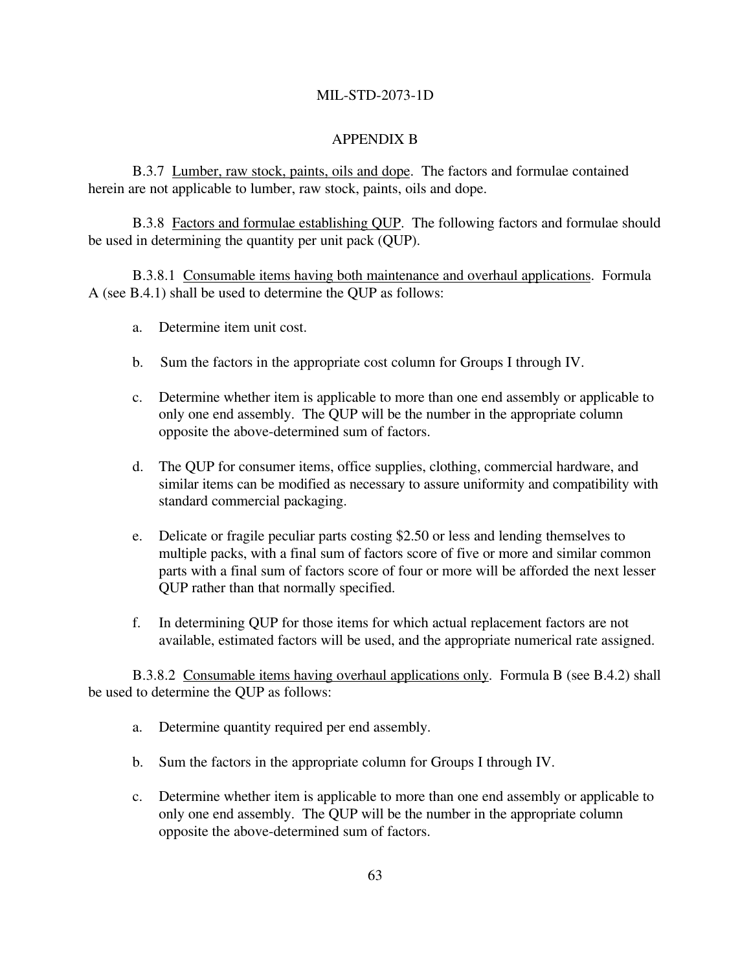#### APPENDIX B

B.3.7 Lumber, raw stock, paints, oils and dope. The factors and formulae contained herein are not applicable to lumber, raw stock, paints, oils and dope.

B.3.8 Factors and formulae establishing QUP. The following factors and formulae should be used in determining the quantity per unit pack (QUP).

B.3.8.1 Consumable items having both maintenance and overhaul applications. Formula A (see B.4.1) shall be used to determine the QUP as follows:

- a. Determine item unit cost.
- b. Sum the factors in the appropriate cost column for Groups I through IV.
- c. Determine whether item is applicable to more than one end assembly or applicable to only one end assembly. The QUP will be the number in the appropriate column opposite the above-determined sum of factors.
- d. The QUP for consumer items, office supplies, clothing, commercial hardware, and similar items can be modified as necessary to assure uniformity and compatibility with standard commercial packaging.
- e. Delicate or fragile peculiar parts costing \$2.50 or less and lending themselves to multiple packs, with a final sum of factors score of five or more and similar common parts with a final sum of factors score of four or more will be afforded the next lesser QUP rather than that normally specified.
- f. In determining QUP for those items for which actual replacement factors are not available, estimated factors will be used, and the appropriate numerical rate assigned.

B.3.8.2 Consumable items having overhaul applications only. Formula B (see B.4.2) shall be used to determine the QUP as follows:

- a. Determine quantity required per end assembly.
- b. Sum the factors in the appropriate column for Groups I through IV.
- c. Determine whether item is applicable to more than one end assembly or applicable to only one end assembly. The QUP will be the number in the appropriate column opposite the above-determined sum of factors.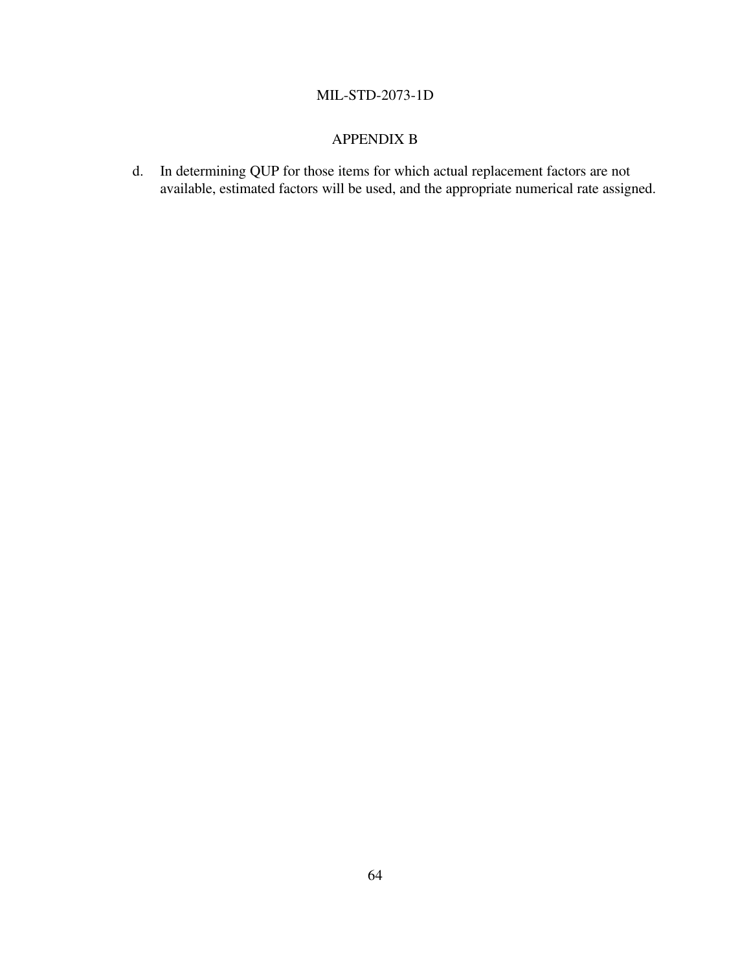### APPENDIX B

d. In determining QUP for those items for which actual replacement factors are not available, estimated factors will be used, and the appropriate numerical rate assigned.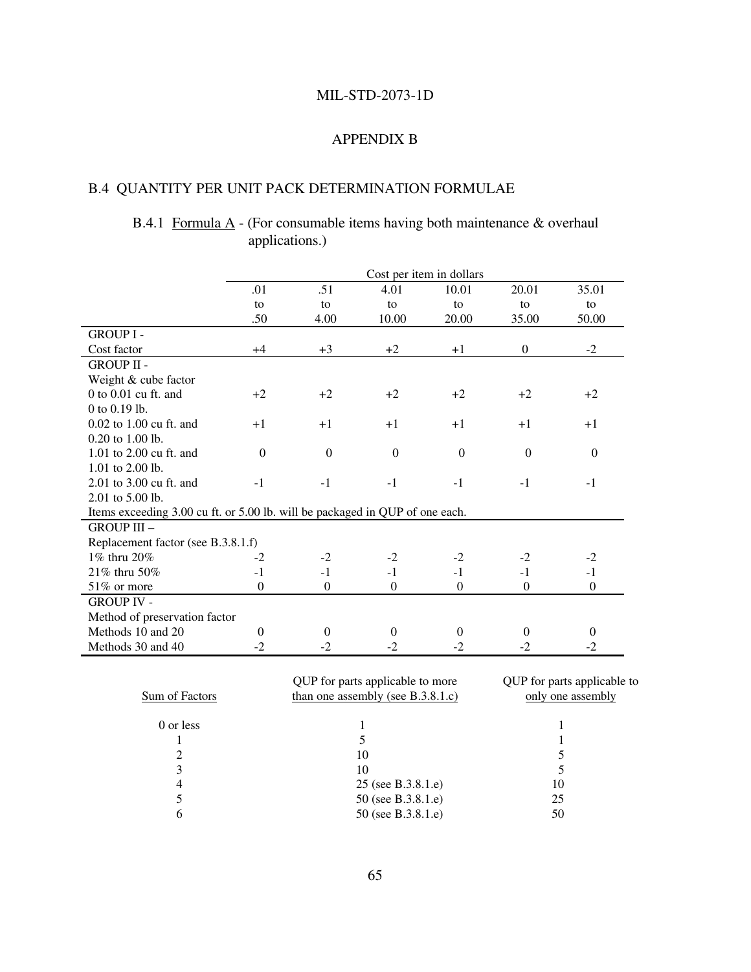### APPENDIX B

# B.4 QUANTITY PER UNIT PACK DETERMINATION FORMULAE

# B.4.1 Formula  $\overline{A}$  - (For consumable items having both maintenance & overhaul applications.)

|                                                                              | Cost per item in dollars |                          |                                      |                  |                  |                             |
|------------------------------------------------------------------------------|--------------------------|--------------------------|--------------------------------------|------------------|------------------|-----------------------------|
|                                                                              | .01                      | .51                      | 4.01                                 | 10.01            | 20.01            | 35.01                       |
|                                                                              | to                       | to                       | to                                   | to               | to               | to                          |
|                                                                              | .50                      | 4.00                     | 10.00                                | 20.00            | 35.00            | 50.00                       |
| <b>GROUP I-</b>                                                              |                          |                          |                                      |                  |                  |                             |
| Cost factor                                                                  | $+4$                     | $+3$                     | $+2$                                 | $+1$             | $\boldsymbol{0}$ | $-2$                        |
| <b>GROUP II -</b>                                                            |                          |                          |                                      |                  |                  |                             |
| Weight & cube factor                                                         |                          |                          |                                      |                  |                  |                             |
| $0$ to $0.01$ cu ft. and                                                     | $+2$                     | $+2$                     | $+2$                                 | $+2$             | $+2$             | $+2$                        |
| 0 to 0.19 lb.                                                                |                          |                          |                                      |                  |                  |                             |
| 0.02 to 1.00 cu ft. and                                                      | $+1$                     | $+1$                     | $+1$                                 | $+1$             | $+1$             | $+1$                        |
| 0.20 to 1.00 lb.                                                             |                          |                          |                                      |                  |                  |                             |
| 1.01 to 2.00 cu ft. and                                                      | $\boldsymbol{0}$         | $\boldsymbol{0}$         | $\boldsymbol{0}$                     | $\boldsymbol{0}$ | $\mathbf{0}$     | $\boldsymbol{0}$            |
| 1.01 to 2.00 lb.                                                             |                          |                          |                                      |                  |                  |                             |
| 2.01 to 3.00 cu ft. and                                                      | $-1$                     | $-1$                     | $-1$                                 | $-1$             | $-1$             | $-1$                        |
| 2.01 to 5.00 lb.                                                             |                          |                          |                                      |                  |                  |                             |
| Items exceeding 3.00 cu ft. or 5.00 lb. will be packaged in QUP of one each. |                          |                          |                                      |                  |                  |                             |
| GROUP III -                                                                  |                          |                          |                                      |                  |                  |                             |
| Replacement factor (see B.3.8.1.f)                                           |                          |                          |                                      |                  |                  |                             |
| 1% thru 20%                                                                  | $-2$                     | $-2$                     | $-2$                                 | $-2$             | $-2$             | $-2$                        |
| 21% thru 50%                                                                 | $-1$                     | $-1$                     | $-1$                                 | $-1$             | $-1$             | $-1$                        |
| 51% or more                                                                  | $\mathbf{0}$             | $\mathbf{0}$             | $\boldsymbol{0}$                     | $\boldsymbol{0}$ | $\boldsymbol{0}$ | $\boldsymbol{0}$            |
| <b>GROUP IV -</b>                                                            |                          |                          |                                      |                  |                  |                             |
| Method of preservation factor                                                |                          |                          |                                      |                  |                  |                             |
| Methods 10 and 20                                                            | $\boldsymbol{0}$         | $\mathbf{0}$             | $\boldsymbol{0}$                     | $\boldsymbol{0}$ | $\boldsymbol{0}$ | $\boldsymbol{0}$            |
| Methods 30 and 40                                                            | $-2$                     | $-2$                     | $-2$                                 | $-2$             | $-2$             | $-2$                        |
|                                                                              |                          |                          |                                      |                  |                  |                             |
|                                                                              |                          |                          | QUP for parts applicable to more     |                  |                  | QUP for parts applicable to |
| Sum of Factors                                                               |                          |                          | than one assembly (see $B.3.8.1.c$ ) |                  |                  | only one assembly           |
|                                                                              |                          |                          |                                      |                  |                  |                             |
| 0 or less                                                                    |                          |                          | $\mathbf{1}$                         |                  |                  | $\mathbf{1}$                |
| 1                                                                            |                          | 5                        |                                      |                  | 1                |                             |
| $\overline{c}$                                                               |                          | 10                       |                                      |                  | 5                |                             |
| 3                                                                            |                          | 10                       |                                      |                  | 5                |                             |
| $\overline{\mathbf{4}}$                                                      |                          |                          | 25 (see B.3.8.1.e)                   |                  |                  | 10                          |
| 5                                                                            |                          | 25<br>50 (see B.3.8.1.e) |                                      |                  |                  |                             |
| 6                                                                            |                          | 50 (see B.3.8.1.e)       |                                      |                  |                  | 50                          |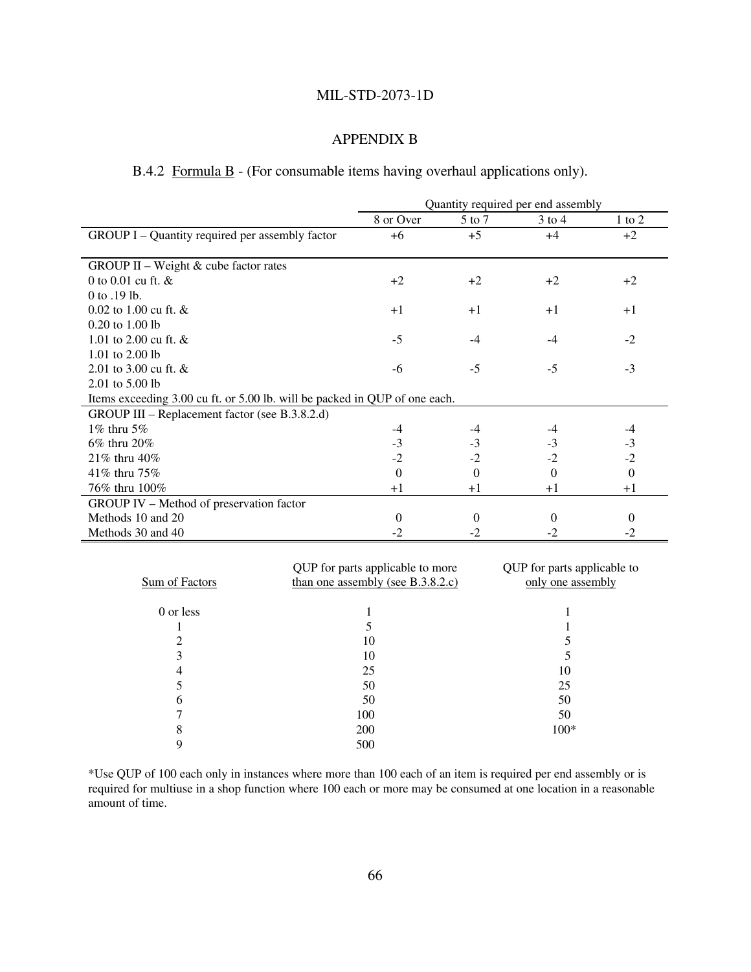#### APPENDIX B

# B.4.2 Formula B - (For consumable items having overhaul applications only).

|                                                                            | Quantity required per end assembly |          |            |            |  |
|----------------------------------------------------------------------------|------------------------------------|----------|------------|------------|--|
|                                                                            | 8 or Over                          | 5 to 7   | $3$ to $4$ | $1$ to $2$ |  |
| GROUP I – Quantity required per assembly factor                            | $+6$                               | $+5$     | $+4$       | $+2$       |  |
|                                                                            |                                    |          |            |            |  |
| GROUP II – Weight $&$ cube factor rates                                    |                                    |          |            |            |  |
| 0 to 0.01 cu ft. $&$                                                       | $+2$                               | $+2$     | $+2$       | $+2$       |  |
| $0$ to $.19$ lb.                                                           |                                    |          |            |            |  |
| 0.02 to 1.00 cu ft. $&$                                                    | $+1$                               | $+1$     | $+1$       | $+1$       |  |
| $0.20$ to $1.00$ lb                                                        |                                    |          |            |            |  |
| 1.01 to 2.00 cu ft. $&$                                                    | $-5$                               | $-4$     | $-4$       | $-2$       |  |
| 1.01 to $2.00$ lb                                                          |                                    |          |            |            |  |
| 2.01 to 3.00 cu ft. $&$                                                    | -6                                 | $-5$     | $-5$       | $-3$       |  |
| $2.01$ to $5.00$ lb                                                        |                                    |          |            |            |  |
| Items exceeding 3.00 cu ft. or 5.00 lb. will be packed in QUP of one each. |                                    |          |            |            |  |
| GROUP III – Replacement factor (see B.3.8.2.d)                             |                                    |          |            |            |  |
| 1\% thru 5\%                                                               | $-4$                               | -4       | -4         | -4         |  |
| $6\%$ thru $20\%$                                                          | $-3$                               | $-3$     | $-3$       | $-3$       |  |
| $21\%$ thru $40\%$                                                         | $-2$                               | $-2$     | $-2$       | $-2$       |  |
| 41% thru 75%                                                               | $\theta$                           | $\theta$ | $\Omega$   | $\Omega$   |  |
| 76% thru 100%                                                              | $+1$                               | $+1$     | $+1$       | $+1$       |  |
| GROUP IV - Method of preservation factor                                   |                                    |          |            |            |  |
| Methods 10 and 20                                                          | 0                                  | 0        | 0          | $\theta$   |  |
| Methods 30 and 40                                                          | $-2$                               | $-2$     | $-2$       | $-2$       |  |

| Sum of Factors | QUP for parts applicable to more<br>than one assembly (see B.3.8.2.c) | QUP for parts applicable to<br>only one assembly |
|----------------|-----------------------------------------------------------------------|--------------------------------------------------|
|                |                                                                       |                                                  |
| 0 or less      |                                                                       |                                                  |
|                |                                                                       |                                                  |
|                | 10                                                                    |                                                  |
|                | 10                                                                    |                                                  |
|                | 25                                                                    | 10                                               |
|                | 50                                                                    | 25                                               |
| O              | 50                                                                    | 50                                               |
|                | 100                                                                   | 50                                               |
| 8              | 200                                                                   | $100*$                                           |
| Q              | 500                                                                   |                                                  |

\*Use QUP of 100 each only in instances where more than 100 each of an item is required per end assembly or is required for multiuse in a shop function where 100 each or more may be consumed at one location in a reasonable amount of time.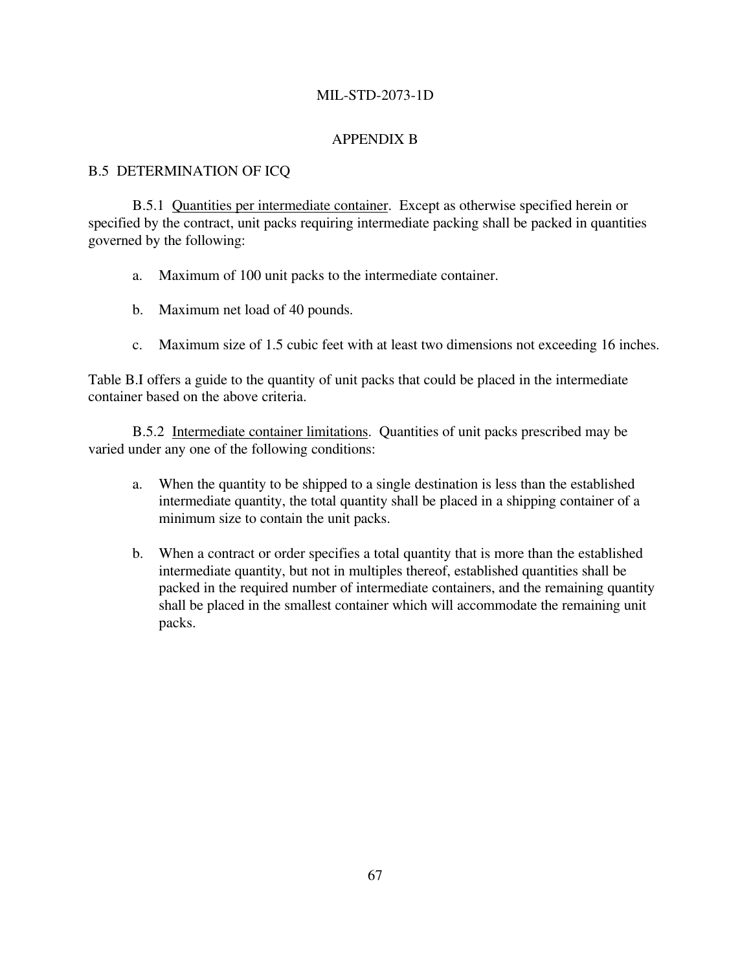### APPENDIX B

### B.5 DETERMINATION OF ICQ

B.5.1 Quantities per intermediate container. Except as otherwise specified herein or specified by the contract, unit packs requiring intermediate packing shall be packed in quantities governed by the following:

- a. Maximum of 100 unit packs to the intermediate container.
- b. Maximum net load of 40 pounds.
- c. Maximum size of 1.5 cubic feet with at least two dimensions not exceeding 16 inches.

Table B.I offers a guide to the quantity of unit packs that could be placed in the intermediate container based on the above criteria.

B.5.2 Intermediate container limitations. Quantities of unit packs prescribed may be varied under any one of the following conditions:

- a. When the quantity to be shipped to a single destination is less than the established intermediate quantity, the total quantity shall be placed in a shipping container of a minimum size to contain the unit packs.
- b. When a contract or order specifies a total quantity that is more than the established intermediate quantity, but not in multiples thereof, established quantities shall be packed in the required number of intermediate containers, and the remaining quantity shall be placed in the smallest container which will accommodate the remaining unit packs.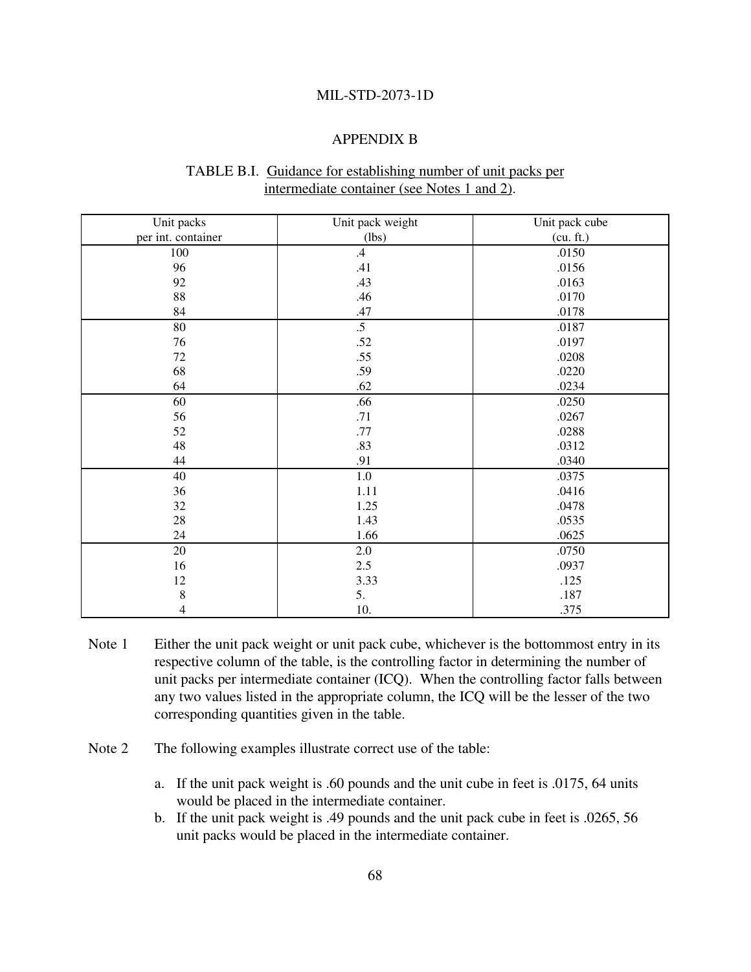#### APPENDIX B

### TABLE B.I. Guidance for establishing number of unit packs per intermediate container (see Notes 1 and 2).

| Unit packs         | Unit pack weight | Unit pack cube |
|--------------------|------------------|----------------|
| per int. container | (lbs)            | (cu. ft.)      |
| 100                | $.4\,$           | .0150          |
| 96                 | .41              | .0156          |
| 92                 | .43              | .0163          |
| 88                 | .46              | .0170          |
| 84                 | .47              | .0178          |
| 80                 | $.5\phantom{0}$  | .0187          |
| 76                 | .52              | .0197          |
| $72\,$             | .55              | .0208          |
| 68                 | .59              | .0220          |
| 64                 | .62              | .0234          |
| 60                 | .66              | .0250          |
| 56                 | .71              | .0267          |
| 52                 | .77              | .0288          |
| 48                 | .83              | .0312          |
| 44                 | .91              | .0340          |
| 40                 | $1.0\,$          | .0375          |
| 36                 | 1.11             | .0416          |
| 32                 | 1.25             | .0478          |
| 28                 | 1.43             | .0535          |
| 24                 | 1.66             | .0625          |
| 20                 | 2.0              | .0750          |
| 16                 | 2.5              | .0937          |
| 12                 | 3.33             | .125           |
| $\,$ 8 $\,$        | 5.               | .187           |
| 4                  | 10.              | .375           |

- Note 1 Either the unit pack weight or unit pack cube, whichever is the bottommost entry in its respective column of the table, is the controlling factor in determining the number of unit packs per intermediate container (ICQ). When the controlling factor falls between any two values listed in the appropriate column, the ICQ will be the lesser of the two corresponding quantities given in the table.
- Note 2 The following examples illustrate correct use of the table:
	- a. If the unit pack weight is .60 pounds and the unit cube in feet is .0175, 64 units would be placed in the intermediate container.
	- b. If the unit pack weight is .49 pounds and the unit pack cube in feet is .0265, 56 unit packs would be placed in the intermediate container.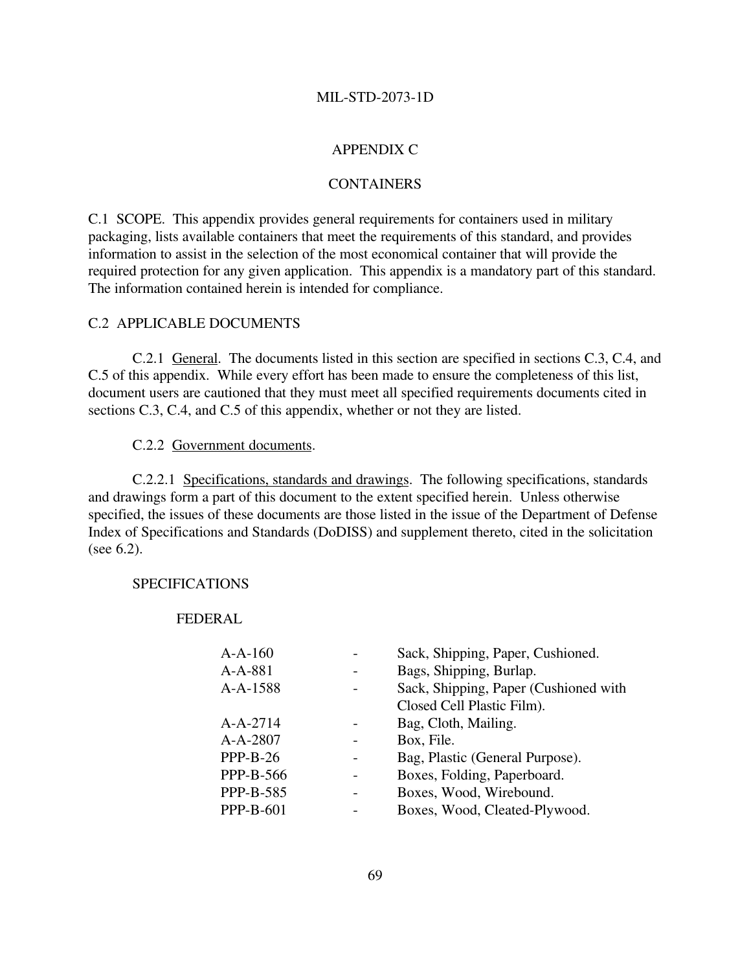#### APPENDIX C

### **CONTAINERS**

C.1 SCOPE. This appendix provides general requirements for containers used in military packaging, lists available containers that meet the requirements of this standard, and provides information to assist in the selection of the most economical container that will provide the required protection for any given application. This appendix is a mandatory part of this standard. The information contained herein is intended for compliance.

#### C.2 APPLICABLE DOCUMENTS

C.2.1 General. The documents listed in this section are specified in sections C.3, C.4, and C.5 of this appendix. While every effort has been made to ensure the completeness of this list, document users are cautioned that they must meet all specified requirements documents cited in sections C.3, C.4, and C.5 of this appendix, whether or not they are listed.

#### C.2.2 Government documents.

C.2.2.1 Specifications, standards and drawings. The following specifications, standards and drawings form a part of this document to the extent specified herein. Unless otherwise specified, the issues of these documents are those listed in the issue of the Department of Defense Index of Specifications and Standards (DoDISS) and supplement thereto, cited in the solicitation (see 6.2).

#### SPECIFICATIONS

#### FEDERAL

| $A-A-160$        | Sack, Shipping, Paper, Cushioned.     |
|------------------|---------------------------------------|
| $A-A-881$        | Bags, Shipping, Burlap.               |
| A-A-1588         | Sack, Shipping, Paper (Cushioned with |
|                  | Closed Cell Plastic Film).            |
| $A-A-2714$       | Bag, Cloth, Mailing.                  |
| $A-A-2807$       | Box, File.                            |
| $PPP-B-26$       | Bag, Plastic (General Purpose).       |
| <b>PPP-B-566</b> | Boxes, Folding, Paperboard.           |
| <b>PPP-B-585</b> | Boxes, Wood, Wirebound.               |
| <b>PPP-B-601</b> | Boxes, Wood, Cleated-Plywood.         |
|                  |                                       |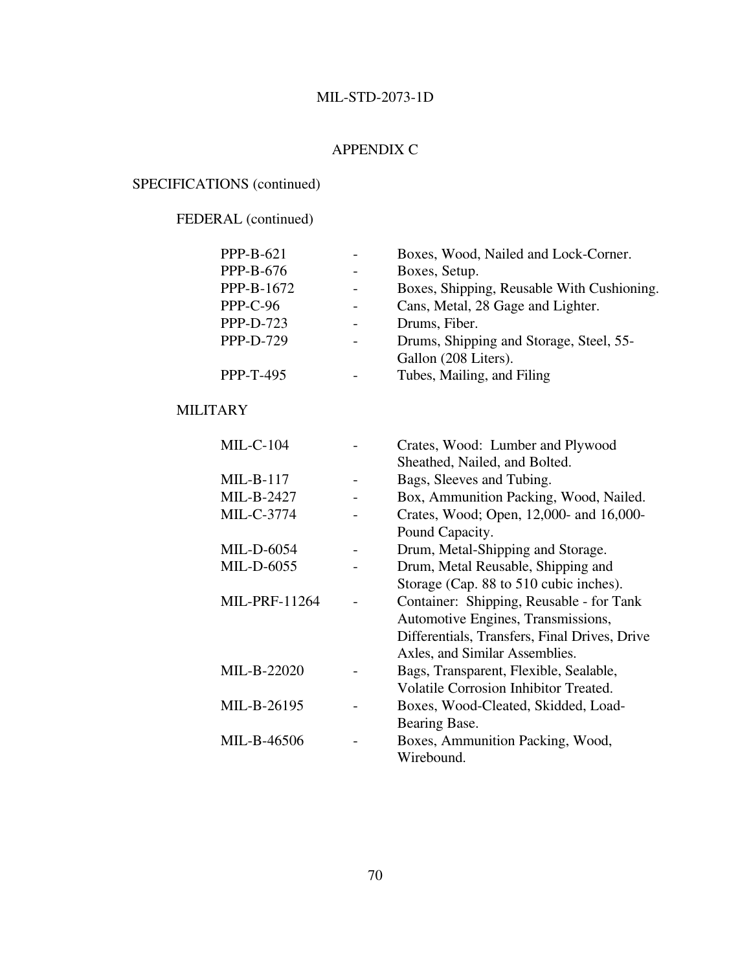## APPENDIX C

# SPECIFICATIONS (continued)

# FEDERAL (continued)

| PPP-B-621        | Boxes, Wood, Nailed and Lock-Corner.       |
|------------------|--------------------------------------------|
| PPP-B-676        | Boxes, Setup.                              |
| PPP-B-1672       | Boxes, Shipping, Reusable With Cushioning. |
| $PPP-C-96$       | Cans, Metal, 28 Gage and Lighter.          |
| PPP-D-723        | Drums, Fiber.                              |
| PPP-D-729        | Drums, Shipping and Storage, Steel, 55-    |
|                  | Gallon (208 Liters).                       |
| <b>PPP-T-495</b> | Tubes, Mailing, and Filing                 |
|                  |                                            |

### MILITARY

| <b>MIL-C-104</b>     | Crates, Wood: Lumber and Plywood              |
|----------------------|-----------------------------------------------|
|                      | Sheathed, Nailed, and Bolted.                 |
| $MIL-B-117$          | Bags, Sleeves and Tubing.                     |
| MIL-B-2427           | Box, Ammunition Packing, Wood, Nailed.        |
| MIL-C-3774           | Crates, Wood; Open, 12,000- and 16,000-       |
|                      | Pound Capacity.                               |
| MIL-D-6054           | Drum, Metal-Shipping and Storage.             |
| MIL-D-6055           | Drum, Metal Reusable, Shipping and            |
|                      | Storage (Cap. 88 to 510 cubic inches).        |
| <b>MIL-PRF-11264</b> | Container: Shipping, Reusable - for Tank      |
|                      | Automotive Engines, Transmissions,            |
|                      | Differentials, Transfers, Final Drives, Drive |
|                      | Axles, and Similar Assemblies.                |
| MIL-B-22020          | Bags, Transparent, Flexible, Sealable,        |
|                      | Volatile Corrosion Inhibitor Treated.         |
| MIL-B-26195          | Boxes, Wood-Cleated, Skidded, Load-           |
|                      | Bearing Base.                                 |
| MIL-B-46506          | Boxes, Ammunition Packing, Wood,              |
|                      | Wirebound.                                    |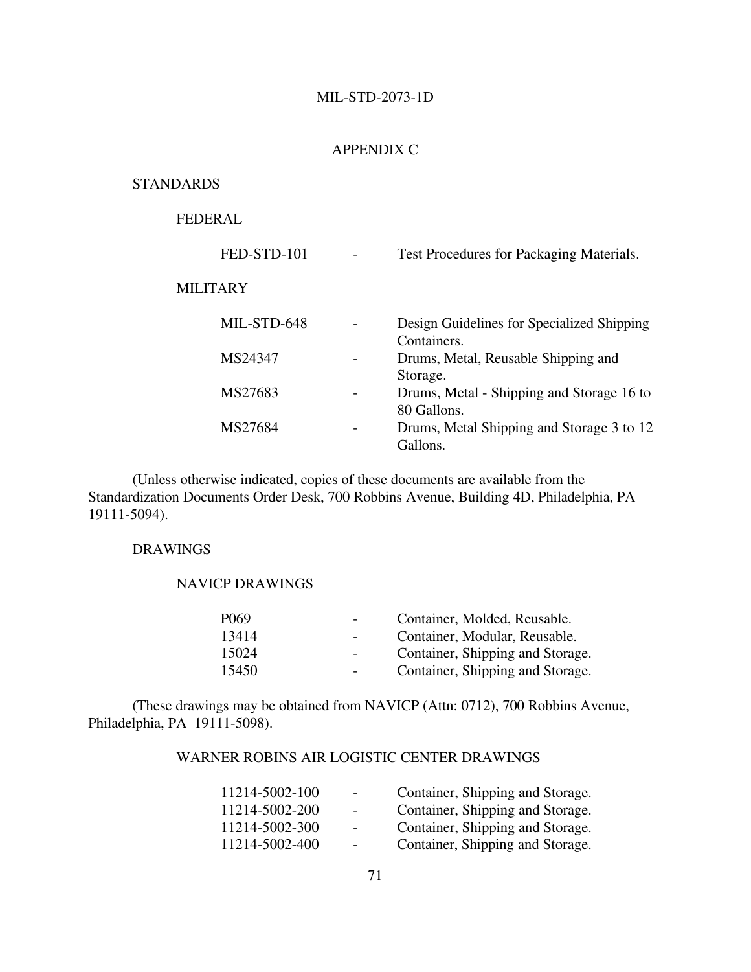### APPENDIX C

### **STANDARDS**

### FEDERAL

|                 | FED-STD-101 | Test Procedures for Packaging Materials.                  |
|-----------------|-------------|-----------------------------------------------------------|
| <b>MILITARY</b> |             |                                                           |
|                 | MIL-STD-648 | Design Guidelines for Specialized Shipping<br>Containers. |
|                 | MS24347     | Drums, Metal, Reusable Shipping and<br>Storage.           |
|                 | MS27683     | Drums, Metal - Shipping and Storage 16 to<br>80 Gallons.  |
|                 | MS27684     | Drums, Metal Shipping and Storage 3 to 12<br>Gallons.     |

(Unless otherwise indicated, copies of these documents are available from the Standardization Documents Order Desk, 700 Robbins Avenue, Building 4D, Philadelphia, PA 19111-5094).

### DRAWINGS

#### NAVICP DRAWINGS

| $\overline{\phantom{0}}$ | Container, Molded, Reusable.     |
|--------------------------|----------------------------------|
| $\overline{\phantom{0}}$ | Container, Modular, Reusable.    |
| $\overline{\phantom{0}}$ | Container, Shipping and Storage. |
| $\sim$ $\sim$            | Container, Shipping and Storage. |
|                          |                                  |

(These drawings may be obtained from NAVICP (Attn: 0712), 700 Robbins Avenue, Philadelphia, PA 19111-5098).

### WARNER ROBINS AIR LOGISTIC CENTER DRAWINGS

| 11214-5002-100 | $\overline{\phantom{0}}$ | Container, Shipping and Storage. |
|----------------|--------------------------|----------------------------------|
| 11214-5002-200 | $\overline{\phantom{a}}$ | Container, Shipping and Storage. |
| 11214-5002-300 | $\overline{\phantom{a}}$ | Container, Shipping and Storage. |
| 11214-5002-400 | $\overline{\phantom{a}}$ | Container, Shipping and Storage. |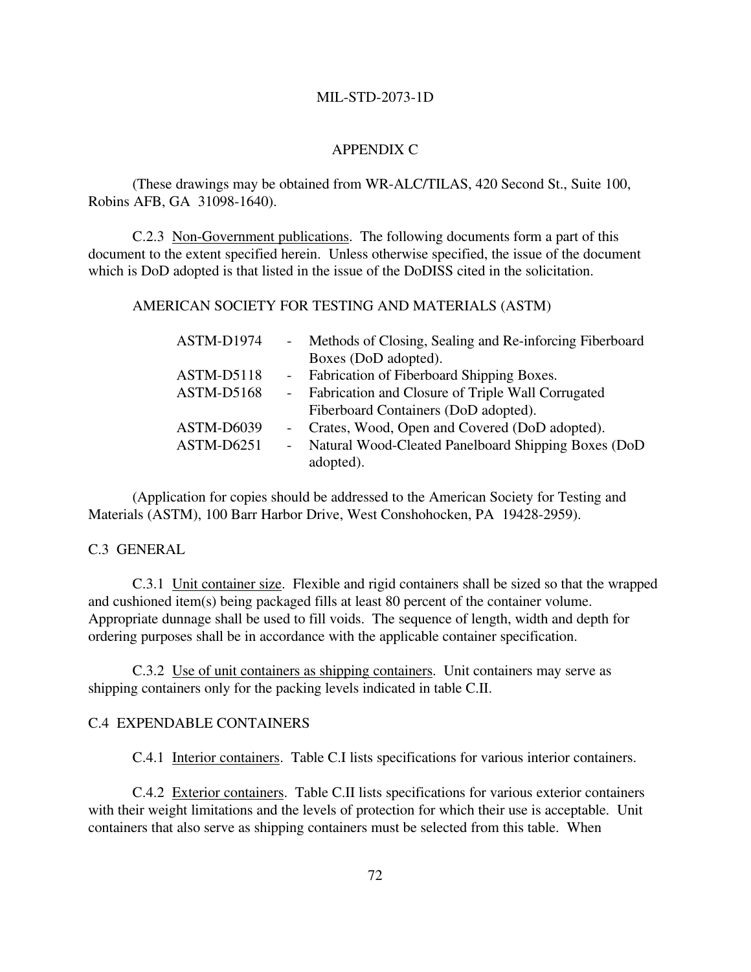#### APPENDIX C

(These drawings may be obtained from WR-ALC/TILAS, 420 Second St., Suite 100, Robins AFB, GA 31098-1640).

C.2.3 Non-Government publications. The following documents form a part of this document to the extent specified herein. Unless otherwise specified, the issue of the document which is DoD adopted is that listed in the issue of the DoDISS cited in the solicitation.

#### AMERICAN SOCIETY FOR TESTING AND MATERIALS (ASTM)

| <b>ASTM-D1974</b> | Methods of Closing, Sealing and Re-inforcing Fiberboard |
|-------------------|---------------------------------------------------------|
|                   | Boxes (DoD adopted).                                    |
| ASTM-D5118        | - Fabrication of Fiberboard Shipping Boxes.             |
| <b>ASTM-D5168</b> | Fabrication and Closure of Triple Wall Corrugated       |
|                   | Fiberboard Containers (DoD adopted).                    |
| ASTM-D6039        | - Crates, Wood, Open and Covered (DoD adopted).         |
| <b>ASTM-D6251</b> | Natural Wood-Cleated Panelboard Shipping Boxes (DoD     |
|                   | adopted).                                               |

(Application for copies should be addressed to the American Society for Testing and Materials (ASTM), 100 Barr Harbor Drive, West Conshohocken, PA 19428-2959).

### C.3 GENERAL

C.3.1 Unit container size. Flexible and rigid containers shall be sized so that the wrapped and cushioned item(s) being packaged fills at least 80 percent of the container volume. Appropriate dunnage shall be used to fill voids. The sequence of length, width and depth for ordering purposes shall be in accordance with the applicable container specification.

C.3.2 Use of unit containers as shipping containers. Unit containers may serve as shipping containers only for the packing levels indicated in table C.II.

### C.4 EXPENDABLE CONTAINERS

C.4.1 Interior containers. Table C.I lists specifications for various interior containers.

C.4.2 Exterior containers. Table C.II lists specifications for various exterior containers with their weight limitations and the levels of protection for which their use is acceptable. Unit containers that also serve as shipping containers must be selected from this table. When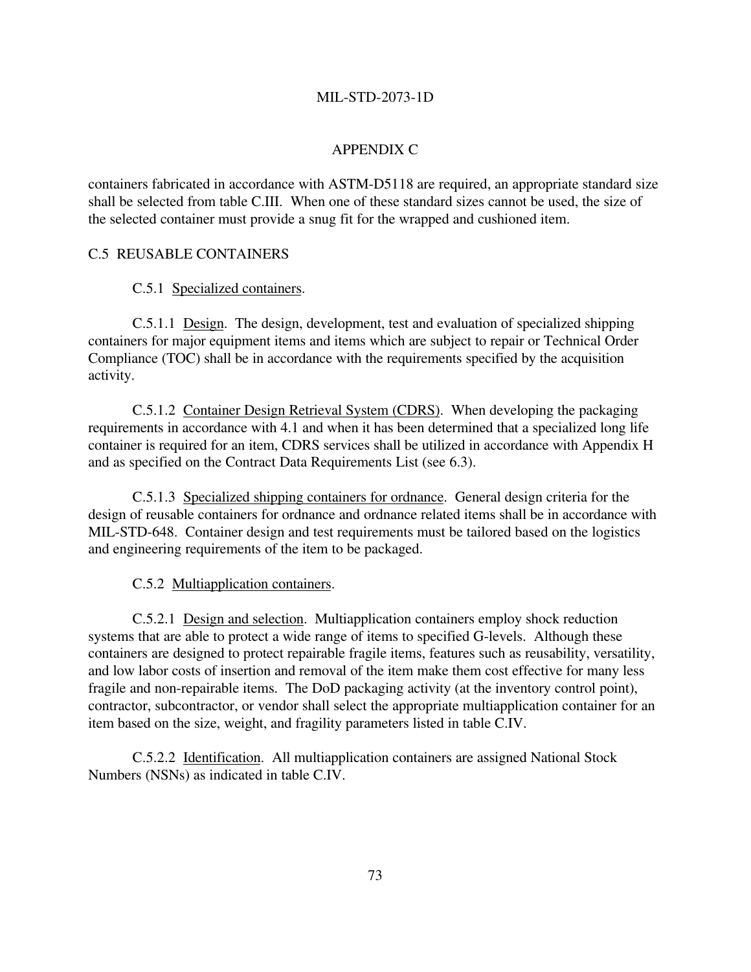### APPENDIX C

containers fabricated in accordance with ASTM-D5118 are required, an appropriate standard size shall be selected from table C.III. When one of these standard sizes cannot be used, the size of the selected container must provide a snug fit for the wrapped and cushioned item.

### C.5 REUSABLE CONTAINERS

#### C.5.1 Specialized containers.

C.5.1.1 Design. The design, development, test and evaluation of specialized shipping containers for major equipment items and items which are subject to repair or Technical Order Compliance (TOC) shall be in accordance with the requirements specified by the acquisition activity.

C.5.1.2 Container Design Retrieval System (CDRS). When developing the packaging requirements in accordance with 4.1 and when it has been determined that a specialized long life container is required for an item, CDRS services shall be utilized in accordance with Appendix H and as specified on the Contract Data Requirements List (see 6.3).

C.5.1.3 Specialized shipping containers for ordnance. General design criteria for the design of reusable containers for ordnance and ordnance related items shall be in accordance with MIL-STD-648. Container design and test requirements must be tailored based on the logistics and engineering requirements of the item to be packaged.

#### C.5.2 Multiapplication containers.

C.5.2.1 Design and selection. Multiapplication containers employ shock reduction systems that are able to protect a wide range of items to specified G-levels. Although these containers are designed to protect repairable fragile items, features such as reusability, versatility, and low labor costs of insertion and removal of the item make them cost effective for many less fragile and non-repairable items. The DoD packaging activity (at the inventory control point), contractor, subcontractor, or vendor shall select the appropriate multiapplication container for an item based on the size, weight, and fragility parameters listed in table C.IV.

C.5.2.2 Identification. All multiapplication containers are assigned National Stock Numbers (NSNs) as indicated in table C.IV.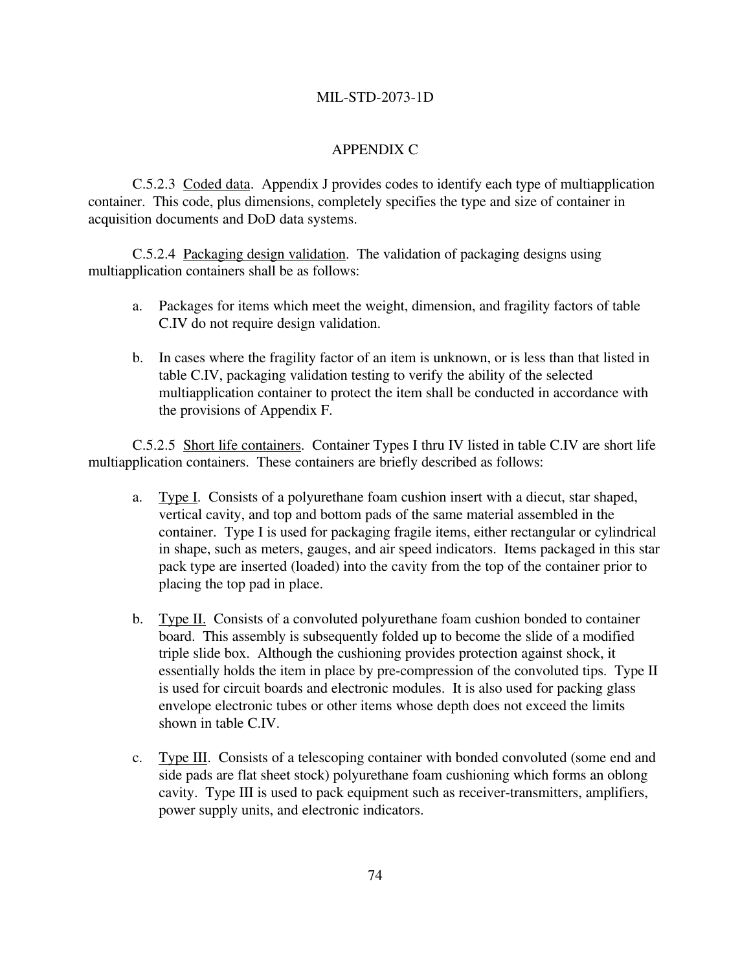#### APPENDIX C

C.5.2.3 Coded data. Appendix J provides codes to identify each type of multiapplication container. This code, plus dimensions, completely specifies the type and size of container in acquisition documents and DoD data systems.

C.5.2.4 Packaging design validation. The validation of packaging designs using multiapplication containers shall be as follows:

- a. Packages for items which meet the weight, dimension, and fragility factors of table C.IV do not require design validation.
- b. In cases where the fragility factor of an item is unknown, or is less than that listed in table C.IV, packaging validation testing to verify the ability of the selected multiapplication container to protect the item shall be conducted in accordance with the provisions of Appendix F.

C.5.2.5 Short life containers. Container Types I thru IV listed in table C.IV are short life multiapplication containers. These containers are briefly described as follows:

- a. Type I. Consists of a polyurethane foam cushion insert with a diecut, star shaped, vertical cavity, and top and bottom pads of the same material assembled in the container. Type I is used for packaging fragile items, either rectangular or cylindrical in shape, such as meters, gauges, and air speed indicators. Items packaged in this star pack type are inserted (loaded) into the cavity from the top of the container prior to placing the top pad in place.
- b. Type II. Consists of a convoluted polyurethane foam cushion bonded to container board. This assembly is subsequently folded up to become the slide of a modified triple slide box. Although the cushioning provides protection against shock, it essentially holds the item in place by pre-compression of the convoluted tips. Type II is used for circuit boards and electronic modules. It is also used for packing glass envelope electronic tubes or other items whose depth does not exceed the limits shown in table C.IV.
- c. Type III. Consists of a telescoping container with bonded convoluted (some end and side pads are flat sheet stock) polyurethane foam cushioning which forms an oblong cavity. Type III is used to pack equipment such as receiver-transmitters, amplifiers, power supply units, and electronic indicators.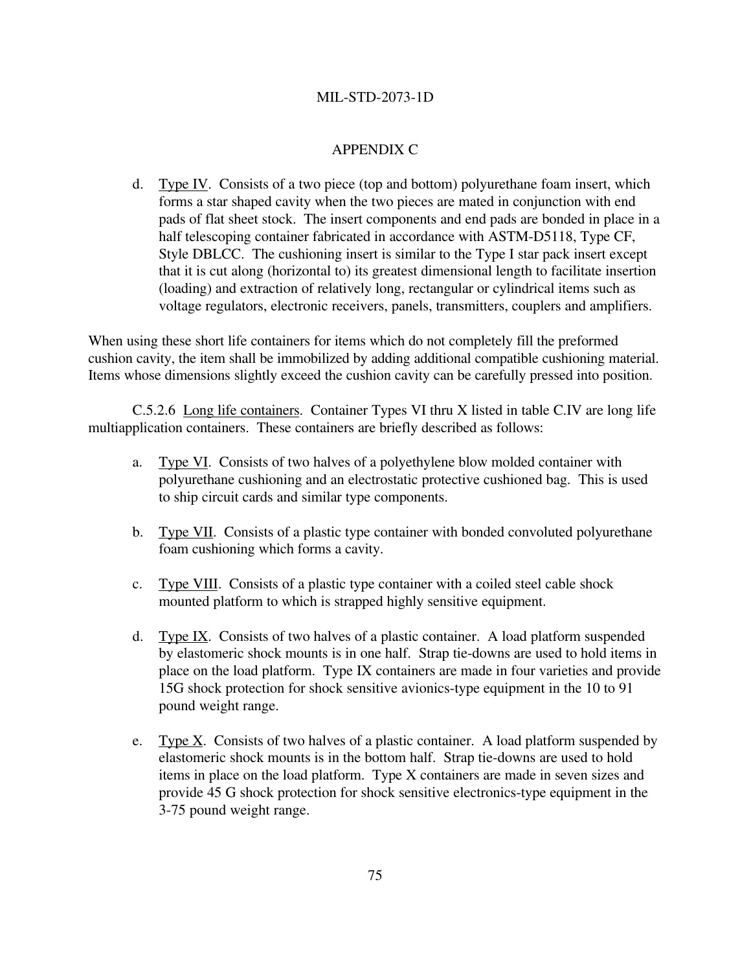### APPENDIX C

d. Type IV. Consists of a two piece (top and bottom) polyurethane foam insert, which forms a star shaped cavity when the two pieces are mated in conjunction with end pads of flat sheet stock. The insert components and end pads are bonded in place in a half telescoping container fabricated in accordance with ASTM-D5118, Type CF, Style DBLCC. The cushioning insert is similar to the Type I star pack insert except that it is cut along (horizontal to) its greatest dimensional length to facilitate insertion (loading) and extraction of relatively long, rectangular or cylindrical items such as voltage regulators, electronic receivers, panels, transmitters, couplers and amplifiers.

When using these short life containers for items which do not completely fill the preformed cushion cavity, the item shall be immobilized by adding additional compatible cushioning material. Items whose dimensions slightly exceed the cushion cavity can be carefully pressed into position.

C.5.2.6 Long life containers. Container Types VI thru X listed in table C.IV are long life multiapplication containers. These containers are briefly described as follows:

- a. Type VI. Consists of two halves of a polyethylene blow molded container with polyurethane cushioning and an electrostatic protective cushioned bag. This is used to ship circuit cards and similar type components.
- b. Type VII. Consists of a plastic type container with bonded convoluted polyurethane foam cushioning which forms a cavity.
- c. Type VIII. Consists of a plastic type container with a coiled steel cable shock mounted platform to which is strapped highly sensitive equipment.
- d. Type IX. Consists of two halves of a plastic container. A load platform suspended by elastomeric shock mounts is in one half. Strap tie-downs are used to hold items in place on the load platform. Type IX containers are made in four varieties and provide 15G shock protection for shock sensitive avionics-type equipment in the 10 to 91 pound weight range.
- e. Type X. Consists of two halves of a plastic container. A load platform suspended by elastomeric shock mounts is in the bottom half. Strap tie-downs are used to hold items in place on the load platform. Type X containers are made in seven sizes and provide 45 G shock protection for shock sensitive electronics-type equipment in the 3-75 pound weight range.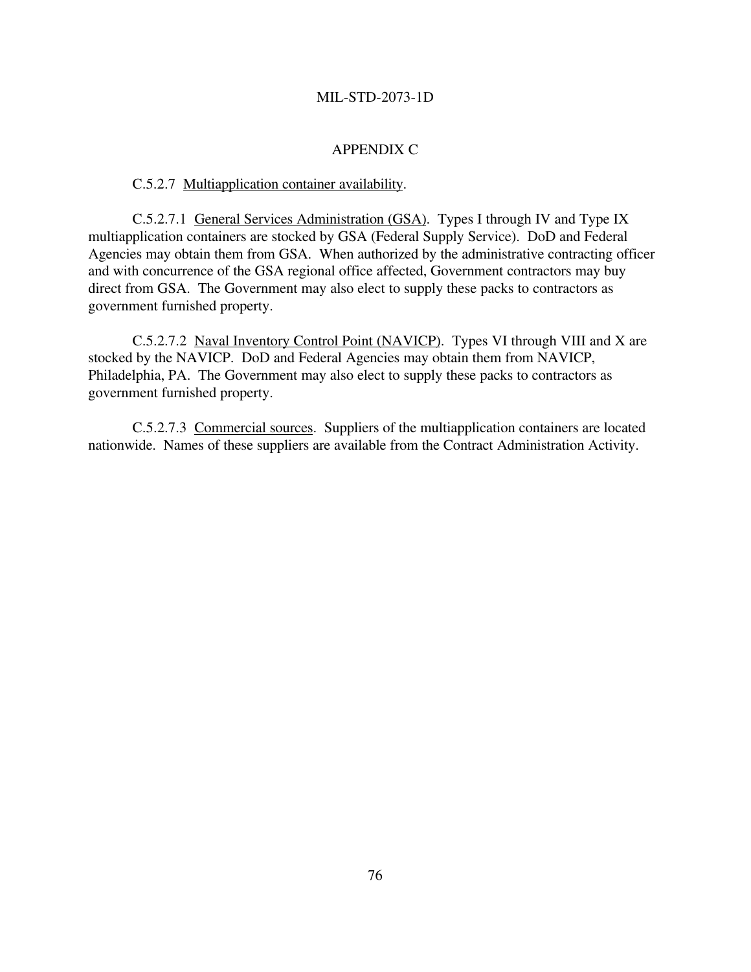### APPENDIX C

#### C.5.2.7 Multiapplication container availability.

C.5.2.7.1 General Services Administration (GSA). Types I through IV and Type IX multiapplication containers are stocked by GSA (Federal Supply Service). DoD and Federal Agencies may obtain them from GSA. When authorized by the administrative contracting officer and with concurrence of the GSA regional office affected, Government contractors may buy direct from GSA. The Government may also elect to supply these packs to contractors as government furnished property.

C.5.2.7.2 Naval Inventory Control Point (NAVICP). Types VI through VIII and X are stocked by the NAVICP. DoD and Federal Agencies may obtain them from NAVICP, Philadelphia, PA. The Government may also elect to supply these packs to contractors as government furnished property.

C.5.2.7.3 Commercial sources. Suppliers of the multiapplication containers are located nationwide. Names of these suppliers are available from the Contract Administration Activity.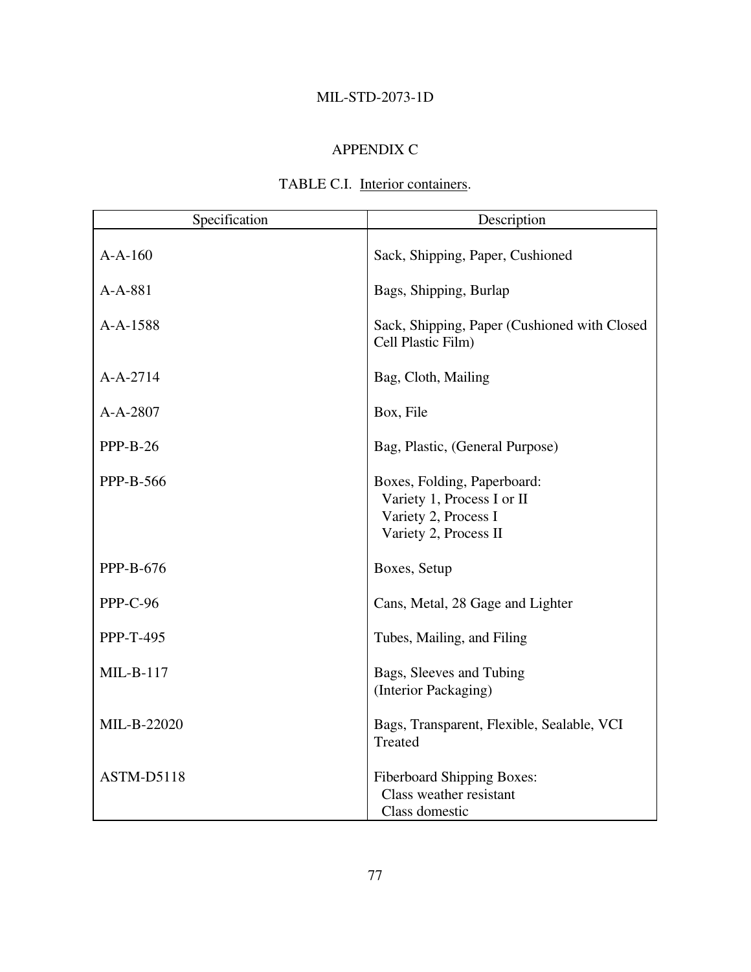# APPENDIX C

| TABLE C.I. Interior containers. |  |  |
|---------------------------------|--|--|
|---------------------------------|--|--|

| Specification     | Description                                                                                                |
|-------------------|------------------------------------------------------------------------------------------------------------|
| $A-A-160$         | Sack, Shipping, Paper, Cushioned                                                                           |
| A-A-881           | Bags, Shipping, Burlap                                                                                     |
| A-A-1588          | Sack, Shipping, Paper (Cushioned with Closed<br>Cell Plastic Film)                                         |
| $A-A-2714$        | Bag, Cloth, Mailing                                                                                        |
| A-A-2807          | Box, File                                                                                                  |
| $PPP-B-26$        | Bag, Plastic, (General Purpose)                                                                            |
| <b>PPP-B-566</b>  | Boxes, Folding, Paperboard:<br>Variety 1, Process I or II<br>Variety 2, Process I<br>Variety 2, Process II |
| PPP-B-676         | Boxes, Setup                                                                                               |
| PPP-C-96          | Cans, Metal, 28 Gage and Lighter                                                                           |
| <b>PPP-T-495</b>  | Tubes, Mailing, and Filing                                                                                 |
| $MIL-B-117$       | Bags, Sleeves and Tubing<br>(Interior Packaging)                                                           |
| MIL-B-22020       | Bags, Transparent, Flexible, Sealable, VCI<br>Treated                                                      |
| <b>ASTM-D5118</b> | <b>Fiberboard Shipping Boxes:</b><br>Class weather resistant<br>Class domestic                             |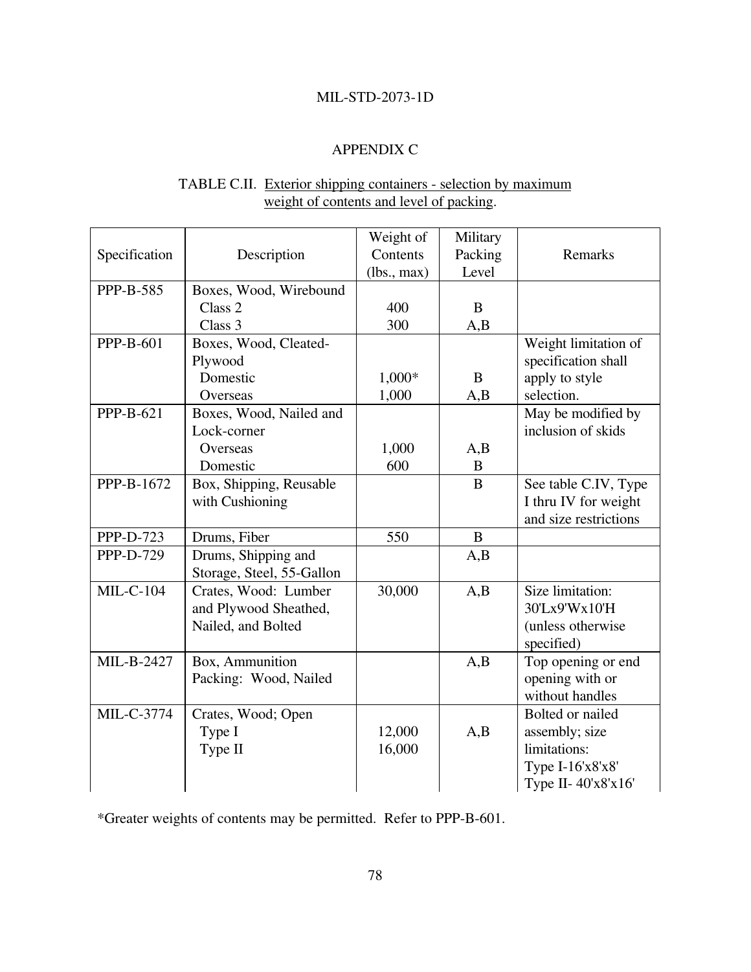## APPENDIX C

## TABLE C.II. Exterior shipping containers - selection by maximum weight of contents and level of packing.

|                  |                           | Weight of   | Military     |                       |
|------------------|---------------------------|-------------|--------------|-----------------------|
| Specification    | Description               | Contents    | Packing      | Remarks               |
|                  |                           | (lbs., max) | Level        |                       |
| PPP-B-585        | Boxes, Wood, Wirebound    |             |              |                       |
|                  | Class <sub>2</sub>        | 400         | B            |                       |
|                  | Class 3                   | 300         | A,B          |                       |
| PPP-B-601        | Boxes, Wood, Cleated-     |             |              | Weight limitation of  |
|                  | Plywood                   |             |              | specification shall   |
|                  | Domestic                  | 1,000*      | B            | apply to style        |
|                  | Overseas                  | 1,000       | A,B          | selection.            |
| PPP-B-621        | Boxes, Wood, Nailed and   |             |              | May be modified by    |
|                  | Lock-corner               |             |              | inclusion of skids    |
|                  | Overseas                  | 1,000       | A,B          |                       |
|                  | Domestic                  | 600         | $\, {\bf B}$ |                       |
| PPP-B-1672       | Box, Shipping, Reusable   |             | $\bf{B}$     | See table C.IV, Type  |
|                  | with Cushioning           |             |              | I thru IV for weight  |
|                  |                           |             |              | and size restrictions |
| PPP-D-723        | Drums, Fiber              | 550         | $\bf{B}$     |                       |
| PPP-D-729        | Drums, Shipping and       |             | A,B          |                       |
|                  | Storage, Steel, 55-Gallon |             |              |                       |
| <b>MIL-C-104</b> | Crates, Wood: Lumber      | 30,000      | A,B          | Size limitation:      |
|                  | and Plywood Sheathed,     |             |              | 30'Lx9'Wx10'H         |
|                  | Nailed, and Bolted        |             |              | (unless otherwise     |
|                  |                           |             |              | specified)            |
| MIL-B-2427       | Box, Ammunition           |             | A,B          | Top opening or end    |
|                  |                           |             |              | opening with or       |
|                  | Packing: Wood, Nailed     |             |              | without handles       |
|                  |                           |             |              |                       |
| MIL-C-3774       | Crates, Wood; Open        |             |              | Bolted or nailed      |
|                  | Type I                    | 12,000      | A,B          | assembly; size        |
|                  | Type II                   | 16,000      |              | limitations:          |
|                  |                           |             |              | Type I-16'x8'x8'      |
|                  |                           |             |              | Type II-40'x8'x16'    |

\*Greater weights of contents may be permitted. Refer to PPP-B-601.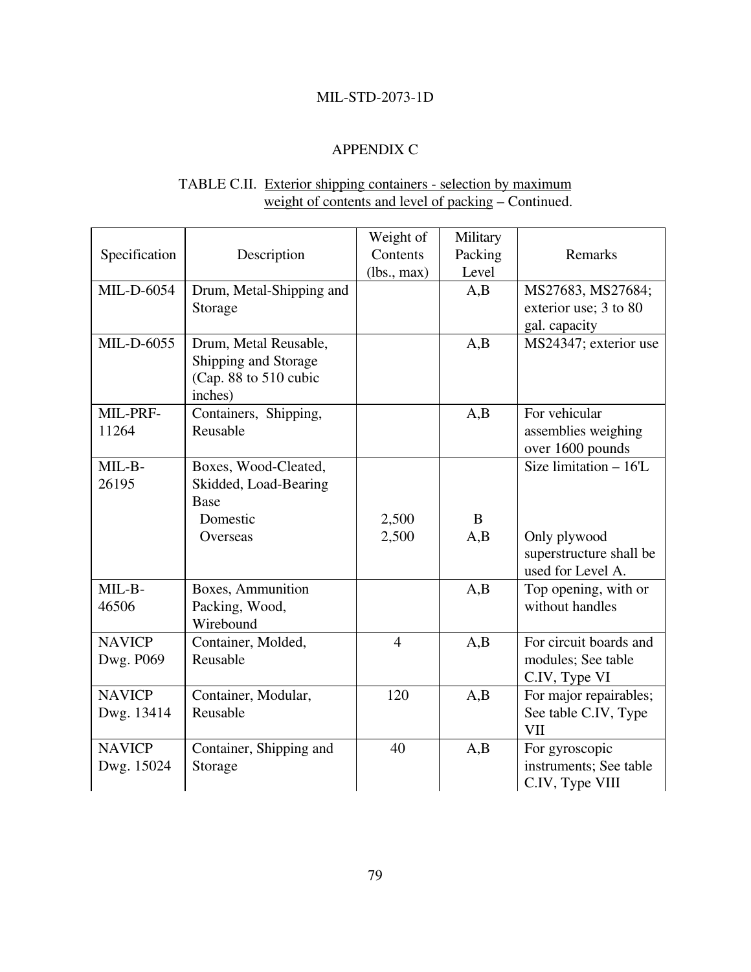## APPENDIX C

## TABLE C.II. Exterior shipping containers - selection by maximum weight of contents and level of packing – Continued.

| Specification | Description              | Weight of<br>Contents | Military<br>Packing | Remarks                 |
|---------------|--------------------------|-----------------------|---------------------|-------------------------|
|               |                          | (lbs., max)           | Level               |                         |
| MIL-D-6054    | Drum, Metal-Shipping and |                       | A,B                 | MS27683, MS27684;       |
|               | Storage                  |                       |                     | exterior use; 3 to 80   |
|               |                          |                       |                     | gal. capacity           |
| MIL-D-6055    | Drum, Metal Reusable,    |                       | A,B                 | MS24347; exterior use   |
|               | Shipping and Storage     |                       |                     |                         |
|               | (Cap. 88 to 510 cubic    |                       |                     |                         |
|               | inches)                  |                       |                     |                         |
| MIL-PRF-      | Containers, Shipping,    |                       | A,B                 | For vehicular           |
| 11264         | Reusable                 |                       |                     | assemblies weighing     |
|               |                          |                       |                     | over 1600 pounds        |
| MIL-B-        | Boxes, Wood-Cleated,     |                       |                     | Size limitation $-16L$  |
| 26195         | Skidded, Load-Bearing    |                       |                     |                         |
|               | <b>Base</b>              |                       |                     |                         |
|               | Domestic                 | 2,500                 | B                   |                         |
|               | Overseas                 | 2,500                 | A,B                 | Only plywood            |
|               |                          |                       |                     | superstructure shall be |
|               |                          |                       |                     | used for Level A.       |
| MIL-B-        | Boxes, Ammunition        |                       | A,B                 | Top opening, with or    |
| 46506         | Packing, Wood,           |                       |                     | without handles         |
|               | Wirebound                |                       |                     |                         |
| <b>NAVICP</b> | Container, Molded,       | $\overline{4}$        | A,B                 | For circuit boards and  |
| Dwg. P069     | Reusable                 |                       |                     | modules; See table      |
|               |                          |                       |                     | C.IV, Type VI           |
| <b>NAVICP</b> | Container, Modular,      | 120                   | A,B                 | For major repairables;  |
| Dwg. 13414    | Reusable                 |                       |                     | See table C.IV, Type    |
|               |                          |                       |                     | VII                     |
| <b>NAVICP</b> | Container, Shipping and  | 40                    | A,B                 | For gyroscopic          |
| Dwg. 15024    | Storage                  |                       |                     | instruments; See table  |
|               |                          |                       |                     | C.IV, Type VIII         |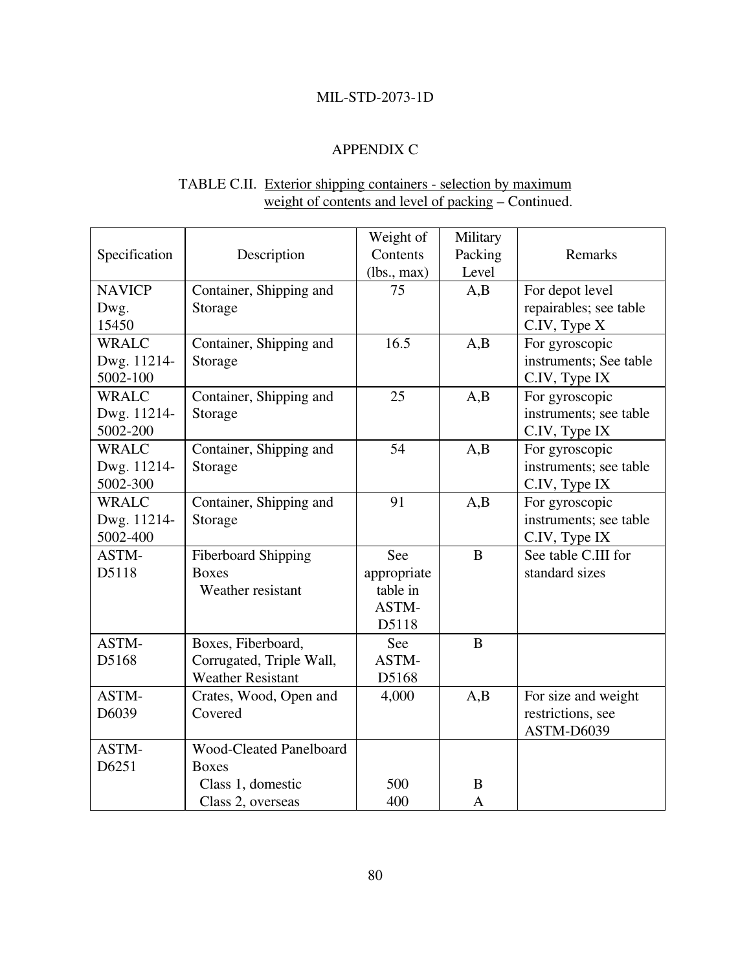## APPENDIX C

## TABLE C.II. Exterior shipping containers - selection by maximum weight of contents and level of packing – Continued.

|               |                          | Weight of   | Military |                        |
|---------------|--------------------------|-------------|----------|------------------------|
| Specification | Description              | Contents    | Packing  | Remarks                |
|               |                          | (lbs., max) | Level    |                        |
| <b>NAVICP</b> | Container, Shipping and  | 75          | A,B      | For depot level        |
| Dwg.          | Storage                  |             |          | repairables; see table |
| 15450         |                          |             |          | C.IV, Type X           |
| <b>WRALC</b>  | Container, Shipping and  | 16.5        | A,B      | For gyroscopic         |
| Dwg. 11214-   | Storage                  |             |          | instruments; See table |
| 5002-100      |                          |             |          | C.IV, Type IX          |
| <b>WRALC</b>  | Container, Shipping and  | 25          | A,B      | For gyroscopic         |
| Dwg. 11214-   | Storage                  |             |          | instruments; see table |
| 5002-200      |                          |             |          | C.IV, Type IX          |
| <b>WRALC</b>  | Container, Shipping and  | 54          | A,B      | For gyroscopic         |
| Dwg. 11214-   | Storage                  |             |          | instruments; see table |
| 5002-300      |                          |             |          | C.IV, Type IX          |
| <b>WRALC</b>  | Container, Shipping and  | 91          | A,B      | For gyroscopic         |
| Dwg. 11214-   | Storage                  |             |          | instruments; see table |
| 5002-400      |                          |             |          | C.IV, Type IX          |
| ASTM-         | Fiberboard Shipping      | See         | B        | See table C.III for    |
| D5118         | <b>Boxes</b>             | appropriate |          | standard sizes         |
|               | Weather resistant        | table in    |          |                        |
|               |                          | ASTM-       |          |                        |
|               |                          | D5118       |          |                        |
| ASTM-         | Boxes, Fiberboard,       | See         | B        |                        |
| D5168         | Corrugated, Triple Wall, | ASTM-       |          |                        |
|               | <b>Weather Resistant</b> | D5168       |          |                        |
| ASTM-         | Crates, Wood, Open and   | 4,000       | A,B      | For size and weight    |
| D6039         | Covered                  |             |          | restrictions, see      |
|               |                          |             |          | ASTM-D6039             |
| ASTM-         | Wood-Cleated Panelboard  |             |          |                        |
| D6251         | <b>Boxes</b>             |             |          |                        |
|               | Class 1, domestic        | 500         | B        |                        |
|               | Class 2, overseas        | 400         | A        |                        |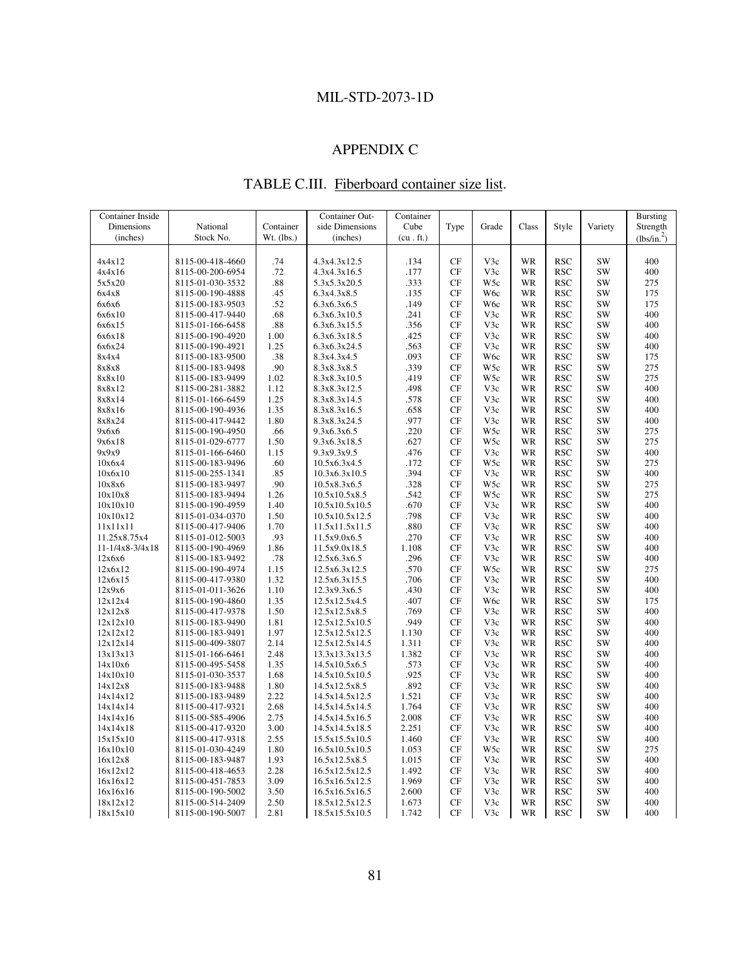### APPENDIX C

# TABLE C.III. Fiberboard container size list.

| Container Inside<br>Dimensions | National         | Container    | Container Out-<br>side Dimensions | Container<br>Cube | Type | Grade           | Class     | Style      | Variety   | <b>Bursting</b><br>Strength |
|--------------------------------|------------------|--------------|-----------------------------------|-------------------|------|-----------------|-----------|------------|-----------|-----------------------------|
| (inches)                       | Stock No.        | $Wt.$ (lbs.) | (inches)                          | $(cu$ . ft.)      |      |                 |           |            |           | (lbs/in. <sup>2</sup> )     |
|                                |                  |              |                                   |                   |      |                 |           |            |           |                             |
| 4x4x12                         | 8115-00-418-4660 | .74          | 4.3x4.3x12.5                      | .134              | CF   | V3c             | <b>WR</b> | <b>RSC</b> | <b>SW</b> | 400                         |
| 4x4x16                         | 8115-00-200-6954 | .72          | 4.3x4.3x16.5                      | .177              | CF   | V3c             | <b>WR</b> | <b>RSC</b> | <b>SW</b> | 400                         |
| 5x5x20                         | 8115-01-030-3532 | .88          | 5.3x5.3x20.5                      | .333              | CF   | W <sub>5c</sub> | WR        | <b>RSC</b> | SW        | 275                         |
| 6x4x8                          | 8115-00-190-4888 | .45          | 6.3x4.3x8.5                       | .135              | CF   | W6c             | WR        | <b>RSC</b> | SW        | 175                         |
| 6x6x6                          | 8115-00-183-9503 | .52          | 6.3x6.3x6.5                       | .149              | CF   | W6c             | WR        | <b>RSC</b> | <b>SW</b> | 175                         |
| 6x6x10                         | 8115-00-417-9440 | .68          | 6.3x6.3x10.5                      | .241              | CF   | V3c             | WR        | <b>RSC</b> | SW        | 400                         |
| 6x6x15                         | 8115-01-166-6458 | .88          | 6.3x6.3x15.5                      | .356              | CF   | V3c             | <b>WR</b> | <b>RSC</b> | <b>SW</b> | 400                         |
| 6x6x18                         | 8115-00-190-4920 | 1.00         | 6.3x6.3x18.5                      | .425              | CF   | V3c             | WR        | <b>RSC</b> | SW        | 400                         |
| 6x6x24                         | 8115-00-190-4921 | 1.25         | 6.3x6.3x24.5                      | .563              | CF   | V3c             | <b>WR</b> | <b>RSC</b> | SW        | 400                         |
| 8x4x4                          | 8115-00-183-9500 | .38          | 8.3x4.3x4.5                       | .093              | CF   | W6c             | WR        | <b>RSC</b> | <b>SW</b> | 175                         |
| 8x8x8                          | 8115-00-183-9498 | .90          | 8.3x8.3x8.5                       | .339              | CF   | W5c             | WR        | <b>RSC</b> | SW        | 275                         |
| 8x8x10                         | 8115-00-183-9499 | 1.02         | 8.3x8.3x10.5                      | .419              | CF   | W5c             | WR        | <b>RSC</b> | <b>SW</b> | 275                         |
| 8x8x12                         | 8115-00-281-3882 | 1.12         | 8.3x8.3x12.5                      | .498              | CF   | V3c             | WR        | <b>RSC</b> | SW        | 400                         |
| 8x8x14                         | 8115-01-166-6459 | 1.25         | 8.3x8.3x14.5                      | .578              | CF   | V3c             | WR        | <b>RSC</b> | <b>SW</b> | 400                         |
| 8x8x16                         | 8115-00-190-4936 | 1.35         | 8.3x8.3x16.5                      | .658              | CF   | V3c             | WR        | <b>RSC</b> | SW        | 400                         |
| 8x8x24                         | 8115-00-417-9442 | 1.80         | 8.3x8.3x24.5                      | .977              | CF   | V3c             | <b>WR</b> | <b>RSC</b> | SW        | 400                         |
| 9x6x6                          | 8115-00-190-4950 | .66          | 9.3x6.3x6.5                       | .220              | CF   | W5c             | WR        | <b>RSC</b> | SW        | 275                         |
| 9x6x18                         | 8115-01-029-6777 | 1.50         | 9.3x6.3x18.5                      | .627              | CF   | W5c             | WR        | <b>RSC</b> | SW        | 275                         |
| 9x9x9                          | 8115-01-166-6460 | 1.15         | 9.3x9.3x9.5                       | .476              | CF   | V3c             | WR        | <b>RSC</b> | <b>SW</b> | 400                         |
| 10x6x4                         | 8115-00-183-9496 | .60          | 10.5x6.3x4.5                      | .172              | CF   | W5c             | WR        | <b>RSC</b> | SW        | 275                         |
| 10x6x10                        | 8115-00-255-1341 | .85          | 10.3x6.3x10.5                     | .394              | CF   | V3c             | WR        | <b>RSC</b> | <b>SW</b> | 400                         |
| 10x8x6                         | 8115-00-183-9497 | .90          | 10.5x8.3x6.5                      | .328              | CF   | W5c             | WR        | <b>RSC</b> | <b>SW</b> | 275                         |
| 10x10x8                        | 8115-00-183-9494 | 1.26         | 10.5x10.5x8.5                     | .542              | CF   | W5c             | <b>WR</b> | <b>RSC</b> | SW        | 275                         |
| 10x10x10                       | 8115-00-190-4959 | 1.40         | 10.5x10.5x10.5                    | .670              | CF   | V3c             | WR        | <b>RSC</b> | SW        | 400                         |
| 10x10x12                       | 8115-01-034-0370 | 1.50         | 10.5x10.5x12.5                    | .798              | CF   | V3c             | WR        | <b>RSC</b> | SW        | 400                         |
| 11x11x11                       | 8115-00-417-9406 | 1.70         | 11.5x11.5x11.5                    | .880              | CF   | V3c             | WR        | <b>RSC</b> | <b>SW</b> | 400                         |
| 11.25x8.75x4                   | 8115-01-012-5003 | .93          | 11.5x9.0x6.5                      | .270              | CF   | V3c             | WR        | <b>RSC</b> | SW        | 400                         |
| $11 - 1/4x8 - 3/4x18$          | 8115-00-190-4969 | 1.86         | 11.5x9.0x18.5                     | 1.108             | CF   | V3c             | WR        | <b>RSC</b> | <b>SW</b> | 400                         |
| 12x6x6                         | 8115-00-183-9492 | .78          | 12.5x6.3x6.5                      | .296              | CF   | V3c             | WR        | <b>RSC</b> | <b>SW</b> | 400                         |
| 12x6x12                        | 8115-00-190-4974 | 1.15         | 12.5x6.3x12.5                     | .570              | CF   | W5c             | WR        | <b>RSC</b> | SW        | 275                         |
| 12x6x15                        | 8115-00-417-9380 | 1.32         | 12.5x6.3x15.5                     | .706              | CF   | V3c             | WR        | <b>RSC</b> | SW        | 400                         |
| 12x9x6                         | 8115-01-011-3626 | 1.10         | 12.3x9.3x6.5                      | .430              | CF   | V3c             | WR        | <b>RSC</b> | <b>SW</b> | 400                         |
| 12x12x4                        | 8115-00-190-4860 | 1.35         | 12.5x12.5x4.5                     | .407              | CF   | W6c             | WR        | <b>RSC</b> | SW        | 175                         |
| 12x12x8                        | 8115-00-417-9378 | 1.50         | 12.5x12.5x8.5                     | .769              | CF   | V3c             | <b>WR</b> | <b>RSC</b> | SW        | 400                         |
| 12x12x10                       | 8115-00-183-9490 | 1.81         | 12.5x12.5x10.5                    | .949              | CF   | V3c             | WR        | <b>RSC</b> | <b>SW</b> | 400                         |
| 12x12x12                       | 8115-00-183-9491 | 1.97         | 12.5x12.5x12.5                    | 1.130             | CF   | V3c             | WR        | <b>RSC</b> | <b>SW</b> | 400                         |
| 12x12x14                       | 8115-00-409-3807 | 2.14         | 12.5x12.5x14.5                    | 1.311             | CF   | V3c             | WR        | <b>RSC</b> | SW        | 400                         |
| 13x13x13                       | 8115-01-166-6461 | 2.48         | 13.3x13.3x13.5                    | 1.382             | CF   | V3c             | WR        | <b>RSC</b> | SW        | 400                         |
| 14x10x6                        | 8115-00-495-5458 | 1.35         | 14.5x10.5x6.5                     | .573              | CF   | V3c             | WR        | <b>RSC</b> | <b>SW</b> | 400                         |
| 14x10x10                       | 8115-01-030-3537 | 1.68         | 14.5x10.5x10.5                    | .925              | CF   | V3c             | WR        | <b>RSC</b> | SW        | 400                         |
| 14x12x8                        | 8115-00-183-9488 | 1.80         | 14.5x12.5x8.5                     | .892              | CF   | V3c             | <b>WR</b> | <b>RSC</b> | <b>SW</b> | 400                         |
| 14x14x12                       | 8115-00-183-9489 | 2.22         | 14.5x14.5x12.5                    | 1.521             | CF   | V3c             | <b>WR</b> | <b>RSC</b> | <b>SW</b> | 400                         |
| 14x14x14                       | 8115-00-417-9321 | 2.68         | 14.5x14.5x14.5                    | 1.764             | CF   | V3c             | WR        | <b>RSC</b> | <b>SW</b> | 400                         |
| 14x14x16                       | 8115-00-585-4906 | 2.75         | 14.5x14.5x16.5                    | 2.008             | CF   | V3c             | WR        | <b>RSC</b> | SW        | 400                         |
| 14x14x18                       | 8115-00-417-9320 | 3.00         | 14.5x14.5x18.5                    | 2.251             | CF   | V3c             | WR        | <b>RSC</b> | SW        | 400                         |
| 15x15x10                       | 8115-00-417-9318 | 2.55         | 15.5x15.5x10.5                    | 1.460             | CF   | V3c             | WR        | <b>RSC</b> | <b>SW</b> | 400                         |
| 16x10x10                       | 8115-01-030-4249 | 1.80         | 16.5x10.5x10.5                    | 1.053             | CF   | W5c             | WR        | <b>RSC</b> | SW        | 275                         |
| 16x12x8                        | 8115-00-183-9487 | 1.93         | 16.5x12.5x8.5                     | 1.015             | CF   | V3c             | <b>WR</b> | <b>RSC</b> | <b>SW</b> | 400                         |
| 16x12x12                       | 8115-00-418-4653 | 2.28         | 16.5x12.5x12.5                    | 1.492             | CF   | V3c             | <b>WR</b> | <b>RSC</b> | <b>SW</b> | 400                         |
| 16x16x12                       | 8115-00-451-7853 | 3.09         | 16.5x16.5x12.5                    | 1.969             | CF   | V3c             | WR        | <b>RSC</b> | SW        | 400                         |
| 16x16x16                       | 8115-00-190-5002 | 3.50         | 16.5x16.5x16.5                    | 2.600             | CF   | V3c             | WR        | <b>RSC</b> | SW        | 400                         |
| 18x12x12                       | 8115-00-514-2409 | 2.50         | 18.5x12.5x12.5                    | 1.673             | CF   | V3c             | WR        | <b>RSC</b> | SW        | 400                         |
| 18x15x10                       | 8115-00-190-5007 | 2.81         | 18.5x15.5x10.5                    | 1.742             | CF   | V3c             | WR        | <b>RSC</b> | SW        | 400                         |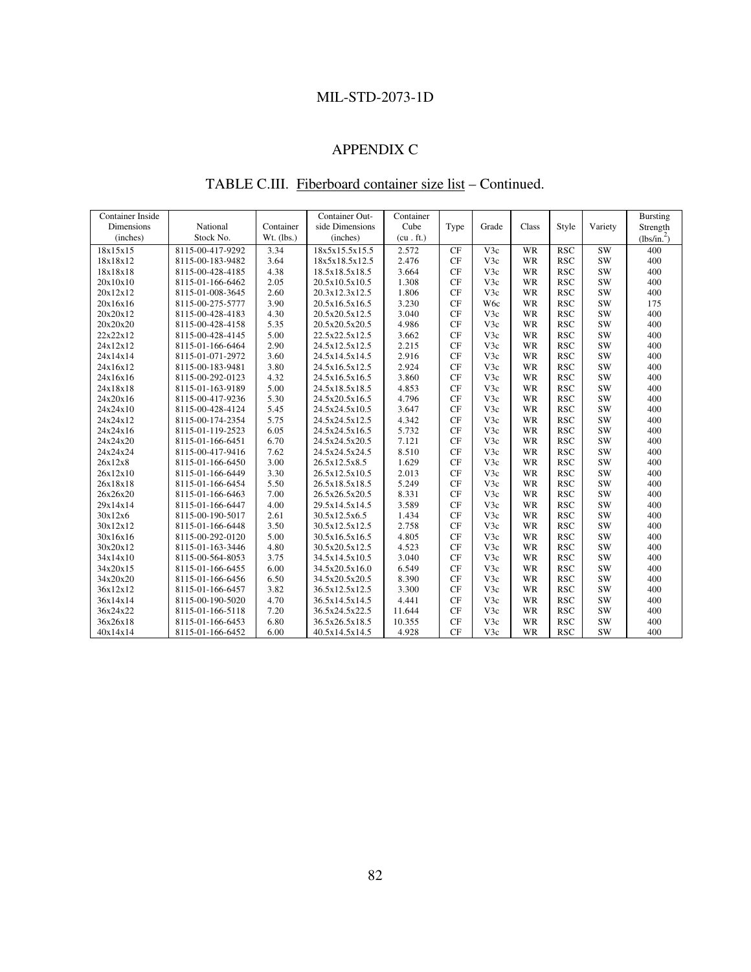## APPENDIX C

# TABLE C.III. Fiberboard container size list – Continued.

| <b>Container Inside</b><br><b>Dimensions</b> | National         | Container    | Container Out-<br>side Dimensions | Container<br>Cube | Type | Grade | Class     | Style      | Variety   | <b>Bursting</b><br>Strength |
|----------------------------------------------|------------------|--------------|-----------------------------------|-------------------|------|-------|-----------|------------|-----------|-----------------------------|
| (inches)                                     | Stock No.        | $Wt.$ (lbs.) | (inches)                          | $(cu$ . ft.)      |      |       |           |            |           | (lbs/in. <sup>2</sup> )     |
| 18x15x15                                     | 8115-00-417-9292 | 3.34         | 18x5x15.5x15.5                    | 2.572             | CF   | V3c   | WR        | <b>RSC</b> | <b>SW</b> | 400                         |
| 18x18x12                                     | 8115-00-183-9482 | 3.64         | 18x5x18.5x12.5                    | 2.476             | CF   | V3c   | <b>WR</b> | <b>RSC</b> | <b>SW</b> | 400                         |
| 18x18x18                                     | 8115-00-428-4185 | 4.38         | 18.5x18.5x18.5                    | 3.664             | CF   | V3c   | <b>WR</b> | <b>RSC</b> | <b>SW</b> | 400                         |
| 20x10x10                                     | 8115-01-166-6462 | 2.05         | 20.5x10.5x10.5                    | 1.308             | CF   | V3c   | <b>WR</b> | <b>RSC</b> | <b>SW</b> | 400                         |
| 20x12x12                                     | 8115-01-008-3645 | 2.60         | 20.3x12.3x12.5                    | 1.806             | CF   | V3c   | <b>WR</b> | <b>RSC</b> | <b>SW</b> | 400                         |
| 20x16x16                                     | 8115-00-275-5777 | 3.90         | 20.5x16.5x16.5                    | 3.230             | CF   | W6c   | <b>WR</b> | <b>RSC</b> | <b>SW</b> | 175                         |
| 20x20x12                                     | 8115-00-428-4183 | 4.30         | 20.5x20.5x12.5                    | 3.040             | CF   | V3c   | WR        | <b>RSC</b> | <b>SW</b> | 400                         |
| 20x20x20                                     | 8115-00-428-4158 | 5.35         | 20.5x20.5x20.5                    | 4.986             | CF   | V3c   | <b>WR</b> | <b>RSC</b> | <b>SW</b> | 400                         |
| 22x22x12                                     | 8115-00-428-4145 | 5.00         | 22.5x22.5x12.5                    | 3.662             | CF   | V3c   | <b>WR</b> | <b>RSC</b> | <b>SW</b> | 400                         |
| 24x12x12                                     | 8115-01-166-6464 | 2.90         | 24.5x12.5x12.5                    | 2.215             | CF   | V3c   | <b>WR</b> | <b>RSC</b> | <b>SW</b> | 400                         |
| 24x14x14                                     | 8115-01-071-2972 | 3.60         | 24.5x14.5x14.5                    | 2.916             | CF   | V3c   | <b>WR</b> | <b>RSC</b> | <b>SW</b> | 400                         |
| 24x16x12                                     | 8115-00-183-9481 | 3.80         | 24.5x16.5x12.5                    | 2.924             | CF   | V3c   | <b>WR</b> | <b>RSC</b> | <b>SW</b> | 400                         |
| 24x16x16                                     | 8115-00-292-0123 | 4.32         | 24.5x16.5x16.5                    | 3.860             | CF   | V3c   | WR        | <b>RSC</b> | <b>SW</b> | 400                         |
| 24x18x18                                     | 8115-01-163-9189 | 5.00         | 24.5x18.5x18.5                    | 4.853             | CF   | V3c   | <b>WR</b> | <b>RSC</b> | <b>SW</b> | 400                         |
| 24x20x16                                     | 8115-00-417-9236 | 5.30         | 24.5x20.5x16.5                    | 4.796             | CF   | V3c   | <b>WR</b> | <b>RSC</b> | <b>SW</b> | 400                         |
| 24x24x10                                     | 8115-00-428-4124 | 5.45         | 24.5x24.5x10.5                    | 3.647             | CF   | V3c   | <b>WR</b> | <b>RSC</b> | <b>SW</b> | 400                         |
| 24x24x12                                     | 8115-00-174-2354 | 5.75         | 24.5x24.5x12.5                    | 4.342             | CF   | V3c   | <b>WR</b> | <b>RSC</b> | <b>SW</b> | 400                         |
| 24x24x16                                     | 8115-01-119-2523 | 6.05         | 24.5x24.5x16.5                    | 5.732             | CF   | V3c   | <b>WR</b> | <b>RSC</b> | <b>SW</b> | 400                         |
| 24x24x20                                     | 8115-01-166-6451 | 6.70         | 24.5x24.5x20.5                    | 7.121             | CF   | V3c   | WR        | <b>RSC</b> | <b>SW</b> | 400                         |
| 24x24x24                                     | 8115-00-417-9416 | 7.62         | 24.5x24.5x24.5                    | 8.510             | CF   | V3c   | WR        | <b>RSC</b> | <b>SW</b> | 400                         |
| 26x12x8                                      | 8115-01-166-6450 | 3.00         | 26.5x12.5x8.5                     | 1.629             | CF   | V3c   | <b>WR</b> | <b>RSC</b> | <b>SW</b> | 400                         |
| 26x12x10                                     | 8115-01-166-6449 | 3.30         | 26.5x12.5x10.5                    | 2.013             | CF   | V3c   | <b>WR</b> | <b>RSC</b> | <b>SW</b> | 400                         |
| 26x18x18                                     | 8115-01-166-6454 | 5.50         | 26.5x18.5x18.5                    | 5.249             | CF   | V3c   | WR        | <b>RSC</b> | <b>SW</b> | 400                         |
| 26x26x20                                     | 8115-01-166-6463 | 7.00         | 26.5x26.5x20.5                    | 8.331             | CF   | V3c   | <b>WR</b> | <b>RSC</b> | <b>SW</b> | 400                         |
| 29x14x14                                     | 8115-01-166-6447 | 4.00         | 29.5x14.5x14.5                    | 3.589             | CF   | V3c   | WR        | <b>RSC</b> | <b>SW</b> | 400                         |
| 30x12x6                                      | 8115-00-190-5017 | 2.61         | 30.5x12.5x6.5                     | 1.434             | CF   | V3c   | <b>WR</b> | <b>RSC</b> | <b>SW</b> | 400                         |
| 30x12x12                                     | 8115-01-166-6448 | 3.50         | 30.5x12.5x12.5                    | 2.758             | CF   | V3c   | <b>WR</b> | <b>RSC</b> | <b>SW</b> | 400                         |
| 30x16x16                                     | 8115-00-292-0120 | 5.00         | 30.5x16.5x16.5                    | 4.805             | CF   | V3c   | <b>WR</b> | <b>RSC</b> | <b>SW</b> | 400                         |
| 30x20x12                                     | 8115-01-163-3446 | 4.80         | 30.5x20.5x12.5                    | 4.523             | CF   | V3c   | <b>WR</b> | <b>RSC</b> | <b>SW</b> | 400                         |
| 34x14x10                                     | 8115-00-564-8053 | 3.75         | 34.5x14.5x10.5                    | 3.040             | CF   | V3c   | <b>WR</b> | <b>RSC</b> | <b>SW</b> | 400                         |
| 34x20x15                                     | 8115-01-166-6455 | 6.00         | 34.5x20.5x16.0                    | 6.549             | CF   | V3c   | WR        | <b>RSC</b> | <b>SW</b> | 400                         |
| 34x20x20                                     | 8115-01-166-6456 | 6.50         | 34.5x20.5x20.5                    | 8.390             | CF   | V3c   | <b>WR</b> | <b>RSC</b> | <b>SW</b> | 400                         |
| 36x12x12                                     | 8115-01-166-6457 | 3.82         | 36.5x12.5x12.5                    | 3.300             | CF   | V3c   | <b>WR</b> | <b>RSC</b> | <b>SW</b> | 400                         |
| 36x14x14                                     | 8115-00-190-5020 | 4.70         | 36.5x14.5x14.5                    | 4.441             | CF   | V3c   | <b>WR</b> | <b>RSC</b> | <b>SW</b> | 400                         |
| 36x24x22                                     | 8115-01-166-5118 | 7.20         | 36.5x24.5x22.5                    | 11.644            | CF   | V3c   | <b>WR</b> | <b>RSC</b> | <b>SW</b> | 400                         |
| 36x26x18                                     | 8115-01-166-6453 | 6.80         | 36.5x26.5x18.5                    | 10.355            | CF   | V3c   | <b>WR</b> | <b>RSC</b> | <b>SW</b> | 400                         |
| 40x14x14                                     | 8115-01-166-6452 | 6.00         | 40.5x14.5x14.5                    | 4.928             | CF   | V3c   | <b>WR</b> | <b>RSC</b> | <b>SW</b> | 400                         |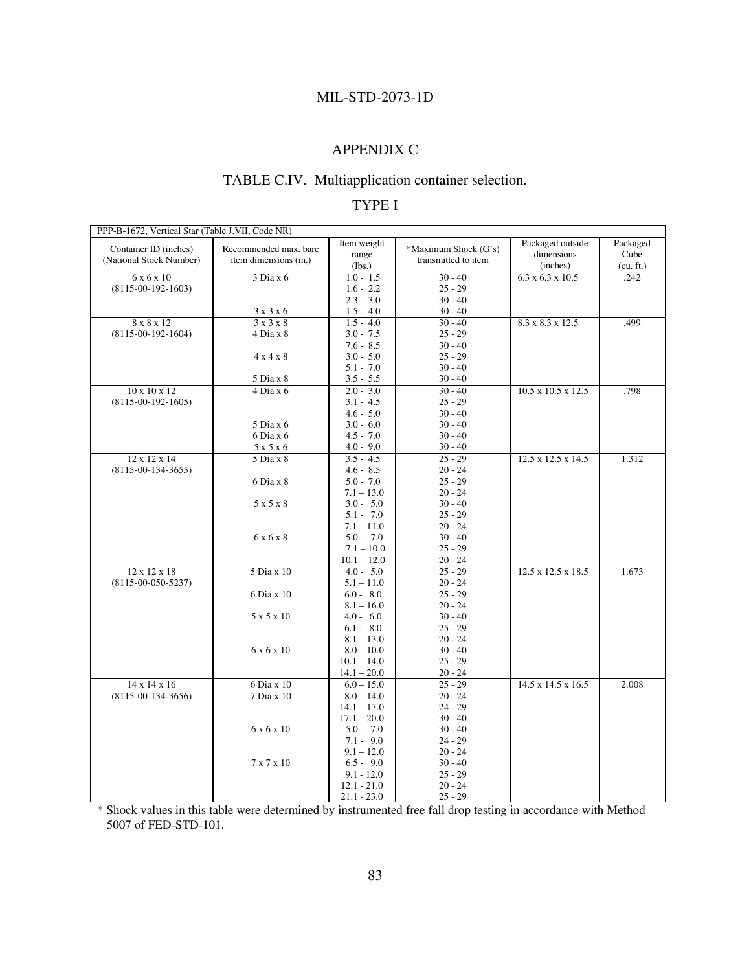### APPENDIX C

# TABLE C.IV. Multiapplication container selection.

## TYPE I

| PPP-B-1672, Vertical Star (Table J.VII, Code NR) |                       |                            |                        |                                |           |
|--------------------------------------------------|-----------------------|----------------------------|------------------------|--------------------------------|-----------|
| Container ID (inches)                            | Recommended max. bare | Item weight                | *Maximum Shock (G's)   | Packaged outside               | Packaged  |
| (National Stock Number)                          | item dimensions (in.) | range                      | transmitted to item    | dimensions                     | Cube      |
|                                                  |                       | (lbs.)                     |                        | (inches)                       | (cu. ft.) |
| 6 x 6 x 10                                       | 3 Dia x 6             | $1.0 - 1.5$                | $30 - 40$              | $6.3 \times 6.3 \times 10.5$   | .242      |
| $(8115-00-192-1603)$                             |                       | $1.6 - 2.2$                | $25 - 29$              |                                |           |
|                                                  |                       | $2.3 - 3.0$                | $30 - 40$              |                                |           |
|                                                  | 3x3x6                 | $1.5 - 4.0$                | $30 - 40$              |                                |           |
| 8 x 8 x 12                                       | 3x3x8                 | $1.5 - 4.0$                | $30 - 40$              | 8.3 x 8.3 x 12.5               | .499      |
| $(8115-00-192-1604)$                             | 4 Dia x 8             | $3.0 - 7.5$                | $25 - 29$              |                                |           |
|                                                  |                       | $7.6 - 8.5$                | $30 - 40$              |                                |           |
|                                                  | 4x4x8                 | $3.0 - 5.0$                | $25 - 29$              |                                |           |
|                                                  |                       | $5.1 - 7.0$                | $30 - 40$              |                                |           |
|                                                  | 5 Dia x 8             | $3.5 - 5.5$                | $30 - 40$              |                                |           |
| 10 x 10 x 12                                     | $4$ Dia x 6           | $2.0 - 3.0$                | $30 - 40$              | $10.5 \times 10.5 \times 12.5$ | .798      |
| $(8115-00-192-1605)$                             |                       | $3.1 - 4.5$                | $25 - 29$              |                                |           |
|                                                  |                       | $4.6 - 5.0$                | $30 - 40$              |                                |           |
|                                                  | 5 Dia x 6             | $3.0 - 6.0$                | $30 - 40$              |                                |           |
|                                                  | 6 Dia x 6             | $4.5 - 7.0$                | $30 - 40$              |                                |           |
|                                                  | 5x5x6                 | $4.0 - 9.0$                | $30 - 40$              |                                |           |
| 12 x 12 x 14<br>$(8115-00-134-3655)$             | 5 Dia x 8             | $3.5 - 4.5$                | $25 - 29$              | 12.5 x 12.5 x 14.5             | 1.312     |
|                                                  | 6 Dia x 8             | $4.6 - 8.5$<br>$5.0 - 7.0$ | $20 - 24$<br>$25 - 29$ |                                |           |
|                                                  |                       | $7.1 - 13.0$               | $20 - 24$              |                                |           |
|                                                  | 5 x 5 x 8             | $3.0 - 5.0$                | $30 - 40$              |                                |           |
|                                                  |                       | $5.1 - 7.0$                | $25 - 29$              |                                |           |
|                                                  |                       | $7.1 - 11.0$               | $20 - 24$              |                                |           |
|                                                  | 6 x 6 x 8             | $5.0 - 7.0$                | $30 - 40$              |                                |           |
|                                                  |                       | $7.1 - 10.0$               | $25 - 29$              |                                |           |
|                                                  |                       | $10.1 - 12.0$              | $20 - 24$              |                                |           |
| 12 x 12 x 18                                     | 5 Dia x 10            | $4.0 - 5.0$                | $25 - 29$              | $12.5 \times 12.5 \times 18.5$ | 1.673     |
| $(8115-00-050-5237)$                             |                       | $5.1 - 11.0$               | $20 - 24$              |                                |           |
|                                                  | 6 Dia x 10            | $6.0 - 8.0$                | $25 - 29$              |                                |           |
|                                                  |                       | $8.1 - 16.0$               | $20 - 24$              |                                |           |
|                                                  | 5 x 5 x 10            | $4.0 - 6.0$                | $30 - 40$              |                                |           |
|                                                  |                       | $6.1 - 8.0$                | $25 - 29$              |                                |           |
|                                                  |                       | $8.1 - 13.0$               | $20 - 24$              |                                |           |
|                                                  | 6 x 6 x 10            | $8.0 - 10.0$               | $30 - 40$              |                                |           |
|                                                  |                       | $10.1 - 14.0$              | $25 - 29$              |                                |           |
|                                                  |                       | $14.1 - 20.0$              | $20 - 24$              |                                |           |
| 14 x 14 x 16                                     | 6 Dia x 10            | $6.0 - 15.0$               | $25 - 29$              | 14.5 x 14.5 x 16.5             | 2.008     |
| $(8115-00-134-3656)$                             | 7 Dia x 10            | $8.0 - 14.0$               | $20 - 24$              |                                |           |
|                                                  |                       | $14.1 - 17.0$              | $24 - 29$              |                                |           |
|                                                  |                       | $17.1 - 20.0$              | $30 - 40$              |                                |           |
|                                                  | 6x6x10                | $5.0 - 7.0$                | $30 - 40$              |                                |           |
|                                                  |                       | $7.1 - 9.0$                | $24 - 29$              |                                |           |
|                                                  |                       | $9.1 - 12.0$               | $20 - 24$              |                                |           |
|                                                  | 7 x 7 x 10            | $6.5 - 9.0$                | $30 - 40$              |                                |           |
|                                                  |                       | $9.1 - 12.0$               | $25 - 29$              |                                |           |
|                                                  |                       | $12.1 - 21.0$              | $20 - 24$              |                                |           |
|                                                  |                       | $21.1 - 23.0$              | $25 - 29$              |                                |           |

\* Shock values in this table were determined by instrumented free fall drop testing in accordance with Method 5007 of FED-STD-101.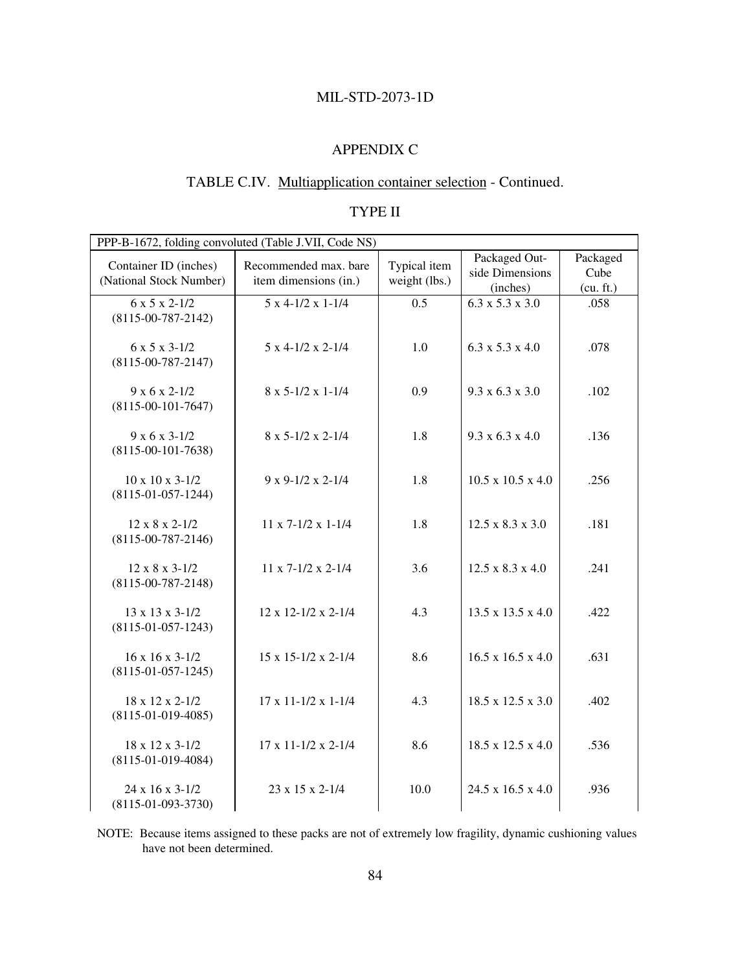## APPENDIX C

## TABLE C.IV. Multiapplication container selection - Continued.

## TYPE II

| PPP-B-1672, folding convoluted (Table J.VII, Code NS)      |                                                |                               |                                              |                               |  |  |  |
|------------------------------------------------------------|------------------------------------------------|-------------------------------|----------------------------------------------|-------------------------------|--|--|--|
| Container ID (inches)<br>(National Stock Number)           | Recommended max. bare<br>item dimensions (in.) | Typical item<br>weight (lbs.) | Packaged Out-<br>side Dimensions<br>(inches) | Packaged<br>Cube<br>(cu. ft.) |  |  |  |
| $6x 5x 2-1/2$<br>$(8115-00-787-2142)$                      | $5 \times 4 - 1/2 \times 1 - 1/4$              | 0.5                           | $6.3 \times 5.3 \times 3.0$                  | .058                          |  |  |  |
| $6 \times 5 \times 3 - 1/2$<br>$(8115 - 00 - 787 - 2147)$  | $5 x 4-1/2 x 2-1/4$                            | 1.0                           | $6.3 \times 5.3 \times 4.0$                  | .078                          |  |  |  |
| $9 \times 6 \times 2 - 1/2$<br>$(8115 - 00 - 101 - 7647)$  | 8 x 5-1/2 x 1-1/4                              | 0.9                           | $9.3 \times 6.3 \times 3.0$                  | .102                          |  |  |  |
| $9 \times 6 \times 3 - 1/2$<br>$(8115-00-101-7638)$        | 8 x 5-1/2 x 2-1/4                              | 1.8                           | $9.3 \times 6.3 \times 4.0$                  | .136                          |  |  |  |
| $10 \times 10 \times 3 - 1/2$<br>$(8115-01-057-1244)$      | $9 \times 9 - 1/2 \times 2 - 1/4$              | 1.8                           | $10.5 \times 10.5 \times 4.0$                | .256                          |  |  |  |
| $12 \times 8 \times 2 - 1/2$<br>$(8115 - 00 - 787 - 2146)$ | $11 \times 7 - 1/2 \times 1 - 1/4$             | 1.8                           | $12.5 \times 8.3 \times 3.0$                 | .181                          |  |  |  |
| $12 \times 8 \times 3 - 1/2$<br>$(8115 - 00 - 787 - 2148)$ | $11 \times 7 - 1/2 \times 2 - 1/4$             | 3.6                           | $12.5 \times 8.3 \times 4.0$                 | .241                          |  |  |  |
| 13 x 13 x 3-1/2<br>$(8115-01-057-1243)$                    | $12 \times 12 - 1/2 \times 2 - 1/4$            | 4.3                           | 13.5 x 13.5 x 4.0                            | .422                          |  |  |  |
| $16 \times 16 \times 3 - 1/2$<br>$(8115-01-057-1245)$      | $15 \times 15 - 1/2 \times 2 - 1/4$            | 8.6                           | $16.5 \times 16.5 \times 4.0$                | .631                          |  |  |  |
| 18 x 12 x 2-1/2<br>$(8115-01-019-4085)$                    | $17 \times 11 - 1/2 \times 1 - 1/4$            | 4.3                           | 18.5 x 12.5 x 3.0                            | .402                          |  |  |  |
| 18 x 12 x 3-1/2<br>$(8115-01-019-4084)$                    | $17 \times 11 - 1/2 \times 2 - 1/4$            | 8.6                           | 18.5 x 12.5 x 4.0                            | .536                          |  |  |  |
| 24 x 16 x 3-1/2<br>$(8115 - 01 - 093 - 3730)$              | 23 x 15 x 2-1/4                                | 10.0                          | 24.5 x 16.5 x 4.0                            | .936                          |  |  |  |

NOTE: Because items assigned to these packs are not of extremely low fragility, dynamic cushioning values have not been determined.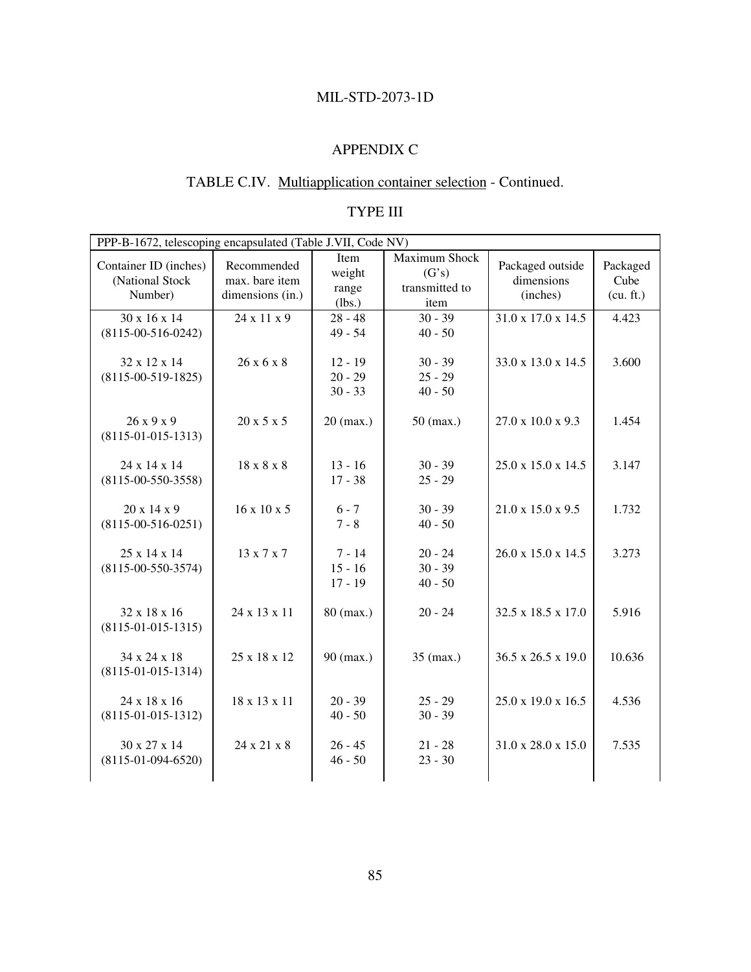# APPENDIX C

# TABLE C.IV. Multiapplication container selection - Continued.

# TYPE III

| PPP-B-1672, telescoping encapsulated (Table J.VII, Code NV) |                                                   |                                     |                                                  |                                            |                               |  |  |
|-------------------------------------------------------------|---------------------------------------------------|-------------------------------------|--------------------------------------------------|--------------------------------------------|-------------------------------|--|--|
| Container ID (inches)<br>(National Stock<br>Number)         | Recommended<br>max. bare item<br>dimensions (in.) | Item<br>weight<br>range<br>(lbs.)   | Maximum Shock<br>(G's)<br>transmitted to<br>item | Packaged outside<br>dimensions<br>(inches) | Packaged<br>Cube<br>(cu. ft.) |  |  |
| 30 x 16 x 14<br>$(8115-00-516-0242)$                        | 24 x 11 x 9                                       | $28 - 48$<br>$49 - 54$              | $30 - 39$<br>$40 - 50$                           | 31.0 x 17.0 x 14.5                         | 4.423                         |  |  |
| 32 x 12 x 14<br>$(8115-00-519-1825)$                        | 26 x 6 x 8                                        | $12 - 19$<br>$20 - 29$<br>$30 - 33$ | $30 - 39$<br>$25 - 29$<br>$40 - 50$              | 33.0 x 13.0 x 14.5                         | 3.600                         |  |  |
| 26 x 9 x 9<br>$(8115-01-015-1313)$                          | 20 x 5 x 5                                        | 20 (max.)                           | $50$ (max.)                                      | 27.0 x 10.0 x 9.3                          | 1.454                         |  |  |
| 24 x 14 x 14<br>$(8115 - 00 - 550 - 3558)$                  | 18 x 8 x 8                                        | $13 - 16$<br>$17 - 38$              | $30 - 39$<br>$25 - 29$                           | 25.0 x 15.0 x 14.5                         | 3.147                         |  |  |
| 20 x 14 x 9<br>$(8115-00-516-0251)$                         | $16 \times 10 \times 5$                           | $6 - 7$<br>$7 - 8$                  | $30 - 39$<br>$40 - 50$                           | $21.0 \times 15.0 \times 9.5$              | 1.732                         |  |  |
| 25 x 14 x 14<br>$(8115 - 00 - 550 - 3574)$                  | 13 x 7 x 7                                        | $7 - 14$<br>$15 - 16$<br>$17 - 19$  | $20 - 24$<br>$30 - 39$<br>$40 - 50$              | 26.0 x 15.0 x 14.5                         | 3.273                         |  |  |
| 32 x 18 x 16<br>$(8115-01-015-1315)$                        | 24 x 13 x 11                                      | 80 (max.)                           | $20 - 24$                                        | 32.5 x 18.5 x 17.0                         | 5.916                         |  |  |
| 34 x 24 x 18<br>$(8115-01-015-1314)$                        | $25 \times 18 \times 12$                          | 90 (max.)                           | $35$ (max.)                                      | 36.5 x 26.5 x 19.0                         | 10.636                        |  |  |
| 24 x 18 x 16<br>$(8115-01-015-1312)$                        | 18 x 13 x 11                                      | $20 - 39$<br>$40 - 50$              | $25 - 29$<br>$30 - 39$                           | 25.0 x 19.0 x 16.5                         | 4.536                         |  |  |
| 30 x 27 x 14<br>$(8115-01-094-6520)$                        | 24 x 21 x 8                                       | $26 - 45$<br>$46 - 50$              | $21 - 28$<br>$23 - 30$                           | 31.0 x 28.0 x 15.0                         | 7.535                         |  |  |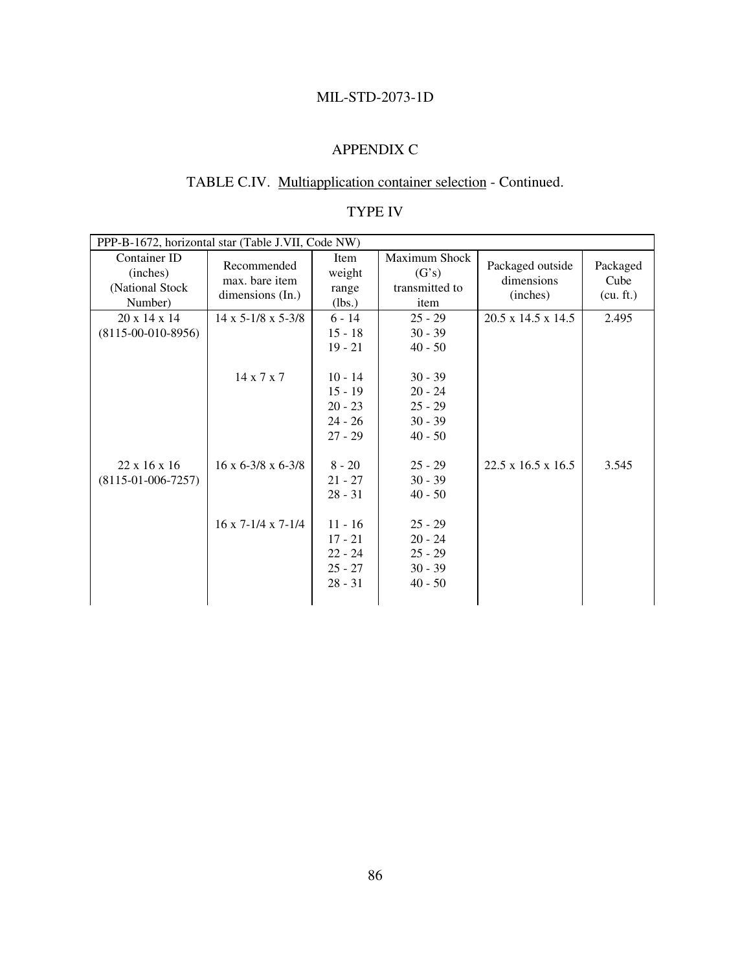# APPENDIX C

# TABLE C.IV. Multiapplication container selection - Continued.

# TYPE IV

| PPP-B-1672, horizontal star (Table J.VII, Code NW)     |                                                   |                                                               |                                                               |                                            |                               |  |  |
|--------------------------------------------------------|---------------------------------------------------|---------------------------------------------------------------|---------------------------------------------------------------|--------------------------------------------|-------------------------------|--|--|
| Container ID<br>(inches)<br>(National Stock<br>Number) | Recommended<br>max. bare item<br>dimensions (In.) | Item<br>weight<br>range<br>(lbs.)                             | Maximum Shock<br>(G's)<br>transmitted to<br>item              | Packaged outside<br>dimensions<br>(inches) | Packaged<br>Cube<br>(cu. ft.) |  |  |
| 20 x 14 x 14                                           | $14 \times 5 - 1/8 \times 5 - 3/8$                | $6 - 14$                                                      | $25 - 29$                                                     | 20.5 x 14.5 x 14.5                         | 2.495                         |  |  |
| $(8115-00-010-8956)$                                   |                                                   | $15 - 18$                                                     | $30 - 39$                                                     |                                            |                               |  |  |
|                                                        |                                                   | $19 - 21$                                                     | $40 - 50$                                                     |                                            |                               |  |  |
|                                                        | $14 \times 7 \times 7$                            | $10 - 14$<br>$15 - 19$<br>$20 - 23$<br>$24 - 26$<br>$27 - 29$ | $30 - 39$<br>$20 - 24$<br>$25 - 29$<br>$30 - 39$<br>$40 - 50$ |                                            |                               |  |  |
| 22 x 16 x 16                                           | $16 \times 6 - 3/8 \times 6 - 3/8$                | $8 - 20$                                                      | $25 - 29$                                                     | $22.5 \times 16.5 \times 16.5$             | 3.545                         |  |  |
| $(8115-01-006-7257)$                                   |                                                   | $21 - 27$                                                     | $30 - 39$                                                     |                                            |                               |  |  |
|                                                        |                                                   | $28 - 31$                                                     | $40 - 50$                                                     |                                            |                               |  |  |
|                                                        | $16 \times 7 - 1/4 \times 7 - 1/4$                | $11 - 16$<br>$17 - 21$<br>$22 - 24$<br>$25 - 27$<br>$28 - 31$ | $25 - 29$<br>$20 - 24$<br>$25 - 29$<br>$30 - 39$<br>$40 - 50$ |                                            |                               |  |  |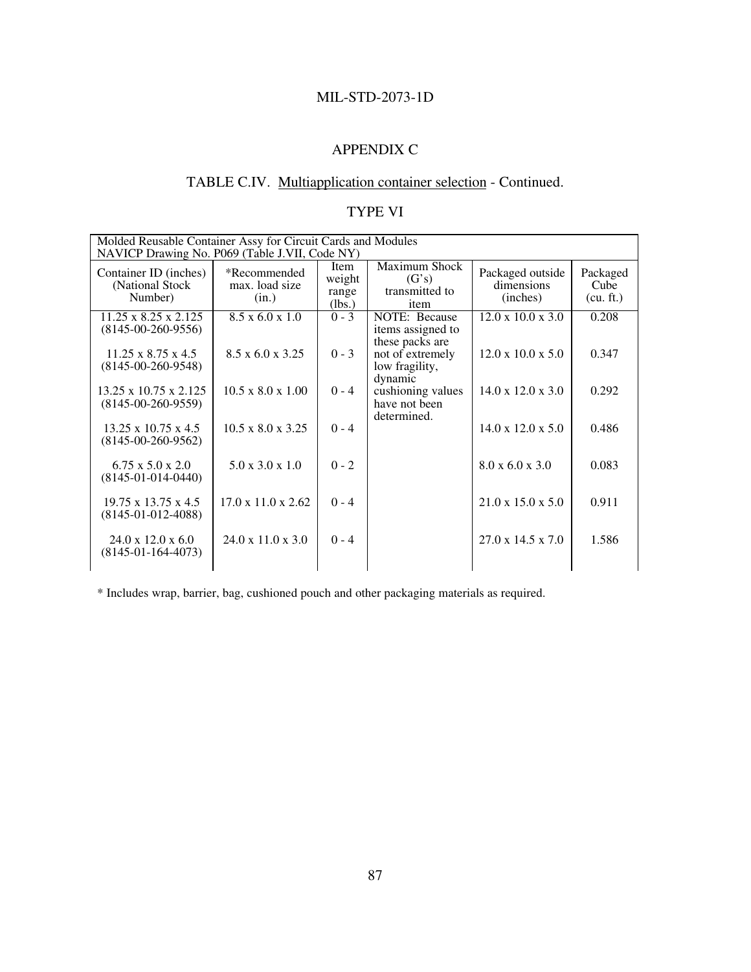## APPENDIX C

## TABLE C.IV. Multiapplication container selection - Continued.

### TYPE VI

| Molded Reusable Container Assy for Circuit Cards and Modules<br>NAVICP Drawing No. P069 (Table J.VII, Code NY) |                                         |                                          |                                                       |                                            |                               |  |  |  |
|----------------------------------------------------------------------------------------------------------------|-----------------------------------------|------------------------------------------|-------------------------------------------------------|--------------------------------------------|-------------------------------|--|--|--|
| Container ID (inches)<br>(National Stock<br>Number)                                                            | *Recommended<br>max. load size<br>(in.) | <b>Item</b><br>weight<br>range<br>(lbs.) | Maximum Shock<br>(G's)<br>transmitted to<br>item      | Packaged outside<br>dimensions<br>(inches) | Packaged<br>Cube<br>(cu. ft.) |  |  |  |
| $11.25 \times 8.25 \times 2.125$<br>$(8145-00-260-9556)$                                                       | $8.5 \times 6.0 \times 1.0$             | $0 - 3$                                  | NOTE: Because<br>items assigned to<br>these packs are | $12.0 \times 10.0 \times 3.0$              | 0.208                         |  |  |  |
| $11.25 \times 8.75 \times 4.5$<br>$(8145-00-260-9548)$                                                         | $8.5 \times 6.0 \times 3.25$            | $0 - 3$                                  | not of extremely<br>low fragility,                    | $12.0 \times 10.0 \times 5.0$              | 0.347                         |  |  |  |
| $13.25 \times 10.75 \times 2.125$<br>$(8145-00-260-9559)$                                                      | $10.5 \times 8.0 \times 1.00$           | $0 - 4$                                  | dynamic<br>cushioning values<br>have not been         | $14.0 \times 12.0 \times 3.0$              | 0.292                         |  |  |  |
| $13.25 \times 10.75 \times 4.5$<br>$(8145-00-260-9562)$                                                        | $10.5 \times 8.0 \times 3.25$           | $0 - 4$                                  | determined.                                           | $14.0 \times 12.0 \times 5.0$              | 0.486                         |  |  |  |
| $6.75 \times 5.0 \times 2.0$<br>$(8145-01-014-0440)$                                                           | $5.0 \times 3.0 \times 1.0$             | $0 - 2$                                  |                                                       | $8.0 \times 6.0 \times 3.0$                | 0.083                         |  |  |  |
| 19.75 x 13.75 x 4.5<br>$(8145-01-012-4088)$                                                                    | $17.0 \times 11.0 \times 2.62$          | $0 - 4$                                  |                                                       | $21.0 \times 15.0 \times 5.0$              | 0.911                         |  |  |  |
| $24.0 \times 12.0 \times 6.0$<br>$(8145-01-164-4073)$                                                          | $24.0 \times 11.0 \times 3.0$           | $0 - 4$                                  |                                                       | $27.0 \times 14.5 \times 7.0$              | 1.586                         |  |  |  |
|                                                                                                                |                                         |                                          |                                                       |                                            |                               |  |  |  |

\* Includes wrap, barrier, bag, cushioned pouch and other packaging materials as required.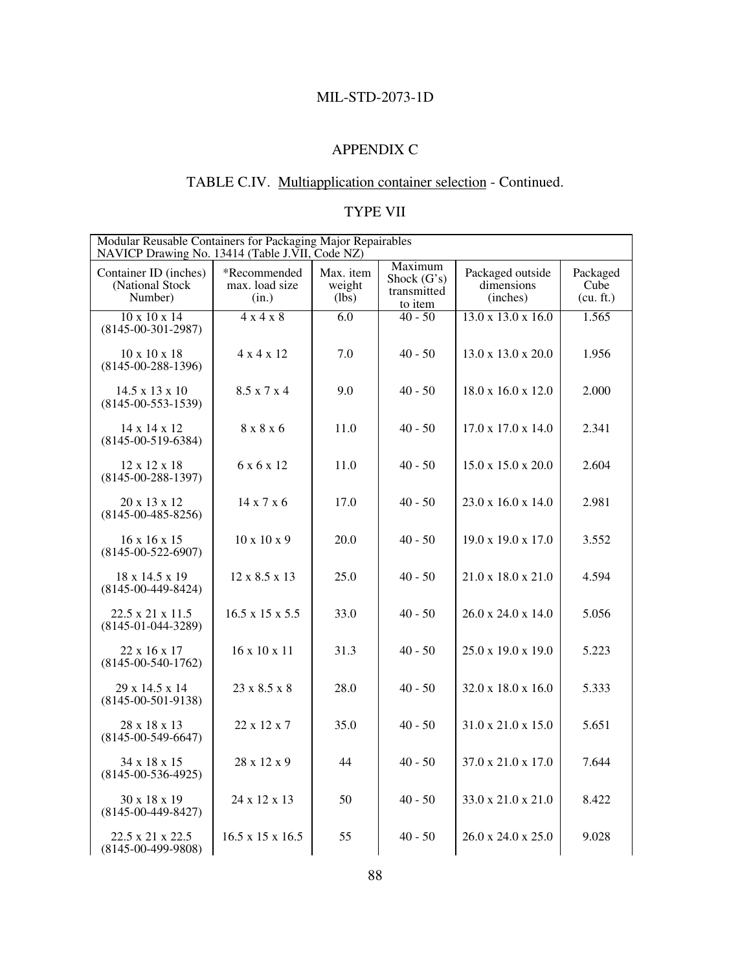## APPENDIX C

# TABLE C.IV. Multiapplication container selection - Continued.

# TYPE VII

| Modular Reusable Containers for Packaging Major Repairables<br>NAVICP Drawing No. 13414 (Table J.VII, Code NZ) |                                         |                              |                                                    |                                            |                               |  |  |
|----------------------------------------------------------------------------------------------------------------|-----------------------------------------|------------------------------|----------------------------------------------------|--------------------------------------------|-------------------------------|--|--|
| Container ID (inches)<br>(National Stock<br>Number)                                                            | *Recommended<br>max. load size<br>(in.) | Max. item<br>weight<br>(lbs) | Maximum<br>Shock $(G's)$<br>transmitted<br>to item | Packaged outside<br>dimensions<br>(inches) | Packaged<br>Cube<br>(cu. ft.) |  |  |
| $10 \times 10 \times 14$<br>$(8145 - 00 - 301 - 2987)$                                                         | 4x4x8                                   | 6.0                          | $40 - 50$                                          | $13.0 \times 13.0 \times 16.0$             | 1.565                         |  |  |
| 10 x 10 x 18<br>$(8145 - 00 - 288 - 1396)$                                                                     | 4 x 4 x 12                              | 7.0                          | $40 - 50$                                          | 13.0 x 13.0 x 20.0                         | 1.956                         |  |  |
| 14.5 x 13 x 10<br>$(8145 - 00 - 553 - 1539)$                                                                   | 8.5 x 7 x 4                             | 9.0                          | $40 - 50$                                          | 18.0 x 16.0 x 12.0                         | 2.000                         |  |  |
| 14 x 14 x 12<br>$(8145 - 00 - 519 - 6384)$                                                                     | 8 x 8 x 6                               | 11.0                         | $40 - 50$                                          | 17.0 x 17.0 x 14.0                         | 2.341                         |  |  |
| 12 x 12 x 18<br>$(8145 - 00 - 288 - 1397)$                                                                     | 6 x 6 x 12                              | 11.0                         | $40 - 50$                                          | 15.0 x 15.0 x 20.0                         | 2.604                         |  |  |
| 20 x 13 x 12<br>$(8145 - 00 - 485 - 8256)$                                                                     | 14 x 7 x 6                              | 17.0                         | $40 - 50$                                          | 23.0 x 16.0 x 14.0                         | 2.981                         |  |  |
| 16 x 16 x 15<br>$(8145 - 00 - 522 - 6907)$                                                                     | $10 \times 10 \times 9$                 | 20.0                         | $40 - 50$                                          | 19.0 x 19.0 x 17.0                         | 3.552                         |  |  |
| 18 x 14.5 x 19<br>$(8145 - 00 - 449 - 8424)$                                                                   | 12 x 8.5 x 13                           | 25.0                         | $40 - 50$                                          | 21.0 x 18.0 x 21.0                         | 4.594                         |  |  |
| 22.5 x 21 x 11.5<br>$(8145-01-044-3289)$                                                                       | $16.5 \times 15 \times 5.5$             | 33.0                         | $40 - 50$                                          | 26.0 x 24.0 x 14.0                         | 5.056                         |  |  |
| 22 x 16 x 17<br>$(8145 - 00 - 540 - 1762)$                                                                     | 16 x 10 x 11                            | 31.3                         | $40 - 50$                                          | 25.0 x 19.0 x 19.0                         | 5.223                         |  |  |
| 29 x 14.5 x 14<br>$(8145 - 00 - 501 - 9138)$                                                                   | 23 x 8.5 x 8                            | 28.0                         | $40 - 50$                                          | 32.0 x 18.0 x 16.0                         | 5.333                         |  |  |
| 28 x 18 x 13<br>$(8145 - 00 - 549 - 6647)$                                                                     | 22 x 12 x 7                             | 35.0                         | $40 - 50$                                          | 31.0 x 21.0 x 15.0                         | 5.651                         |  |  |
| 34 x 18 x 15<br>$(8145 - 00 - 536 - 4925)$                                                                     | 28 x 12 x 9                             | 44                           | $40 - 50$                                          | 37.0 x 21.0 x 17.0                         | 7.644                         |  |  |
| 30 x 18 x 19<br>$(8145 - 00 - 449 - 8427)$                                                                     | 24 x 12 x 13                            | 50                           | $40 - 50$                                          | 33.0 x 21.0 x 21.0                         | 8.422                         |  |  |
| 22.5 x 21 x 22.5<br>$(8145 - 00 - 499 - 9808)$                                                                 | $16.5 \times 15 \times 16.5$            | 55                           | $40 - 50$                                          | 26.0 x 24.0 x 25.0                         | 9.028                         |  |  |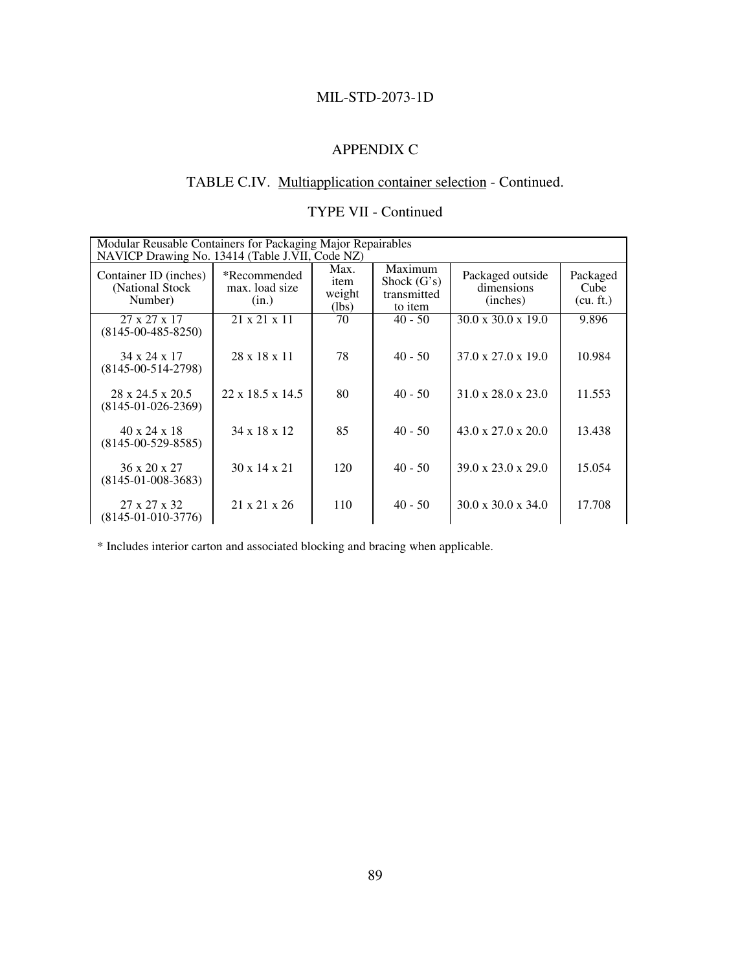# APPENDIX C

# TABLE C.IV. Multiapplication container selection - Continued.

## TYPE VII - Continued

| Modular Reusable Containers for Packaging Major Repairables<br>NAVICP Drawing No. 13414 (Table J.VII, Code NZ) |                                         |                                 |                                                    |                                            |                               |
|----------------------------------------------------------------------------------------------------------------|-----------------------------------------|---------------------------------|----------------------------------------------------|--------------------------------------------|-------------------------------|
| Container ID (inches)<br>(National Stock)<br>Number)                                                           | *Recommended<br>max. load size<br>(in.) | Max.<br>item<br>weight<br>(lbs) | Maximum<br>Shock $(G's)$<br>transmitted<br>to item | Packaged outside<br>dimensions<br>(inches) | Packaged<br>Cube<br>(cu. ft.) |
| $27 \times 27 \times 17$<br>$(8145 - 00 - 485 - 8250)$                                                         | $21 \times 21 \times 11$                | 70                              | $40 - 50$                                          | $30.0 \times 30.0 \times 19.0$             | 9.896                         |
| 34 x 24 x 17<br>$(8145-00-514-2798)$                                                                           | $28 \times 18 \times 11$                | 78                              | $40 - 50$                                          | $37.0 \times 27.0 \times 19.0$             | 10.984                        |
| $28 \times 24.5 \times 20.5$<br>$(8145-01-026-2369)$                                                           | $22 \times 18.5 \times 14.5$            | 80                              | $40 - 50$                                          | $31.0 \times 28.0 \times 23.0$             | 11.553                        |
| $40 \times 24 \times 18$<br>$(8145-00-529-8585)$                                                               | $34 \times 18 \times 12$                | 85                              | $40 - 50$                                          | $43.0 \times 27.0 \times 20.0$             | 13.438                        |
| $36 \times 20 \times 27$<br>$(8145-01-008-3683)$                                                               | $30 \times 14 \times 21$                | 120                             | $40 - 50$                                          | $39.0 \times 23.0 \times 29.0$             | 15.054                        |
| 27 x 27 x 32<br>$(8145-01-010-3776)$                                                                           | $21 \times 21 \times 26$                | 110                             | $40 - 50$                                          | $30.0 \times 30.0 \times 34.0$             | 17.708                        |

\* Includes interior carton and associated blocking and bracing when applicable.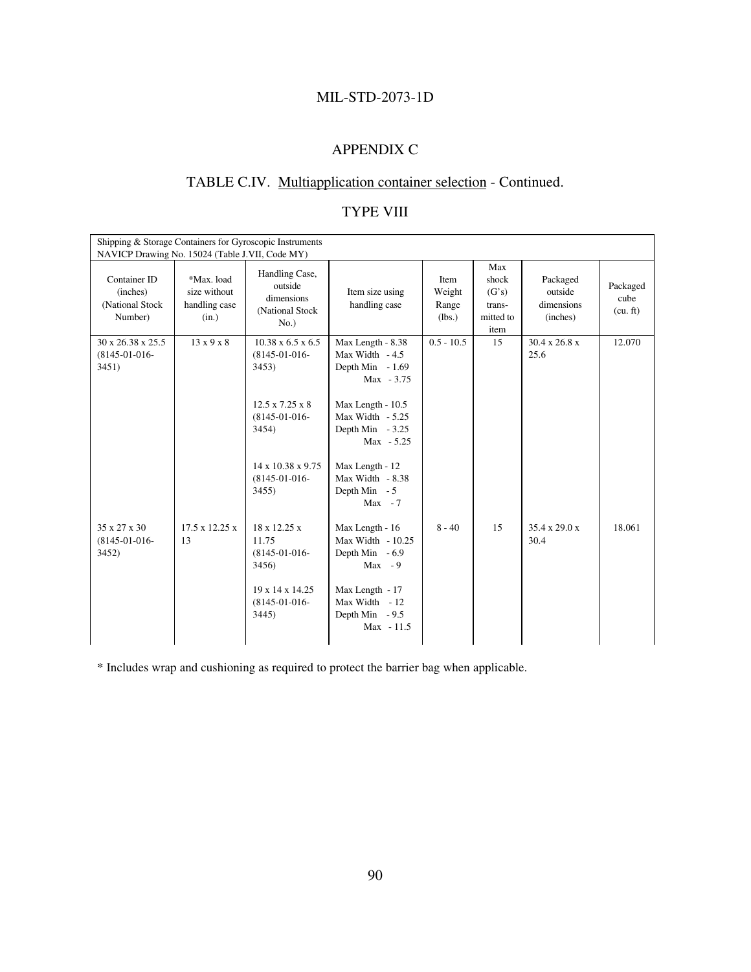# APPENDIX C

# TABLE C.IV. Multiapplication container selection - Continued.

# TYPE VIII

| NAVICP Drawing No. 15024 (Table J.VII, Code MY)        |                                                      | Shipping & Storage Containers for Gyroscopic Instruments                                                             |                                                                                                                                        |                                          |                                                      |                                               |                              |
|--------------------------------------------------------|------------------------------------------------------|----------------------------------------------------------------------------------------------------------------------|----------------------------------------------------------------------------------------------------------------------------------------|------------------------------------------|------------------------------------------------------|-----------------------------------------------|------------------------------|
| Container ID<br>(inches)<br>(National Stock<br>Number) | *Max. load<br>size without<br>handling case<br>(in.) | Handling Case,<br>outside<br>dimensions<br>(National Stock)<br>No.)                                                  | Item size using<br>handling case                                                                                                       | <b>Item</b><br>Weight<br>Range<br>(lbs.) | Max<br>shock<br>(G's)<br>trans-<br>mitted to<br>item | Packaged<br>outside<br>dimensions<br>(inches) | Packaged<br>cube<br>(cu. ft) |
| 30 x 26.38 x 25.5<br>$(8145-01-016-$<br>3451)          | $13 \times 9 \times 8$                               | $10.38 \times 6.5 \times 6.5$<br>$(8145-01-016-$<br>3453)<br>$12.5 \times 7.25 \times 8$<br>$(8145-01-016-$<br>3454) | Max Length - 8.38<br>Max Width $-4.5$<br>Depth Min $-1.69$<br>Max - 3.75<br>Max Length - 10.5<br>Max Width - 5.25<br>Depth Min $-3.25$ | $0.5 - 10.5$                             | 15                                                   | 30.4 x 26.8 x<br>25.6                         | 12.070                       |
| 35 x 27 x 30                                           | $17.5 \times 12.25 \times$                           | 14 x 10.38 x 9.75<br>$(8145-01-016-$<br>3455)<br>18 x 12.25 x                                                        | Max - 5.25<br>Max Length - 12<br>Max Width $-8.38$<br>Depth Min $-5$<br>$Max - 7$<br>Max Length - 16                                   | $8 - 40$                                 | 15                                                   | $35.4 \times 29.0 \times$                     | 18.061                       |
| $(8145-01-016-$<br>3452)                               | 13                                                   | 11.75<br>$(8145-01-016-$<br>3456)<br>19 x 14 x 14.25<br>$(8145-01-016-$<br>3445)                                     | Max Width - 10.25<br>Depth Min - 6.9<br>$Max - 9$<br>Max Length - 17<br>Max Width - 12<br>Depth Min - 9.5<br>Max - 11.5                |                                          |                                                      | 30.4                                          |                              |

\* Includes wrap and cushioning as required to protect the barrier bag when applicable.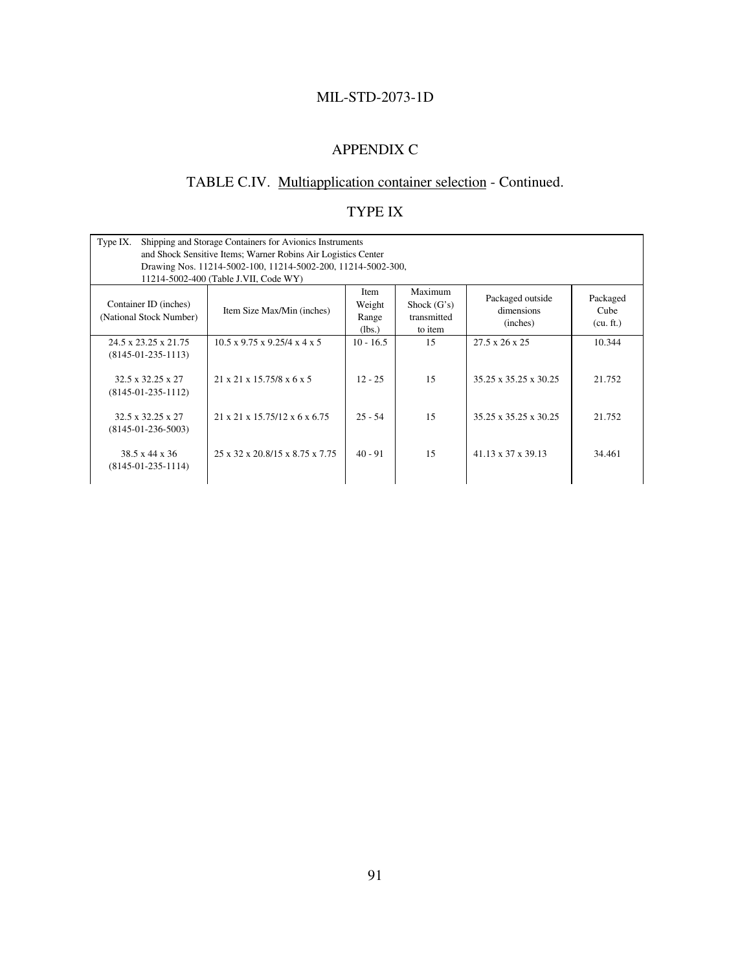# APPENDIX C

# TABLE C.IV. Multiapplication container selection - Continued.

# TYPE IX

| Type IX.<br>Shipping and Storage Containers for Avionics Instruments |                                                               |                                   |                                                                      |                                            |                               |
|----------------------------------------------------------------------|---------------------------------------------------------------|-----------------------------------|----------------------------------------------------------------------|--------------------------------------------|-------------------------------|
|                                                                      | and Shock Sensitive Items; Warner Robins Air Logistics Center |                                   |                                                                      |                                            |                               |
|                                                                      | Drawing Nos. 11214-5002-100, 11214-5002-200, 11214-5002-300,  |                                   |                                                                      |                                            |                               |
|                                                                      | 11214-5002-400 (Table J.VII, Code WY)                         |                                   |                                                                      |                                            |                               |
| Container ID (inches)<br>(National Stock Number)                     | Item Size Max/Min (inches)                                    | Item<br>Weight<br>Range<br>(lbs.) | Maximum<br>$ensuremath{\mathcal{G}}$ (G's)<br>transmitted<br>to item | Packaged outside<br>dimensions<br>(inches) | Packaged<br>Cube<br>(cu. ft.) |
| 24.5 x 23.25 x 21.75                                                 | $10.5 \times 9.75 \times 9.25/4 \times 4 \times 5$            | $10 - 16.5$                       | 15                                                                   | $27.5 \times 26 \times 25$                 | 10.344                        |
| $(8145-01-235-1113)$                                                 |                                                               |                                   |                                                                      |                                            |                               |
| 32.5 x 32.25 x 27<br>$(8145-01-235-1112)$                            | $21 \times 21 \times 15.75/8 \times 6 \times 5$               | $12 - 25$                         | 15                                                                   | 35.25 x 35.25 x 30.25                      | 21.752                        |
| $32.5 \times 32.25 \times 27$<br>$(8145-01-236-5003)$                | $21 \times 21 \times 15.75/12 \times 6 \times 6.75$           | $25 - 54$                         | 15                                                                   | 35.25 x 35.25 x 30.25                      | 21.752                        |
| $38.5 \times 44 \times 36$<br>$(8145-01-235-1114)$                   | 25 x 32 x 20.8/15 x 8.75 x 7.75                               | $40 - 91$                         | 15                                                                   | 41.13 x 37 x 39.13                         | 34.461                        |
|                                                                      |                                                               |                                   |                                                                      |                                            |                               |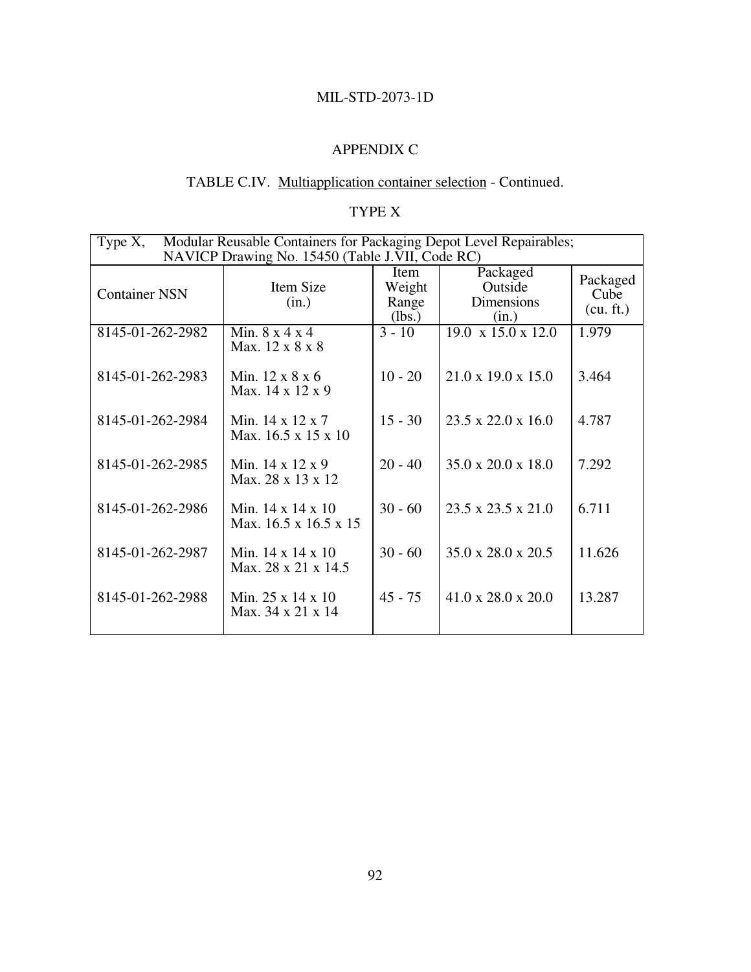# APPENDIX C

# TABLE C.IV. Multiapplication container selection - Continued.

# TYPE X

| Modular Reusable Containers for Packaging Depot Level Repairables;<br>Type X,<br>NAVICP Drawing No. 15450 (Table J.VII, Code RC) |                                                        |                                   |                                                   |                               |
|----------------------------------------------------------------------------------------------------------------------------------|--------------------------------------------------------|-----------------------------------|---------------------------------------------------|-------------------------------|
| <b>Container NSN</b>                                                                                                             | Item Size<br>(in.)                                     | Item<br>Weight<br>Range<br>(lbs.) | Packaged<br>Outside<br><b>Dimensions</b><br>(in.) | Packaged<br>Cube<br>(cu. ft.) |
| 8145-01-262-2982                                                                                                                 | Min. $8 \times 4 \times 4$<br>Max. 12 x 8 x 8          | $3 - 10$                          | $19.0 \times 15.0 \times 12.0$                    | 1.979                         |
| 8145-01-262-2983                                                                                                                 | Min. $12 \times 8 \times 6$<br>Max. 14 x 12 x 9        | $10 - 20$                         | $21.0 \times 19.0 \times 15.0$                    | 3.464                         |
| 8145-01-262-2984                                                                                                                 | Min. $14 \times 12 \times 7$<br>Max. 16.5 x 15 x 10    | $15 - 30$                         | $23.5 \times 22.0 \times 16.0$                    | 4.787                         |
| 8145-01-262-2985                                                                                                                 | Min. 14 x 12 x 9<br>Max. 28 x 13 x 12                  | $20 - 40$                         | $35.0 \times 20.0 \times 18.0$                    | 7.292                         |
| 8145-01-262-2986                                                                                                                 | Min. $14 \times 14 \times 10$<br>Max. 16.5 x 16.5 x 15 | $30 - 60$                         | $23.5 \times 23.5 \times 21.0$                    | 6.711                         |
| 8145-01-262-2987                                                                                                                 | Min. $14 \times 14 \times 10$<br>Max. 28 x 21 x 14.5   | $30 - 60$                         | 35.0 x 28.0 x 20.5                                | 11.626                        |
| 8145-01-262-2988                                                                                                                 | Min. $25 \times 14 \times 10$<br>Max. 34 x 21 x 14     | $45 - 75$                         | $41.0 \times 28.0 \times 20.0$                    | 13.287                        |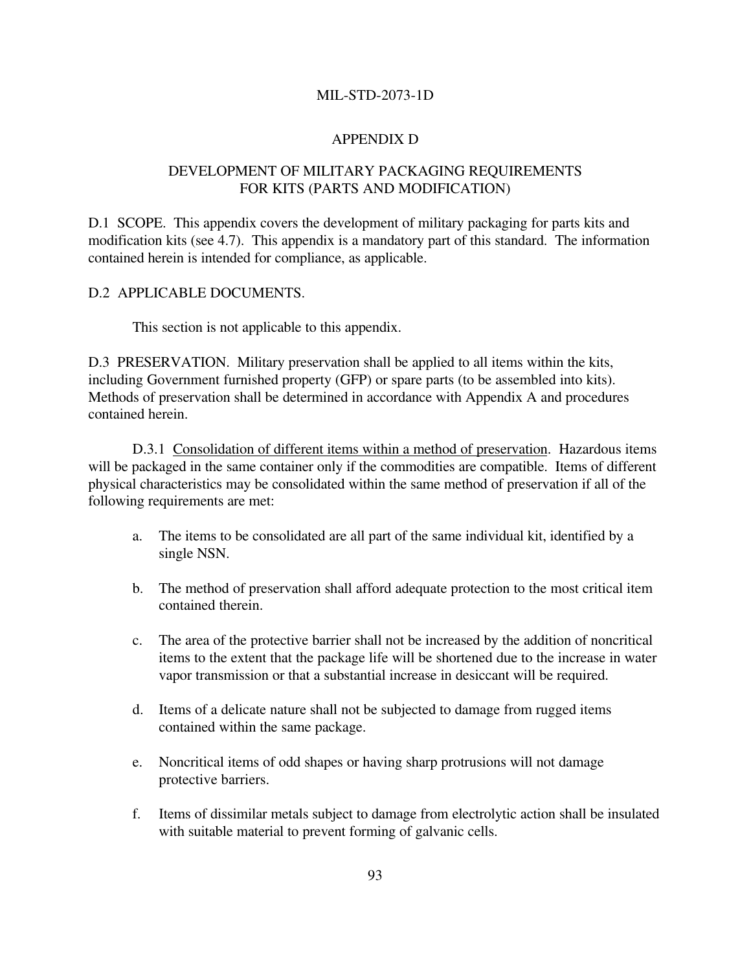### APPENDIX D

### DEVELOPMENT OF MILITARY PACKAGING REQUIREMENTS FOR KITS (PARTS AND MODIFICATION)

D.1 SCOPE. This appendix covers the development of military packaging for parts kits and modification kits (see 4.7). This appendix is a mandatory part of this standard. The information contained herein is intended for compliance, as applicable.

### D.2 APPLICABLE DOCUMENTS.

This section is not applicable to this appendix.

D.3 PRESERVATION. Military preservation shall be applied to all items within the kits, including Government furnished property (GFP) or spare parts (to be assembled into kits). Methods of preservation shall be determined in accordance with Appendix A and procedures contained herein.

D.3.1 Consolidation of different items within a method of preservation. Hazardous items will be packaged in the same container only if the commodities are compatible. Items of different physical characteristics may be consolidated within the same method of preservation if all of the following requirements are met:

- a. The items to be consolidated are all part of the same individual kit, identified by a single NSN.
- b. The method of preservation shall afford adequate protection to the most critical item contained therein.
- c. The area of the protective barrier shall not be increased by the addition of noncritical items to the extent that the package life will be shortened due to the increase in water vapor transmission or that a substantial increase in desiccant will be required.
- d. Items of a delicate nature shall not be subjected to damage from rugged items contained within the same package.
- e. Noncritical items of odd shapes or having sharp protrusions will not damage protective barriers.
- f. Items of dissimilar metals subject to damage from electrolytic action shall be insulated with suitable material to prevent forming of galvanic cells.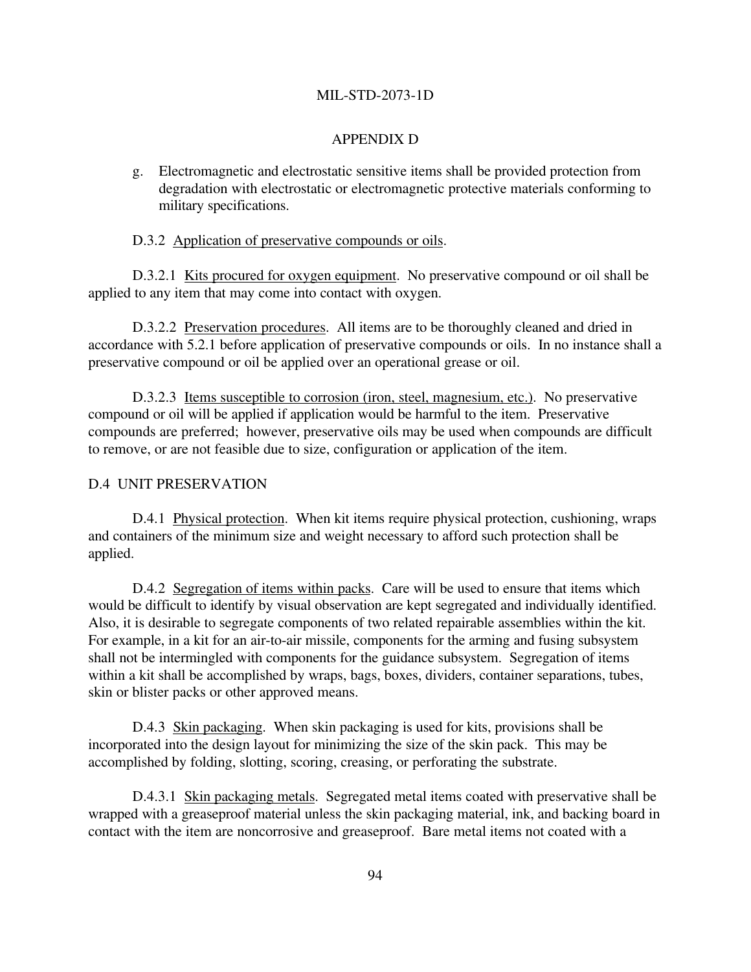#### APPENDIX D

g. Electromagnetic and electrostatic sensitive items shall be provided protection from degradation with electrostatic or electromagnetic protective materials conforming to military specifications.

### D.3.2 Application of preservative compounds or oils.

D.3.2.1 Kits procured for oxygen equipment. No preservative compound or oil shall be applied to any item that may come into contact with oxygen.

D.3.2.2 Preservation procedures. All items are to be thoroughly cleaned and dried in accordance with 5.2.1 before application of preservative compounds or oils. In no instance shall a preservative compound or oil be applied over an operational grease or oil.

D.3.2.3 Items susceptible to corrosion (iron, steel, magnesium, etc.). No preservative compound or oil will be applied if application would be harmful to the item. Preservative compounds are preferred; however, preservative oils may be used when compounds are difficult to remove, or are not feasible due to size, configuration or application of the item.

#### D.4 UNIT PRESERVATION

D.4.1 Physical protection. When kit items require physical protection, cushioning, wraps and containers of the minimum size and weight necessary to afford such protection shall be applied.

D.4.2 Segregation of items within packs. Care will be used to ensure that items which would be difficult to identify by visual observation are kept segregated and individually identified. Also, it is desirable to segregate components of two related repairable assemblies within the kit. For example, in a kit for an air-to-air missile, components for the arming and fusing subsystem shall not be intermingled with components for the guidance subsystem. Segregation of items within a kit shall be accomplished by wraps, bags, boxes, dividers, container separations, tubes, skin or blister packs or other approved means.

D.4.3 Skin packaging. When skin packaging is used for kits, provisions shall be incorporated into the design layout for minimizing the size of the skin pack. This may be accomplished by folding, slotting, scoring, creasing, or perforating the substrate.

D.4.3.1 Skin packaging metals. Segregated metal items coated with preservative shall be wrapped with a greaseproof material unless the skin packaging material, ink, and backing board in contact with the item are noncorrosive and greaseproof. Bare metal items not coated with a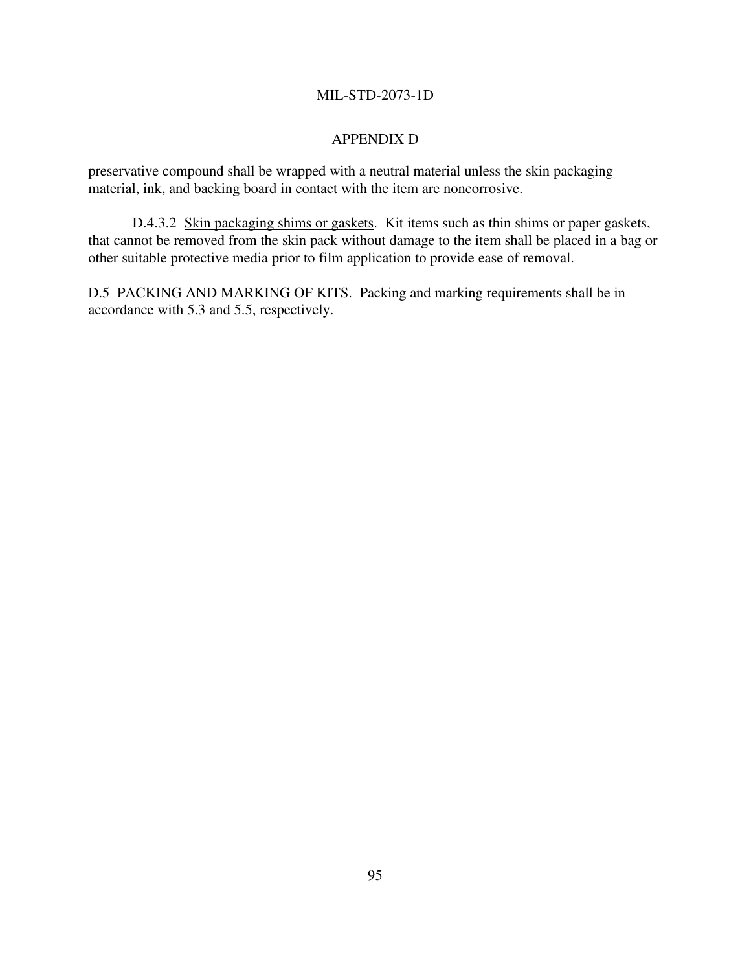#### APPENDIX D

preservative compound shall be wrapped with a neutral material unless the skin packaging material, ink, and backing board in contact with the item are noncorrosive.

D.4.3.2 Skin packaging shims or gaskets. Kit items such as thin shims or paper gaskets, that cannot be removed from the skin pack without damage to the item shall be placed in a bag or other suitable protective media prior to film application to provide ease of removal.

D.5 PACKING AND MARKING OF KITS. Packing and marking requirements shall be in accordance with 5.3 and 5.5, respectively.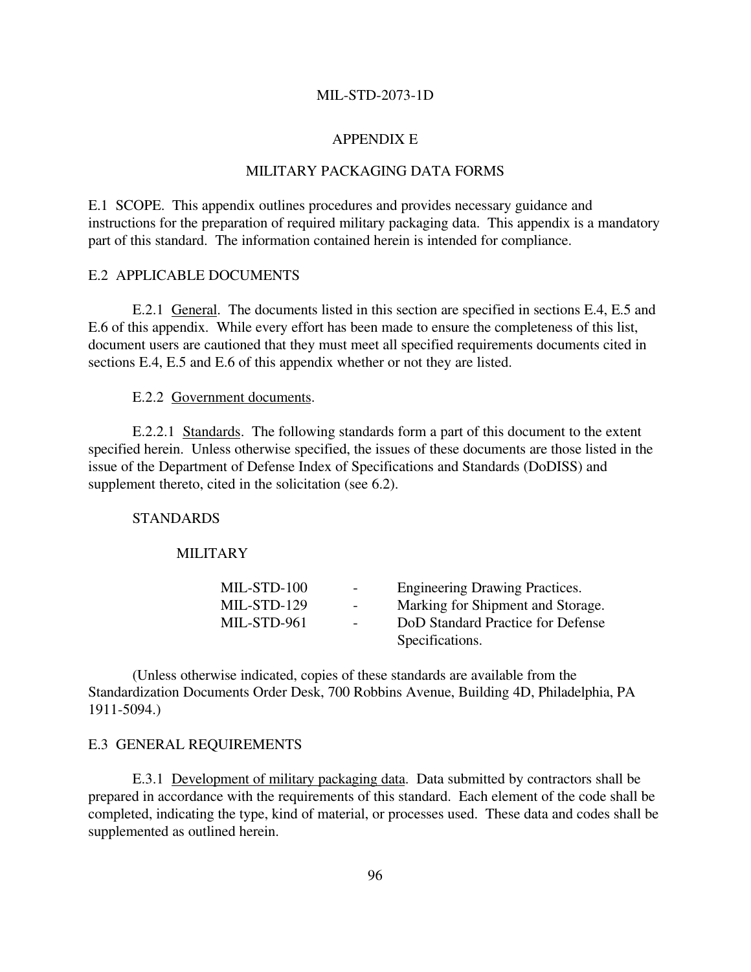#### APPENDIX E

### MILITARY PACKAGING DATA FORMS

E.1 SCOPE. This appendix outlines procedures and provides necessary guidance and instructions for the preparation of required military packaging data. This appendix is a mandatory part of this standard. The information contained herein is intended for compliance.

#### E.2 APPLICABLE DOCUMENTS

E.2.1 General. The documents listed in this section are specified in sections E.4, E.5 and E.6 of this appendix. While every effort has been made to ensure the completeness of this list, document users are cautioned that they must meet all specified requirements documents cited in sections E.4, E.5 and E.6 of this appendix whether or not they are listed.

### E.2.2 Government documents.

E.2.2.1 Standards. The following standards form a part of this document to the extent specified herein. Unless otherwise specified, the issues of these documents are those listed in the issue of the Department of Defense Index of Specifications and Standards (DoDISS) and supplement thereto, cited in the solicitation (see 6.2).

#### STANDARDS

### MILITARY

| MIL-STD-100 | $\overline{\phantom{0}}$ | Engineering Drawing Practices.    |
|-------------|--------------------------|-----------------------------------|
| MIL-STD-129 | $\overline{\phantom{0}}$ | Marking for Shipment and Storage. |
| MIL-STD-961 | $\overline{\phantom{0}}$ | DoD Standard Practice for Defense |
|             |                          | Specifications.                   |

(Unless otherwise indicated, copies of these standards are available from the Standardization Documents Order Desk, 700 Robbins Avenue, Building 4D, Philadelphia, PA 1911-5094.)

#### E.3 GENERAL REQUIREMENTS

E.3.1 Development of military packaging data. Data submitted by contractors shall be prepared in accordance with the requirements of this standard. Each element of the code shall be completed, indicating the type, kind of material, or processes used. These data and codes shall be supplemented as outlined herein.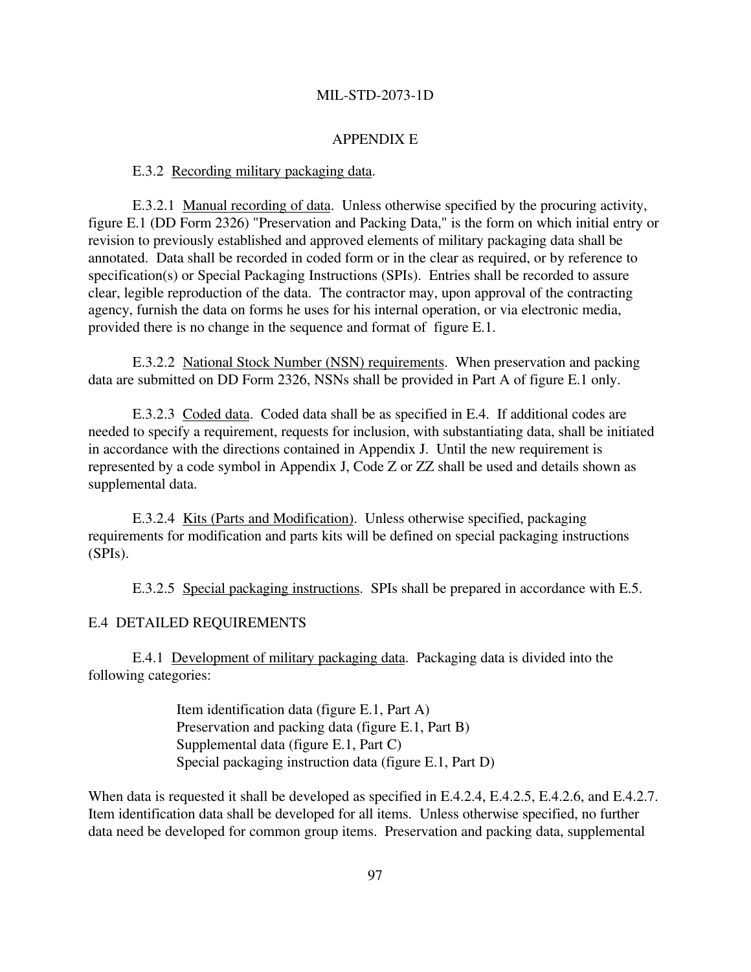#### APPENDIX E

E.3.2 Recording military packaging data.

E.3.2.1 Manual recording of data. Unless otherwise specified by the procuring activity, figure E.1 (DD Form 2326) "Preservation and Packing Data," is the form on which initial entry or revision to previously established and approved elements of military packaging data shall be annotated. Data shall be recorded in coded form or in the clear as required, or by reference to specification(s) or Special Packaging Instructions (SPIs). Entries shall be recorded to assure clear, legible reproduction of the data. The contractor may, upon approval of the contracting agency, furnish the data on forms he uses for his internal operation, or via electronic media, provided there is no change in the sequence and format of figure E.1.

E.3.2.2 National Stock Number (NSN) requirements. When preservation and packing data are submitted on DD Form 2326, NSNs shall be provided in Part A of figure E.1 only.

E.3.2.3 Coded data. Coded data shall be as specified in E.4. If additional codes are needed to specify a requirement, requests for inclusion, with substantiating data, shall be initiated in accordance with the directions contained in Appendix J. Until the new requirement is represented by a code symbol in Appendix J, Code Z or ZZ shall be used and details shown as supplemental data.

E.3.2.4 Kits (Parts and Modification). Unless otherwise specified, packaging requirements for modification and parts kits will be defined on special packaging instructions (SPIs).

E.3.2.5 Special packaging instructions. SPIs shall be prepared in accordance with E.5.

### E.4 DETAILED REQUIREMENTS

E.4.1 Development of military packaging data. Packaging data is divided into the following categories:

> Item identification data (figure E.1, Part A) Preservation and packing data (figure E.1, Part B) Supplemental data (figure E.1, Part C) Special packaging instruction data (figure E.1, Part D)

When data is requested it shall be developed as specified in E.4.2.4, E.4.2.5, E.4.2.6, and E.4.2.7. Item identification data shall be developed for all items. Unless otherwise specified, no further data need be developed for common group items. Preservation and packing data, supplemental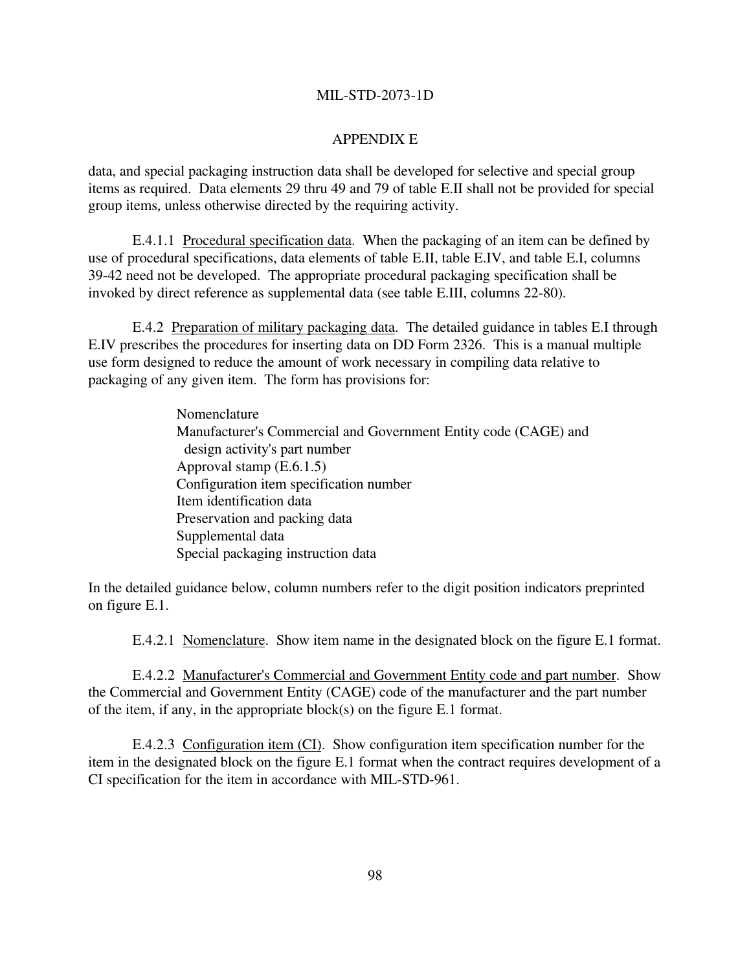#### APPENDIX E

data, and special packaging instruction data shall be developed for selective and special group items as required. Data elements 29 thru 49 and 79 of table E.II shall not be provided for special group items, unless otherwise directed by the requiring activity.

E.4.1.1 Procedural specification data. When the packaging of an item can be defined by use of procedural specifications, data elements of table E.II, table E.IV, and table E.I, columns 39-42 need not be developed. The appropriate procedural packaging specification shall be invoked by direct reference as supplemental data (see table E.III, columns 22-80).

E.4.2 Preparation of military packaging data. The detailed guidance in tables E.I through E.IV prescribes the procedures for inserting data on DD Form 2326. This is a manual multiple use form designed to reduce the amount of work necessary in compiling data relative to packaging of any given item. The form has provisions for:

> Nomenclature Manufacturer's Commercial and Government Entity code (CAGE) and design activity's part number Approval stamp (E.6.1.5) Configuration item specification number Item identification data Preservation and packing data Supplemental data Special packaging instruction data

In the detailed guidance below, column numbers refer to the digit position indicators preprinted on figure E.1.

E.4.2.1 Nomenclature. Show item name in the designated block on the figure E.1 format.

E.4.2.2 Manufacturer's Commercial and Government Entity code and part number. Show the Commercial and Government Entity (CAGE) code of the manufacturer and the part number of the item, if any, in the appropriate block(s) on the figure E.1 format.

E.4.2.3 Configuration item (CI). Show configuration item specification number for the item in the designated block on the figure E.1 format when the contract requires development of a CI specification for the item in accordance with MIL-STD-961.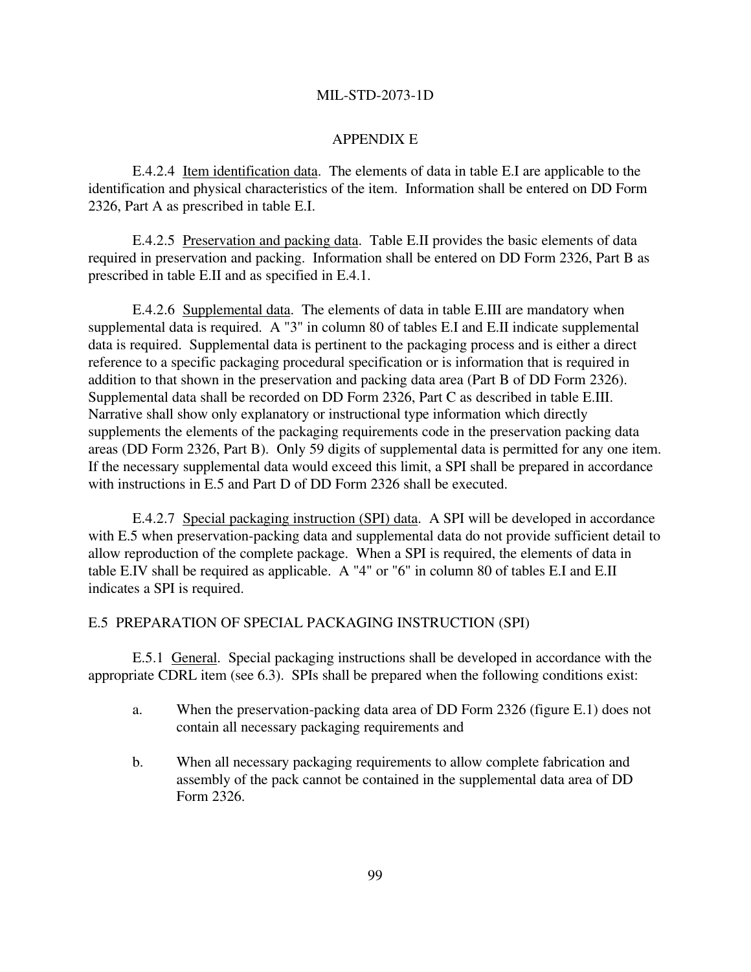#### APPENDIX E

E.4.2.4 Item identification data. The elements of data in table E.I are applicable to the identification and physical characteristics of the item. Information shall be entered on DD Form 2326, Part A as prescribed in table E.I.

E.4.2.5 Preservation and packing data. Table E.II provides the basic elements of data required in preservation and packing. Information shall be entered on DD Form 2326, Part B as prescribed in table E.II and as specified in E.4.1.

E.4.2.6 Supplemental data. The elements of data in table E.III are mandatory when supplemental data is required. A "3" in column 80 of tables E.I and E.II indicate supplemental data is required. Supplemental data is pertinent to the packaging process and is either a direct reference to a specific packaging procedural specification or is information that is required in addition to that shown in the preservation and packing data area (Part B of DD Form 2326). Supplemental data shall be recorded on DD Form 2326, Part C as described in table E.III. Narrative shall show only explanatory or instructional type information which directly supplements the elements of the packaging requirements code in the preservation packing data areas (DD Form 2326, Part B). Only 59 digits of supplemental data is permitted for any one item. If the necessary supplemental data would exceed this limit, a SPI shall be prepared in accordance with instructions in E.5 and Part D of DD Form 2326 shall be executed.

E.4.2.7 Special packaging instruction (SPI) data. A SPI will be developed in accordance with E.5 when preservation-packing data and supplemental data do not provide sufficient detail to allow reproduction of the complete package. When a SPI is required, the elements of data in table E.IV shall be required as applicable. A "4" or "6" in column 80 of tables E.I and E.II indicates a SPI is required.

### E.5 PREPARATION OF SPECIAL PACKAGING INSTRUCTION (SPI)

E.5.1 General. Special packaging instructions shall be developed in accordance with the appropriate CDRL item (see 6.3). SPIs shall be prepared when the following conditions exist:

- a. When the preservation-packing data area of DD Form 2326 (figure E.1) does not contain all necessary packaging requirements and
- b. When all necessary packaging requirements to allow complete fabrication and assembly of the pack cannot be contained in the supplemental data area of DD Form 2326.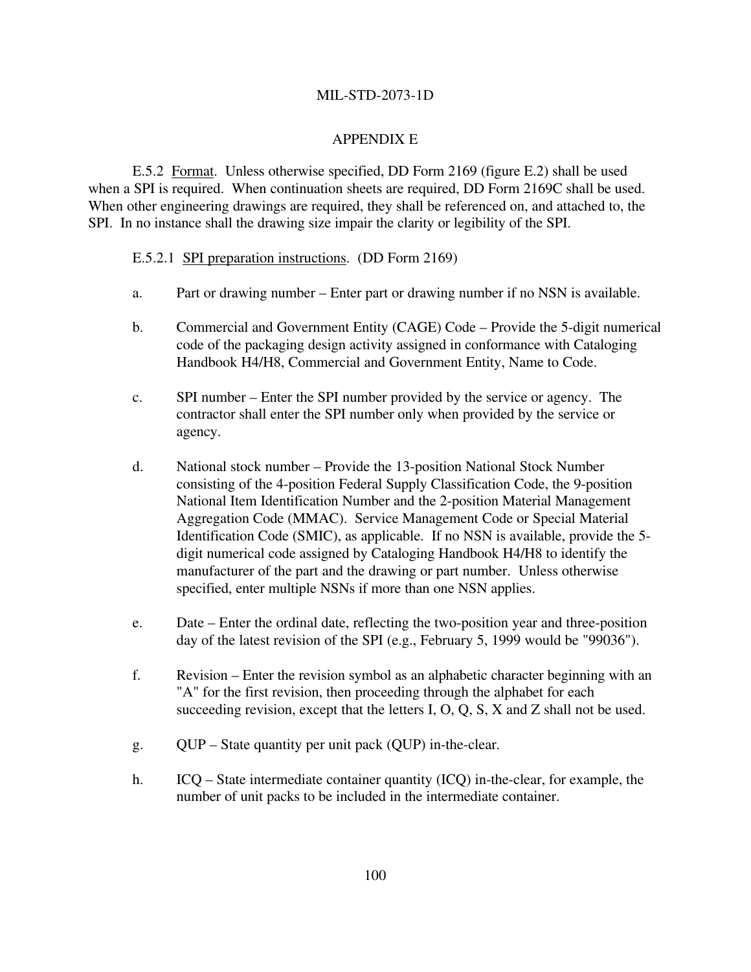### APPENDIX E

E.5.2 Format. Unless otherwise specified, DD Form 2169 (figure E.2) shall be used when a SPI is required. When continuation sheets are required, DD Form 2169C shall be used. When other engineering drawings are required, they shall be referenced on, and attached to, the SPI. In no instance shall the drawing size impair the clarity or legibility of the SPI.

### E.5.2.1 SPI preparation instructions. (DD Form 2169)

- a. Part or drawing number Enter part or drawing number if no NSN is available.
- b. Commercial and Government Entity (CAGE) Code Provide the 5-digit numerical code of the packaging design activity assigned in conformance with Cataloging Handbook H4/H8, Commercial and Government Entity, Name to Code.
- c. SPI number Enter the SPI number provided by the service or agency. The contractor shall enter the SPI number only when provided by the service or agency.
- d. National stock number Provide the 13-position National Stock Number consisting of the 4-position Federal Supply Classification Code, the 9-position National Item Identification Number and the 2-position Material Management Aggregation Code (MMAC). Service Management Code or Special Material Identification Code (SMIC), as applicable. If no NSN is available, provide the 5 digit numerical code assigned by Cataloging Handbook H4/H8 to identify the manufacturer of the part and the drawing or part number. Unless otherwise specified, enter multiple NSNs if more than one NSN applies.
- e. Date Enter the ordinal date, reflecting the two-position year and three-position day of the latest revision of the SPI (e.g., February 5, 1999 would be "99036").
- f. Revision Enter the revision symbol as an alphabetic character beginning with an "A" for the first revision, then proceeding through the alphabet for each succeeding revision, except that the letters I, O, Q, S, X and Z shall not be used.
- g. QUP State quantity per unit pack (QUP) in-the-clear.
- h. ICQ State intermediate container quantity (ICQ) in-the-clear, for example, the number of unit packs to be included in the intermediate container.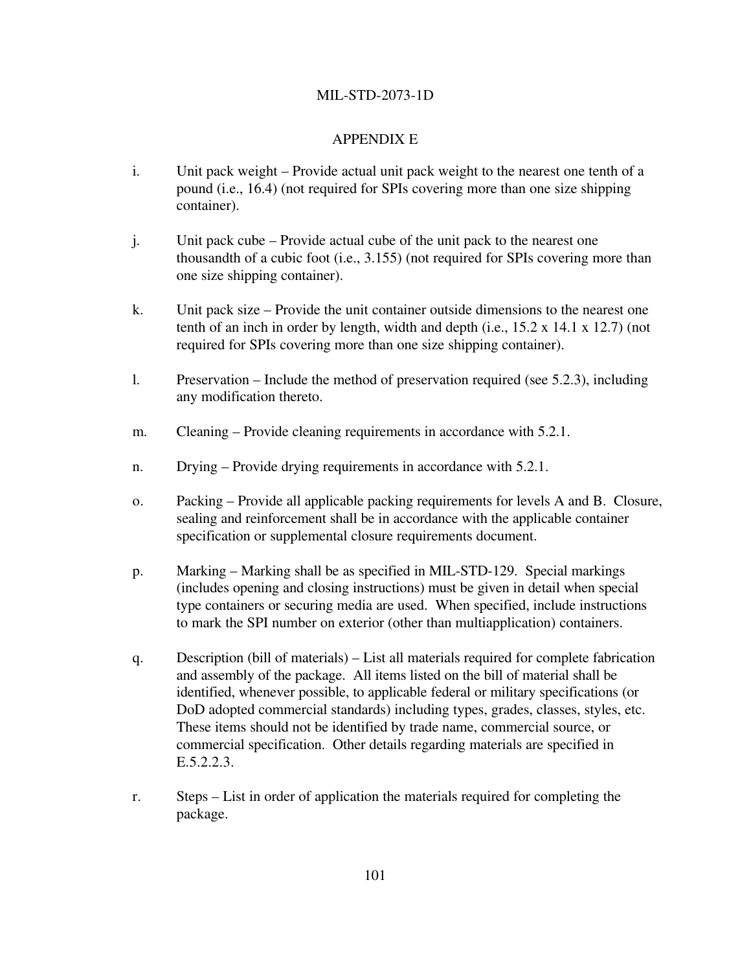### APPENDIX E

- i. Unit pack weight Provide actual unit pack weight to the nearest one tenth of a pound (i.e., 16.4) (not required for SPIs covering more than one size shipping container).
- j. Unit pack cube Provide actual cube of the unit pack to the nearest one thousandth of a cubic foot (i.e., 3.155) (not required for SPIs covering more than one size shipping container).
- k. Unit pack size Provide the unit container outside dimensions to the nearest one tenth of an inch in order by length, width and depth (i.e., 15.2 x 14.1 x 12.7) (not required for SPIs covering more than one size shipping container).
- l. Preservation Include the method of preservation required (see 5.2.3), including any modification thereto.
- m. Cleaning Provide cleaning requirements in accordance with 5.2.1.
- n. Drying Provide drying requirements in accordance with 5.2.1.
- o. Packing Provide all applicable packing requirements for levels A and B. Closure, sealing and reinforcement shall be in accordance with the applicable container specification or supplemental closure requirements document.
- p. Marking Marking shall be as specified in MIL-STD-129. Special markings (includes opening and closing instructions) must be given in detail when special type containers or securing media are used. When specified, include instructions to mark the SPI number on exterior (other than multiapplication) containers.
- q. Description (bill of materials) List all materials required for complete fabrication and assembly of the package. All items listed on the bill of material shall be identified, whenever possible, to applicable federal or military specifications (or DoD adopted commercial standards) including types, grades, classes, styles, etc. These items should not be identified by trade name, commercial source, or commercial specification. Other details regarding materials are specified in E.5.2.2.3.
- r. Steps List in order of application the materials required for completing the package.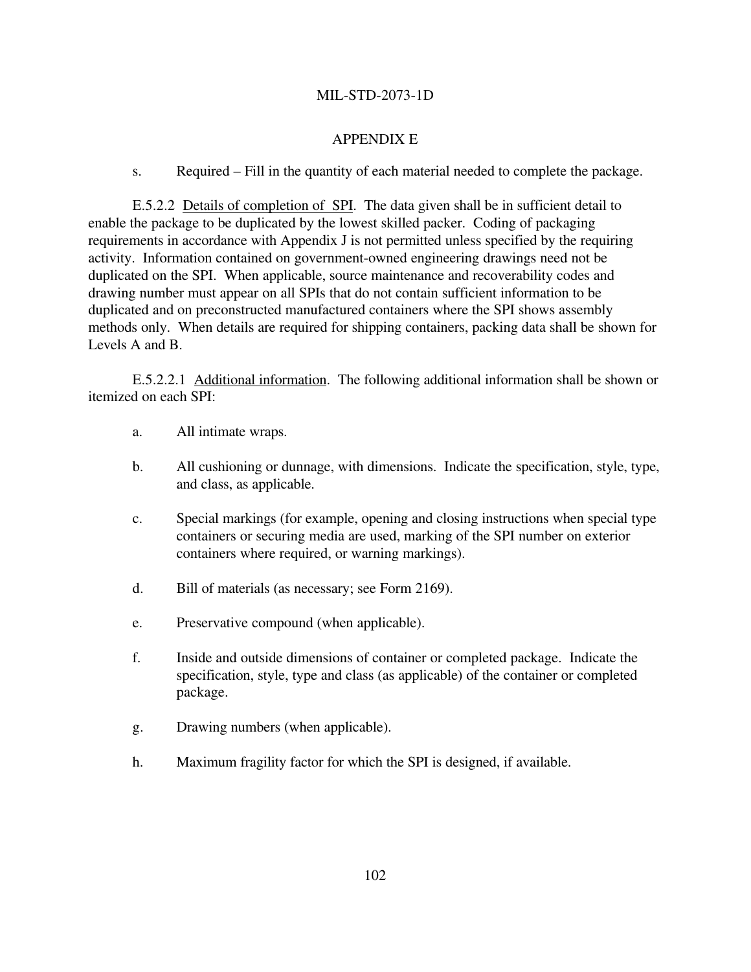### APPENDIX E

s. Required – Fill in the quantity of each material needed to complete the package.

E.5.2.2 Details of completion of SPI. The data given shall be in sufficient detail to enable the package to be duplicated by the lowest skilled packer. Coding of packaging requirements in accordance with Appendix J is not permitted unless specified by the requiring activity. Information contained on government-owned engineering drawings need not be duplicated on the SPI. When applicable, source maintenance and recoverability codes and drawing number must appear on all SPIs that do not contain sufficient information to be duplicated and on preconstructed manufactured containers where the SPI shows assembly methods only. When details are required for shipping containers, packing data shall be shown for Levels A and B.

E.5.2.2.1 Additional information. The following additional information shall be shown or itemized on each SPI:

- a. All intimate wraps.
- b. All cushioning or dunnage, with dimensions. Indicate the specification, style, type, and class, as applicable.
- c. Special markings (for example, opening and closing instructions when special type containers or securing media are used, marking of the SPI number on exterior containers where required, or warning markings).
- d. Bill of materials (as necessary; see Form 2169).
- e. Preservative compound (when applicable).
- f. Inside and outside dimensions of container or completed package. Indicate the specification, style, type and class (as applicable) of the container or completed package.
- g. Drawing numbers (when applicable).
- h. Maximum fragility factor for which the SPI is designed, if available.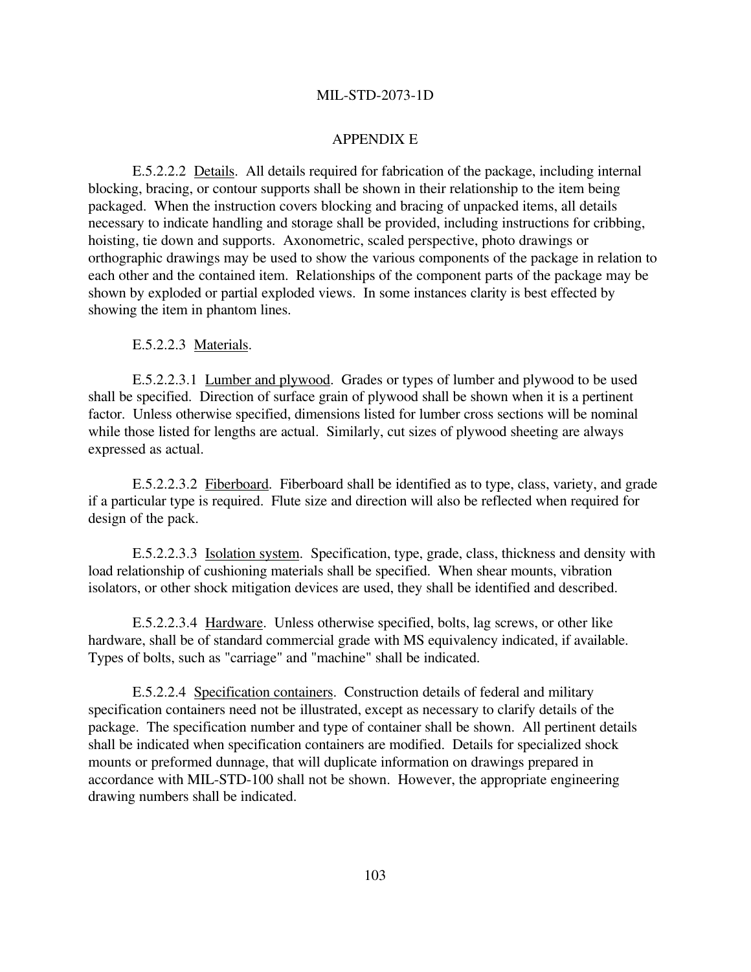#### APPENDIX E

E.5.2.2.2 Details. All details required for fabrication of the package, including internal blocking, bracing, or contour supports shall be shown in their relationship to the item being packaged. When the instruction covers blocking and bracing of unpacked items, all details necessary to indicate handling and storage shall be provided, including instructions for cribbing, hoisting, tie down and supports. Axonometric, scaled perspective, photo drawings or orthographic drawings may be used to show the various components of the package in relation to each other and the contained item. Relationships of the component parts of the package may be shown by exploded or partial exploded views. In some instances clarity is best effected by showing the item in phantom lines.

#### E.5.2.2.3 Materials.

E.5.2.2.3.1 Lumber and plywood. Grades or types of lumber and plywood to be used shall be specified. Direction of surface grain of plywood shall be shown when it is a pertinent factor. Unless otherwise specified, dimensions listed for lumber cross sections will be nominal while those listed for lengths are actual. Similarly, cut sizes of plywood sheeting are always expressed as actual.

E.5.2.2.3.2 Fiberboard. Fiberboard shall be identified as to type, class, variety, and grade if a particular type is required. Flute size and direction will also be reflected when required for design of the pack.

E.5.2.2.3.3 Isolation system. Specification, type, grade, class, thickness and density with load relationship of cushioning materials shall be specified. When shear mounts, vibration isolators, or other shock mitigation devices are used, they shall be identified and described.

E.5.2.2.3.4 Hardware. Unless otherwise specified, bolts, lag screws, or other like hardware, shall be of standard commercial grade with MS equivalency indicated, if available. Types of bolts, such as "carriage" and "machine" shall be indicated.

E.5.2.2.4 Specification containers. Construction details of federal and military specification containers need not be illustrated, except as necessary to clarify details of the package. The specification number and type of container shall be shown. All pertinent details shall be indicated when specification containers are modified. Details for specialized shock mounts or preformed dunnage, that will duplicate information on drawings prepared in accordance with MIL-STD-100 shall not be shown. However, the appropriate engineering drawing numbers shall be indicated.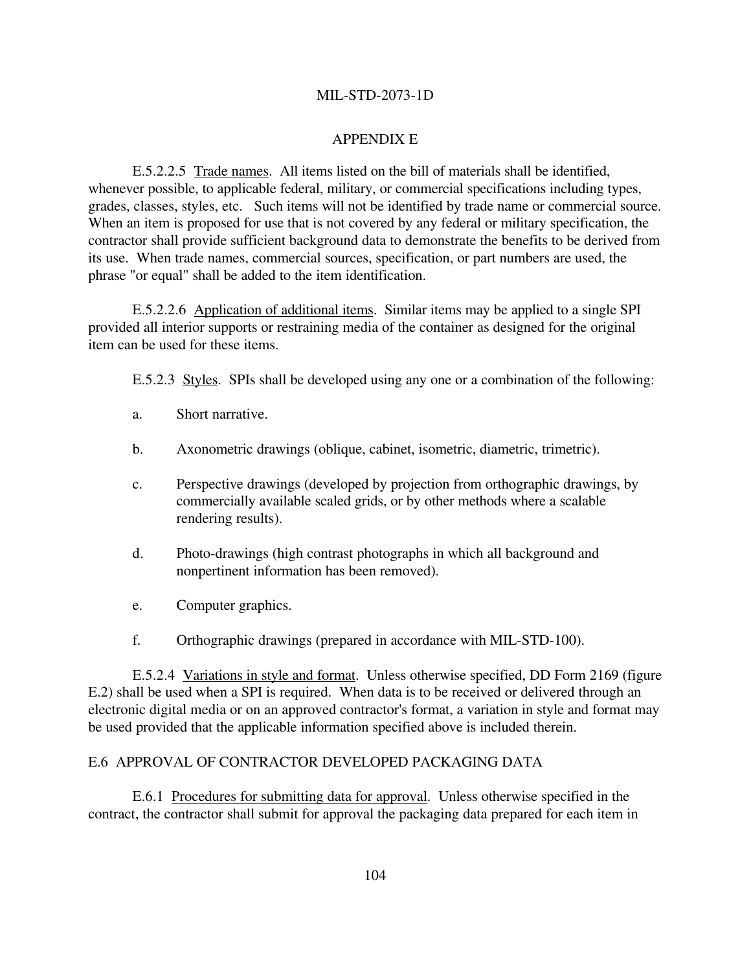### APPENDIX E

E.5.2.2.5 Trade names. All items listed on the bill of materials shall be identified, whenever possible, to applicable federal, military, or commercial specifications including types, grades, classes, styles, etc. Such items will not be identified by trade name or commercial source. When an item is proposed for use that is not covered by any federal or military specification, the contractor shall provide sufficient background data to demonstrate the benefits to be derived from its use. When trade names, commercial sources, specification, or part numbers are used, the phrase "or equal" shall be added to the item identification.

E.5.2.2.6 Application of additional items. Similar items may be applied to a single SPI provided all interior supports or restraining media of the container as designed for the original item can be used for these items.

E.5.2.3 Styles. SPIs shall be developed using any one or a combination of the following:

- a. Short narrative.
- b. Axonometric drawings (oblique, cabinet, isometric, diametric, trimetric).
- c. Perspective drawings (developed by projection from orthographic drawings, by commercially available scaled grids, or by other methods where a scalable rendering results).
- d. Photo-drawings (high contrast photographs in which all background and nonpertinent information has been removed).
- e. Computer graphics.
- f. Orthographic drawings (prepared in accordance with MIL-STD-100).

E.5.2.4 Variations in style and format. Unless otherwise specified, DD Form 2169 (figure E.2) shall be used when a SPI is required. When data is to be received or delivered through an electronic digital media or on an approved contractor's format, a variation in style and format may be used provided that the applicable information specified above is included therein.

### E.6 APPROVAL OF CONTRACTOR DEVELOPED PACKAGING DATA

E.6.1 Procedures for submitting data for approval. Unless otherwise specified in the contract, the contractor shall submit for approval the packaging data prepared for each item in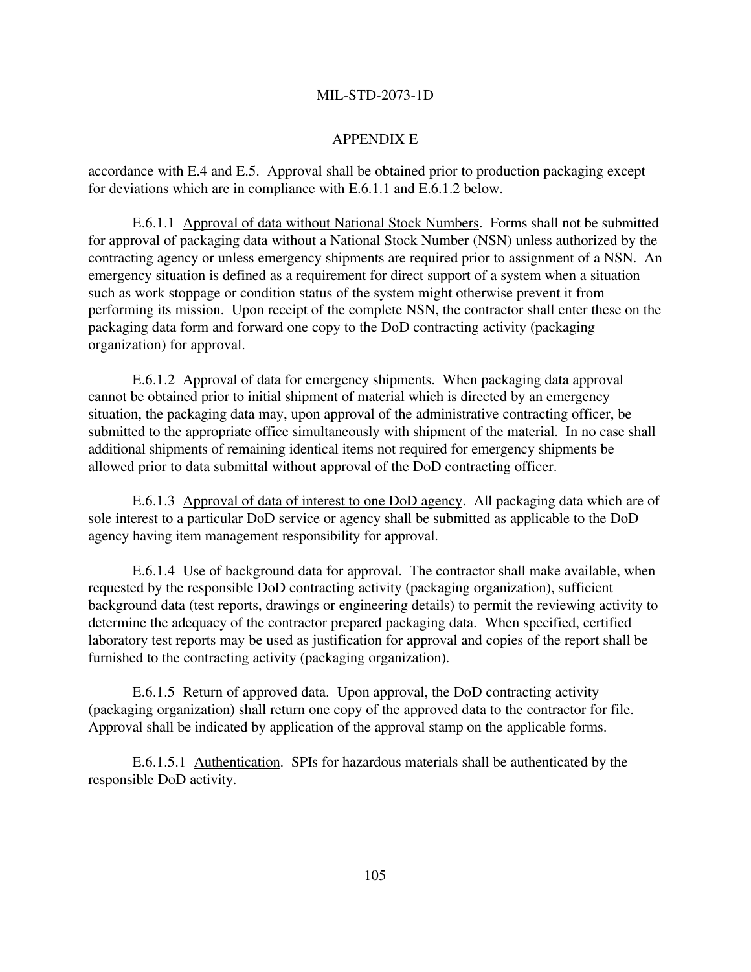#### APPENDIX E

accordance with E.4 and E.5. Approval shall be obtained prior to production packaging except for deviations which are in compliance with E.6.1.1 and E.6.1.2 below.

E.6.1.1 Approval of data without National Stock Numbers. Forms shall not be submitted for approval of packaging data without a National Stock Number (NSN) unless authorized by the contracting agency or unless emergency shipments are required prior to assignment of a NSN. An emergency situation is defined as a requirement for direct support of a system when a situation such as work stoppage or condition status of the system might otherwise prevent it from performing its mission. Upon receipt of the complete NSN, the contractor shall enter these on the packaging data form and forward one copy to the DoD contracting activity (packaging organization) for approval.

E.6.1.2 Approval of data for emergency shipments. When packaging data approval cannot be obtained prior to initial shipment of material which is directed by an emergency situation, the packaging data may, upon approval of the administrative contracting officer, be submitted to the appropriate office simultaneously with shipment of the material. In no case shall additional shipments of remaining identical items not required for emergency shipments be allowed prior to data submittal without approval of the DoD contracting officer.

E.6.1.3 Approval of data of interest to one DoD agency. All packaging data which are of sole interest to a particular DoD service or agency shall be submitted as applicable to the DoD agency having item management responsibility for approval.

E.6.1.4 Use of background data for approval. The contractor shall make available, when requested by the responsible DoD contracting activity (packaging organization), sufficient background data (test reports, drawings or engineering details) to permit the reviewing activity to determine the adequacy of the contractor prepared packaging data. When specified, certified laboratory test reports may be used as justification for approval and copies of the report shall be furnished to the contracting activity (packaging organization).

E.6.1.5 Return of approved data. Upon approval, the DoD contracting activity (packaging organization) shall return one copy of the approved data to the contractor for file. Approval shall be indicated by application of the approval stamp on the applicable forms.

E.6.1.5.1 Authentication. SPIs for hazardous materials shall be authenticated by the responsible DoD activity.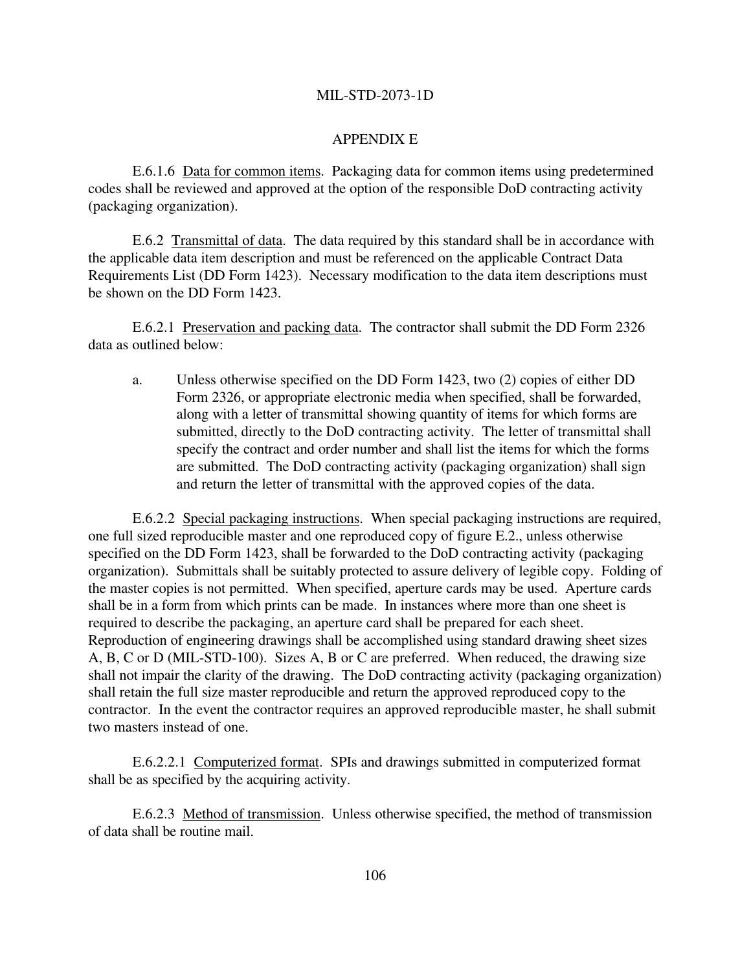#### APPENDIX E

E.6.1.6 Data for common items. Packaging data for common items using predetermined codes shall be reviewed and approved at the option of the responsible DoD contracting activity (packaging organization).

E.6.2 Transmittal of data. The data required by this standard shall be in accordance with the applicable data item description and must be referenced on the applicable Contract Data Requirements List (DD Form 1423). Necessary modification to the data item descriptions must be shown on the DD Form 1423.

E.6.2.1 Preservation and packing data. The contractor shall submit the DD Form 2326 data as outlined below:

a. Unless otherwise specified on the DD Form 1423, two (2) copies of either DD Form 2326, or appropriate electronic media when specified, shall be forwarded, along with a letter of transmittal showing quantity of items for which forms are submitted, directly to the DoD contracting activity. The letter of transmittal shall specify the contract and order number and shall list the items for which the forms are submitted. The DoD contracting activity (packaging organization) shall sign and return the letter of transmittal with the approved copies of the data.

E.6.2.2 Special packaging instructions. When special packaging instructions are required, one full sized reproducible master and one reproduced copy of figure E.2., unless otherwise specified on the DD Form 1423, shall be forwarded to the DoD contracting activity (packaging organization). Submittals shall be suitably protected to assure delivery of legible copy. Folding of the master copies is not permitted. When specified, aperture cards may be used. Aperture cards shall be in a form from which prints can be made. In instances where more than one sheet is required to describe the packaging, an aperture card shall be prepared for each sheet. Reproduction of engineering drawings shall be accomplished using standard drawing sheet sizes A, B, C or D (MIL-STD-100). Sizes A, B or C are preferred. When reduced, the drawing size shall not impair the clarity of the drawing. The DoD contracting activity (packaging organization) shall retain the full size master reproducible and return the approved reproduced copy to the contractor. In the event the contractor requires an approved reproducible master, he shall submit two masters instead of one.

E.6.2.2.1 Computerized format. SPIs and drawings submitted in computerized format shall be as specified by the acquiring activity.

E.6.2.3 Method of transmission. Unless otherwise specified, the method of transmission of data shall be routine mail.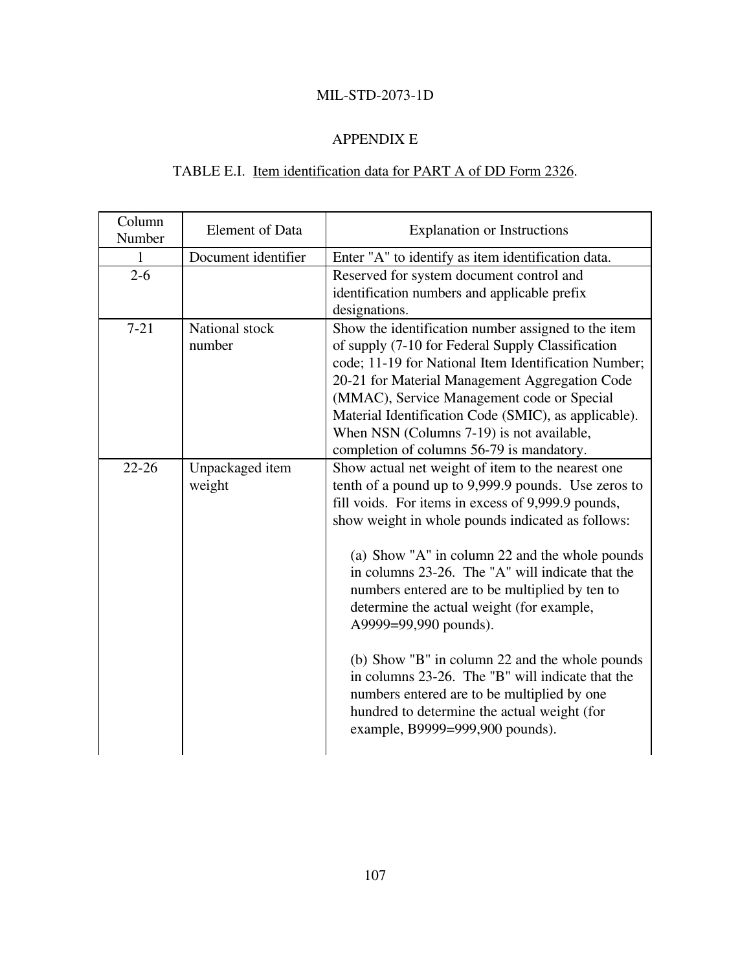# APPENDIX E

# TABLE E.I. Item identification data for PART A of DD Form 2326.

| Column<br>Number | Element of Data           | <b>Explanation or Instructions</b>                                                                                                                                                                                                                                                                                                                                                                                                                                                                                                                                                                                                                                                       |
|------------------|---------------------------|------------------------------------------------------------------------------------------------------------------------------------------------------------------------------------------------------------------------------------------------------------------------------------------------------------------------------------------------------------------------------------------------------------------------------------------------------------------------------------------------------------------------------------------------------------------------------------------------------------------------------------------------------------------------------------------|
| 1                | Document identifier       | Enter "A" to identify as item identification data.                                                                                                                                                                                                                                                                                                                                                                                                                                                                                                                                                                                                                                       |
| $2 - 6$          |                           | Reserved for system document control and<br>identification numbers and applicable prefix<br>designations.                                                                                                                                                                                                                                                                                                                                                                                                                                                                                                                                                                                |
| $7 - 21$         | National stock<br>number  | Show the identification number assigned to the item<br>of supply (7-10 for Federal Supply Classification<br>code; 11-19 for National Item Identification Number;<br>20-21 for Material Management Aggregation Code<br>(MMAC), Service Management code or Special<br>Material Identification Code (SMIC), as applicable).<br>When NSN (Columns 7-19) is not available,<br>completion of columns 56-79 is mandatory.                                                                                                                                                                                                                                                                       |
| $22 - 26$        | Unpackaged item<br>weight | Show actual net weight of item to the nearest one<br>tenth of a pound up to 9,999.9 pounds. Use zeros to<br>fill voids. For items in excess of 9,999.9 pounds,<br>show weight in whole pounds indicated as follows:<br>(a) Show "A" in column 22 and the whole pounds<br>in columns 23-26. The "A" will indicate that the<br>numbers entered are to be multiplied by ten to<br>determine the actual weight (for example,<br>A9999=99,990 pounds).<br>(b) Show "B" in column 22 and the whole pounds<br>in columns 23-26. The "B" will indicate that the<br>numbers entered are to be multiplied by one<br>hundred to determine the actual weight (for<br>example, B9999=999,900 pounds). |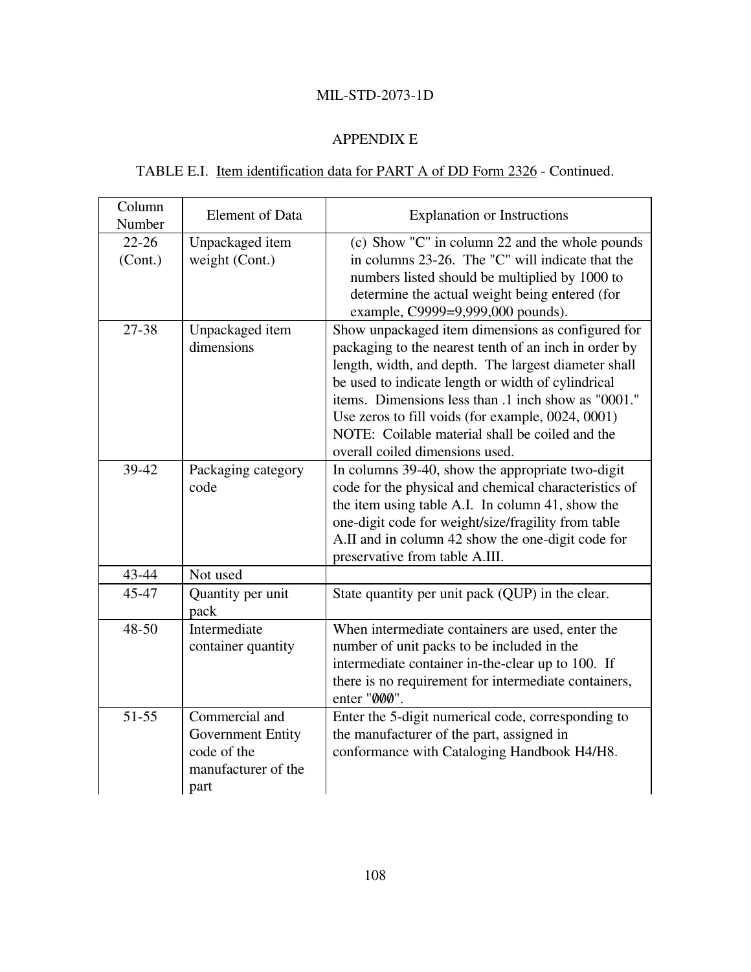# APPENDIX E

# TABLE E.I. Item identification data for PART A of DD Form 2326 - Continued.

| Column<br>Number | <b>Element</b> of Data   | <b>Explanation or Instructions</b>                                                  |
|------------------|--------------------------|-------------------------------------------------------------------------------------|
| $22 - 26$        | Unpackaged item          | (c) Show "C" in column 22 and the whole pounds                                      |
| (Cont.)          | weight (Cont.)           | in columns 23-26. The "C" will indicate that the                                    |
|                  |                          | numbers listed should be multiplied by 1000 to                                      |
|                  |                          | determine the actual weight being entered (for                                      |
|                  |                          | example, C9999=9,999,000 pounds).                                                   |
| 27-38            | Unpackaged item          | Show unpackaged item dimensions as configured for                                   |
|                  | dimensions               | packaging to the nearest tenth of an inch in order by                               |
|                  |                          | length, width, and depth. The largest diameter shall                                |
|                  |                          | be used to indicate length or width of cylindrical                                  |
|                  |                          | items. Dimensions less than .1 inch show as "0001."                                 |
|                  |                          | Use zeros to fill voids (for example, 0024, 0001)                                   |
|                  |                          | NOTE: Coilable material shall be coiled and the                                     |
|                  |                          | overall coiled dimensions used.                                                     |
| 39-42            | Packaging category       | In columns 39-40, show the appropriate two-digit                                    |
|                  | code                     | code for the physical and chemical characteristics of                               |
|                  |                          | the item using table A.I. In column 41, show the                                    |
|                  |                          | one-digit code for weight/size/fragility from table                                 |
|                  |                          | A.II and in column 42 show the one-digit code for<br>preservative from table A.III. |
| 43-44            | Not used                 |                                                                                     |
| 45-47            | Quantity per unit        | State quantity per unit pack (QUP) in the clear.                                    |
|                  | pack                     |                                                                                     |
| 48-50            | Intermediate             | When intermediate containers are used, enter the                                    |
|                  | container quantity       | number of unit packs to be included in the                                          |
|                  |                          | intermediate container in-the-clear up to 100. If                                   |
|                  |                          | there is no requirement for intermediate containers,                                |
|                  |                          | enter "000".                                                                        |
| $51 - 55$        | Commercial and           | Enter the 5-digit numerical code, corresponding to                                  |
|                  | <b>Government Entity</b> | the manufacturer of the part, assigned in                                           |
|                  | code of the              | conformance with Cataloging Handbook H4/H8.                                         |
|                  | manufacturer of the      |                                                                                     |
|                  | part                     |                                                                                     |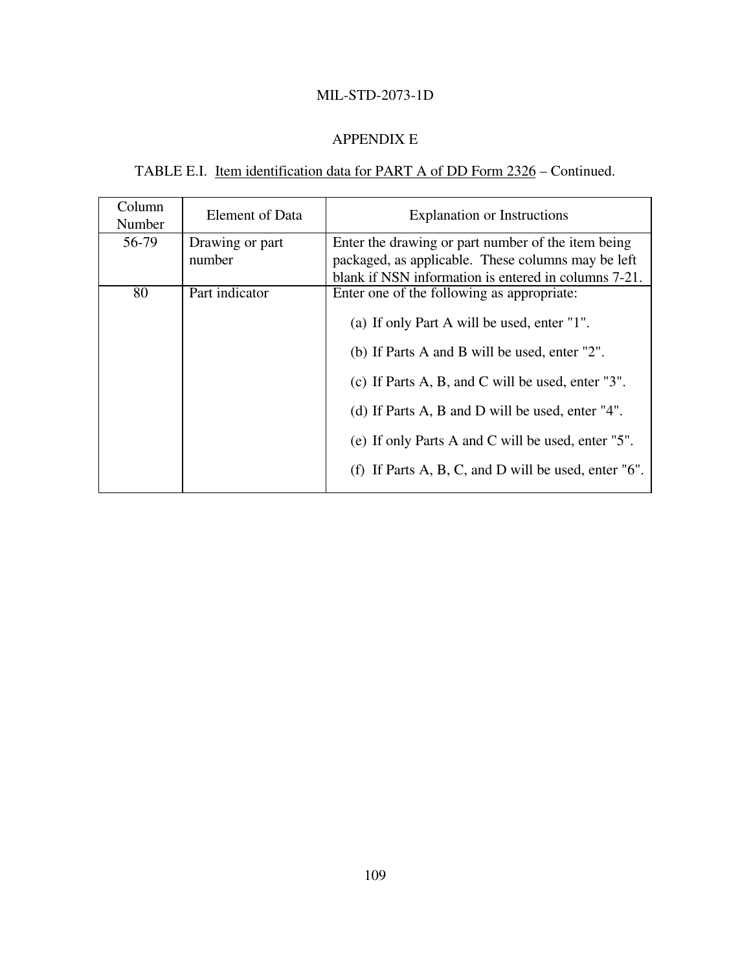# APPENDIX E

# TABLE E.I. Item identification data for PART A of DD Form 2326 – Continued.

| Column<br>Number | Element of Data | <b>Explanation or Instructions</b>                                                           |
|------------------|-----------------|----------------------------------------------------------------------------------------------|
| 56-79            | Drawing or part | Enter the drawing or part number of the item being                                           |
|                  | number          | packaged, as applicable. These columns may be left                                           |
|                  |                 | blank if NSN information is entered in columns 7-21.                                         |
| 80               | Part indicator  | Enter one of the following as appropriate:                                                   |
|                  |                 | (a) If only Part A will be used, enter "1".<br>(b) If Parts A and B will be used, enter "2". |
|                  |                 |                                                                                              |
|                  |                 | (c) If Parts A, B, and C will be used, enter " $3$ ".                                        |
|                  |                 | (d) If Parts A, B and D will be used, enter "4".                                             |
|                  |                 | (e) If only Parts A and C will be used, enter "5".                                           |
|                  |                 | (f) If Parts A, B, C, and D will be used, enter $"6"$ .                                      |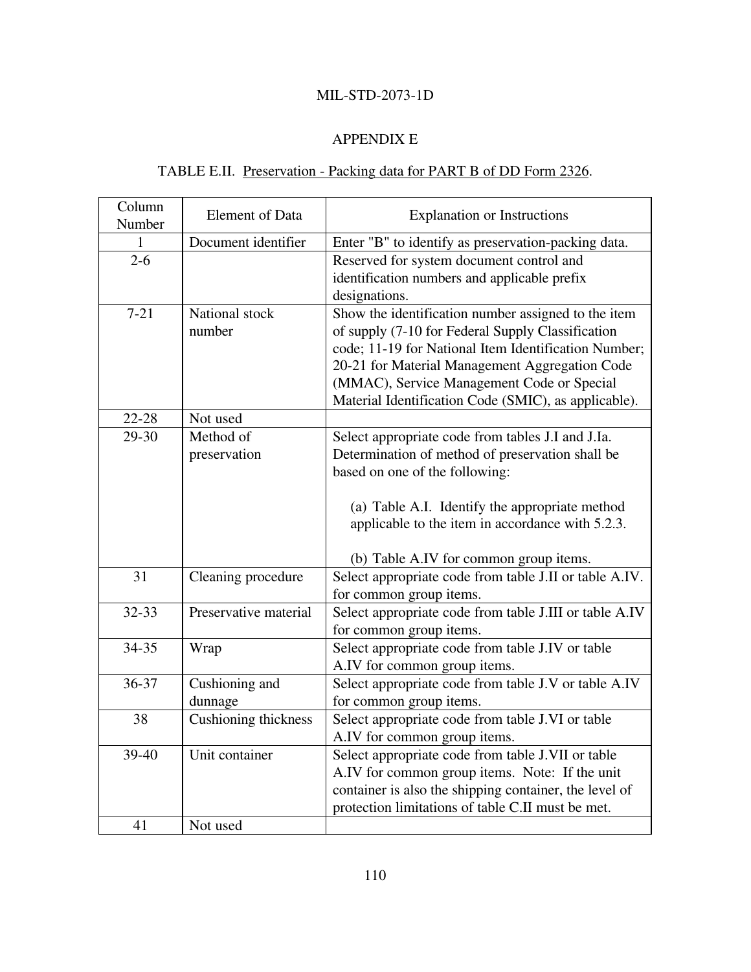# APPENDIX E

# TABLE E.II. Preservation - Packing data for PART B of DD Form 2326.

| Column<br><b>Element</b> of Data<br><b>Explanation or Instructions</b><br>Number                                    |  |
|---------------------------------------------------------------------------------------------------------------------|--|
| Document identifier<br>Enter "B" to identify as preservation-packing data.<br>1                                     |  |
| Reserved for system document control and<br>$2 - 6$                                                                 |  |
| identification numbers and applicable prefix                                                                        |  |
| designations.                                                                                                       |  |
| $7 - 21$<br>Show the identification number assigned to the item<br>National stock                                   |  |
| of supply (7-10 for Federal Supply Classification<br>number<br>code; 11-19 for National Item Identification Number; |  |
| 20-21 for Material Management Aggregation Code                                                                      |  |
| (MMAC), Service Management Code or Special                                                                          |  |
| Material Identification Code (SMIC), as applicable).                                                                |  |
| Not used<br>22-28                                                                                                   |  |
| Method of<br>29-30<br>Select appropriate code from tables J.I and J.Ia.                                             |  |
| Determination of method of preservation shall be<br>preservation                                                    |  |
| based on one of the following:                                                                                      |  |
|                                                                                                                     |  |
| (a) Table A.I. Identify the appropriate method                                                                      |  |
| applicable to the item in accordance with 5.2.3.                                                                    |  |
| (b) Table A.IV for common group items.                                                                              |  |
| 31<br>Select appropriate code from table J.II or table A.IV.<br>Cleaning procedure                                  |  |
| for common group items.                                                                                             |  |
| $32 - 33$<br>Preservative material<br>Select appropriate code from table J.III or table A.IV                        |  |
| for common group items.                                                                                             |  |
| Select appropriate code from table J.IV or table<br>34-35<br>Wrap                                                   |  |
| A.IV for common group items.                                                                                        |  |
| 36-37<br>Cushioning and<br>Select appropriate code from table J.V or table A.IV                                     |  |
| for common group items.<br>dunnage                                                                                  |  |
| 38<br>Cushioning thickness<br>Select appropriate code from table J.VI or table                                      |  |
| A.IV for common group items.                                                                                        |  |
| Unit container<br>Select appropriate code from table J.VII or table<br>39-40                                        |  |
| A.IV for common group items. Note: If the unit                                                                      |  |
| container is also the shipping container, the level of<br>protection limitations of table C.II must be met.         |  |
| Not used<br>41                                                                                                      |  |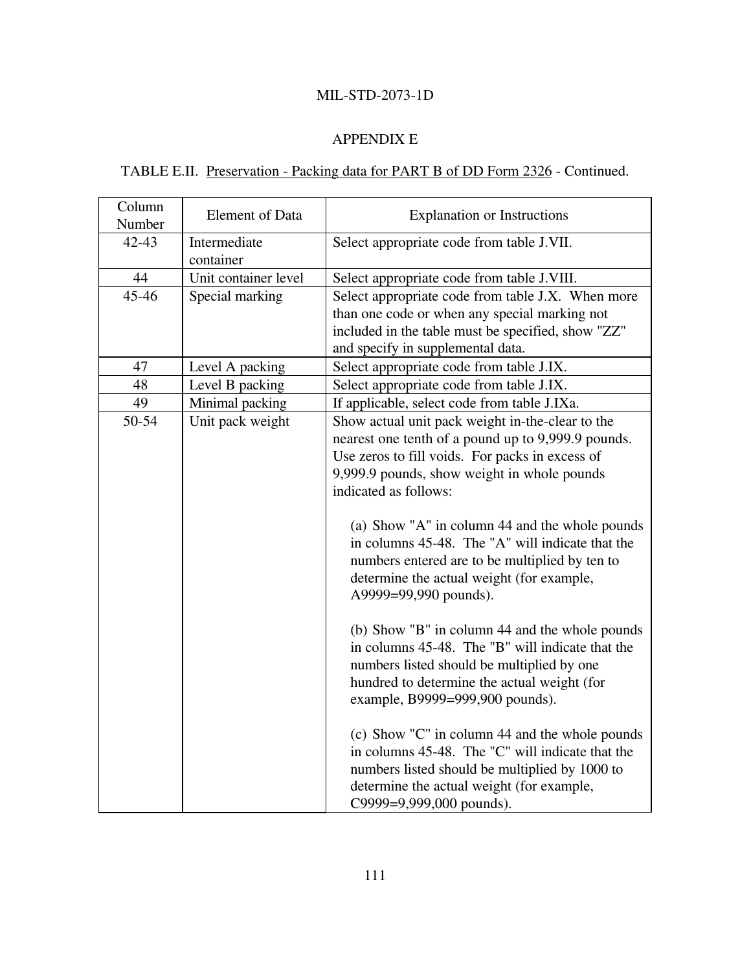# APPENDIX E

# TABLE E.II. Preservation - Packing data for PART B of DD Form 2326 - Continued.

| Column<br>Number | Element of Data           | <b>Explanation or Instructions</b>                                                                                                                                                                                                 |
|------------------|---------------------------|------------------------------------------------------------------------------------------------------------------------------------------------------------------------------------------------------------------------------------|
| $42 - 43$        | Intermediate<br>container | Select appropriate code from table J.VII.                                                                                                                                                                                          |
| 44               | Unit container level      | Select appropriate code from table J.VIII.                                                                                                                                                                                         |
| $45 - 46$        | Special marking           | Select appropriate code from table J.X. When more                                                                                                                                                                                  |
|                  |                           | than one code or when any special marking not                                                                                                                                                                                      |
|                  |                           | included in the table must be specified, show "ZZ"                                                                                                                                                                                 |
|                  |                           | and specify in supplemental data.                                                                                                                                                                                                  |
| 47               | Level A packing           | Select appropriate code from table J.IX.                                                                                                                                                                                           |
| 48               | Level B packing           | Select appropriate code from table J.IX.                                                                                                                                                                                           |
| 49               | Minimal packing           | If applicable, select code from table J.IXa.                                                                                                                                                                                       |
| 50-54            | Unit pack weight          | Show actual unit pack weight in-the-clear to the                                                                                                                                                                                   |
|                  |                           | nearest one tenth of a pound up to 9,999.9 pounds.                                                                                                                                                                                 |
|                  |                           | Use zeros to fill voids. For packs in excess of                                                                                                                                                                                    |
|                  |                           | 9,999.9 pounds, show weight in whole pounds                                                                                                                                                                                        |
|                  |                           | indicated as follows:                                                                                                                                                                                                              |
|                  |                           | (a) Show "A" in column 44 and the whole pounds<br>in columns 45-48. The "A" will indicate that the<br>numbers entered are to be multiplied by ten to<br>determine the actual weight (for example,<br>A9999=99,990 pounds).         |
|                  |                           | (b) Show "B" in column 44 and the whole pounds<br>in columns 45-48. The "B" will indicate that the<br>numbers listed should be multiplied by one<br>hundred to determine the actual weight (for<br>example, B9999=999,900 pounds). |
|                  |                           | (c) Show "C" in column 44 and the whole pounds<br>in columns 45-48. The "C" will indicate that the<br>numbers listed should be multiplied by 1000 to<br>determine the actual weight (for example,<br>C9999=9,999,000 pounds).      |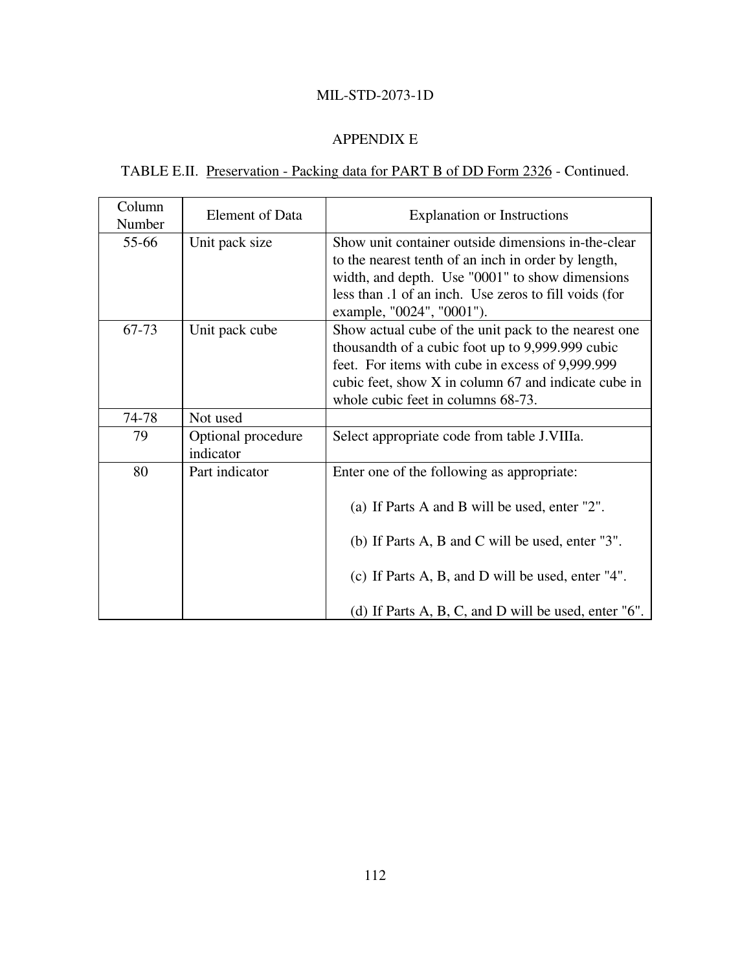# APPENDIX E

# TABLE E.II. Preservation - Packing data for PART B of DD Form 2326 - Continued.

| Column<br>Number | Element of Data                 | <b>Explanation or Instructions</b>                                                                                                                                                                                                                              |
|------------------|---------------------------------|-----------------------------------------------------------------------------------------------------------------------------------------------------------------------------------------------------------------------------------------------------------------|
| 55-66            | Unit pack size                  | Show unit container outside dimensions in-the-clear<br>to the nearest tenth of an inch in order by length,<br>width, and depth. Use "0001" to show dimensions<br>less than .1 of an inch. Use zeros to fill voids (for<br>example, "0024", "0001").             |
| 67-73            | Unit pack cube                  | Show actual cube of the unit pack to the nearest one<br>thousandth of a cubic foot up to 9,999.999 cubic<br>feet. For items with cube in excess of 9,999.999<br>cubic feet, show X in column 67 and indicate cube in<br>whole cubic feet in columns 68-73.      |
| 74-78            | Not used                        |                                                                                                                                                                                                                                                                 |
| 79               | Optional procedure<br>indicator | Select appropriate code from table J.VIIIa.                                                                                                                                                                                                                     |
| 80               | Part indicator                  | Enter one of the following as appropriate:<br>(a) If Parts A and B will be used, enter "2".<br>(b) If Parts A, B and C will be used, enter "3".<br>(c) If Parts A, B, and D will be used, enter "4".<br>(d) If Parts A, B, C, and D will be used, enter $"6"$ . |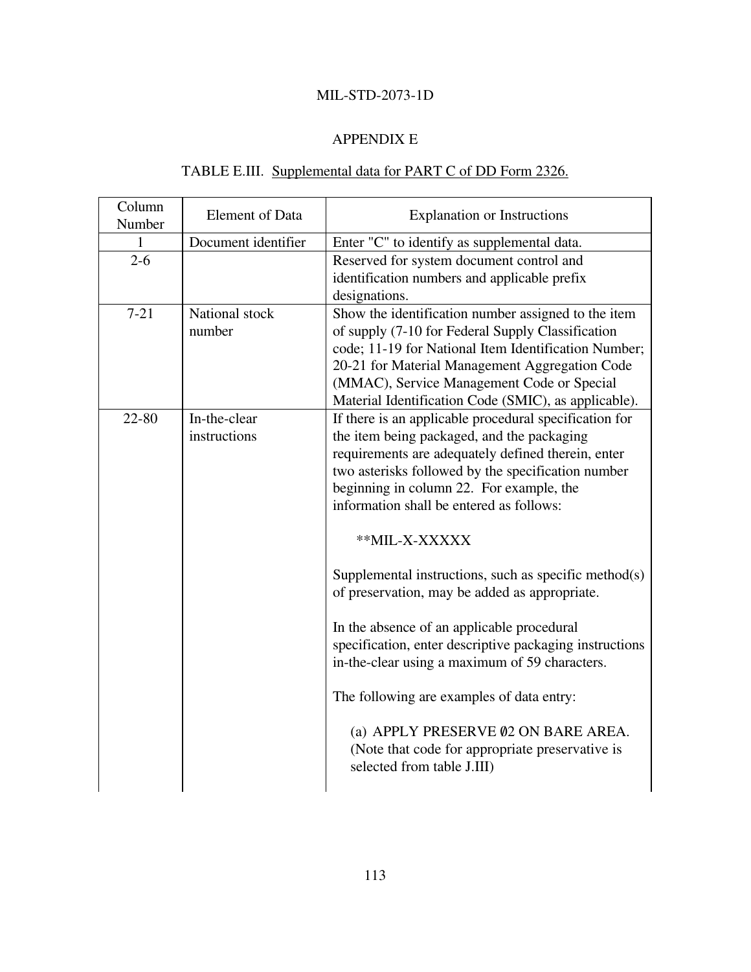# APPENDIX E

# TABLE E.III. Supplemental data for PART C of DD Form 2326.

| Column<br>Number | <b>Element</b> of Data       | <b>Explanation or Instructions</b>                                                                                                                                                                                                                                                                                                                                                                                                                                                                                                                                                                                                                                                                                                                                  |
|------------------|------------------------------|---------------------------------------------------------------------------------------------------------------------------------------------------------------------------------------------------------------------------------------------------------------------------------------------------------------------------------------------------------------------------------------------------------------------------------------------------------------------------------------------------------------------------------------------------------------------------------------------------------------------------------------------------------------------------------------------------------------------------------------------------------------------|
| 1                | Document identifier          | Enter "C" to identify as supplemental data.                                                                                                                                                                                                                                                                                                                                                                                                                                                                                                                                                                                                                                                                                                                         |
| $2 - 6$          |                              | Reserved for system document control and<br>identification numbers and applicable prefix<br>designations.                                                                                                                                                                                                                                                                                                                                                                                                                                                                                                                                                                                                                                                           |
| $7 - 21$         | National stock<br>number     | Show the identification number assigned to the item<br>of supply (7-10 for Federal Supply Classification<br>code; 11-19 for National Item Identification Number;<br>20-21 for Material Management Aggregation Code<br>(MMAC), Service Management Code or Special<br>Material Identification Code (SMIC), as applicable).                                                                                                                                                                                                                                                                                                                                                                                                                                            |
| 22-80            | In-the-clear<br>instructions | If there is an applicable procedural specification for<br>the item being packaged, and the packaging<br>requirements are adequately defined therein, enter<br>two asterisks followed by the specification number<br>beginning in column 22. For example, the<br>information shall be entered as follows:<br>**MIL-X-XXXXX<br>Supplemental instructions, such as specific method(s)<br>of preservation, may be added as appropriate.<br>In the absence of an applicable procedural<br>specification, enter descriptive packaging instructions<br>in-the-clear using a maximum of 59 characters.<br>The following are examples of data entry:<br>(a) APPLY PRESERVE 02 ON BARE AREA.<br>(Note that code for appropriate preservative is<br>selected from table J.III) |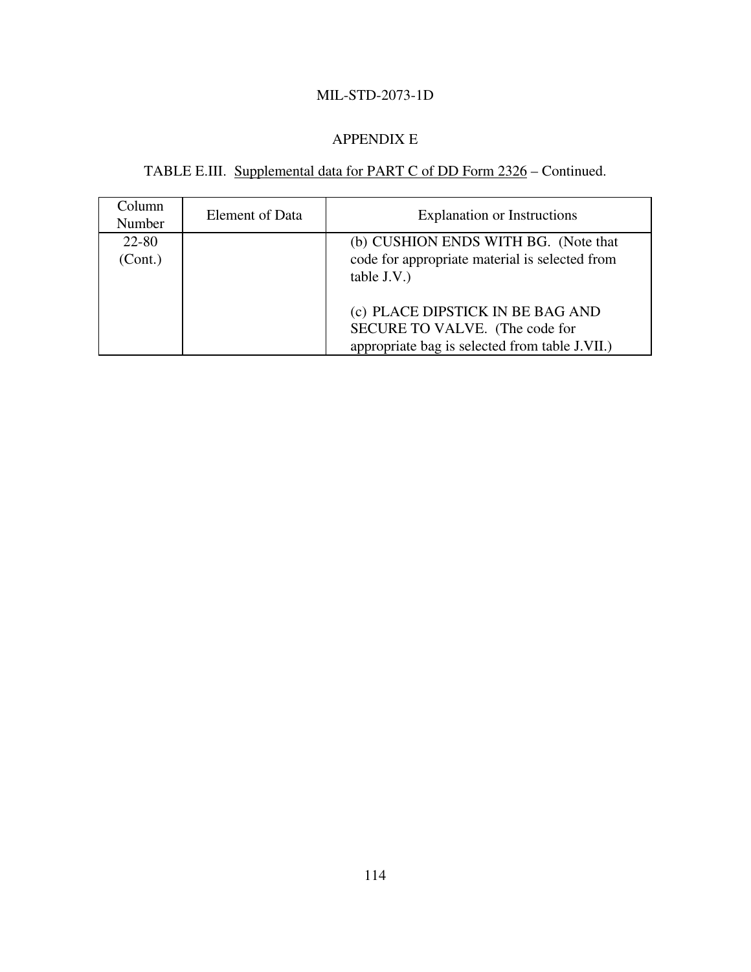# APPENDIX E

# TABLE E.III. Supplemental data for PART C of DD Form 2326 – Continued.

| Column<br>Number | Element of Data | <b>Explanation or Instructions</b>             |
|------------------|-----------------|------------------------------------------------|
| 22-80            |                 | (b) CUSHION ENDS WITH BG. (Note that           |
| (Cont.)          |                 | code for appropriate material is selected from |
|                  |                 | table J.V.                                     |
|                  |                 | (c) PLACE DIPSTICK IN BE BAG AND               |
|                  |                 | SECURE TO VALVE. (The code for                 |
|                  |                 | appropriate bag is selected from table J.VII.) |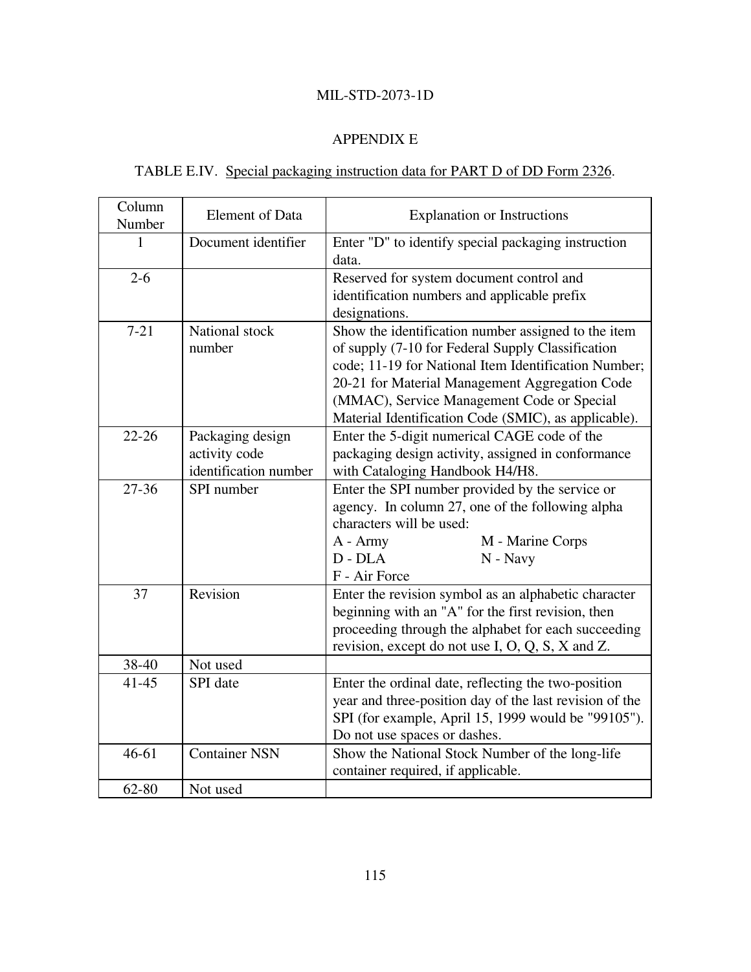# APPENDIX E

# TABLE E.IV. Special packaging instruction data for PART D of DD Form 2326.

| Column<br>Number | <b>Element</b> of Data | <b>Explanation or Instructions</b>                           |
|------------------|------------------------|--------------------------------------------------------------|
| 1                | Document identifier    | Enter "D" to identify special packaging instruction<br>data. |
| $2 - 6$          |                        | Reserved for system document control and                     |
|                  |                        | identification numbers and applicable prefix                 |
|                  |                        | designations.                                                |
| $7 - 21$         | National stock         | Show the identification number assigned to the item          |
|                  | number                 | of supply (7-10 for Federal Supply Classification            |
|                  |                        | code; 11-19 for National Item Identification Number;         |
|                  |                        | 20-21 for Material Management Aggregation Code               |
|                  |                        | (MMAC), Service Management Code or Special                   |
|                  |                        | Material Identification Code (SMIC), as applicable).         |
| $22 - 26$        | Packaging design       | Enter the 5-digit numerical CAGE code of the                 |
|                  | activity code          | packaging design activity, assigned in conformance           |
|                  | identification number  | with Cataloging Handbook H4/H8.                              |
| 27-36            | SPI number             | Enter the SPI number provided by the service or              |
|                  |                        | agency. In column 27, one of the following alpha             |
|                  |                        | characters will be used:                                     |
|                  |                        | A - Army<br>M - Marine Corps                                 |
|                  |                        | $D$ - $DLA$<br>N - Navy                                      |
|                  |                        | F - Air Force                                                |
| 37               | Revision               | Enter the revision symbol as an alphabetic character         |
|                  |                        | beginning with an "A" for the first revision, then           |
|                  |                        | proceeding through the alphabet for each succeeding          |
|                  |                        | revision, except do not use I, O, Q, S, X and Z.             |
| 38-40            | Not used               |                                                              |
| $41 - 45$        | SPI date               | Enter the ordinal date, reflecting the two-position          |
|                  |                        | year and three-position day of the last revision of the      |
|                  |                        | SPI (for example, April 15, 1999 would be "99105").          |
|                  |                        | Do not use spaces or dashes.                                 |
| $46 - 61$        | <b>Container NSN</b>   | Show the National Stock Number of the long-life              |
|                  |                        | container required, if applicable.                           |
| 62-80            | Not used               |                                                              |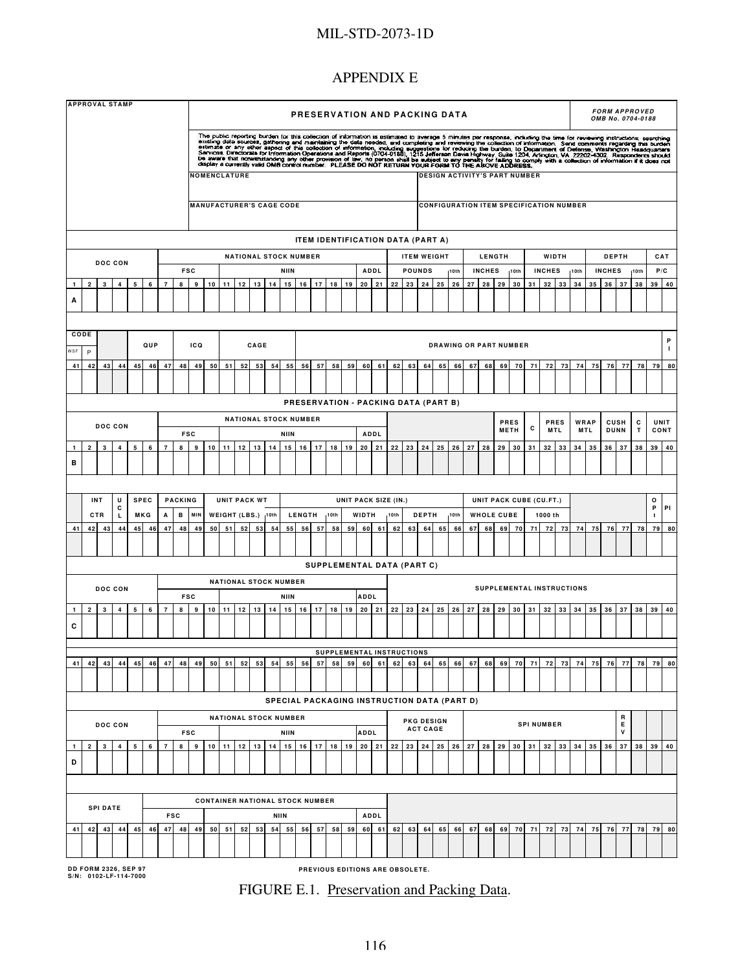# APPENDIX E

| <b>APPROVAL STAMP</b> |                                                                                                                                                                                                                                   |                 |                |                    |     |                | <b>FORM APPROVED</b><br>PRESERVATION AND PACKING DATA<br>OMB No. 0704-0188 |                |                     |    |                                      |             |       |                                                       |                                                                          |                                      |      |       |                               |    |      |                                 |                                      |    |       |                                      |                     |                                              |            |                   |                     |                  |                                         |           |    |                   |            |             |    |  |  |
|-----------------------|-----------------------------------------------------------------------------------------------------------------------------------------------------------------------------------------------------------------------------------|-----------------|----------------|--------------------|-----|----------------|----------------------------------------------------------------------------|----------------|---------------------|----|--------------------------------------|-------------|-------|-------------------------------------------------------|--------------------------------------------------------------------------|--------------------------------------|------|-------|-------------------------------|----|------|---------------------------------|--------------------------------------|----|-------|--------------------------------------|---------------------|----------------------------------------------|------------|-------------------|---------------------|------------------|-----------------------------------------|-----------|----|-------------------|------------|-------------|----|--|--|
|                       | The public reporting burden for this collection of information is estimated to average 5 minutes per response, including the time for reviewing instructions, searching<br>estating data sources, gathering and maintaining the d |                 |                |                    |     |                |                                                                            |                |                     |    |                                      |             |       |                                                       |                                                                          |                                      |      |       |                               |    |      |                                 |                                      |    |       |                                      |                     |                                              |            |                   |                     |                  |                                         |           |    |                   |            |             |    |  |  |
|                       |                                                                                                                                                                                                                                   |                 |                |                    |     |                |                                                                            |                | <b>NOMENCLATURE</b> |    |                                      |             |       |                                                       |                                                                          |                                      |      |       |                               |    |      |                                 |                                      |    |       | <b>DESIGN ACTIVITY'S PART NUMBER</b> |                     |                                              |            |                   |                     |                  |                                         |           |    |                   |            |             |    |  |  |
|                       |                                                                                                                                                                                                                                   |                 |                |                    |     |                |                                                                            |                |                     |    |                                      |             |       | <b>MANUFACTURER'S CAGE CODE</b>                       |                                                                          |                                      |      |       |                               |    |      |                                 |                                      |    |       |                                      |                     |                                              |            |                   |                     |                  | CONFIGURATION ITEM SPECIFICATION NUMBER |           |    |                   |            |             |    |  |  |
|                       |                                                                                                                                                                                                                                   |                 |                |                    |     |                |                                                                            |                |                     |    |                                      |             |       |                                                       |                                                                          |                                      |      |       |                               |    |      |                                 |                                      |    |       |                                      |                     |                                              |            |                   |                     |                  |                                         |           |    |                   |            |             |    |  |  |
|                       |                                                                                                                                                                                                                                   |                 | DOC CON        |                    |     |                |                                                                            |                |                     |    |                                      |             |       |                                                       | <b>ITEM IDENTIFICATION DATA (PART A)</b><br><b>NATIONAL STOCK NUMBER</b> |                                      |      |       |                               |    |      | LENGTH<br><b>ITEM WEIGHT</b>    |                                      |    |       |                                      |                     |                                              |            | WIDTH             |                     | <b>CAT</b>       |                                         |           |    |                   |            |             |    |  |  |
|                       | 2                                                                                                                                                                                                                                 | 3               | 4              | 5                  | 6   | $\overline{7}$ | <b>FSC</b><br>8                                                            | 9              | 10                  | 11 | 12                                   | 13          | 14    | <b>NIIN</b><br>15                                     | 16<br>17<br>18<br>19                                                     |                                      |      |       | <b>ADDL</b><br>20             | 21 | 22   | <b>POUNDS</b><br>23             | 10th<br>24<br>26<br>25               |    |       | 27                                   | <b>INCHES</b><br>28 | 29                                           | 10th<br>30 | 31                | <b>INCHES</b><br>32 | 33               | 10th<br><b>INCHES</b><br>34<br>35<br>36 |           |    | 37                | 10th<br>38 | P/C<br>39   | 40 |  |  |
| Α                     |                                                                                                                                                                                                                                   |                 |                |                    |     |                |                                                                            |                |                     |    |                                      |             |       |                                                       |                                                                          |                                      |      |       |                               |    |      |                                 |                                      |    |       |                                      |                     |                                              |            |                   |                     |                  |                                         |           |    |                   |            |             |    |  |  |
|                       |                                                                                                                                                                                                                                   |                 |                |                    |     |                |                                                                            |                |                     |    |                                      |             |       |                                                       |                                                                          |                                      |      |       |                               |    |      |                                 |                                      |    |       |                                      |                     |                                              |            |                   |                     |                  |                                         |           |    |                   |            |             |    |  |  |
| CODE<br>WSF           | $\sf P$                                                                                                                                                                                                                           |                 |                |                    | QUP |                |                                                                            | <b>ICQ</b>     |                     |    |                                      | <b>CAGE</b> |       |                                                       |                                                                          |                                      |      |       |                               |    |      |                                 |                                      |    |       | <b>DRAWING OR PART NUMBER</b>        |                     |                                              |            |                   |                     |                  | P<br>J.                                 |           |    |                   |            |             |    |  |  |
| 41                    | 42                                                                                                                                                                                                                                | 43              | 44             | 45                 | 46  | 47             | 48                                                                         | 49             | 50                  | 51 | 52                                   | 53          | 54    | 55                                                    | 56                                                                       | 57                                   | 58   | 59    | 60                            | 61 | 62   | 63                              | 64                                   | 65 | 66    | 67                                   | 68                  | 69                                           | 70         | 71                | 72                  | 73               | 74                                      | 75        | 76 | 77                | 78         | 79          | 80 |  |  |
|                       |                                                                                                                                                                                                                                   |                 |                |                    |     |                |                                                                            |                |                     |    |                                      |             |       |                                                       |                                                                          | PRESERVATION - PACKING DATA (PART B) |      |       |                               |    |      |                                 |                                      |    |       |                                      |                     |                                              |            |                   |                     |                  |                                         |           |    |                   |            |             |    |  |  |
|                       |                                                                                                                                                                                                                                   |                 |                |                    |     |                |                                                                            |                |                     |    |                                      |             |       | <b>NATIONAL STOCK NUMBER</b>                          |                                                                          |                                      |      |       |                               |    |      |                                 |                                      |    |       |                                      |                     | <b>PRES</b>                                  |            |                   |                     | <b>PRES</b>      |                                         | WRAP      |    | <b>CUSH</b>       | с          | <b>UNIT</b> |    |  |  |
| -1                    | $\overline{\mathbf{2}}$                                                                                                                                                                                                           | 3               | DOC CON<br>4   | 5                  | 6   | $\overline{7}$ | <b>FSC</b><br>8                                                            | 9              | 10                  | 11 | 12                                   | 13          | 14    | <b>NIIN</b><br>15                                     | 16                                                                       | 17                                   | 18   | 19    | <b>ADDL</b><br>20             | 21 | 22   | 23                              | 24                                   | 25 | 26    | 27                                   | 28                  | <b>METH</b><br>29                            | 30         | с<br>31           | 32                  | <b>MTL</b><br>33 | 34                                      | MTL<br>35 | 36 | <b>DUNN</b><br>37 | T<br>38    | CONT<br>39  | 40 |  |  |
| в                     |                                                                                                                                                                                                                                   |                 |                |                    |     |                |                                                                            |                |                     |    |                                      |             |       |                                                       |                                                                          |                                      |      |       |                               |    |      |                                 |                                      |    |       |                                      |                     |                                              |            |                   |                     |                  |                                         |           |    |                   |            |             |    |  |  |
|                       |                                                                                                                                                                                                                                   |                 |                |                    |     |                |                                                                            |                |                     |    |                                      |             |       |                                                       |                                                                          |                                      |      |       |                               |    |      |                                 |                                      |    |       |                                      |                     |                                              |            |                   |                     |                  |                                         |           |    |                   |            |             |    |  |  |
|                       | <b>INT</b><br>CTR                                                                                                                                                                                                                 |                 | U<br>с<br>L    | <b>SPEC</b><br>MKG |     | A              | <b>PACKING</b><br>в                                                        | MIN            |                     |    | <b>UNIT PACK WT</b><br>WEIGHT (LBS.) |             | 10th  |                                                       | LENGTH                                                                   |                                      | 10th |       | UNIT PACK SIZE (IN.)<br>WIDTH |    | 10th |                                 | <b>DEPTH</b>                         |    | 10th  |                                      |                     | UNIT PACK CUBE (CU.FT.)<br><b>WHOLE CUBE</b> |            |                   | 1000 th             |                  | $\circ$<br>P<br>I.                      |           |    |                   |            |             | PI |  |  |
| 41                    | 42                                                                                                                                                                                                                                | 43              | 44             | 45                 | 46  | 47             | 48                                                                         | 49             | 50                  | 51 | 52                                   | 53          | 54    | 55                                                    | 56                                                                       | 57                                   | 58   | 59    | 60                            | 61 | 62   | 63                              | 64                                   | 65 | 66    | 67                                   | 68                  | 69                                           | 70         | 71                | 72                  | 73               | 74                                      | 75        | 76 | 77                | 78         | 79          | 80 |  |  |
|                       |                                                                                                                                                                                                                                   |                 |                |                    |     |                |                                                                            |                |                     |    |                                      |             |       |                                                       |                                                                          |                                      |      |       |                               |    |      |                                 |                                      |    |       |                                      |                     |                                              |            |                   |                     |                  |                                         |           |    |                   |            |             |    |  |  |
|                       |                                                                                                                                                                                                                                   |                 |                |                    |     |                |                                                                            |                |                     |    |                                      |             |       | <b>NATIONAL STOCK NUMBER</b>                          |                                                                          | SUPPLEMENTAL DATA (PART C)           |      |       |                               |    |      |                                 |                                      |    |       |                                      |                     |                                              |            |                   |                     |                  |                                         |           |    |                   |            |             |    |  |  |
|                       |                                                                                                                                                                                                                                   |                 | DOC CON        |                    |     |                | <b>FSC</b>                                                                 |                |                     |    |                                      |             |       | <b>NIIN</b>                                           |                                                                          |                                      |      |       | ADDL                          |    |      |                                 |                                      |    |       |                                      |                     | SUPPLEMENTAL INSTRUCTIONS                    |            |                   |                     |                  |                                         |           |    |                   |            |             |    |  |  |
| c                     | $\overline{2}$                                                                                                                                                                                                                    |                 | $\overline{a}$ | 5                  | 6   | $\overline{7}$ | 8                                                                          | 9              | 10                  | 11 | 12                                   | 13          | 14    | 15                                                    | 16                                                                       | 17                                   | 18   | 19    | 20                            | 21 | 22   | 23                              | 24                                   | 25 | 26    | 27                                   | 28                  | 29                                           | 30         | 31                | 32                  | 33               | 34                                      | 35        | 36 | 37                | 38         | 39          | 40 |  |  |
|                       |                                                                                                                                                                                                                                   |                 |                |                    |     |                |                                                                            |                |                     |    |                                      |             |       |                                                       |                                                                          |                                      |      |       |                               |    |      |                                 |                                      |    |       |                                      |                     |                                              |            |                   |                     |                  |                                         |           |    |                   |            |             |    |  |  |
| 41                    | 42                                                                                                                                                                                                                                | 43              | 44             | 45                 | 46  | 47             | 48                                                                         | 49             | 50                  | 51 | 52                                   | 53          | 54    | 55                                                    | 56                                                                       | 57                                   |      | 58 59 | 60                            | 61 | 62   | SUPPLEMENTAL INSTRUCTIONS<br>63 | 64                                   | 65 | 66    | 67                                   | 68                  | 69                                           | 70         | 71                | 72                  | 73               | 74                                      | 75        | 76 | 77                | 78         | 79          | 80 |  |  |
|                       |                                                                                                                                                                                                                                   |                 |                |                    |     |                |                                                                            |                |                     |    |                                      |             |       |                                                       |                                                                          |                                      |      |       |                               |    |      |                                 |                                      |    |       |                                      |                     |                                              |            |                   |                     |                  |                                         |           |    |                   |            |             |    |  |  |
|                       |                                                                                                                                                                                                                                   |                 |                |                    |     |                |                                                                            |                |                     |    |                                      |             |       | <b>SPECIAL PACKAGING INSTRUCTION DATA (PART D)</b>    |                                                                          |                                      |      |       |                               |    |      |                                 |                                      |    |       |                                      |                     |                                              |            |                   |                     |                  |                                         |           |    |                   |            |             |    |  |  |
|                       |                                                                                                                                                                                                                                   |                 | DOC CON        |                    |     |                | <b>FSC</b>                                                                 |                |                     |    |                                      |             |       | <b>NATIONAL STOCK NUMBER</b><br><b>NIIN</b>           |                                                                          |                                      |      |       | ADDL                          |    |      |                                 | <b>PKG DESIGN</b><br><b>ACT CAGE</b> |    |       |                                      |                     |                                              |            | <b>SPI NUMBER</b> |                     |                  |                                         |           |    | R<br>E<br>v       |            |             |    |  |  |
| 1                     | $\overline{2}$                                                                                                                                                                                                                    | $\mathbf{3}$    | 4              | 5                  | 6   | $\overline{7}$ | 8                                                                          | 9 <sup>1</sup> | 10                  | 11 | 12                                   |             | 13 14 | 15 16 17                                              |                                                                          |                                      | 18   | 19    | $20$ 21                       |    | 22   | 23                              | 24                                   | 25 | 26 27 |                                      | 28                  | 29                                           |            | 30 31             | 32                  | 33               | 34                                      | 35        | 36 | 37                | 38         | 39 40       |    |  |  |
| D                     |                                                                                                                                                                                                                                   |                 |                |                    |     |                |                                                                            |                |                     |    |                                      |             |       |                                                       |                                                                          |                                      |      |       |                               |    |      |                                 |                                      |    |       |                                      |                     |                                              |            |                   |                     |                  |                                         |           |    |                   |            |             |    |  |  |
|                       |                                                                                                                                                                                                                                   |                 |                |                    |     |                |                                                                            |                |                     |    |                                      |             |       |                                                       |                                                                          |                                      |      |       |                               |    |      |                                 |                                      |    |       |                                      |                     |                                              |            |                   |                     |                  |                                         |           |    |                   |            |             |    |  |  |
|                       |                                                                                                                                                                                                                                   | <b>SPI DATE</b> |                |                    |     | <b>FSC</b>     |                                                                            |                |                     |    |                                      |             |       | <b>CONTAINER NATIONAL STOCK NUMBER</b><br><b>NIIN</b> |                                                                          |                                      |      |       | ADDL                          |    |      |                                 |                                      |    |       |                                      |                     |                                              |            |                   |                     |                  |                                         |           |    |                   |            |             |    |  |  |
| 41                    | 42                                                                                                                                                                                                                                | 43              | 44             | 45                 | 46  | 47             | 48                                                                         | 49             | 50                  | 51 | 52                                   | 53          | 54    | 55                                                    | 56                                                                       | 57                                   | 58   | 59    | 60                            | 61 | 62   | 63                              | 64                                   | 65 | 66    | 67                                   | 68                  | 69                                           | 70         | 71                | 72                  | 73               | 74                                      | 75        | 76 | 77                | 78         | 79 80       |    |  |  |
|                       |                                                                                                                                                                                                                                   |                 |                |                    |     |                |                                                                            |                |                     |    |                                      |             |       |                                                       |                                                                          |                                      |      |       |                               |    |      |                                 |                                      |    |       |                                      |                     |                                              |            |                   |                     |                  |                                         |           |    |                   |            |             |    |  |  |

**DD FORM 2326, SEP 97 S/N: 0102-LF-114-7000**

**PREVIOUS EDITIONS ARE OBSOLETE.**

FIGURE E.1. Preservation and Packing Data.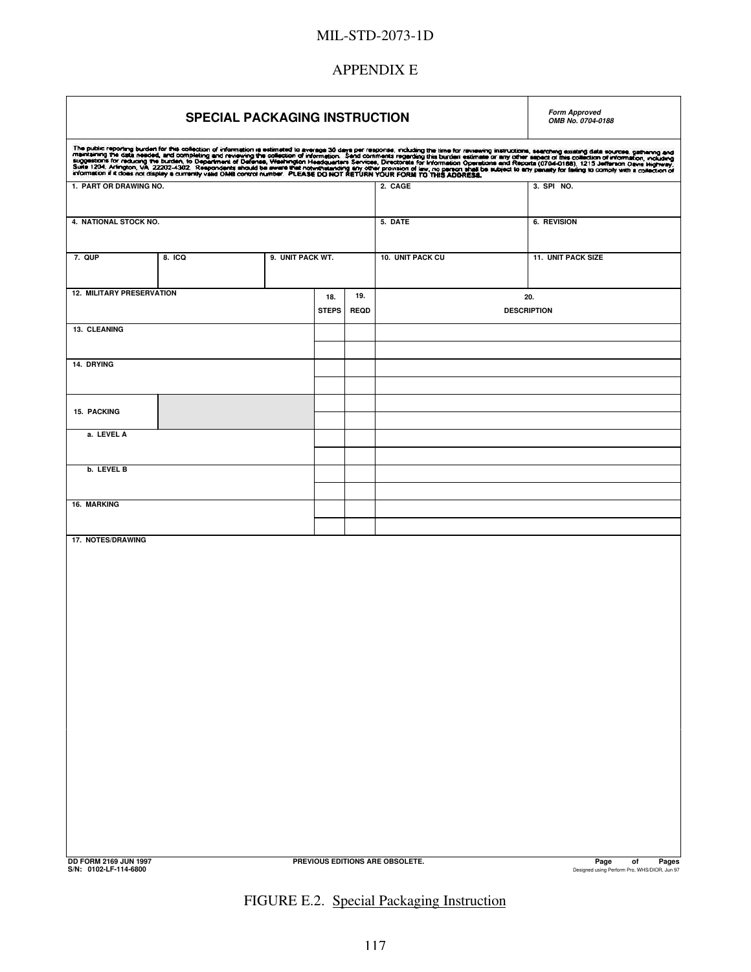## APPENDIX E

|                                                                                                                                                                                                                                | <b>SPECIAL PACKAGING INSTRUCTION</b> | <b>Form Approved</b><br>OMB No. 0704-0188 |                     |                    |                  |                           |  |  |
|--------------------------------------------------------------------------------------------------------------------------------------------------------------------------------------------------------------------------------|--------------------------------------|-------------------------------------------|---------------------|--------------------|------------------|---------------------------|--|--|
| The public reporting burden for this collection of information is estimated to average 30 days per response, including the time for reviewing instructions, searching axisting data sources, gathering and reviewing the colle |                                      |                                           |                     |                    |                  |                           |  |  |
| 1. PART OR DRAWING NO.                                                                                                                                                                                                         |                                      |                                           |                     |                    | 2. CAGE          | 3. SPI NO.                |  |  |
| 4. NATIONAL STOCK NO.                                                                                                                                                                                                          |                                      |                                           |                     |                    | 5. DATE          | 6. REVISION               |  |  |
| $7.$ QUP                                                                                                                                                                                                                       | 8. ICQ                               | 9. UNIT PACK WT.                          |                     |                    | 10. UNIT PACK CU | 11. UNIT PACK SIZE        |  |  |
| <b>12. MILITARY PRESERVATION</b>                                                                                                                                                                                               |                                      |                                           | 18.<br><b>STEPS</b> | 19.<br><b>REQD</b> |                  | 20.<br><b>DESCRIPTION</b> |  |  |
| 13. CLEANING                                                                                                                                                                                                                   |                                      |                                           |                     |                    |                  |                           |  |  |
| 14. DRYING                                                                                                                                                                                                                     |                                      |                                           |                     |                    |                  |                           |  |  |
| <b>15. PACKING</b>                                                                                                                                                                                                             |                                      |                                           |                     |                    |                  |                           |  |  |
| a. LEVEL A                                                                                                                                                                                                                     |                                      |                                           |                     |                    |                  |                           |  |  |
| b. LEVEL B                                                                                                                                                                                                                     |                                      |                                           |                     |                    |                  |                           |  |  |
| 16. MARKING                                                                                                                                                                                                                    |                                      |                                           |                     |                    |                  |                           |  |  |
| 17. NOTES/DRAWING                                                                                                                                                                                                              |                                      |                                           |                     |                    |                  |                           |  |  |
|                                                                                                                                                                                                                                |                                      |                                           |                     |                    |                  |                           |  |  |
|                                                                                                                                                                                                                                |                                      |                                           |                     |                    |                  |                           |  |  |
|                                                                                                                                                                                                                                |                                      |                                           |                     |                    |                  |                           |  |  |
|                                                                                                                                                                                                                                |                                      |                                           |                     |                    |                  |                           |  |  |
|                                                                                                                                                                                                                                |                                      |                                           |                     |                    |                  |                           |  |  |
|                                                                                                                                                                                                                                |                                      |                                           |                     |                    |                  |                           |  |  |
|                                                                                                                                                                                                                                |                                      |                                           |                     |                    |                  |                           |  |  |
|                                                                                                                                                                                                                                |                                      |                                           |                     |                    |                  |                           |  |  |
|                                                                                                                                                                                                                                |                                      |                                           |                     |                    |                  |                           |  |  |

**DD FORM 2169 JUN 1997**<br> **DD FORM 2169 JUN 1997**<br>
S/N: 0102-LF-114-6800

FIGURE E.2. Special Packaging Instruction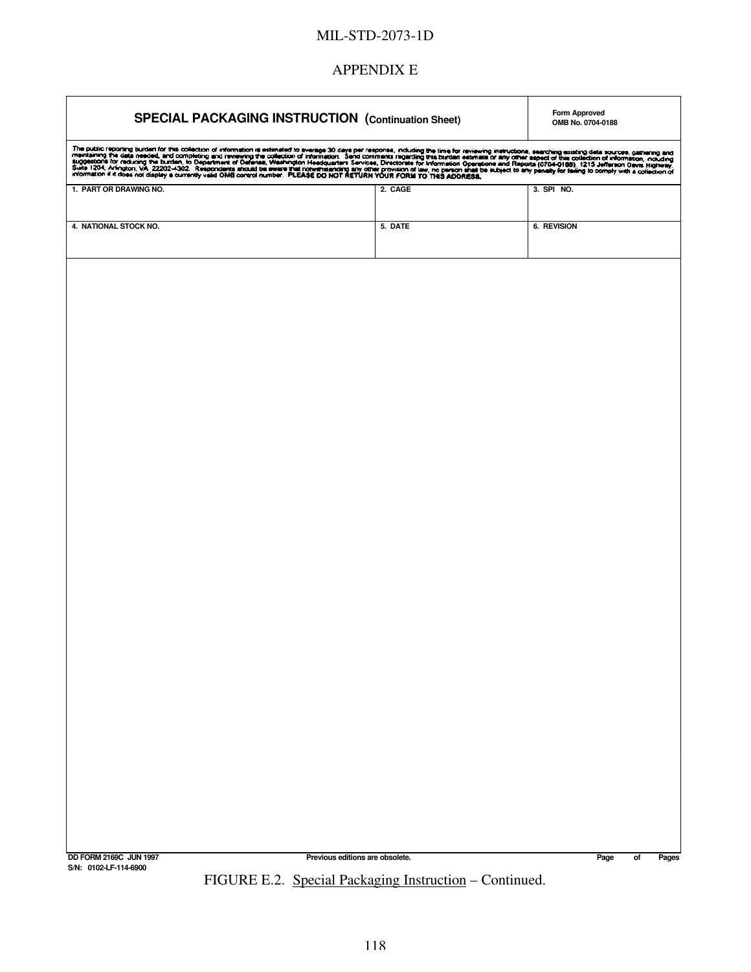# APPENDIX E

| <b>SPECIAL PACKAGING INSTRUCTION (Continuation Sheet)</b>                                                                                                                                                                         | Form Approved<br>OMB No. 0704-0188 |                     |  |  |  |  |  |
|-----------------------------------------------------------------------------------------------------------------------------------------------------------------------------------------------------------------------------------|------------------------------------|---------------------|--|--|--|--|--|
| The public reporting burden for this collection of information is estimated to average 30 days per response, including the time for reviewing instructions, searching existing data sources, gathering and<br>maintaining the dat |                                    |                     |  |  |  |  |  |
| 1. PART OR DRAWING NO.                                                                                                                                                                                                            | 2. CAGE                            | 3. SPI NO.          |  |  |  |  |  |
| 4. NATIONAL STOCK NO.                                                                                                                                                                                                             | 5. DATE                            | 6. REVISION         |  |  |  |  |  |
|                                                                                                                                                                                                                                   |                                    |                     |  |  |  |  |  |
|                                                                                                                                                                                                                                   |                                    |                     |  |  |  |  |  |
|                                                                                                                                                                                                                                   |                                    |                     |  |  |  |  |  |
|                                                                                                                                                                                                                                   |                                    |                     |  |  |  |  |  |
|                                                                                                                                                                                                                                   |                                    |                     |  |  |  |  |  |
|                                                                                                                                                                                                                                   |                                    |                     |  |  |  |  |  |
|                                                                                                                                                                                                                                   |                                    |                     |  |  |  |  |  |
|                                                                                                                                                                                                                                   |                                    |                     |  |  |  |  |  |
|                                                                                                                                                                                                                                   |                                    |                     |  |  |  |  |  |
|                                                                                                                                                                                                                                   |                                    |                     |  |  |  |  |  |
|                                                                                                                                                                                                                                   |                                    |                     |  |  |  |  |  |
|                                                                                                                                                                                                                                   |                                    |                     |  |  |  |  |  |
|                                                                                                                                                                                                                                   |                                    |                     |  |  |  |  |  |
|                                                                                                                                                                                                                                   |                                    |                     |  |  |  |  |  |
|                                                                                                                                                                                                                                   |                                    |                     |  |  |  |  |  |
|                                                                                                                                                                                                                                   |                                    |                     |  |  |  |  |  |
| DD FORM 2169C JUN 1997<br>S/N: 0102-LF-114-6900                                                                                                                                                                                   | Previous editions are obsolete.    | Page<br>of<br>Pages |  |  |  |  |  |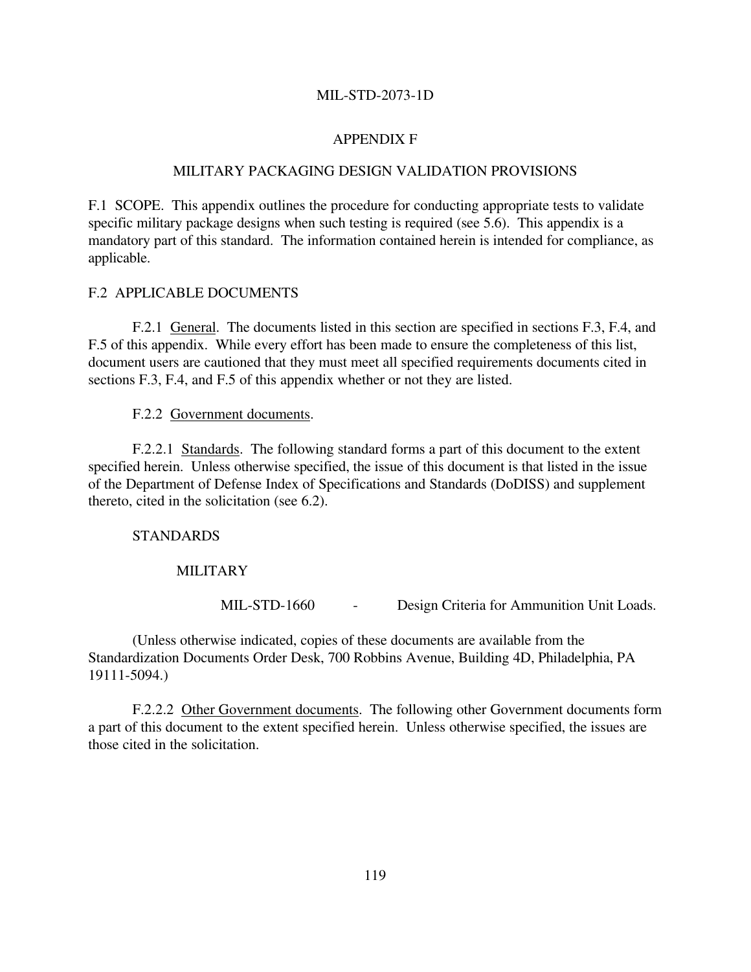#### APPENDIX F

### MILITARY PACKAGING DESIGN VALIDATION PROVISIONS

F.1 SCOPE. This appendix outlines the procedure for conducting appropriate tests to validate specific military package designs when such testing is required (see 5.6). This appendix is a mandatory part of this standard. The information contained herein is intended for compliance, as applicable.

### F.2 APPLICABLE DOCUMENTS

F.2.1 General. The documents listed in this section are specified in sections F.3, F.4, and F.5 of this appendix. While every effort has been made to ensure the completeness of this list, document users are cautioned that they must meet all specified requirements documents cited in sections F.3, F.4, and F.5 of this appendix whether or not they are listed.

### F.2.2 Government documents.

F.2.2.1 Standards. The following standard forms a part of this document to the extent specified herein. Unless otherwise specified, the issue of this document is that listed in the issue of the Department of Defense Index of Specifications and Standards (DoDISS) and supplement thereto, cited in the solicitation (see 6.2).

### STANDARDS

#### MILITARY

MIL-STD-1660 - Design Criteria for Ammunition Unit Loads.

(Unless otherwise indicated, copies of these documents are available from the Standardization Documents Order Desk, 700 Robbins Avenue, Building 4D, Philadelphia, PA 19111-5094.)

F.2.2.2 Other Government documents. The following other Government documents form a part of this document to the extent specified herein. Unless otherwise specified, the issues are those cited in the solicitation.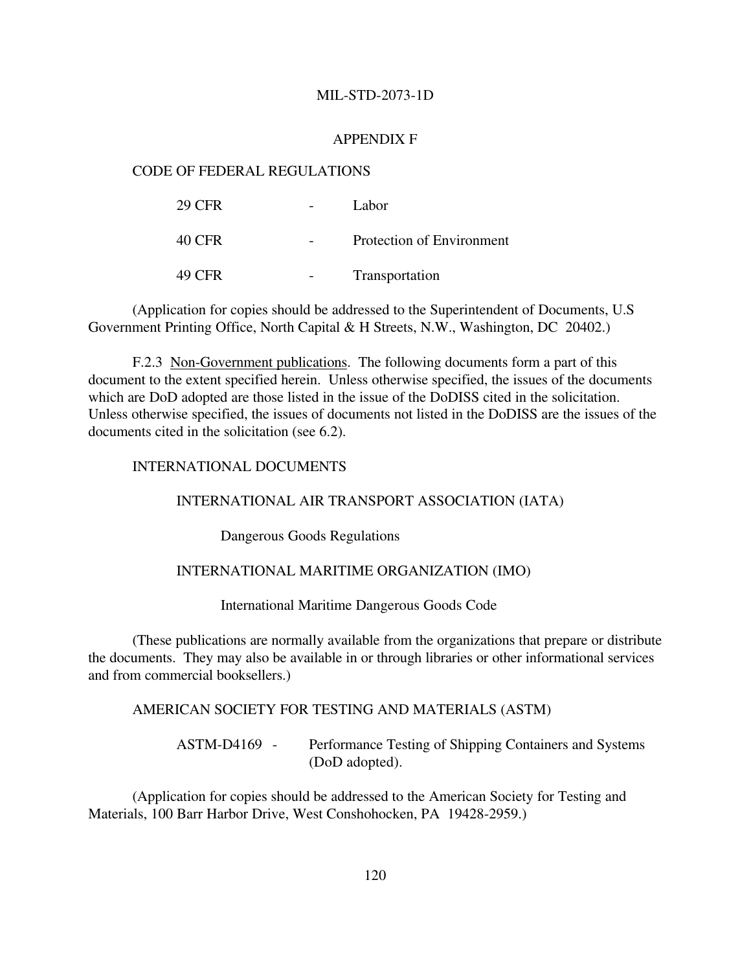### APPENDIX F

### CODE OF FEDERAL REGULATIONS

| <b>29 CFR</b> | Labor                     |
|---------------|---------------------------|
| <b>40 CFR</b> | Protection of Environment |
| 49 CFR        | Transportation            |

(Application for copies should be addressed to the Superintendent of Documents, U.S Government Printing Office, North Capital & H Streets, N.W., Washington, DC 20402.)

F.2.3 Non-Government publications. The following documents form a part of this document to the extent specified herein. Unless otherwise specified, the issues of the documents which are DoD adopted are those listed in the issue of the DoDISS cited in the solicitation. Unless otherwise specified, the issues of documents not listed in the DoDISS are the issues of the documents cited in the solicitation (see 6.2).

### INTERNATIONAL DOCUMENTS

### INTERNATIONAL AIR TRANSPORT ASSOCIATION (IATA)

Dangerous Goods Regulations

### INTERNATIONAL MARITIME ORGANIZATION (IMO)

International Maritime Dangerous Goods Code

(These publications are normally available from the organizations that prepare or distribute the documents. They may also be available in or through libraries or other informational services and from commercial booksellers.)

### AMERICAN SOCIETY FOR TESTING AND MATERIALS (ASTM)

ASTM-D4169 - Performance Testing of Shipping Containers and Systems (DoD adopted).

(Application for copies should be addressed to the American Society for Testing and Materials, 100 Barr Harbor Drive, West Conshohocken, PA 19428-2959.)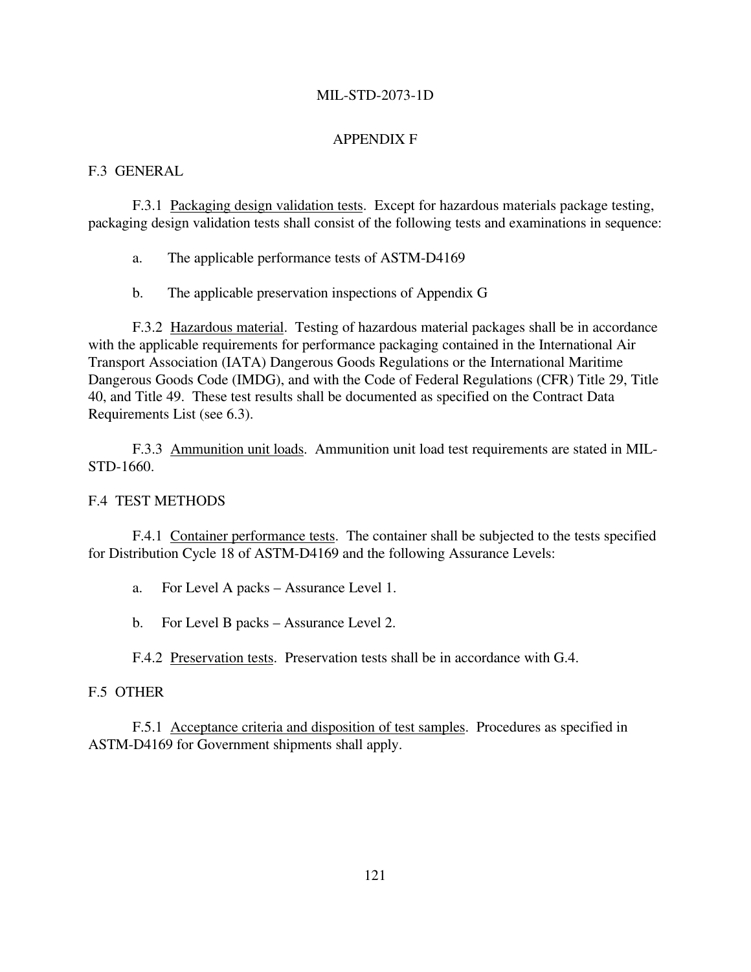### APPENDIX F

### F.3 GENERAL

F.3.1 Packaging design validation tests. Except for hazardous materials package testing, packaging design validation tests shall consist of the following tests and examinations in sequence:

a. The applicable performance tests of ASTM-D4169

b. The applicable preservation inspections of Appendix G

F.3.2 Hazardous material. Testing of hazardous material packages shall be in accordance with the applicable requirements for performance packaging contained in the International Air Transport Association (IATA) Dangerous Goods Regulations or the International Maritime Dangerous Goods Code (IMDG), and with the Code of Federal Regulations (CFR) Title 29, Title 40, and Title 49. These test results shall be documented as specified on the Contract Data Requirements List (see 6.3).

F.3.3 Ammunition unit loads. Ammunition unit load test requirements are stated in MIL-STD-1660.

### F.4 TEST METHODS

F.4.1 Container performance tests. The container shall be subjected to the tests specified for Distribution Cycle 18 of ASTM-D4169 and the following Assurance Levels:

a. For Level A packs – Assurance Level 1.

b. For Level B packs – Assurance Level 2.

F.4.2 Preservation tests. Preservation tests shall be in accordance with G.4.

### F.5 OTHER

F.5.1 Acceptance criteria and disposition of test samples. Procedures as specified in ASTM-D4169 for Government shipments shall apply.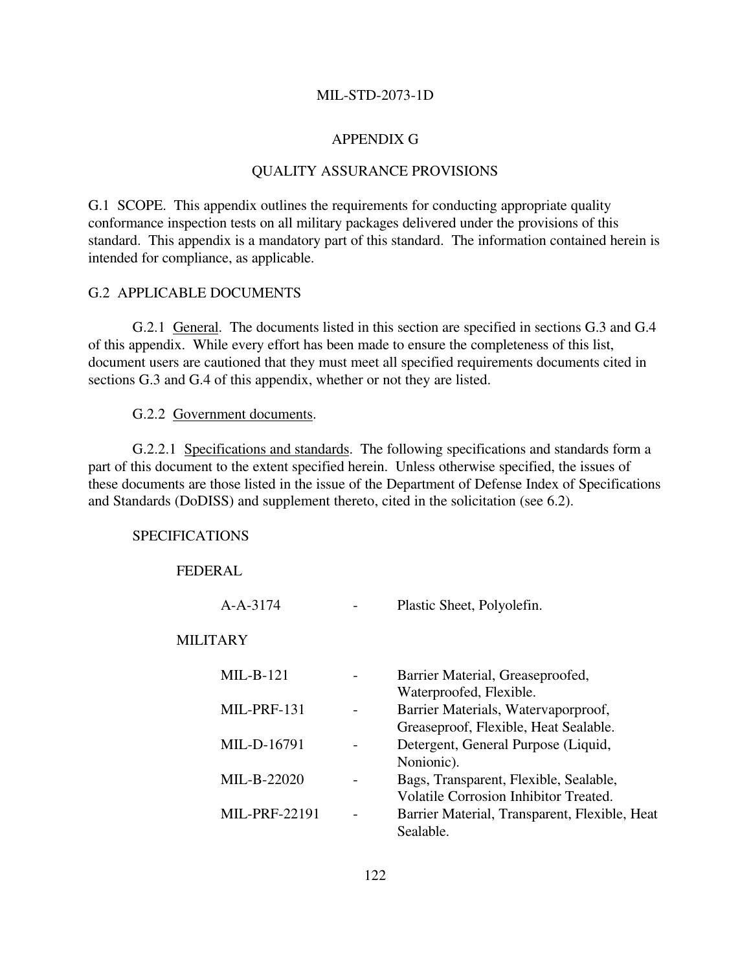#### APPENDIX G

### QUALITY ASSURANCE PROVISIONS

G.1 SCOPE. This appendix outlines the requirements for conducting appropriate quality conformance inspection tests on all military packages delivered under the provisions of this standard. This appendix is a mandatory part of this standard. The information contained herein is intended for compliance, as applicable.

### G.2 APPLICABLE DOCUMENTS

G.2.1 General. The documents listed in this section are specified in sections G.3 and G.4 of this appendix. While every effort has been made to ensure the completeness of this list, document users are cautioned that they must meet all specified requirements documents cited in sections G.3 and G.4 of this appendix, whether or not they are listed.

G.2.2 Government documents.

G.2.2.1 Specifications and standards. The following specifications and standards form a part of this document to the extent specified herein. Unless otherwise specified, the issues of these documents are those listed in the issue of the Department of Defense Index of Specifications and Standards (DoDISS) and supplement thereto, cited in the solicitation (see 6.2).

### SPECIFICATIONS

### FEDERAL

| $A-A-3174$           | Plastic Sheet, Polyolefin.                                     |
|----------------------|----------------------------------------------------------------|
| <b>MILITARY</b>      |                                                                |
| $MIL-B-121$          | Barrier Material, Greaseproofed,                               |
| MIL-PRF-131          | Waterproofed, Flexible.<br>Barrier Materials, Watervaporproof, |
|                      | Greaseproof, Flexible, Heat Sealable.                          |
| MIL-D-16791          | Detergent, General Purpose (Liquid,<br>Nonionic).              |
| MIL-B-22020          | Bags, Transparent, Flexible, Sealable,                         |
|                      | Volatile Corrosion Inhibitor Treated.                          |
| <b>MIL-PRF-22191</b> | Barrier Material, Transparent, Flexible, Heat<br>Sealable.     |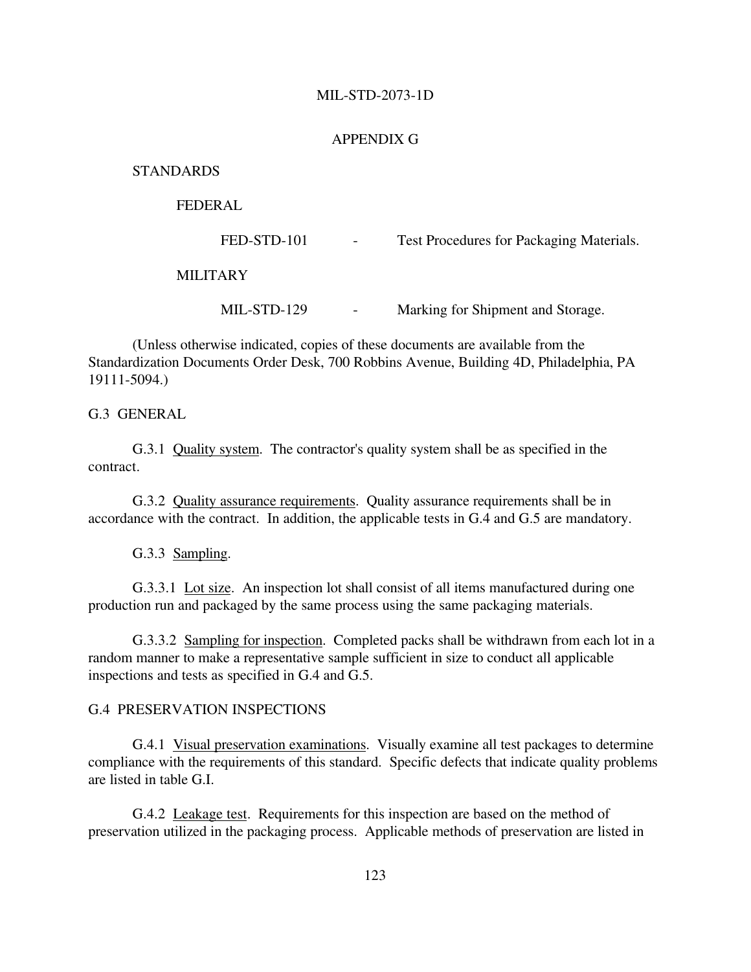#### APPENDIX G

### STANDARDS

FEDERAL

FED-STD-101 - Test Procedures for Packaging Materials.

#### MILITARY

MIL-STD-129 - Marking for Shipment and Storage.

(Unless otherwise indicated, copies of these documents are available from the Standardization Documents Order Desk, 700 Robbins Avenue, Building 4D, Philadelphia, PA 19111-5094.)

### G.3 GENERAL

G.3.1 Quality system. The contractor's quality system shall be as specified in the contract.

G.3.2 Quality assurance requirements. Quality assurance requirements shall be in accordance with the contract. In addition, the applicable tests in G.4 and G.5 are mandatory.

G.3.3 Sampling.

G.3.3.1 Lot size. An inspection lot shall consist of all items manufactured during one production run and packaged by the same process using the same packaging materials.

G.3.3.2 Sampling for inspection. Completed packs shall be withdrawn from each lot in a random manner to make a representative sample sufficient in size to conduct all applicable inspections and tests as specified in G.4 and G.5.

### G.4 PRESERVATION INSPECTIONS

G.4.1 Visual preservation examinations. Visually examine all test packages to determine compliance with the requirements of this standard. Specific defects that indicate quality problems are listed in table G.I.

G.4.2 Leakage test. Requirements for this inspection are based on the method of preservation utilized in the packaging process. Applicable methods of preservation are listed in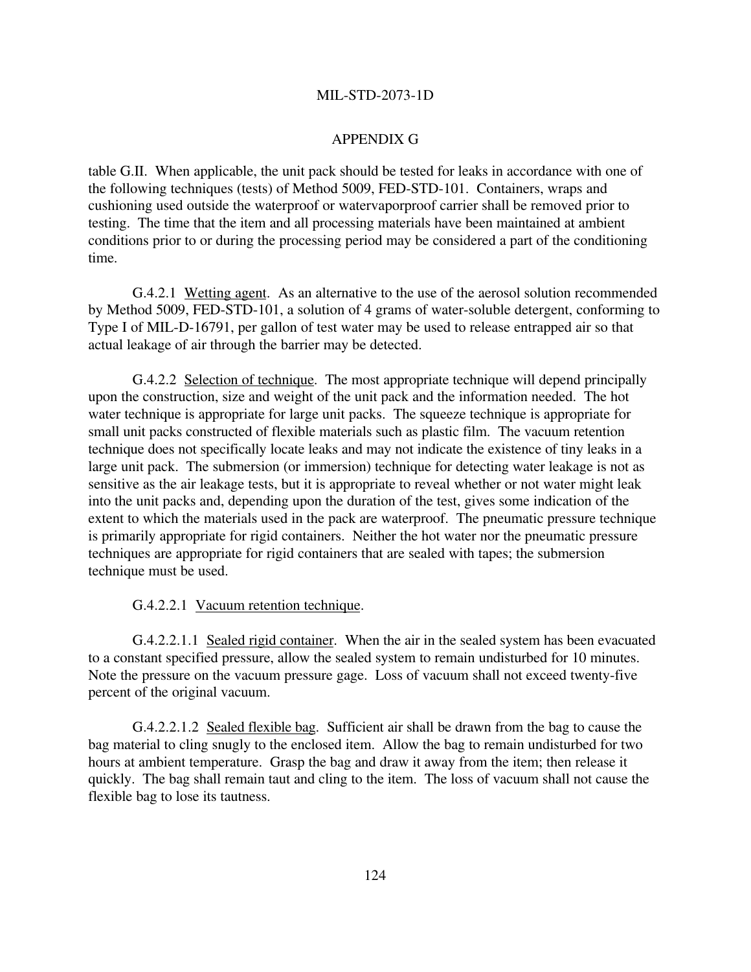#### APPENDIX G

table G.II. When applicable, the unit pack should be tested for leaks in accordance with one of the following techniques (tests) of Method 5009, FED-STD-101. Containers, wraps and cushioning used outside the waterproof or watervaporproof carrier shall be removed prior to testing. The time that the item and all processing materials have been maintained at ambient conditions prior to or during the processing period may be considered a part of the conditioning time.

G.4.2.1 Wetting agent. As an alternative to the use of the aerosol solution recommended by Method 5009, FED-STD-101, a solution of 4 grams of water-soluble detergent, conforming to Type I of MIL-D-16791, per gallon of test water may be used to release entrapped air so that actual leakage of air through the barrier may be detected.

G.4.2.2 Selection of technique. The most appropriate technique will depend principally upon the construction, size and weight of the unit pack and the information needed. The hot water technique is appropriate for large unit packs. The squeeze technique is appropriate for small unit packs constructed of flexible materials such as plastic film. The vacuum retention technique does not specifically locate leaks and may not indicate the existence of tiny leaks in a large unit pack. The submersion (or immersion) technique for detecting water leakage is not as sensitive as the air leakage tests, but it is appropriate to reveal whether or not water might leak into the unit packs and, depending upon the duration of the test, gives some indication of the extent to which the materials used in the pack are waterproof. The pneumatic pressure technique is primarily appropriate for rigid containers. Neither the hot water nor the pneumatic pressure techniques are appropriate for rigid containers that are sealed with tapes; the submersion technique must be used.

#### G.4.2.2.1 Vacuum retention technique.

G.4.2.2.1.1 Sealed rigid container. When the air in the sealed system has been evacuated to a constant specified pressure, allow the sealed system to remain undisturbed for 10 minutes. Note the pressure on the vacuum pressure gage. Loss of vacuum shall not exceed twenty-five percent of the original vacuum.

G.4.2.2.1.2 Sealed flexible bag. Sufficient air shall be drawn from the bag to cause the bag material to cling snugly to the enclosed item. Allow the bag to remain undisturbed for two hours at ambient temperature. Grasp the bag and draw it away from the item; then release it quickly. The bag shall remain taut and cling to the item. The loss of vacuum shall not cause the flexible bag to lose its tautness.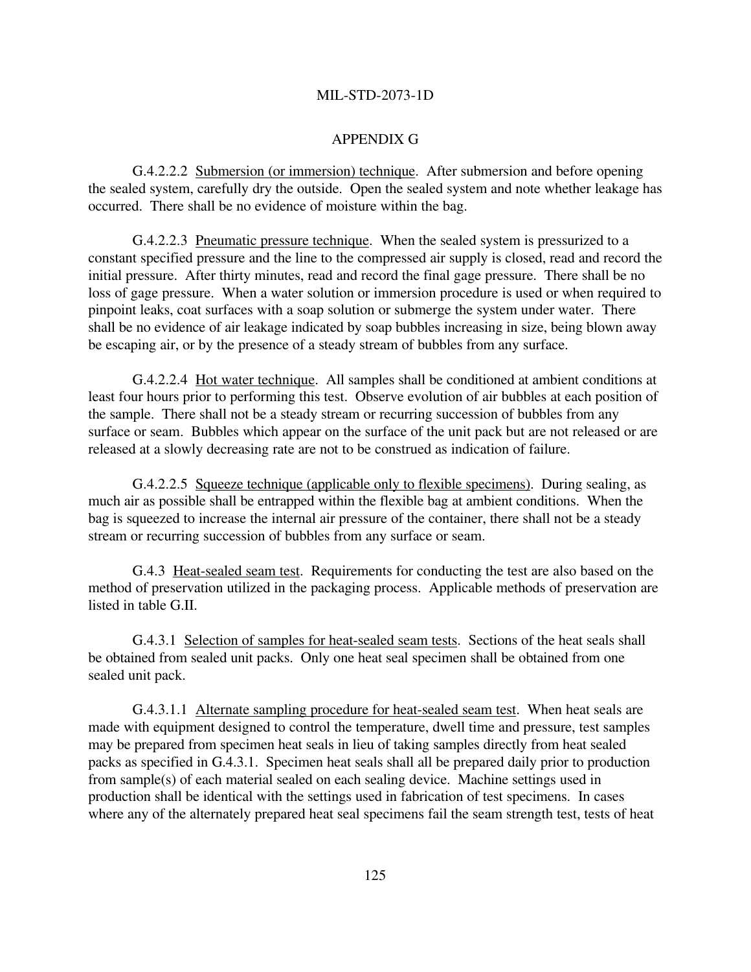#### APPENDIX G

G.4.2.2.2 Submersion (or immersion) technique. After submersion and before opening the sealed system, carefully dry the outside. Open the sealed system and note whether leakage has occurred. There shall be no evidence of moisture within the bag.

G.4.2.2.3 Pneumatic pressure technique. When the sealed system is pressurized to a constant specified pressure and the line to the compressed air supply is closed, read and record the initial pressure. After thirty minutes, read and record the final gage pressure. There shall be no loss of gage pressure. When a water solution or immersion procedure is used or when required to pinpoint leaks, coat surfaces with a soap solution or submerge the system under water. There shall be no evidence of air leakage indicated by soap bubbles increasing in size, being blown away be escaping air, or by the presence of a steady stream of bubbles from any surface.

G.4.2.2.4 Hot water technique. All samples shall be conditioned at ambient conditions at least four hours prior to performing this test. Observe evolution of air bubbles at each position of the sample. There shall not be a steady stream or recurring succession of bubbles from any surface or seam. Bubbles which appear on the surface of the unit pack but are not released or are released at a slowly decreasing rate are not to be construed as indication of failure.

G.4.2.2.5 Squeeze technique (applicable only to flexible specimens). During sealing, as much air as possible shall be entrapped within the flexible bag at ambient conditions. When the bag is squeezed to increase the internal air pressure of the container, there shall not be a steady stream or recurring succession of bubbles from any surface or seam.

G.4.3 Heat-sealed seam test. Requirements for conducting the test are also based on the method of preservation utilized in the packaging process. Applicable methods of preservation are listed in table G.II.

G.4.3.1 Selection of samples for heat-sealed seam tests. Sections of the heat seals shall be obtained from sealed unit packs. Only one heat seal specimen shall be obtained from one sealed unit pack.

G.4.3.1.1 Alternate sampling procedure for heat-sealed seam test. When heat seals are made with equipment designed to control the temperature, dwell time and pressure, test samples may be prepared from specimen heat seals in lieu of taking samples directly from heat sealed packs as specified in G.4.3.1. Specimen heat seals shall all be prepared daily prior to production from sample(s) of each material sealed on each sealing device. Machine settings used in production shall be identical with the settings used in fabrication of test specimens. In cases where any of the alternately prepared heat seal specimens fail the seam strength test, tests of heat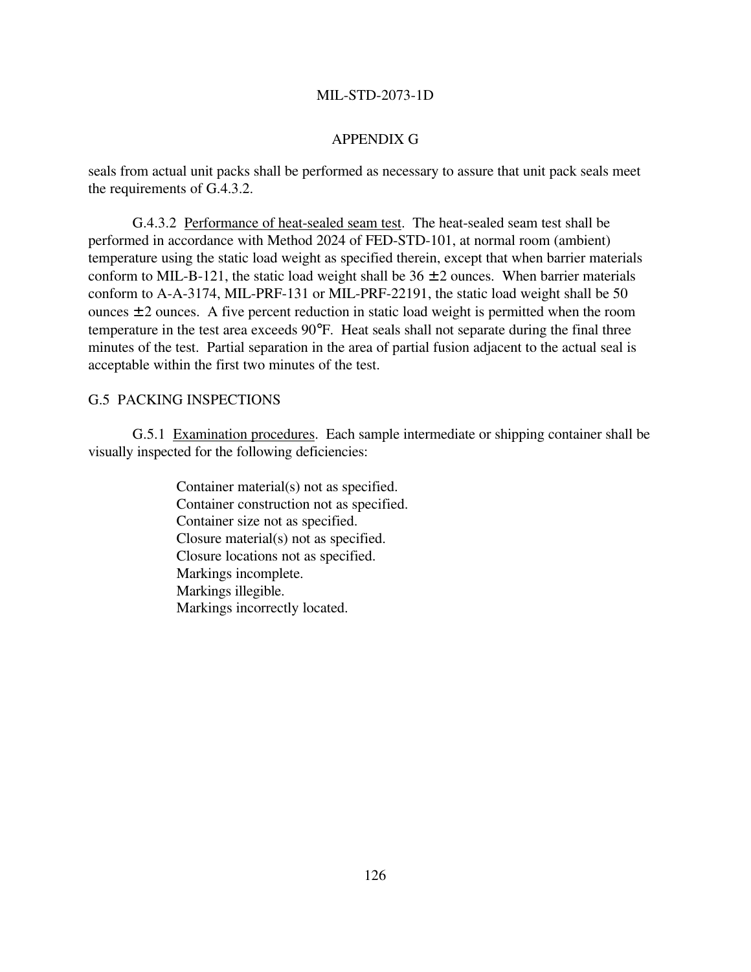#### APPENDIX G

seals from actual unit packs shall be performed as necessary to assure that unit pack seals meet the requirements of G.4.3.2.

G.4.3.2 Performance of heat-sealed seam test. The heat-sealed seam test shall be performed in accordance with Method 2024 of FED-STD-101, at normal room (ambient) temperature using the static load weight as specified therein, except that when barrier materials conform to MIL-B-121, the static load weight shall be  $36 \pm 2$  ounces. When barrier materials conform to A-A-3174, MIL-PRF-131 or MIL-PRF-22191, the static load weight shall be 50 ounces  $\pm 2$  ounces. A five percent reduction in static load weight is permitted when the room temperature in the test area exceeds 90°F. Heat seals shall not separate during the final three minutes of the test. Partial separation in the area of partial fusion adjacent to the actual seal is acceptable within the first two minutes of the test.

#### G.5 PACKING INSPECTIONS

G.5.1 Examination procedures. Each sample intermediate or shipping container shall be visually inspected for the following deficiencies:

> Container material(s) not as specified. Container construction not as specified. Container size not as specified. Closure material(s) not as specified. Closure locations not as specified. Markings incomplete. Markings illegible. Markings incorrectly located.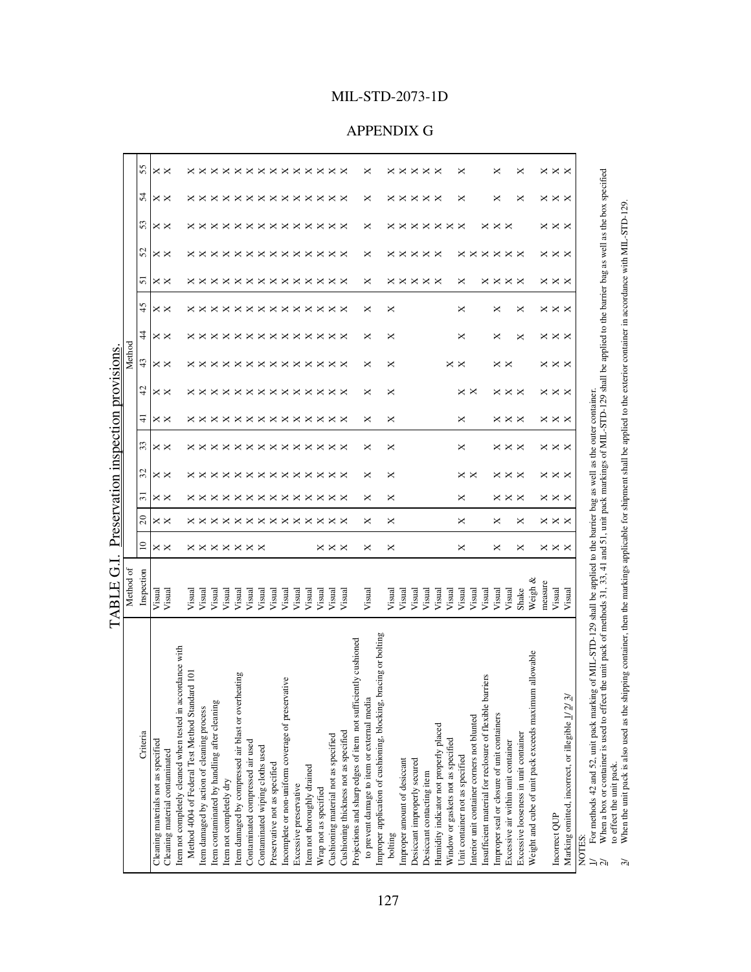|                                                                                                                                                                                                                                                                                                                                                 | $\overline{5}$<br>TABLE |                        |                        |                        |                        |                        |                        | Preservation inspection provisions                   |                        |                        |                        |                        |                        |                        |                        |
|-------------------------------------------------------------------------------------------------------------------------------------------------------------------------------------------------------------------------------------------------------------------------------------------------------------------------------------------------|-------------------------|------------------------|------------------------|------------------------|------------------------|------------------------|------------------------|------------------------------------------------------|------------------------|------------------------|------------------------|------------------------|------------------------|------------------------|------------------------|
|                                                                                                                                                                                                                                                                                                                                                 | Method of               |                        |                        |                        |                        |                        |                        |                                                      | Method                 |                        |                        |                        |                        |                        |                        |
| Criteria                                                                                                                                                                                                                                                                                                                                        | Inspection              | $\supseteq$            | $\Omega$               | $\overline{5}$         | $\mathfrak{L}$         | 33                     | 근                      | 43<br>42                                             | 4                      | 45                     | 5                      | 52                     | 53                     | 54                     | 55                     |
| Cleaning materials not as specified                                                                                                                                                                                                                                                                                                             | Visual                  | $\times\times$         | $\times$ $\times$      | $\times$ $\times$      | $\times\times$         | $\times\times$         | $\times\times$         | $\times\times$<br>$\times$ $\times$                  | $\times\times$         | $\times\times$         | $\times\times$         | $\times\times$         | $\times\times$         | ××                     | $\times$ $\times$      |
| Cleaning material contaminated                                                                                                                                                                                                                                                                                                                  | Visual                  |                        |                        |                        |                        |                        |                        |                                                      |                        |                        |                        |                        |                        |                        |                        |
| Item not completely cleaned when tested in accordance with                                                                                                                                                                                                                                                                                      |                         |                        |                        |                        |                        |                        |                        |                                                      |                        |                        |                        |                        |                        |                        |                        |
| Method 4004 of Federal Test Method Standard 101                                                                                                                                                                                                                                                                                                 | Visual                  |                        | ×                      | ×                      | ×                      | ×                      | ×                      | ×                                                    | ×                      | ×                      |                        | ×                      | ×                      | ×                      | ×                      |
| tem damaged by action of cleaning process                                                                                                                                                                                                                                                                                                       | Visual                  |                        |                        | $\times$               |                        |                        | $\times$               | $\times$<br>$\times \times \times$                   |                        |                        | $\times\times\times$   | $\times$               | $\times$               | $\times$               | $\times$               |
| Item contaminated by handling after cleaning                                                                                                                                                                                                                                                                                                    | Visual                  |                        | $\times$               | ×                      | ×                      | ×                      | ×                      | $\times$                                             | ×                      | $\times$               |                        | $\times$               | $\times$               | $\times$               | $\times$               |
| Item not completely dry                                                                                                                                                                                                                                                                                                                         | Visual                  |                        |                        | ×                      | ×                      |                        | ×                      | ×                                                    |                        | ×                      |                        | ×                      |                        | ×                      |                        |
| erheating<br>Item damaged by compressed air blast or ov                                                                                                                                                                                                                                                                                         | Visual                  |                        |                        | $\times$               | $\times$               | $\times$ $\times$      | $\times \times$        | $\times$<br>$\times \times \times$                   | $\times \times$        | $\times$               |                        | $\times$               | $\times \times \times$ | $\times$               |                        |
| Contaminated compressed air used                                                                                                                                                                                                                                                                                                                | Visual                  | <b>x x x x x x x</b>   |                        | $\times$               | $\times$               | $\times$               |                        | $\times$                                             | $\times$               | $\times$               |                        | $\times$               |                        | $\times$               | $\times \times \times$ |
| Contaminated wiping cloths used                                                                                                                                                                                                                                                                                                                 | Visual                  |                        |                        |                        | ×                      |                        |                        |                                                      |                        |                        |                        |                        |                        |                        |                        |
| Preservative not as specified                                                                                                                                                                                                                                                                                                                   | Visual                  |                        |                        | $\times$ $\times$      | $\times$               | $\times\times$         | $\times \times \times$ | $\times \times \times$                               | $\times \times \times$ | $\times \times \times$ |                        | $\times \times \times$ | $\times \times \times$ | $\times \times \times$ |                        |
| Incomplete or non-uniform coverage of preservative                                                                                                                                                                                                                                                                                              | Visual                  |                        | <b>xxxxxxxxxx</b>      | $\times$               | $\times$               | $\times$               |                        | $\times \times \times$                               |                        |                        | <b>xxxxxxxxxx</b>      |                        |                        |                        | $\times \times \times$ |
| Excessive preservative                                                                                                                                                                                                                                                                                                                          | Visual                  |                        |                        | ×                      | ×                      | ×                      | $\times$               | $\times$<br>$\times$                                 | ×                      | ×                      |                        | ×                      | ×                      | $\times$               | ×                      |
| Item not thoroughly drained                                                                                                                                                                                                                                                                                                                     | Visual                  |                        |                        | ×                      | ×                      | ×                      | ×                      | ×<br>×                                               | ×                      | ×                      |                        | ×                      | ×                      | ×                      | $\times$               |
| Wrap not as specified                                                                                                                                                                                                                                                                                                                           | Visual                  |                        |                        | $\times$               | ×                      | ×                      | $\times$               | ×<br>×                                               | $\times$               | ×                      |                        | ×                      | $\times$               | ×                      | $\times$               |
| Cushioning material not as specified                                                                                                                                                                                                                                                                                                            | Visual                  | $\times \times \times$ |                        | $\times$               | $\times$               | $\times$               | $\times$               | $\times$<br>$\times$                                 | $\times$               | $\times$               |                        | $\times$               | $\times$               | $\times$               | $\times$               |
| Cushioning thickness not as specified                                                                                                                                                                                                                                                                                                           | Visual                  |                        |                        | ×                      | ×                      | ×                      | ×                      | ×<br>×                                               | ×                      |                        |                        | ×                      |                        | ×                      | ×                      |
| Projections and sharp edges of item not sufficiently cushioned                                                                                                                                                                                                                                                                                  |                         |                        |                        |                        |                        |                        |                        |                                                      |                        |                        |                        |                        |                        |                        |                        |
| to prevent damage to item or external media                                                                                                                                                                                                                                                                                                     | Visual                  | ×                      | ×                      | ×                      | ×                      | ×                      | ×                      | ×<br>×                                               | ×                      | ×                      | ×                      | ×                      | ×                      | ×                      | ×                      |
| Improper application of cushioning, blocking, bracing or bolting                                                                                                                                                                                                                                                                                |                         |                        |                        |                        |                        |                        |                        |                                                      |                        |                        |                        |                        |                        |                        |                        |
| bolting                                                                                                                                                                                                                                                                                                                                         | Visual                  | ×                      | ×                      | ×                      | ×                      | ×                      | ×                      | ×<br>×                                               | ×                      | ×                      |                        | ×                      | ×                      | ×                      |                        |
| Improper amount of desiccant                                                                                                                                                                                                                                                                                                                    | Visual                  |                        |                        |                        |                        |                        |                        |                                                      |                        |                        |                        | ×                      | ×                      | ×                      | $\times$ $\times$      |
| Desiccant improperly secured                                                                                                                                                                                                                                                                                                                    | Visual                  |                        |                        |                        |                        |                        |                        |                                                      |                        |                        |                        | ×                      | ×                      | ×                      |                        |
| Desiccant contacting item                                                                                                                                                                                                                                                                                                                       | Visual                  |                        |                        |                        |                        |                        |                        |                                                      |                        |                        | <b>××××××</b>          | $\times$               | $\times$               | $\times \times$        | $\times \times \times$ |
| Humidity indicator not properly placed                                                                                                                                                                                                                                                                                                          | Visual                  |                        |                        |                        |                        |                        |                        |                                                      |                        |                        |                        | $\times$               | $\times$               |                        |                        |
| Window or gaskets not as specified                                                                                                                                                                                                                                                                                                              | Visual                  |                        |                        |                        |                        |                        |                        | ×                                                    |                        |                        |                        |                        | ×                      |                        |                        |
| Unit container not as specified                                                                                                                                                                                                                                                                                                                 | Visual                  | ×                      | ×                      | ×                      | × ×                    | ×                      | ×                      | $\times$<br>× ×                                      | ×                      | ×                      | ×                      | ×                      | ×                      | ×                      | ×                      |
| Interior unit container corners not blunted                                                                                                                                                                                                                                                                                                     | Visual                  |                        |                        |                        |                        |                        |                        |                                                      |                        |                        |                        | $\times$               |                        |                        |                        |
| barriers<br>Insufficient material for reclosure of flexible                                                                                                                                                                                                                                                                                     | Visual                  |                        |                        |                        |                        |                        |                        |                                                      |                        |                        |                        | ×                      | ×                      |                        |                        |
| Improper seal or closure of unit containers                                                                                                                                                                                                                                                                                                     | Visual                  | ×                      | ×                      | ×                      | ×                      | ×                      |                        | $\times$ $\times$                                    | ×                      | ×                      |                        | ×                      | × ×                    | ×                      | ×                      |
| Excessive air within unit container                                                                                                                                                                                                                                                                                                             | Visual                  |                        |                        | $\times$               | $\times$               | $\times$               | $\times$ $\times$      | $\times \times \times$                               |                        |                        | <b>××××</b>            | $\times$               |                        |                        |                        |
| Excessive looseness in unit container                                                                                                                                                                                                                                                                                                           | Shake                   | ×                      | ×                      | $\times$               | $\times$               | ×                      | $\times$               |                                                      | ×                      | ×                      |                        | $\times$               |                        | ×                      | ×                      |
| Weight and cube of unit pack exceeds maximum allowable                                                                                                                                                                                                                                                                                          | Weigh &                 |                        |                        |                        |                        |                        |                        |                                                      |                        |                        |                        |                        |                        |                        |                        |
|                                                                                                                                                                                                                                                                                                                                                 | measure                 |                        |                        |                        |                        |                        |                        |                                                      |                        |                        |                        |                        |                        |                        |                        |
| Incorrect QUP                                                                                                                                                                                                                                                                                                                                   | Visual                  | $\times \times \times$ | $\times \times \times$ | $\times \times \times$ | $\times \times \times$ | $\times \times \times$ | $\times \times \times$ | $\times$ $\times$ $\times$<br>$\times \times \times$ | $\times \times \times$ | $\times \times \times$ | $\times \times \times$ | $\times \times \times$ | $\times \times \times$ | $\times \times \times$ | $\times \times \times$ |
| 9<br>Marking omitted, incorrect, or illegible 1/2.                                                                                                                                                                                                                                                                                              | Visual                  |                        |                        |                        |                        |                        |                        |                                                      |                        |                        |                        |                        |                        |                        |                        |
| ect the unit pack of methods 31, 33, 41 and 51, unit pack markings of MIL-STD-129 shall be applied to the barrier bag as well as the box specified<br>For methods 42 and 52, unit pack marking of MIL-STD-129 shall be applied to the barrier bag as well as the outer container.<br>When a box or container is used to eff<br>NOTES:<br>$\geq$ |                         |                        |                        |                        |                        |                        |                        |                                                      |                        |                        |                        |                        |                        |                        |                        |
| shipping container, then the markings applicable for shipment shall be applied to the exterior container in accordance with MIL-STD-129<br>When the unit pack is also used as the<br>to effect the unit pack.<br>રું                                                                                                                            |                         |                        |                        |                        |                        |                        |                        |                                                      |                        |                        |                        |                        |                        |                        |                        |

# MIL-STD-2073-1D APPENDIX G

127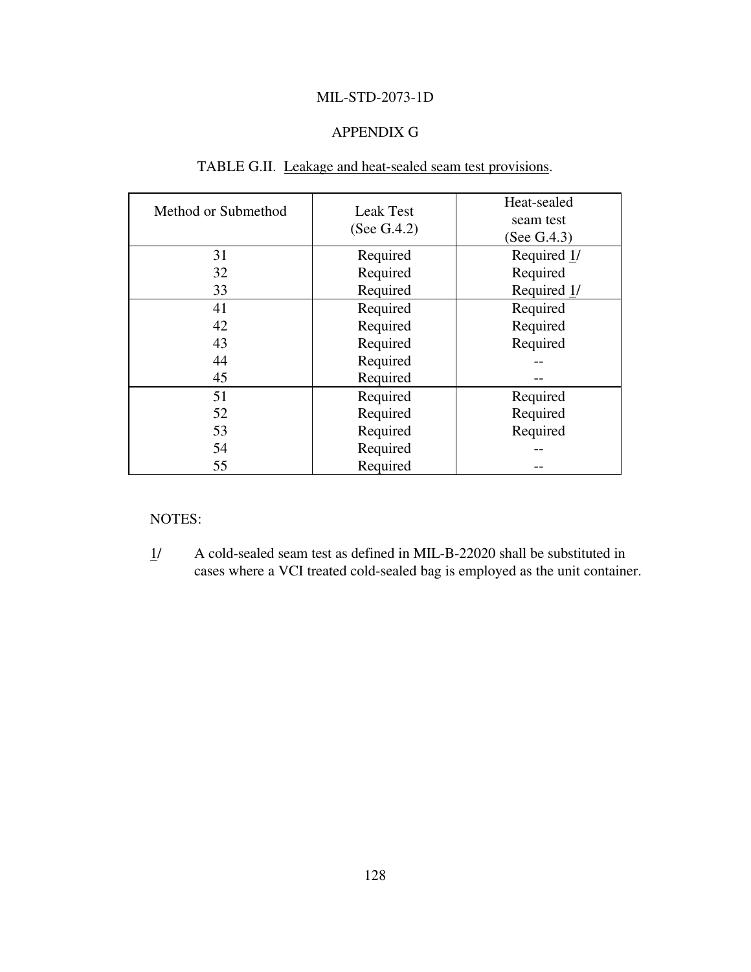## APPENDIX G

| TABLE G.II. Leakage and heat-sealed seam test provisions. |  |
|-----------------------------------------------------------|--|
|                                                           |  |

| Method or Submethod | <b>Leak Test</b><br>(See G.4.2) | Heat-sealed<br>seam test<br>(See $G.4.3$ ) |
|---------------------|---------------------------------|--------------------------------------------|
| 31                  | Required                        | Required 1/                                |
| 32                  | Required                        | Required                                   |
| 33                  | Required                        | Required 1/                                |
| 41                  | Required                        | Required                                   |
| 42                  | Required                        | Required                                   |
| 43                  | Required                        | Required                                   |
| 44                  | Required                        |                                            |
| 45                  | Required                        |                                            |
| 51                  | Required                        | Required                                   |
| 52                  | Required                        | Required                                   |
| 53                  | Required                        | Required                                   |
| 54                  | Required                        |                                            |
| 55                  | Required                        |                                            |

## NOTES:

1/ A cold-sealed seam test as defined in MIL-B-22020 shall be substituted in cases where a VCI treated cold-sealed bag is employed as the unit container.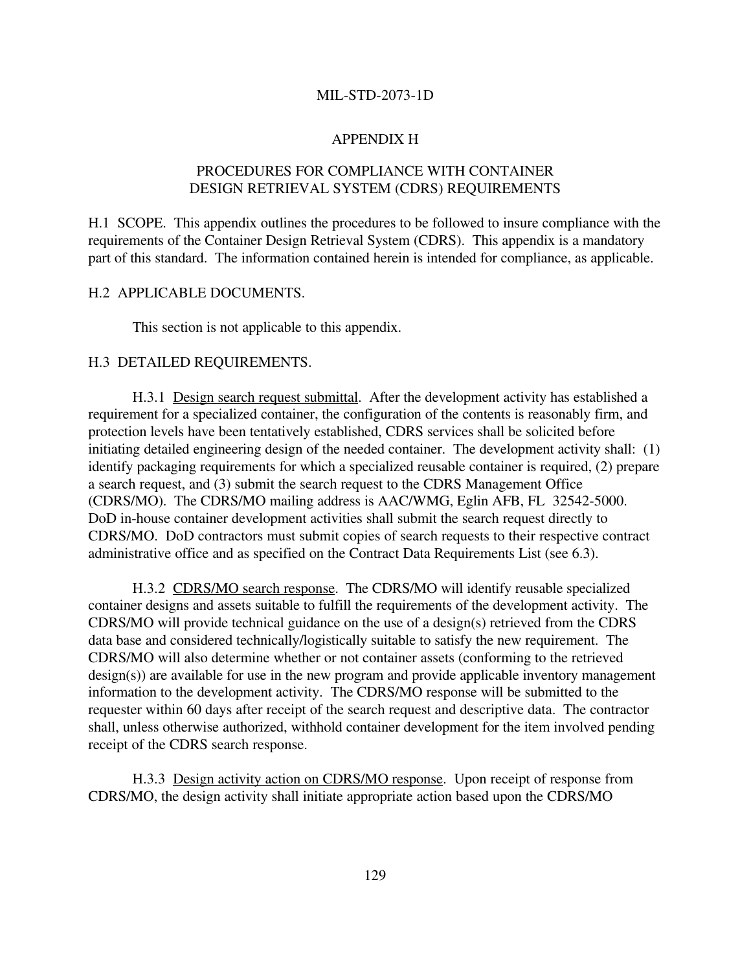#### APPENDIX H

## PROCEDURES FOR COMPLIANCE WITH CONTAINER DESIGN RETRIEVAL SYSTEM (CDRS) REQUIREMENTS

H.1 SCOPE. This appendix outlines the procedures to be followed to insure compliance with the requirements of the Container Design Retrieval System (CDRS). This appendix is a mandatory part of this standard. The information contained herein is intended for compliance, as applicable.

#### H.2 APPLICABLE DOCUMENTS.

This section is not applicable to this appendix.

#### H.3 DETAILED REQUIREMENTS.

H.3.1 Design search request submittal. After the development activity has established a requirement for a specialized container, the configuration of the contents is reasonably firm, and protection levels have been tentatively established, CDRS services shall be solicited before initiating detailed engineering design of the needed container. The development activity shall: (1) identify packaging requirements for which a specialized reusable container is required, (2) prepare a search request, and (3) submit the search request to the CDRS Management Office (CDRS/MO). The CDRS/MO mailing address is AAC/WMG, Eglin AFB, FL 32542-5000. DoD in-house container development activities shall submit the search request directly to CDRS/MO. DoD contractors must submit copies of search requests to their respective contract administrative office and as specified on the Contract Data Requirements List (see 6.3).

H.3.2 CDRS/MO search response. The CDRS/MO will identify reusable specialized container designs and assets suitable to fulfill the requirements of the development activity. The CDRS/MO will provide technical guidance on the use of a design(s) retrieved from the CDRS data base and considered technically/logistically suitable to satisfy the new requirement. The CDRS/MO will also determine whether or not container assets (conforming to the retrieved design(s)) are available for use in the new program and provide applicable inventory management information to the development activity. The CDRS/MO response will be submitted to the requester within 60 days after receipt of the search request and descriptive data. The contractor shall, unless otherwise authorized, withhold container development for the item involved pending receipt of the CDRS search response.

H.3.3 Design activity action on CDRS/MO response. Upon receipt of response from CDRS/MO, the design activity shall initiate appropriate action based upon the CDRS/MO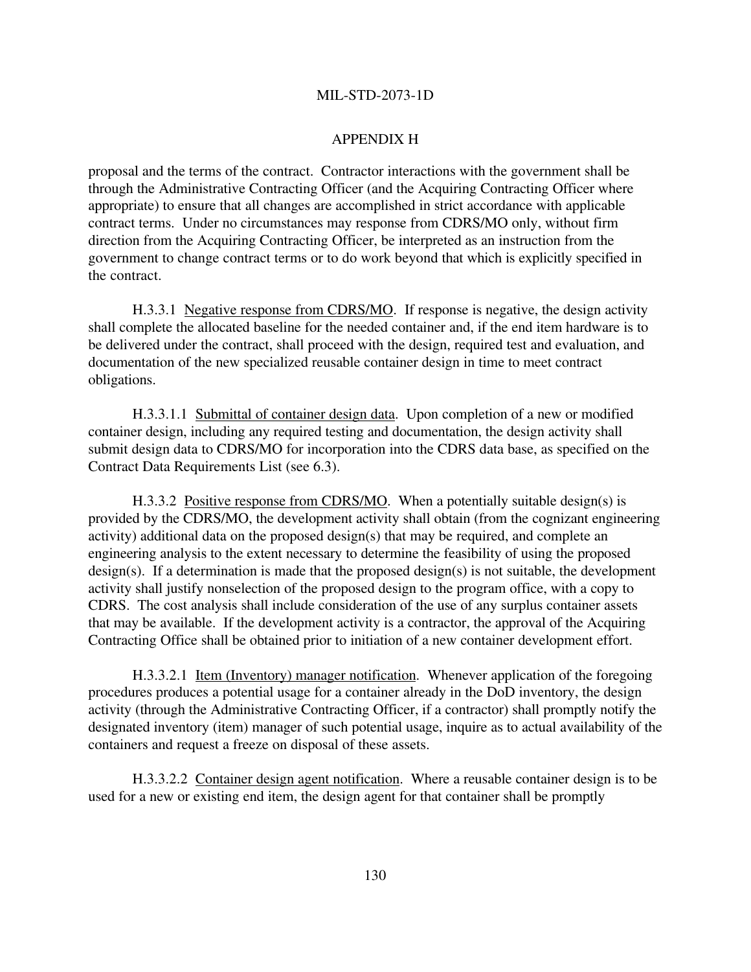#### APPENDIX H

proposal and the terms of the contract. Contractor interactions with the government shall be through the Administrative Contracting Officer (and the Acquiring Contracting Officer where appropriate) to ensure that all changes are accomplished in strict accordance with applicable contract terms. Under no circumstances may response from CDRS/MO only, without firm direction from the Acquiring Contracting Officer, be interpreted as an instruction from the government to change contract terms or to do work beyond that which is explicitly specified in the contract.

H.3.3.1 Negative response from CDRS/MO. If response is negative, the design activity shall complete the allocated baseline for the needed container and, if the end item hardware is to be delivered under the contract, shall proceed with the design, required test and evaluation, and documentation of the new specialized reusable container design in time to meet contract obligations.

H.3.3.1.1 Submittal of container design data. Upon completion of a new or modified container design, including any required testing and documentation, the design activity shall submit design data to CDRS/MO for incorporation into the CDRS data base, as specified on the Contract Data Requirements List (see 6.3).

H.3.3.2 Positive response from CDRS/MO. When a potentially suitable design(s) is provided by the CDRS/MO, the development activity shall obtain (from the cognizant engineering activity) additional data on the proposed design(s) that may be required, and complete an engineering analysis to the extent necessary to determine the feasibility of using the proposed design(s). If a determination is made that the proposed design(s) is not suitable, the development activity shall justify nonselection of the proposed design to the program office, with a copy to CDRS. The cost analysis shall include consideration of the use of any surplus container assets that may be available. If the development activity is a contractor, the approval of the Acquiring Contracting Office shall be obtained prior to initiation of a new container development effort.

H.3.3.2.1 Item (Inventory) manager notification. Whenever application of the foregoing procedures produces a potential usage for a container already in the DoD inventory, the design activity (through the Administrative Contracting Officer, if a contractor) shall promptly notify the designated inventory (item) manager of such potential usage, inquire as to actual availability of the containers and request a freeze on disposal of these assets.

H.3.3.2.2 Container design agent notification. Where a reusable container design is to be used for a new or existing end item, the design agent for that container shall be promptly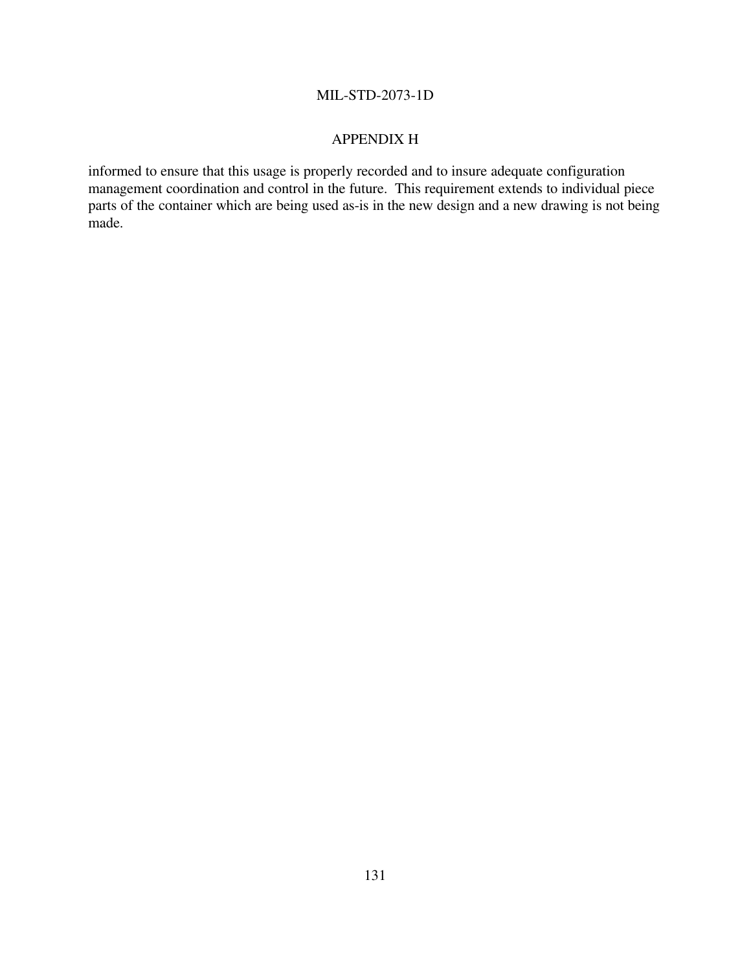#### APPENDIX H

informed to ensure that this usage is properly recorded and to insure adequate configuration management coordination and control in the future. This requirement extends to individual piece parts of the container which are being used as-is in the new design and a new drawing is not being made.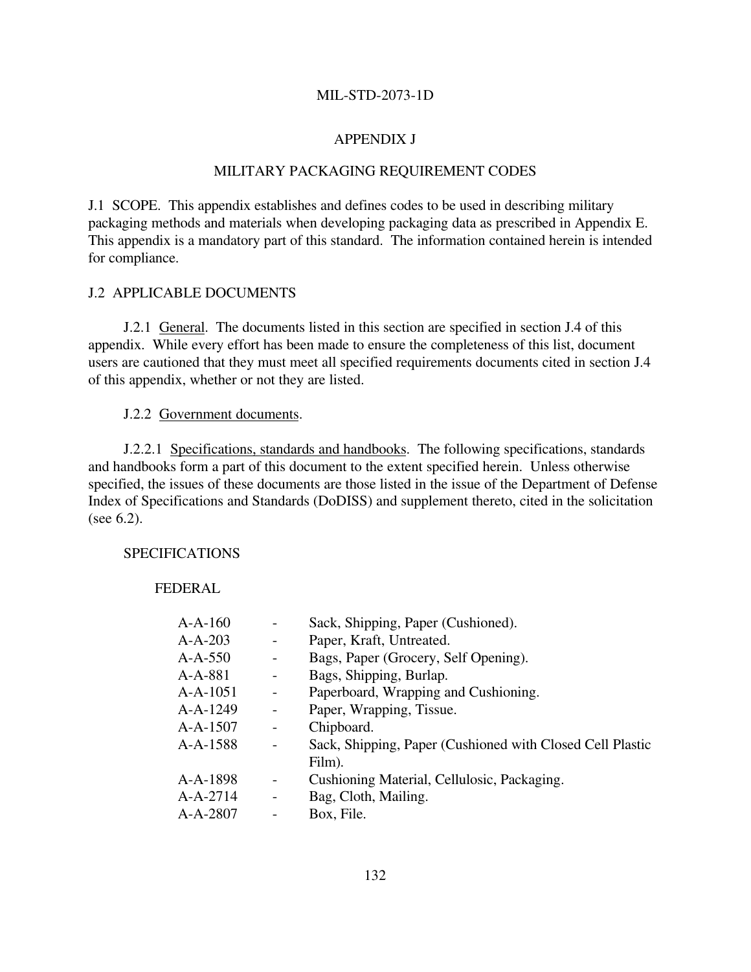#### APPENDIX J

#### MILITARY PACKAGING REQUIREMENT CODES

J.1 SCOPE. This appendix establishes and defines codes to be used in describing military packaging methods and materials when developing packaging data as prescribed in Appendix E. This appendix is a mandatory part of this standard. The information contained herein is intended for compliance.

#### J.2 APPLICABLE DOCUMENTS

J.2.1 General. The documents listed in this section are specified in section J.4 of this appendix. While every effort has been made to ensure the completeness of this list, document users are cautioned that they must meet all specified requirements documents cited in section J.4 of this appendix, whether or not they are listed.

#### J.2.2 Government documents.

J.2.2.1 Specifications, standards and handbooks. The following specifications, standards and handbooks form a part of this document to the extent specified herein. Unless otherwise specified, the issues of these documents are those listed in the issue of the Department of Defense Index of Specifications and Standards (DoDISS) and supplement thereto, cited in the solicitation (see 6.2).

#### SPECIFICATIONS

FEDERAL

| A-A-160   |                | Sack, Shipping, Paper (Cushioned).                        |
|-----------|----------------|-----------------------------------------------------------|
| $A-A-203$ |                | Paper, Kraft, Untreated.                                  |
| A-A-550   |                | Bags, Paper (Grocery, Self Opening).                      |
| A-A-881   |                | Bags, Shipping, Burlap.                                   |
| A-A-1051  |                | Paperboard, Wrapping and Cushioning.                      |
| A-A-1249  | $\overline{a}$ | Paper, Wrapping, Tissue.                                  |
| A-A-1507  |                | Chipboard.                                                |
| A-A-1588  |                | Sack, Shipping, Paper (Cushioned with Closed Cell Plastic |
|           |                | Film).                                                    |
| A-A-1898  |                | Cushioning Material, Cellulosic, Packaging.               |
| A-A-2714  |                | Bag, Cloth, Mailing.                                      |
| A-A-2807  |                | Box, File.                                                |
|           |                |                                                           |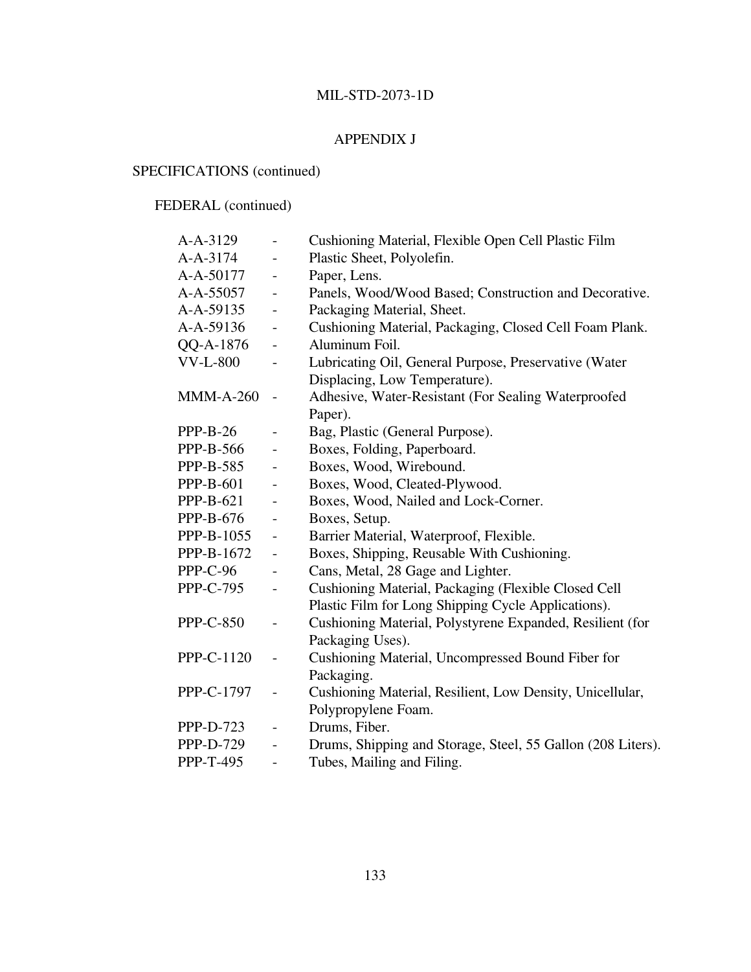## APPENDIX J

# SPECIFICATIONS (continued)

# FEDERAL (continued)

| A-A-3129         |                              | Cushioning Material, Flexible Open Cell Plastic Film        |
|------------------|------------------------------|-------------------------------------------------------------|
| A-A-3174         |                              | Plastic Sheet, Polyolefin.                                  |
| A-A-50177        | $\overline{\phantom{0}}$     | Paper, Lens.                                                |
| A-A-55057        | $\qquad \qquad \blacksquare$ | Panels, Wood/Wood Based; Construction and Decorative.       |
| A-A-59135        | $\qquad \qquad -$            | Packaging Material, Sheet.                                  |
| A-A-59136        |                              | Cushioning Material, Packaging, Closed Cell Foam Plank.     |
| QQ-A-1876        |                              | Aluminum Foil.                                              |
| <b>VV-L-800</b>  | $\overline{\phantom{0}}$     | Lubricating Oil, General Purpose, Preservative (Water       |
|                  |                              | Displacing, Low Temperature).                               |
| <b>MMM-A-260</b> | $\blacksquare$               | Adhesive, Water-Resistant (For Sealing Waterproofed         |
|                  |                              | Paper).                                                     |
| <b>PPP-B-26</b>  | $\overline{\phantom{0}}$     | Bag, Plastic (General Purpose).                             |
| PPP-B-566        | $\overline{\phantom{0}}$     | Boxes, Folding, Paperboard.                                 |
| PPP-B-585        | $\overline{\phantom{a}}$     | Boxes, Wood, Wirebound.                                     |
| PPP-B-601        | $\overline{\phantom{a}}$     | Boxes, Wood, Cleated-Plywood.                               |
| PPP-B-621        |                              | Boxes, Wood, Nailed and Lock-Corner.                        |
| PPP-B-676        | $\qquad \qquad \blacksquare$ | Boxes, Setup.                                               |
| PPP-B-1055       | $\qquad \qquad -$            | Barrier Material, Waterproof, Flexible.                     |
| PPP-B-1672       | $\overline{\phantom{0}}$     | Boxes, Shipping, Reusable With Cushioning.                  |
| PPP-C-96         | $\overline{\phantom{0}}$     | Cans, Metal, 28 Gage and Lighter.                           |
| PPP-C-795        |                              | Cushioning Material, Packaging (Flexible Closed Cell        |
|                  |                              | Plastic Film for Long Shipping Cycle Applications).         |
| <b>PPP-C-850</b> | $\overline{\phantom{0}}$     | Cushioning Material, Polystyrene Expanded, Resilient (for   |
|                  |                              | Packaging Uses).                                            |
| PPP-C-1120       | $\qquad \qquad \blacksquare$ | Cushioning Material, Uncompressed Bound Fiber for           |
|                  |                              | Packaging.                                                  |
| PPP-C-1797       | $\qquad \qquad \blacksquare$ | Cushioning Material, Resilient, Low Density, Unicellular,   |
|                  |                              | Polypropylene Foam.                                         |
| PPP-D-723        | $\overline{\phantom{a}}$     | Drums, Fiber.                                               |
| PPP-D-729        | $\overline{a}$               | Drums, Shipping and Storage, Steel, 55 Gallon (208 Liters). |
| PPP-T-495        |                              | Tubes, Mailing and Filing.                                  |
|                  |                              |                                                             |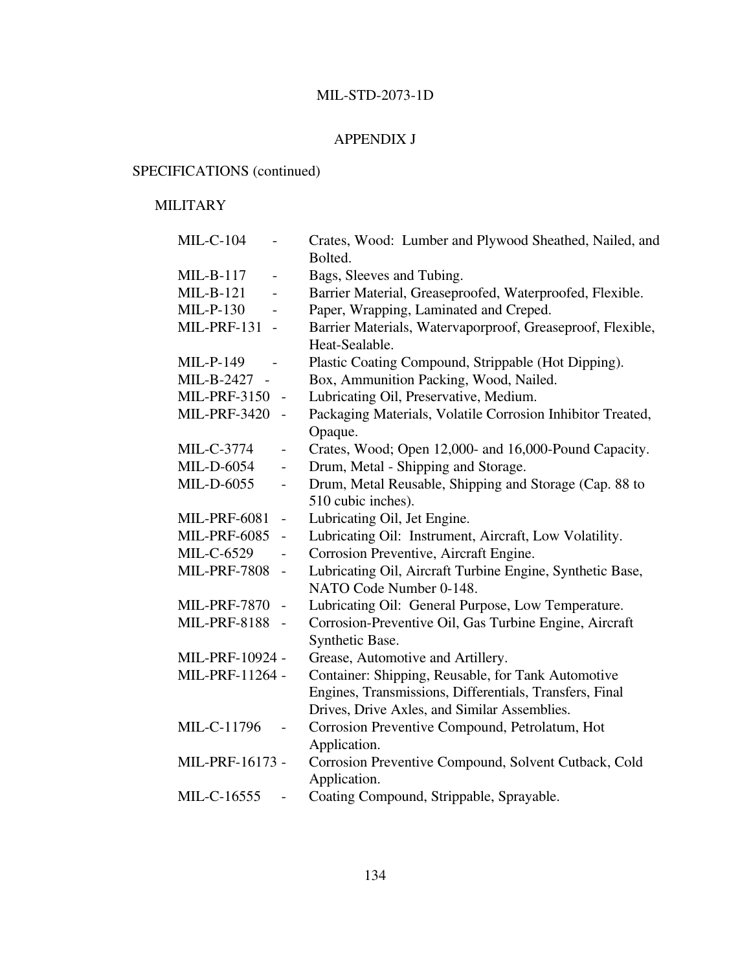## APPENDIX J

# SPECIFICATIONS (continued)

## MILITARY

| <b>MIL-C-104</b>                                | Crates, Wood: Lumber and Plywood Sheathed, Nailed, and                               |
|-------------------------------------------------|--------------------------------------------------------------------------------------|
|                                                 | Bolted.                                                                              |
| $MIL-B-117$<br>$\overline{\phantom{0}}$         | Bags, Sleeves and Tubing.                                                            |
| $MIL-B-121$<br>$\overline{\phantom{0}}$         | Barrier Material, Greaseproofed, Waterproofed, Flexible.                             |
| $MIL-P-130$<br>$\qquad \qquad \blacksquare$     | Paper, Wrapping, Laminated and Creped.                                               |
| MIL-PRF-131<br>$\overline{a}$                   | Barrier Materials, Watervaporproof, Greaseproof, Flexible,                           |
|                                                 | Heat-Sealable.                                                                       |
| MIL-P-149                                       | Plastic Coating Compound, Strippable (Hot Dipping).                                  |
| MIL-B-2427                                      | Box, Ammunition Packing, Wood, Nailed.                                               |
| <b>MIL-PRF-3150</b><br>$\overline{\phantom{a}}$ | Lubricating Oil, Preservative, Medium.                                               |
| <b>MIL-PRF-3420</b><br>$\qquad \qquad -$        | Packaging Materials, Volatile Corrosion Inhibitor Treated,                           |
|                                                 | Opaque.                                                                              |
| MIL-C-3774<br>$\overline{\phantom{0}}$          | Crates, Wood; Open 12,000- and 16,000-Pound Capacity.                                |
| MIL-D-6054<br>$\overline{\phantom{0}}$          | Drum, Metal - Shipping and Storage.                                                  |
| MIL-D-6055<br>$\overline{\phantom{0}}$          | Drum, Metal Reusable, Shipping and Storage (Cap. 88 to                               |
|                                                 | 510 cubic inches).                                                                   |
| <b>MIL-PRF-6081</b><br>$\qquad \qquad -$        | Lubricating Oil, Jet Engine.                                                         |
| <b>MIL-PRF-6085</b><br>$\qquad \qquad -$        | Lubricating Oil: Instrument, Aircraft, Low Volatility.                               |
| MIL-C-6529<br>$\overline{\phantom{0}}$          | Corrosion Preventive, Aircraft Engine.                                               |
| <b>MIL-PRF-7808</b><br>$\overline{\phantom{a}}$ | Lubricating Oil, Aircraft Turbine Engine, Synthetic Base,<br>NATO Code Number 0-148. |
| <b>MIL-PRF-7870</b><br>$\qquad \qquad -$        | Lubricating Oil: General Purpose, Low Temperature.                                   |
| <b>MIL-PRF-8188</b><br>$\overline{a}$           | Corrosion-Preventive Oil, Gas Turbine Engine, Aircraft                               |
|                                                 | Synthetic Base.                                                                      |
| MIL-PRF-10924 -                                 | Grease, Automotive and Artillery.                                                    |
| MIL-PRF-11264 -                                 | Container: Shipping, Reusable, for Tank Automotive                                   |
|                                                 | Engines, Transmissions, Differentials, Transfers, Final                              |
|                                                 | Drives, Drive Axles, and Similar Assemblies.                                         |
| MIL-C-11796<br>$\qquad \qquad -$                | Corrosion Preventive Compound, Petrolatum, Hot                                       |
|                                                 | Application.                                                                         |
| MIL-PRF-16173 -                                 | Corrosion Preventive Compound, Solvent Cutback, Cold                                 |
|                                                 | Application.                                                                         |
| MIL-C-16555<br>$\overline{a}$                   | Coating Compound, Strippable, Sprayable.                                             |
|                                                 |                                                                                      |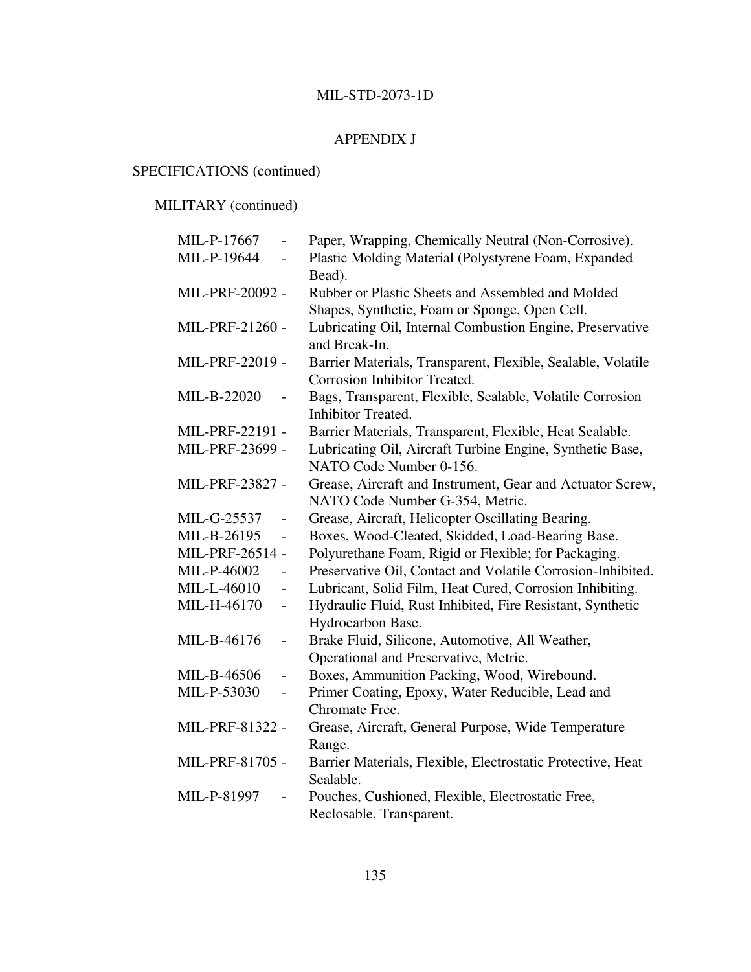## APPENDIX J

# SPECIFICATIONS (continued)

MILITARY (continued)

| MIL-P-17667                             | Paper, Wrapping, Chemically Neutral (Non-Corrosive).                       |
|-----------------------------------------|----------------------------------------------------------------------------|
| MIL-P-19644                             | Plastic Molding Material (Polystyrene Foam, Expanded                       |
|                                         | Bead).                                                                     |
| MIL-PRF-20092 -                         | Rubber or Plastic Sheets and Assembled and Molded                          |
|                                         | Shapes, Synthetic, Foam or Sponge, Open Cell.                              |
| MIL-PRF-21260 -                         | Lubricating Oil, Internal Combustion Engine, Preservative<br>and Break-In. |
| MIL-PRF-22019 -                         | Barrier Materials, Transparent, Flexible, Sealable, Volatile               |
|                                         | Corrosion Inhibitor Treated.                                               |
| MIL-B-22020<br>$\overline{a}$           | Bags, Transparent, Flexible, Sealable, Volatile Corrosion                  |
|                                         | <b>Inhibitor Treated.</b>                                                  |
| MIL-PRF-22191 -                         | Barrier Materials, Transparent, Flexible, Heat Sealable.                   |
| MIL-PRF-23699 -                         | Lubricating Oil, Aircraft Turbine Engine, Synthetic Base,                  |
|                                         | NATO Code Number 0-156.                                                    |
| MIL-PRF-23827 -                         | Grease, Aircraft and Instrument, Gear and Actuator Screw,                  |
|                                         | NATO Code Number G-354, Metric.                                            |
| MIL-G-25537<br>$\qquad \qquad -$        | Grease, Aircraft, Helicopter Oscillating Bearing.                          |
| MIL-B-26195<br>$\overline{\phantom{a}}$ | Boxes, Wood-Cleated, Skidded, Load-Bearing Base.                           |
| MIL-PRF-26514 -                         | Polyurethane Foam, Rigid or Flexible; for Packaging.                       |
| MIL-P-46002<br>$\overline{a}$           | Preservative Oil, Contact and Volatile Corrosion-Inhibited.                |
| MIL-L-46010<br>$\overline{\phantom{0}}$ | Lubricant, Solid Film, Heat Cured, Corrosion Inhibiting.                   |
| MIL-H-46170<br>$\qquad \qquad -$        | Hydraulic Fluid, Rust Inhibited, Fire Resistant, Synthetic                 |
|                                         | Hydrocarbon Base.                                                          |
| MIL-B-46176<br>$\overline{\phantom{0}}$ | Brake Fluid, Silicone, Automotive, All Weather,                            |
|                                         | Operational and Preservative, Metric.                                      |
| MIL-B-46506<br>$\overline{\phantom{0}}$ | Boxes, Ammunition Packing, Wood, Wirebound.                                |
| MIL-P-53030<br>$\overline{a}$           | Primer Coating, Epoxy, Water Reducible, Lead and                           |
|                                         | Chromate Free.                                                             |
| MIL-PRF-81322 -                         | Grease, Aircraft, General Purpose, Wide Temperature                        |
|                                         | Range.                                                                     |
| MIL-PRF-81705 -                         | Barrier Materials, Flexible, Electrostatic Protective, Heat                |
|                                         | Sealable.                                                                  |
| MIL-P-81997                             | Pouches, Cushioned, Flexible, Electrostatic Free,                          |
|                                         | Reclosable, Transparent.                                                   |
|                                         |                                                                            |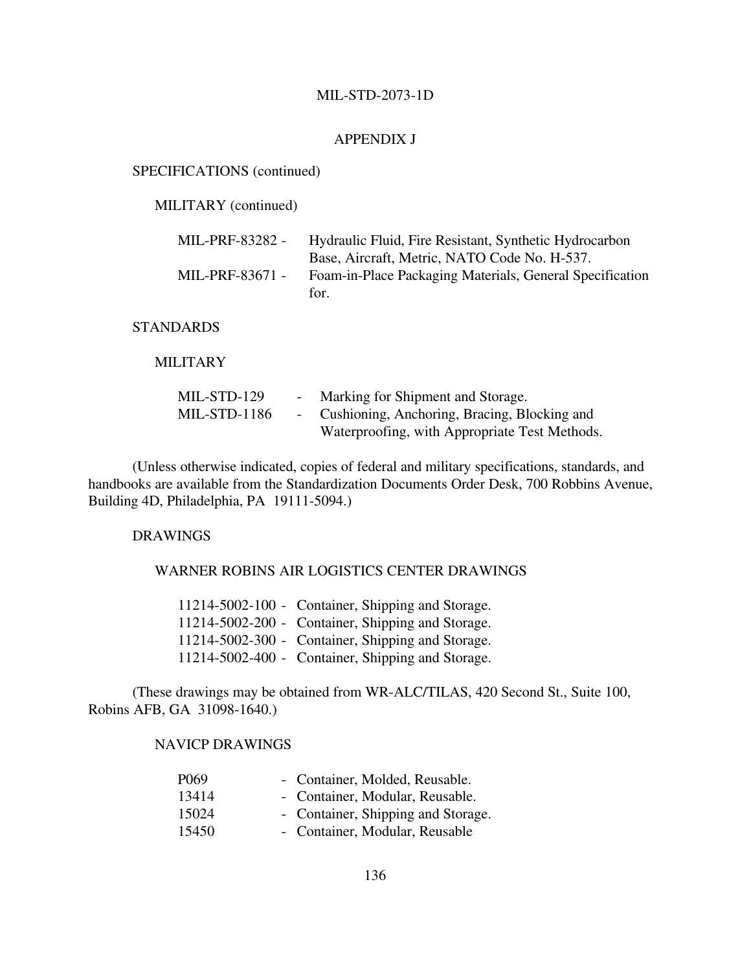#### APPENDIX J

#### SPECIFICATIONS (continued)

MILITARY (continued)

| MIL-PRF-83282 - | Hydraulic Fluid, Fire Resistant, Synthetic Hydrocarbon   |
|-----------------|----------------------------------------------------------|
|                 | Base, Aircraft, Metric, NATO Code No. H-537.             |
| MIL-PRF-83671 - | Foam-in-Place Packaging Materials, General Specification |
|                 | for.                                                     |

#### **STANDARDS**

#### MILITARY

| MIL-STD-129  | Marking for Shipment and Storage.              |
|--------------|------------------------------------------------|
| MIL-STD-1186 | - Cushioning, Anchoring, Bracing, Blocking and |
|              | Waterproofing, with Appropriate Test Methods.  |

(Unless otherwise indicated, copies of federal and military specifications, standards, and handbooks are available from the Standardization Documents Order Desk, 700 Robbins Avenue, Building 4D, Philadelphia, PA 19111-5094.)

#### DRAWINGS

#### WARNER ROBINS AIR LOGISTICS CENTER DRAWINGS

| 11214-5002-100 - Container, Shipping and Storage. |
|---------------------------------------------------|
| 11214-5002-200 - Container, Shipping and Storage. |
| 11214-5002-300 - Container, Shipping and Storage. |
| 11214-5002-400 - Container, Shipping and Storage. |

(These drawings may be obtained from WR-ALC/TILAS, 420 Second St., Suite 100, Robins AFB, GA 31098-1640.)

### NAVICP DRAWINGS

| P <sub>069</sub> | - Container, Molded, Reusable.     |
|------------------|------------------------------------|
| 13414            | - Container, Modular, Reusable.    |
| 15024            | - Container, Shipping and Storage. |
| 15450            | - Container, Modular, Reusable     |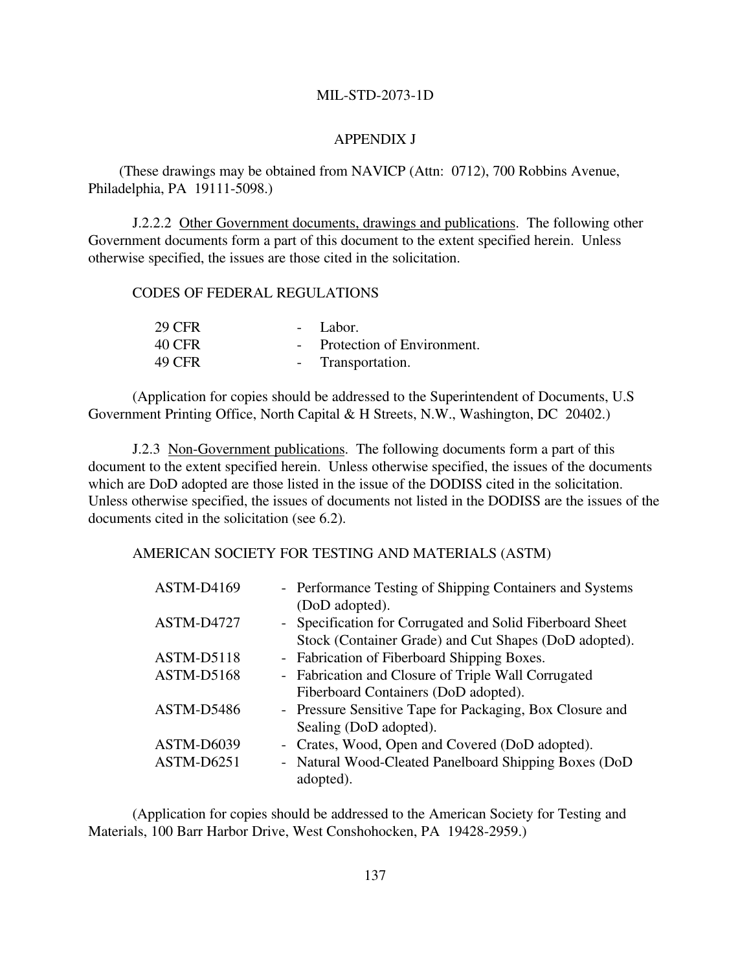#### APPENDIX J

(These drawings may be obtained from NAVICP (Attn: 0712), 700 Robbins Avenue, Philadelphia, PA 19111-5098.)

J.2.2.2 Other Government documents, drawings and publications. The following other Government documents form a part of this document to the extent specified herein. Unless otherwise specified, the issues are those cited in the solicitation.

CODES OF FEDERAL REGULATIONS

| <b>29 CFR</b> | $-L$ abor.                 |
|---------------|----------------------------|
| <b>40 CFR</b> | Protection of Environment. |
| <b>49 CFR</b> | Transportation.            |

(Application for copies should be addressed to the Superintendent of Documents, U.S Government Printing Office, North Capital & H Streets, N.W., Washington, DC 20402.)

J.2.3 Non-Government publications. The following documents form a part of this document to the extent specified herein. Unless otherwise specified, the issues of the documents which are DoD adopted are those listed in the issue of the DODISS cited in the solicitation. Unless otherwise specified, the issues of documents not listed in the DODISS are the issues of the documents cited in the solicitation (see 6.2).

AMERICAN SOCIETY FOR TESTING AND MATERIALS (ASTM)

| <b>ASTM-D4169</b> | - Performance Testing of Shipping Containers and Systems<br>(DoD adopted).                           |
|-------------------|------------------------------------------------------------------------------------------------------|
| <b>ASTM-D4727</b> | - Specification for Corrugated and Solid Fiberboard Sheet                                            |
| ASTM-D5118        | Stock (Container Grade) and Cut Shapes (DoD adopted).<br>- Fabrication of Fiberboard Shipping Boxes. |
|                   |                                                                                                      |
| <b>ASTM-D5168</b> | - Fabrication and Closure of Triple Wall Corrugated                                                  |
|                   | Fiberboard Containers (DoD adopted).                                                                 |
| ASTM-D5486        | - Pressure Sensitive Tape for Packaging, Box Closure and                                             |
|                   | Sealing (DoD adopted).                                                                               |
| ASTM-D6039        | - Crates, Wood, Open and Covered (DoD adopted).                                                      |
| ASTM-D6251        | - Natural Wood-Cleated Panelboard Shipping Boxes (DoD)                                               |
|                   | adopted).                                                                                            |

(Application for copies should be addressed to the American Society for Testing and Materials, 100 Barr Harbor Drive, West Conshohocken, PA 19428-2959.)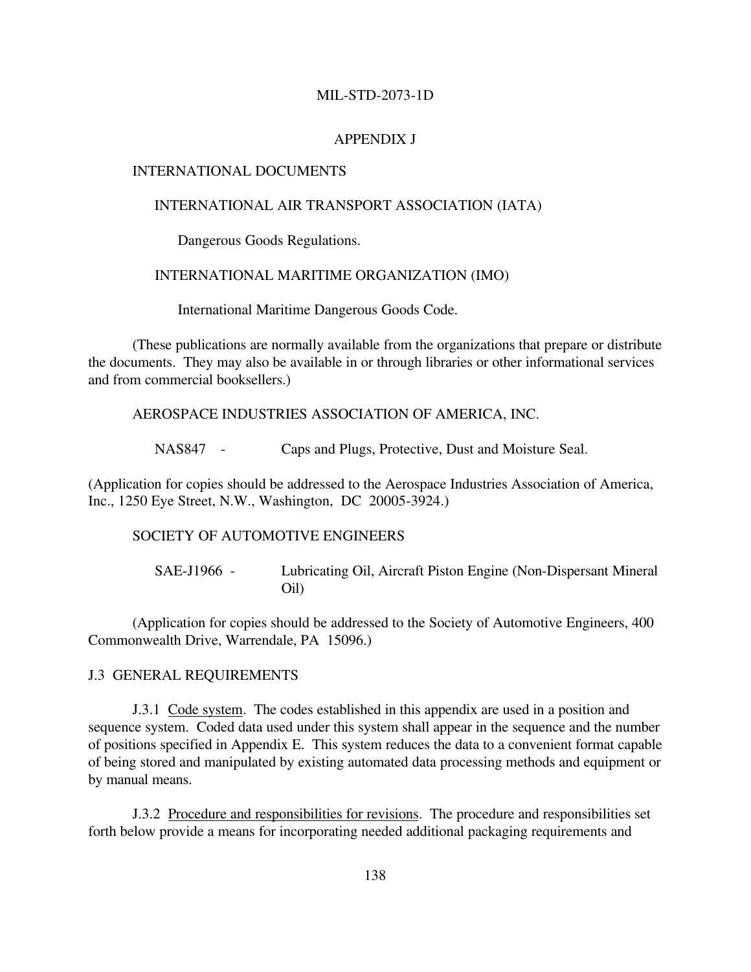#### APPENDIX J

#### INTERNATIONAL DOCUMENTS

#### INTERNATIONAL AIR TRANSPORT ASSOCIATION (IATA)

Dangerous Goods Regulations.

#### INTERNATIONAL MARITIME ORGANIZATION (IMO)

International Maritime Dangerous Goods Code.

(These publications are normally available from the organizations that prepare or distribute the documents. They may also be available in or through libraries or other informational services and from commercial booksellers.)

#### AEROSPACE INDUSTRIES ASSOCIATION OF AMERICA, INC.

NAS847 - Caps and Plugs, Protective, Dust and Moisture Seal.

(Application for copies should be addressed to the Aerospace Industries Association of America, Inc., 1250 Eye Street, N.W., Washington, DC 20005-3924.)

#### SOCIETY OF AUTOMOTIVE ENGINEERS

SAE-J1966 - Lubricating Oil, Aircraft Piston Engine (Non-Dispersant Mineral Oil)

(Application for copies should be addressed to the Society of Automotive Engineers, 400 Commonwealth Drive, Warrendale, PA 15096.)

#### J.3 GENERAL REQUIREMENTS

J.3.1 Code system. The codes established in this appendix are used in a position and sequence system. Coded data used under this system shall appear in the sequence and the number of positions specified in Appendix E. This system reduces the data to a convenient format capable of being stored and manipulated by existing automated data processing methods and equipment or by manual means.

J.3.2 Procedure and responsibilities for revisions. The procedure and responsibilities set forth below provide a means for incorporating needed additional packaging requirements and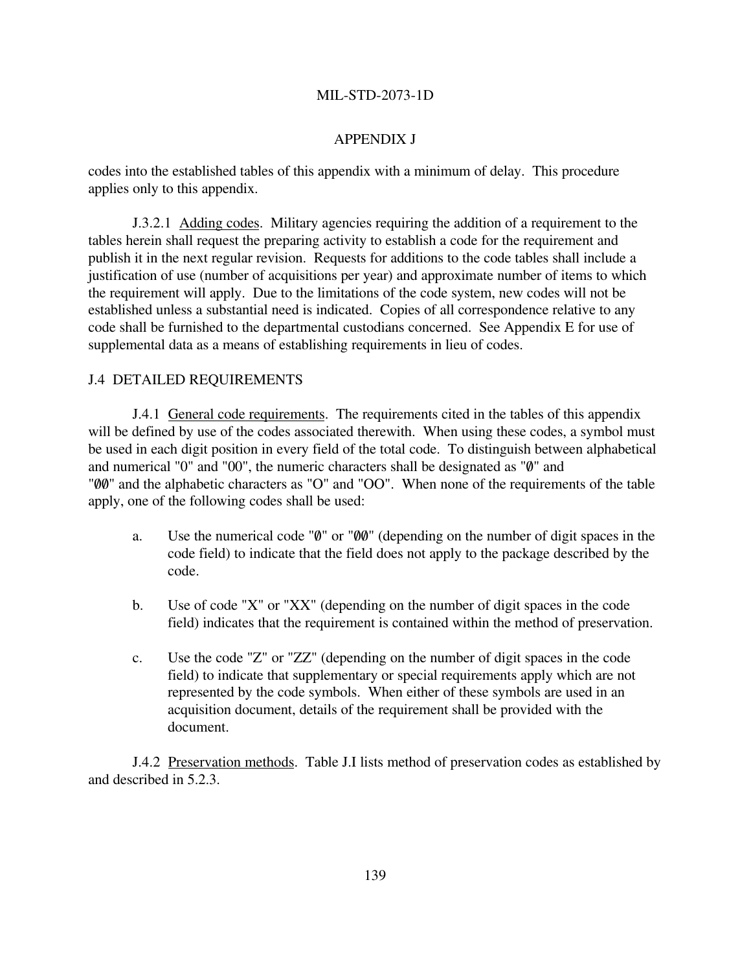#### APPENDIX J

codes into the established tables of this appendix with a minimum of delay. This procedure applies only to this appendix.

J.3.2.1 Adding codes. Military agencies requiring the addition of a requirement to the tables herein shall request the preparing activity to establish a code for the requirement and publish it in the next regular revision. Requests for additions to the code tables shall include a justification of use (number of acquisitions per year) and approximate number of items to which the requirement will apply. Due to the limitations of the code system, new codes will not be established unless a substantial need is indicated. Copies of all correspondence relative to any code shall be furnished to the departmental custodians concerned. See Appendix E for use of supplemental data as a means of establishing requirements in lieu of codes.

#### J.4 DETAILED REQUIREMENTS

J.4.1 General code requirements. The requirements cited in the tables of this appendix will be defined by use of the codes associated therewith. When using these codes, a symbol must be used in each digit position in every field of the total code. To distinguish between alphabetical and numerical "0" and "00", the numeric characters shall be designated as " $\theta$ " and "00" and the alphabetic characters as "O" and "OO". When none of the requirements of the table apply, one of the following codes shall be used:

- a. Use the numerical code "0" or "00" (depending on the number of digit spaces in the code field) to indicate that the field does not apply to the package described by the code.
- b. Use of code "X" or "XX" (depending on the number of digit spaces in the code field) indicates that the requirement is contained within the method of preservation.
- c. Use the code "Z" or "ZZ" (depending on the number of digit spaces in the code field) to indicate that supplementary or special requirements apply which are not represented by the code symbols. When either of these symbols are used in an acquisition document, details of the requirement shall be provided with the document.

J.4.2 Preservation methods. Table J.I lists method of preservation codes as established by and described in 5.2.3.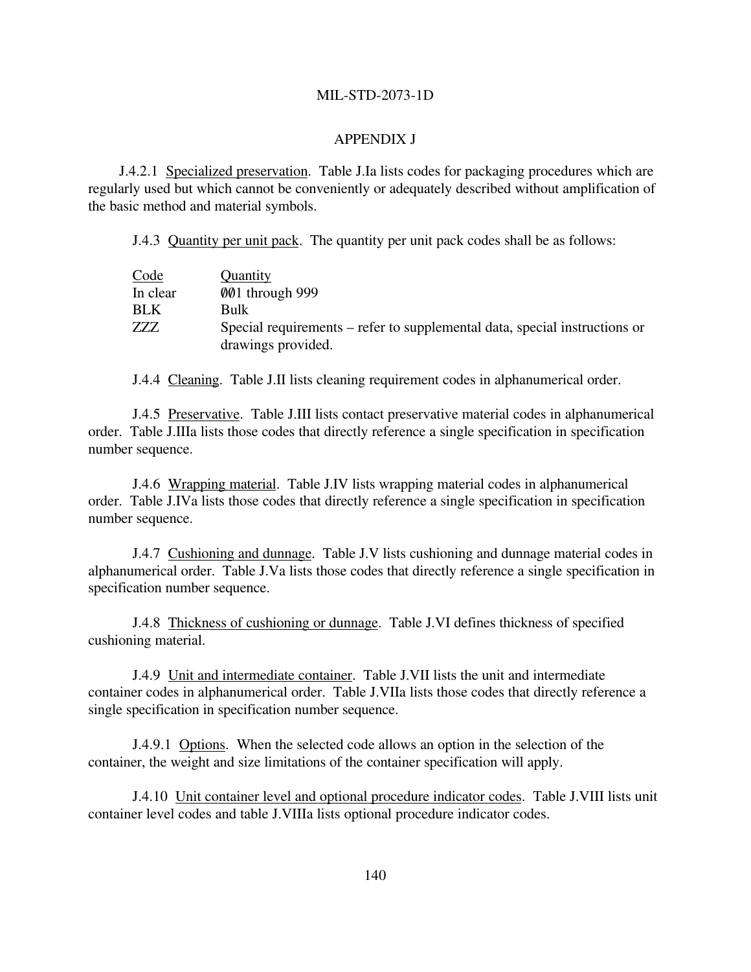#### APPENDIX J

J.4.2.1 Specialized preservation. Table J.Ia lists codes for packaging procedures which are regularly used but which cannot be conveniently or adequately described without amplification of the basic method and material symbols.

J.4.3 Quantity per unit pack. The quantity per unit pack codes shall be as follows:

| Code       | <b>Quantity</b>                                                                                  |
|------------|--------------------------------------------------------------------------------------------------|
| In clear   | 001 through 999                                                                                  |
| <b>BLK</b> | Bulk                                                                                             |
| 77.Z       | Special requirements – refer to supplemental data, special instructions or<br>drawings provided. |

J.4.4 Cleaning. Table J.II lists cleaning requirement codes in alphanumerical order.

J.4.5 Preservative. Table J.III lists contact preservative material codes in alphanumerical order. Table J.IIIa lists those codes that directly reference a single specification in specification number sequence.

J.4.6 Wrapping material. Table J.IV lists wrapping material codes in alphanumerical order. Table J.IVa lists those codes that directly reference a single specification in specification number sequence.

J.4.7 Cushioning and dunnage. Table J.V lists cushioning and dunnage material codes in alphanumerical order. Table J.Va lists those codes that directly reference a single specification in specification number sequence.

J.4.8 Thickness of cushioning or dunnage. Table J.VI defines thickness of specified cushioning material.

J.4.9 Unit and intermediate container. Table J.VII lists the unit and intermediate container codes in alphanumerical order. Table J.VIIa lists those codes that directly reference a single specification in specification number sequence.

J.4.9.1 Options. When the selected code allows an option in the selection of the container, the weight and size limitations of the container specification will apply.

J.4.10 Unit container level and optional procedure indicator codes. Table J.VIII lists unit container level codes and table J.VIIIa lists optional procedure indicator codes.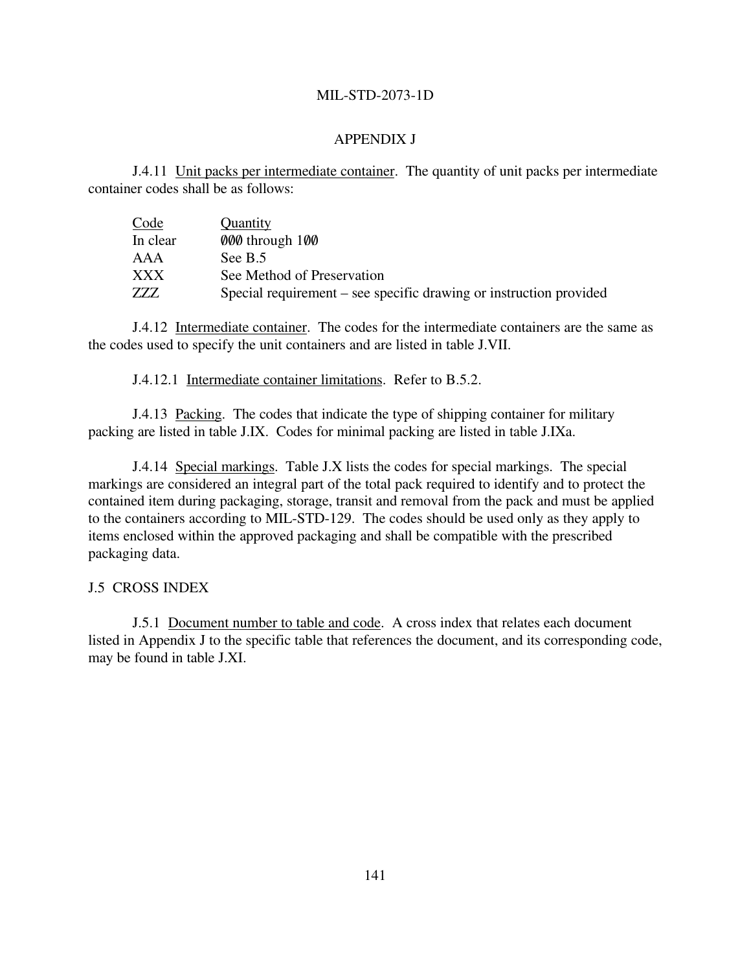#### APPENDIX J

J.4.11 Unit packs per intermediate container. The quantity of unit packs per intermediate container codes shall be as follows:

| Code       | Quantity                                                           |
|------------|--------------------------------------------------------------------|
| In clear   | 000 through 100                                                    |
| AAA        | See B.5                                                            |
| <b>XXX</b> | See Method of Preservation                                         |
| ZZZ        | Special requirement – see specific drawing or instruction provided |

J.4.12 Intermediate container. The codes for the intermediate containers are the same as the codes used to specify the unit containers and are listed in table J.VII.

J.4.12.1 Intermediate container limitations. Refer to B.5.2.

J.4.13 Packing. The codes that indicate the type of shipping container for military packing are listed in table J.IX. Codes for minimal packing are listed in table J.IXa.

J.4.14 Special markings. Table J.X lists the codes for special markings. The special markings are considered an integral part of the total pack required to identify and to protect the contained item during packaging, storage, transit and removal from the pack and must be applied to the containers according to MIL-STD-129. The codes should be used only as they apply to items enclosed within the approved packaging and shall be compatible with the prescribed packaging data.

#### J.5 CROSS INDEX

J.5.1 Document number to table and code. A cross index that relates each document listed in Appendix J to the specific table that references the document, and its corresponding code, may be found in table J.XI.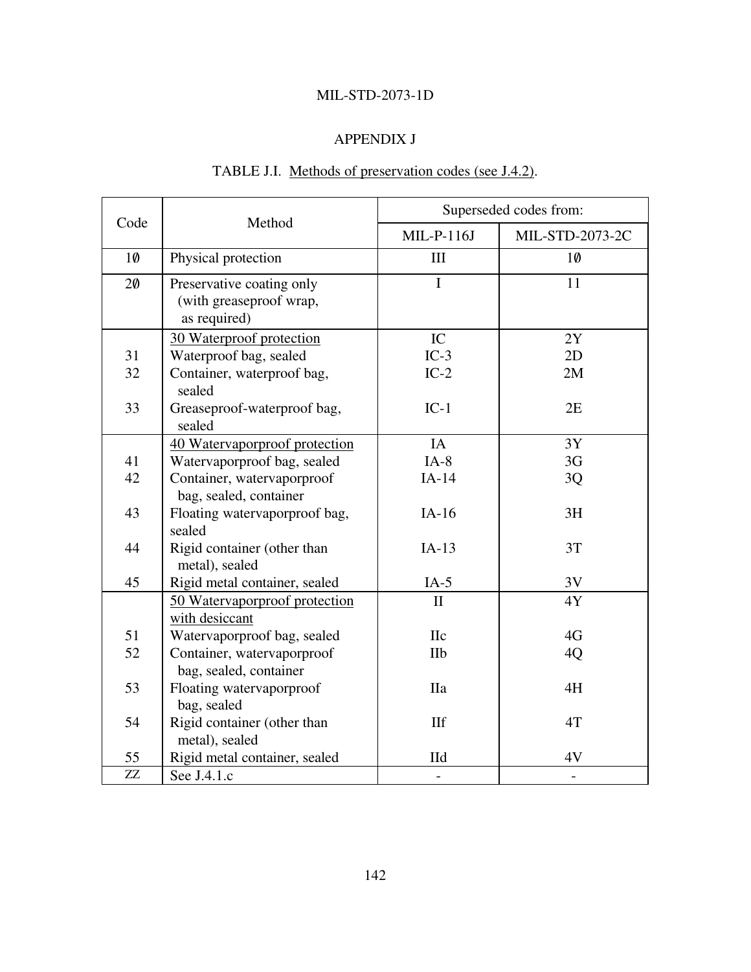# APPENDIX J

# TABLE J.I. Methods of preservation codes (see J.4.2).

| Code | Method                                                               | Superseded codes from: |                 |
|------|----------------------------------------------------------------------|------------------------|-----------------|
|      |                                                                      | MIL-P-116J             | MIL-STD-2073-2C |
| 10   | Physical protection                                                  | $\rm III$              | 10              |
| 20   | Preservative coating only<br>(with greaseproof wrap,<br>as required) | I                      | 11              |
|      | 30 Waterproof protection                                             | IC                     | 2Y              |
| 31   | Waterproof bag, sealed                                               | $IC-3$                 | 2D              |
| 32   | Container, waterproof bag,<br>sealed                                 | $IC-2$                 | 2M              |
| 33   | Greaseproof-waterproof bag,<br>sealed                                | $IC-1$                 | 2E              |
|      | 40 Watervaporproof protection                                        | IA                     | 3Y              |
| 41   | Watervaporproof bag, sealed                                          | $IA-8$                 | 3G              |
| 42   | Container, watervaporproof<br>bag, sealed, container                 | $IA-14$                | 3Q              |
| 43   | Floating watervaporproof bag,<br>sealed                              | $IA-16$                | 3H              |
| 44   | Rigid container (other than<br>metal), sealed                        | $IA-13$                | 3T              |
| 45   | Rigid metal container, sealed                                        | $IA-5$                 | 3V              |
|      | 50 Watervaporproof protection<br>with desiccant                      | $\mathbf{I}$           | 4Y              |
| 51   | Watervaporproof bag, sealed                                          | <b>IIc</b>             | 4G              |
| 52   | Container, watervaporproof<br>bag, sealed, container                 | IIb                    | 4Q              |
| 53   | Floating watervaporproof<br>bag, sealed                              | <b>IIa</b>             | 4H              |
| 54   | Rigid container (other than<br>metal), sealed                        | <b>IIf</b>             | 4T              |
| 55   | Rigid metal container, sealed                                        | IId                    | 4V              |
| ZZ   | See J.4.1.c                                                          | $\qquad \qquad -$      |                 |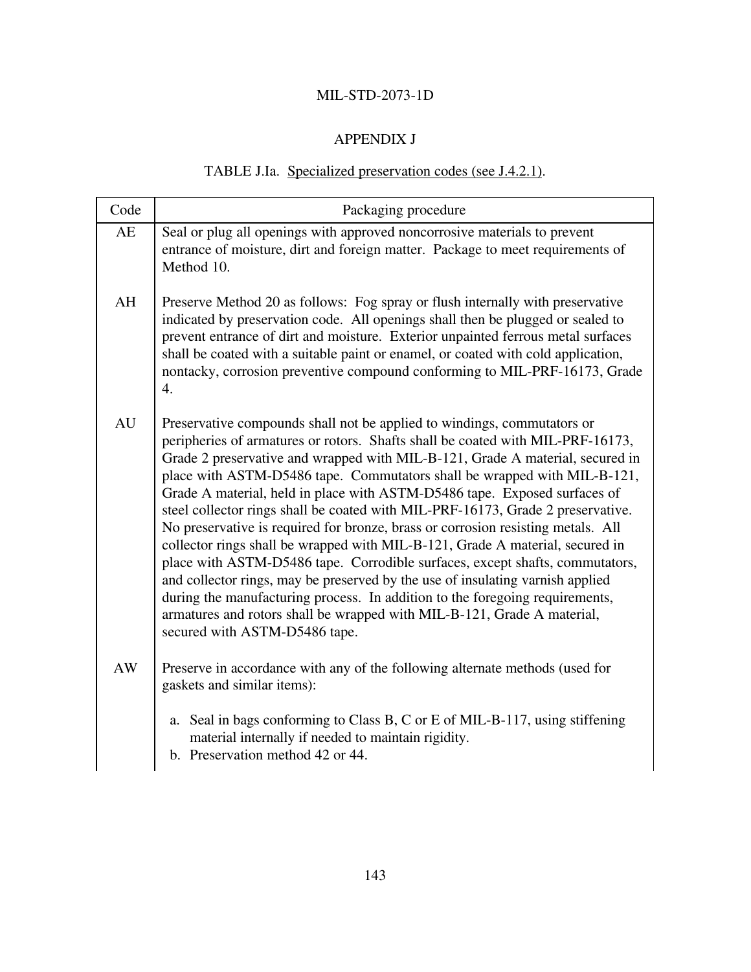# APPENDIX J

| Code      | Packaging procedure                                                                                                                                                                                                                                                                                                                                                                                                                                                                                                                                                                                                                                                                                                                                                                                                                                                                                                                                                                                                       |
|-----------|---------------------------------------------------------------------------------------------------------------------------------------------------------------------------------------------------------------------------------------------------------------------------------------------------------------------------------------------------------------------------------------------------------------------------------------------------------------------------------------------------------------------------------------------------------------------------------------------------------------------------------------------------------------------------------------------------------------------------------------------------------------------------------------------------------------------------------------------------------------------------------------------------------------------------------------------------------------------------------------------------------------------------|
| AE        | Seal or plug all openings with approved noncorrosive materials to prevent<br>entrance of moisture, dirt and foreign matter. Package to meet requirements of<br>Method 10.                                                                                                                                                                                                                                                                                                                                                                                                                                                                                                                                                                                                                                                                                                                                                                                                                                                 |
| AH        | Preserve Method 20 as follows: Fog spray or flush internally with preservative<br>indicated by preservation code. All openings shall then be plugged or sealed to<br>prevent entrance of dirt and moisture. Exterior unpainted ferrous metal surfaces<br>shall be coated with a suitable paint or enamel, or coated with cold application,<br>nontacky, corrosion preventive compound conforming to MIL-PRF-16173, Grade<br>4.                                                                                                                                                                                                                                                                                                                                                                                                                                                                                                                                                                                            |
| AU        | Preservative compounds shall not be applied to windings, commutators or<br>peripheries of armatures or rotors. Shafts shall be coated with MIL-PRF-16173,<br>Grade 2 preservative and wrapped with MIL-B-121, Grade A material, secured in<br>place with ASTM-D5486 tape. Commutators shall be wrapped with MIL-B-121,<br>Grade A material, held in place with ASTM-D5486 tape. Exposed surfaces of<br>steel collector rings shall be coated with MIL-PRF-16173, Grade 2 preservative.<br>No preservative is required for bronze, brass or corrosion resisting metals. All<br>collector rings shall be wrapped with MIL-B-121, Grade A material, secured in<br>place with ASTM-D5486 tape. Corrodible surfaces, except shafts, commutators,<br>and collector rings, may be preserved by the use of insulating varnish applied<br>during the manufacturing process. In addition to the foregoing requirements,<br>armatures and rotors shall be wrapped with MIL-B-121, Grade A material,<br>secured with ASTM-D5486 tape. |
| <b>AW</b> | Preserve in accordance with any of the following alternate methods (used for<br>gaskets and similar items):                                                                                                                                                                                                                                                                                                                                                                                                                                                                                                                                                                                                                                                                                                                                                                                                                                                                                                               |
|           | a. Seal in bags conforming to Class B, C or E of MIL-B-117, using stiffening<br>material internally if needed to maintain rigidity.<br>b. Preservation method 42 or 44.                                                                                                                                                                                                                                                                                                                                                                                                                                                                                                                                                                                                                                                                                                                                                                                                                                                   |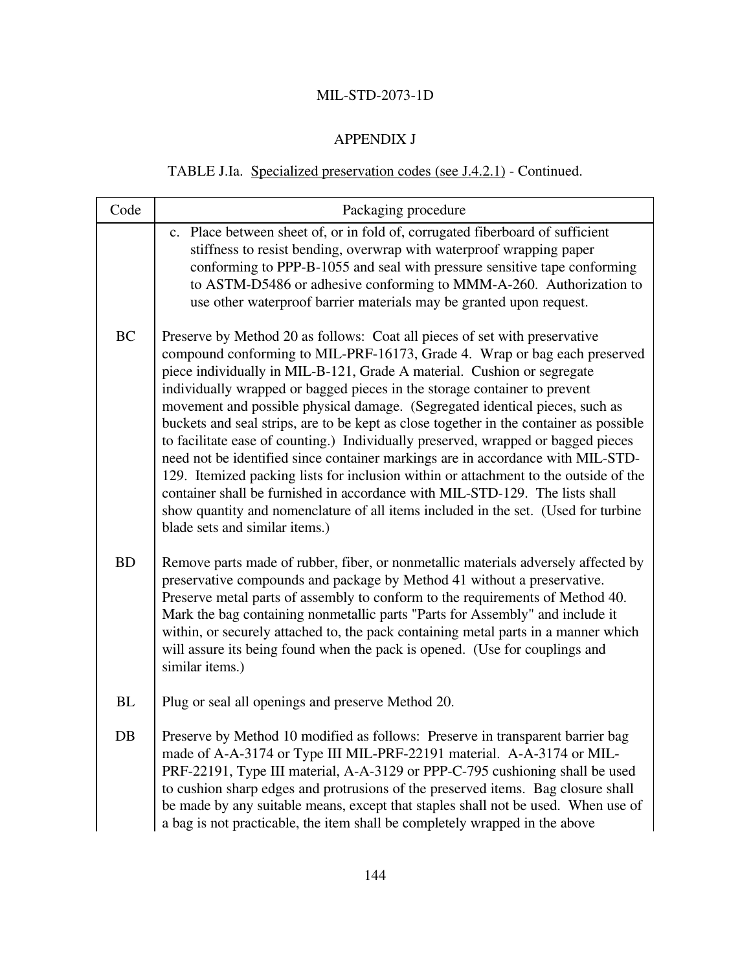# APPENDIX J

| Code      | Packaging procedure                                                                                                                                                                                                                                                                                                                                                                                                                                                                                                                                                                                                                                                                                                                                                                                                                                                                                                                                               |
|-----------|-------------------------------------------------------------------------------------------------------------------------------------------------------------------------------------------------------------------------------------------------------------------------------------------------------------------------------------------------------------------------------------------------------------------------------------------------------------------------------------------------------------------------------------------------------------------------------------------------------------------------------------------------------------------------------------------------------------------------------------------------------------------------------------------------------------------------------------------------------------------------------------------------------------------------------------------------------------------|
|           | c. Place between sheet of, or in fold of, corrugated fiberboard of sufficient<br>stiffness to resist bending, overwrap with waterproof wrapping paper<br>conforming to PPP-B-1055 and seal with pressure sensitive tape conforming<br>to ASTM-D5486 or adhesive conforming to MMM-A-260. Authorization to<br>use other waterproof barrier materials may be granted upon request.                                                                                                                                                                                                                                                                                                                                                                                                                                                                                                                                                                                  |
| <b>BC</b> | Preserve by Method 20 as follows: Coat all pieces of set with preservative<br>compound conforming to MIL-PRF-16173, Grade 4. Wrap or bag each preserved<br>piece individually in MIL-B-121, Grade A material. Cushion or segregate<br>individually wrapped or bagged pieces in the storage container to prevent<br>movement and possible physical damage. (Segregated identical pieces, such as<br>buckets and seal strips, are to be kept as close together in the container as possible<br>to facilitate ease of counting.) Individually preserved, wrapped or bagged pieces<br>need not be identified since container markings are in accordance with MIL-STD-<br>129. Itemized packing lists for inclusion within or attachment to the outside of the<br>container shall be furnished in accordance with MIL-STD-129. The lists shall<br>show quantity and nomenclature of all items included in the set. (Used for turbine<br>blade sets and similar items.) |
| <b>BD</b> | Remove parts made of rubber, fiber, or nonmetallic materials adversely affected by<br>preservative compounds and package by Method 41 without a preservative.<br>Preserve metal parts of assembly to conform to the requirements of Method 40.<br>Mark the bag containing nonmetallic parts "Parts for Assembly" and include it<br>within, or securely attached to, the pack containing metal parts in a manner which<br>will assure its being found when the pack is opened. (Use for couplings and<br>similar items.)                                                                                                                                                                                                                                                                                                                                                                                                                                           |
| <b>BL</b> | Plug or seal all openings and preserve Method 20.                                                                                                                                                                                                                                                                                                                                                                                                                                                                                                                                                                                                                                                                                                                                                                                                                                                                                                                 |
| $DB$      | Preserve by Method 10 modified as follows: Preserve in transparent barrier bag<br>made of A-A-3174 or Type III MIL-PRF-22191 material. A-A-3174 or MIL-<br>PRF-22191, Type III material, A-A-3129 or PPP-C-795 cushioning shall be used<br>to cushion sharp edges and protrusions of the preserved items. Bag closure shall<br>be made by any suitable means, except that staples shall not be used. When use of<br>a bag is not practicable, the item shall be completely wrapped in the above                                                                                                                                                                                                                                                                                                                                                                                                                                                                   |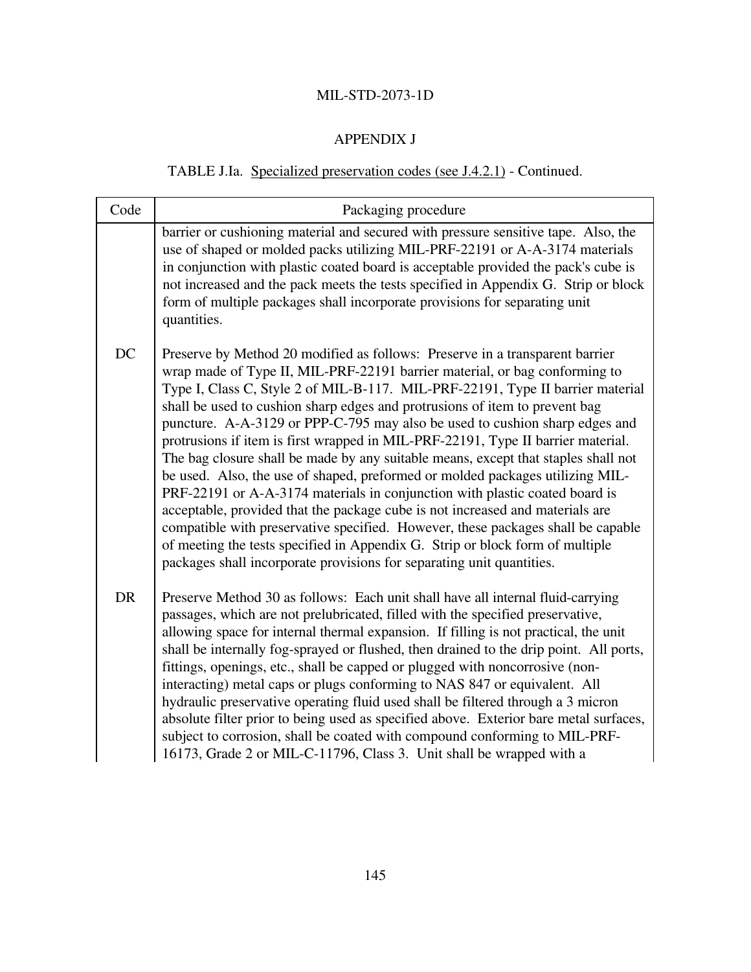# APPENDIX J

| Code      | Packaging procedure                                                                                                                                                                                                                                                                                                                                                                                                                                                                                                                                                                                                                                                                                                                                                                                                                                                                                                                                                                                                                                                                 |
|-----------|-------------------------------------------------------------------------------------------------------------------------------------------------------------------------------------------------------------------------------------------------------------------------------------------------------------------------------------------------------------------------------------------------------------------------------------------------------------------------------------------------------------------------------------------------------------------------------------------------------------------------------------------------------------------------------------------------------------------------------------------------------------------------------------------------------------------------------------------------------------------------------------------------------------------------------------------------------------------------------------------------------------------------------------------------------------------------------------|
|           | barrier or cushioning material and secured with pressure sensitive tape. Also, the<br>use of shaped or molded packs utilizing MIL-PRF-22191 or A-A-3174 materials<br>in conjunction with plastic coated board is acceptable provided the pack's cube is<br>not increased and the pack meets the tests specified in Appendix G. Strip or block<br>form of multiple packages shall incorporate provisions for separating unit<br>quantities.                                                                                                                                                                                                                                                                                                                                                                                                                                                                                                                                                                                                                                          |
| DC        | Preserve by Method 20 modified as follows: Preserve in a transparent barrier<br>wrap made of Type II, MIL-PRF-22191 barrier material, or bag conforming to<br>Type I, Class C, Style 2 of MIL-B-117. MIL-PRF-22191, Type II barrier material<br>shall be used to cushion sharp edges and protrusions of item to prevent bag<br>puncture. A-A-3129 or PPP-C-795 may also be used to cushion sharp edges and<br>protrusions if item is first wrapped in MIL-PRF-22191, Type II barrier material.<br>The bag closure shall be made by any suitable means, except that staples shall not<br>be used. Also, the use of shaped, preformed or molded packages utilizing MIL-<br>PRF-22191 or A-A-3174 materials in conjunction with plastic coated board is<br>acceptable, provided that the package cube is not increased and materials are<br>compatible with preservative specified. However, these packages shall be capable<br>of meeting the tests specified in Appendix G. Strip or block form of multiple<br>packages shall incorporate provisions for separating unit quantities. |
| <b>DR</b> | Preserve Method 30 as follows: Each unit shall have all internal fluid-carrying<br>passages, which are not prelubricated, filled with the specified preservative,<br>allowing space for internal thermal expansion. If filling is not practical, the unit<br>shall be internally fog-sprayed or flushed, then drained to the drip point. All ports,<br>fittings, openings, etc., shall be capped or plugged with noncorrosive (non-<br>interacting) metal caps or plugs conforming to NAS 847 or equivalent. All<br>hydraulic preservative operating fluid used shall be filtered through a 3 micron<br>absolute filter prior to being used as specified above. Exterior bare metal surfaces,<br>subject to corrosion, shall be coated with compound conforming to MIL-PRF-<br>16173, Grade 2 or MIL-C-11796, Class 3. Unit shall be wrapped with a                                                                                                                                                                                                                                 |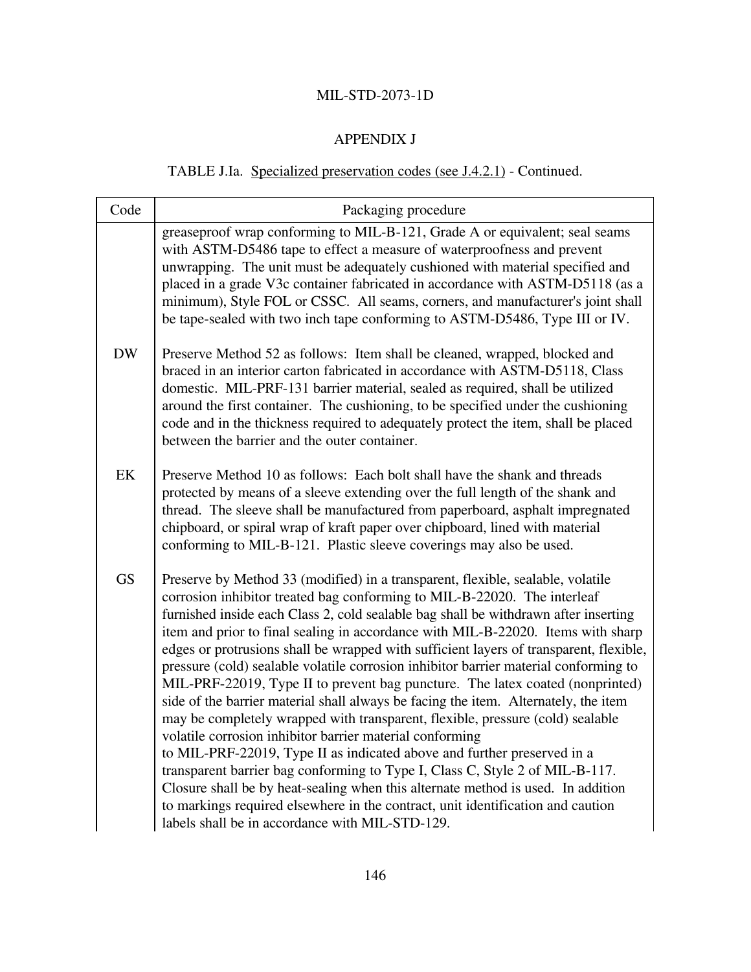# APPENDIX J

| Code      | Packaging procedure                                                                                                                                                                                                                                                                                                                                                                                                                                                                                                                                                                                                                                                                                                                                                                                                                                                                                                                                                                                                                                                                                                                                                                                                                 |
|-----------|-------------------------------------------------------------------------------------------------------------------------------------------------------------------------------------------------------------------------------------------------------------------------------------------------------------------------------------------------------------------------------------------------------------------------------------------------------------------------------------------------------------------------------------------------------------------------------------------------------------------------------------------------------------------------------------------------------------------------------------------------------------------------------------------------------------------------------------------------------------------------------------------------------------------------------------------------------------------------------------------------------------------------------------------------------------------------------------------------------------------------------------------------------------------------------------------------------------------------------------|
|           | greaseproof wrap conforming to MIL-B-121, Grade A or equivalent; seal seams<br>with ASTM-D5486 tape to effect a measure of waterproofness and prevent<br>unwrapping. The unit must be adequately cushioned with material specified and<br>placed in a grade V3c container fabricated in accordance with ASTM-D5118 (as a<br>minimum), Style FOL or CSSC. All seams, corners, and manufacturer's joint shall<br>be tape-sealed with two inch tape conforming to ASTM-D5486, Type III or IV.                                                                                                                                                                                                                                                                                                                                                                                                                                                                                                                                                                                                                                                                                                                                          |
| <b>DW</b> | Preserve Method 52 as follows: Item shall be cleaned, wrapped, blocked and<br>braced in an interior carton fabricated in accordance with ASTM-D5118, Class<br>domestic. MIL-PRF-131 barrier material, sealed as required, shall be utilized<br>around the first container. The cushioning, to be specified under the cushioning<br>code and in the thickness required to adequately protect the item, shall be placed<br>between the barrier and the outer container.                                                                                                                                                                                                                                                                                                                                                                                                                                                                                                                                                                                                                                                                                                                                                               |
| EK        | Preserve Method 10 as follows: Each bolt shall have the shank and threads<br>protected by means of a sleeve extending over the full length of the shank and<br>thread. The sleeve shall be manufactured from paperboard, asphalt impregnated<br>chipboard, or spiral wrap of kraft paper over chipboard, lined with material<br>conforming to MIL-B-121. Plastic sleeve coverings may also be used.                                                                                                                                                                                                                                                                                                                                                                                                                                                                                                                                                                                                                                                                                                                                                                                                                                 |
| <b>GS</b> | Preserve by Method 33 (modified) in a transparent, flexible, sealable, volatile<br>corrosion inhibitor treated bag conforming to MIL-B-22020. The interleaf<br>furnished inside each Class 2, cold sealable bag shall be withdrawn after inserting<br>item and prior to final sealing in accordance with MIL-B-22020. Items with sharp<br>edges or protrusions shall be wrapped with sufficient layers of transparent, flexible,<br>pressure (cold) sealable volatile corrosion inhibitor barrier material conforming to<br>MIL-PRF-22019, Type II to prevent bag puncture. The latex coated (nonprinted)<br>side of the barrier material shall always be facing the item. Alternately, the item<br>may be completely wrapped with transparent, flexible, pressure (cold) sealable<br>volatile corrosion inhibitor barrier material conforming<br>to MIL-PRF-22019, Type II as indicated above and further preserved in a<br>transparent barrier bag conforming to Type I, Class C, Style 2 of MIL-B-117.<br>Closure shall be by heat-sealing when this alternate method is used. In addition<br>to markings required elsewhere in the contract, unit identification and caution<br>labels shall be in accordance with MIL-STD-129. |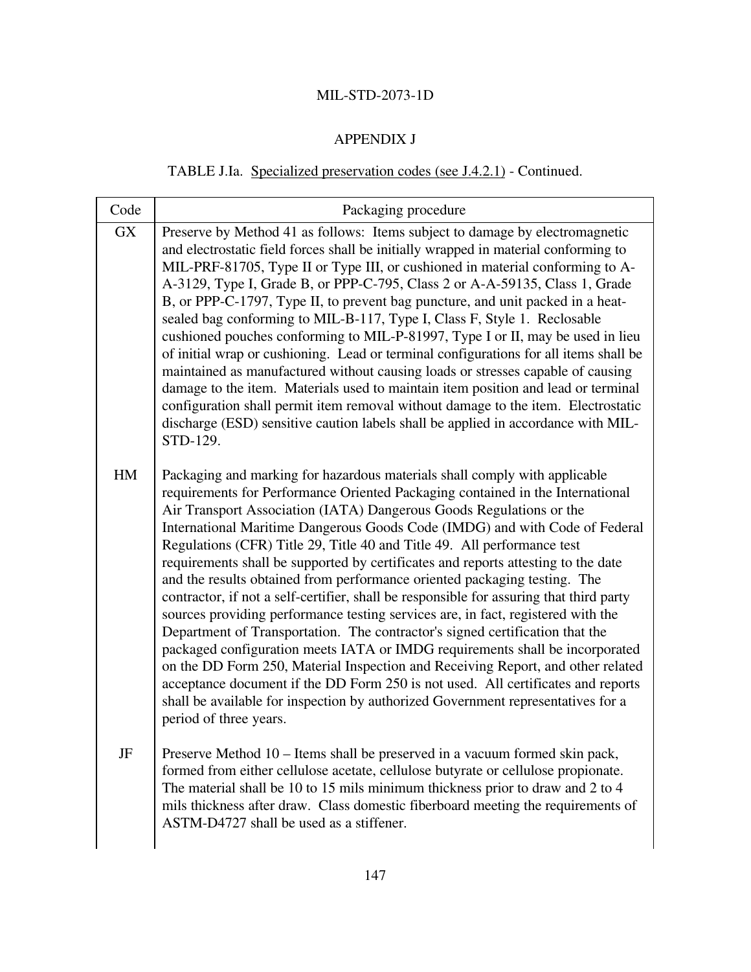# APPENDIX J

| Code      | Packaging procedure                                                                                                                                                                                                                                                                                                                                                                                                                                                                                                                                                                                                                                                                                                                                                                                                                                                                                                                                                                                                                                                                                                                                                                                 |
|-----------|-----------------------------------------------------------------------------------------------------------------------------------------------------------------------------------------------------------------------------------------------------------------------------------------------------------------------------------------------------------------------------------------------------------------------------------------------------------------------------------------------------------------------------------------------------------------------------------------------------------------------------------------------------------------------------------------------------------------------------------------------------------------------------------------------------------------------------------------------------------------------------------------------------------------------------------------------------------------------------------------------------------------------------------------------------------------------------------------------------------------------------------------------------------------------------------------------------|
| <b>GX</b> | Preserve by Method 41 as follows: Items subject to damage by electromagnetic<br>and electrostatic field forces shall be initially wrapped in material conforming to<br>MIL-PRF-81705, Type II or Type III, or cushioned in material conforming to A-<br>A-3129, Type I, Grade B, or PPP-C-795, Class 2 or A-A-59135, Class 1, Grade<br>B, or PPP-C-1797, Type II, to prevent bag puncture, and unit packed in a heat-<br>sealed bag conforming to MIL-B-117, Type I, Class F, Style 1. Reclosable<br>cushioned pouches conforming to MIL-P-81997, Type I or II, may be used in lieu<br>of initial wrap or cushioning. Lead or terminal configurations for all items shall be<br>maintained as manufactured without causing loads or stresses capable of causing<br>damage to the item. Materials used to maintain item position and lead or terminal<br>configuration shall permit item removal without damage to the item. Electrostatic<br>discharge (ESD) sensitive caution labels shall be applied in accordance with MIL-<br>STD-129.                                                                                                                                                          |
| HM        | Packaging and marking for hazardous materials shall comply with applicable<br>requirements for Performance Oriented Packaging contained in the International<br>Air Transport Association (IATA) Dangerous Goods Regulations or the<br>International Maritime Dangerous Goods Code (IMDG) and with Code of Federal<br>Regulations (CFR) Title 29, Title 40 and Title 49. All performance test<br>requirements shall be supported by certificates and reports attesting to the date<br>and the results obtained from performance oriented packaging testing. The<br>contractor, if not a self-certifier, shall be responsible for assuring that third party<br>sources providing performance testing services are, in fact, registered with the<br>Department of Transportation. The contractor's signed certification that the<br>packaged configuration meets IATA or IMDG requirements shall be incorporated<br>on the DD Form 250, Material Inspection and Receiving Report, and other related<br>acceptance document if the DD Form 250 is not used. All certificates and reports<br>shall be available for inspection by authorized Government representatives for a<br>period of three years. |
| JF        | Preserve Method 10 – Items shall be preserved in a vacuum formed skin pack,<br>formed from either cellulose acetate, cellulose butyrate or cellulose propionate.<br>The material shall be 10 to 15 mils minimum thickness prior to draw and 2 to 4<br>mils thickness after draw. Class domestic fiberboard meeting the requirements of<br>ASTM-D4727 shall be used as a stiffener.                                                                                                                                                                                                                                                                                                                                                                                                                                                                                                                                                                                                                                                                                                                                                                                                                  |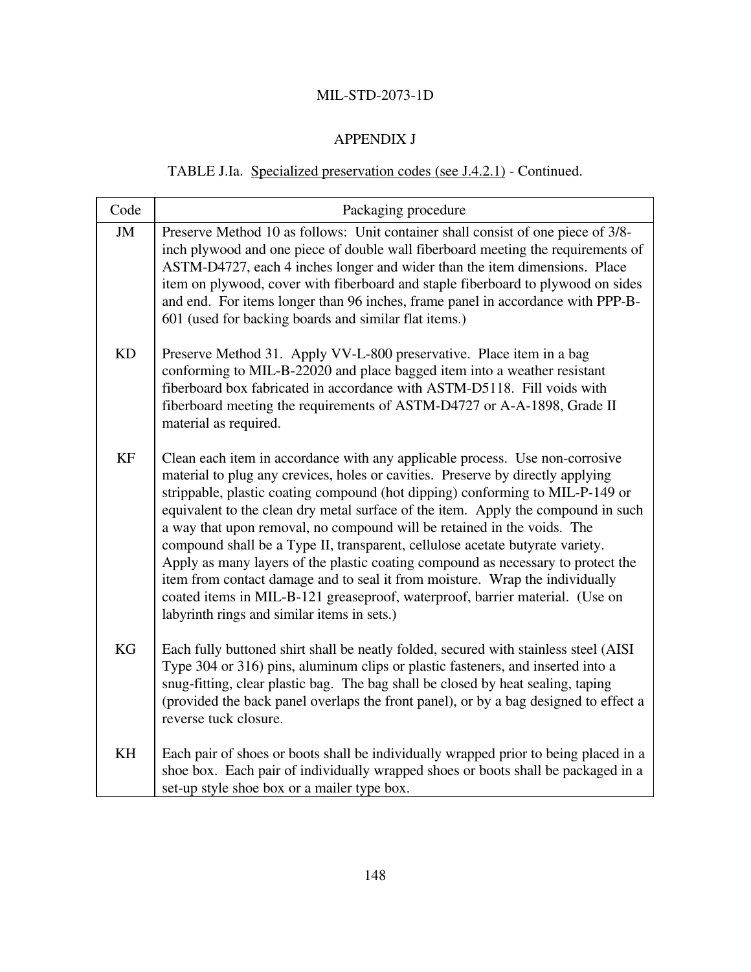# APPENDIX J

| Code      | Packaging procedure                                                                                                                                                                                                                                                                                                                                                                                                                                                                                                                                                                                                                                                                                                                                                                                  |
|-----------|------------------------------------------------------------------------------------------------------------------------------------------------------------------------------------------------------------------------------------------------------------------------------------------------------------------------------------------------------------------------------------------------------------------------------------------------------------------------------------------------------------------------------------------------------------------------------------------------------------------------------------------------------------------------------------------------------------------------------------------------------------------------------------------------------|
| JM        | Preserve Method 10 as follows: Unit container shall consist of one piece of 3/8-<br>inch plywood and one piece of double wall fiberboard meeting the requirements of<br>ASTM-D4727, each 4 inches longer and wider than the item dimensions. Place<br>item on plywood, cover with fiberboard and staple fiberboard to plywood on sides<br>and end. For items longer than 96 inches, frame panel in accordance with PPP-B-<br>601 (used for backing boards and similar flat items.)                                                                                                                                                                                                                                                                                                                   |
| <b>KD</b> | Preserve Method 31. Apply VV-L-800 preservative. Place item in a bag<br>conforming to MIL-B-22020 and place bagged item into a weather resistant<br>fiberboard box fabricated in accordance with ASTM-D5118. Fill voids with<br>fiberboard meeting the requirements of ASTM-D4727 or A-A-1898, Grade II<br>material as required.                                                                                                                                                                                                                                                                                                                                                                                                                                                                     |
| KF        | Clean each item in accordance with any applicable process. Use non-corrosive<br>material to plug any crevices, holes or cavities. Preserve by directly applying<br>strippable, plastic coating compound (hot dipping) conforming to MIL-P-149 or<br>equivalent to the clean dry metal surface of the item. Apply the compound in such<br>a way that upon removal, no compound will be retained in the voids. The<br>compound shall be a Type II, transparent, cellulose acetate butyrate variety.<br>Apply as many layers of the plastic coating compound as necessary to protect the<br>item from contact damage and to seal it from moisture. Wrap the individually<br>coated items in MIL-B-121 greaseproof, waterproof, barrier material. (Use on<br>labyrinth rings and similar items in sets.) |
| KG        | Each fully buttoned shirt shall be neatly folded, secured with stainless steel (AISI)<br>Type 304 or 316) pins, aluminum clips or plastic fasteners, and inserted into a<br>snug-fitting, clear plastic bag. The bag shall be closed by heat sealing, taping<br>(provided the back panel overlaps the front panel), or by a bag designed to effect a<br>reverse tuck closure.                                                                                                                                                                                                                                                                                                                                                                                                                        |
| KH        | Each pair of shoes or boots shall be individually wrapped prior to being placed in a<br>shoe box. Each pair of individually wrapped shoes or boots shall be packaged in a<br>set-up style shoe box or a mailer type box.                                                                                                                                                                                                                                                                                                                                                                                                                                                                                                                                                                             |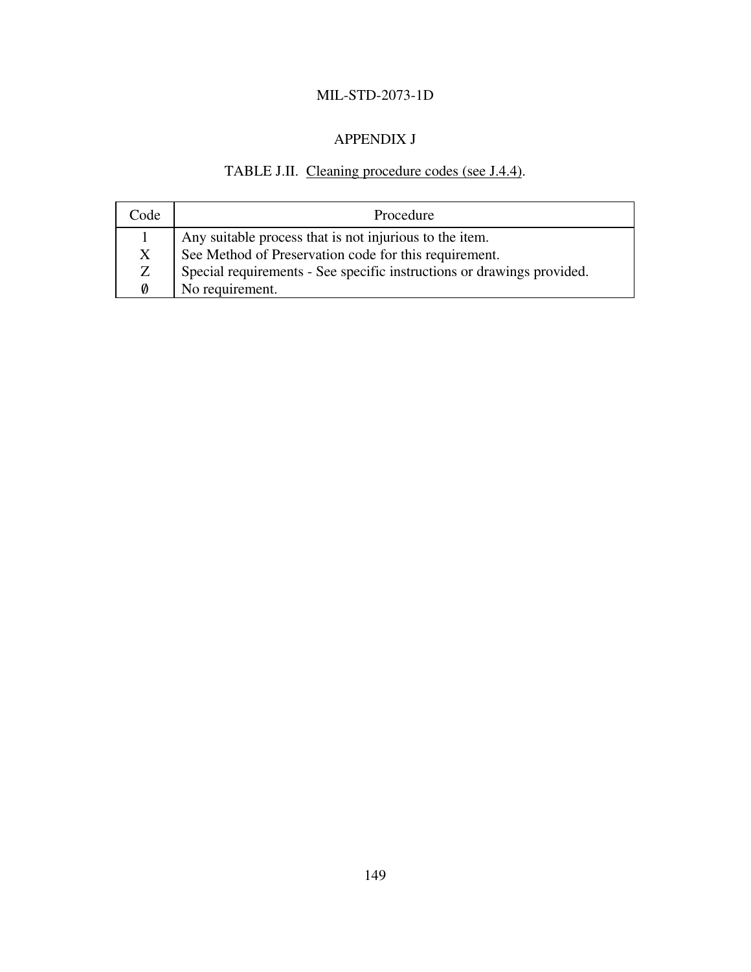# APPENDIX J

# TABLE J.II. Cleaning procedure codes (see J.4.4).

| Code | Procedure                                                              |
|------|------------------------------------------------------------------------|
|      | Any suitable process that is not injurious to the item.                |
| X    | See Method of Preservation code for this requirement.                  |
| Z    | Special requirements - See specific instructions or drawings provided. |
| Ø    | No requirement.                                                        |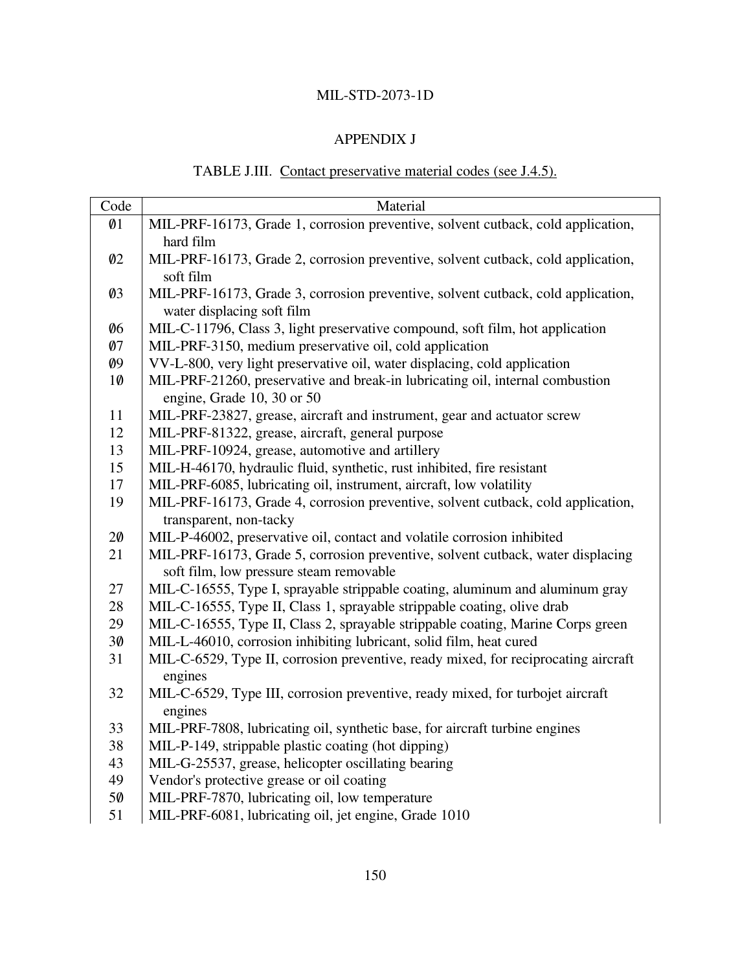# APPENDIX J

# TABLE J.III. Contact preservative material codes (see J.4.5).

| Code                         | Material                                                                                                                 |
|------------------------------|--------------------------------------------------------------------------------------------------------------------------|
| $\varnothing$ 1              | MIL-PRF-16173, Grade 1, corrosion preventive, solvent cutback, cold application,                                         |
|                              | hard film                                                                                                                |
| $\varnothing$                | MIL-PRF-16173, Grade 2, corrosion preventive, solvent cutback, cold application,                                         |
|                              | soft film                                                                                                                |
| $\varnothing$ 3              | MIL-PRF-16173, Grade 3, corrosion preventive, solvent cutback, cold application,                                         |
|                              | water displacing soft film                                                                                               |
| 06                           | MIL-C-11796, Class 3, light preservative compound, soft film, hot application                                            |
| $\boldsymbol{\varnothing}$ 7 | MIL-PRF-3150, medium preservative oil, cold application                                                                  |
| $\varnothing$                | VV-L-800, very light preservative oil, water displacing, cold application                                                |
| 10 <sup>o</sup>              | MIL-PRF-21260, preservative and break-in lubricating oil, internal combustion                                            |
|                              | engine, Grade 10, 30 or 50                                                                                               |
| 11                           | MIL-PRF-23827, grease, aircraft and instrument, gear and actuator screw                                                  |
| 12                           | MIL-PRF-81322, grease, aircraft, general purpose                                                                         |
| 13                           | MIL-PRF-10924, grease, automotive and artillery                                                                          |
| 15                           | MIL-H-46170, hydraulic fluid, synthetic, rust inhibited, fire resistant                                                  |
| 17                           | MIL-PRF-6085, lubricating oil, instrument, aircraft, low volatility                                                      |
| 19                           | MIL-PRF-16173, Grade 4, corrosion preventive, solvent cutback, cold application,                                         |
|                              | transparent, non-tacky                                                                                                   |
| 20<br>21                     | MIL-P-46002, preservative oil, contact and volatile corrosion inhibited                                                  |
|                              | MIL-PRF-16173, Grade 5, corrosion preventive, solvent cutback, water displacing                                          |
| 27                           | soft film, low pressure steam removable<br>MIL-C-16555, Type I, sprayable strippable coating, aluminum and aluminum gray |
| 28                           | MIL-C-16555, Type II, Class 1, sprayable strippable coating, olive drab                                                  |
| 29                           | MIL-C-16555, Type II, Class 2, sprayable strippable coating, Marine Corps green                                          |
| 30 <sup>°</sup>              | MIL-L-46010, corrosion inhibiting lubricant, solid film, heat cured                                                      |
| 31                           | MIL-C-6529, Type II, corrosion preventive, ready mixed, for reciprocating aircraft                                       |
|                              | engines                                                                                                                  |
| 32                           | MIL-C-6529, Type III, corrosion preventive, ready mixed, for turbojet aircraft                                           |
|                              | engines                                                                                                                  |
| 33                           | MIL-PRF-7808, lubricating oil, synthetic base, for aircraft turbine engines                                              |
| 38                           | MIL-P-149, strippable plastic coating (hot dipping)                                                                      |
| 43                           | MIL-G-25537, grease, helicopter oscillating bearing                                                                      |
| 49                           | Vendor's protective grease or oil coating                                                                                |
| 50                           | MIL-PRF-7870, lubricating oil, low temperature                                                                           |
| 51                           | MIL-PRF-6081, lubricating oil, jet engine, Grade 1010                                                                    |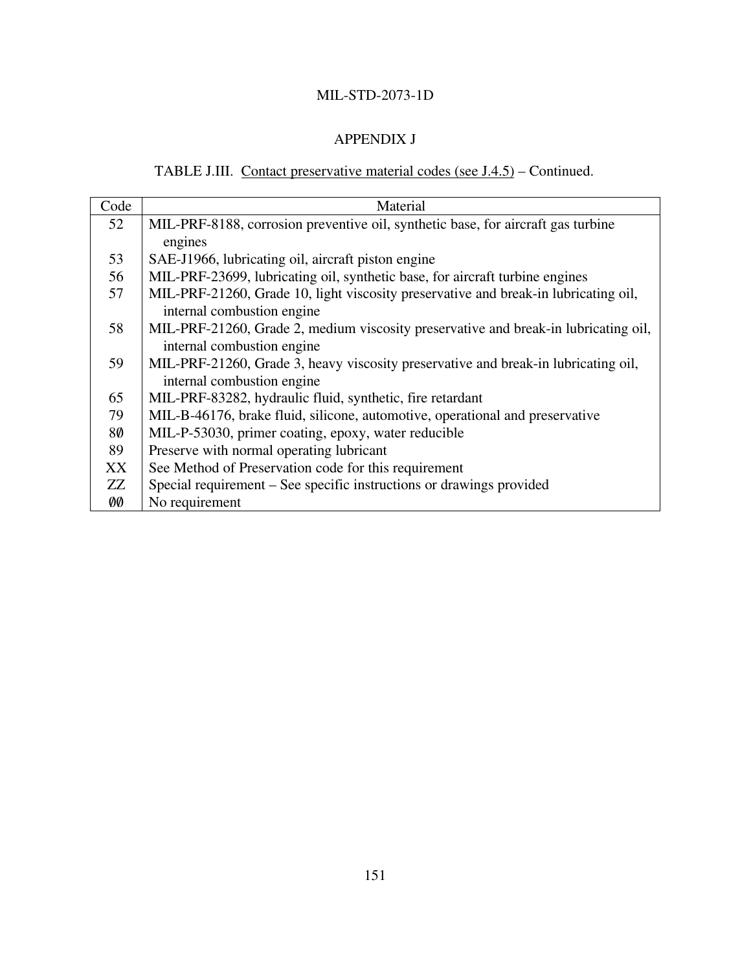# APPENDIX J

# TABLE J.III. Contact preservative material codes (see J.4.5) – Continued.

| Code | Material                                                                            |
|------|-------------------------------------------------------------------------------------|
| 52   | MIL-PRF-8188, corrosion preventive oil, synthetic base, for aircraft gas turbine    |
|      | engines                                                                             |
| 53   | SAE-J1966, lubricating oil, aircraft piston engine                                  |
| 56   | MIL-PRF-23699, lubricating oil, synthetic base, for aircraft turbine engines        |
| 57   | MIL-PRF-21260, Grade 10, light viscosity preservative and break-in lubricating oil, |
|      | internal combustion engine                                                          |
| 58   | MIL-PRF-21260, Grade 2, medium viscosity preservative and break-in lubricating oil, |
|      | internal combustion engine                                                          |
| 59   | MIL-PRF-21260, Grade 3, heavy viscosity preservative and break-in lubricating oil,  |
|      | internal combustion engine                                                          |
| 65   | MIL-PRF-83282, hydraulic fluid, synthetic, fire retardant                           |
| 79   | MIL-B-46176, brake fluid, silicone, automotive, operational and preservative        |
| 80   | MIL-P-53030, primer coating, epoxy, water reducible                                 |
| 89   | Preserve with normal operating lubricant                                            |
| XX   | See Method of Preservation code for this requirement                                |
| ZZ   | Special requirement – See specific instructions or drawings provided                |
| ØØ   | No requirement                                                                      |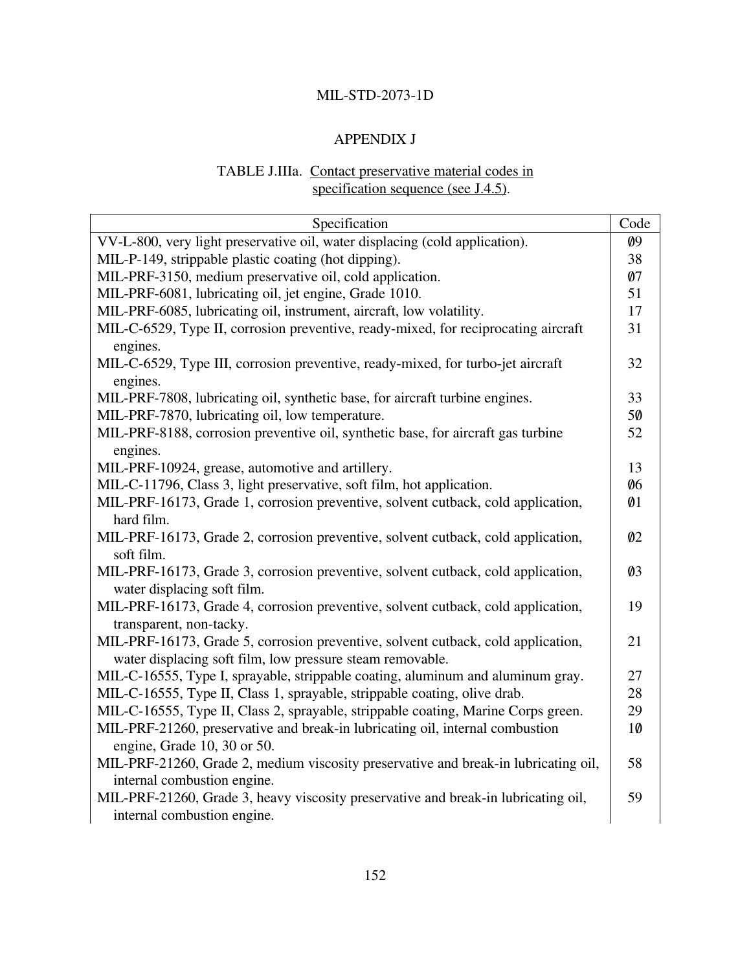## APPENDIX J

#### TABLE J.IIIa. Contact preservative material codes in specification sequence (see J.4.5).

| Specification                                                                                                                                 | Code            |
|-----------------------------------------------------------------------------------------------------------------------------------------------|-----------------|
| VV-L-800, very light preservative oil, water displacing (cold application).                                                                   | 09              |
| MIL-P-149, strippable plastic coating (hot dipping).                                                                                          | 38              |
| MIL-PRF-3150, medium preservative oil, cold application.                                                                                      | $\varnothing$ 7 |
| MIL-PRF-6081, lubricating oil, jet engine, Grade 1010.                                                                                        | 51              |
| MIL-PRF-6085, lubricating oil, instrument, aircraft, low volatility.                                                                          | 17              |
| MIL-C-6529, Type II, corrosion preventive, ready-mixed, for reciprocating aircraft<br>engines.                                                | 31              |
| MIL-C-6529, Type III, corrosion preventive, ready-mixed, for turbo-jet aircraft<br>engines.                                                   | 32              |
| MIL-PRF-7808, lubricating oil, synthetic base, for aircraft turbine engines.                                                                  | 33              |
| MIL-PRF-7870, lubricating oil, low temperature.                                                                                               | 50              |
| MIL-PRF-8188, corrosion preventive oil, synthetic base, for aircraft gas turbine<br>engines.                                                  | 52              |
| MIL-PRF-10924, grease, automotive and artillery.                                                                                              | 13              |
| MIL-C-11796, Class 3, light preservative, soft film, hot application.                                                                         | 06              |
| MIL-PRF-16173, Grade 1, corrosion preventive, solvent cutback, cold application,<br>hard film.                                                | $\varnothing$ 1 |
| MIL-PRF-16173, Grade 2, corrosion preventive, solvent cutback, cold application,<br>soft film.                                                | $\varnothing$   |
| MIL-PRF-16173, Grade 3, corrosion preventive, solvent cutback, cold application,<br>water displacing soft film.                               | $\varnothing$ 3 |
| MIL-PRF-16173, Grade 4, corrosion preventive, solvent cutback, cold application,<br>transparent, non-tacky.                                   | 19              |
| MIL-PRF-16173, Grade 5, corrosion preventive, solvent cutback, cold application,<br>water displacing soft film, low pressure steam removable. | 21              |
| MIL-C-16555, Type I, sprayable, strippable coating, aluminum and aluminum gray.                                                               | 27              |
| MIL-C-16555, Type II, Class 1, sprayable, strippable coating, olive drab.                                                                     | 28              |
| MIL-C-16555, Type II, Class 2, sprayable, strippable coating, Marine Corps green.                                                             | 29              |
| MIL-PRF-21260, preservative and break-in lubricating oil, internal combustion<br>engine, Grade 10, 30 or 50.                                  | 10              |
| MIL-PRF-21260, Grade 2, medium viscosity preservative and break-in lubricating oil,<br>internal combustion engine.                            | 58              |
| MIL-PRF-21260, Grade 3, heavy viscosity preservative and break-in lubricating oil,<br>internal combustion engine.                             | 59              |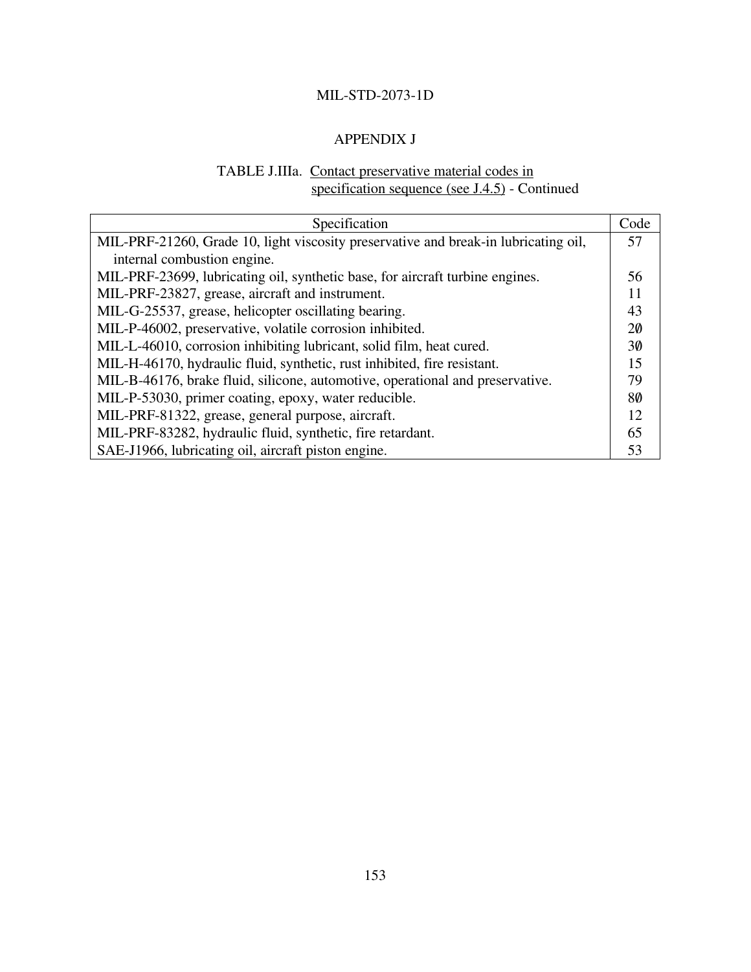## APPENDIX J

# TABLE J.IIIa. Contact preservative material codes in specification sequence (see J.4.5) - Continued

| Specification                                                                       | Code |
|-------------------------------------------------------------------------------------|------|
| MIL-PRF-21260, Grade 10, light viscosity preservative and break-in lubricating oil, | 57   |
| internal combustion engine.                                                         |      |
| MIL-PRF-23699, lubricating oil, synthetic base, for aircraft turbine engines.       | 56   |
| MIL-PRF-23827, grease, aircraft and instrument.                                     |      |
| MIL-G-25537, grease, helicopter oscillating bearing.                                | 43   |
| MIL-P-46002, preservative, volatile corrosion inhibited.                            | 20   |
| MIL-L-46010, corrosion inhibiting lubricant, solid film, heat cured.                | 30   |
| MIL-H-46170, hydraulic fluid, synthetic, rust inhibited, fire resistant.            | 15   |
| MIL-B-46176, brake fluid, silicone, automotive, operational and preservative.       | 79   |
| MIL-P-53030, primer coating, epoxy, water reducible.                                | 80   |
| MIL-PRF-81322, grease, general purpose, aircraft.                                   | 12   |
| MIL-PRF-83282, hydraulic fluid, synthetic, fire retardant.                          | 65   |
| SAE-J1966, lubricating oil, aircraft piston engine.                                 |      |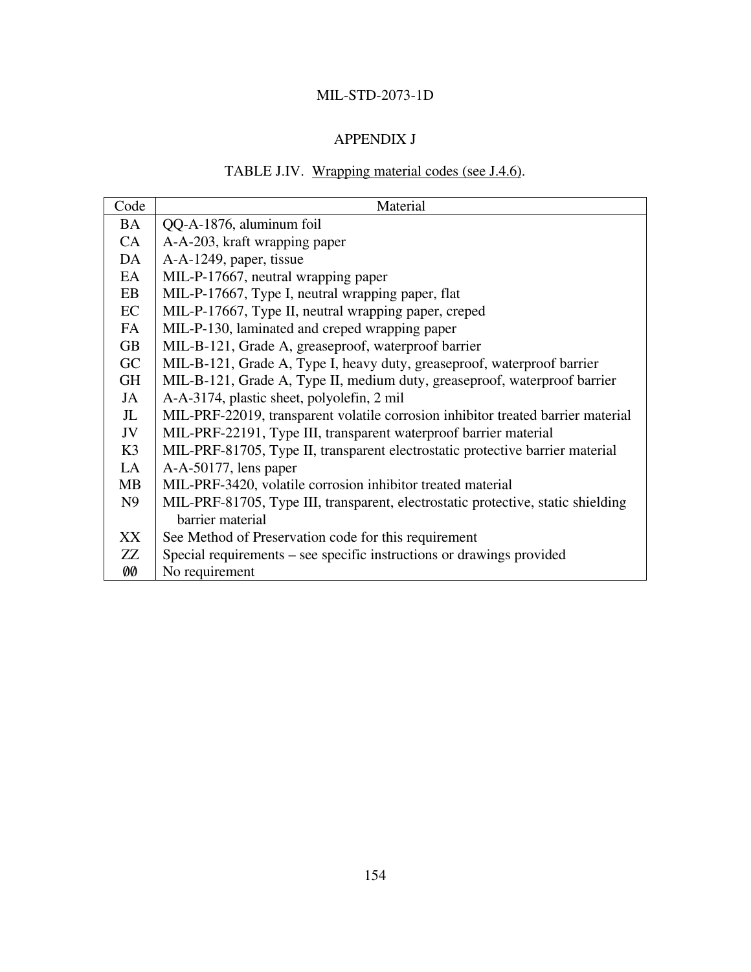# APPENDIX J

# TABLE J.IV. Wrapping material codes (see J.4.6).

| Code           | Material                                                                         |
|----------------|----------------------------------------------------------------------------------|
| <b>BA</b>      | QQ-A-1876, aluminum foil                                                         |
| CA             | A-A-203, kraft wrapping paper                                                    |
| DA             | A-A-1249, paper, tissue                                                          |
| EA             | MIL-P-17667, neutral wrapping paper                                              |
| EB             | MIL-P-17667, Type I, neutral wrapping paper, flat                                |
| EC             | MIL-P-17667, Type II, neutral wrapping paper, creped                             |
| FA             | MIL-P-130, laminated and creped wrapping paper                                   |
| <b>GB</b>      | MIL-B-121, Grade A, greaseproof, waterproof barrier                              |
| GC             | MIL-B-121, Grade A, Type I, heavy duty, greaseproof, waterproof barrier          |
| <b>GH</b>      | MIL-B-121, Grade A, Type II, medium duty, greaseproof, waterproof barrier        |
| JA             | A-A-3174, plastic sheet, polyolefin, 2 mil                                       |
| $J_{\rm L}$    | MIL-PRF-22019, transparent volatile corrosion inhibitor treated barrier material |
| JV             | MIL-PRF-22191, Type III, transparent waterproof barrier material                 |
| K3             | MIL-PRF-81705, Type II, transparent electrostatic protective barrier material    |
| LA             | A-A-50177, lens paper                                                            |
| <b>MB</b>      | MIL-PRF-3420, volatile corrosion inhibitor treated material                      |
| N <sub>9</sub> | MIL-PRF-81705, Type III, transparent, electrostatic protective, static shielding |
|                | barrier material                                                                 |
| XX             | See Method of Preservation code for this requirement                             |
| ZZ             | Special requirements – see specific instructions or drawings provided            |
| ØØ             | No requirement                                                                   |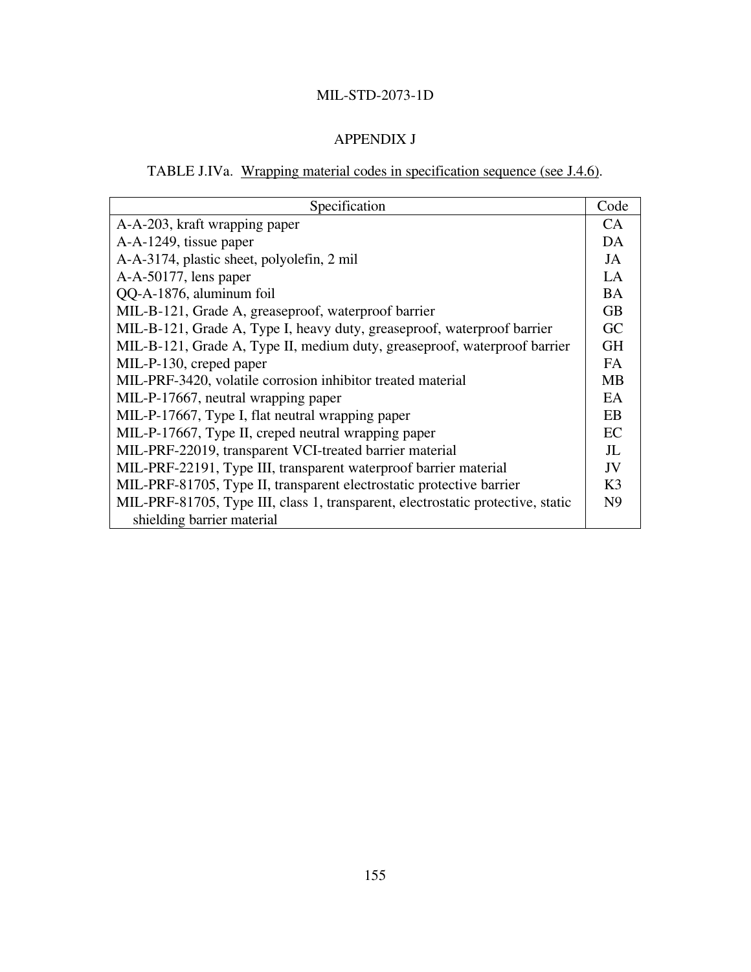# APPENDIX J

# TABLE J.IVa. Wrapping material codes in specification sequence (see J.4.6).

| Specification                                                                   | Code           |
|---------------------------------------------------------------------------------|----------------|
| A-A-203, kraft wrapping paper                                                   | CA.            |
| A-A-1249, tissue paper                                                          | DA             |
| A-A-3174, plastic sheet, polyolefin, 2 mil                                      | JA             |
| A-A-50177, lens paper                                                           | LA             |
| QQ-A-1876, aluminum foil                                                        | <b>BA</b>      |
| MIL-B-121, Grade A, greaseproof, waterproof barrier                             | <b>GB</b>      |
| MIL-B-121, Grade A, Type I, heavy duty, greaseproof, waterproof barrier         | GC             |
| MIL-B-121, Grade A, Type II, medium duty, greaseproof, waterproof barrier       | <b>GH</b>      |
| MIL-P-130, creped paper                                                         | FA.            |
| MIL-PRF-3420, volatile corrosion inhibitor treated material                     | <b>MB</b>      |
| MIL-P-17667, neutral wrapping paper                                             | EA             |
| MIL-P-17667, Type I, flat neutral wrapping paper                                | EB             |
| MIL-P-17667, Type II, creped neutral wrapping paper                             | EC             |
| MIL-PRF-22019, transparent VCI-treated barrier material                         | $_{\rm IL}$    |
| MIL-PRF-22191, Type III, transparent waterproof barrier material                | JV             |
| MIL-PRF-81705, Type II, transparent electrostatic protective barrier            | K3             |
| MIL-PRF-81705, Type III, class 1, transparent, electrostatic protective, static | N <sub>9</sub> |
| shielding barrier material                                                      |                |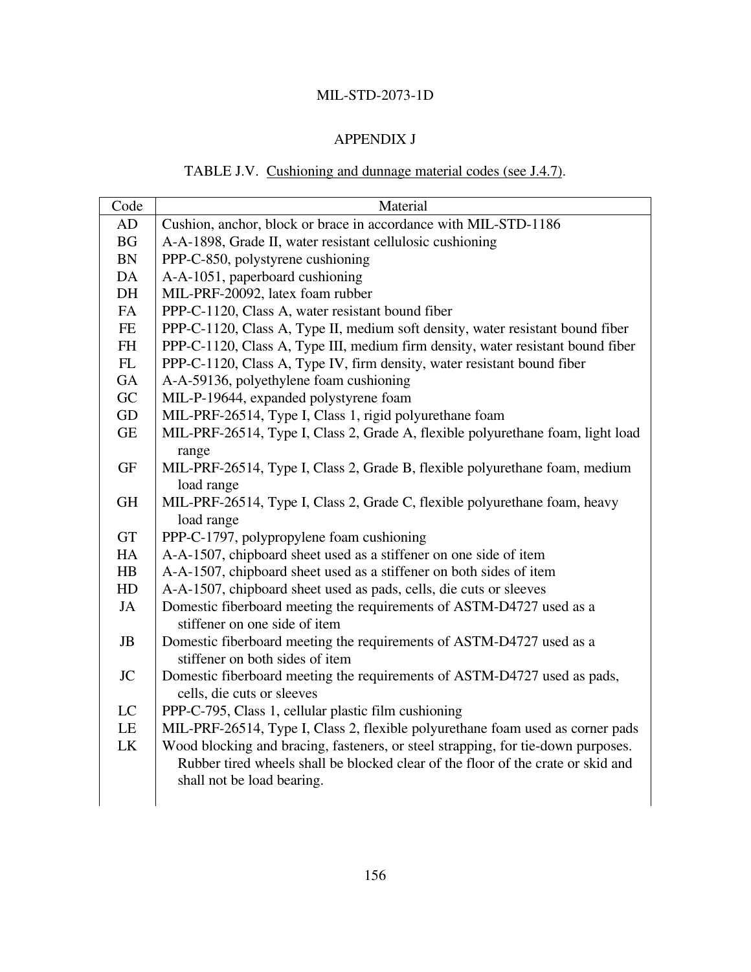# APPENDIX J

# TABLE J.V. Cushioning and dunnage material codes (see J.4.7).

| Code       | Material                                                                         |
|------------|----------------------------------------------------------------------------------|
| AD         | Cushion, anchor, block or brace in accordance with MIL-STD-1186                  |
| <b>BG</b>  | A-A-1898, Grade II, water resistant cellulosic cushioning                        |
| BN         | PPP-C-850, polystyrene cushioning                                                |
| DA         | A-A-1051, paperboard cushioning                                                  |
| DH         | MIL-PRF-20092, latex foam rubber                                                 |
| FA         | PPP-C-1120, Class A, water resistant bound fiber                                 |
| $\rm FE$   | PPP-C-1120, Class A, Type II, medium soft density, water resistant bound fiber   |
| <b>FH</b>  | PPP-C-1120, Class A, Type III, medium firm density, water resistant bound fiber  |
| ${\rm FL}$ | PPP-C-1120, Class A, Type IV, firm density, water resistant bound fiber          |
| <b>GA</b>  | A-A-59136, polyethylene foam cushioning                                          |
| GC         | MIL-P-19644, expanded polystyrene foam                                           |
| GD         | MIL-PRF-26514, Type I, Class 1, rigid polyurethane foam                          |
| <b>GE</b>  | MIL-PRF-26514, Type I, Class 2, Grade A, flexible polyurethane foam, light load  |
|            | range                                                                            |
| <b>GF</b>  | MIL-PRF-26514, Type I, Class 2, Grade B, flexible polyurethane foam, medium      |
|            | load range                                                                       |
| <b>GH</b>  | MIL-PRF-26514, Type I, Class 2, Grade C, flexible polyurethane foam, heavy       |
|            | load range                                                                       |
| <b>GT</b>  | PPP-C-1797, polypropylene foam cushioning                                        |
| HA         | A-A-1507, chipboard sheet used as a stiffener on one side of item                |
| HB         | A-A-1507, chipboard sheet used as a stiffener on both sides of item              |
| HD         | A-A-1507, chipboard sheet used as pads, cells, die cuts or sleeves               |
| JA         | Domestic fiberboard meeting the requirements of ASTM-D4727 used as a             |
|            | stiffener on one side of item                                                    |
| JB         | Domestic fiberboard meeting the requirements of ASTM-D4727 used as a             |
|            | stiffener on both sides of item                                                  |
| <b>JC</b>  | Domestic fiberboard meeting the requirements of ASTM-D4727 used as pads,         |
|            | cells, die cuts or sleeves                                                       |
| LC         | PPP-C-795, Class 1, cellular plastic film cushioning                             |
| LE         | MIL-PRF-26514, Type I, Class 2, flexible polyurethane foam used as corner pads   |
| LK         | Wood blocking and bracing, fasteners, or steel strapping, for tie-down purposes. |
|            | Rubber tired wheels shall be blocked clear of the floor of the crate or skid and |
|            | shall not be load bearing.                                                       |
|            |                                                                                  |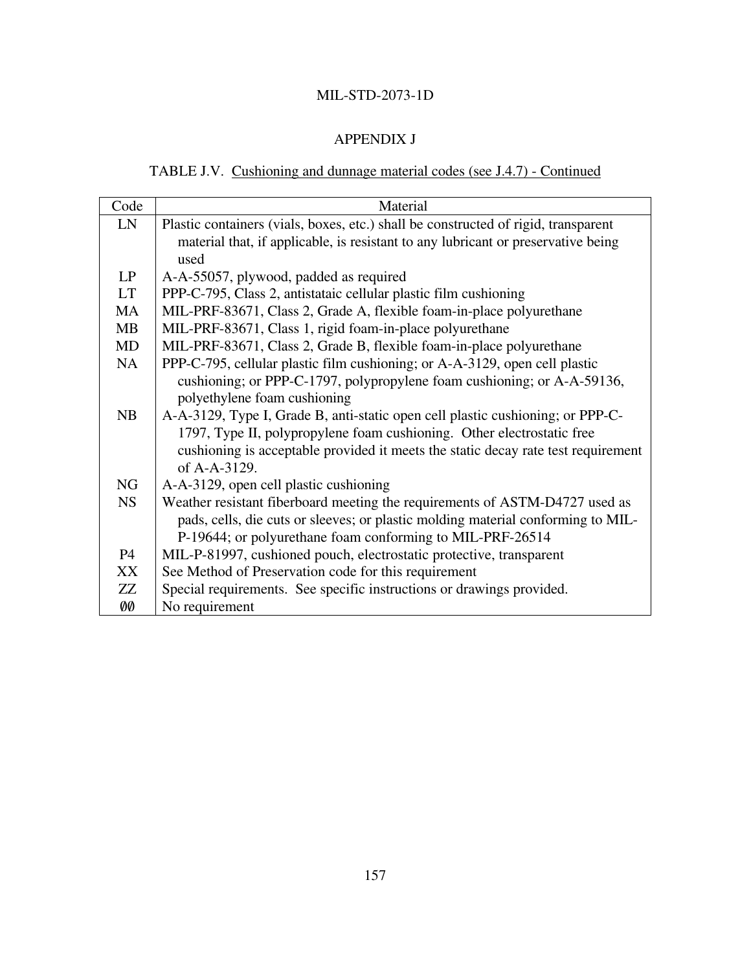# APPENDIX J

# TABLE J.V. Cushioning and dunnage material codes (see J.4.7) - Continued

| Code      | Material                                                                           |
|-----------|------------------------------------------------------------------------------------|
| LN        | Plastic containers (vials, boxes, etc.) shall be constructed of rigid, transparent |
|           | material that, if applicable, is resistant to any lubricant or preservative being  |
|           | used                                                                               |
| LP        | A-A-55057, plywood, padded as required                                             |
| <b>LT</b> | PPP-C-795, Class 2, antistataic cellular plastic film cushioning                   |
| <b>MA</b> | MIL-PRF-83671, Class 2, Grade A, flexible foam-in-place polyurethane               |
| MB        | MIL-PRF-83671, Class 1, rigid foam-in-place polyurethane                           |
| MD        | MIL-PRF-83671, Class 2, Grade B, flexible foam-in-place polyurethane               |
| <b>NA</b> | PPP-C-795, cellular plastic film cushioning; or A-A-3129, open cell plastic        |
|           | cushioning; or PPP-C-1797, polypropylene foam cushioning; or A-A-59136,            |
|           | polyethylene foam cushioning                                                       |
| NB        | A-A-3129, Type I, Grade B, anti-static open cell plastic cushioning; or PPP-C-     |
|           | 1797, Type II, polypropylene foam cushioning. Other electrostatic free             |
|           | cushioning is acceptable provided it meets the static decay rate test requirement  |
|           | of A-A-3129.                                                                       |
| <b>NG</b> | A-A-3129, open cell plastic cushioning                                             |
| <b>NS</b> | Weather resistant fiberboard meeting the requirements of ASTM-D4727 used as        |
|           | pads, cells, die cuts or sleeves; or plastic molding material conforming to MIL-   |
|           | P-19644; or polyurethane foam conforming to MIL-PRF-26514                          |
| <b>P4</b> | MIL-P-81997, cushioned pouch, electrostatic protective, transparent                |
| XX        | See Method of Preservation code for this requirement                               |
| ZZ        | Special requirements. See specific instructions or drawings provided.              |
| ØØ        | No requirement                                                                     |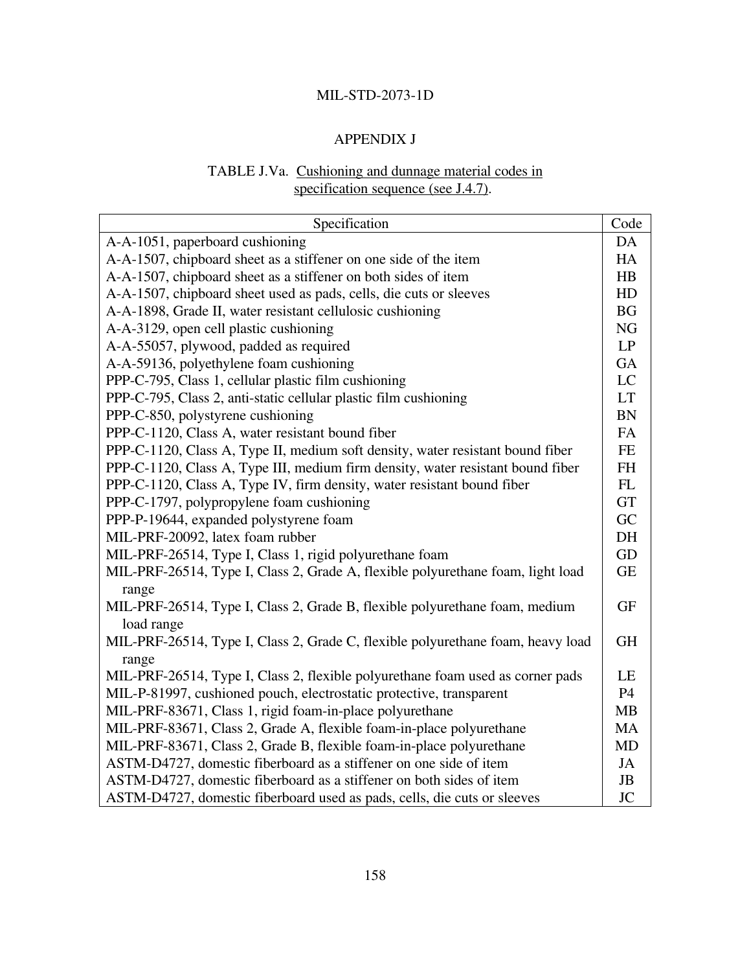## APPENDIX J

# TABLE J.Va. Cushioning and dunnage material codes in specification sequence (see J.4.7).

| Specification                                                                   | Code      |
|---------------------------------------------------------------------------------|-----------|
| A-A-1051, paperboard cushioning                                                 | DA        |
| A-A-1507, chipboard sheet as a stiffener on one side of the item                | HA        |
| A-A-1507, chipboard sheet as a stiffener on both sides of item                  | HB        |
| A-A-1507, chipboard sheet used as pads, cells, die cuts or sleeves              | HD        |
| A-A-1898, Grade II, water resistant cellulosic cushioning                       | <b>BG</b> |
| A-A-3129, open cell plastic cushioning                                          | <b>NG</b> |
| A-A-55057, plywood, padded as required                                          | LP        |
| A-A-59136, polyethylene foam cushioning                                         | <b>GA</b> |
| PPP-C-795, Class 1, cellular plastic film cushioning                            | LC        |
| PPP-C-795, Class 2, anti-static cellular plastic film cushioning                | <b>LT</b> |
| PPP-C-850, polystyrene cushioning                                               | <b>BN</b> |
| PPP-C-1120, Class A, water resistant bound fiber                                | <b>FA</b> |
| PPP-C-1120, Class A, Type II, medium soft density, water resistant bound fiber  | $FE$      |
| PPP-C-1120, Class A, Type III, medium firm density, water resistant bound fiber | <b>FH</b> |
| PPP-C-1120, Class A, Type IV, firm density, water resistant bound fiber         | FL        |
| PPP-C-1797, polypropylene foam cushioning                                       | <b>GT</b> |
| PPP-P-19644, expanded polystyrene foam                                          | GC        |
| MIL-PRF-20092, latex foam rubber                                                | DH        |
| MIL-PRF-26514, Type I, Class 1, rigid polyurethane foam                         | <b>GD</b> |
| MIL-PRF-26514, Type I, Class 2, Grade A, flexible polyurethane foam, light load | <b>GE</b> |
| range                                                                           |           |
| MIL-PRF-26514, Type I, Class 2, Grade B, flexible polyurethane foam, medium     | <b>GF</b> |
| load range                                                                      |           |
| MIL-PRF-26514, Type I, Class 2, Grade C, flexible polyurethane foam, heavy load | <b>GH</b> |
| range                                                                           |           |
| MIL-PRF-26514, Type I, Class 2, flexible polyurethane foam used as corner pads  | LE        |
| MIL-P-81997, cushioned pouch, electrostatic protective, transparent             | P4        |
| MIL-PRF-83671, Class 1, rigid foam-in-place polyurethane                        | <b>MB</b> |
| MIL-PRF-83671, Class 2, Grade A, flexible foam-in-place polyurethane            | <b>MA</b> |
| MIL-PRF-83671, Class 2, Grade B, flexible foam-in-place polyurethane            | <b>MD</b> |
| ASTM-D4727, domestic fiberboard as a stiffener on one side of item              | JA        |
| ASTM-D4727, domestic fiberboard as a stiffener on both sides of item            | <b>JB</b> |
| ASTM-D4727, domestic fiberboard used as pads, cells, die cuts or sleeves        | JC        |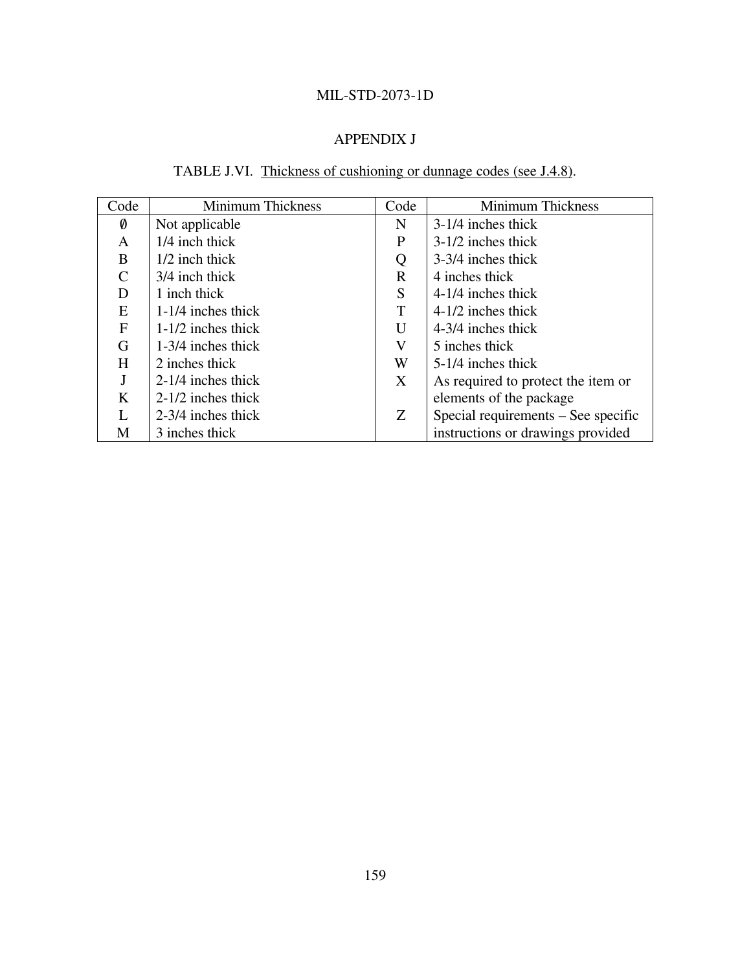# APPENDIX J

# TABLE J.VI. Thickness of cushioning or dunnage codes (see J.4.8).

| Code          | <b>Minimum Thickness</b> | Code         | <b>Minimum Thickness</b>            |
|---------------|--------------------------|--------------|-------------------------------------|
| Ø             | Not applicable           | N            | 3-1/4 inches thick                  |
| A             | 1/4 inch thick           | P            | $3-1/2$ inches thick                |
| B             | $1/2$ inch thick         | Q            | 3-3/4 inches thick                  |
| $\mathcal{C}$ | 3/4 inch thick           | $\mathbf{R}$ | 4 inches thick                      |
| D             | 1 inch thick             | S            | 4-1/4 inches thick                  |
| E             | $1-1/4$ inches thick     | T            | $4-1/2$ inches thick                |
| $\mathbf{F}$  | $1-1/2$ inches thick     | U            | 4-3/4 inches thick                  |
| G             | 1-3/4 inches thick       | V            | 5 inches thick                      |
| H             | 2 inches thick           | W            | 5-1/4 inches thick                  |
| J             | $2-1/4$ inches thick     | X            | As required to protect the item or  |
| K             | $2-1/2$ inches thick     |              | elements of the package             |
|               | 2-3/4 inches thick       | Z            | Special requirements – See specific |
| М             | 3 inches thick           |              | instructions or drawings provided   |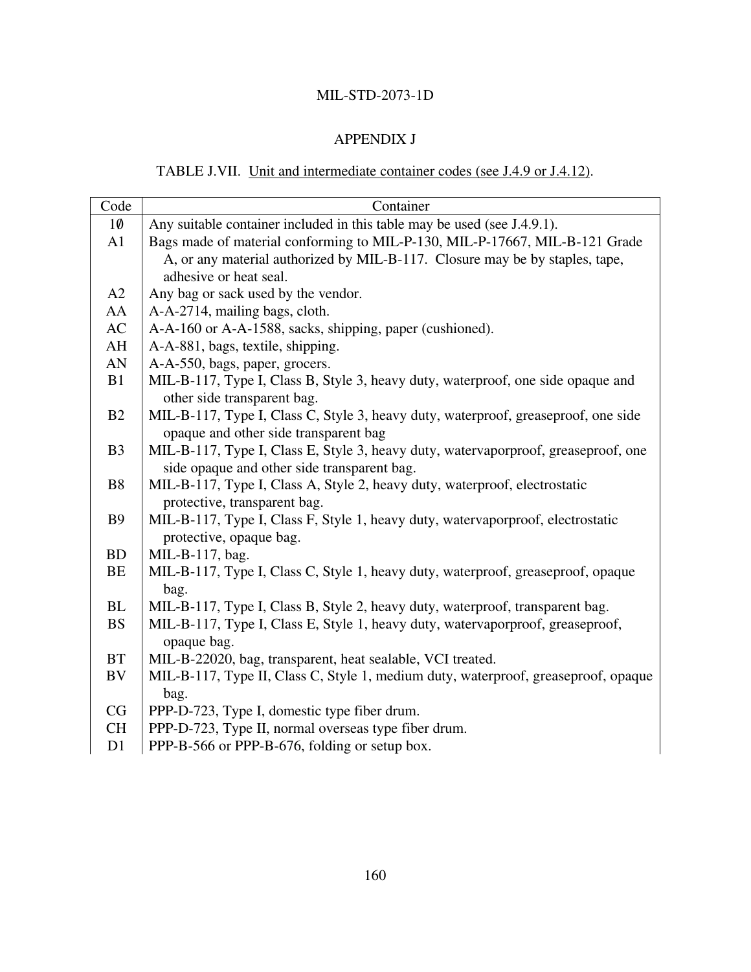# APPENDIX J

# TABLE J.VII. Unit and intermediate container codes (see J.4.9 or J.4.12).

| Code            | Container                                                                                     |
|-----------------|-----------------------------------------------------------------------------------------------|
| 10              | Any suitable container included in this table may be used (see J.4.9.1).                      |
| A1              | Bags made of material conforming to MIL-P-130, MIL-P-17667, MIL-B-121 Grade                   |
|                 | A, or any material authorized by MIL-B-117. Closure may be by staples, tape,                  |
|                 | adhesive or heat seal.                                                                        |
| A2              | Any bag or sack used by the vendor.                                                           |
| AA              | A-A-2714, mailing bags, cloth.                                                                |
| AC              | A-A-160 or A-A-1588, sacks, shipping, paper (cushioned).                                      |
| AH              | A-A-881, bags, textile, shipping.                                                             |
| AN              | A-A-550, bags, paper, grocers.                                                                |
| B1              | MIL-B-117, Type I, Class B, Style 3, heavy duty, waterproof, one side opaque and              |
|                 | other side transparent bag.                                                                   |
| B2              | MIL-B-117, Type I, Class C, Style 3, heavy duty, waterproof, greaseproof, one side            |
|                 | opaque and other side transparent bag                                                         |
| B <sub>3</sub>  | MIL-B-117, Type I, Class E, Style 3, heavy duty, watervaporproof, greaseproof, one            |
|                 | side opaque and other side transparent bag.                                                   |
| <b>B8</b>       | MIL-B-117, Type I, Class A, Style 2, heavy duty, waterproof, electrostatic                    |
|                 | protective, transparent bag.                                                                  |
| <b>B9</b>       | MIL-B-117, Type I, Class F, Style 1, heavy duty, watervaporproof, electrostatic               |
|                 | protective, opaque bag.                                                                       |
| <b>BD</b>       | MIL-B-117, bag.                                                                               |
| $\rm BE$        | MIL-B-117, Type I, Class C, Style 1, heavy duty, waterproof, greaseproof, opaque              |
|                 | bag.                                                                                          |
| BL<br><b>BS</b> | MIL-B-117, Type I, Class B, Style 2, heavy duty, waterproof, transparent bag.                 |
|                 | MIL-B-117, Type I, Class E, Style 1, heavy duty, watervaporproof, greaseproof,<br>opaque bag. |
| BT              | MIL-B-22020, bag, transparent, heat sealable, VCI treated.                                    |
| $\rm BV$        | MIL-B-117, Type II, Class C, Style 1, medium duty, waterproof, greaseproof, opaque            |
|                 | bag.                                                                                          |
| CG              | PPP-D-723, Type I, domestic type fiber drum.                                                  |
| CH              | PPP-D-723, Type II, normal overseas type fiber drum.                                          |
| D1              | PPP-B-566 or PPP-B-676, folding or setup box.                                                 |
|                 |                                                                                               |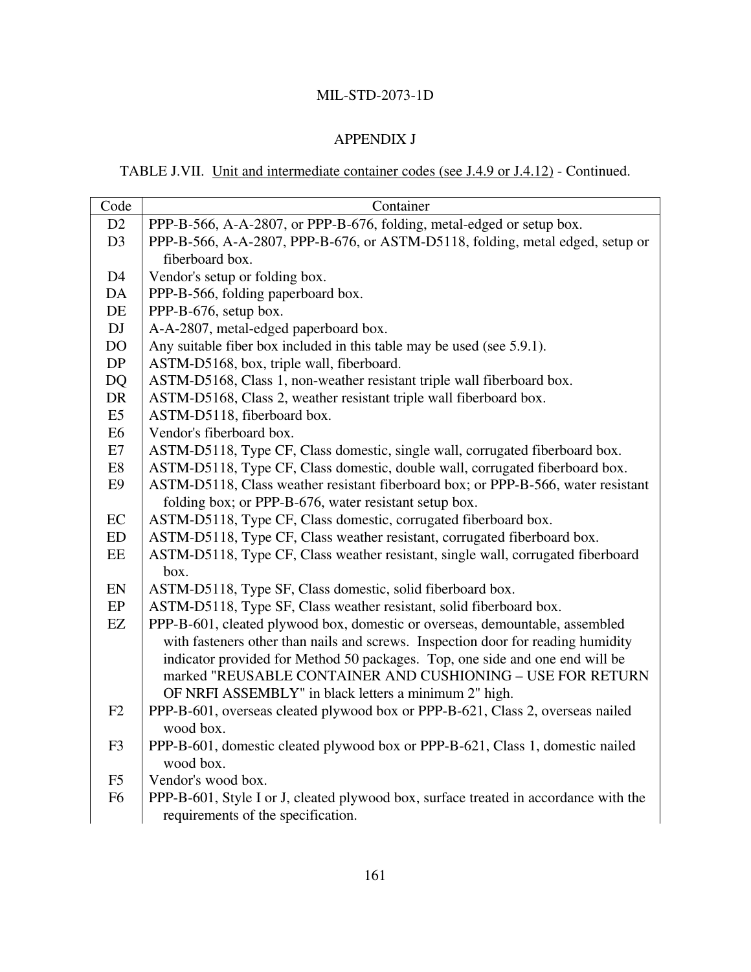#### APPENDIX J

| Code              | Container                                                                                   |
|-------------------|---------------------------------------------------------------------------------------------|
| D2                | PPP-B-566, A-A-2807, or PPP-B-676, folding, metal-edged or setup box.                       |
| D <sub>3</sub>    | PPP-B-566, A-A-2807, PPP-B-676, or ASTM-D5118, folding, metal edged, setup or               |
|                   | fiberboard box.                                                                             |
| D <sub>4</sub>    | Vendor's setup or folding box.                                                              |
| DA                | PPP-B-566, folding paperboard box.                                                          |
| DE                | PPP-B-676, setup box.                                                                       |
| <b>DJ</b>         | A-A-2807, metal-edged paperboard box.                                                       |
| DO                | Any suitable fiber box included in this table may be used (see 5.9.1).                      |
| DP                | ASTM-D5168, box, triple wall, fiberboard.                                                   |
| DQ                | ASTM-D5168, Class 1, non-weather resistant triple wall fiberboard box.                      |
| DR                | ASTM-D5168, Class 2, weather resistant triple wall fiberboard box.                          |
| E <sub>5</sub>    | ASTM-D5118, fiberboard box.                                                                 |
| E <sub>6</sub>    | Vendor's fiberboard box.                                                                    |
| E7                | ASTM-D5118, Type CF, Class domestic, single wall, corrugated fiberboard box.                |
| $\rm E8$          | ASTM-D5118, Type CF, Class domestic, double wall, corrugated fiberboard box.                |
| E9                | ASTM-D5118, Class weather resistant fiberboard box; or PPP-B-566, water resistant           |
|                   | folding box; or PPP-B-676, water resistant setup box.                                       |
| $\rm EC$          | ASTM-D5118, Type CF, Class domestic, corrugated fiberboard box.                             |
| ED                | ASTM-D5118, Type CF, Class weather resistant, corrugated fiberboard box.                    |
| EE                | ASTM-D5118, Type CF, Class weather resistant, single wall, corrugated fiberboard            |
|                   | box.                                                                                        |
| EN                | ASTM-D5118, Type SF, Class domestic, solid fiberboard box.                                  |
| $\rm EP$          | ASTM-D5118, Type SF, Class weather resistant, solid fiberboard box.                         |
| $\mathop{\rm EZ}$ | PPP-B-601, cleated plywood box, domestic or overseas, demountable, assembled                |
|                   | with fasteners other than nails and screws. Inspection door for reading humidity            |
|                   | indicator provided for Method 50 packages. Top, one side and one end will be                |
|                   | marked "REUSABLE CONTAINER AND CUSHIONING - USE FOR RETURN                                  |
|                   | OF NRFI ASSEMBLY" in black letters a minimum 2" high.                                       |
| F2                | PPP-B-601, overseas cleated plywood box or PPP-B-621, Class 2, overseas nailed<br>wood box. |
| F <sub>3</sub>    | PPP-B-601, domestic cleated plywood box or PPP-B-621, Class 1, domestic nailed              |
|                   | wood box.                                                                                   |
| F <sub>5</sub>    | Vendor's wood box.                                                                          |
| F <sub>6</sub>    | PPP-B-601, Style I or J, cleated plywood box, surface treated in accordance with the        |
|                   | requirements of the specification.                                                          |
|                   |                                                                                             |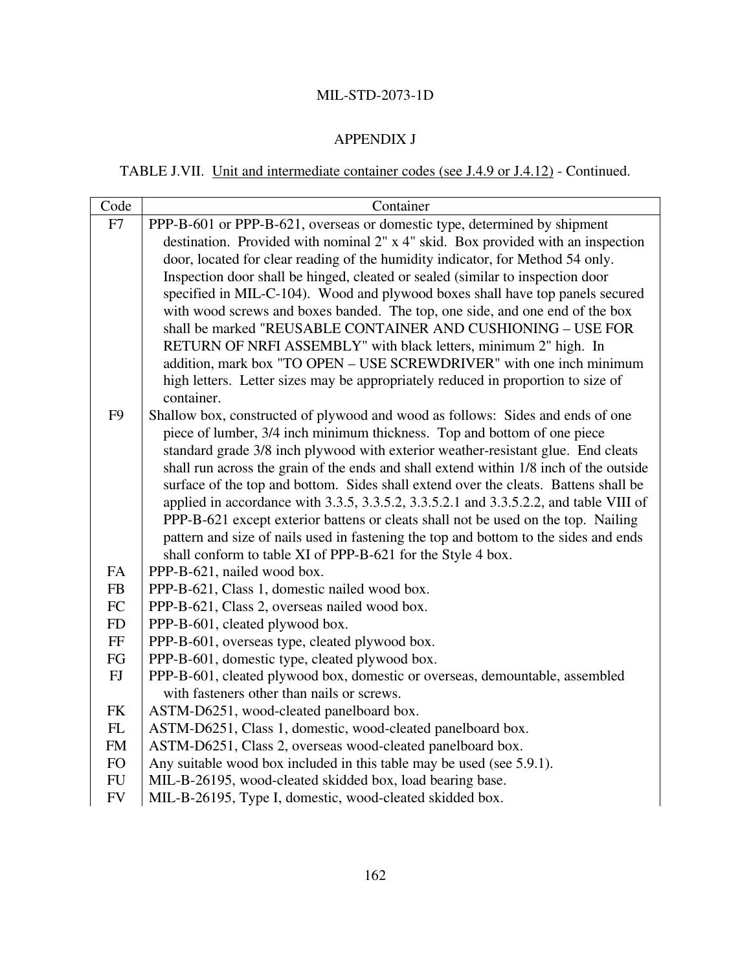# APPENDIX J

| Code           | Container                                                                                                                                                    |
|----------------|--------------------------------------------------------------------------------------------------------------------------------------------------------------|
| F7             | PPP-B-601 or PPP-B-621, overseas or domestic type, determined by shipment                                                                                    |
|                | destination. Provided with nominal 2" x 4" skid. Box provided with an inspection                                                                             |
|                | door, located for clear reading of the humidity indicator, for Method 54 only.                                                                               |
|                | Inspection door shall be hinged, cleated or sealed (similar to inspection door                                                                               |
|                | specified in MIL-C-104). Wood and plywood boxes shall have top panels secured                                                                                |
|                | with wood screws and boxes banded. The top, one side, and one end of the box                                                                                 |
|                | shall be marked "REUSABLE CONTAINER AND CUSHIONING - USE FOR                                                                                                 |
|                | RETURN OF NRFI ASSEMBLY" with black letters, minimum 2" high. In                                                                                             |
|                | addition, mark box "TO OPEN - USE SCREWDRIVER" with one inch minimum                                                                                         |
|                | high letters. Letter sizes may be appropriately reduced in proportion to size of                                                                             |
|                | container.                                                                                                                                                   |
| F <sub>9</sub> | Shallow box, constructed of plywood and wood as follows: Sides and ends of one                                                                               |
|                | piece of lumber, 3/4 inch minimum thickness. Top and bottom of one piece<br>standard grade 3/8 inch plywood with exterior weather-resistant glue. End cleats |
|                | shall run across the grain of the ends and shall extend within 1/8 inch of the outside                                                                       |
|                | surface of the top and bottom. Sides shall extend over the cleats. Battens shall be                                                                          |
|                | applied in accordance with 3.3.5, 3.3.5.2, 3.3.5.2.1 and 3.3.5.2.2, and table VIII of                                                                        |
|                | PPP-B-621 except exterior battens or cleats shall not be used on the top. Nailing                                                                            |
|                | pattern and size of nails used in fastening the top and bottom to the sides and ends                                                                         |
|                | shall conform to table XI of PPP-B-621 for the Style 4 box.                                                                                                  |
| <b>FA</b>      | PPP-B-621, nailed wood box.                                                                                                                                  |
| ${\rm FB}$     | PPP-B-621, Class 1, domestic nailed wood box.                                                                                                                |
| ${\rm FC}$     | PPP-B-621, Class 2, overseas nailed wood box.                                                                                                                |
| FD             | PPP-B-601, cleated plywood box.                                                                                                                              |
| $\rm FF$       | PPP-B-601, overseas type, cleated plywood box.                                                                                                               |
| ${\rm FG}$     | PPP-B-601, domestic type, cleated plywood box.                                                                                                               |
| ${\rm FJ}$     | PPP-B-601, cleated plywood box, domestic or overseas, demountable, assembled                                                                                 |
|                | with fasteners other than nails or screws.                                                                                                                   |
| ${\rm FK}$     | ASTM-D6251, wood-cleated panelboard box.                                                                                                                     |
| ${\rm FL}$     | ASTM-D6251, Class 1, domestic, wood-cleated panelboard box.                                                                                                  |
| FM             | ASTM-D6251, Class 2, overseas wood-cleated panelboard box.                                                                                                   |
| <b>FO</b>      | Any suitable wood box included in this table may be used (see 5.9.1).                                                                                        |
| ${\rm FU}$     | MIL-B-26195, wood-cleated skidded box, load bearing base.                                                                                                    |
| ${\rm FV}$     | MIL-B-26195, Type I, domestic, wood-cleated skidded box.                                                                                                     |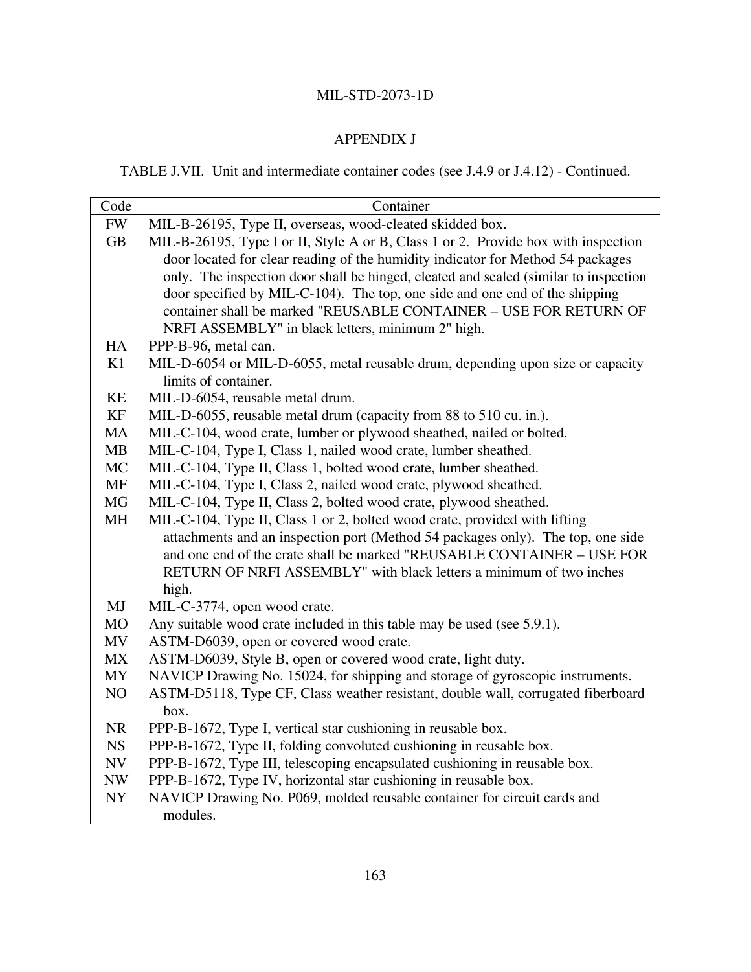# APPENDIX J

| Code            | Container                                                                                               |
|-----------------|---------------------------------------------------------------------------------------------------------|
| <b>FW</b>       | MIL-B-26195, Type II, overseas, wood-cleated skidded box.                                               |
| GB              | MIL-B-26195, Type I or II, Style A or B, Class 1 or 2. Provide box with inspection                      |
|                 | door located for clear reading of the humidity indicator for Method 54 packages                         |
|                 | only. The inspection door shall be hinged, cleated and sealed (similar to inspection                    |
|                 | door specified by MIL-C-104). The top, one side and one end of the shipping                             |
|                 | container shall be marked "REUSABLE CONTAINER - USE FOR RETURN OF                                       |
|                 | NRFI ASSEMBLY" in black letters, minimum 2" high.                                                       |
| HA              | PPP-B-96, metal can.                                                                                    |
| K1              | MIL-D-6054 or MIL-D-6055, metal reusable drum, depending upon size or capacity                          |
|                 | limits of container.                                                                                    |
| KE              | MIL-D-6054, reusable metal drum.                                                                        |
| KF              | MIL-D-6055, reusable metal drum (capacity from 88 to 510 cu. in.).                                      |
| <b>MA</b>       | MIL-C-104, wood crate, lumber or plywood sheathed, nailed or bolted.                                    |
| MB              | MIL-C-104, Type I, Class 1, nailed wood crate, lumber sheathed.                                         |
| <b>MC</b>       | MIL-C-104, Type II, Class 1, bolted wood crate, lumber sheathed.                                        |
| MF              | MIL-C-104, Type I, Class 2, nailed wood crate, plywood sheathed.                                        |
| MG              | MIL-C-104, Type II, Class 2, bolted wood crate, plywood sheathed.                                       |
| <b>MH</b>       | MIL-C-104, Type II, Class 1 or 2, bolted wood crate, provided with lifting                              |
|                 | attachments and an inspection port (Method 54 packages only). The top, one side                         |
|                 | and one end of the crate shall be marked "REUSABLE CONTAINER - USE FOR                                  |
|                 | RETURN OF NRFI ASSEMBLY" with black letters a minimum of two inches                                     |
|                 | high.                                                                                                   |
| MJ              | MIL-C-3774, open wood crate.                                                                            |
| MO<br><b>MV</b> | Any suitable wood crate included in this table may be used (see 5.9.1).                                 |
| <b>MX</b>       | ASTM-D6039, open or covered wood crate.<br>ASTM-D6039, Style B, open or covered wood crate, light duty. |
| <b>MY</b>       | NAVICP Drawing No. 15024, for shipping and storage of gyroscopic instruments.                           |
| NO              | ASTM-D5118, Type CF, Class weather resistant, double wall, corrugated fiberboard                        |
|                 | box.                                                                                                    |
| <b>NR</b>       | PPP-B-1672, Type I, vertical star cushioning in reusable box.                                           |
| <b>NS</b>       | PPP-B-1672, Type II, folding convoluted cushioning in reusable box.                                     |
| NV              | PPP-B-1672, Type III, telescoping encapsulated cushioning in reusable box.                              |
| <b>NW</b>       | PPP-B-1672, Type IV, horizontal star cushioning in reusable box.                                        |
| ${\rm NY}$      | NAVICP Drawing No. P069, molded reusable container for circuit cards and                                |
|                 | modules.                                                                                                |
|                 |                                                                                                         |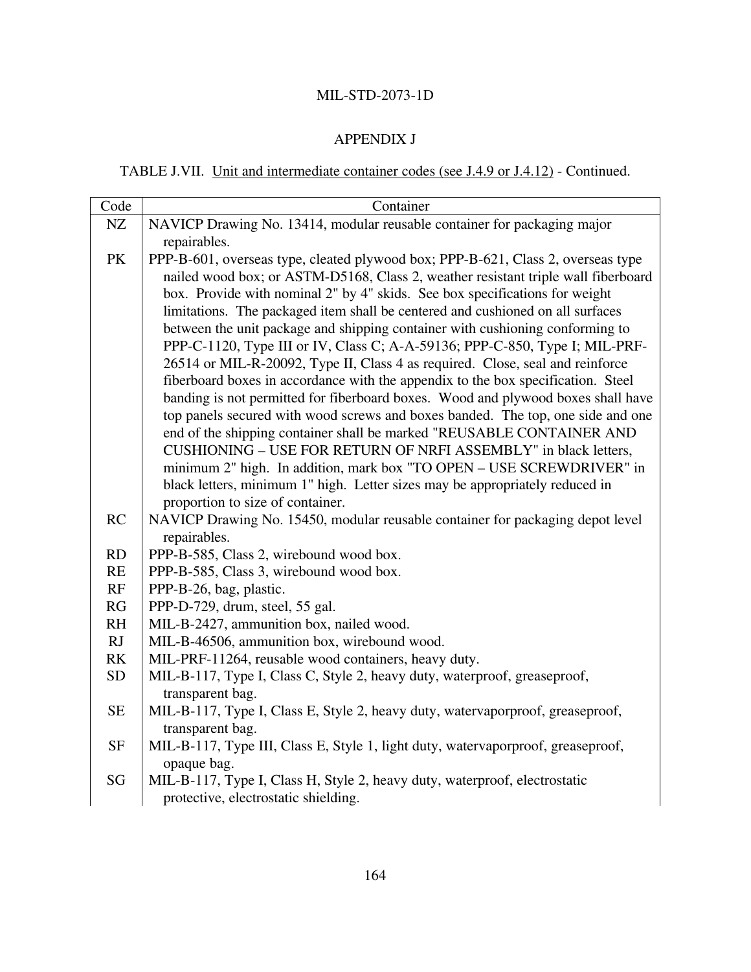# APPENDIX J

| Code           | Container                                                                                                                                                |
|----------------|----------------------------------------------------------------------------------------------------------------------------------------------------------|
| NZ             | NAVICP Drawing No. 13414, modular reusable container for packaging major                                                                                 |
|                | repairables.                                                                                                                                             |
| PK             | PPP-B-601, overseas type, cleated plywood box; PPP-B-621, Class 2, overseas type                                                                         |
|                | nailed wood box; or ASTM-D5168, Class 2, weather resistant triple wall fiberboard                                                                        |
|                | box. Provide with nominal 2" by 4" skids. See box specifications for weight                                                                              |
|                | limitations. The packaged item shall be centered and cushioned on all surfaces                                                                           |
|                | between the unit package and shipping container with cushioning conforming to                                                                            |
|                | PPP-C-1120, Type III or IV, Class C; A-A-59136; PPP-C-850, Type I; MIL-PRF-                                                                              |
|                | 26514 or MIL-R-20092, Type II, Class 4 as required. Close, seal and reinforce                                                                            |
|                | fiberboard boxes in accordance with the appendix to the box specification. Steel                                                                         |
|                | banding is not permitted for fiberboard boxes. Wood and plywood boxes shall have                                                                         |
|                | top panels secured with wood screws and boxes banded. The top, one side and one<br>end of the shipping container shall be marked "REUSABLE CONTAINER AND |
|                | CUSHIONING - USE FOR RETURN OF NRFI ASSEMBLY" in black letters,                                                                                          |
|                | minimum 2" high. In addition, mark box "TO OPEN - USE SCREWDRIVER" in                                                                                    |
|                | black letters, minimum 1" high. Letter sizes may be appropriately reduced in                                                                             |
|                | proportion to size of container.                                                                                                                         |
| RC             | NAVICP Drawing No. 15450, modular reusable container for packaging depot level                                                                           |
|                | repairables.                                                                                                                                             |
| RD             | PPP-B-585, Class 2, wirebound wood box.                                                                                                                  |
| RE             | PPP-B-585, Class 3, wirebound wood box.                                                                                                                  |
| RF             | PPP-B-26, bag, plastic.                                                                                                                                  |
| RG             | PPP-D-729, drum, steel, 55 gal.                                                                                                                          |
| RH             | MIL-B-2427, ammunition box, nailed wood.                                                                                                                 |
| RJ             | MIL-B-46506, ammunition box, wirebound wood.                                                                                                             |
| R <sub>K</sub> | MIL-PRF-11264, reusable wood containers, heavy duty.                                                                                                     |
| <b>SD</b>      | MIL-B-117, Type I, Class C, Style 2, heavy duty, waterproof, greaseproof,                                                                                |
|                | transparent bag.                                                                                                                                         |
| <b>SE</b>      | MIL-B-117, Type I, Class E, Style 2, heavy duty, watervaporproof, greaseproof,                                                                           |
|                | transparent bag.                                                                                                                                         |
| <b>SF</b>      | MIL-B-117, Type III, Class E, Style 1, light duty, watervaporproof, greaseproof,                                                                         |
| <b>SG</b>      | opaque bag.<br>MIL-B-117, Type I, Class H, Style 2, heavy duty, waterproof, electrostatic                                                                |
|                | protective, electrostatic shielding.                                                                                                                     |
|                |                                                                                                                                                          |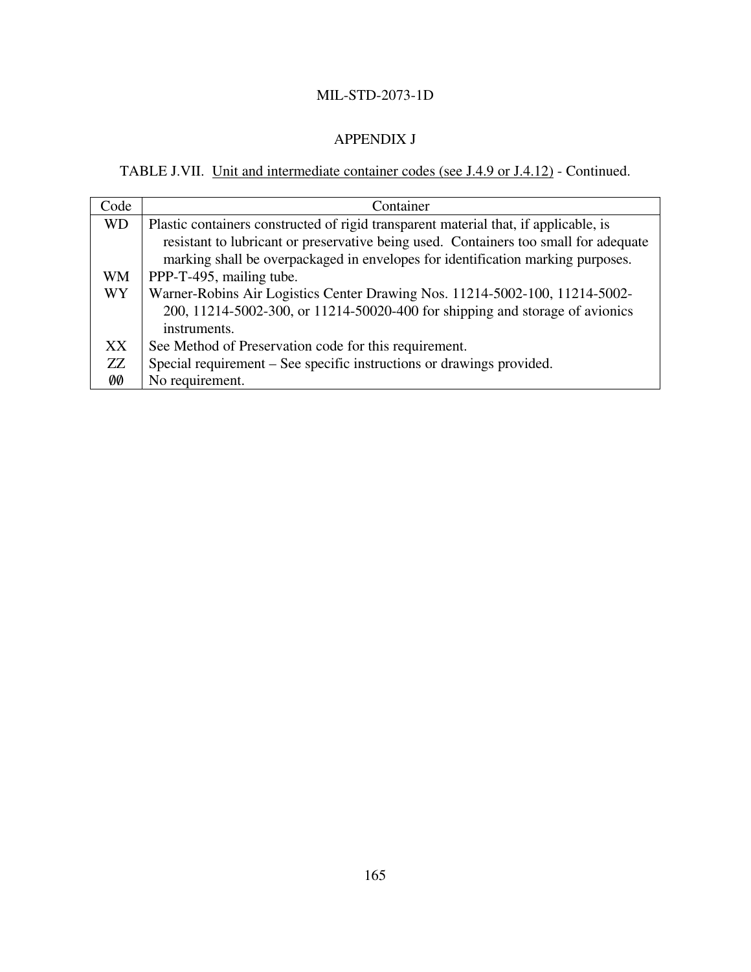# APPENDIX J

| Code           | Container                                                                            |
|----------------|--------------------------------------------------------------------------------------|
| <b>WD</b>      | Plastic containers constructed of rigid transparent material that, if applicable, is |
|                | resistant to lubricant or preservative being used. Containers too small for adequate |
|                | marking shall be overpackaged in envelopes for identification marking purposes.      |
| <b>WM</b>      | PPP-T-495, mailing tube.                                                             |
| WY <sub></sub> | Warner-Robins Air Logistics Center Drawing Nos. 11214-5002-100, 11214-5002-          |
|                | 200, 11214-5002-300, or 11214-50020-400 for shipping and storage of avionics         |
|                | instruments.                                                                         |
| XX             | See Method of Preservation code for this requirement.                                |
| ZZ             | Special requirement – See specific instructions or drawings provided.                |
| ØØ             | No requirement.                                                                      |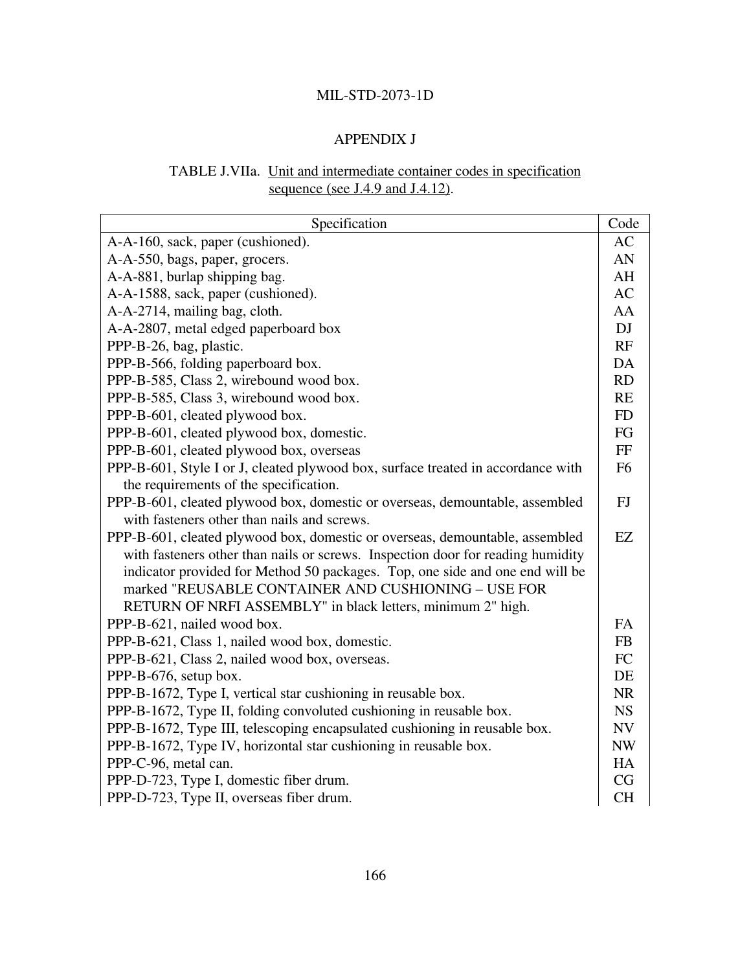### APPENDIX J

#### TABLE J.VIIa. Unit and intermediate container codes in specification sequence (see  $J.4.9$  and  $J.4.12$ ).

| Specification                                                                    | Code           |
|----------------------------------------------------------------------------------|----------------|
| A-A-160, sack, paper (cushioned).                                                | AC             |
| A-A-550, bags, paper, grocers.                                                   | AN             |
| A-A-881, burlap shipping bag.                                                    | AH             |
| A-A-1588, sack, paper (cushioned).                                               | AC             |
| A-A-2714, mailing bag, cloth.                                                    | AA             |
| A-A-2807, metal edged paperboard box                                             | DJ             |
| PPP-B-26, bag, plastic.                                                          | RF             |
| PPP-B-566, folding paperboard box.                                               | DA             |
| PPP-B-585, Class 2, wirebound wood box.                                          | <b>RD</b>      |
| PPP-B-585, Class 3, wirebound wood box.                                          | <b>RE</b>      |
| PPP-B-601, cleated plywood box.                                                  | FD             |
| PPP-B-601, cleated plywood box, domestic.                                        | FG             |
| PPP-B-601, cleated plywood box, overseas                                         | $\rm FF$       |
| PPP-B-601, Style I or J, cleated plywood box, surface treated in accordance with | F <sub>6</sub> |
| the requirements of the specification.                                           |                |
| PPP-B-601, cleated plywood box, domestic or overseas, demountable, assembled     | FJ             |
| with fasteners other than nails and screws.                                      |                |
| PPP-B-601, cleated plywood box, domestic or overseas, demountable, assembled     | <b>EZ</b>      |
| with fasteners other than nails or screws. Inspection door for reading humidity  |                |
| indicator provided for Method 50 packages. Top, one side and one end will be     |                |
| marked "REUSABLE CONTAINER AND CUSHIONING - USE FOR                              |                |
| RETURN OF NRFI ASSEMBLY" in black letters, minimum 2" high.                      |                |
| PPP-B-621, nailed wood box.                                                      | FA             |
| PPP-B-621, Class 1, nailed wood box, domestic.                                   | <b>FB</b>      |
| PPP-B-621, Class 2, nailed wood box, overseas.                                   | FC             |
| PPP-B-676, setup box.                                                            | DE             |
| PPP-B-1672, Type I, vertical star cushioning in reusable box.                    | <b>NR</b>      |
| PPP-B-1672, Type II, folding convoluted cushioning in reusable box.              | <b>NS</b>      |
| PPP-B-1672, Type III, telescoping encapsulated cushioning in reusable box.       | NV             |
| PPP-B-1672, Type IV, horizontal star cushioning in reusable box.                 | <b>NW</b>      |
| PPP-C-96, metal can.                                                             | HA             |
| PPP-D-723, Type I, domestic fiber drum.                                          | CG             |
| PPP-D-723, Type II, overseas fiber drum.                                         | <b>CH</b>      |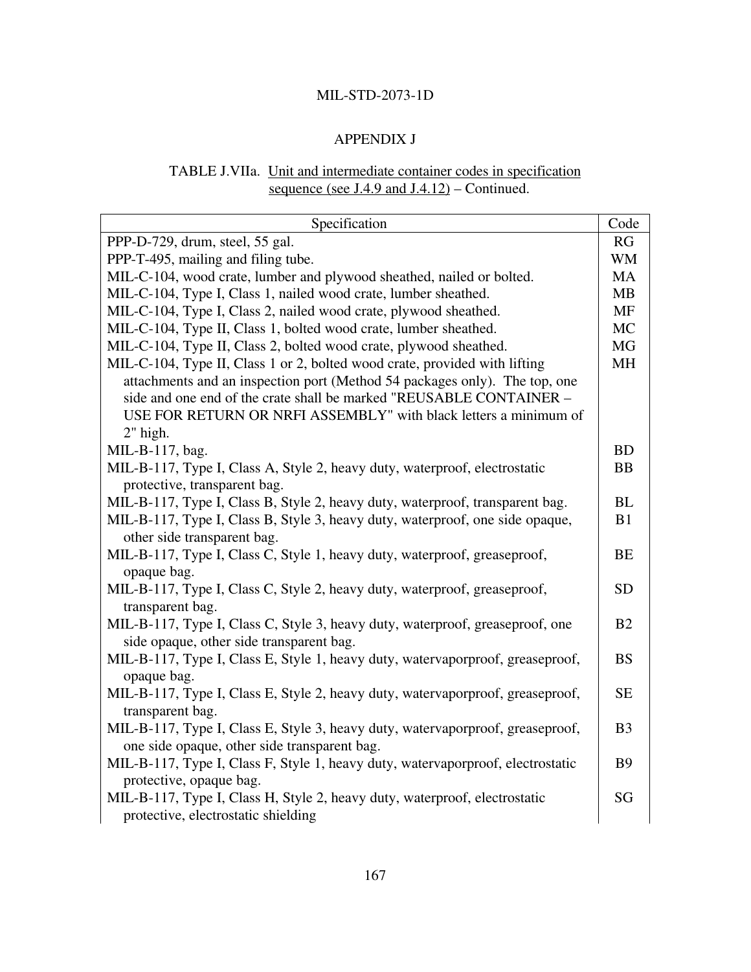### APPENDIX J

#### TABLE J.VIIa. Unit and intermediate container codes in specification sequence (see J.4.9 and J.4.12) – Continued.

| Specification                                                                   | Code           |
|---------------------------------------------------------------------------------|----------------|
| PPP-D-729, drum, steel, 55 gal.                                                 | RG             |
| PPP-T-495, mailing and filing tube.                                             | <b>WM</b>      |
| MIL-C-104, wood crate, lumber and plywood sheathed, nailed or bolted.           | <b>MA</b>      |
| MIL-C-104, Type I, Class 1, nailed wood crate, lumber sheathed.                 | <b>MB</b>      |
| MIL-C-104, Type I, Class 2, nailed wood crate, plywood sheathed.                | <b>MF</b>      |
| MIL-C-104, Type II, Class 1, bolted wood crate, lumber sheathed.                | <b>MC</b>      |
| MIL-C-104, Type II, Class 2, bolted wood crate, plywood sheathed.               | <b>MG</b>      |
| MIL-C-104, Type II, Class 1 or 2, bolted wood crate, provided with lifting      | <b>MH</b>      |
| attachments and an inspection port (Method 54 packages only). The top, one      |                |
| side and one end of the crate shall be marked "REUSABLE CONTAINER -             |                |
| USE FOR RETURN OR NRFI ASSEMBLY" with black letters a minimum of                |                |
| $2"$ high.                                                                      |                |
| MIL-B-117, bag.                                                                 | <b>BD</b>      |
| MIL-B-117, Type I, Class A, Style 2, heavy duty, waterproof, electrostatic      | <b>BB</b>      |
| protective, transparent bag.                                                    |                |
| MIL-B-117, Type I, Class B, Style 2, heavy duty, waterproof, transparent bag.   | <b>BL</b>      |
| MIL-B-117, Type I, Class B, Style 3, heavy duty, waterproof, one side opaque,   | B1             |
| other side transparent bag.                                                     |                |
| MIL-B-117, Type I, Class C, Style 1, heavy duty, waterproof, greaseproof,       | <b>BE</b>      |
| opaque bag.                                                                     |                |
| MIL-B-117, Type I, Class C, Style 2, heavy duty, waterproof, greaseproof,       | <b>SD</b>      |
| transparent bag.                                                                |                |
| MIL-B-117, Type I, Class C, Style 3, heavy duty, waterproof, greaseproof, one   | B <sub>2</sub> |
| side opaque, other side transparent bag.                                        |                |
| MIL-B-117, Type I, Class E, Style 1, heavy duty, watervaporproof, greaseproof,  | <b>BS</b>      |
| opaque bag.                                                                     |                |
| MIL-B-117, Type I, Class E, Style 2, heavy duty, watervaporproof, greaseproof,  | <b>SE</b>      |
| transparent bag.                                                                |                |
| MIL-B-117, Type I, Class E, Style 3, heavy duty, watervaporproof, greaseproof,  | B <sub>3</sub> |
| one side opaque, other side transparent bag.                                    |                |
| MIL-B-117, Type I, Class F, Style 1, heavy duty, watervaporproof, electrostatic | <b>B9</b>      |
| protective, opaque bag.                                                         |                |
| MIL-B-117, Type I, Class H, Style 2, heavy duty, waterproof, electrostatic      | SG             |
| protective, electrostatic shielding                                             |                |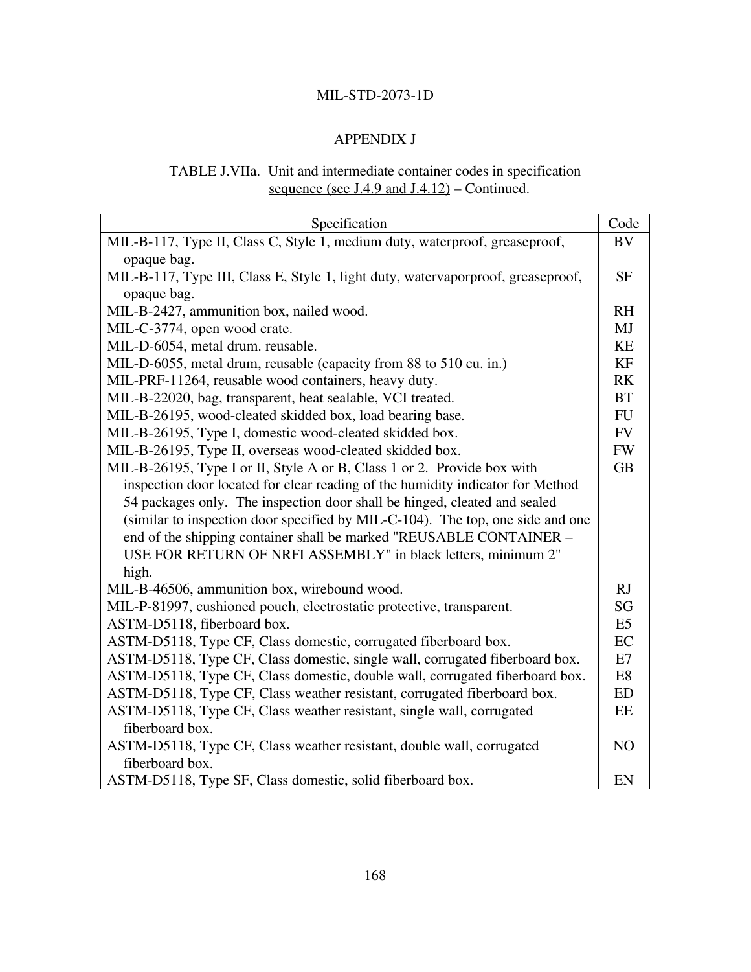#### APPENDIX J

#### TABLE J.VIIa. Unit and intermediate container codes in specification sequence (see J.4.9 and J.4.12) – Continued.

| Specification                                                                    | Code           |
|----------------------------------------------------------------------------------|----------------|
| MIL-B-117, Type II, Class C, Style 1, medium duty, waterproof, greaseproof,      | <b>BV</b>      |
| opaque bag.                                                                      |                |
| MIL-B-117, Type III, Class E, Style 1, light duty, watervaporproof, greaseproof, | <b>SF</b>      |
| opaque bag.                                                                      |                |
| MIL-B-2427, ammunition box, nailed wood.                                         | <b>RH</b>      |
| MIL-C-3774, open wood crate.                                                     | MJ             |
| MIL-D-6054, metal drum. reusable.                                                | <b>KE</b>      |
| MIL-D-6055, metal drum, reusable (capacity from 88 to 510 cu. in.)               | KF             |
| MIL-PRF-11264, reusable wood containers, heavy duty.                             | <b>RK</b>      |
| MIL-B-22020, bag, transparent, heat sealable, VCI treated.                       | <b>BT</b>      |
| MIL-B-26195, wood-cleated skidded box, load bearing base.                        | <b>FU</b>      |
| MIL-B-26195, Type I, domestic wood-cleated skidded box.                          | <b>FV</b>      |
| MIL-B-26195, Type II, overseas wood-cleated skidded box.                         | <b>FW</b>      |
| MIL-B-26195, Type I or II, Style A or B, Class 1 or 2. Provide box with          | <b>GB</b>      |
| inspection door located for clear reading of the humidity indicator for Method   |                |
| 54 packages only. The inspection door shall be hinged, cleated and sealed        |                |
| (similar to inspection door specified by MIL-C-104). The top, one side and one   |                |
| end of the shipping container shall be marked "REUSABLE CONTAINER –              |                |
| USE FOR RETURN OF NRFI ASSEMBLY" in black letters, minimum 2"                    |                |
| high.                                                                            |                |
| MIL-B-46506, ammunition box, wirebound wood.                                     | RJ             |
| MIL-P-81997, cushioned pouch, electrostatic protective, transparent.             | SG             |
| ASTM-D5118, fiberboard box.                                                      | E <sub>5</sub> |
| ASTM-D5118, Type CF, Class domestic, corrugated fiberboard box.                  | EC             |
| ASTM-D5118, Type CF, Class domestic, single wall, corrugated fiberboard box.     | E7             |
| ASTM-D5118, Type CF, Class domestic, double wall, corrugated fiberboard box.     | E <sub>8</sub> |
| ASTM-D5118, Type CF, Class weather resistant, corrugated fiberboard box.         | <b>ED</b>      |
| ASTM-D5118, Type CF, Class weather resistant, single wall, corrugated            | EE             |
| fiberboard box.                                                                  |                |
| ASTM-D5118, Type CF, Class weather resistant, double wall, corrugated            | NO             |
| fiberboard box.                                                                  |                |
| ASTM-D5118, Type SF, Class domestic, solid fiberboard box.                       | EN             |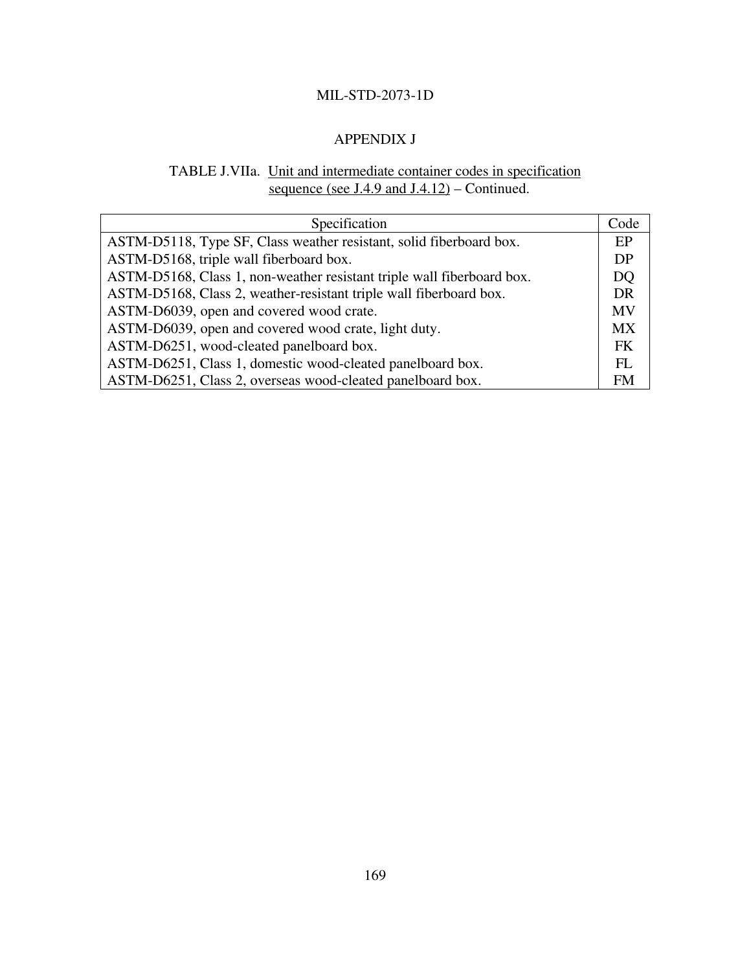### APPENDIX J

#### TABLE J.VIIa. Unit and intermediate container codes in specification sequence (see J.4.9 and J.4.12) – Continued.

| Specification                                                          | Code      |
|------------------------------------------------------------------------|-----------|
| ASTM-D5118, Type SF, Class weather resistant, solid fiberboard box.    | EP        |
| ASTM-D5168, triple wall fiberboard box.                                | DP        |
| ASTM-D5168, Class 1, non-weather resistant triple wall fiberboard box. | <b>DQ</b> |
| ASTM-D5168, Class 2, weather-resistant triple wall fiberboard box.     | DR        |
| ASTM-D6039, open and covered wood crate.                               | <b>MV</b> |
| ASTM-D6039, open and covered wood crate, light duty.                   | <b>MX</b> |
| ASTM-D6251, wood-cleated panelboard box.                               | <b>FK</b> |
| ASTM-D6251, Class 1, domestic wood-cleated panelboard box.             | FL        |
| ASTM-D6251, Class 2, overseas wood-cleated panelboard box.             | <b>FM</b> |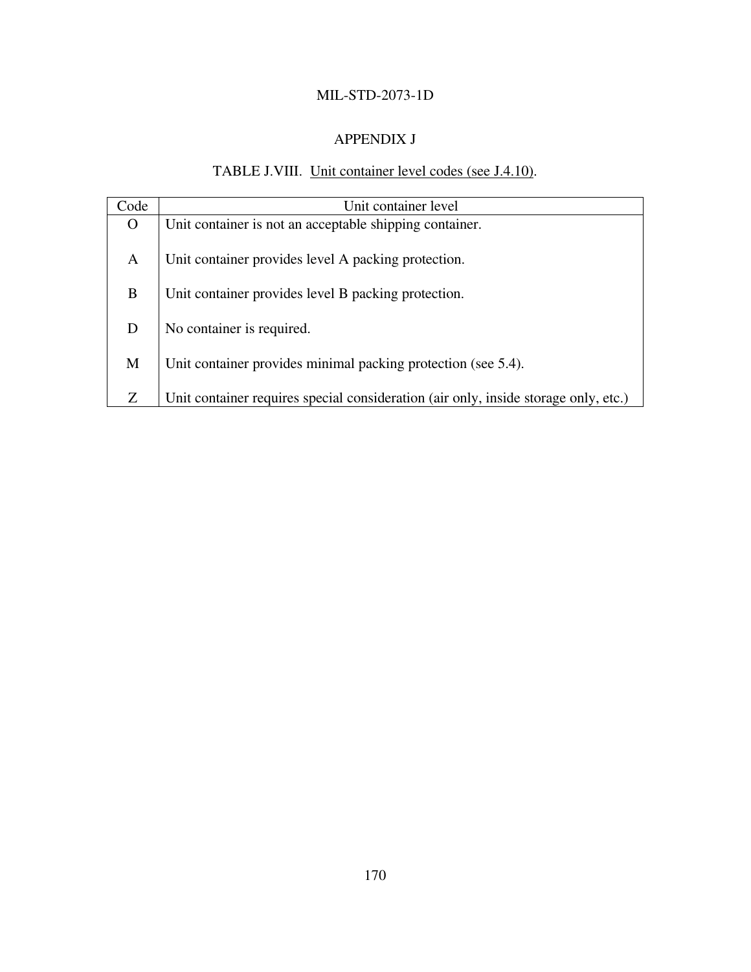# APPENDIX J

# TABLE J.VIII. Unit container level codes (see J.4.10).

| Code     | Unit container level                                                                |
|----------|-------------------------------------------------------------------------------------|
| $\Omega$ | Unit container is not an acceptable shipping container.                             |
| A        | Unit container provides level A packing protection.                                 |
| B        | Unit container provides level B packing protection.                                 |
| D        | No container is required.                                                           |
|          |                                                                                     |
| M        | Unit container provides minimal packing protection (see 5.4).                       |
| Ζ        | Unit container requires special consideration (air only, inside storage only, etc.) |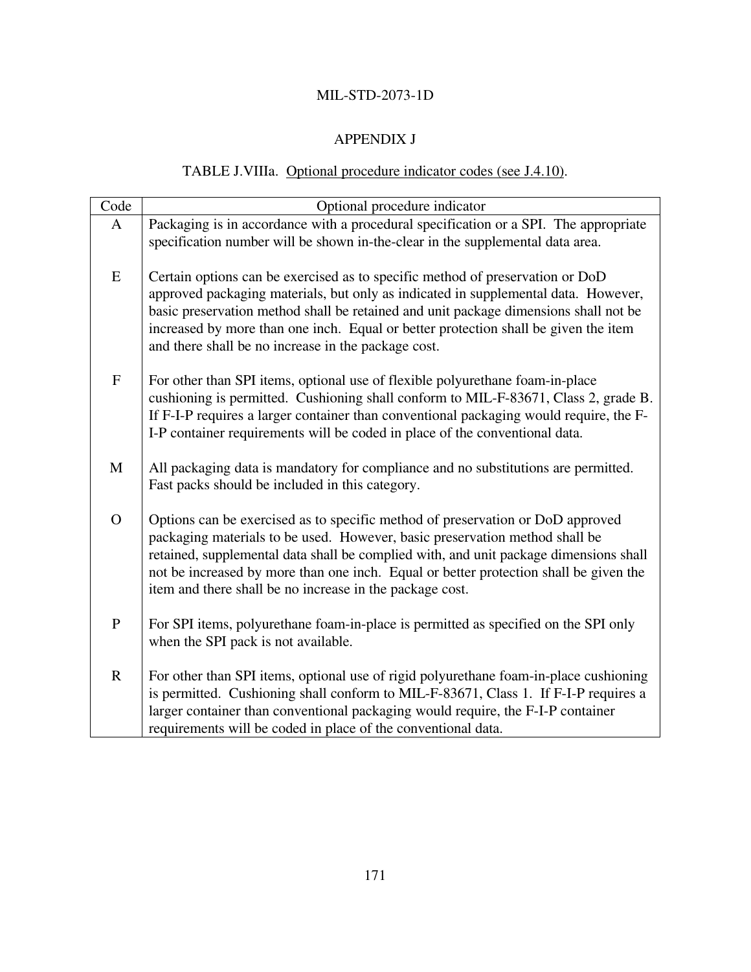# APPENDIX J

# TABLE J.VIIIa. Optional procedure indicator codes (see J.4.10).

| Code         | Optional procedure indicator                                                                                                                                                                                                                                                                                                                                                                                |
|--------------|-------------------------------------------------------------------------------------------------------------------------------------------------------------------------------------------------------------------------------------------------------------------------------------------------------------------------------------------------------------------------------------------------------------|
| A            | Packaging is in accordance with a procedural specification or a SPI. The appropriate                                                                                                                                                                                                                                                                                                                        |
|              | specification number will be shown in-the-clear in the supplemental data area.                                                                                                                                                                                                                                                                                                                              |
| ${\bf E}$    | Certain options can be exercised as to specific method of preservation or DoD<br>approved packaging materials, but only as indicated in supplemental data. However,<br>basic preservation method shall be retained and unit package dimensions shall not be<br>increased by more than one inch. Equal or better protection shall be given the item<br>and there shall be no increase in the package cost.   |
| ${\bf F}$    | For other than SPI items, optional use of flexible polyurethane foam-in-place<br>cushioning is permitted. Cushioning shall conform to MIL-F-83671, Class 2, grade B.<br>If F-I-P requires a larger container than conventional packaging would require, the F-<br>I-P container requirements will be coded in place of the conventional data.                                                               |
| M            | All packaging data is mandatory for compliance and no substitutions are permitted.<br>Fast packs should be included in this category.                                                                                                                                                                                                                                                                       |
| $\mathbf O$  | Options can be exercised as to specific method of preservation or DoD approved<br>packaging materials to be used. However, basic preservation method shall be<br>retained, supplemental data shall be complied with, and unit package dimensions shall<br>not be increased by more than one inch. Equal or better protection shall be given the<br>item and there shall be no increase in the package cost. |
| $\mathbf{P}$ | For SPI items, polyurethane foam-in-place is permitted as specified on the SPI only<br>when the SPI pack is not available.                                                                                                                                                                                                                                                                                  |
| $\mathbf R$  | For other than SPI items, optional use of rigid polyurethane foam-in-place cushioning<br>is permitted. Cushioning shall conform to MIL-F-83671, Class 1. If F-I-P requires a<br>larger container than conventional packaging would require, the F-I-P container<br>requirements will be coded in place of the conventional data.                                                                            |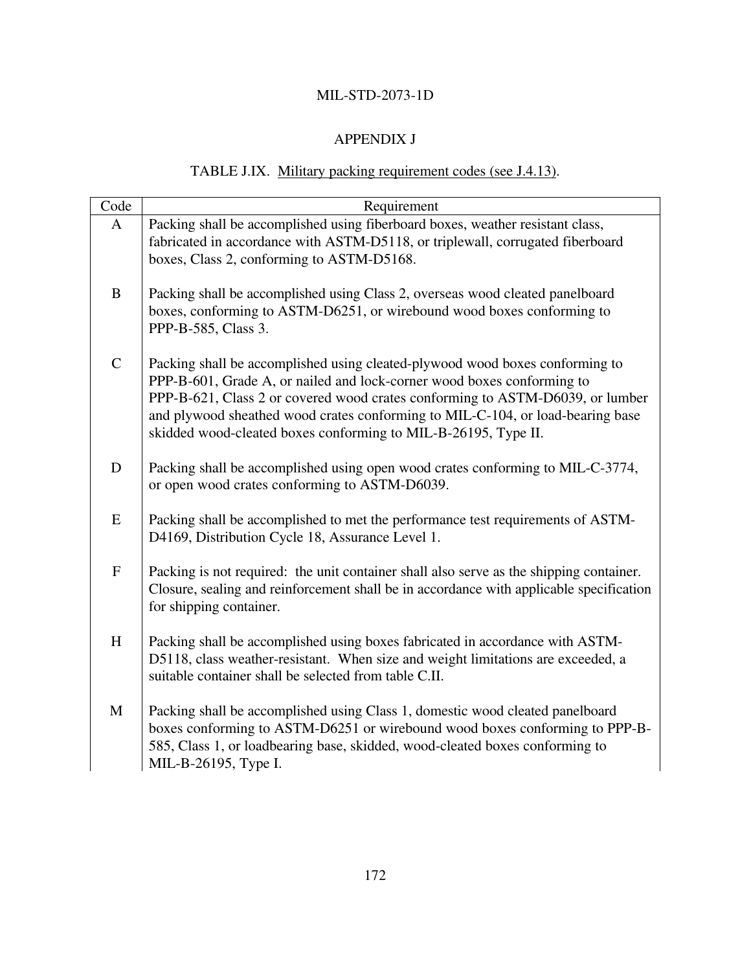# APPENDIX J

# TABLE J.IX. Military packing requirement codes (see J.4.13).

| Code         | Requirement                                                                                                                                                                                                                                                                                                                                                                                 |
|--------------|---------------------------------------------------------------------------------------------------------------------------------------------------------------------------------------------------------------------------------------------------------------------------------------------------------------------------------------------------------------------------------------------|
| $\mathbf{A}$ | Packing shall be accomplished using fiberboard boxes, weather resistant class,<br>fabricated in accordance with ASTM-D5118, or triplewall, corrugated fiberboard<br>boxes, Class 2, conforming to ASTM-D5168.                                                                                                                                                                               |
| $\bf{B}$     | Packing shall be accomplished using Class 2, overseas wood cleated panelboard<br>boxes, conforming to ASTM-D6251, or wirebound wood boxes conforming to<br>PPP-B-585, Class 3.                                                                                                                                                                                                              |
| $\mathbf C$  | Packing shall be accomplished using cleated-plywood wood boxes conforming to<br>PPP-B-601, Grade A, or nailed and lock-corner wood boxes conforming to<br>PPP-B-621, Class 2 or covered wood crates conforming to ASTM-D6039, or lumber<br>and plywood sheathed wood crates conforming to MIL-C-104, or load-bearing base<br>skidded wood-cleated boxes conforming to MIL-B-26195, Type II. |
| D            | Packing shall be accomplished using open wood crates conforming to MIL-C-3774,<br>or open wood crates conforming to ASTM-D6039.                                                                                                                                                                                                                                                             |
| ${\bf E}$    | Packing shall be accomplished to met the performance test requirements of ASTM-<br>D4169, Distribution Cycle 18, Assurance Level 1.                                                                                                                                                                                                                                                         |
| $\mathbf F$  | Packing is not required: the unit container shall also serve as the shipping container.<br>Closure, sealing and reinforcement shall be in accordance with applicable specification<br>for shipping container.                                                                                                                                                                               |
| H            | Packing shall be accomplished using boxes fabricated in accordance with ASTM-<br>D5118, class weather-resistant. When size and weight limitations are exceeded, a<br>suitable container shall be selected from table C.II.                                                                                                                                                                  |
| M            | Packing shall be accomplished using Class 1, domestic wood cleated panelboard<br>boxes conforming to ASTM-D6251 or wirebound wood boxes conforming to PPP-B-<br>585, Class 1, or loadbearing base, skidded, wood-cleated boxes conforming to<br>MIL-B-26195, Type I.                                                                                                                        |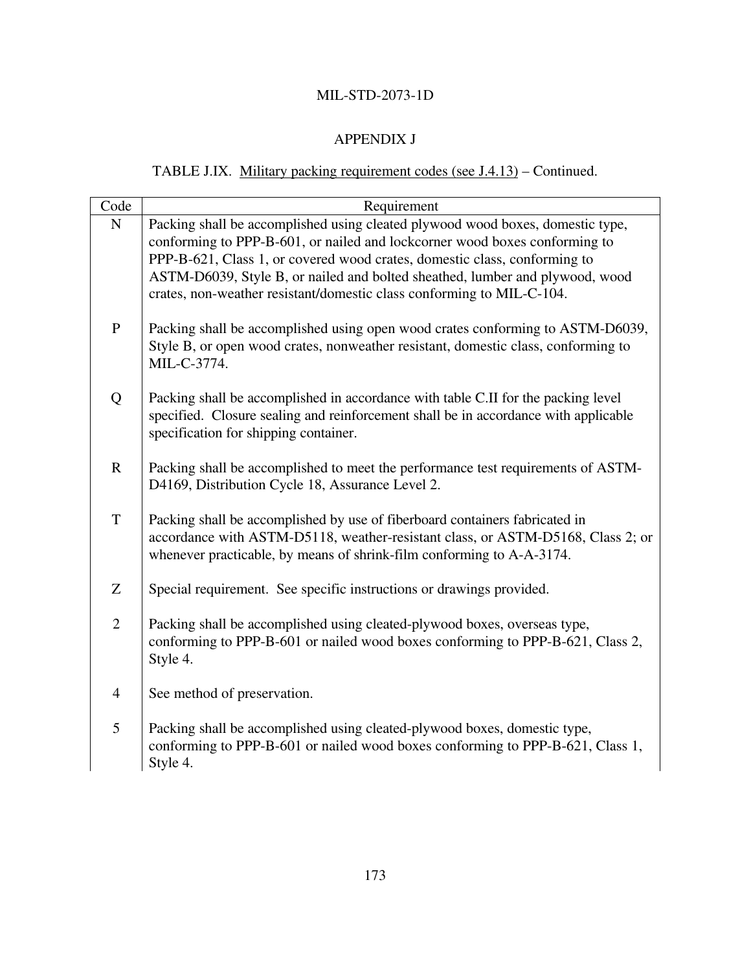# APPENDIX J

# TABLE J.IX. Military packing requirement codes (see J.4.13) – Continued.

| Code                     | Requirement                                                                                                                                                                                                                                                                                                               |
|--------------------------|---------------------------------------------------------------------------------------------------------------------------------------------------------------------------------------------------------------------------------------------------------------------------------------------------------------------------|
| ${\bf N}$                | Packing shall be accomplished using cleated plywood wood boxes, domestic type,<br>conforming to PPP-B-601, or nailed and lockcorner wood boxes conforming to<br>PPP-B-621, Class 1, or covered wood crates, domestic class, conforming to<br>ASTM-D6039, Style B, or nailed and bolted sheathed, lumber and plywood, wood |
|                          | crates, non-weather resistant/domestic class conforming to MIL-C-104.                                                                                                                                                                                                                                                     |
| ${\bf P}$                | Packing shall be accomplished using open wood crates conforming to ASTM-D6039,<br>Style B, or open wood crates, nonweather resistant, domestic class, conforming to<br>MIL-C-3774.                                                                                                                                        |
| Q                        | Packing shall be accomplished in accordance with table C.II for the packing level<br>specified. Closure sealing and reinforcement shall be in accordance with applicable<br>specification for shipping container.                                                                                                         |
| $\mathbf R$              | Packing shall be accomplished to meet the performance test requirements of ASTM-<br>D4169, Distribution Cycle 18, Assurance Level 2.                                                                                                                                                                                      |
| $\mathbf T$              | Packing shall be accomplished by use of fiberboard containers fabricated in<br>accordance with ASTM-D5118, weather-resistant class, or ASTM-D5168, Class 2; or<br>whenever practicable, by means of shrink-film conforming to A-A-3174.                                                                                   |
| $\boldsymbol{Z}$         | Special requirement. See specific instructions or drawings provided.                                                                                                                                                                                                                                                      |
| $\overline{2}$           | Packing shall be accomplished using cleated-plywood boxes, overseas type,<br>conforming to PPP-B-601 or nailed wood boxes conforming to PPP-B-621, Class 2,<br>Style 4.                                                                                                                                                   |
| $\overline{\mathcal{A}}$ | See method of preservation.                                                                                                                                                                                                                                                                                               |
| 5                        | Packing shall be accomplished using cleated-plywood boxes, domestic type,<br>conforming to PPP-B-601 or nailed wood boxes conforming to PPP-B-621, Class 1,<br>Style 4.                                                                                                                                                   |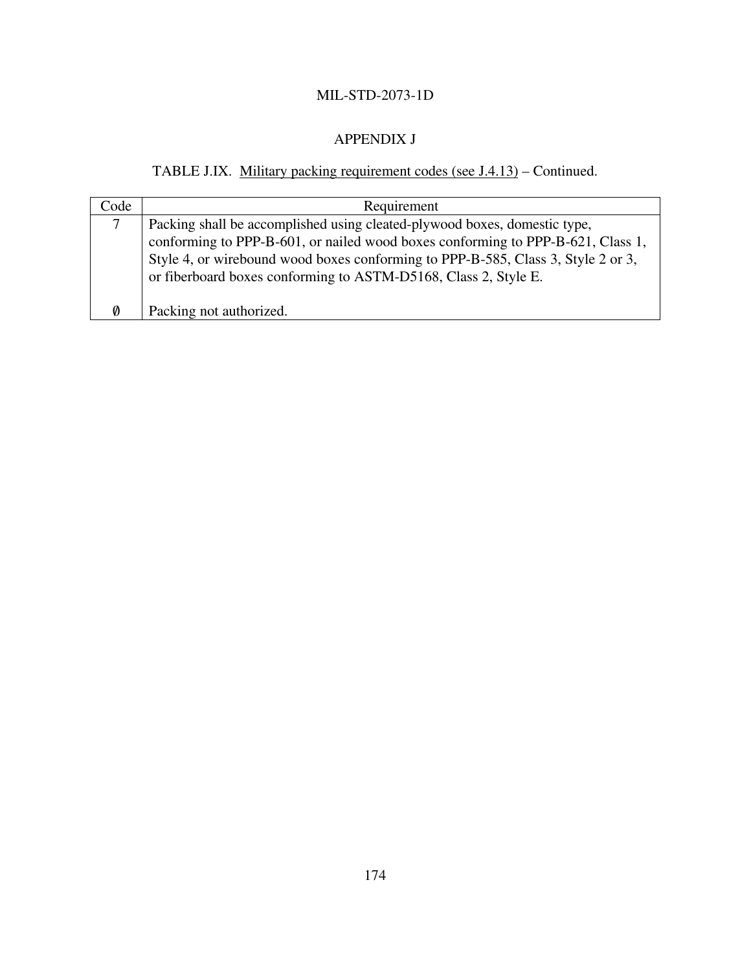# APPENDIX J

# TABLE J.IX. Military packing requirement codes (see J.4.13) – Continued.

| Code | Requirement                                                                                                                                                                                                                                                                                                         |
|------|---------------------------------------------------------------------------------------------------------------------------------------------------------------------------------------------------------------------------------------------------------------------------------------------------------------------|
|      | Packing shall be accomplished using cleated-plywood boxes, domestic type,<br>conforming to PPP-B-601, or nailed wood boxes conforming to PPP-B-621, Class 1,<br>Style 4, or wirebound wood boxes conforming to PPP-B-585, Class 3, Style 2 or 3,<br>or fiberboard boxes conforming to ASTM-D5168, Class 2, Style E. |
| Ø    | Packing not authorized.                                                                                                                                                                                                                                                                                             |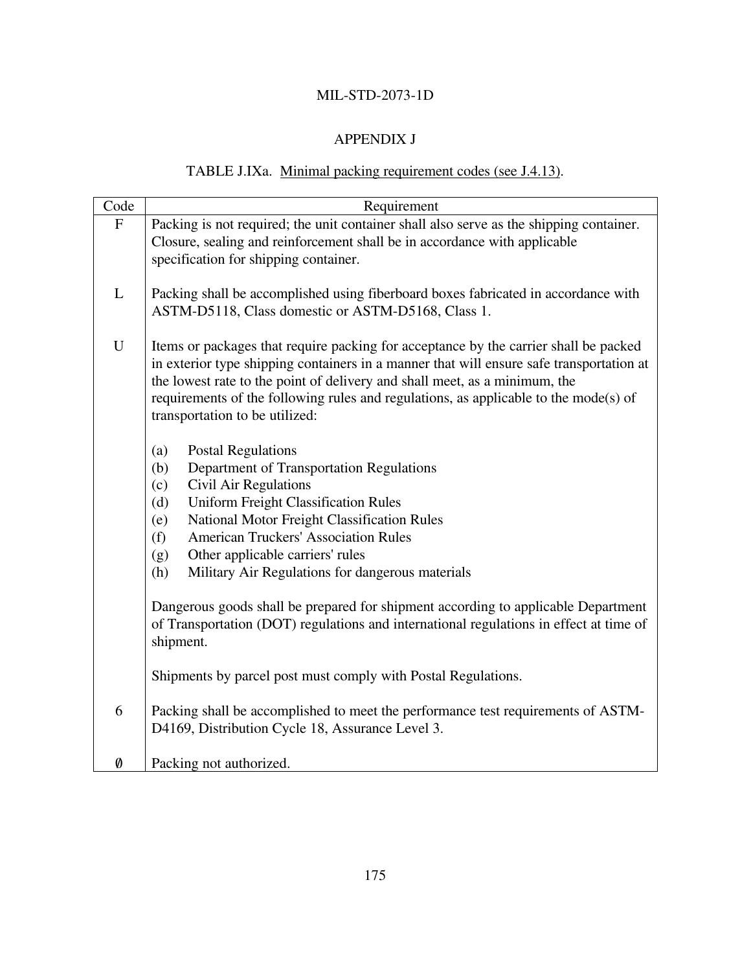# APPENDIX J

# TABLE J.IXa. Minimal packing requirement codes (see J.4.13).

| Code        | Requirement                                                                                                                                                                                                                                                                                                                                                                                                                                                                      |
|-------------|----------------------------------------------------------------------------------------------------------------------------------------------------------------------------------------------------------------------------------------------------------------------------------------------------------------------------------------------------------------------------------------------------------------------------------------------------------------------------------|
| $\mathbf F$ | Packing is not required; the unit container shall also serve as the shipping container.                                                                                                                                                                                                                                                                                                                                                                                          |
|             | Closure, sealing and reinforcement shall be in accordance with applicable                                                                                                                                                                                                                                                                                                                                                                                                        |
|             | specification for shipping container.                                                                                                                                                                                                                                                                                                                                                                                                                                            |
| L           | Packing shall be accomplished using fiberboard boxes fabricated in accordance with<br>ASTM-D5118, Class domestic or ASTM-D5168, Class 1.                                                                                                                                                                                                                                                                                                                                         |
| U           | Items or packages that require packing for acceptance by the carrier shall be packed<br>in exterior type shipping containers in a manner that will ensure safe transportation at<br>the lowest rate to the point of delivery and shall meet, as a minimum, the<br>requirements of the following rules and regulations, as applicable to the mode(s) of<br>transportation to be utilized:                                                                                         |
|             | (a)<br><b>Postal Regulations</b><br>Department of Transportation Regulations<br>(b)<br>Civil Air Regulations<br>(c)<br><b>Uniform Freight Classification Rules</b><br>(d)<br>National Motor Freight Classification Rules<br>(e)<br><b>American Truckers' Association Rules</b><br>(f)<br>Other applicable carriers' rules<br>(g)<br>Military Air Regulations for dangerous materials<br>(h)<br>Dangerous goods shall be prepared for shipment according to applicable Department |
|             | of Transportation (DOT) regulations and international regulations in effect at time of<br>shipment.                                                                                                                                                                                                                                                                                                                                                                              |
|             | Shipments by parcel post must comply with Postal Regulations.                                                                                                                                                                                                                                                                                                                                                                                                                    |
| 6           | Packing shall be accomplished to meet the performance test requirements of ASTM-<br>D4169, Distribution Cycle 18, Assurance Level 3.                                                                                                                                                                                                                                                                                                                                             |
| Ø           | Packing not authorized.                                                                                                                                                                                                                                                                                                                                                                                                                                                          |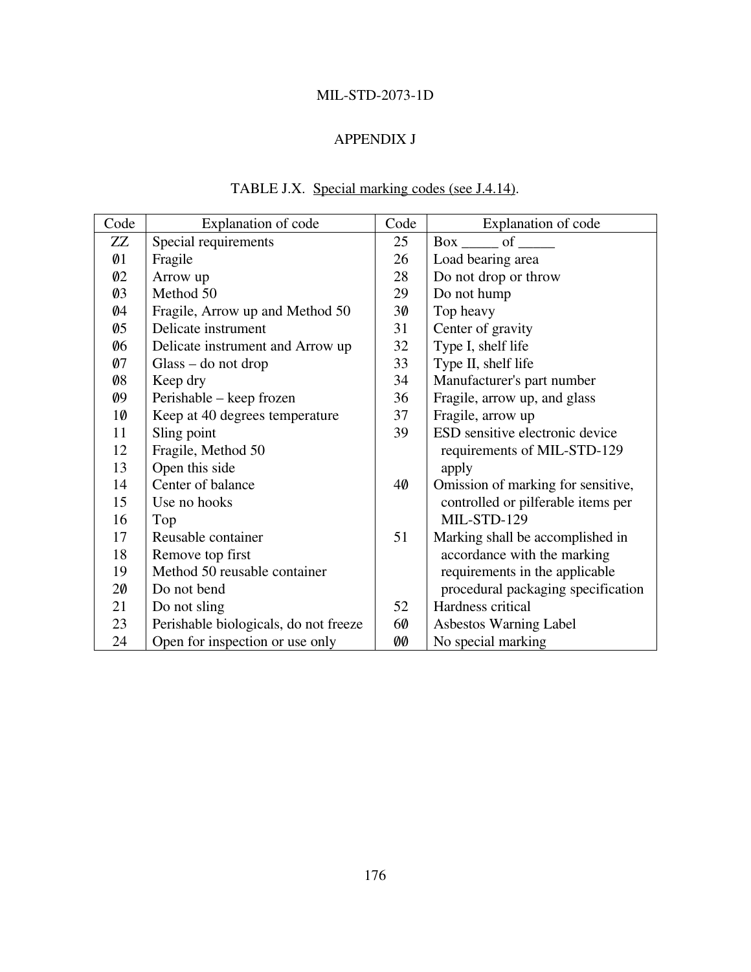# APPENDIX J

| Code                       | Explanation of code                   | Code | Explanation of code                |
|----------------------------|---------------------------------------|------|------------------------------------|
| ZZ                         | Special requirements                  | 25   | Box of                             |
| $\varnothing$ 1            | Fragile                               | 26   | Load bearing area                  |
| $\boldsymbol{\varnothing}$ | Arrow up                              | 28   | Do not drop or throw               |
| $\varnothing$ 3            | Method 50                             | 29   | Do not hump                        |
| 04                         | Fragile, Arrow up and Method 50       | 30   | Top heavy                          |
| $\varnothing$ 5            | Delicate instrument                   | 31   | Center of gravity                  |
| 06                         | Delicate instrument and Arrow up      | 32   | Type I, shelf life                 |
| 07                         | $Class - do not drop$                 | 33   | Type II, shelf life                |
| Ø8                         | Keep dry                              | 34   | Manufacturer's part number         |
| Ø9                         | Perishable – keep frozen              | 36   | Fragile, arrow up, and glass       |
| 10                         | Keep at 40 degrees temperature        | 37   | Fragile, arrow up                  |
| 11                         | Sling point                           | 39   | ESD sensitive electronic device    |
| 12                         | Fragile, Method 50                    |      | requirements of MIL-STD-129        |
| 13                         | Open this side                        |      | apply                              |
| 14                         | Center of balance                     | 40   | Omission of marking for sensitive, |
| 15                         | Use no hooks                          |      | controlled or pilferable items per |
| 16                         | Top                                   |      | MIL-STD-129                        |
| 17                         | Reusable container                    | 51   | Marking shall be accomplished in   |
| 18                         | Remove top first                      |      | accordance with the marking        |
| 19                         | Method 50 reusable container          |      | requirements in the applicable     |
| 20                         | Do not bend                           |      | procedural packaging specification |
| 21                         | Do not sling                          | 52   | Hardness critical                  |
| 23                         | Perishable biologicals, do not freeze | 60   | Asbestos Warning Label             |
| 24                         | Open for inspection or use only       | ØØ   | No special marking                 |

# TABLE J.X. Special marking codes (see J.4.14).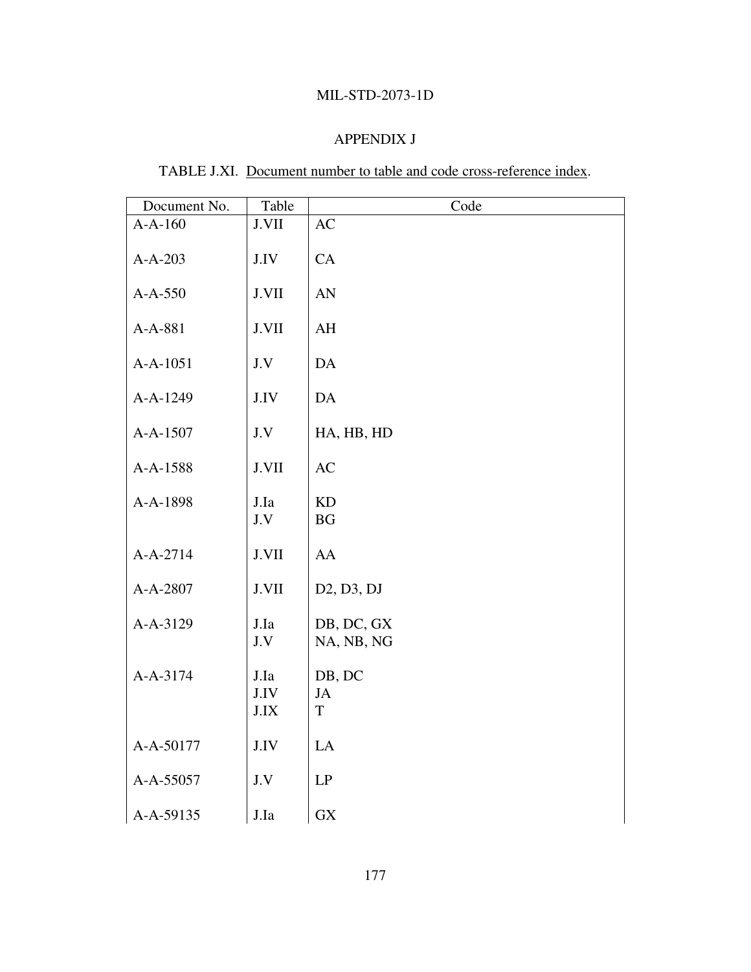#### APPENDIX J

#### TABLE J.XI. Document number to table and code cross-reference index.

| Document No.  | Table                        | Code                                 |
|---------------|------------------------------|--------------------------------------|
| $A - A - 160$ | <b>J.VII</b>                 | AC                                   |
| $A-A-203$     | J.IV                         | CA                                   |
| $A-A-550$     | <b>J.VII</b>                 | AN                                   |
| A-A-881       | J.VII                        | AH                                   |
| A-A-1051      | J.V                          | DA                                   |
| A-A-1249      | J.IV                         | DA                                   |
| A-A-1507      | J.V                          | HA, HB, HD                           |
| A-A-1588      | <b>J.VII</b>                 | AC                                   |
| A-A-1898      | J.Ia<br>J.V                  | <b>KD</b><br><b>BG</b>               |
| A-A-2714      | <b>J.VII</b>                 | AA                                   |
| A-A-2807      | <b>J.VII</b>                 | D <sub>2</sub> , D <sub>3</sub> , DJ |
| A-A-3129      | J.Ia<br>J.V                  | DB, DC, GX<br>NA, NB, NG             |
| A-A-3174      | J.Ia<br>J.IV<br>$\rm J. I X$ | DB, DC<br>$\rm JA$<br>T              |
| A-A-50177     | $\rm J. IV$                  | LA                                   |
| A-A-55057     | J.V                          | LP                                   |
| A-A-59135     | J.Ia                         | GX                                   |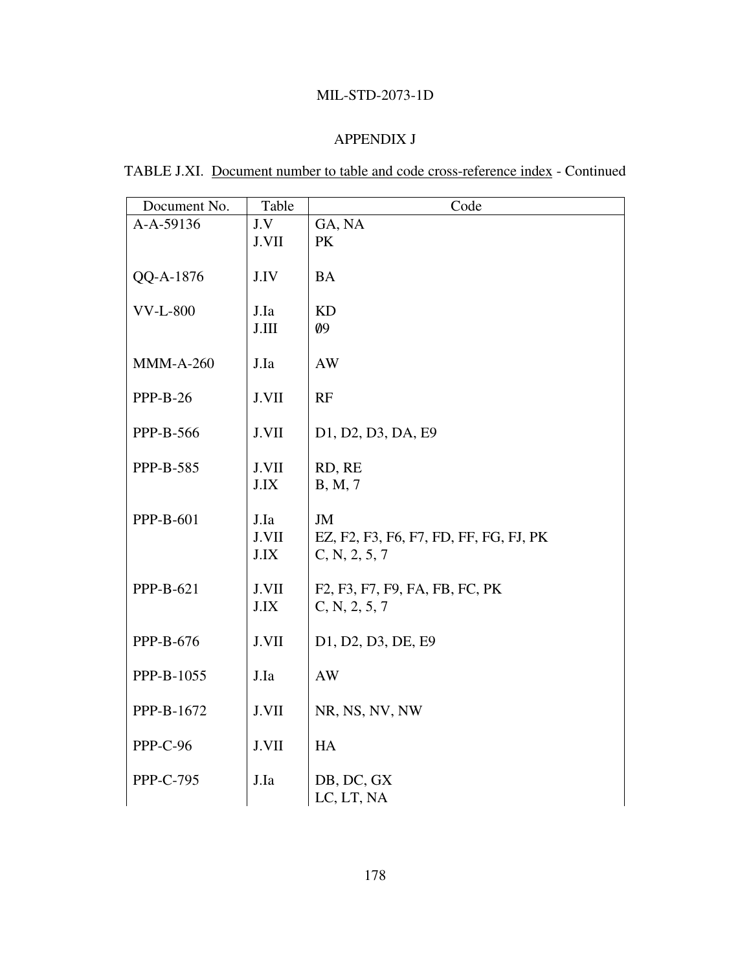|--|

| Document No.     | Table                        | Code                                                                 |
|------------------|------------------------------|----------------------------------------------------------------------|
| A-A-59136        | J.V                          | GA, NA                                                               |
|                  | J.VII                        | PK                                                                   |
| QQ-A-1876        | J.IV                         | <b>BA</b>                                                            |
| <b>VV-L-800</b>  | J.Ia<br>J.HI                 | <b>KD</b><br>09                                                      |
| <b>MMM-A-260</b> | J.Ia                         | <b>AW</b>                                                            |
| $PPP-B-26$       | <b>J.VII</b>                 | RF                                                                   |
| PPP-B-566        | <b>J.VII</b>                 | D1, D2, D3, DA, E9                                                   |
| PPP-B-585        | <b>J.VII</b><br>J.IX         | RD, RE<br>B, M, 7                                                    |
| PPP-B-601        | J.Ia<br><b>J.VII</b><br>J.IX | <b>JM</b><br>EZ, F2, F3, F6, F7, FD, FF, FG, FJ, PK<br>C, N, 2, 5, 7 |
| PPP-B-621        | <b>J.VII</b><br>J.IX         | F2, F3, F7, F9, FA, FB, FC, PK<br>C, N, 2, 5, 7                      |
| PPP-B-676        | <b>J.VII</b>                 | D1, D2, D3, DE, E9                                                   |
| PPP-B-1055       | J.Ia                         | <b>AW</b>                                                            |
| PPP-B-1672       | <b>J.VII</b>                 | NR, NS, NV, NW                                                       |
| PPP-C-96         | <b>J.VII</b>                 | HA                                                                   |
| <b>PPP-C-795</b> | J.Ia                         | DB, DC, GX<br>LC, LT, NA                                             |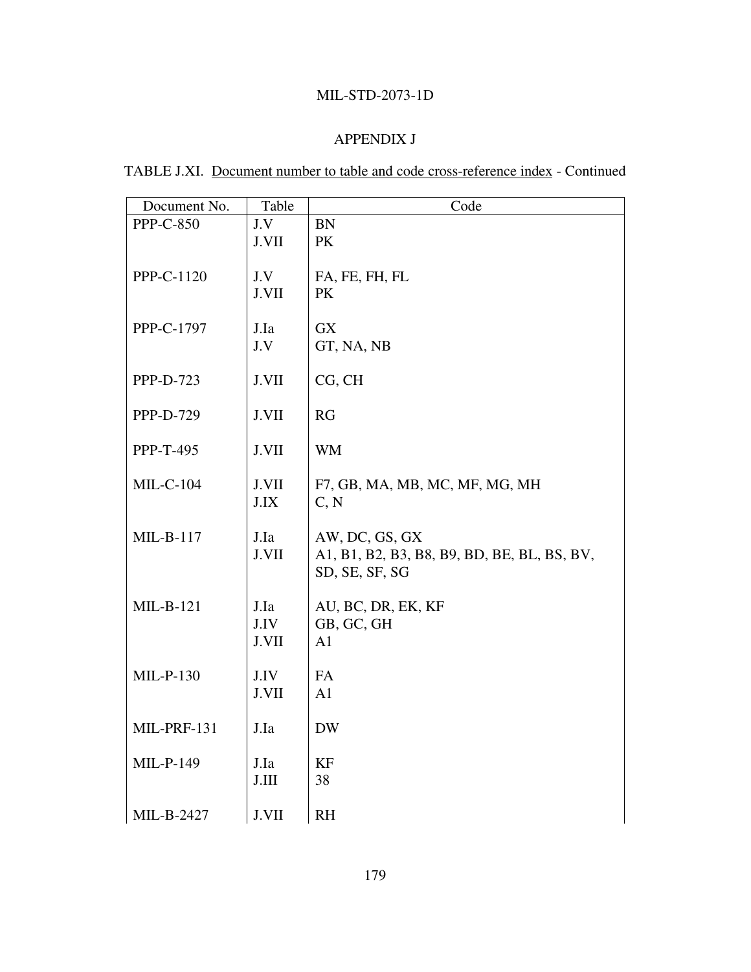|--|

| Document No.     | Table                        | Code                                                                            |
|------------------|------------------------------|---------------------------------------------------------------------------------|
| <b>PPP-C-850</b> | J.V<br>J.VII                 | <b>BN</b><br><b>PK</b>                                                          |
| PPP-C-1120       | J.V<br>J.VII                 | FA, FE, FH, FL<br><b>PK</b>                                                     |
| PPP-C-1797       | J.Ia<br>J.V                  | <b>GX</b><br>GT, NA, NB                                                         |
| PPP-D-723        | <b>J.VII</b>                 | CG, CH                                                                          |
| PPP-D-729        | <b>J.VII</b>                 | RG                                                                              |
| PPP-T-495        | <b>J.VII</b>                 | <b>WM</b>                                                                       |
| <b>MIL-C-104</b> | <b>J.VII</b><br>J.IX         | F7, GB, MA, MB, MC, MF, MG, MH<br>C, N                                          |
| $MIL-B-117$      | J.Ia<br><b>J.VII</b>         | AW, DC, GS, GX<br>A1, B1, B2, B3, B8, B9, BD, BE, BL, BS, BV,<br>SD, SE, SF, SG |
| MIL-B-121        | J.Ia<br>J.IV<br><b>J.VII</b> | AU, BC, DR, EK, KF<br>GB, GC, GH<br>A1                                          |
| <b>MIL-P-130</b> | J.IV<br>J.VII                | FA<br>A1                                                                        |
| MIL-PRF-131      | J.Ia                         | <b>DW</b>                                                                       |
| MIL-P-149        | J.Ia<br>J.HI                 | KF<br>38                                                                        |
| MIL-B-2427       | <b>J.VII</b>                 | <b>RH</b>                                                                       |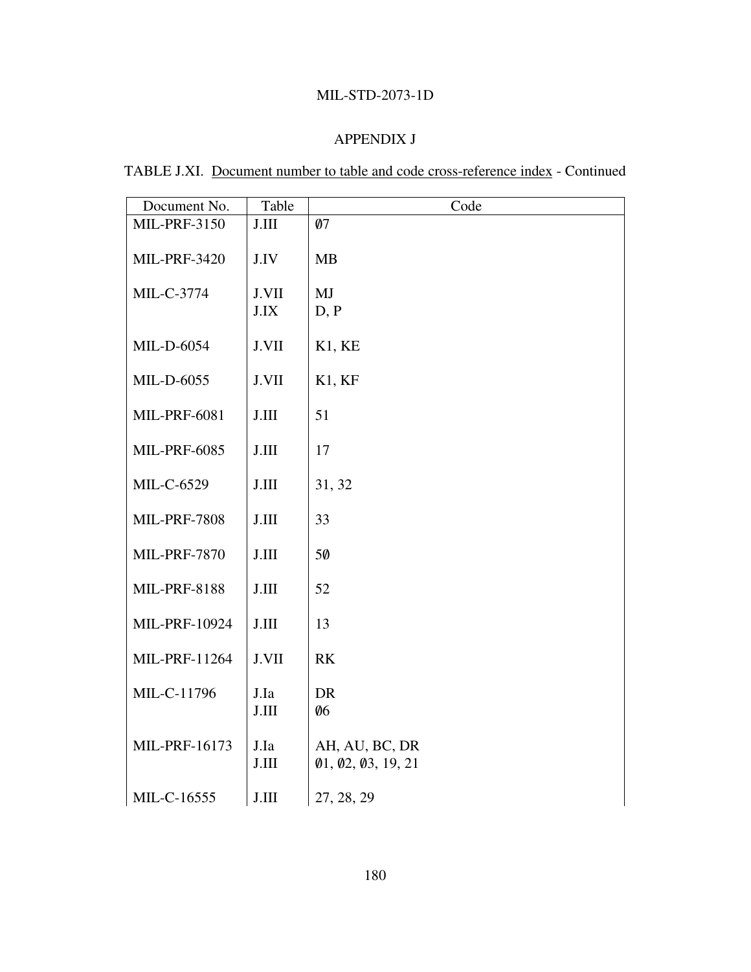|--|

| Document No.        | Table                | Code                                 |
|---------------------|----------------------|--------------------------------------|
| <b>MIL-PRF-3150</b> | J.HI                 | $\varnothing$ 7                      |
| <b>MIL-PRF-3420</b> | J.IV                 | <b>MB</b>                            |
| MIL-C-3774          | J.VII<br>J.IX        | MJ<br>D, P                           |
| MIL-D-6054          | <b>J.VII</b>         | K1, KE                               |
| MIL-D-6055          | <b>J.VII</b>         | K1, KF                               |
| <b>MIL-PRF-6081</b> | $\rm J. III$         | 51                                   |
| <b>MIL-PRF-6085</b> | J.III                | 17                                   |
| MIL-C-6529          | J.III                | 31, 32                               |
| <b>MIL-PRF-7808</b> | J.HI                 | 33                                   |
| <b>MIL-PRF-7870</b> | J.HI                 | 50                                   |
| <b>MIL-PRF-8188</b> | $\rm J. III$         | 52                                   |
| MIL-PRF-10924       | J.HI                 | 13                                   |
| MIL-PRF-11264       | <b>J.VII</b>         | R <sub>K</sub>                       |
| MIL-C-11796         | J.Ia<br>$\rm J. III$ | <b>DR</b><br>06                      |
| MIL-PRF-16173       | J.Ia<br>J.III        | AH, AU, BC, DR<br>01, 02, 03, 19, 21 |
| MIL-C-16555         | $\rm J. III$         | 27, 28, 29                           |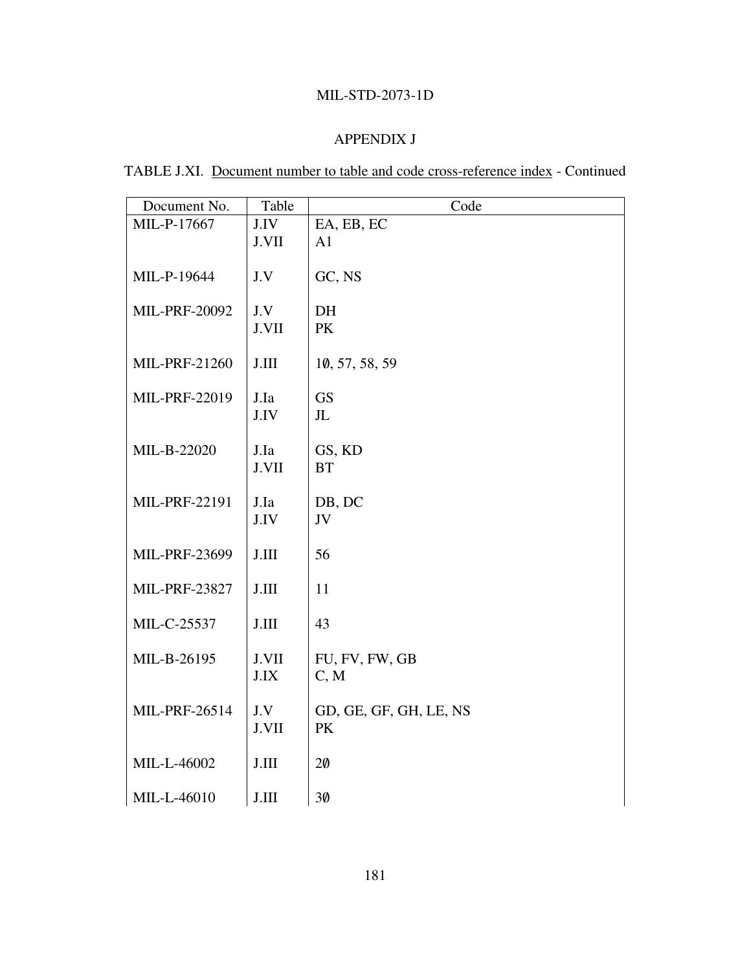|--|

| Document No.         | Table          | Code                   |
|----------------------|----------------|------------------------|
| MIL-P-17667          | J.IV           | EA, EB, EC             |
|                      | <b>J.VII</b>   | A1                     |
| MIL-P-19644          | J.V            | GC, NS                 |
|                      |                |                        |
| <b>MIL-PRF-20092</b> | J.V            | DH                     |
|                      | J.VII          | <b>PK</b>              |
| MIL-PRF-21260        | $\rm J. III$   | 10, 57, 58, 59         |
|                      |                |                        |
| <b>MIL-PRF-22019</b> | J.Ia           | <b>GS</b>              |
|                      | $_{\rm J. IV}$ | J <sub>L</sub>         |
| MIL-B-22020          | J.Ia           | GS, KD                 |
|                      | <b>J.VII</b>   | <b>BT</b>              |
|                      |                |                        |
| MIL-PRF-22191        | J.Ia           | DB, DC                 |
|                      | J.IV           | JV                     |
| <b>MIL-PRF-23699</b> | J.III          | 56                     |
|                      |                |                        |
| <b>MIL-PRF-23827</b> | $\rm J. III$   | 11                     |
| MIL-C-25537          | J.HI           | 43                     |
|                      |                |                        |
| MIL-B-26195          | J.VII          | FU, FV, FW, GB<br>C, M |
|                      | $\rm J. I X$   |                        |
| MIL-PRF-26514        | J.V            | GD, GE, GF, GH, LE, NS |
|                      | <b>J.VII</b>   | <b>PK</b>              |
| MIL-L-46002          | $\rm J. III$   | 20                     |
|                      |                |                        |
| MIL-L-46010          | $\rm J. III$   | 30                     |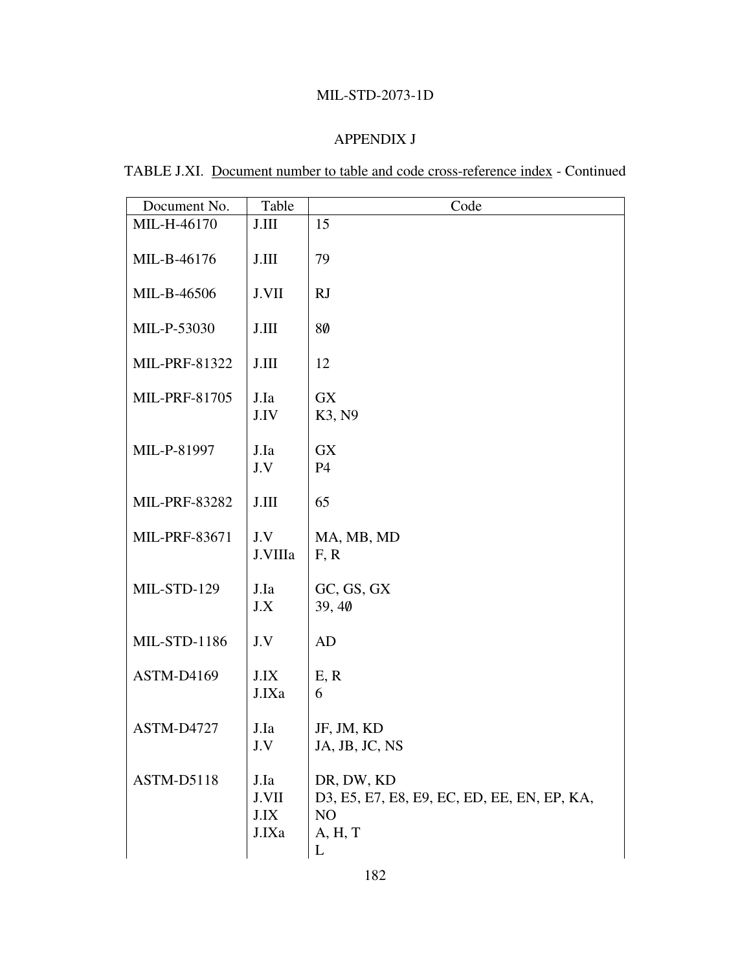|--|

| Document No.         | Table                                 | Code                                                                            |
|----------------------|---------------------------------------|---------------------------------------------------------------------------------|
| MIL-H-46170          | J.III                                 | 15                                                                              |
| MIL-B-46176          | J.III                                 | 79                                                                              |
| MIL-B-46506          | J.VII                                 | RJ                                                                              |
| MIL-P-53030          | J.III                                 | 80                                                                              |
| MIL-PRF-81322        | J.III                                 | 12                                                                              |
| MIL-PRF-81705        | J.Ia<br>J.IV                          | <b>GX</b><br>K3, N9                                                             |
| MIL-P-81997          | J.Ia<br>J.V                           | <b>GX</b><br>P4                                                                 |
| <b>MIL-PRF-83282</b> | J.III                                 | 65                                                                              |
| MIL-PRF-83671        | J.V<br>J.VIIIa                        | MA, MB, MD<br>F, R                                                              |
| MIL-STD-129          | J.Ia<br>J.X                           | GC, GS, GX<br>39,40                                                             |
| <b>MIL-STD-1186</b>  | J.V                                   | AD                                                                              |
| <b>ASTM-D4169</b>    | J.IX<br>J.IXa                         | E, R<br>6                                                                       |
| <b>ASTM-D4727</b>    | J.Ia<br>J.V                           | JF, JM, KD<br>JA, JB, JC, NS                                                    |
| ASTM-D5118           | J.Ia<br><b>J.VII</b><br>J.IX<br>J.IXa | DR, DW, KD<br>D3, E5, E7, E8, E9, EC, ED, EE, EN, EP, KA,<br>NO<br>A, H, T<br>L |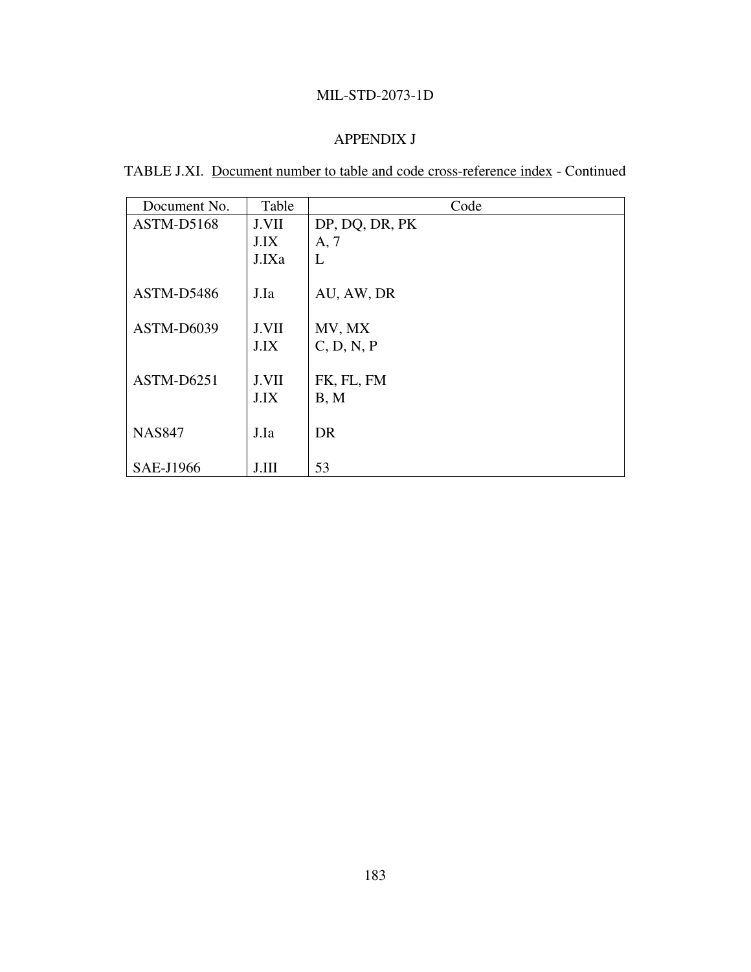|--|

| Document No.      | Table        | Code           |
|-------------------|--------------|----------------|
| <b>ASTM-D5168</b> | J.VII        | DP, DQ, DR, PK |
|                   | J.IX         | A, 7           |
|                   | J.IXa        | L              |
| ASTM-D5486        | J.Ia         | AU, AW, DR     |
| ASTM-D6039        | <b>J.VII</b> | MV, MX         |
|                   | J.IX         | C, D, N, P     |
|                   |              |                |
| <b>ASTM-D6251</b> | <b>J.VII</b> | FK, FL, FM     |
|                   | J.IX         | B, M           |
| <b>NAS847</b>     | J.Ia         | <b>DR</b>      |
| SAE-J1966         | J.III        | 53             |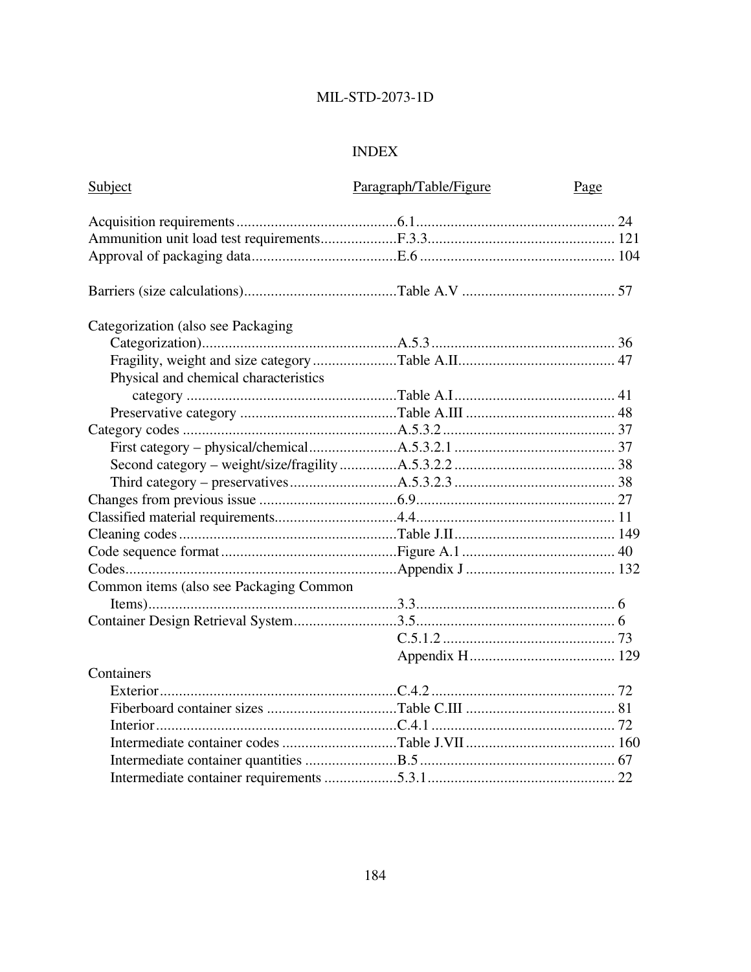### **INDEX**

| Subject                                 | Paragraph/Table/Figure | Page |
|-----------------------------------------|------------------------|------|
|                                         |                        |      |
|                                         |                        |      |
|                                         |                        |      |
|                                         |                        |      |
| Categorization (also see Packaging      |                        |      |
|                                         |                        |      |
|                                         |                        |      |
| Physical and chemical characteristics   |                        |      |
|                                         |                        |      |
|                                         |                        |      |
|                                         |                        |      |
|                                         |                        |      |
|                                         |                        |      |
|                                         |                        |      |
|                                         |                        |      |
|                                         |                        |      |
|                                         |                        |      |
|                                         |                        |      |
|                                         |                        |      |
| Common items (also see Packaging Common |                        |      |
|                                         |                        |      |
|                                         |                        |      |
|                                         |                        |      |
|                                         |                        |      |
| Containers                              |                        |      |
|                                         |                        |      |
|                                         |                        |      |
|                                         |                        |      |
|                                         |                        |      |
|                                         |                        |      |
|                                         |                        |      |
|                                         |                        |      |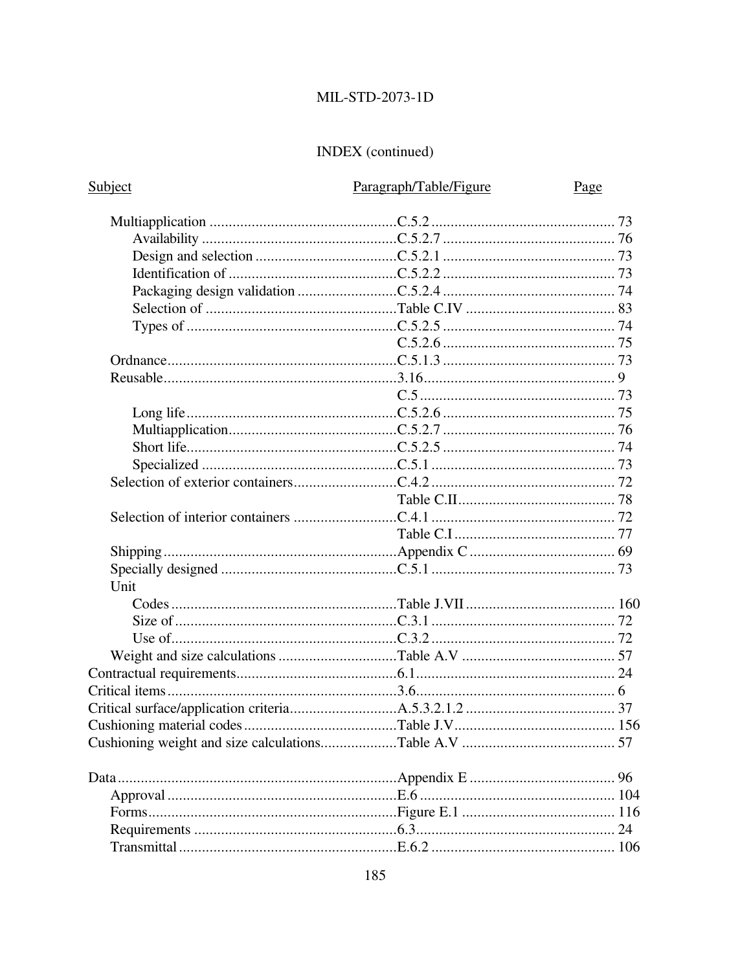| Subject | Paragraph/Table/Figure | Page |
|---------|------------------------|------|
|         |                        |      |
|         |                        |      |
|         |                        |      |
|         |                        |      |
|         |                        |      |
|         |                        |      |
|         |                        |      |
|         |                        |      |
|         |                        |      |
|         |                        |      |
|         |                        |      |
|         |                        |      |
|         |                        |      |
|         |                        |      |
|         |                        |      |
|         |                        |      |
|         |                        |      |
|         |                        |      |
|         |                        |      |
|         |                        |      |
|         |                        |      |
| Unit    |                        |      |
|         |                        |      |
|         |                        |      |
|         |                        |      |
|         |                        |      |
|         |                        |      |
|         |                        |      |
|         |                        |      |
|         |                        |      |
|         |                        |      |
|         |                        |      |
|         |                        |      |
|         |                        |      |
|         |                        |      |
|         |                        |      |
|         |                        |      |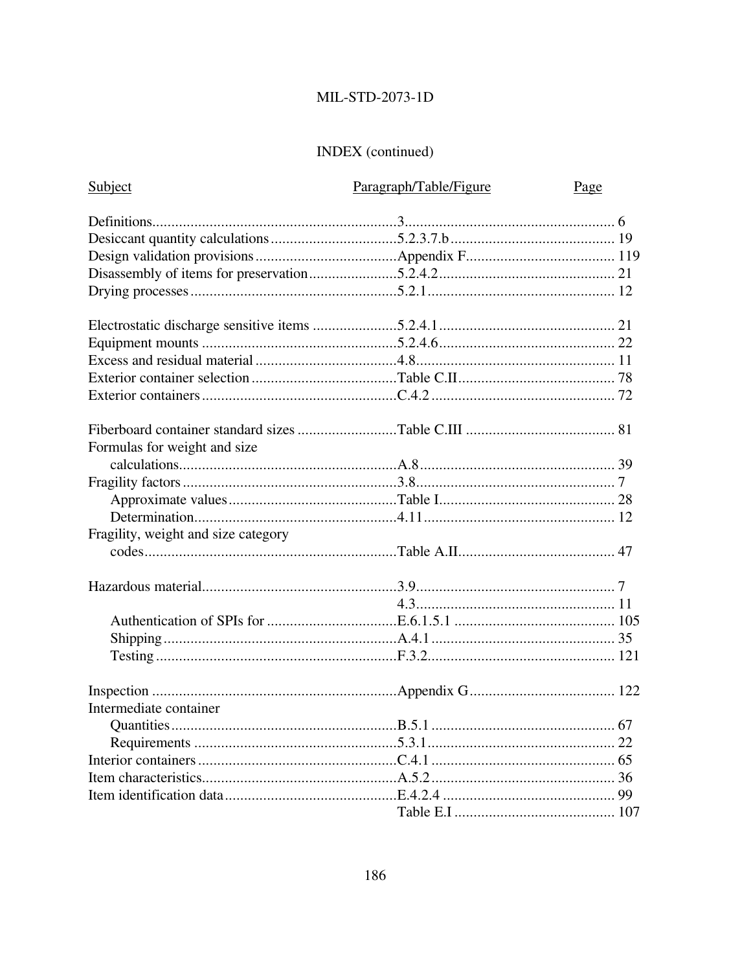| Subject                             | Paragraph/Table/Figure | Page |
|-------------------------------------|------------------------|------|
|                                     |                        |      |
|                                     |                        |      |
|                                     |                        |      |
|                                     |                        |      |
|                                     |                        |      |
|                                     |                        |      |
|                                     |                        |      |
|                                     |                        |      |
|                                     |                        |      |
|                                     |                        |      |
|                                     |                        |      |
|                                     |                        |      |
|                                     |                        |      |
| Formulas for weight and size        |                        |      |
|                                     |                        |      |
|                                     |                        |      |
|                                     |                        |      |
|                                     |                        |      |
| Fragility, weight and size category |                        |      |
|                                     |                        |      |
|                                     |                        |      |
|                                     |                        |      |
|                                     |                        |      |
|                                     |                        |      |
|                                     |                        |      |
|                                     |                        |      |
|                                     |                        |      |
|                                     |                        |      |
| Intermediate container              |                        |      |
|                                     |                        |      |
|                                     |                        |      |
|                                     |                        |      |
|                                     |                        |      |
|                                     |                        |      |
|                                     |                        |      |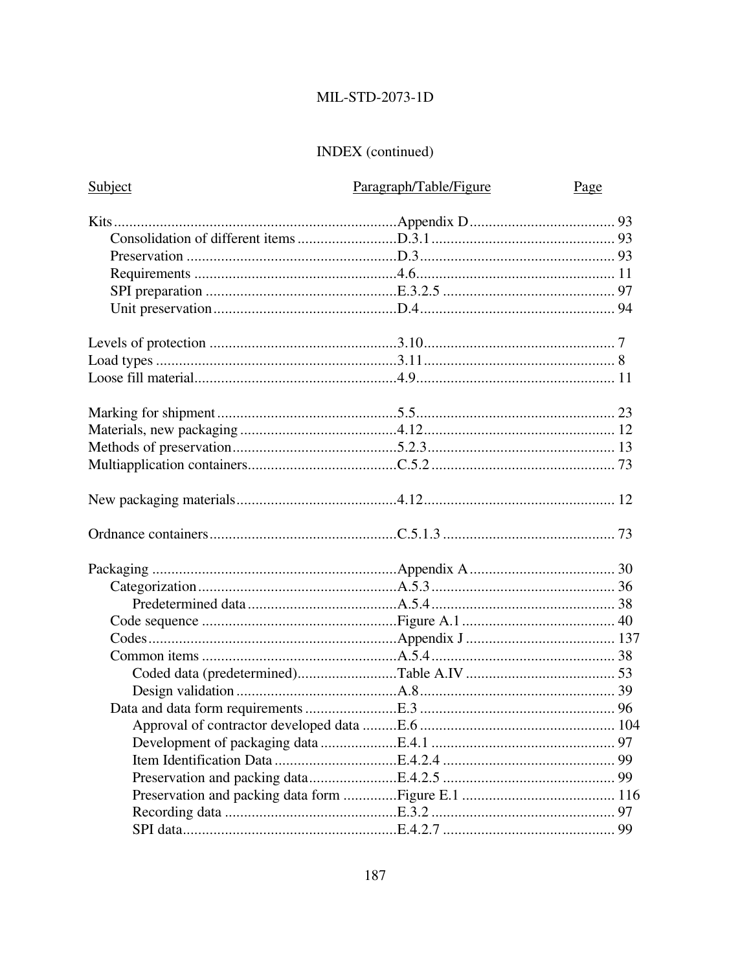| Subject | Paragraph/Table/Figure | Page |
|---------|------------------------|------|
|         |                        |      |
|         |                        |      |
|         |                        |      |
|         |                        |      |
|         |                        |      |
|         |                        |      |
|         |                        |      |
|         |                        |      |
|         |                        |      |
|         |                        |      |
|         |                        |      |
|         |                        |      |
|         |                        |      |
|         |                        |      |
|         |                        |      |
|         |                        |      |
|         |                        |      |
|         |                        |      |
|         |                        |      |
|         |                        |      |
|         |                        |      |
|         |                        |      |
|         |                        |      |
|         |                        |      |
|         |                        |      |
|         |                        |      |
|         |                        |      |
|         |                        |      |
|         |                        |      |
|         |                        |      |
|         |                        |      |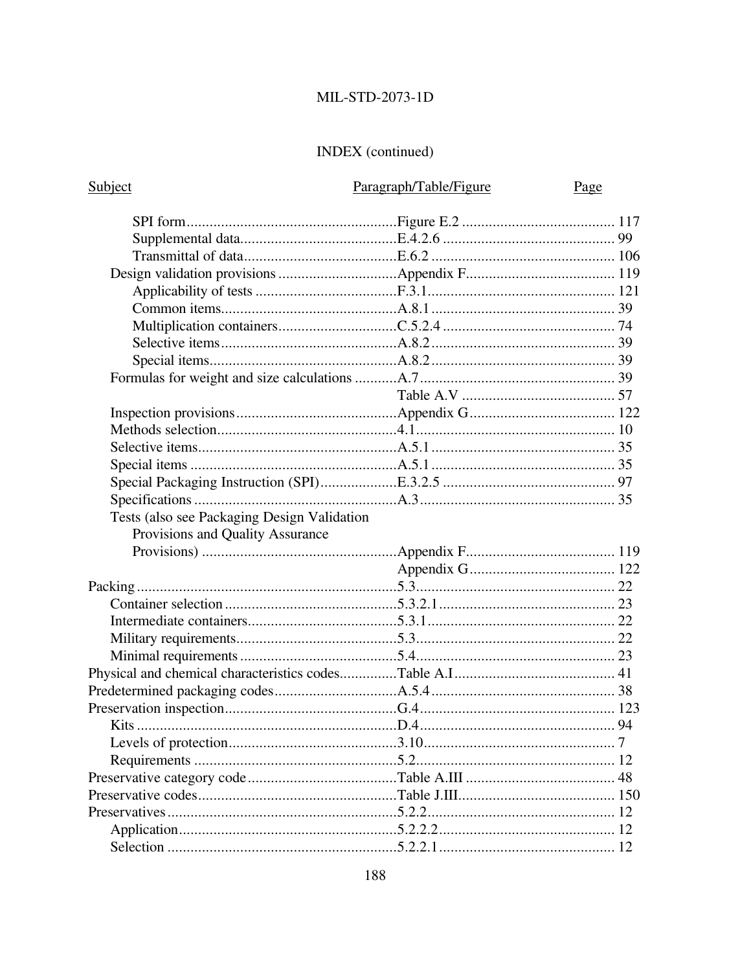| Subject                                     | Paragraph/Table/Figure | Page |
|---------------------------------------------|------------------------|------|
|                                             |                        |      |
|                                             |                        |      |
|                                             |                        |      |
|                                             |                        |      |
|                                             |                        |      |
|                                             |                        |      |
|                                             |                        |      |
|                                             |                        |      |
|                                             |                        |      |
|                                             |                        |      |
|                                             |                        |      |
|                                             |                        |      |
|                                             |                        |      |
|                                             |                        |      |
|                                             |                        |      |
|                                             |                        |      |
|                                             |                        |      |
| Tests (also see Packaging Design Validation |                        |      |
| Provisions and Quality Assurance            |                        |      |
|                                             |                        |      |
|                                             |                        |      |
|                                             |                        |      |
|                                             |                        |      |
|                                             |                        |      |
|                                             |                        |      |
|                                             |                        |      |
|                                             |                        |      |
|                                             |                        |      |
|                                             |                        |      |
| Kits                                        |                        |      |
|                                             |                        |      |
|                                             |                        |      |
|                                             |                        |      |
|                                             |                        |      |
|                                             |                        |      |
|                                             |                        |      |
|                                             |                        |      |
|                                             |                        |      |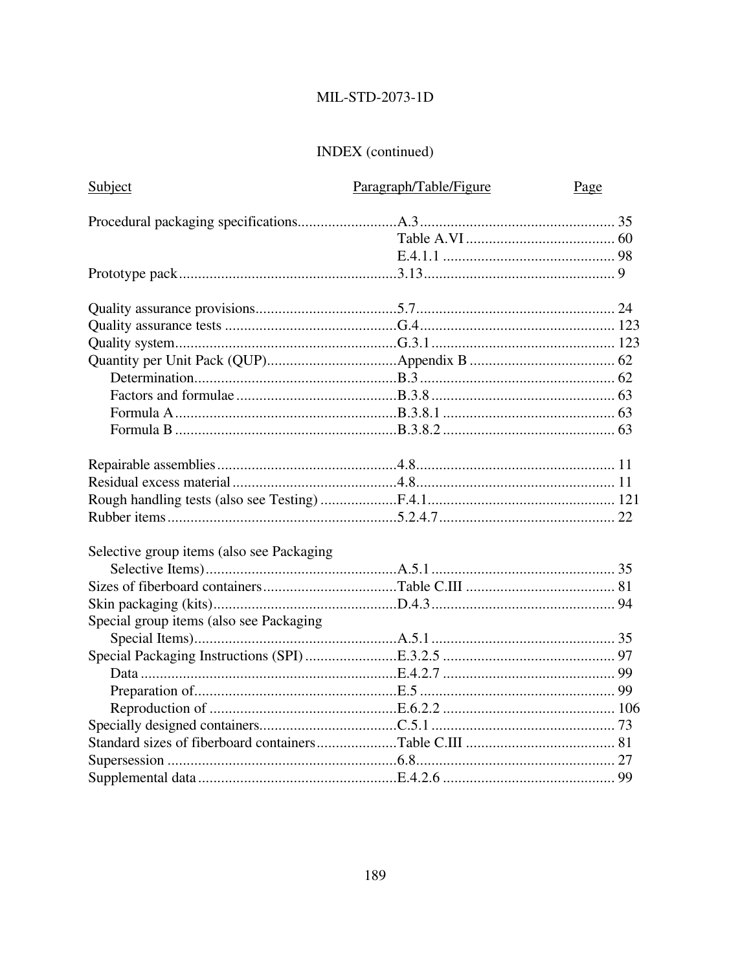| Subject                                   | Paragraph/Table/Figure | Page |
|-------------------------------------------|------------------------|------|
|                                           |                        |      |
|                                           |                        |      |
|                                           |                        |      |
|                                           |                        |      |
|                                           |                        |      |
|                                           |                        |      |
|                                           |                        |      |
|                                           |                        |      |
|                                           |                        |      |
|                                           |                        |      |
|                                           |                        |      |
|                                           |                        |      |
|                                           |                        |      |
|                                           |                        |      |
|                                           |                        |      |
|                                           |                        |      |
|                                           |                        |      |
|                                           |                        |      |
|                                           |                        |      |
| Selective group items (also see Packaging |                        |      |
|                                           |                        |      |
|                                           |                        |      |
|                                           |                        |      |
| Special group items (also see Packaging)  |                        |      |
|                                           |                        |      |
|                                           |                        |      |
|                                           |                        |      |
|                                           |                        |      |
|                                           |                        |      |
|                                           |                        |      |
|                                           |                        |      |
|                                           |                        |      |
|                                           |                        |      |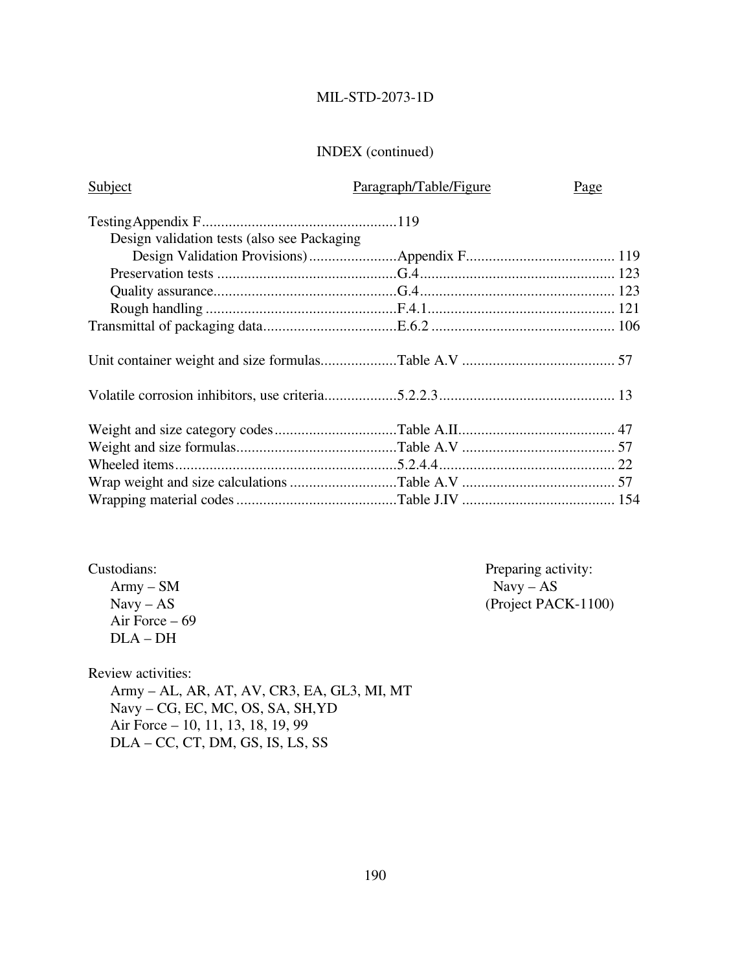#### INDEX (continued)

| Subject                                     | Paragraph/Table/Figure | Page |
|---------------------------------------------|------------------------|------|
|                                             |                        |      |
| Design validation tests (also see Packaging |                        |      |
|                                             |                        |      |
|                                             |                        |      |
|                                             |                        |      |
|                                             |                        |      |
|                                             |                        |      |
|                                             |                        |      |
|                                             |                        |      |
|                                             |                        |      |
|                                             |                        |      |
|                                             |                        |      |
|                                             |                        |      |
|                                             |                        |      |

 $A$ rmy – SM Air Force – 69 DLA – DH

Custodians: Preparing activity: Army – SM Navy – AS Navy – AS (Project PACK-1100)

Review activities:

Army – AL, AR, AT, AV, CR3, EA, GL3, MI, MT Navy – CG, EC, MC, OS, SA, SH,YD Air Force – 10, 11, 13, 18, 19, 99 DLA – CC, CT, DM, GS, IS, LS, SS